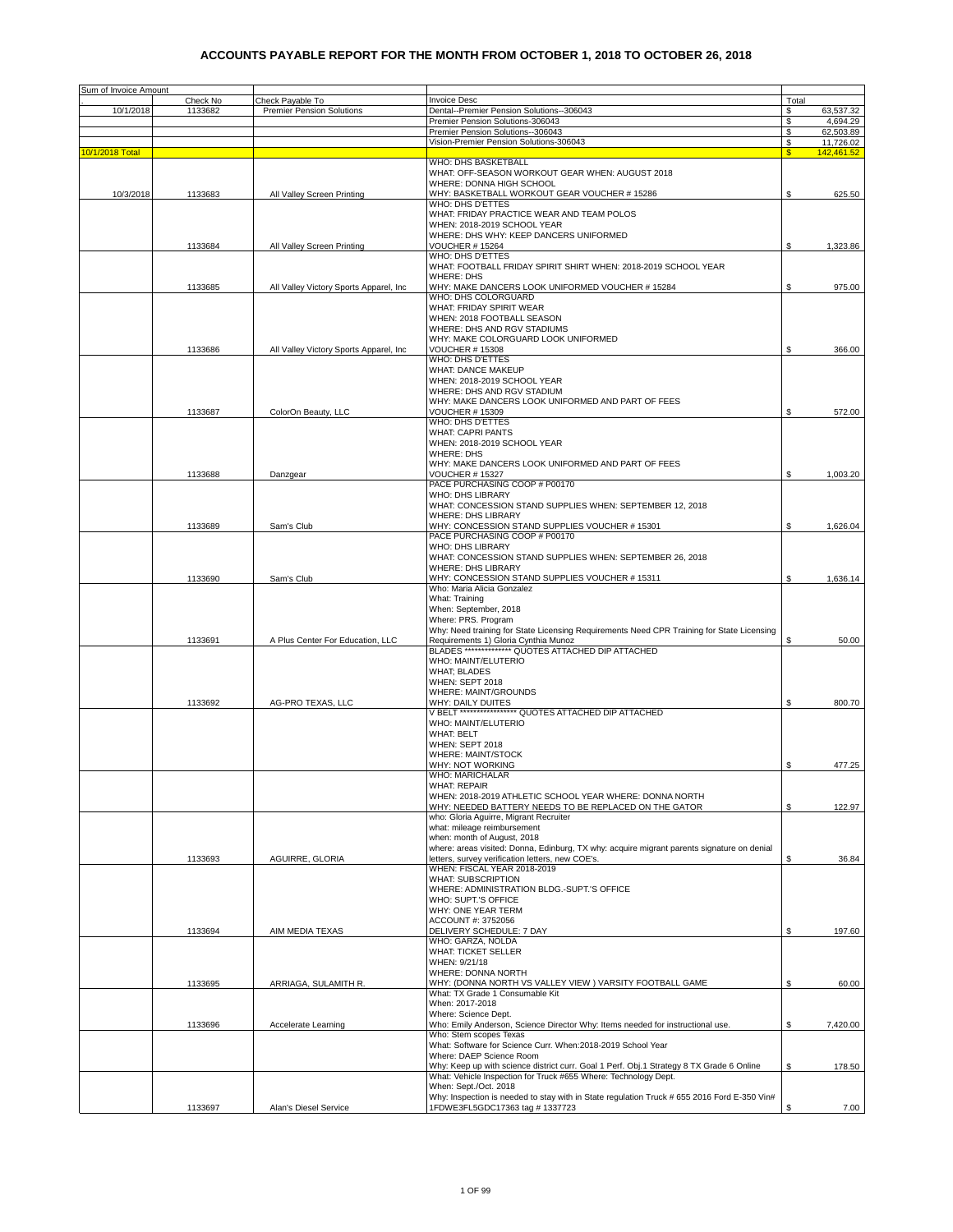| Sum of Invoice Amount |          |                                         |                                                                                             |       |            |
|-----------------------|----------|-----------------------------------------|---------------------------------------------------------------------------------------------|-------|------------|
|                       | Check No | Check Payable To                        | Invoice Desc                                                                                | Total |            |
|                       |          |                                         | Dental--Premier Pension Solutions--306043                                                   |       |            |
| 10/1/2018             | 1133682  | <b>Premier Pension Solutions</b>        | Premier Pension Solutions-306043                                                            | S     | 63,537.32  |
|                       |          |                                         | Premier Pension Solutions--306043                                                           | \$    | 4,694.29   |
|                       |          |                                         |                                                                                             | \$    | 62,503.89  |
|                       |          |                                         | Vision-Premier Pension Solutions-306043                                                     | \$    | 11,726.02  |
| 10/1/2018 Total       |          |                                         |                                                                                             | \$.   | 142.461.52 |
|                       |          |                                         | WHO: DHS BASKETBALL                                                                         |       |            |
|                       |          |                                         | WHAT: OFF-SEASON WORKOUT GEAR WHEN: AUGUST 2018                                             |       |            |
|                       |          |                                         | WHERE: DONNA HIGH SCHOOL                                                                    |       |            |
| 10/3/2018             | 1133683  | All Valley Screen Printing              | WHY: BASKETBALL WORKOUT GEAR VOUCHER # 15286                                                | \$    | 625.50     |
|                       |          |                                         | WHO: DHS D'ETTES                                                                            |       |            |
|                       |          |                                         | WHAT: FRIDAY PRACTICE WEAR AND TEAM POLOS                                                   |       |            |
|                       |          |                                         | WHEN: 2018-2019 SCHOOL YEAR                                                                 |       |            |
|                       |          |                                         | WHERE: DHS WHY: KEEP DANCERS UNIFORMED                                                      |       |            |
|                       | 1133684  | All Valley Screen Printing              | VOUCHER # 15264                                                                             | \$    | 1,323.86   |
|                       |          |                                         | WHO: DHS D'ETTES                                                                            |       |            |
|                       |          |                                         | WHAT: FOOTBALL FRIDAY SPIRIT SHIRT WHEN: 2018-2019 SCHOOL YEAR                              |       |            |
|                       |          |                                         | WHERE: DHS                                                                                  |       |            |
|                       | 1133685  | All Valley Victory Sports Apparel, Inc. | WHY: MAKE DANCERS LOOK UNIFORMED VOUCHER # 15284                                            | \$    | 975.00     |
|                       |          |                                         | WHO: DHS COLORGUARD                                                                         |       |            |
|                       |          |                                         | WHAT: FRIDAY SPIRIT WEAR                                                                    |       |            |
|                       |          |                                         | WHEN: 2018 FOOTBALL SEASON                                                                  |       |            |
|                       |          |                                         | WHERE: DHS AND RGV STADIUMS                                                                 |       |            |
|                       |          |                                         | WHY: MAKE COLORGUARD LOOK UNIFORMED                                                         |       |            |
|                       |          |                                         | <b>VOUCHER # 15308</b>                                                                      | \$    |            |
|                       | 1133686  | All Valley Victory Sports Apparel, Inc. |                                                                                             |       | 366.00     |
|                       |          |                                         | WHO: DHS D'ETTES                                                                            |       |            |
|                       |          |                                         | WHAT: DANCE MAKEUP                                                                          |       |            |
|                       |          |                                         | WHEN: 2018-2019 SCHOOL YEAR                                                                 |       |            |
|                       |          |                                         | WHERE: DHS AND RGV STADIUM                                                                  |       |            |
|                       |          |                                         | WHY: MAKE DANCERS LOOK UNIFORMED AND PART OF FEES                                           |       |            |
|                       | 1133687  | ColorOn Beauty, LLC                     | <b>VOUCHER # 15309</b>                                                                      | \$    | 572.00     |
|                       |          |                                         | WHO: DHS D'ETTES                                                                            |       |            |
|                       |          |                                         | <b>WHAT: CAPRI PANTS</b>                                                                    |       |            |
|                       |          |                                         | WHEN: 2018-2019 SCHOOL YEAR                                                                 |       |            |
|                       |          |                                         | <b>WHERE: DHS</b>                                                                           |       |            |
|                       |          |                                         | WHY: MAKE DANCERS LOOK UNIFORMED AND PART OF FEES                                           |       |            |
|                       | 1133688  | Danzgear                                | <b>VOUCHER # 15327</b>                                                                      | \$    | 1,003.20   |
|                       |          |                                         | PACE PURCHASING COOP # P00170                                                               |       |            |
|                       |          |                                         | WHO: DHS LIBRARY                                                                            |       |            |
|                       |          |                                         |                                                                                             |       |            |
|                       |          |                                         | WHAT: CONCESSION STAND SUPPLIES WHEN: SEPTEMBER 12, 2018                                    |       |            |
|                       |          |                                         | <b>WHERE: DHS LIBRARY</b>                                                                   |       |            |
|                       | 1133689  | Sam's Club                              | WHY: CONCESSION STAND SUPPLIES VOUCHER # 15301                                              | \$    | 1,626.04   |
|                       |          |                                         | PACE PURCHASING COOP # P00170                                                               |       |            |
|                       |          |                                         | <b>WHO: DHS LIBRARY</b>                                                                     |       |            |
|                       |          |                                         | WHAT: CONCESSION STAND SUPPLIES WHEN: SEPTEMBER 26, 2018                                    |       |            |
|                       |          |                                         | <b>WHERE: DHS LIBRARY</b>                                                                   |       |            |
|                       | 1133690  | Sam's Club                              | WHY: CONCESSION STAND SUPPLIES VOUCHER #15311                                               | \$    | 1,636.14   |
|                       |          |                                         | Who: Maria Alicia Gonzalez                                                                  |       |            |
|                       |          |                                         | What: Training                                                                              |       |            |
|                       |          |                                         | When: September, 2018                                                                       |       |            |
|                       |          |                                         |                                                                                             |       |            |
|                       |          |                                         | Where: PRS. Program                                                                         |       |            |
|                       |          |                                         | Why: Need training for State Licensing Requirements Need CPR Training for State Licensing   |       |            |
|                       | 1133691  | A Plus Center For Education, LLC        | Requirements 1) Gloria Cynthia Munoz                                                        | \$    | 50.00      |
|                       |          |                                         | BLADES ************** QUOTES ATTACHED DIP ATTACHED                                          |       |            |
|                       |          |                                         | WHO: MAINT/ELUTERIO                                                                         |       |            |
|                       |          |                                         | <b>WHAT; BLADES</b>                                                                         |       |            |
|                       |          |                                         | WHEN: SEPT 2018                                                                             |       |            |
|                       |          |                                         | WHERE: MAINT/GROUNDS                                                                        |       |            |
|                       | 1133692  | AG-PRO TEXAS, LLC                       | WHY: DAILY DUITES                                                                           | S     | 800.70     |
|                       |          |                                         | V BELT ****************** QUOTES ATTACHED DIP ATTACHED                                      |       |            |
|                       |          |                                         | WHO: MAINT/ELUTERIO                                                                         |       |            |
|                       |          |                                         | <b>WHAT: BELT</b>                                                                           |       |            |
|                       |          |                                         | WHEN: SEPT 2018                                                                             |       |            |
|                       |          |                                         | <b>WHERE: MAINT/STOCK</b>                                                                   |       |            |
|                       |          |                                         | WHY: NOT WORKING                                                                            |       |            |
|                       |          |                                         |                                                                                             |       | 477.25     |
|                       |          |                                         | <b>WHO: MARICHALAR</b>                                                                      |       |            |
|                       |          |                                         | <b>WHAT: REPAIR</b>                                                                         |       |            |
|                       |          |                                         | WHEN: 2018-2019 ATHLETIC SCHOOL YEAR WHERE: DONNA NORTH                                     |       |            |
|                       |          |                                         | WHY: NEEDED BATTERY NEEDS TO BE REPLACED ON THE GATOR                                       | S.    | 122.97     |
|                       |          |                                         | who: Gloria Aguirre, Migrant Recruiter                                                      |       |            |
|                       |          |                                         | what: mileage reimbursement                                                                 |       |            |
|                       |          |                                         | when: month of August, 2018                                                                 |       |            |
|                       |          |                                         | where: areas visited: Donna, Edinburg, TX why: acquire migrant parents signature on denial  |       |            |
|                       | 1133693  | AGUIRRE, GLORIA                         | letters, survey verification letters, new COE's.                                            | S.    | 36.84      |
|                       |          |                                         | WHEN: FISCAL YEAR 2018-2019                                                                 |       |            |
|                       |          |                                         | <b>WHAT: SUBSCRIPTION</b>                                                                   |       |            |
|                       |          |                                         | WHERE: ADMINISTRATION BLDG.-SUPT.'S OFFICE                                                  |       |            |
|                       |          |                                         | WHO: SUPT.'S OFFICE                                                                         |       |            |
|                       |          |                                         | WHY: ONE YEAR TERM                                                                          |       |            |
|                       |          |                                         | ACCOUNT #: 3752056                                                                          |       |            |
|                       | 1133694  | AIM MEDIA TEXAS                         | DELIVERY SCHEDULE: 7 DAY                                                                    | \$    | 197.60     |
|                       |          |                                         | WHO: GARZA, NOLDA                                                                           |       |            |
|                       |          |                                         | <b>WHAT: TICKET SELLER</b>                                                                  |       |            |
|                       |          |                                         |                                                                                             |       |            |
|                       |          |                                         | WHEN: 9/21/18                                                                               |       |            |
|                       |          |                                         | WHERE: DONNA NORTH                                                                          |       |            |
|                       | 1133695  | ARRIAGA, SULAMITH R.                    | WHY: (DONNA NORTH VS VALLEY VIEW ) VARSITY FOOTBALL GAME                                    | \$    | 60.00      |
|                       |          |                                         | What: TX Grade 1 Consumable Kit                                                             |       |            |
|                       |          |                                         | When: 2017-2018                                                                             |       |            |
|                       |          |                                         | Where: Science Dept.                                                                        |       |            |
|                       | 1133696  | <b>Accelerate Learning</b>              | Who: Emily Anderson, Science Director Why: Items needed for instructional use.              | \$    | 7,420.00   |
|                       |          |                                         | Who: Stem scopes Texas                                                                      |       |            |
|                       |          |                                         | What: Software for Science Curr. When:2018-2019 School Year                                 |       |            |
|                       |          |                                         | Where: DAEP Science Room                                                                    |       |            |
|                       |          |                                         |                                                                                             | \$    |            |
|                       |          |                                         | Why: Keep up with science district curr. Goal 1 Perf. Obj.1 Strategy 8 TX Grade 6 Online    |       | 178.50     |
|                       |          |                                         | What: Vehicle Inspection for Truck #655 Where: Technology Dept.                             |       |            |
|                       |          |                                         | When: Sept./Oct. 2018                                                                       |       |            |
|                       |          |                                         | Why: Inspection is needed to stay with in State regulation Truck # 655 2016 Ford E-350 Vin# |       |            |
|                       | 1133697  | Alan's Diesel Service                   | 1FDWE3FL5GDC17363 tag # 1337723                                                             | \$    | 7.00       |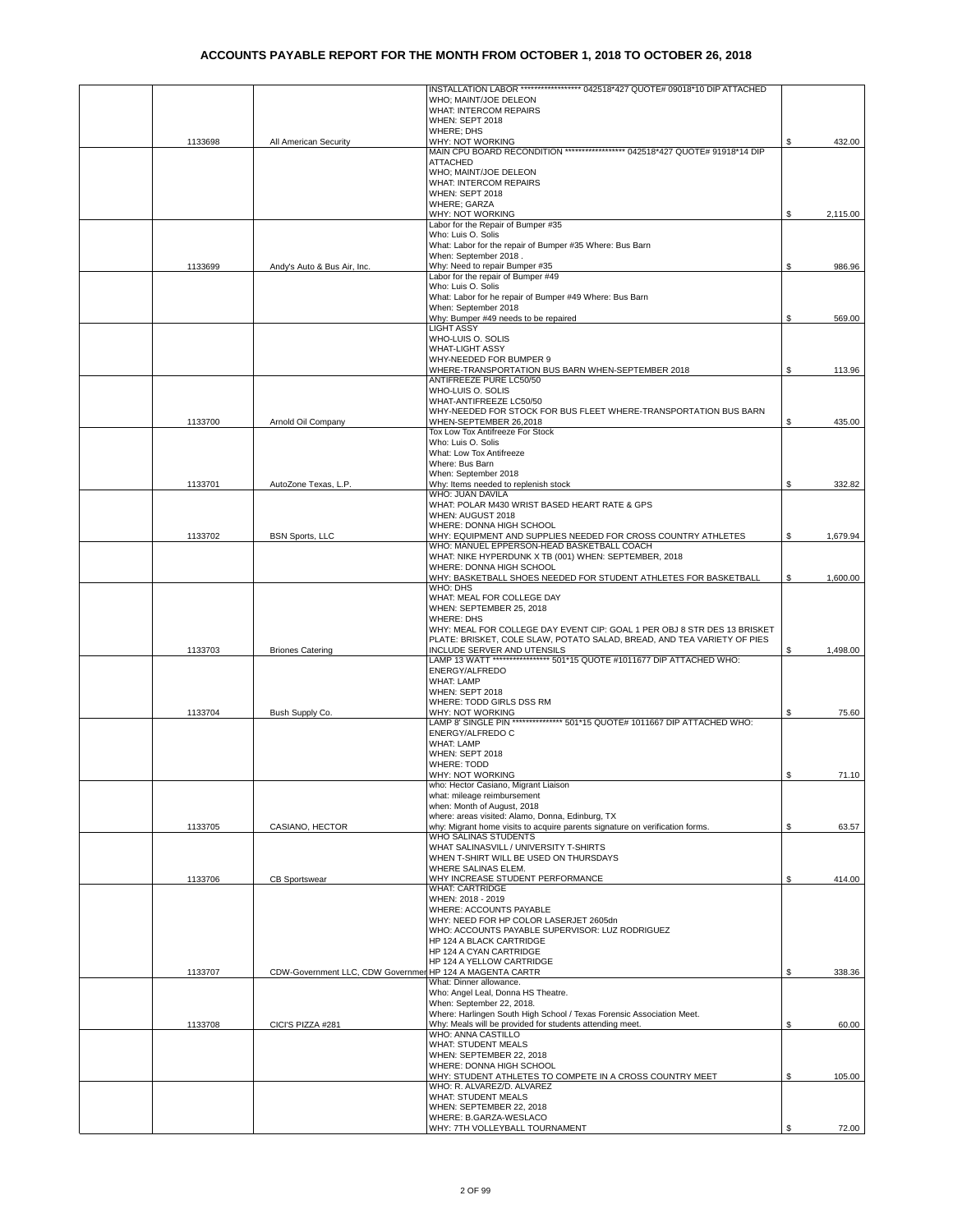|         |                             | INSTALLATION LABOR ****************** 042518*427 QUOTE# 09018*10 DIP ATTACHED |    |          |
|---------|-----------------------------|-------------------------------------------------------------------------------|----|----------|
|         |                             | WHO; MAINT/JOE DELEON                                                         |    |          |
|         |                             | WHAT: INTERCOM REPAIRS                                                        |    |          |
|         |                             | WHEN: SEPT 2018                                                               |    |          |
|         |                             | WHERE; DHS                                                                    |    |          |
| 1133698 | All American Security       | WHY: NOT WORKING                                                              | S  | 432.00   |
|         |                             | MAIN CPU BOARD RECONDITION ****************** 042518*427 QUOTE# 91918*14 DIP  |    |          |
|         |                             | <b>ATTACHED</b>                                                               |    |          |
|         |                             | WHO; MAINT/JOE DELEON                                                         |    |          |
|         |                             | <b>WHAT: INTERCOM REPAIRS</b>                                                 |    |          |
|         |                             | WHEN: SEPT 2018                                                               |    |          |
|         |                             | WHERE; GARZA                                                                  |    |          |
|         |                             | WHY: NOT WORKING                                                              | \$ | 2,115.00 |
|         |                             | Labor for the Repair of Bumper #35                                            |    |          |
|         |                             | Who: Luis O. Solis                                                            |    |          |
|         |                             | What: Labor for the repair of Bumper #35 Where: Bus Barn                      |    |          |
|         |                             | When: September 2018.                                                         |    |          |
| 1133699 | Andy's Auto & Bus Air, Inc. | Why: Need to repair Bumper #35                                                | \$ | 986.96   |
|         |                             | Labor for the repair of Bumper #49<br>Who: Luis O. Solis                      |    |          |
|         |                             | What: Labor for he repair of Bumper #49 Where: Bus Barn                       |    |          |
|         |                             | When: September 2018                                                          |    |          |
|         |                             | Why: Bumper #49 needs to be repaired                                          | \$ | 569.00   |
|         |                             | <b>LIGHT ASSY</b>                                                             |    |          |
|         |                             | WHO-LUIS O. SOLIS                                                             |    |          |
|         |                             | WHAT-LIGHT ASSY                                                               |    |          |
|         |                             | WHY-NEEDED FOR BUMPER 9                                                       |    |          |
|         |                             | WHERE-TRANSPORTATION BUS BARN WHEN-SEPTEMBER 2018                             | \$ | 113.96   |
|         |                             | ANTIFREEZE PURE LC50/50                                                       |    |          |
|         |                             | WHO-LUIS O. SOLIS                                                             |    |          |
|         |                             | WHAT-ANTIFREEZE LC50/50                                                       |    |          |
|         |                             | WHY-NEEDED FOR STOCK FOR BUS FLEET WHERE-TRANSPORTATION BUS BARN              |    |          |
| 1133700 | Arnold Oil Company          | WHEN-SEPTEMBER 26,2018                                                        | \$ | 435.00   |
|         |                             | Tox Low Tox Antifreeze For Stock                                              |    |          |
|         |                             | Who: Luis O. Solis                                                            |    |          |
|         |                             | What: Low Tox Antifreeze                                                      |    |          |
|         |                             | Where: Bus Barn                                                               |    |          |
|         |                             | When: September 2018                                                          |    |          |
| 1133701 | AutoZone Texas, L.P.        | Why: Items needed to replenish stock                                          | \$ | 332.82   |
|         |                             | WHO: JUAN DAVILA                                                              |    |          |
|         |                             | WHAT: POLAR M430 WRIST BASED HEART RATE & GPS                                 |    |          |
|         |                             | WHEN: AUGUST 2018                                                             |    |          |
|         |                             | WHERE: DONNA HIGH SCHOOL                                                      |    |          |
| 1133702 | <b>BSN Sports, LLC</b>      | WHY: EQUIPMENT AND SUPPLIES NEEDED FOR CROSS COUNTRY ATHLETES                 | S  | 1,679.94 |
|         |                             | WHO: MANUEL EPPERSON-HEAD BASKETBALL COACH                                    |    |          |
|         |                             | WHAT: NIKE HYPERDUNK X TB (001) WHEN: SEPTEMBER, 2018                         |    |          |
|         |                             | WHERE: DONNA HIGH SCHOOL                                                      |    |          |
|         |                             | WHY: BASKETBALL SHOES NEEDED FOR STUDENT ATHLETES FOR BASKETBALL              | S  | 1,600.00 |
|         |                             | WHO: DHS                                                                      |    |          |
|         |                             | WHAT: MEAL FOR COLLEGE DAY                                                    |    |          |
|         |                             | WHEN: SEPTEMBER 25, 2018                                                      |    |          |
|         |                             | <b>WHERE: DHS</b>                                                             |    |          |
|         |                             | WHY: MEAL FOR COLLEGE DAY EVENT CIP: GOAL 1 PER OBJ 8 STR DES 13 BRISKET      |    |          |
|         |                             | PLATE: BRISKET, COLE SLAW, POTATO SALAD, BREAD, AND TEA VARIETY OF PIES       |    |          |
| 1133703 | <b>Briones Catering</b>     | INCLUDE SERVER AND UTENSILS                                                   |    | 1,498.00 |
|         |                             | LAMP 13 WATT ***************** 501*15 QUOTE #1011677 DIP ATTACHED WHO:        |    |          |
|         |                             | ENERGY/ALFREDO<br><b>WHAT: LAMP</b>                                           |    |          |
|         |                             |                                                                               |    |          |
|         |                             | WHEN: SEPT 2018<br>WHERE: TODD GIRLS DSS RM                                   |    |          |
| 1133704 | Bush Supply Co.             | WHY: NOT WORKING                                                              | S  | 75.60    |
|         |                             | LAMP 8' SINGLE PIN *************** 501*15 QUOTE# 1011667 DIP ATTACHED WHO:    |    |          |
|         |                             | ENERGY/ALFREDO C                                                              |    |          |
|         |                             | WHAT: LAMP                                                                    |    |          |
|         |                             | WHEN: SEPT 2018                                                               |    |          |
|         |                             | <b>WHERE: TODD</b>                                                            |    |          |
|         |                             | WHY: NOT WORKING                                                              |    |          |
|         |                             | who: Hector Casiano, Migrant Liaison                                          |    | 71.10    |
|         |                             | what: mileage reimbursement                                                   |    |          |
|         |                             | when: Month of August, 2018                                                   |    |          |
|         |                             | where: areas visited: Alamo, Donna, Edinburg, TX                              |    |          |
| 1133705 | CASIANO, HECTOR             | why: Migrant home visits to acquire parents signature on verification forms.  | \$ | 63.57    |
|         |                             | WHO SALINAS STUDENTS                                                          |    |          |
|         |                             | WHAT SALINASVILL / UNIVERSITY T-SHIRTS                                        |    |          |
|         |                             | WHEN T-SHIRT WILL BE USED ON THURSDAYS                                        |    |          |
|         |                             | WHERE SALINAS ELEM.                                                           |    |          |
| 1133706 | <b>CB Sportswear</b>        | WHY INCREASE STUDENT PERFORMANCE                                              | \$ | 414.00   |
|         |                             | <b>WHAT: CARTRIDGE</b>                                                        |    |          |
|         |                             | WHEN: 2018 - 2019                                                             |    |          |
|         |                             | WHERE: ACCOUNTS PAYABLE                                                       |    |          |
|         |                             | WHY: NEED FOR HP COLOR LASERJET 2605dn                                        |    |          |
|         |                             | WHO: ACCOUNTS PAYABLE SUPERVISOR: LUZ RODRIGUEZ                               |    |          |
|         |                             | HP 124 A BLACK CARTRIDGE                                                      |    |          |
|         |                             | HP 124 A CYAN CARTRIDGE                                                       |    |          |
|         |                             | HP 124 A YELLOW CARTRIDGE                                                     |    |          |
| 1133707 |                             | CDW-Government LLC, CDW Governmen HP 124 A MAGENTA CARTR                      | \$ | 338.36   |
|         |                             | What: Dinner allowance.                                                       |    |          |
|         |                             | Who: Angel Leal, Donna HS Theatre.                                            |    |          |
|         |                             | When: September 22, 2018.                                                     |    |          |
|         |                             | Where: Harlingen South High School / Texas Forensic Association Meet.         |    |          |
| 1133708 | CICI'S PIZZA #281           | Why: Meals will be provided for students attending meet.                      | S. | 60.00    |
|         |                             | WHO: ANNA CASTILLO                                                            |    |          |
|         |                             | WHAT: STUDENT MEALS                                                           |    |          |
|         |                             | WHEN: SEPTEMBER 22, 2018                                                      |    |          |
|         |                             | WHERE: DONNA HIGH SCHOOL                                                      |    |          |
|         |                             | WHY: STUDENT ATHLETES TO COMPETE IN A CROSS COUNTRY MEET                      | S. | 105.00   |
|         |                             | WHO: R. ALVAREZ/D. ALVAREZ                                                    |    |          |
|         |                             | WHAT: STUDENT MEALS                                                           |    |          |
|         |                             | WHEN: SEPTEMBER 22, 2018                                                      |    |          |
|         |                             | WHERE: B.GARZA-WESLACO                                                        |    |          |
|         |                             | WHY: 7TH VOLLEYBALL TOURNAMENT                                                | \$ | 72.00    |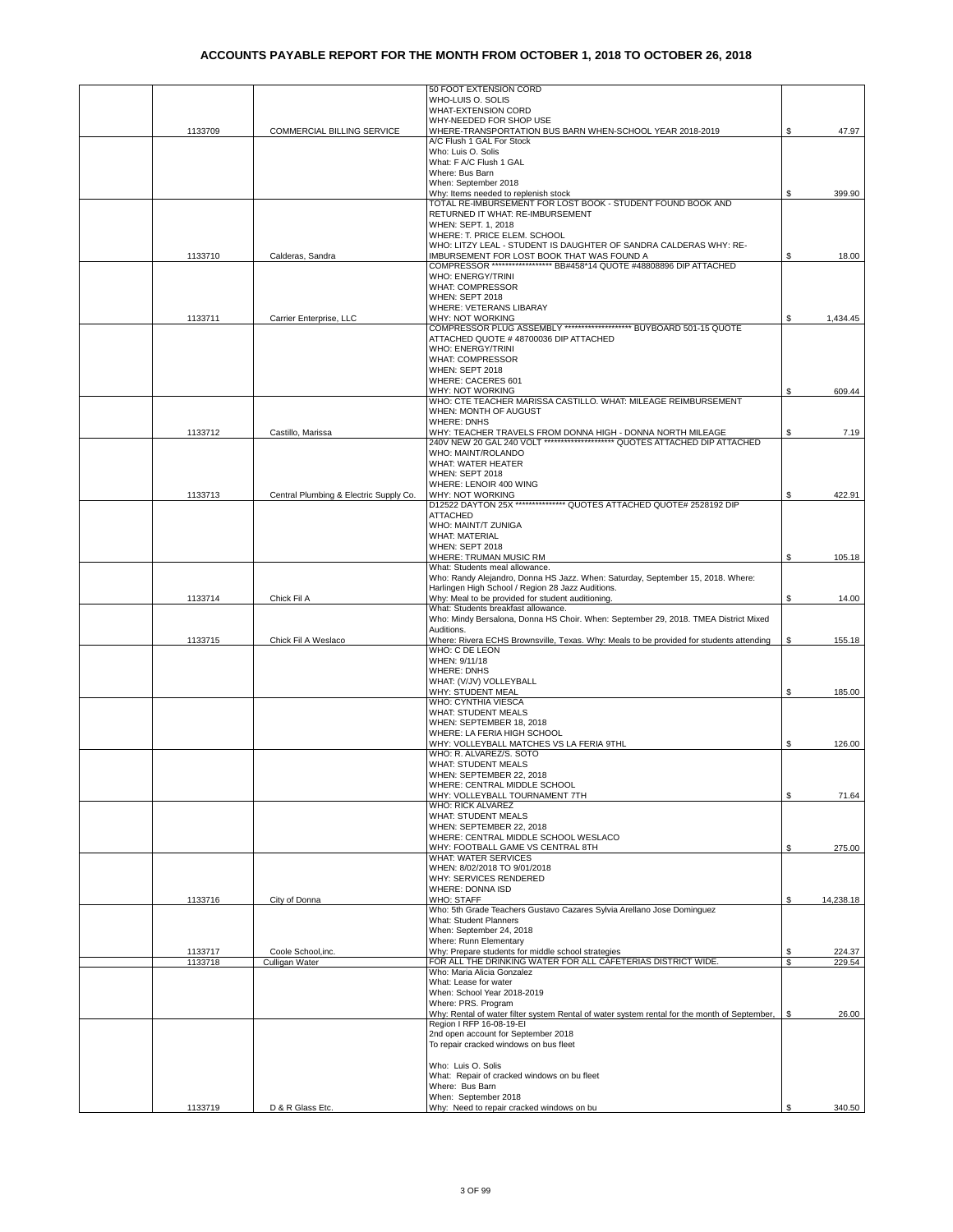|         |                                        | 50 FOOT EXTENSION CORD                                                                                                                    |                         |           |
|---------|----------------------------------------|-------------------------------------------------------------------------------------------------------------------------------------------|-------------------------|-----------|
|         |                                        | WHO-LUIS O. SOLIS                                                                                                                         |                         |           |
|         |                                        | <b>WHAT-EXTENSION CORD</b>                                                                                                                |                         |           |
| 1133709 | COMMERCIAL BILLING SERVICE             | WHY-NEEDED FOR SHOP USE<br>WHERE-TRANSPORTATION BUS BARN WHEN-SCHOOL YEAR 2018-2019                                                       |                         | 47.97     |
|         |                                        | A/C Flush 1 GAL For Stock                                                                                                                 |                         |           |
|         |                                        | Who: Luis O. Solis                                                                                                                        |                         |           |
|         |                                        | What: F A/C Flush 1 GAL                                                                                                                   |                         |           |
|         |                                        | Where: Bus Barn                                                                                                                           |                         |           |
|         |                                        | When: September 2018                                                                                                                      |                         |           |
|         |                                        | Why: Items needed to replenish stock<br>TOTAL RE-IMBURSEMENT FOR LOST BOOK - STUDENT FOUND BOOK AND                                       | \$                      | 399.90    |
|         |                                        | RETURNED IT WHAT: RE-IMBURSEMENT                                                                                                          |                         |           |
|         |                                        | WHEN: SEPT. 1, 2018                                                                                                                       |                         |           |
|         |                                        | WHERE: T. PRICE ELEM. SCHOOL                                                                                                              |                         |           |
|         |                                        | WHO: LITZY LEAL - STUDENT IS DAUGHTER OF SANDRA CALDERAS WHY: RE-                                                                         |                         |           |
| 1133710 | Calderas, Sandra                       | IMBURSEMENT FOR LOST BOOK THAT WAS FOUND A<br>COMPRESSOR ******************** BB#458*14 QUOTE #48808896 DIP ATTACHED                      | S.                      | 18.00     |
|         |                                        | WHO: ENERGY/TRINI                                                                                                                         |                         |           |
|         |                                        | WHAT: COMPRESSOR                                                                                                                          |                         |           |
|         |                                        | WHEN: SEPT 2018                                                                                                                           |                         |           |
|         |                                        | WHERE: VETERANS LIBARAY                                                                                                                   |                         |           |
| 1133711 | Carrier Enterprise, LLC                | WHY: NOT WORKING                                                                                                                          | \$                      | 1,434.45  |
|         |                                        | COMPRESSOR PLUG ASSEMBLY ********************** BUYBOARD 501-15 QUOTE                                                                     |                         |           |
|         |                                        | ATTACHED QUOTE #48700036 DIP ATTACHED<br>WHO: ENERGY/TRINI                                                                                |                         |           |
|         |                                        | <b>WHAT: COMPRESSOR</b>                                                                                                                   |                         |           |
|         |                                        | WHEN: SEPT 2018                                                                                                                           |                         |           |
|         |                                        | WHERE: CACERES 601                                                                                                                        |                         |           |
|         |                                        | WHY: NOT WORKING                                                                                                                          | S                       | 609.44    |
|         |                                        | WHO: CTE TEACHER MARISSA CASTILLO. WHAT: MILEAGE REIMBURSEMENT                                                                            |                         |           |
|         |                                        | WHEN: MONTH OF AUGUST<br><b>WHERE: DNHS</b>                                                                                               |                         |           |
| 1133712 | Castillo, Marissa                      |                                                                                                                                           | \$                      | 7.19      |
|         |                                        | WHY: TEACHER TRAVELS FROM DONNA HIGH - DONNA NORTH MILEAGE<br>240V NEW 20 GAL 240 VOLT ********************* QUOTES ATTACHED DIP ATTACHED |                         |           |
|         |                                        | WHO: MAINT/ROLANDO                                                                                                                        |                         |           |
|         |                                        | WHAT: WATER HEATER                                                                                                                        |                         |           |
|         |                                        | WHEN: SEPT 2018<br>WHERE: LENOIR 400 WING                                                                                                 |                         |           |
| 1133713 | Central Plumbing & Electric Supply Co. | WHY: NOT WORKING                                                                                                                          | \$                      | 422.91    |
|         |                                        | D12522 DAYTON 25X *************** QUOTES ATTACHED QUOTE# 2528192 DIP                                                                      |                         |           |
|         |                                        | <b>ATTACHED</b>                                                                                                                           |                         |           |
|         |                                        | WHO: MAINT/T ZUNIGA                                                                                                                       |                         |           |
|         |                                        | <b>WHAT: MATERIAL</b>                                                                                                                     |                         |           |
|         |                                        | WHEN: SEPT 2018<br>WHERE: TRUMAN MUSIC RM                                                                                                 | \$                      |           |
|         |                                        | What: Students meal allowance.                                                                                                            |                         | 105.18    |
|         |                                        | Who: Randy Alejandro, Donna HS Jazz. When: Saturday, September 15, 2018. Where:                                                           |                         |           |
|         |                                        | Harlingen High School / Region 28 Jazz Auditions.                                                                                         |                         |           |
| 1133714 | Chick Fil A                            | Why: Meal to be provided for student auditioning.                                                                                         | \$                      | 14.00     |
|         |                                        | What: Students breakfast allowance.                                                                                                       |                         |           |
|         |                                        | Who: Mindy Bersalona, Donna HS Choir. When: September 29, 2018. TMEA District Mixed<br>Auditions.                                         |                         |           |
| 1133715 | Chick Fil A Weslaco                    | Where: Rivera ECHS Brownsville, Texas. Why: Meals to be provided for students attending                                                   | \$                      | 155.18    |
|         |                                        | WHO: C DE LEON                                                                                                                            |                         |           |
|         |                                        | WHEN: 9/11/18                                                                                                                             |                         |           |
|         |                                        | <b>WHERE: DNHS</b>                                                                                                                        |                         |           |
|         |                                        | WHAT: (V/JV) VOLLEYBALL<br>WHY: STUDENT MEAL                                                                                              | \$                      | 185.00    |
|         |                                        | WHO: CYNTHIA VIESCA                                                                                                                       |                         |           |
|         |                                        | <b>WHAT: STUDENT MEALS</b>                                                                                                                |                         |           |
|         |                                        | WHEN: SEPTEMBER 18, 2018                                                                                                                  |                         |           |
|         |                                        | WHERE: LA FERIA HIGH SCHOOL                                                                                                               |                         |           |
|         |                                        | WHY: VOLLEYBALL MATCHES VS LA FERIA 9THL                                                                                                  | \$                      | 126.00    |
|         |                                        | WHO: R. ALVAREZ/S. SOTO<br><b>WHAT: STUDENT MEALS</b>                                                                                     |                         |           |
|         |                                        | WHEN: SEPTEMBER 22, 2018                                                                                                                  |                         |           |
|         |                                        | WHERE: CENTRAL MIDDLE SCHOOL                                                                                                              |                         |           |
|         |                                        | WHY: VOLLEYBALL TOURNAMENT 7TH                                                                                                            | \$                      | 71.64     |
|         |                                        | <b>WHO: RICK ALVAREZ</b>                                                                                                                  |                         |           |
|         |                                        | <b>WHAT: STUDENT MEALS</b>                                                                                                                |                         |           |
|         |                                        | WHEN: SEPTEMBER 22, 2018<br>WHERE: CENTRAL MIDDLE SCHOOL WESLACO                                                                          |                         |           |
|         |                                        | WHY: FOOTBALL GAME VS CENTRAL 8TH                                                                                                         | \$                      | 275.00    |
|         |                                        | WHAT: WATER SERVICES                                                                                                                      |                         |           |
|         |                                        | WHEN: 8/02/2018 TO 9/01/2018                                                                                                              |                         |           |
|         |                                        | WHY: SERVICES RENDERED                                                                                                                    |                         |           |
|         |                                        | WHERE: DONNA ISD                                                                                                                          |                         |           |
| 1133716 | City of Donna                          | <b>WHO: STAFF</b><br>Who: 5th Grade Teachers Gustavo Cazares Sylvia Arellano Jose Dominguez                                               | \$                      | 14,238.18 |
|         |                                        | <b>What: Student Planners</b>                                                                                                             |                         |           |
|         |                                        | When: September 24, 2018                                                                                                                  |                         |           |
|         |                                        | Where: Runn Elementary                                                                                                                    |                         |           |
| 1133717 | Coole School, inc.                     | Why: Prepare students for middle school strategies                                                                                        | \$                      | 224.37    |
| 1133718 | Culligan Water                         | FOR ALL THE DRINKING WATER FOR ALL CAFETERIAS DISTRICT WIDE.<br>Who: Maria Alicia Gonzalez                                                | $\overline{\mathbf{s}}$ | 229.54    |
|         |                                        | What: Lease for water                                                                                                                     |                         |           |
|         |                                        | When: School Year 2018-2019                                                                                                               |                         |           |
|         |                                        | Where: PRS. Program                                                                                                                       |                         |           |
|         |                                        | Why: Rental of water filter system Rental of water system rental for the month of September,                                              | S                       | 26.00     |
|         |                                        | Region I RFP 16-08-19-EI<br>2nd open account for September 2018                                                                           |                         |           |
|         |                                        | To repair cracked windows on bus fleet                                                                                                    |                         |           |
|         |                                        |                                                                                                                                           |                         |           |
|         |                                        | Who: Luis O. Solis                                                                                                                        |                         |           |
|         |                                        | What: Repair of cracked windows on bu fleet                                                                                               |                         |           |
|         |                                        | Where: Bus Barn                                                                                                                           |                         |           |
|         |                                        | When: September 2018                                                                                                                      |                         |           |
| 1133719 | D & R Glass Etc.                       | Why: Need to repair cracked windows on bu                                                                                                 | S                       | 340.50    |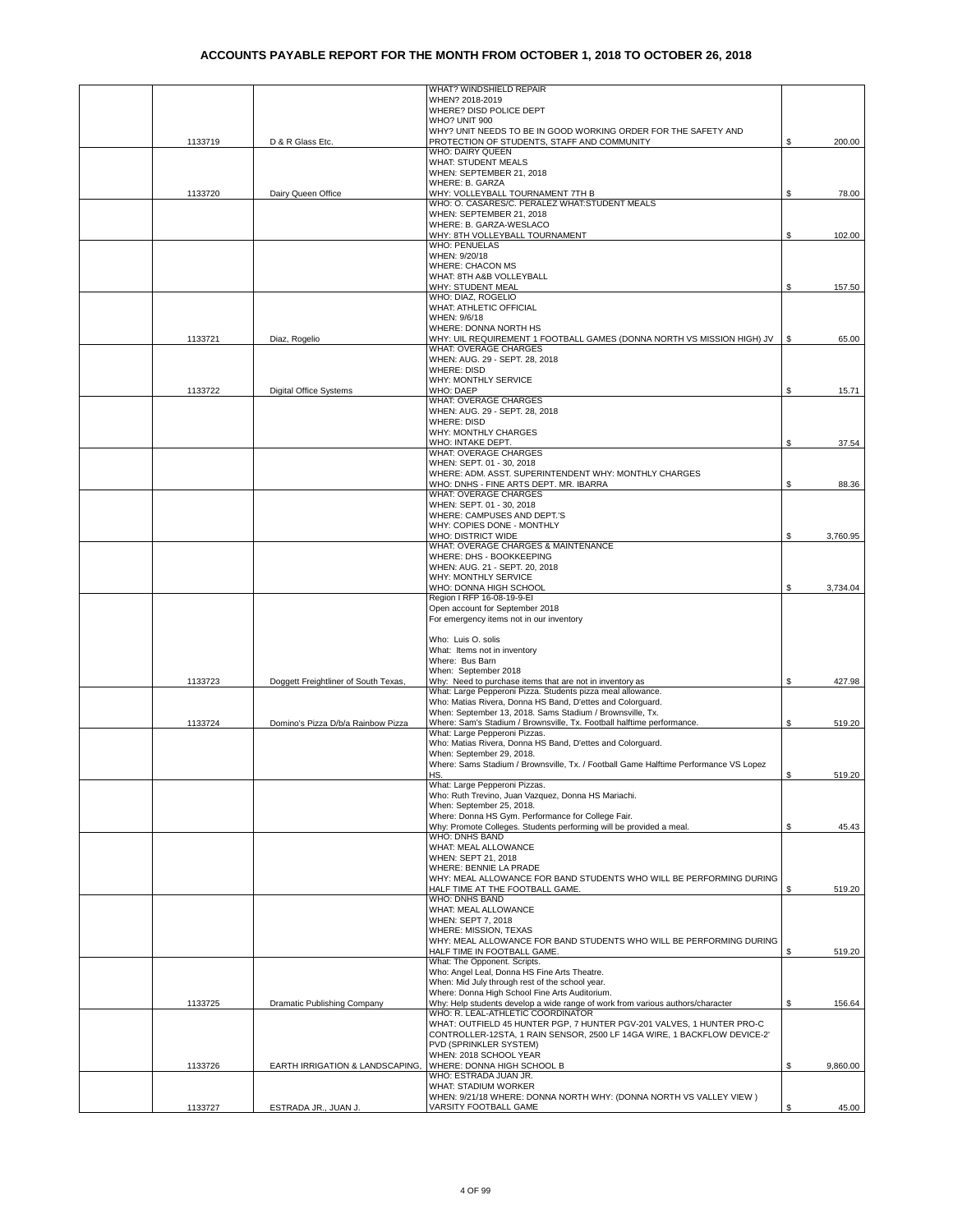|         |                                      | WHAT? WINDSHIELD REPAIR                                                                                                 |     |          |
|---------|--------------------------------------|-------------------------------------------------------------------------------------------------------------------------|-----|----------|
|         |                                      | WHEN? 2018-2019                                                                                                         |     |          |
|         |                                      | WHERE? DISD POLICE DEPT<br>WHO? UNIT 900                                                                                |     |          |
|         |                                      | WHY? UNIT NEEDS TO BE IN GOOD WORKING ORDER FOR THE SAFETY AND                                                          |     |          |
| 1133719 | D & R Glass Etc.                     | PROTECTION OF STUDENTS, STAFF AND COMMUNITY                                                                             | S.  | 200.00   |
|         |                                      | WHO: DAIRY QUEEN<br><b>WHAT: STUDENT MEALS</b>                                                                          |     |          |
|         |                                      | WHEN: SEPTEMBER 21, 2018                                                                                                |     |          |
|         |                                      | WHERE: B. GARZA                                                                                                         |     |          |
| 1133720 | Dairy Queen Office                   | WHY: VOLLEYBALL TOURNAMENT 7TH B                                                                                        | \$  | 78.00    |
|         |                                      | WHO: O. CASARES/C. PERALEZ WHAT:STUDENT MEALS                                                                           |     |          |
|         |                                      | WHEN: SEPTEMBER 21, 2018<br>WHERE: B. GARZA-WESLACO                                                                     |     |          |
|         |                                      | WHY: 8TH VOLLEYBALL TOURNAMENT                                                                                          | S.  | 102.00   |
|         |                                      | <b>WHO: PENUELAS</b>                                                                                                    |     |          |
|         |                                      | WHEN: 9/20/18                                                                                                           |     |          |
|         |                                      | <b>WHERE: CHACON MS</b>                                                                                                 |     |          |
|         |                                      | WHAT: 8TH A&B VOLLEYBALL<br>WHY: STUDENT MEAL                                                                           | \$  | 157.50   |
|         |                                      | WHO: DIAZ, ROGELIO                                                                                                      |     |          |
|         |                                      | WHAT: ATHLETIC OFFICIAL                                                                                                 |     |          |
|         |                                      | WHEN: 9/6/18                                                                                                            |     |          |
| 1133721 | Diaz, Rogelio                        | WHERE: DONNA NORTH HS<br>WHY: UIL REQUIREMENT 1 FOOTBALL GAMES (DONNA NORTH VS MISSION HIGH) JV                         | \$  | 65.00    |
|         |                                      | <b>WHAT: OVERAGE CHARGES</b>                                                                                            |     |          |
|         |                                      | WHEN: AUG. 29 - SEPT. 28, 2018                                                                                          |     |          |
|         |                                      | <b>WHERE: DISD</b>                                                                                                      |     |          |
|         |                                      | WHY: MONTHLY SERVICE<br>WHO: DAEP                                                                                       |     |          |
| 1133722 | <b>Digital Office Systems</b>        | <b>WHAT: OVERAGE CHARGES</b>                                                                                            | S   | 15.71    |
|         |                                      | WHEN: AUG. 29 - SEPT. 28, 2018                                                                                          |     |          |
|         |                                      | <b>WHERE: DISD</b>                                                                                                      |     |          |
|         |                                      | WHY: MONTHLY CHARGES                                                                                                    |     |          |
|         |                                      | WHO: INTAKE DEPT.<br>WHAT: OVERAGE CHARGES                                                                              | S   | 37.54    |
|         |                                      | WHEN: SEPT. 01 - 30, 2018                                                                                               |     |          |
|         |                                      | WHERE: ADM. ASST. SUPERINTENDENT WHY: MONTHLY CHARGES                                                                   |     |          |
|         |                                      | WHO: DNHS - FINE ARTS DEPT. MR. IBARRA                                                                                  | \$  | 88.36    |
|         |                                      | <b>WHAT: OVERAGE CHARGES</b>                                                                                            |     |          |
|         |                                      | WHEN: SEPT. 01 - 30, 2018<br>WHERE: CAMPUSES AND DEPT.'S                                                                |     |          |
|         |                                      | WHY: COPIES DONE - MONTHLY                                                                                              |     |          |
|         |                                      | WHO: DISTRICT WIDE                                                                                                      | \$  | 3,760.95 |
|         |                                      | WHAT: OVERAGE CHARGES & MAINTENANCE                                                                                     |     |          |
|         |                                      | WHERE: DHS - BOOKKEEPING<br>WHEN: AUG. 21 - SEPT. 20, 2018                                                              |     |          |
|         |                                      | WHY: MONTHLY SERVICE                                                                                                    |     |          |
|         |                                      | WHO: DONNA HIGH SCHOOL                                                                                                  | \$  | 3,734.04 |
|         |                                      | Region I RFP 16-08-19-9-EI                                                                                              |     |          |
|         |                                      | Open account for September 2018                                                                                         |     |          |
|         |                                      | For emergency items not in our inventory                                                                                |     |          |
|         |                                      | Who: Luis O. solis                                                                                                      |     |          |
|         |                                      | What: Items not in inventory                                                                                            |     |          |
|         |                                      | Where: Bus Barn                                                                                                         |     |          |
|         |                                      | When: September 2018                                                                                                    |     |          |
| 1133723 | Doggett Freightliner of South Texas, | Why: Need to purchase items that are not in inventory as<br>What: Large Pepperoni Pizza. Students pizza meal allowance. | \$  | 427.98   |
|         |                                      | Who: Matias Rivera, Donna HS Band, D'ettes and Colorguard.                                                              |     |          |
|         |                                      | When: September 13, 2018. Sams Stadium / Brownsville, Tx.                                                               |     |          |
| 1133724 | Domino's Pizza D/b/a Rainbow Pizza   | Where: Sam's Stadium / Brownsville, Tx. Football halftime performance.                                                  | \$  | 519.20   |
|         |                                      | What: Large Pepperoni Pizzas.<br>Who: Matias Rivera, Donna HS Band, D'ettes and Colorguard.                             |     |          |
|         |                                      | When: September 29, 2018.                                                                                               |     |          |
|         |                                      | Where: Sams Stadium / Brownsville, Tx. / Football Game Halftime Performance VS Lopez                                    |     |          |
|         |                                      | HS.                                                                                                                     | \$. | 519.20   |
|         |                                      | What: Large Pepperoni Pizzas.                                                                                           |     |          |
|         |                                      | Who: Ruth Trevino, Juan Vazquez, Donna HS Mariachi.<br>When: September 25, 2018.                                        |     |          |
|         |                                      | Where: Donna HS Gym. Performance for College Fair.                                                                      |     |          |
|         |                                      | Why: Promote Colleges. Students performing will be provided a meal.                                                     | \$  | 45.43    |
|         |                                      | WHO: DNHS BAND                                                                                                          |     |          |
|         |                                      | WHAT: MEAL ALLOWANCE<br>WHEN: SEPT 21, 2018                                                                             |     |          |
|         |                                      | WHERE: BENNIE LA PRADE                                                                                                  |     |          |
|         |                                      | WHY: MEAL ALLOWANCE FOR BAND STUDENTS WHO WILL BE PERFORMING DURING                                                     |     |          |
|         |                                      | HALF TIME AT THE FOOTBALL GAME.                                                                                         | \$  | 519.20   |
|         |                                      | WHO: DNHS BAND                                                                                                          |     |          |
|         |                                      | WHAT: MEAL ALLOWANCE<br>WHEN: SEPT 7, 2018                                                                              |     |          |
|         |                                      | WHERE: MISSION, TEXAS                                                                                                   |     |          |
|         |                                      | WHY: MEAL ALLOWANCE FOR BAND STUDENTS WHO WILL BE PERFORMING DURING                                                     |     |          |
|         |                                      | HALF TIME IN FOOTBALL GAME.                                                                                             | S   | 519.20   |
|         |                                      | What: The Opponent. Scripts.<br>Who: Angel Leal, Donna HS Fine Arts Theatre.                                            |     |          |
|         |                                      | When: Mid July through rest of the school year.                                                                         |     |          |
|         |                                      | Where: Donna High School Fine Arts Auditorium.                                                                          |     |          |
| 1133725 | Dramatic Publishing Company          | Why: Help students develop a wide range of work from various authors/character                                          | S.  | 156.64   |
|         |                                      | WHO: R. LEAL-ATHLETIC COORDINATOR<br>WHAT: OUTFIELD 45 HUNTER PGP, 7 HUNTER PGV-201 VALVES, 1 HUNTER PRO-C              |     |          |
|         |                                      | CONTROLLER-12STA, 1 RAIN SENSOR, 2500 LF 14GA WIRE, 1 BACKFLOW DEVICE-2'                                                |     |          |
|         |                                      | PVD (SPRINKLER SYSTEM)                                                                                                  |     |          |
|         |                                      | WHEN: 2018 SCHOOL YEAR                                                                                                  |     |          |
| 1133726 | EARTH IRRIGATION & LANDSCAPING,      | WHERE: DONNA HIGH SCHOOL B                                                                                              | S   | 9,860.00 |
|         |                                      | WHO: ESTRADA JUAN JR.<br>WHAT: STADIUM WORKER                                                                           |     |          |
|         |                                      | WHEN: 9/21/18 WHERE: DONNA NORTH WHY: (DONNA NORTH VS VALLEY VIEW)                                                      |     |          |
| 1133727 | ESTRADA JR., JUAN J.                 | VARSITY FOOTBALL GAME                                                                                                   | \$  | 45.00    |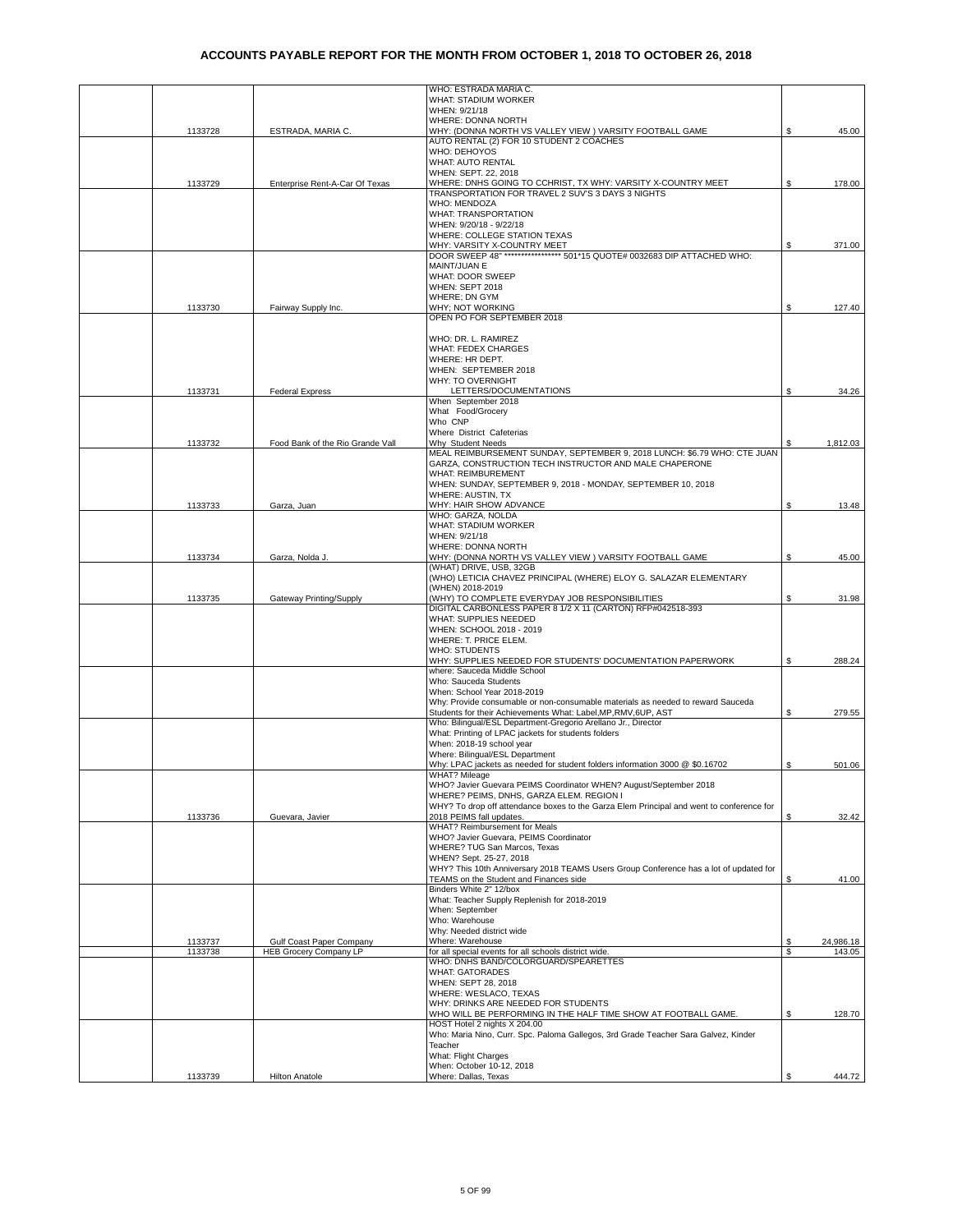|         |                                  | WHO: ESTRADA MARIA C.                                                                                          |    |           |
|---------|----------------------------------|----------------------------------------------------------------------------------------------------------------|----|-----------|
|         |                                  | WHAT: STADIUM WORKER                                                                                           |    |           |
|         |                                  | WHEN: 9/21/18                                                                                                  |    |           |
|         |                                  | WHERE: DONNA NORTH<br>WHY: (DONNA NORTH VS VALLEY VIEW ) VARSITY FOOTBALL GAME                                 | S  |           |
| 1133728 | ESTRADA, MARIA C.                | AUTO RENTAL (2) FOR 10 STUDENT 2 COACHES                                                                       |    | 45.00     |
|         |                                  | WHO: DEHOYOS                                                                                                   |    |           |
|         |                                  | <b>WHAT: AUTO RENTAL</b>                                                                                       |    |           |
|         |                                  | WHEN: SEPT. 22, 2018                                                                                           |    |           |
| 1133729 | Enterprise Rent-A-Car Of Texas   | WHERE: DNHS GOING TO CCHRIST, TX WHY: VARSITY X-COUNTRY MEET                                                   | S. | 178.00    |
|         |                                  | TRANSPORTATION FOR TRAVEL 2 SUV'S 3 DAYS 3 NIGHTS<br><b>WHO: MENDOZA</b>                                       |    |           |
|         |                                  | WHAT: TRANSPORTATION                                                                                           |    |           |
|         |                                  | WHEN: 9/20/18 - 9/22/18                                                                                        |    |           |
|         |                                  | WHERE: COLLEGE STATION TEXAS                                                                                   |    |           |
|         |                                  | WHY: VARSITY X-COUNTRY MEET                                                                                    |    | 371.00    |
|         |                                  | DOOR SWEEP 48" **************** 501*15 QUOTE# 0032683 DIP ATTACHED WHO:                                        |    |           |
|         |                                  | MAINT/JUAN E<br><b>WHAT: DOOR SWEEP</b>                                                                        |    |           |
|         |                                  | WHEN: SEPT 2018                                                                                                |    |           |
|         |                                  | WHERE; DN GYM                                                                                                  |    |           |
| 1133730 | Fairway Supply Inc.              | WHY; NOT WORKING                                                                                               | \$ | 127.40    |
|         |                                  | OPEN PO FOR SEPTEMBER 2018                                                                                     |    |           |
|         |                                  |                                                                                                                |    |           |
|         |                                  | WHO: DR. L. RAMIREZ<br><b>WHAT: FEDEX CHARGES</b>                                                              |    |           |
|         |                                  | WHERE: HR DEPT.                                                                                                |    |           |
|         |                                  | WHEN: SEPTEMBER 2018                                                                                           |    |           |
|         |                                  | WHY: TO OVERNIGHT                                                                                              |    |           |
| 1133731 | <b>Federal Express</b>           | LETTERS/DOCUMENTATIONS                                                                                         | \$ | 34.26     |
|         |                                  | When September 2018                                                                                            |    |           |
|         |                                  | What Food/Grocery<br>Who CNP                                                                                   |    |           |
|         |                                  | Where District Cafeterias                                                                                      |    |           |
| 1133732 | Food Bank of the Rio Grande Vall | Why Student Needs                                                                                              | S  | 1,812.03  |
|         |                                  | MEAL REIMBURSEMENT SUNDAY, SEPTEMBER 9, 2018 LUNCH: \$6.79 WHO: CTE JUAN                                       |    |           |
|         |                                  | GARZA, CONSTRUCTION TECH INSTRUCTOR AND MALE CHAPERONE                                                         |    |           |
|         |                                  | WHAT: REIMBUREMENT                                                                                             |    |           |
|         |                                  | WHEN: SUNDAY, SEPTEMBER 9, 2018 - MONDAY, SEPTEMBER 10, 2018<br>WHERE: AUSTIN, TX                              |    |           |
| 1133733 | Garza, Juan                      | WHY: HAIR SHOW ADVANCE                                                                                         | S  | 13.48     |
|         |                                  | WHO: GARZA, NOLDA                                                                                              |    |           |
|         |                                  | <b>WHAT: STADIUM WORKER</b>                                                                                    |    |           |
|         |                                  | WHEN: 9/21/18                                                                                                  |    |           |
|         |                                  | WHERE: DONNA NORTH                                                                                             |    |           |
| 1133734 | Garza, Nolda J.                  | WHY: (DONNA NORTH VS VALLEY VIEW ) VARSITY FOOTBALL GAME<br>(WHAT) DRIVE, USB, 32GB                            | \$ | 45.00     |
|         |                                  | (WHO) LETICIA CHAVEZ PRINCIPAL (WHERE) ELOY G. SALAZAR ELEMENTARY                                              |    |           |
|         |                                  | (WHEN) 2018-2019                                                                                               |    |           |
| 1133735 | Gateway Printing/Supply          | (WHY) TO COMPLETE EVERYDAY JOB RESPONSIBILITIES                                                                | S  | 31.98     |
|         |                                  | DIGITAL CARBONLESS PAPER 8 1/2 X 11 (CARTON) RFP#042518-393                                                    |    |           |
|         |                                  | WHAT: SUPPLIES NEEDED                                                                                          |    |           |
|         |                                  | WHEN: SCHOOL 2018 - 2019<br>WHERE: T. PRICE ELEM.                                                              |    |           |
|         |                                  | <b>WHO: STUDENTS</b>                                                                                           |    |           |
|         |                                  | WHY: SUPPLIES NEEDED FOR STUDENTS' DOCUMENTATION PAPERWORK                                                     | \$ | 288.24    |
|         |                                  | where: Sauceda Middle School                                                                                   |    |           |
|         |                                  | Who: Sauceda Students                                                                                          |    |           |
|         |                                  | When: School Year 2018-2019<br>Why: Provide consumable or non-consumable materials as needed to reward Sauceda |    |           |
|         |                                  | Students for their Achievements What: Label, MP, RMV, 6UP, AST                                                 | S  | 279.55    |
|         |                                  | Who: Bilingual/ESL Department-Gregorio Arellano Jr., Director                                                  |    |           |
|         |                                  | What: Printing of LPAC jackets for students folders                                                            |    |           |
|         |                                  | When: 2018-19 school year                                                                                      |    |           |
|         |                                  | Where: Bilingual/ESL Department                                                                                |    |           |
|         |                                  | Why: LPAC jackets as needed for student folders information 3000 @ \$0.16702<br><b>WHAT? Mileage</b>           | \$ | 501.06    |
|         |                                  | WHO? Javier Guevara PEIMS Coordinator WHEN? August/September 2018                                              |    |           |
|         |                                  | WHERE? PEIMS, DNHS, GARZA ELEM. REGION I                                                                       |    |           |
|         |                                  | WHY? To drop off attendance boxes to the Garza Elem Principal and went to conference for                       |    |           |
| 1133736 | Guevara, Javier                  | 2018 PEIMS fall updates.                                                                                       | \$ | 32.42     |
|         |                                  | WHAT? Reimbursement for Meals                                                                                  |    |           |
|         |                                  | WHO? Javier Guevara, PEIMS Coordinator<br>WHERE? TUG San Marcos, Texas                                         |    |           |
|         |                                  | WHEN? Sept. 25-27, 2018                                                                                        |    |           |
|         |                                  | WHY? This 10th Anniversary 2018 TEAMS Users Group Conference has a lot of updated for                          |    |           |
|         |                                  | TEAMS on the Student and Finances side                                                                         | S  | 41.00     |
|         |                                  | Binders White 2" 12/box                                                                                        |    |           |
|         |                                  | What: Teacher Supply Replenish for 2018-2019                                                                   |    |           |
|         |                                  | When: September<br>Who: Warehouse                                                                              |    |           |
|         |                                  | Why: Needed district wide                                                                                      |    |           |
| 1133737 | Gulf Coast Paper Company         | Where: Warehouse                                                                                               | S  | 24,986.18 |
| 1133738 | HEB Grocery Company LP           | for all special events for all schools district wide.                                                          | \$ | 143.05    |
|         |                                  | WHO: DNHS BAND/COLORGUARD/SPEARETTES                                                                           |    |           |
|         |                                  | <b>WHAT: GATORADES</b>                                                                                         |    |           |
|         |                                  | WHEN: SEPT 28, 2018<br>WHERE: WESLACO, TEXAS                                                                   |    |           |
|         |                                  | WHY: DRINKS ARE NEEDED FOR STUDENTS                                                                            |    |           |
|         |                                  | WHO WILL BE PERFORMING IN THE HALF TIME SHOW AT FOOTBALL GAME.                                                 | \$ | 128.70    |
|         |                                  | HOST Hotel 2 nights X 204.00                                                                                   |    |           |
|         |                                  | Who: Maria Nino, Curr. Spc. Paloma Gallegos, 3rd Grade Teacher Sara Galvez, Kinder                             |    |           |
|         |                                  | Teacher<br>What: Flight Charges                                                                                |    |           |
|         |                                  | When: October 10-12, 2018                                                                                      |    |           |
| 1133739 | <b>Hilton Anatole</b>            | Where: Dallas, Texas                                                                                           | \$ | 444.72    |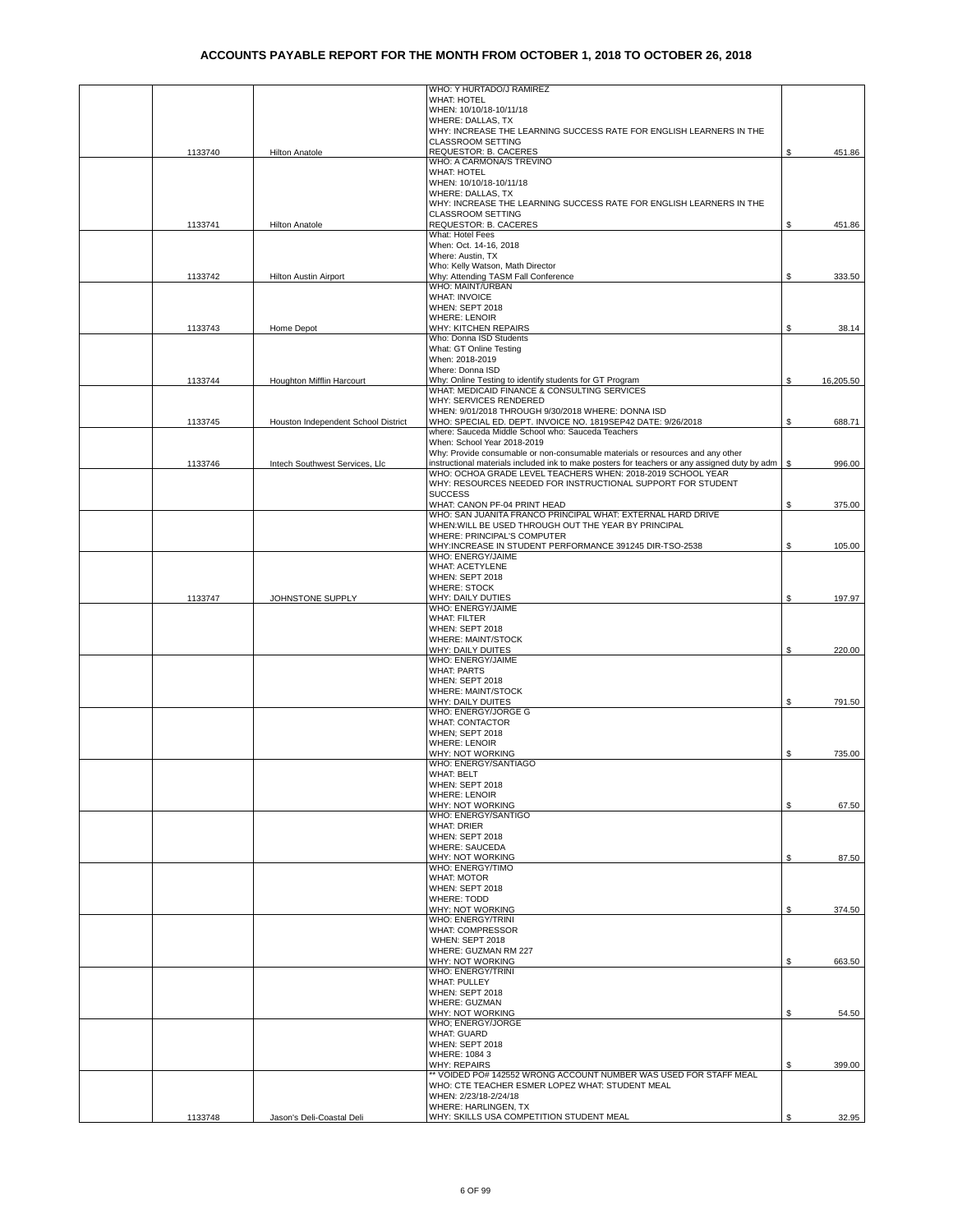|         |                                     | WHO: Y HURTADO/J RAMIREZ                                                                      |    |           |
|---------|-------------------------------------|-----------------------------------------------------------------------------------------------|----|-----------|
|         |                                     | <b>WHAT: HOTEL</b>                                                                            |    |           |
|         |                                     | WHEN: 10/10/18-10/11/18                                                                       |    |           |
|         |                                     | WHERE: DALLAS, TX                                                                             |    |           |
|         |                                     | WHY: INCREASE THE LEARNING SUCCESS RATE FOR ENGLISH LEARNERS IN THE                           |    |           |
|         |                                     | <b>CLASSROOM SETTING</b>                                                                      |    |           |
| 1133740 | <b>Hilton Anatole</b>               | REQUESTOR: B. CACERES<br>WHO: A CARMONA/S TREVINO                                             | \$ | 451.86    |
|         |                                     | <b>WHAT: HOTEL</b>                                                                            |    |           |
|         |                                     | WHEN: 10/10/18-10/11/18                                                                       |    |           |
|         |                                     | WHERE: DALLAS, TX                                                                             |    |           |
|         |                                     | WHY: INCREASE THE LEARNING SUCCESS RATE FOR ENGLISH LEARNERS IN THE                           |    |           |
|         |                                     | <b>CLASSROOM SETTING</b>                                                                      |    |           |
| 1133741 | <b>Hilton Anatole</b>               | REQUESTOR: B. CACERES                                                                         |    | 451.86    |
|         |                                     | What: Hotel Fees                                                                              |    |           |
|         |                                     | When: Oct. 14-16, 2018                                                                        |    |           |
|         |                                     | Where: Austin, TX                                                                             |    |           |
|         |                                     | Who: Kelly Watson, Math Director                                                              |    |           |
| 1133742 | <b>Hilton Austin Airport</b>        | Why: Attending TASM Fall Conference<br>WHO: MAINT/URBAN                                       | S  | 333.50    |
|         |                                     | <b>WHAT: INVOICE</b>                                                                          |    |           |
|         |                                     | WHEN: SEPT 2018                                                                               |    |           |
|         |                                     | <b>WHERE: LENOIR</b>                                                                          |    |           |
| 1133743 | Home Depot                          | <b>WHY: KITCHEN REPAIRS</b>                                                                   | \$ | 38.14     |
|         |                                     | Who: Donna ISD Students                                                                       |    |           |
|         |                                     | What: GT Online Testing                                                                       |    |           |
|         |                                     | When: 2018-2019                                                                               |    |           |
|         |                                     | Where: Donna ISD                                                                              |    |           |
| 1133744 | Houghton Mifflin Harcourt           | Why: Online Testing to identify students for GT Program                                       | \$ | 16,205.50 |
|         |                                     | WHAT: MEDICAID FINANCE & CONSULTING SERVICES                                                  |    |           |
|         |                                     | WHY: SERVICES RENDERED<br>WHEN: 9/01/2018 THROUGH 9/30/2018 WHERE: DONNA ISD                  |    |           |
| 1133745 | Houston Independent School District | WHO: SPECIAL ED, DEPT, INVOICE NO, 1819SEP42 DATE: 9/26/2018                                  | \$ | 688.71    |
|         |                                     | where: Sauceda Middle School who: Sauceda Teachers                                            |    |           |
|         |                                     | When: School Year 2018-2019                                                                   |    |           |
|         |                                     | Why: Provide consumable or non-consumable materials or resources and any other                |    |           |
| 1133746 | Intech Southwest Services, Llc      | instructional materials included ink to make posters for teachers or any assigned duty by adm | S  | 996.00    |
|         |                                     | WHO: OCHOA GRADE LEVEL TEACHERS WHEN: 2018-2019 SCHOOL YEAR                                   |    |           |
|         |                                     | WHY: RESOURCES NEEDED FOR INSTRUCTIONAL SUPPORT FOR STUDENT                                   |    |           |
|         |                                     | <b>SUCCESS</b>                                                                                |    |           |
|         |                                     | WHAT: CANON PF-04 PRINT HEAD                                                                  | \$ | 375.00    |
|         |                                     | WHO: SAN JUANITA FRANCO PRINCIPAL WHAT: EXTERNAL HARD DRIVE                                   |    |           |
|         |                                     | WHEN: WILL BE USED THROUGH OUT THE YEAR BY PRINCIPAL                                          |    |           |
|         |                                     | WHERE: PRINCIPAL'S COMPUTER<br>WHY:INCREASE IN STUDENT PERFORMANCE 391245 DIR-TSO-2538        | \$ |           |
|         |                                     | WHO: ENERGY/JAIME                                                                             |    | 105.00    |
|         |                                     | <b>WHAT: ACETYLENE</b>                                                                        |    |           |
|         |                                     | WHEN: SEPT 2018                                                                               |    |           |
|         |                                     | <b>WHERE: STOCK</b>                                                                           |    |           |
| 1133747 | JOHNSTONE SUPPLY                    | WHY: DAILY DUTIES                                                                             | S  | 197.97    |
|         |                                     | WHO: ENERGY/JAIME                                                                             |    |           |
|         |                                     | <b>WHAT: FILTER</b>                                                                           |    |           |
|         |                                     | WHEN: SEPT 2018                                                                               |    |           |
|         |                                     | WHERE: MAINT/STOCK                                                                            |    |           |
|         |                                     | WHY: DAILY DUITES                                                                             | S  | 220.00    |
|         |                                     | WHO: ENERGY/JAIME<br><b>WHAT: PARTS</b>                                                       |    |           |
|         |                                     | WHEN: SEPT 2018                                                                               |    |           |
|         |                                     | WHERE: MAINT/STOCK                                                                            |    |           |
|         |                                     | WHY: DAILY DUITES                                                                             | S  | 791.50    |
|         |                                     | WHO: ENERGY/JORGE G                                                                           |    |           |
|         |                                     | <b>WHAT: CONTACTOR</b>                                                                        |    |           |
|         |                                     | <b>WHEN: SEPT 2018</b>                                                                        |    |           |
|         |                                     | <b>WHERE: LENOIR</b>                                                                          |    |           |
|         |                                     | WHY: NOT WORKING                                                                              | \$ | 735.00    |
|         |                                     | WHO: ENERGY/SANTIAGO                                                                          |    |           |
|         |                                     | WHAT: BELT                                                                                    |    |           |
|         |                                     | WHEN: SEPT 2018<br><b>WHERE: LENOIR</b>                                                       |    |           |
|         |                                     | WHY: NOT WORKING                                                                              | \$ | 67.50     |
|         |                                     | WHO: ENERGY/SANTIGO                                                                           |    |           |
|         |                                     | <b>WHAT: DRIER</b>                                                                            |    |           |
|         |                                     | WHEN: SEPT 2018                                                                               |    |           |
|         |                                     | WHERE: SAUCEDA                                                                                |    |           |
|         |                                     | WHY: NOT WORKING                                                                              | \$ | 87.50     |
|         |                                     | WHO: ENERGY/TIMO                                                                              |    |           |
|         |                                     | <b>WHAT: MOTOR</b>                                                                            |    |           |
|         |                                     | WHEN: SEPT 2018                                                                               |    |           |
|         |                                     | <b>WHERE: TODD</b><br>WHY: NOT WORKING                                                        |    |           |
|         |                                     | WHO: ENERGY/TRINI                                                                             | S  | 374.50    |
|         |                                     | <b>WHAT: COMPRESSOR</b>                                                                       |    |           |
|         |                                     | WHEN: SEPT 2018                                                                               |    |           |
|         |                                     | WHERE: GUZMAN RM 227                                                                          |    |           |
|         |                                     | WHY: NOT WORKING                                                                              | S  | 663.50    |
|         |                                     | WHO: ENERGY/TRINI                                                                             |    |           |
|         |                                     | <b>WHAT: PULLEY</b>                                                                           |    |           |
|         |                                     | WHEN: SEPT 2018                                                                               |    |           |
|         |                                     | WHERE: GUZMAN                                                                                 |    |           |
|         |                                     | WHY: NOT WORKING                                                                              | ፍ  | 54.50     |
|         |                                     | WHO; ENERGY/JORGE                                                                             |    |           |
|         |                                     | <b>WHAT: GUARD</b><br>WHEN: SEPT 2018                                                         |    |           |
|         |                                     | WHERE: 1084 3                                                                                 |    |           |
|         |                                     | <b>WHY: REPAIRS</b>                                                                           | S  | 399.00    |
|         |                                     | ** VOIDED PO# 142552 WRONG ACCOUNT NUMBER WAS USED FOR STAFF MEAL                             |    |           |
|         |                                     | WHO: CTE TEACHER ESMER LOPEZ WHAT: STUDENT MEAL                                               |    |           |
|         |                                     | WHEN: 2/23/18-2/24/18                                                                         |    |           |
|         |                                     | WHERE: HARLINGEN, TX                                                                          |    |           |
| 1133748 | Jason's Deli-Coastal Deli           | WHY: SKILLS USA COMPETITION STUDENT MEAL                                                      | S  | 32.95     |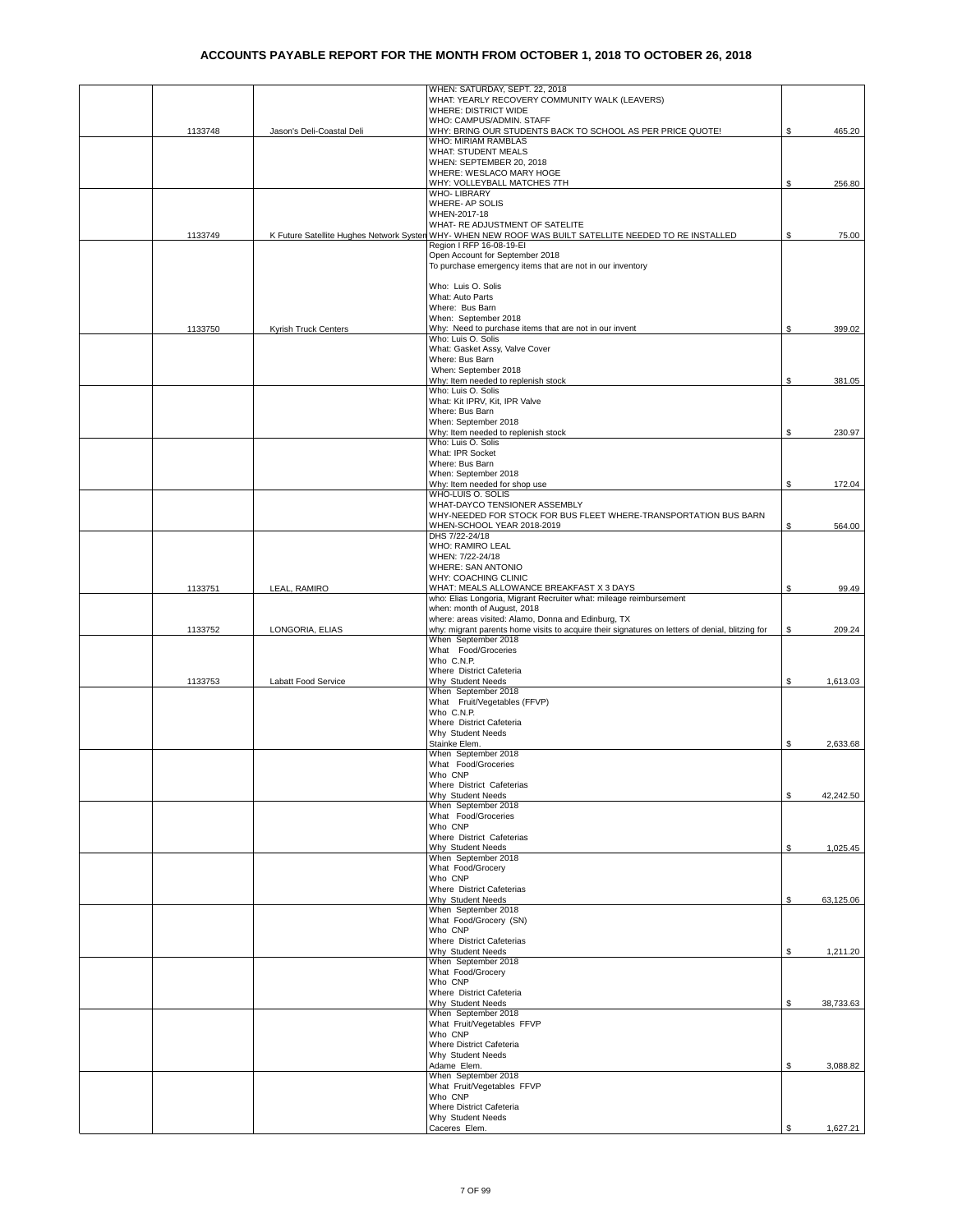|         |                                          | WHEN: SATURDAY, SEPT. 22, 2018<br>WHAT: YEARLY RECOVERY COMMUNITY WALK (LEAVERS)                                                                       |    |           |
|---------|------------------------------------------|--------------------------------------------------------------------------------------------------------------------------------------------------------|----|-----------|
|         |                                          | WHERE: DISTRICT WIDE<br>WHO: CAMPUS/ADMIN. STAFF                                                                                                       |    |           |
| 1133748 | Jason's Deli-Coastal Deli                | WHY: BRING OUR STUDENTS BACK TO SCHOOL AS PER PRICE QUOTE!                                                                                             | \$ | 465.20    |
|         |                                          | <b>WHO: MIRIAM RAMBLAS</b><br><b>WHAT: STUDENT MEALS</b>                                                                                               |    |           |
|         |                                          | WHEN: SEPTEMBER 20, 2018<br>WHERE: WESLACO MARY HOGE                                                                                                   |    |           |
|         |                                          | WHY: VOLLEYBALL MATCHES 7TH                                                                                                                            | \$ | 256.80    |
|         |                                          | WHO-LIBRARY<br>WHERE- AP SOLIS                                                                                                                         |    |           |
|         |                                          | WHEN-2017-18<br>WHAT- RE ADJUSTMENT OF SATELITE                                                                                                        |    |           |
| 1133749 | K Future Satellite Hughes Network Systen | WHY- WHEN NEW ROOF WAS BUILT SATELLITE NEEDED TO RE INSTALLED                                                                                          | S. | 75.00     |
|         |                                          | Region I RFP 16-08-19-EI<br>Open Account for September 2018                                                                                            |    |           |
|         |                                          | To purchase emergency items that are not in our inventory                                                                                              |    |           |
|         |                                          | Who: Luis O. Solis                                                                                                                                     |    |           |
|         |                                          | What: Auto Parts<br>Where: Bus Barn                                                                                                                    |    |           |
|         |                                          | When: September 2018                                                                                                                                   |    |           |
| 1133750 | Kyrish Truck Centers                     | Why: Need to purchase items that are not in our invent<br>Who: Luis O. Solis                                                                           | S  | 399.02    |
|         |                                          | What: Gasket Assy, Valve Cover<br>Where: Bus Barn                                                                                                      |    |           |
|         |                                          | When: September 2018                                                                                                                                   |    |           |
|         |                                          | Why: Item needed to replenish stock<br>Who: Luis O. Solis                                                                                              | S  | 381.05    |
|         |                                          | What: Kit IPRV, Kit, IPR Valve<br>Where: Bus Barn                                                                                                      |    |           |
|         |                                          | When: September 2018                                                                                                                                   |    |           |
|         |                                          | Why: Item needed to replenish stock<br>Who: Luis O. Solis                                                                                              | \$ | 230.97    |
|         |                                          | What: IPR Socket<br>Where: Bus Barn                                                                                                                    |    |           |
|         |                                          | When: September 2018                                                                                                                                   |    |           |
|         |                                          | Why: Item needed for shop use<br>WHO-LUIS O. SOLIS                                                                                                     | \$ | 172.04    |
|         |                                          | WHAT-DAYCO TENSIONER ASSEMBLY                                                                                                                          |    |           |
|         |                                          | WHY-NEEDED FOR STOCK FOR BUS FLEET WHERE-TRANSPORTATION BUS BARN<br>WHEN-SCHOOL YEAR 2018-2019                                                         | \$ | 564.00    |
|         |                                          | DHS 7/22-24/18<br>WHO: RAMIRO LEAL                                                                                                                     |    |           |
|         |                                          | WHEN: 7/22-24/18                                                                                                                                       |    |           |
|         |                                          | WHERE: SAN ANTONIO<br>WHY: COACHING CLINIC                                                                                                             |    |           |
| 1133751 | LEAL, RAMIRO                             | WHAT: MEALS ALLOWANCE BREAKFAST X 3 DAYS<br>who: Elias Longoria, Migrant Recruiter what: mileage reimbursement                                         | \$ | 99.49     |
|         |                                          | when: month of August, 2018                                                                                                                            |    |           |
| 1133752 | LONGORIA, ELIAS                          | where: areas visited: Alamo, Donna and Edinburg, TX<br>why: migrant parents home visits to acquire their signatures on letters of denial, blitzing for | \$ | 209.24    |
|         |                                          | When September 2018<br>What Food/Groceries                                                                                                             |    |           |
|         |                                          | Who C.N.P.                                                                                                                                             |    |           |
| 1133753 | Labatt Food Service                      | Where District Cafeteria<br>Why Student Needs                                                                                                          | \$ | 1,613.03  |
|         |                                          | When September 2018<br>What Fruit/Vegetables (FFVP)                                                                                                    |    |           |
|         |                                          | Who C.N.P.                                                                                                                                             |    |           |
|         |                                          | Where District Cafeteria<br>Why Student Needs                                                                                                          |    |           |
|         |                                          | Stainke Elem.                                                                                                                                          | \$ | 2,633.68  |
|         |                                          | When September 2018<br>What Food/Groceries                                                                                                             |    |           |
|         |                                          | Who CNP<br>Where District Cafeterias                                                                                                                   |    |           |
|         |                                          | Why Student Needs                                                                                                                                      | \$ | 42,242.50 |
|         |                                          | When September 2018<br>What Food/Groceries                                                                                                             |    |           |
|         |                                          | Who CNP<br>Where District Cafeterias                                                                                                                   |    |           |
|         |                                          | Why Student Needs                                                                                                                                      | \$ | 1,025.45  |
|         |                                          | When September 2018<br>What Food/Grocery                                                                                                               |    |           |
|         |                                          | Who CNP<br>Where District Cafeterias                                                                                                                   |    |           |
|         |                                          | Why Student Needs                                                                                                                                      | \$ | 63,125.06 |
|         |                                          | When September 2018<br>What Food/Grocery (SN)                                                                                                          |    |           |
|         |                                          | Who CNP<br>Where District Cafeterias                                                                                                                   |    |           |
|         |                                          | Why Student Needs                                                                                                                                      | \$ | 1,211.20  |
|         |                                          | When September 2018<br>What Food/Grocery                                                                                                               |    |           |
|         |                                          | Who CNP<br>Where District Cafeteria                                                                                                                    |    |           |
|         |                                          | Why Student Needs                                                                                                                                      | \$ | 38,733.63 |
|         |                                          | When September 2018<br>What Fruit/Vegetables FFVP                                                                                                      |    |           |
|         |                                          | Who CNP                                                                                                                                                |    |           |
|         |                                          | Where District Cafeteria<br>Why Student Needs                                                                                                          |    |           |
|         |                                          | Adame Elem.<br>When September 2018                                                                                                                     | \$ | 3,088.82  |
|         |                                          | What Fruit/Vegetables FFVP                                                                                                                             |    |           |
|         |                                          | Who CNP<br>Where District Cafeteria                                                                                                                    |    |           |
|         |                                          | Why Student Needs<br>Caceres Elem.                                                                                                                     | S  | 1,627.21  |
|         |                                          |                                                                                                                                                        |    |           |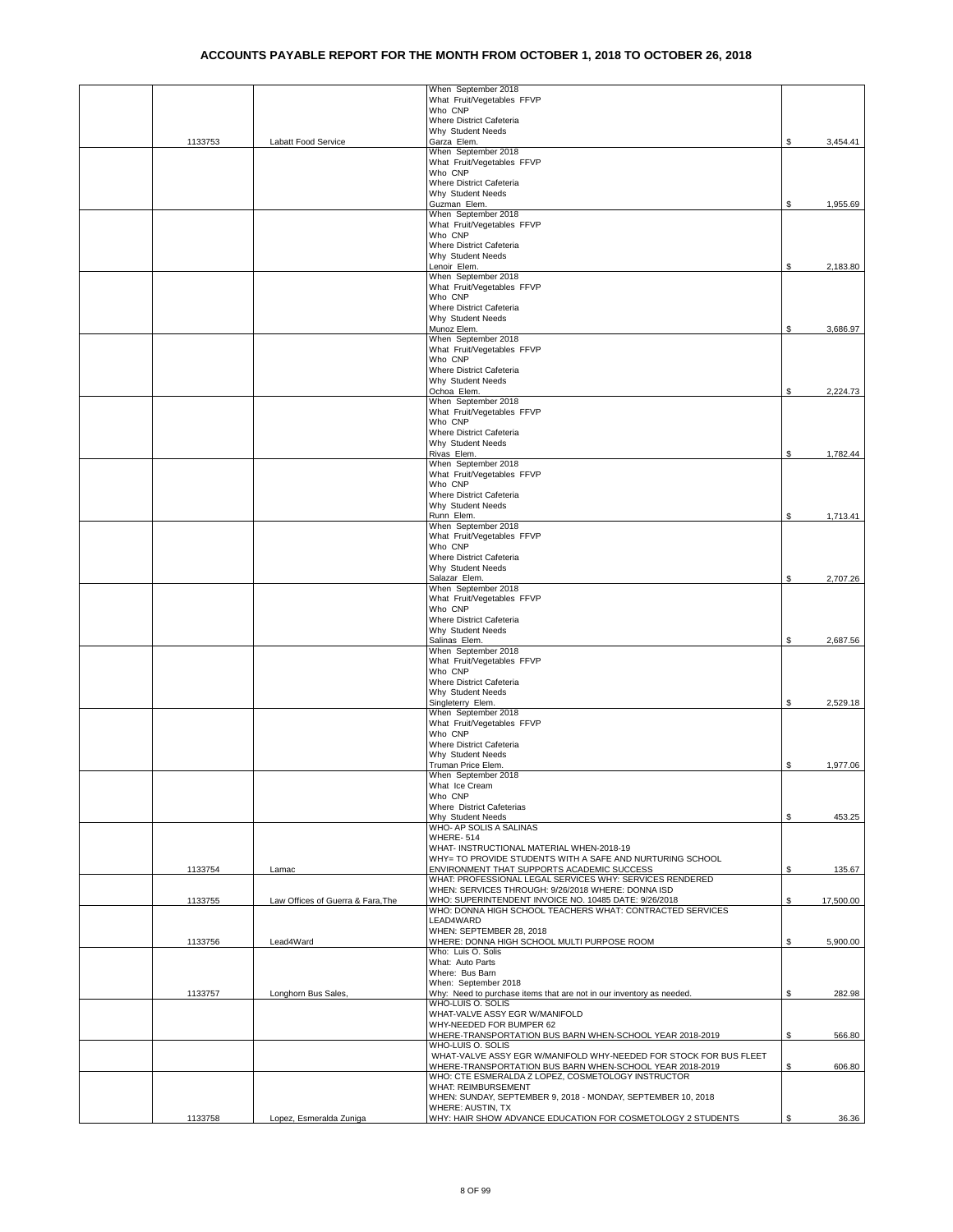|         |                                   | When September 2018                                                                                    |    |           |
|---------|-----------------------------------|--------------------------------------------------------------------------------------------------------|----|-----------|
|         |                                   | What Fruit/Vegetables FFVP<br>Who CNP                                                                  |    |           |
|         |                                   | Where District Cafeteria<br>Why Student Needs                                                          |    |           |
| 1133753 | Labatt Food Service               | Garza Elem.                                                                                            | \$ | 3,454.41  |
|         |                                   | When September 2018                                                                                    |    |           |
|         |                                   | What Fruit/Vegetables FFVP<br>Who CNP                                                                  |    |           |
|         |                                   | Where District Cafeteria                                                                               |    |           |
|         |                                   | Why Student Needs<br>Guzman Elem.                                                                      | \$ | 1,955.69  |
|         |                                   | When September 2018                                                                                    |    |           |
|         |                                   | What Fruit/Vegetables FFVP<br>Who CNP                                                                  |    |           |
|         |                                   | Where District Cafeteria                                                                               |    |           |
|         |                                   | Why Student Needs                                                                                      |    |           |
|         |                                   | Lenoir Elem.<br>When September 2018                                                                    | \$ | 2,183.80  |
|         |                                   | What Fruit/Vegetables FFVP                                                                             |    |           |
|         |                                   | Who CNP<br>Where District Cafeteria                                                                    |    |           |
|         |                                   | Why Student Needs                                                                                      |    |           |
|         |                                   | Munoz Elem.<br>When September 2018                                                                     | \$ | 3,686.97  |
|         |                                   | What Fruit/Vegetables FFVP                                                                             |    |           |
|         |                                   | Who CNP<br>Where District Cafeteria                                                                    |    |           |
|         |                                   | Why Student Needs                                                                                      |    |           |
|         |                                   | Ochoa Elem.                                                                                            | \$ | 2,224.73  |
|         |                                   | When September 2018<br>What Fruit/Vegetables FFVP                                                      |    |           |
|         |                                   | Who CNP                                                                                                |    |           |
|         |                                   | Where District Cafeteria<br>Why Student Needs                                                          |    |           |
|         |                                   | Rivas Elem.                                                                                            | \$ | 1,782.44  |
|         |                                   | When September 2018<br>What Fruit/Vegetables FFVP                                                      |    |           |
|         |                                   | Who CNP                                                                                                |    |           |
|         |                                   | Where District Cafeteria                                                                               |    |           |
|         |                                   | Why Student Needs<br>Runn Elem.                                                                        | \$ | 1,713.41  |
|         |                                   | When September 2018                                                                                    |    |           |
|         |                                   | What Fruit/Vegetables FFVP<br>Who CNP                                                                  |    |           |
|         |                                   | Where District Cafeteria                                                                               |    |           |
|         |                                   | Why Student Needs<br>Salazar Elem.                                                                     | \$ | 2,707.26  |
|         |                                   | When September 2018                                                                                    |    |           |
|         |                                   | What Fruit/Vegetables FFVP<br>Who CNP                                                                  |    |           |
|         |                                   | Where District Cafeteria                                                                               |    |           |
|         |                                   | Why Student Needs                                                                                      |    |           |
|         |                                   | Salinas Elem.<br>When September 2018                                                                   | S  | 2,687.56  |
|         |                                   | What Fruit/Vegetables FFVP                                                                             |    |           |
|         |                                   | Who CNP<br>Where District Cafeteria                                                                    |    |           |
|         |                                   | Why Student Needs                                                                                      |    |           |
|         |                                   | Singleterry Elem.<br>When September 2018                                                               | \$ | 2,529.18  |
|         |                                   | What Fruit/Vegetables FFVP                                                                             |    |           |
|         |                                   | Who CNP                                                                                                |    |           |
|         |                                   | Where District Cafeteria<br>Why Student Needs                                                          |    |           |
|         |                                   | Truman Price Elem.                                                                                     | \$ | 1,977.06  |
|         |                                   | When September 2018<br>What Ice Cream                                                                  |    |           |
|         |                                   | Who CNP                                                                                                |    |           |
|         |                                   | Where District Cafeterias<br>Why Student Needs                                                         |    |           |
|         |                                   | WHO- AP SOLIS A SALINAS                                                                                | \$ | 453.25    |
|         |                                   | WHERE-514<br>WHAT- INSTRUCTIONAL MATERIAL WHEN-2018-19                                                 |    |           |
|         |                                   | WHY= TO PROVIDE STUDENTS WITH A SAFE AND NURTURING SCHOOL                                              |    |           |
| 1133754 | Lamac                             | ENVIRONMENT THAT SUPPORTS ACADEMIC SUCCESS<br>WHAT: PROFESSIONAL LEGAL SERVICES WHY: SERVICES RENDERED | \$ | 135.67    |
|         |                                   | WHEN: SERVICES THROUGH: 9/26/2018 WHERE: DONNA ISD                                                     |    |           |
| 1133755 | Law Offices of Guerra & Fara, The | WHO: SUPERINTENDENT INVOICE NO. 10485 DATE: 9/26/2018                                                  | \$ | 17,500.00 |
|         |                                   | WHO: DONNA HIGH SCHOOL TEACHERS WHAT: CONTRACTED SERVICES<br>LEAD4WARD                                 |    |           |
|         |                                   | WHEN: SEPTEMBER 28, 2018                                                                               |    |           |
| 1133756 | Lead4Ward                         | WHERE: DONNA HIGH SCHOOL MULTI PURPOSE ROOM<br>Who: Luis O. Solis                                      | \$ | 5,900.00  |
|         |                                   | What: Auto Parts                                                                                       |    |           |
|         |                                   | Where: Bus Barn<br>When: September 2018                                                                |    |           |
| 1133757 | Longhorn Bus Sales,               | Why: Need to purchase items that are not in our inventory as needed.                                   | \$ | 282.98    |
|         |                                   | WHO-LUIS O. SOLIS<br>WHAT-VALVE ASSY EGR W/MANIFOLD                                                    |    |           |
|         |                                   | WHY-NEEDED FOR BUMPER 62                                                                               |    |           |
|         |                                   | WHERE-TRANSPORTATION BUS BARN WHEN-SCHOOL YEAR 2018-2019                                               | \$ | 566.80    |
|         |                                   | WHO-LUIS O. SOLIS<br>WHAT-VALVE ASSY EGR W/MANIFOLD WHY-NEEDED FOR STOCK FOR BUS FLEET                 |    |           |
|         |                                   | WHERE-TRANSPORTATION BUS BARN WHEN-SCHOOL YEAR 2018-2019                                               | S. | 606.80    |
|         |                                   | WHO: CTE ESMERALDA Z LOPEZ, COSMETOLOGY INSTRUCTOR<br>WHAT: REIMBURSEMENT                              |    |           |
|         |                                   | WHEN: SUNDAY, SEPTEMBER 9, 2018 - MONDAY, SEPTEMBER 10, 2018                                           |    |           |
| 1133758 | Lopez, Esmeralda Zuniga           | WHERE: AUSTIN, TX<br>WHY: HAIR SHOW ADVANCE EDUCATION FOR COSMETOLOGY 2 STUDENTS                       |    | 36.36     |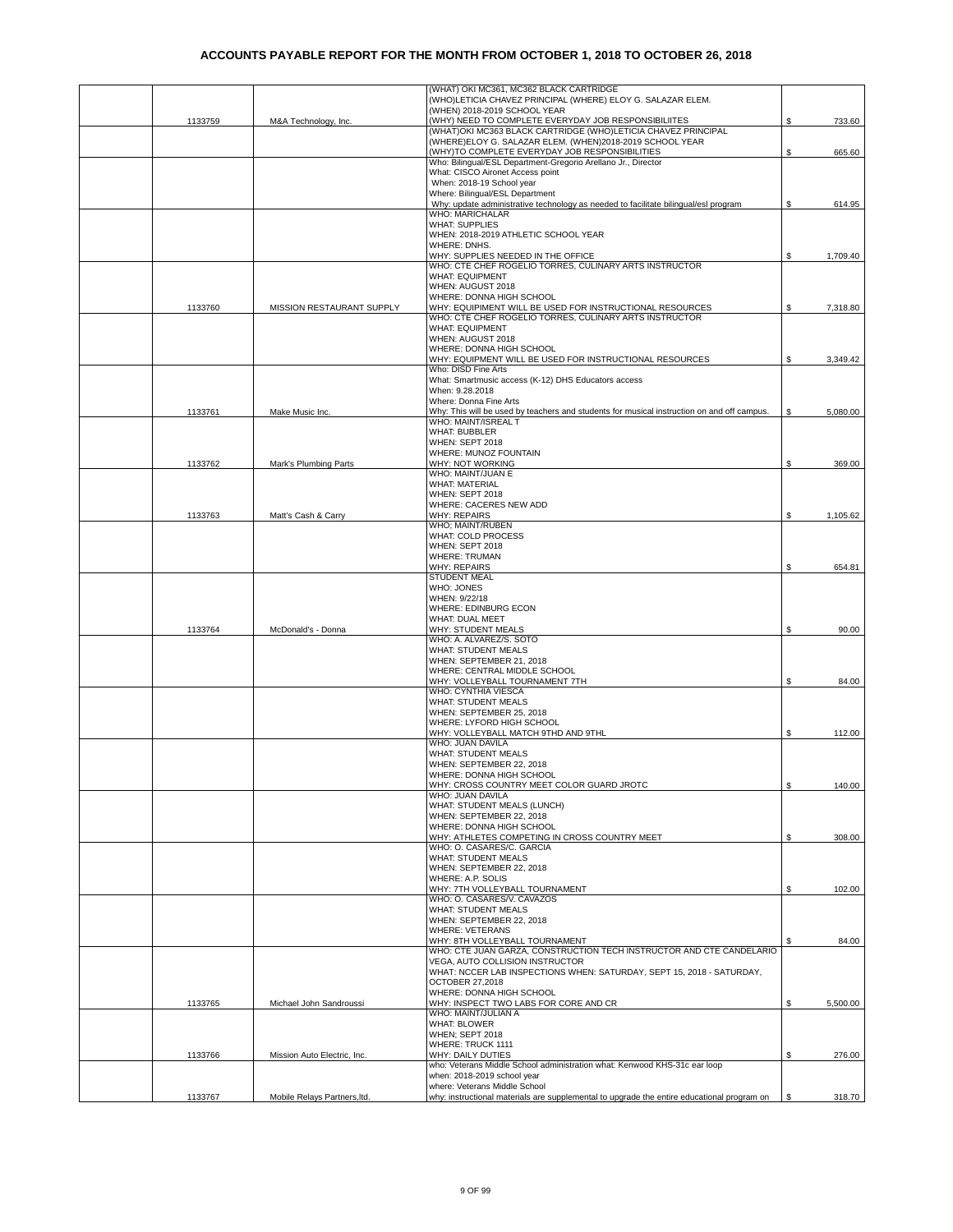|         |                              | (WHAT) OKI MC361, MC362 BLACK CARTRIDGE                                                                                |      |          |
|---------|------------------------------|------------------------------------------------------------------------------------------------------------------------|------|----------|
|         |                              | (WHO)LETICIA CHAVEZ PRINCIPAL (WHERE) ELOY G. SALAZAR ELEM.                                                            |      |          |
| 1133759 | M&A Technology, Inc.         | (WHEN) 2018-2019 SCHOOL YEAR<br>(WHY) NEED TO COMPLETE EVERYDAY JOB RESPONSIBILIITES                                   | \$   | 733.60   |
|         |                              | (WHAT)OKI MC363 BLACK CARTRIDGE (WHO)LETICIA CHAVEZ PRINCIPAL                                                          |      |          |
|         |                              | (WHERE)ELOY G. SALAZAR ELEM. (WHEN)2018-2019 SCHOOL YEAR                                                               |      |          |
|         |                              | (WHY)TO COMPLETE EVERYDAY JOB RESPONSIBILITIES<br>Who: Bilingual/ESL Department-Gregorio Arellano Jr., Director        | \$   | 665.60   |
|         |                              | What: CISCO Aironet Access point                                                                                       |      |          |
|         |                              | When: 2018-19 School year                                                                                              |      |          |
|         |                              | Where: Bilingual/ESL Department<br>Why: update administrative technology as needed to facilitate bilingual/esl program | \$   | 614.95   |
|         |                              | <b>WHO: MARICHALAR</b>                                                                                                 |      |          |
|         |                              | <b>WHAT: SUPPLIES</b>                                                                                                  |      |          |
|         |                              | WHEN: 2018-2019 ATHLETIC SCHOOL YEAR                                                                                   |      |          |
|         |                              | WHERE: DNHS.<br>WHY: SUPPLIES NEEDED IN THE OFFICE                                                                     | \$   | 1,709.40 |
|         |                              | WHO: CTE CHEF ROGELIO TORRES, CULINARY ARTS INSTRUCTOR                                                                 |      |          |
|         |                              | <b>WHAT: EQUIPMENT</b>                                                                                                 |      |          |
|         |                              | WHEN: AUGUST 2018<br>WHERE: DONNA HIGH SCHOOL                                                                          |      |          |
| 1133760 | MISSION RESTAURANT SUPPLY    | WHY: EQUIPIMENT WILL BE USED FOR INSTRUCTIONAL RESOURCES                                                               | \$   | 7,318.80 |
|         |                              | WHO: CTE CHEF ROGELIO TORRES, CULINARY ARTS INSTRUCTOR                                                                 |      |          |
|         |                              | <b>WHAT: EQUIPMENT</b><br>WHEN: AUGUST 2018                                                                            |      |          |
|         |                              | WHERE: DONNA HIGH SCHOOL                                                                                               |      |          |
|         |                              | WHY: EQUIPMENT WILL BE USED FOR INSTRUCTIONAL RESOURCES                                                                | \$   | 3,349.42 |
|         |                              | Who: DISD Fine Arts<br>What: Smartmusic access (K-12) DHS Educators access                                             |      |          |
|         |                              | When: 9.28.2018                                                                                                        |      |          |
|         |                              | Where: Donna Fine Arts                                                                                                 |      |          |
| 1133761 | Make Music Inc.              | Why: This will be used by teachers and students for musical instruction on and off campus.                             | \$   | 5,080.00 |
|         |                              | WHO: MAINT/ISREAL T<br><b>WHAT: BUBBLER</b>                                                                            |      |          |
|         |                              | WHEN: SEPT 2018                                                                                                        |      |          |
|         |                              | WHERE: MUNOZ FOUNTAIN                                                                                                  |      |          |
| 1133762 | Mark's Plumbing Parts        | WHY: NOT WORKING<br>WHO: MAINT/JUAN E                                                                                  | \$   | 369.00   |
|         |                              | <b>WHAT: MATERIAL</b>                                                                                                  |      |          |
|         |                              | WHEN: SEPT 2018                                                                                                        |      |          |
| 1133763 | Matt's Cash & Carry          | WHERE: CACERES NEW ADD<br><b>WHY: REPAIRS</b>                                                                          | \$   | 1,105.62 |
|         |                              | WHO; MAINT/RUBEN                                                                                                       |      |          |
|         |                              | WHAT: COLD PROCESS                                                                                                     |      |          |
|         |                              | WHEN: SEPT 2018<br><b>WHERE: TRUMAN</b>                                                                                |      |          |
|         |                              | <b>WHY: REPAIRS</b>                                                                                                    | \$   | 654.81   |
|         |                              | <b>STUDENT MEAL</b>                                                                                                    |      |          |
|         |                              | WHO: JONES                                                                                                             |      |          |
|         |                              | WHEN: 9/22/18<br>WHERE: EDINBURG ECON                                                                                  |      |          |
|         |                              | WHAT: DUAL MEET                                                                                                        |      |          |
| 1133764 | McDonald's - Donna           | WHY: STUDENT MEALS                                                                                                     | \$   | 90.00    |
|         |                              | WHO: A. ALVAREZ/S. SOTO<br>WHAT: STUDENT MEALS                                                                         |      |          |
|         |                              | WHEN: SEPTEMBER 21, 2018                                                                                               |      |          |
|         |                              | WHERE: CENTRAL MIDDLE SCHOOL                                                                                           |      |          |
|         |                              | WHY: VOLLEYBALL TOURNAMENT 7TH<br>WHO: CYNTHIA VIESCA                                                                  | S    | 84.00    |
|         |                              | <b>WHAT: STUDENT MEALS</b>                                                                                             |      |          |
|         |                              | WHEN: SEPTEMBER 25, 2018                                                                                               |      |          |
|         |                              | WHERE: LYFORD HIGH SCHOOL                                                                                              | \$   |          |
|         |                              | WHY: VOLLEYBALL MATCH 9THD AND 9THL<br>WHO: JUAN DAVILA                                                                |      | 112.00   |
|         |                              | <b>WHAT: STUDENT MEALS</b>                                                                                             |      |          |
|         |                              | WHEN: SEPTEMBER 22, 2018                                                                                               |      |          |
|         |                              | WHERE: DONNA HIGH SCHOOL<br>WHY: CROSS COUNTRY MEET COLOR GUARD JROTC                                                  | \$   | 140.00   |
|         |                              | WHO: JUAN DAVILA                                                                                                       |      |          |
|         |                              | WHAT: STUDENT MEALS (LUNCH)                                                                                            |      |          |
|         |                              | WHEN: SEPTEMBER 22, 2018<br>WHERE: DONNA HIGH SCHOOL                                                                   |      |          |
|         |                              | WHY: ATHLETES COMPETING IN CROSS COUNTRY MEET                                                                          | S.   | 308.00   |
|         |                              | WHO: O. CASARES/C. GARCIA                                                                                              |      |          |
|         |                              | WHAT: STUDENT MEALS                                                                                                    |      |          |
|         |                              | WHEN: SEPTEMBER 22, 2018<br>WHERE: A.P. SOLIS                                                                          |      |          |
|         |                              | WHY: 7TH VOLLEYBALL TOURNAMENT                                                                                         | \$   | 102.00   |
|         |                              | WHO: O. CASARES/V. CAVAZOS<br>WHAT: STUDENT MEALS                                                                      |      |          |
|         |                              | WHEN: SEPTEMBER 22, 2018                                                                                               |      |          |
|         |                              | <b>WHERE: VETERANS</b>                                                                                                 |      |          |
|         |                              | WHY: 8TH VOLLEYBALL TOURNAMENT<br>WHO: CTE JUAN GARZA, CONSTRUCTION TECH INSTRUCTOR AND CTE CANDELARIO                 | \$   | 84.00    |
|         |                              | VEGA, AUTO COLLISION INSTRUCTOR                                                                                        |      |          |
|         |                              | WHAT: NCCER LAB INSPECTIONS WHEN: SATURDAY, SEPT 15, 2018 - SATURDAY,                                                  |      |          |
|         |                              | OCTOBER 27,2018                                                                                                        |      |          |
| 1133765 | Michael John Sandroussi      | WHERE: DONNA HIGH SCHOOL<br>WHY: INSPECT TWO LABS FOR CORE AND CR                                                      | \$   | 5,500.00 |
|         |                              | WHO: MAINT/JULIAN A                                                                                                    |      |          |
|         |                              | <b>WHAT: BLOWER</b>                                                                                                    |      |          |
|         |                              | WHEN; SEPT 2018<br>WHERE: TRUCK 1111                                                                                   |      |          |
| 1133766 | Mission Auto Electric, Inc.  | WHY: DAILY DUTIES                                                                                                      | \$   | 276.00   |
|         |                              | who: Veterans Middle School administration what: Kenwood KHS-31c ear loop                                              |      |          |
|         |                              | when: 2018-2019 school year<br>where: Veterans Middle School                                                           |      |          |
| 1133767 | Mobile Relays Partners, Itd. | why: instructional materials are supplemental to upgrade the entire educational program on                             | - \$ | 318.70   |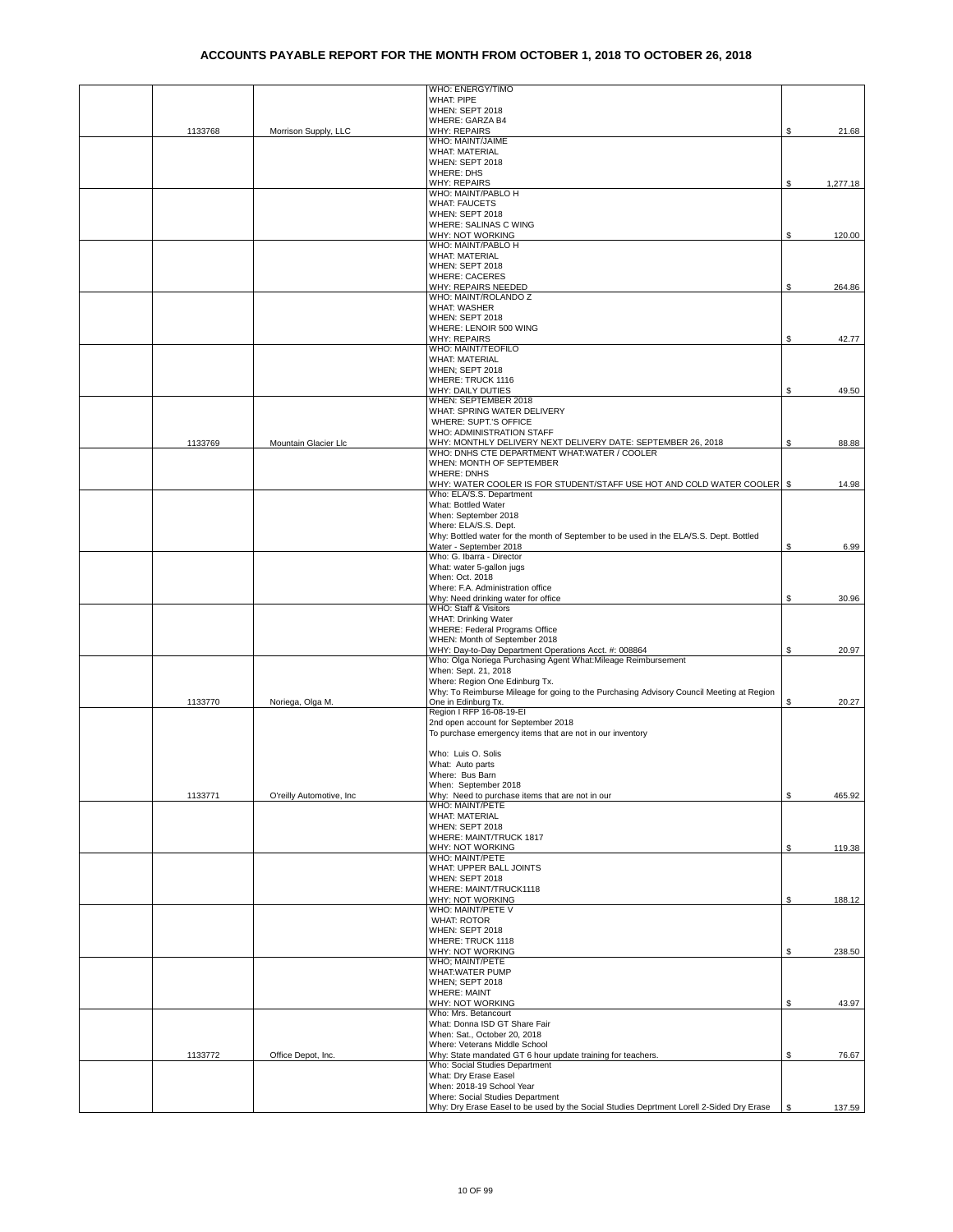|         |                          | WHO: ENERGY/TIMO                                                                         |            |          |
|---------|--------------------------|------------------------------------------------------------------------------------------|------------|----------|
|         |                          | <b>WHAT: PIPE</b>                                                                        |            |          |
|         |                          | WHEN: SEPT 2018                                                                          |            |          |
|         |                          | WHERE: GARZA B4                                                                          |            |          |
| 1133768 | Morrison Supply, LLC     | <b>WHY: REPAIRS</b>                                                                      | S          | 21.68    |
|         |                          | WHO: MAINT/JAIME                                                                         |            |          |
|         |                          | <b>WHAT: MATERIAL</b>                                                                    |            |          |
|         |                          | WHEN: SEPT 2018                                                                          |            |          |
|         |                          | WHERE: DHS                                                                               |            |          |
|         |                          | <b>WHY: REPAIRS</b>                                                                      | \$         | 1,277.18 |
|         |                          | WHO: MAINT/PABLO H                                                                       |            |          |
|         |                          | <b>WHAT: FAUCETS</b><br>WHEN: SEPT 2018                                                  |            |          |
|         |                          | WHERE: SALINAS C WING                                                                    |            |          |
|         |                          | WHY: NOT WORKING                                                                         | \$         | 120.00   |
|         |                          | WHO: MAINT/PABLO H                                                                       |            |          |
|         |                          | <b>WHAT: MATERIAL</b>                                                                    |            |          |
|         |                          | WHEN: SEPT 2018                                                                          |            |          |
|         |                          | <b>WHERE: CACERES</b>                                                                    |            |          |
|         |                          | WHY: REPAIRS NEEDED                                                                      | \$         | 264.86   |
|         |                          | WHO: MAINT/ROLANDO Z                                                                     |            |          |
|         |                          | <b>WHAT: WASHER</b>                                                                      |            |          |
|         |                          | WHEN: SEPT 2018                                                                          |            |          |
|         |                          | WHERE: LENOIR 500 WING                                                                   |            |          |
|         |                          | <b>WHY: REPAIRS</b>                                                                      | S          | 42.77    |
|         |                          | <b>WHO: MAINT/TEOFILO</b><br><b>WHAT: MATERIAL</b>                                       |            |          |
|         |                          | WHEN; SEPT 2018                                                                          |            |          |
|         |                          | WHERE: TRUCK 1116                                                                        |            |          |
|         |                          | WHY: DAILY DUTIES                                                                        | \$         | 49.50    |
|         |                          | WHEN: SEPTEMBER 2018                                                                     |            |          |
|         |                          | WHAT: SPRING WATER DELIVERY                                                              |            |          |
|         |                          | WHERE: SUPT.'S OFFICE                                                                    |            |          |
|         |                          | WHO: ADMINISTRATION STAFF                                                                |            |          |
| 1133769 | Mountain Glacier Llc     | WHY: MONTHLY DELIVERY NEXT DELIVERY DATE: SEPTEMBER 26, 2018                             | S          | 88.88    |
|         |                          | WHO: DNHS CTE DEPARTMENT WHAT:WATER / COOLER                                             |            |          |
|         |                          | WHEN: MONTH OF SEPTEMBER                                                                 |            |          |
|         |                          | <b>WHERE: DNHS</b>                                                                       |            |          |
|         |                          | WHY: WATER COOLER IS FOR STUDENT/STAFF USE HOT AND COLD WATER COOLER S                   |            | 14.98    |
|         |                          | Who: ELA/S.S. Department                                                                 |            |          |
|         |                          | What: Bottled Water                                                                      |            |          |
|         |                          | When: September 2018<br>Where: ELA/S.S. Dept.                                            |            |          |
|         |                          | Why: Bottled water for the month of September to be used in the ELA/S.S. Dept. Bottled   |            |          |
|         |                          | Water - September 2018                                                                   | S          | 6.99     |
|         |                          | Who: G. Ibarra - Director                                                                |            |          |
|         |                          | What: water 5-gallon jugs                                                                |            |          |
|         |                          | When: Oct. 2018                                                                          |            |          |
|         |                          | Where: F.A. Administration office                                                        |            |          |
|         |                          | Why: Need drinking water for office                                                      | \$         | 30.96    |
|         |                          | WHO: Staff & Visitors                                                                    |            |          |
|         |                          | WHAT: Drinking Water                                                                     |            |          |
|         |                          | WHERE: Federal Programs Office                                                           |            |          |
|         |                          | WHEN: Month of September 2018                                                            |            |          |
|         |                          | WHY: Day-to-Day Department Operations Acct. #: 008864                                    | \$         | 20.97    |
|         |                          | Who: Olga Noriega Purchasing Agent What: Mileage Reimbursement                           |            |          |
|         |                          | When: Sept. 21, 2018<br>Where: Region One Edinburg Tx.                                   |            |          |
|         |                          | Why: To Reimburse Mileage for going to the Purchasing Advisory Council Meeting at Region |            |          |
| 1133770 | Noriega, Olga M.         | One in Edinburg Tx.                                                                      | \$         | 20.27    |
|         |                          | Region I RFP 16-08-19-EI                                                                 |            |          |
|         |                          | 2nd open account for September 2018                                                      |            |          |
|         |                          | To purchase emergency items that are not in our inventory                                |            |          |
|         |                          |                                                                                          |            |          |
|         |                          | Who: Luis O. Solis                                                                       |            |          |
|         |                          | What: Auto parts                                                                         |            |          |
|         |                          | Where: Bus Barn                                                                          |            |          |
|         |                          | When: September 2018                                                                     |            |          |
| 1133771 | O'reilly Automotive, Inc | Why: Need to purchase items that are not in our                                          | \$         | 465.92   |
|         |                          | WHO: MAINT/PETE                                                                          |            |          |
|         |                          | <b>WHAT: MATERIAL</b>                                                                    |            |          |
|         |                          | WHEN: SEPT 2018                                                                          |            |          |
|         |                          | WHERE: MAINT/TRUCK 1817<br>WHY: NOT WORKING                                              | \$         |          |
|         |                          | WHO: MAINT/PETE                                                                          |            | 119.38   |
|         |                          | WHAT: UPPER BALL JOINTS                                                                  |            |          |
|         |                          | WHEN: SEPT 2018                                                                          |            |          |
|         |                          | WHERE: MAINT/TRUCK1118                                                                   |            |          |
|         |                          | WHY: NOT WORKING                                                                         | \$         | 188.12   |
|         |                          | WHO: MAINT/PETE V                                                                        |            |          |
|         |                          | <b>WHAT: ROTOR</b>                                                                       |            |          |
|         |                          | WHEN: SEPT 2018                                                                          |            |          |
|         |                          | WHERE: TRUCK 1118                                                                        |            |          |
|         |                          | WHY: NOT WORKING                                                                         | \$         | 238.50   |
|         |                          | WHO; MAINT/PETE                                                                          |            |          |
|         |                          | WHAT:WATER PUMP                                                                          |            |          |
|         |                          | <b>WHEN: SEPT 2018</b>                                                                   |            |          |
|         |                          | <b>WHERE: MAINT</b>                                                                      |            |          |
|         |                          | WHY: NOT WORKING<br>Who: Mrs. Betancourt                                                 | \$         | 43.97    |
|         |                          | What: Donna ISD GT Share Fair                                                            |            |          |
|         |                          | When: Sat., October 20, 2018                                                             |            |          |
|         |                          | Where: Veterans Middle School                                                            |            |          |
| 1133772 | Office Depot, Inc.       | Why: State mandated GT 6 hour update training for teachers.                              | \$         | 76.67    |
|         |                          | Who: Social Studies Department                                                           |            |          |
|         |                          | What: Dry Erase Easel                                                                    |            |          |
|         |                          | When: 2018-19 School Year                                                                |            |          |
|         |                          | Where: Social Studies Department                                                         |            |          |
|         |                          | Why: Dry Erase Easel to be used by the Social Studies Deprtment Lorell 2-Sided Dry Erase | $\sqrt{s}$ | 137.59   |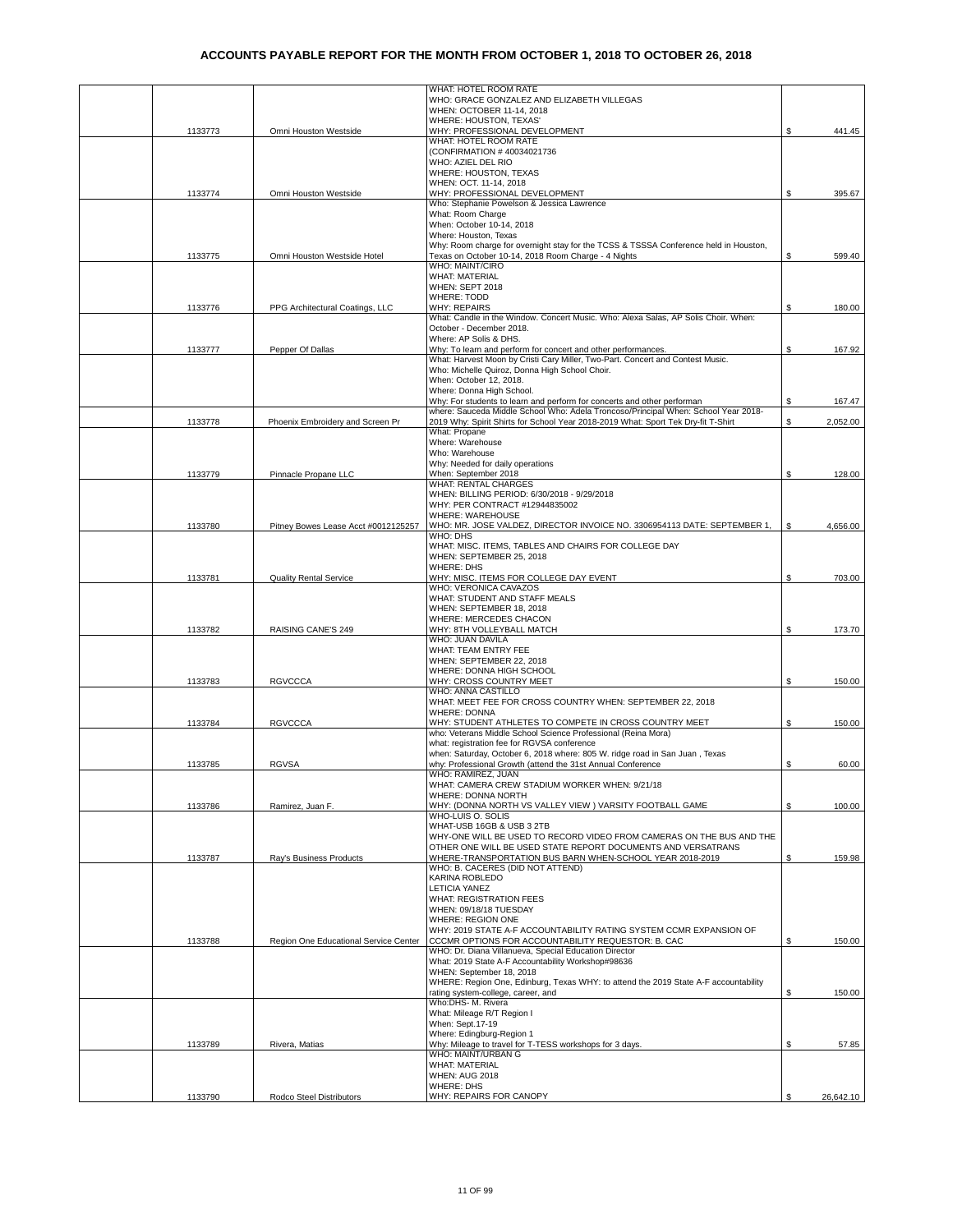|         |                                       | WHAT: HOTEL ROOM RATE                                                                                                                       |    |           |
|---------|---------------------------------------|---------------------------------------------------------------------------------------------------------------------------------------------|----|-----------|
|         |                                       | WHO: GRACE GONZALEZ AND ELIZABETH VILLEGAS                                                                                                  |    |           |
|         |                                       | WHEN: OCTOBER 11-14, 2018<br>WHERE: HOUSTON, TEXAS'                                                                                         |    |           |
| 1133773 | Omni Houston Westside                 | WHY: PROFESSIONAL DEVELOPMENT                                                                                                               | S  | 441.45    |
|         |                                       | WHAT: HOTEL ROOM RATE                                                                                                                       |    |           |
|         |                                       | (CONFIRMATION #40034021736                                                                                                                  |    |           |
|         |                                       | WHO: AZIEL DEL RIO                                                                                                                          |    |           |
|         |                                       | WHERE: HOUSTON, TEXAS                                                                                                                       |    |           |
| 1133774 | Omni Houston Westside                 | WHEN: OCT. 11-14, 2018<br>WHY: PROFESSIONAL DEVELOPMENT                                                                                     | S  | 395.67    |
|         |                                       | Who: Stephanie Powelson & Jessica Lawrence                                                                                                  |    |           |
|         |                                       | What: Room Charge                                                                                                                           |    |           |
|         |                                       | When: October 10-14, 2018                                                                                                                   |    |           |
|         |                                       | Where: Houston, Texas                                                                                                                       |    |           |
| 1133775 | Omni Houston Westside Hotel           | Why: Room charge for overnight stay for the TCSS & TSSSA Conference held in Houston,<br>Texas on October 10-14, 2018 Room Charge - 4 Nights | \$ | 599.40    |
|         |                                       | <b>WHO: MAINT/CIRO</b>                                                                                                                      |    |           |
|         |                                       | <b>WHAT: MATERIAL</b>                                                                                                                       |    |           |
|         |                                       | WHEN: SEPT 2018                                                                                                                             |    |           |
| 1133776 | PPG Architectural Coatings, LLC       | <b>WHERE: TODD</b><br><b>WHY: REPAIRS</b>                                                                                                   | \$ | 180.00    |
|         |                                       | What: Candle in the Window. Concert Music. Who: Alexa Salas, AP Solis Choir. When:                                                          |    |           |
|         |                                       | October - December 2018.                                                                                                                    |    |           |
|         |                                       | Where: AP Solis & DHS.                                                                                                                      |    |           |
| 1133777 | Pepper Of Dallas                      | Why: To learn and perform for concert and other performances.                                                                               | \$ | 167.92    |
|         |                                       | What: Harvest Moon by Cristi Cary Miller, Two-Part. Concert and Contest Music.<br>Who: Michelle Quiroz, Donna High School Choir.            |    |           |
|         |                                       | When: October 12, 2018.                                                                                                                     |    |           |
|         |                                       | Where: Donna High School.                                                                                                                   |    |           |
|         |                                       | Why: For students to learn and perform for concerts and other performan                                                                     | \$ | 167.47    |
|         |                                       | where: Sauceda Middle School Who; Adela Troncoso/Principal When; School Year 2018-                                                          |    |           |
| 1133778 | Phoenix Embroidery and Screen Pr      | 2019 Why: Spirit Shirts for School Year 2018-2019 What: Sport Tek Dry-fit T-Shirt<br>What: Propane                                          | \$ | 2,052.00  |
|         |                                       | Where: Warehouse                                                                                                                            |    |           |
|         |                                       | Who: Warehouse                                                                                                                              |    |           |
|         |                                       | Why: Needed for daily operations                                                                                                            |    |           |
| 1133779 | Pinnacle Propane LLC                  | When: September 2018<br><b>WHAT: RENTAL CHARGES</b>                                                                                         | \$ | 128.00    |
|         |                                       | WHEN: BILLING PERIOD: 6/30/2018 - 9/29/2018                                                                                                 |    |           |
|         |                                       | WHY: PER CONTRACT #12944835002                                                                                                              |    |           |
|         |                                       | WHERE: WAREHOUSE                                                                                                                            |    |           |
| 1133780 | Pitney Bowes Lease Acct #0012125257   | WHO: MR. JOSE VALDEZ, DIRECTOR INVOICE NO. 3306954113 DATE: SEPTEMBER 1,                                                                    | \$ | 4,656.00  |
|         |                                       | WHO: DHS<br>WHAT: MISC. ITEMS, TABLES AND CHAIRS FOR COLLEGE DAY                                                                            |    |           |
|         |                                       | WHEN: SEPTEMBER 25, 2018                                                                                                                    |    |           |
|         |                                       | <b>WHERE: DHS</b>                                                                                                                           |    |           |
| 1133781 | <b>Quality Rental Service</b>         | WHY: MISC. ITEMS FOR COLLEGE DAY EVENT                                                                                                      | \$ | 703.00    |
|         |                                       | WHO: VERONICA CAVAZOS                                                                                                                       |    |           |
|         |                                       | WHAT: STUDENT AND STAFF MEALS<br>WHEN: SEPTEMBER 18, 2018                                                                                   |    |           |
|         |                                       | WHERE: MERCEDES CHACON                                                                                                                      |    |           |
| 1133782 | RAISING CANE'S 249                    | WHY: 8TH VOLLEYBALL MATCH                                                                                                                   | S  | 173.70    |
|         |                                       | WHO: JUAN DAVILA                                                                                                                            |    |           |
|         |                                       | WHAT: TEAM ENTRY FEE                                                                                                                        |    |           |
|         |                                       | WHEN: SEPTEMBER 22, 2018<br>WHERE: DONNA HIGH SCHOOL                                                                                        |    |           |
| 1133783 | <b>RGVCCCA</b>                        | WHY: CROSS COUNTRY MEET                                                                                                                     | \$ | 150.00    |
|         |                                       | WHO: ANNA CASTILLO                                                                                                                          |    |           |
|         |                                       | WHAT: MEET FEE FOR CROSS COUNTRY WHEN: SEPTEMBER 22, 2018                                                                                   |    |           |
| 1133784 | <b>RGVCCCA</b>                        | <b>WHERE: DONNA</b><br>WHY: STUDENT ATHLETES TO COMPETE IN CROSS COUNTRY MEET                                                               | \$ | 150.00    |
|         |                                       | who: Veterans Middle School Science Professional (Reina Mora)                                                                               |    |           |
|         |                                       | what: registration fee for RGVSA conference                                                                                                 |    |           |
|         |                                       | when: Saturday, October 6, 2018 where: 805 W. ridge road in San Juan, Texas                                                                 |    |           |
| 1133785 | <b>RGVSA</b>                          | why: Professional Growth (attend the 31st Annual Conference<br>WHO: RAMIREZ, JUAN                                                           | \$ | 60.00     |
|         |                                       | WHAT: CAMERA CREW STADIUM WORKER WHEN: 9/21/18                                                                                              |    |           |
|         |                                       | WHERE: DONNA NORTH                                                                                                                          |    |           |
| 1133786 | Ramirez, Juan F.                      | WHY: (DONNA NORTH VS VALLEY VIEW ) VARSITY FOOTBALL GAME                                                                                    | \$ | 100.00    |
|         |                                       | WHO-LUIS O. SOLIS                                                                                                                           |    |           |
|         |                                       | WHAT-USB 16GB & USB 3 2TB<br>WHY-ONE WILL BE USED TO RECORD VIDEO FROM CAMERAS ON THE BUS AND THE                                           |    |           |
|         |                                       | OTHER ONE WILL BE USED STATE REPORT DOCUMENTS AND VERSATRANS                                                                                |    |           |
| 1133787 | Ray's Business Products               | WHERE-TRANSPORTATION BUS BARN WHEN-SCHOOL YEAR 2018-2019                                                                                    | \$ | 159.98    |
|         |                                       | WHO: B. CACERES (DID NOT ATTEND)                                                                                                            |    |           |
|         |                                       | KARINA ROBLEDO                                                                                                                              |    |           |
|         |                                       | <b>LETICIA YANEZ</b><br>WHAT: REGISTRATION FEES                                                                                             |    |           |
|         |                                       | WHEN: 09/18/18 TUESDAY                                                                                                                      |    |           |
|         |                                       | WHERE: REGION ONE                                                                                                                           |    |           |
|         |                                       | WHY: 2019 STATE A-F ACCOUNTABILITY RATING SYSTEM CCMR EXPANSION OF                                                                          |    |           |
| 1133788 | Region One Educational Service Center | CCCMR OPTIONS FOR ACCOUNTABILITY REQUESTOR: B. CAC<br>WHO: Dr. Diana Villanueva, Special Education Director                                 | S  | 150.00    |
|         |                                       | What: 2019 State A-F Accountability Workshop#98636                                                                                          |    |           |
|         |                                       | WHEN: September 18, 2018                                                                                                                    |    |           |
|         |                                       | WHERE: Region One, Edinburg, Texas WHY: to attend the 2019 State A-F accountability                                                         |    |           |
|         |                                       | rating system-college, career, and                                                                                                          | \$ | 150.00    |
|         |                                       | Who:DHS- M. Rivera<br>What: Mileage R/T Region I                                                                                            |    |           |
|         |                                       | When: Sept.17-19                                                                                                                            |    |           |
|         |                                       | Where: Edingburg-Region 1                                                                                                                   |    |           |
| 1133789 | Rivera, Matias                        | Why: Mileage to travel for T-TESS workshops for 3 days.                                                                                     | \$ | 57.85     |
|         |                                       | WHO: MAINT/URBAN G<br><b>WHAT: MATERIAL</b>                                                                                                 |    |           |
|         |                                       | <b>WHEN: AUG 2018</b>                                                                                                                       |    |           |
|         |                                       | <b>WHERE: DHS</b>                                                                                                                           |    |           |
| 1133790 | Rodco Steel Distributors              | WHY: REPAIRS FOR CANOPY                                                                                                                     | \$ | 26,642.10 |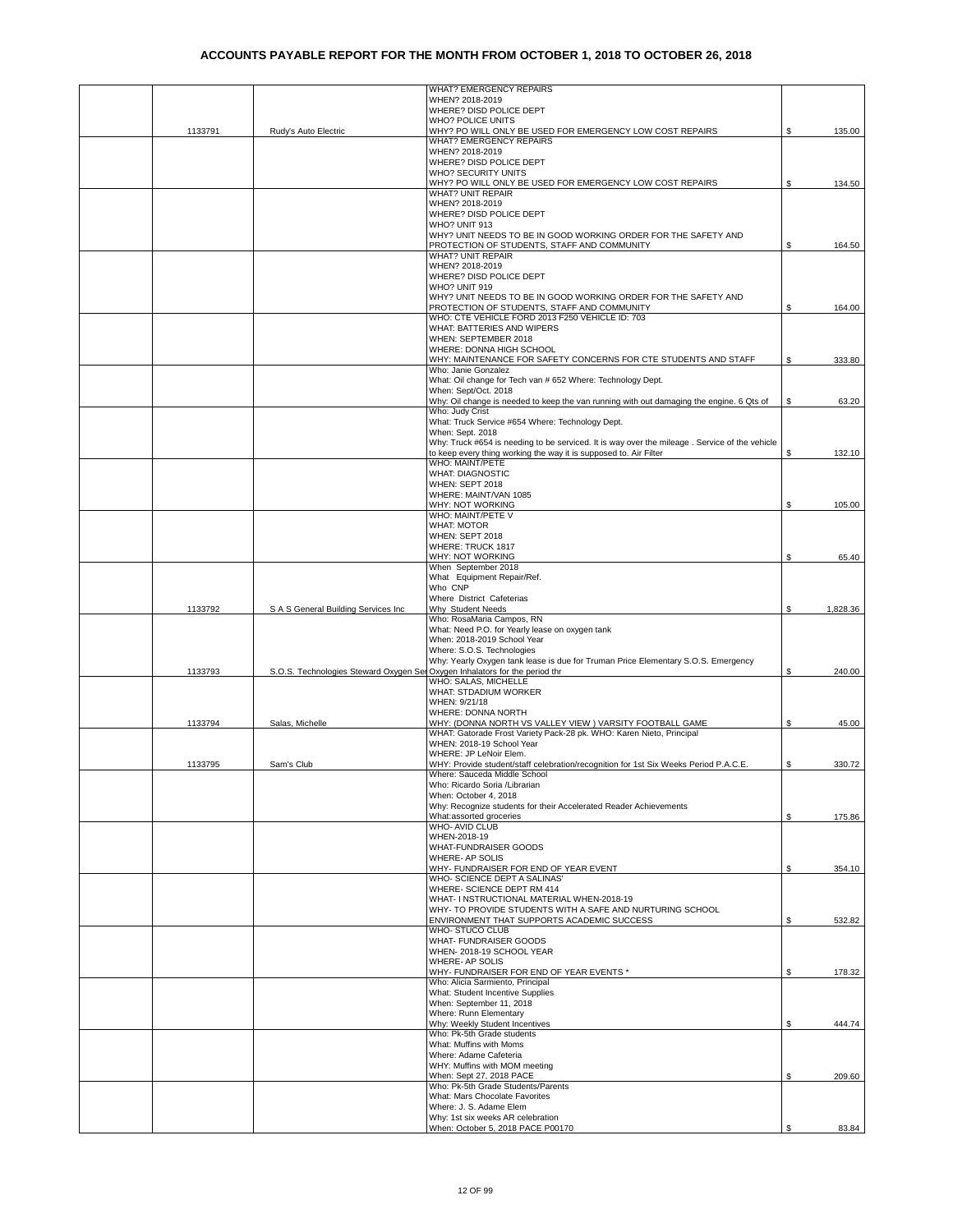|         |                                                                             | WHAT? EMERGENCY REPAIRS                                                                                 |    |          |
|---------|-----------------------------------------------------------------------------|---------------------------------------------------------------------------------------------------------|----|----------|
|         |                                                                             | WHEN? 2018-2019                                                                                         |    |          |
|         |                                                                             | WHERE? DISD POLICE DEPT                                                                                 |    |          |
| 1133791 | Rudy's Auto Electric                                                        | <b>WHO? POLICE UNITS</b><br>WHY? PO WILL ONLY BE USED FOR EMERGENCY LOW COST REPAIRS                    |    | 135.00   |
|         |                                                                             | <b>WHAT? EMERGENCY REPAIRS</b>                                                                          |    |          |
|         |                                                                             | WHEN? 2018-2019                                                                                         |    |          |
|         |                                                                             | WHERE? DISD POLICE DEPT                                                                                 |    |          |
|         |                                                                             | <b>WHO? SECURITY UNITS</b>                                                                              |    |          |
|         |                                                                             | WHY? PO WILL ONLY BE USED FOR EMERGENCY LOW COST REPAIRS                                                | S. | 134.50   |
|         |                                                                             | <b>WHAT? UNIT REPAIR</b>                                                                                |    |          |
|         |                                                                             | WHEN? 2018-2019                                                                                         |    |          |
|         |                                                                             | WHERE? DISD POLICE DEPT                                                                                 |    |          |
|         |                                                                             | WHO? UNIT 913<br>WHY? UNIT NEEDS TO BE IN GOOD WORKING ORDER FOR THE SAFETY AND                         |    |          |
|         |                                                                             | PROTECTION OF STUDENTS, STAFF AND COMMUNITY                                                             | S  | 164.50   |
|         |                                                                             | <b>WHAT? UNIT REPAIR</b>                                                                                |    |          |
|         |                                                                             | WHEN? 2018-2019                                                                                         |    |          |
|         |                                                                             | WHERE? DISD POLICE DEPT                                                                                 |    |          |
|         |                                                                             | WHO? UNIT 919                                                                                           |    |          |
|         |                                                                             | WHY? UNIT NEEDS TO BE IN GOOD WORKING ORDER FOR THE SAFETY AND                                          |    |          |
|         |                                                                             | PROTECTION OF STUDENTS, STAFF AND COMMUNITY                                                             | \$ | 164.00   |
|         |                                                                             | WHO: CTE VEHICLE FORD 2013 F250 VEHICLE ID: 703                                                         |    |          |
|         |                                                                             | WHAT: BATTERIES AND WIPERS                                                                              |    |          |
|         |                                                                             | WHEN: SEPTEMBER 2018<br>WHERE: DONNA HIGH SCHOOL                                                        |    |          |
|         |                                                                             | WHY: MAINTENANCE FOR SAFETY CONCERNS FOR CTE STUDENTS AND STAFF                                         | \$ | 333.80   |
|         |                                                                             | Who: Janie Gonzalez                                                                                     |    |          |
|         |                                                                             | What: Oil change for Tech van # 652 Where: Technology Dept.                                             |    |          |
|         |                                                                             | When: Sept/Oct. 2018                                                                                    |    |          |
|         |                                                                             | Why: Oil change is needed to keep the van running with out damaging the engine. 6 Qts of                | \$ | 63.20    |
|         |                                                                             | Who: Judy Crist                                                                                         |    |          |
|         |                                                                             | What: Truck Service #654 Where: Technology Dept.                                                        |    |          |
|         |                                                                             | When: Sept. 2018                                                                                        |    |          |
|         |                                                                             | Why: Truck #654 is needing to be serviced. It is way over the mileage . Service of the vehicle          |    |          |
|         |                                                                             | to keep every thing working the way it is supposed to. Air Filter<br>WHO: MAINT/PETE                    | S. | 132.10   |
|         |                                                                             | <b>WHAT: DIAGNOSTIC</b>                                                                                 |    |          |
|         |                                                                             | WHEN: SEPT 2018                                                                                         |    |          |
|         |                                                                             | WHERE: MAINT/VAN 1085                                                                                   |    |          |
|         |                                                                             | WHY: NOT WORKING                                                                                        | \$ | 105.00   |
|         |                                                                             | WHO: MAINT/PETE V                                                                                       |    |          |
|         |                                                                             | <b>WHAT: MOTOR</b>                                                                                      |    |          |
|         |                                                                             | WHEN: SEPT 2018                                                                                         |    |          |
|         |                                                                             | WHERE: TRUCK 1817                                                                                       |    |          |
|         |                                                                             | WHY: NOT WORKING                                                                                        | \$ | 65.40    |
|         |                                                                             | When September 2018                                                                                     |    |          |
|         |                                                                             | What Equipment Repair/Ref.<br>Who CNP                                                                   |    |          |
|         |                                                                             | Where District Cafeterias                                                                               |    |          |
| 1133792 | S A S General Building Services Inc                                         | Why Student Needs                                                                                       | \$ | 1,828.36 |
|         |                                                                             | Who: RosaMaria Campos, RN                                                                               |    |          |
|         |                                                                             | What: Need P.O. for Yearly lease on oxygen tank                                                         |    |          |
|         |                                                                             | When: 2018-2019 School Year                                                                             |    |          |
|         |                                                                             | Where: S.O.S. Technologies                                                                              |    |          |
|         |                                                                             | Why: Yearly Oxygen tank lease is due for Truman Price Elementary S.O.S. Emergency                       |    |          |
| 1133793 | S.O.S. Technologies Steward Oxygen Ser Oxygen Inhalators for the period thr |                                                                                                         | \$ | 240.00   |
|         |                                                                             | WHO: SALAS, MICHELLE<br>WHAT: STDADIUM WORKER                                                           |    |          |
|         |                                                                             | WHEN: 9/21/18                                                                                           |    |          |
|         |                                                                             | WHERE: DONNA NORTH                                                                                      |    |          |
| 1133794 | Salas, Michelle                                                             | WHY: (DONNA NORTH VS VALLEY VIEW ) VARSITY FOOTBALL GAME                                                | \$ | 45.00    |
|         |                                                                             | WHAT: Gatorade Frost Variety Pack-28 pk. WHO: Karen Nieto, Principal                                    |    |          |
|         |                                                                             | WHEN: 2018-19 School Year                                                                               |    |          |
|         |                                                                             | WHERE: JP LeNoir Elem.                                                                                  |    |          |
| 1133795 | Sam's Club                                                                  | WHY: Provide student/staff celebration/recognition for 1st Six Weeks Period P.A.C.E.                    | \$ | 330.72   |
|         |                                                                             | Where: Sauceda Middle School                                                                            |    |          |
|         |                                                                             | Who: Ricardo Soria /Librarian                                                                           |    |          |
|         |                                                                             | When: October 4, 2018<br>Why: Recognize students for their Accelerated Reader Achievements              |    |          |
|         |                                                                             | What:assorted groceries                                                                                 | \$ | 175.86   |
|         |                                                                             | <b>WHO-AVID CLUB</b>                                                                                    |    |          |
|         |                                                                             | WHEN-2018-19                                                                                            |    |          |
|         |                                                                             | WHAT-FUNDRAISER GOODS                                                                                   |    |          |
|         |                                                                             | <b>WHERE- AP SOLIS</b>                                                                                  |    |          |
|         |                                                                             | WHY- FUNDRAISER FOR END OF YEAR EVENT                                                                   | \$ | 354.10   |
|         |                                                                             | WHO- SCIENCE DEPT A SALINAS'                                                                            |    |          |
|         |                                                                             | WHERE- SCIENCE DEPT RM 414                                                                              |    |          |
|         |                                                                             | WHAT- I NSTRUCTIONAL MATERIAL WHEN-2018-19                                                              |    |          |
|         |                                                                             | WHY- TO PROVIDE STUDENTS WITH A SAFE AND NURTURING SCHOOL<br>ENVIRONMENT THAT SUPPORTS ACADEMIC SUCCESS | \$ | 532.82   |
|         |                                                                             | WHO-STUCO CLUB                                                                                          |    |          |
|         |                                                                             | <b>WHAT- FUNDRAISER GOODS</b>                                                                           |    |          |
|         |                                                                             | WHEN-2018-19 SCHOOL YEAR                                                                                |    |          |
|         |                                                                             | WHERE- AP SOLIS                                                                                         |    |          |
|         |                                                                             | WHY- FUNDRAISER FOR END OF YEAR EVENTS *                                                                | \$ | 178.32   |
|         |                                                                             | Who: Alicia Sarmiento, Principal                                                                        |    |          |
|         |                                                                             | What: Student Incentive Supplies                                                                        |    |          |
|         |                                                                             | When: September 11, 2018                                                                                |    |          |
|         |                                                                             | Where: Runn Elementary<br>Why: Weekly Student Incentives                                                | \$ | 444.74   |
|         |                                                                             | Who: Pk-5th Grade students                                                                              |    |          |
|         |                                                                             | What: Muffins with Moms                                                                                 |    |          |
|         |                                                                             | Where: Adame Cafeteria                                                                                  |    |          |
|         |                                                                             | WHY: Muffins with MOM meeting                                                                           |    |          |
|         |                                                                             | When: Sept 27, 2018 PACE                                                                                | \$ | 209.60   |
|         |                                                                             | Who: Pk-5th Grade Students/Parents                                                                      |    |          |
|         |                                                                             | What: Mars Chocolate Favorites                                                                          |    |          |
|         |                                                                             | Where: J. S. Adame Elem                                                                                 |    |          |
|         |                                                                             | Why: 1st six weeks AR celebration<br>When: October 5, 2018 PACE P00170                                  | \$ | 83.84    |
|         |                                                                             |                                                                                                         |    |          |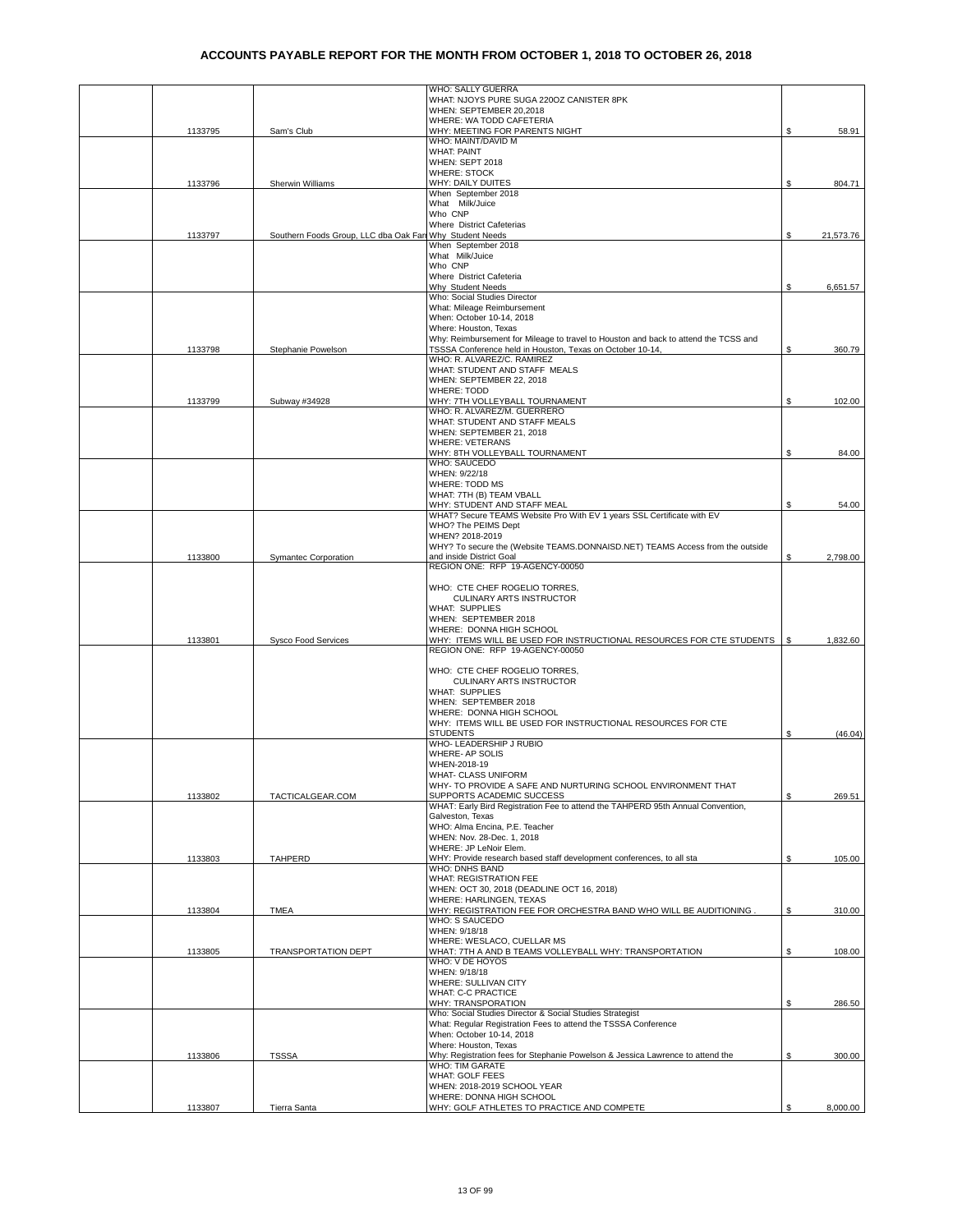|         |                                        | WHO: SALLY GUERRA                                                                                                                                |    |           |
|---------|----------------------------------------|--------------------------------------------------------------------------------------------------------------------------------------------------|----|-----------|
|         |                                        | WHAT: NJOYS PURE SUGA 2200Z CANISTER 8PK<br>WHEN: SEPTEMBER 20,2018                                                                              |    |           |
|         |                                        | WHERE: WA TODD CAFETERIA                                                                                                                         |    |           |
| 1133795 | Sam's Club                             | WHY: MEETING FOR PARENTS NIGHT                                                                                                                   | \$ | 58.91     |
|         |                                        | WHO: MAINT/DAVID M<br><b>WHAT: PAINT</b>                                                                                                         |    |           |
|         |                                        | WHEN: SEPT 2018                                                                                                                                  |    |           |
|         |                                        | <b>WHERE: STOCK</b>                                                                                                                              |    |           |
| 1133796 | Sherwin Williams                       | WHY: DAILY DUITES                                                                                                                                | \$ | 804.71    |
|         |                                        | When September 2018<br>What Milk/Juice                                                                                                           |    |           |
|         |                                        | Who CNP                                                                                                                                          |    |           |
|         |                                        | Where District Cafeterias                                                                                                                        |    |           |
| 1133797 | Southern Foods Group, LLC dba Oak Farr | Why Student Needs                                                                                                                                | \$ | 21,573.76 |
|         |                                        | When September 2018<br>What Milk/Juice                                                                                                           |    |           |
|         |                                        | Who CNP                                                                                                                                          |    |           |
|         |                                        | Where District Cafeteria                                                                                                                         |    |           |
|         |                                        | Why Student Needs<br>Who: Social Studies Director                                                                                                | S  | 6,651.57  |
|         |                                        | What: Mileage Reimbursement                                                                                                                      |    |           |
|         |                                        | When: October 10-14, 2018                                                                                                                        |    |           |
|         |                                        | Where: Houston, Texas                                                                                                                            |    |           |
| 1133798 | Stephanie Powelson                     | Why: Reimbursement for Mileage to travel to Houston and back to attend the TCSS and<br>TSSSA Conference held in Houston, Texas on October 10-14, | \$ | 360.79    |
|         |                                        | WHO: R. ALVAREZ/C. RAMIREZ                                                                                                                       |    |           |
|         |                                        | WHAT: STUDENT AND STAFF MEALS                                                                                                                    |    |           |
|         |                                        | WHEN: SEPTEMBER 22, 2018                                                                                                                         |    |           |
| 1133799 | Subway #34928                          | <b>WHERE: TODD</b><br>WHY: 7TH VOLLEYBALL TOURNAMENT                                                                                             | \$ | 102.00    |
|         |                                        | WHO: R. ALVAREZ/M. GUERRERO                                                                                                                      |    |           |
|         |                                        | WHAT: STUDENT AND STAFF MEALS                                                                                                                    |    |           |
|         |                                        | WHEN: SEPTEMBER 21, 2018                                                                                                                         |    |           |
|         |                                        | <b>WHERE: VETERANS</b>                                                                                                                           |    |           |
|         |                                        | WHY: 8TH VOLLEYBALL TOURNAMENT<br><b>WHO: SAUCEDO</b>                                                                                            | \$ | 84.00     |
|         |                                        | WHEN: 9/22/18                                                                                                                                    |    |           |
|         |                                        | WHERE: TODD MS                                                                                                                                   |    |           |
|         |                                        | WHAT: 7TH (B) TEAM VBALL                                                                                                                         |    |           |
|         |                                        | WHY: STUDENT AND STAFF MEAL<br>WHAT? Secure TEAMS Website Pro With EV 1 years SSL Certificate with EV                                            | \$ | 54.00     |
|         |                                        | WHO? The PEIMS Dept                                                                                                                              |    |           |
|         |                                        | WHEN? 2018-2019                                                                                                                                  |    |           |
|         |                                        | WHY? To secure the (Website TEAMS.DONNAISD.NET) TEAMS Access from the outside                                                                    |    |           |
| 1133800 | Symantec Corporation                   | and inside District Goal<br>REGION ONE: RFP 19-AGENCY-00050                                                                                      | \$ | 2,798.00  |
|         |                                        |                                                                                                                                                  |    |           |
|         |                                        | WHO: CTE CHEF ROGELIO TORRES,                                                                                                                    |    |           |
|         |                                        | <b>CULINARY ARTS INSTRUCTOR</b>                                                                                                                  |    |           |
|         |                                        | <b>WHAT: SUPPLIES</b>                                                                                                                            |    |           |
|         |                                        | WHEN: SEPTEMBER 2018<br>WHERE: DONNA HIGH SCHOOL                                                                                                 |    |           |
| 1133801 | <b>Sysco Food Services</b>             | WHY: ITEMS WILL BE USED FOR INSTRUCTIONAL RESOURCES FOR CTE STUDENTS                                                                             | -S | 1,832.60  |
|         |                                        | REGION ONE: RFP 19-AGENCY-00050                                                                                                                  |    |           |
|         |                                        |                                                                                                                                                  |    |           |
|         |                                        | WHO: CTE CHEF ROGELIO TORRES,<br>CULINARY ARTS INSTRUCTOR                                                                                        |    |           |
|         |                                        | <b>WHAT: SUPPLIES</b>                                                                                                                            |    |           |
|         |                                        | WHEN: SEPTEMBER 2018                                                                                                                             |    |           |
|         |                                        | WHERE: DONNA HIGH SCHOOL                                                                                                                         |    |           |
|         |                                        | WHY: ITEMS WILL BE USED FOR INSTRUCTIONAL RESOURCES FOR CTE                                                                                      |    |           |
|         |                                        | <b>STUDENTS</b><br>WHO- LEADERSHIP J RUBIO                                                                                                       | \$ | (46.04)   |
|         |                                        | WHERE- AP SOLIS                                                                                                                                  |    |           |
|         |                                        | WHEN-2018-19                                                                                                                                     |    |           |
|         |                                        | WHAT- CLASS UNIFORM                                                                                                                              |    |           |
|         |                                        | WHY- TO PROVIDE A SAFE AND NURTURING SCHOOL ENVIRONMENT THAT<br>SUPPORTS ACADEMIC SUCCESS                                                        | \$ | 269.51    |
| 1133802 | TACTICALGEAR.COM                       | WHAT: Early Bird Registration Fee to attend the TAHPERD 95th Annual Convention,                                                                  |    |           |
|         |                                        | Galveston, Texas                                                                                                                                 |    |           |
|         |                                        | WHO: Alma Encina, P.E. Teacher                                                                                                                   |    |           |
|         |                                        | WHEN: Nov. 28-Dec. 1, 2018<br>WHERE: JP LeNoir Elem.                                                                                             |    |           |
| 1133803 | <b>TAHPERD</b>                         | WHY: Provide research based staff development conferences, to all sta                                                                            | \$ | 105.00    |
|         |                                        | WHO: DNHS BAND                                                                                                                                   |    |           |
|         |                                        | WHAT: REGISTRATION FEE                                                                                                                           |    |           |
|         |                                        | WHEN: OCT 30, 2018 (DEADLINE OCT 16, 2018)<br>WHERE: HARLINGEN, TEXAS                                                                            |    |           |
| 1133804 | <b>TMEA</b>                            | WHY: REGISTRATION FEE FOR ORCHESTRA BAND WHO WILL BE AUDITIONING.                                                                                | \$ | 310.00    |
|         |                                        | WHO: S SAUCEDO                                                                                                                                   |    |           |
|         |                                        | WHEN: 9/18/18                                                                                                                                    |    |           |
|         |                                        | WHERE: WESLACO, CUELLAR MS                                                                                                                       |    |           |
| 1133805 | TRANSPORTATION DEPT                    | WHAT: 7TH A AND B TEAMS VOLLEYBALL WHY: TRANSPORTATION<br>WHO: V DE HOYOS                                                                        | \$ | 108.00    |
|         |                                        | WHEN: 9/18/18                                                                                                                                    |    |           |
|         |                                        | WHERE: SULLIVAN CITY                                                                                                                             |    |           |
|         |                                        | WHAT: C-C PRACTICE                                                                                                                               |    |           |
|         |                                        | WHY: TRANSPORATION<br>Who: Social Studies Director & Social Studies Strategist                                                                   | \$ | 286.50    |
|         |                                        | What: Regular Registration Fees to attend the TSSSA Conference                                                                                   |    |           |
|         |                                        | When: October 10-14, 2018                                                                                                                        |    |           |
|         |                                        | Where: Houston, Texas                                                                                                                            |    |           |
| 1133806 | <b>TSSSA</b>                           | Why: Registration fees for Stephanie Powelson & Jessica Lawrence to attend the<br><b>WHO: TIM GARATE</b>                                         | \$ | 300.00    |
|         |                                        | WHAT: GOLF FEES                                                                                                                                  |    |           |
|         |                                        | WHEN: 2018-2019 SCHOOL YEAR                                                                                                                      |    |           |
|         |                                        | WHERE: DONNA HIGH SCHOOL                                                                                                                         |    |           |
| 1133807 | Tierra Santa                           | WHY: GOLF ATHLETES TO PRACTICE AND COMPETE                                                                                                       | \$ | 8,000.00  |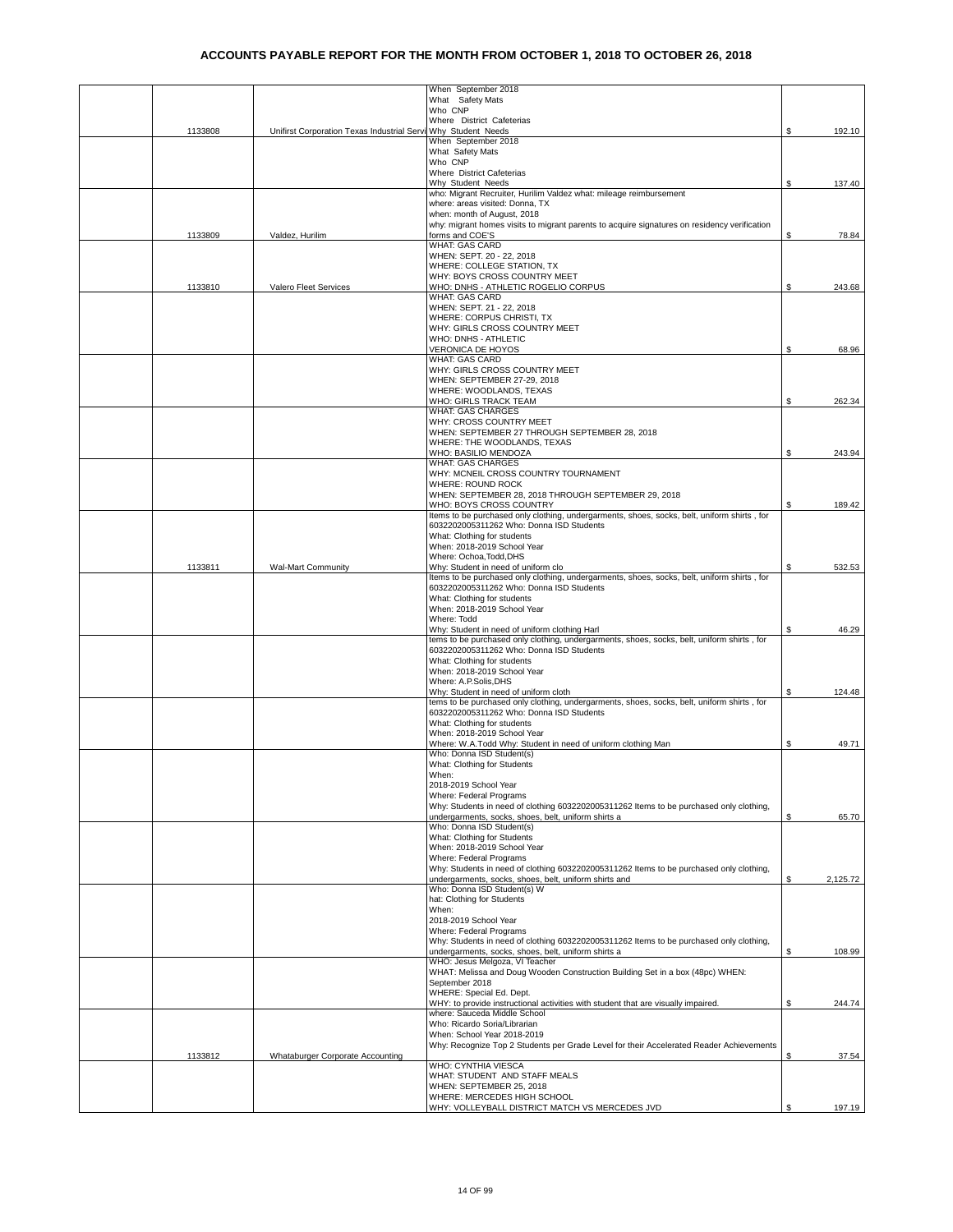|         |                                                               | When September 2018                                                                                                                              |    |          |
|---------|---------------------------------------------------------------|--------------------------------------------------------------------------------------------------------------------------------------------------|----|----------|
|         |                                                               | What Safety Mats                                                                                                                                 |    |          |
|         |                                                               | Who CNP<br>Where District Cafeterias                                                                                                             |    |          |
| 1133808 | Unifirst Corporation Texas Industrial Servi Why Student Needs |                                                                                                                                                  | S  | 192.10   |
|         |                                                               | When September 2018<br>What Safety Mats                                                                                                          |    |          |
|         |                                                               | Who CNP                                                                                                                                          |    |          |
|         |                                                               | Where District Cafeterias                                                                                                                        |    |          |
|         |                                                               | Why Student Needs<br>who: Migrant Recruiter, Hurilim Valdez what: mileage reimbursement                                                          | S  | 137.40   |
|         |                                                               | where: areas visited: Donna, TX                                                                                                                  |    |          |
|         |                                                               | when: month of August, 2018                                                                                                                      |    |          |
| 1133809 | Valdez, Hurilim                                               | why: migrant homes visits to migrant parents to acquire signatures on residency verification<br>forms and COE'S                                  | S  | 78.84    |
|         |                                                               | WHAT: GAS CARD                                                                                                                                   |    |          |
|         |                                                               | WHEN: SEPT. 20 - 22, 2018<br>WHERE: COLLEGE STATION, TX                                                                                          |    |          |
|         |                                                               | WHY: BOYS CROSS COUNTRY MEET                                                                                                                     |    |          |
| 1133810 | Valero Fleet Services                                         | WHO: DNHS - ATHLETIC ROGELIO CORPUS                                                                                                              | S  | 243.68   |
|         |                                                               | WHAT: GAS CARD<br>WHEN: SEPT. 21 - 22, 2018                                                                                                      |    |          |
|         |                                                               | WHERE: CORPUS CHRISTI, TX                                                                                                                        |    |          |
|         |                                                               | WHY: GIRLS CROSS COUNTRY MEET                                                                                                                    |    |          |
|         |                                                               | WHO: DNHS - ATHLETIC<br>VERONICA DE HOYOS                                                                                                        |    |          |
|         |                                                               | WHAT: GAS CARD                                                                                                                                   | \$ | 68.96    |
|         |                                                               | WHY: GIRLS CROSS COUNTRY MEET                                                                                                                    |    |          |
|         |                                                               | WHEN: SEPTEMBER 27-29, 2018                                                                                                                      |    |          |
|         |                                                               | WHERE: WOODLANDS, TEXAS<br>WHO: GIRLS TRACK TEAM                                                                                                 | \$ | 262.34   |
|         |                                                               | <b>WHAT: GAS CHARGES</b>                                                                                                                         |    |          |
|         |                                                               | WHY: CROSS COUNTRY MEET                                                                                                                          |    |          |
|         |                                                               | WHEN: SEPTEMBER 27 THROUGH SEPTEMBER 28, 2018<br>WHERE: THE WOODLANDS, TEXAS                                                                     |    |          |
|         |                                                               | WHO: BASILIO MENDOZA                                                                                                                             | S  | 243.94   |
|         |                                                               | WHAT: GAS CHARGES                                                                                                                                |    |          |
|         |                                                               | WHY: MCNEIL CROSS COUNTRY TOURNAMENT<br><b>WHERE: ROUND ROCK</b>                                                                                 |    |          |
|         |                                                               | WHEN: SEPTEMBER 28, 2018 THROUGH SEPTEMBER 29, 2018                                                                                              |    |          |
|         |                                                               | WHO: BOYS CROSS COUNTRY                                                                                                                          | \$ | 189.42   |
|         |                                                               | Items to be purchased only clothing, undergarments, shoes, socks, belt, uniform shirts, for<br>6032202005311262 Who: Donna ISD Students          |    |          |
|         |                                                               | What: Clothing for students                                                                                                                      |    |          |
|         |                                                               | When: 2018-2019 School Year                                                                                                                      |    |          |
| 1133811 | <b>Wal-Mart Community</b>                                     | Where: Ochoa, Todd, DHS<br>Why: Student in need of uniform clo                                                                                   | \$ | 532.53   |
|         |                                                               | Items to be purchased only clothing, undergarments, shoes, socks, belt, uniform shirts , for                                                     |    |          |
|         |                                                               | 6032202005311262 Who: Donna ISD Students                                                                                                         |    |          |
|         |                                                               | What: Clothing for students                                                                                                                      |    |          |
|         |                                                               | When: 2018-2019 School Year<br>Where: Todd                                                                                                       |    |          |
|         |                                                               | Why: Student in need of uniform clothing Harl                                                                                                    | \$ | 46.29    |
|         |                                                               | tems to be purchased only clothing, undergarments, shoes, socks, belt, uniform shirts, for                                                       |    |          |
|         |                                                               | 6032202005311262 Who: Donna ISD Students<br>What: Clothing for students                                                                          |    |          |
|         |                                                               | When: 2018-2019 School Year                                                                                                                      |    |          |
|         |                                                               | Where: A.P.Solis, DHS                                                                                                                            |    |          |
|         |                                                               | Why: Student in need of uniform cloth<br>tems to be purchased only clothing, undergarments, shoes, socks, belt, uniform shirts, for              | \$ | 124.48   |
|         |                                                               | 6032202005311262 Who: Donna ISD Students                                                                                                         |    |          |
|         |                                                               | What: Clothing for students                                                                                                                      |    |          |
|         |                                                               | When: 2018-2019 School Year<br>Where: W.A.Todd Why: Student in need of uniform clothing Man                                                      | S  | 49.71    |
|         |                                                               | Who: Donna ISD Student(s)                                                                                                                        |    |          |
|         |                                                               | What: Clothing for Students                                                                                                                      |    |          |
|         |                                                               | When:<br>2018-2019 School Year                                                                                                                   |    |          |
|         |                                                               | Where: Federal Programs                                                                                                                          |    |          |
|         |                                                               | Why: Students in need of clothing 6032202005311262 Items to be purchased only clothing,                                                          |    |          |
|         |                                                               | undergarments, socks, shoes, belt, uniform shirts a<br>Who: Donna ISD Student(s)                                                                 |    | 65.70    |
|         |                                                               | What: Clothing for Students                                                                                                                      |    |          |
|         |                                                               | When: 2018-2019 School Year                                                                                                                      |    |          |
|         |                                                               | Where: Federal Programs                                                                                                                          |    |          |
|         |                                                               | Why: Students in need of clothing 6032202005311262 Items to be purchased only clothing,<br>undergarments, socks, shoes, belt, uniform shirts and | \$ | 2,125.72 |
|         |                                                               | Who: Donna ISD Student(s) W                                                                                                                      |    |          |
|         |                                                               | hat: Clothing for Students                                                                                                                       |    |          |
|         |                                                               | When:<br>2018-2019 School Year                                                                                                                   |    |          |
|         |                                                               | Where: Federal Programs                                                                                                                          |    |          |
|         |                                                               | Why: Students in need of clothing 6032202005311262 Items to be purchased only clothing,                                                          |    |          |
|         |                                                               | undergarments, socks, shoes, belt, uniform shirts a<br>WHO: Jesus Melgoza, VI Teacher                                                            | \$ | 108.99   |
|         |                                                               | WHAT: Melissa and Doug Wooden Construction Building Set in a box (48pc) WHEN:                                                                    |    |          |
|         |                                                               | September 2018                                                                                                                                   |    |          |
|         |                                                               | WHERE: Special Ed. Dept.<br>WHY: to provide instructional activities with student that are visually impaired.                                    | \$ | 244.74   |
|         |                                                               | where: Sauceda Middle School                                                                                                                     |    |          |
|         |                                                               | Who: Ricardo Soria/Librarian                                                                                                                     |    |          |
|         |                                                               | When: School Year 2018-2019<br>Why: Recognize Top 2 Students per Grade Level for their Accelerated Reader Achievements                           |    |          |
| 1133812 | Whataburger Corporate Accounting                              |                                                                                                                                                  | \$ | 37.54    |
|         |                                                               | WHO: CYNTHIA VIESCA                                                                                                                              |    |          |
|         |                                                               | WHAT: STUDENT AND STAFF MEALS<br>WHEN: SEPTEMBER 25, 2018                                                                                        |    |          |
|         |                                                               | WHERE: MERCEDES HIGH SCHOOL                                                                                                                      |    |          |
|         |                                                               | WHY: VOLLEYBALL DISTRICT MATCH VS MERCEDES JVD                                                                                                   | \$ | 197.19   |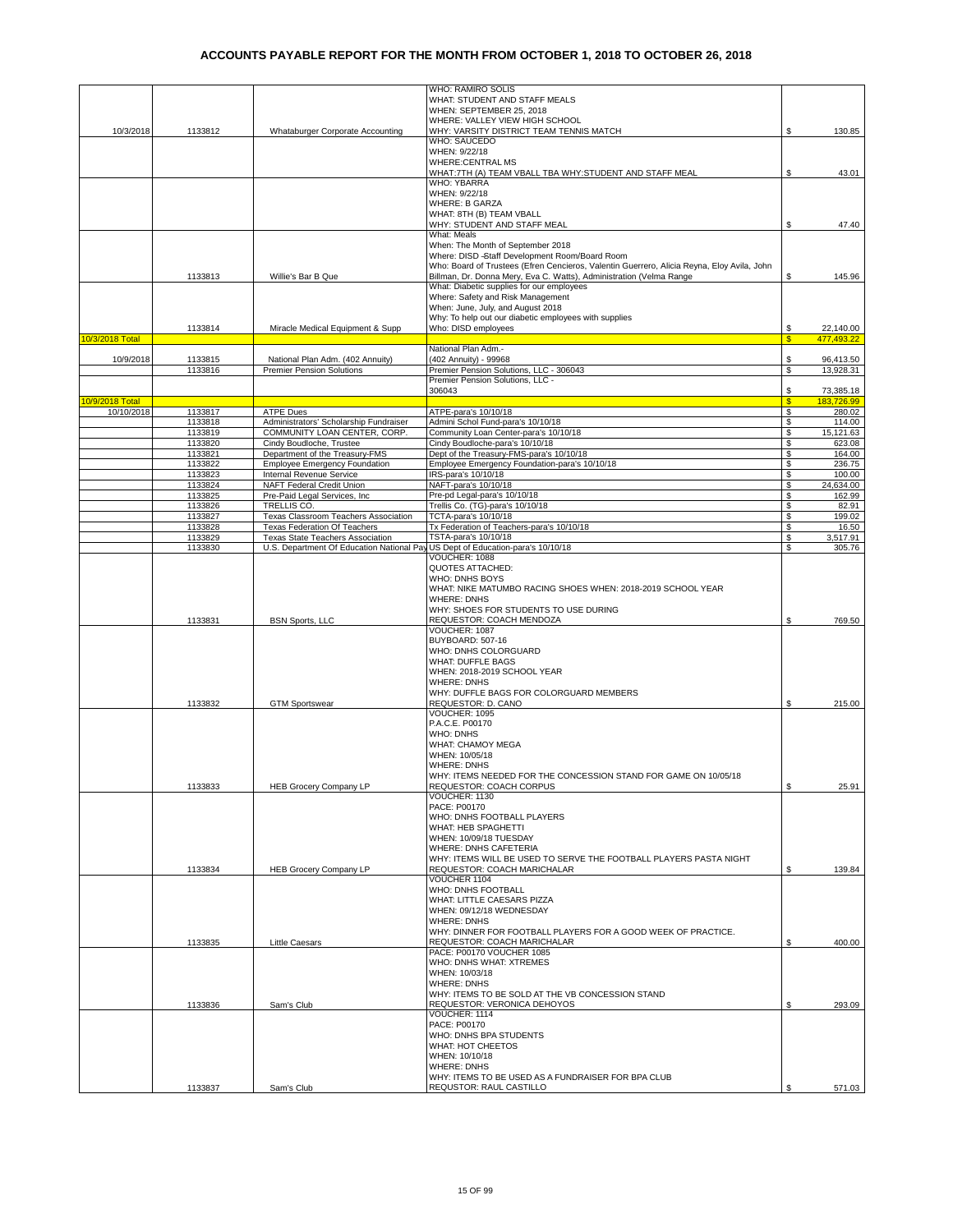|                 |         |                                                                                | WHO: RAMIRO SOLIS                                                                          |    |            |
|-----------------|---------|--------------------------------------------------------------------------------|--------------------------------------------------------------------------------------------|----|------------|
|                 |         |                                                                                | WHAT: STUDENT AND STAFF MEALS                                                              |    |            |
|                 |         |                                                                                | WHEN: SEPTEMBER 25, 2018                                                                   |    |            |
|                 |         |                                                                                | WHERE: VALLEY VIEW HIGH SCHOOL                                                             |    |            |
| 10/3/2018       | 1133812 | Whataburger Corporate Accounting                                               | WHY: VARSITY DISTRICT TEAM TENNIS MATCH                                                    | \$ | 130.85     |
|                 |         |                                                                                | WHO: SAUCEDO                                                                               |    |            |
|                 |         |                                                                                | WHEN: 9/22/18                                                                              |    |            |
|                 |         |                                                                                | <b>WHERE:CENTRAL MS</b>                                                                    |    |            |
|                 |         |                                                                                | WHAT:7TH (A) TEAM VBALL TBA WHY:STUDENT AND STAFF MEAL                                     | \$ | 43.01      |
|                 |         |                                                                                | <b>WHO: YBARRA</b>                                                                         |    |            |
|                 |         |                                                                                | WHEN: 9/22/18                                                                              |    |            |
|                 |         |                                                                                | <b>WHERE: B GARZA</b>                                                                      |    |            |
|                 |         |                                                                                |                                                                                            |    |            |
|                 |         |                                                                                | WHAT: 8TH (B) TEAM VBALL                                                                   |    |            |
|                 |         |                                                                                | WHY: STUDENT AND STAFF MEAL                                                                | S  | 47.40      |
|                 |         |                                                                                | What: Meals                                                                                |    |            |
|                 |         |                                                                                | When: The Month of September 2018                                                          |    |            |
|                 |         |                                                                                | Where: DISD -Staff Development Room/Board Room                                             |    |            |
|                 |         |                                                                                | Who: Board of Trustees (Efren Cencieros, Valentin Guerrero, Alicia Reyna, Eloy Avila, John |    |            |
|                 | 1133813 | Willie's Bar B Que                                                             | Billman, Dr. Donna Mery, Eva C. Watts), Administration (Velma Range                        | S. | 145.96     |
|                 |         |                                                                                | What: Diabetic supplies for our employees                                                  |    |            |
|                 |         |                                                                                | Where: Safety and Risk Management                                                          |    |            |
|                 |         |                                                                                | When: June, July, and August 2018                                                          |    |            |
|                 |         |                                                                                | Why: To help out our diabetic employees with supplies                                      |    |            |
|                 | 1133814 | Miracle Medical Equipment & Supp                                               | Who: DISD employees                                                                        | S  | 22,140.00  |
| 10/3/2018 Total |         |                                                                                |                                                                                            | S  | 477,493.22 |
|                 |         |                                                                                | National Plan Adm.-                                                                        |    |            |
| 10/9/2018       | 1133815 | National Plan Adm. (402 Annuity)                                               | (402 Annuity) - 99968                                                                      | \$ | 96,413.50  |
|                 | 1133816 | <b>Premier Pension Solutions</b>                                               | Premier Pension Solutions, LLC - 306043                                                    | S  | 13,928.31  |
|                 |         |                                                                                | Premier Pension Solutions, LLC -                                                           |    |            |
|                 |         |                                                                                | 306043                                                                                     | S  | 73,385.18  |
| 10/9/2018 Total |         |                                                                                |                                                                                            | S  | 183.726.99 |
|                 |         |                                                                                |                                                                                            |    |            |
| 10/10/2018      | 1133817 | <b>ATPE Dues</b>                                                               | ATPE-para's 10/10/18                                                                       | \$ | 280.02     |
|                 | 1133818 | Administrators' Scholarship Fundraiser                                         | Admini Schol Fund-para's 10/10/18                                                          | \$ | 114.00     |
|                 | 1133819 | COMMUNITY LOAN CENTER, CORP.                                                   | Community Loan Center-para's 10/10/18                                                      | \$ | 15,121.63  |
|                 | 1133820 | Cindy Boudloche, Trustee                                                       | Cindy Boudloche-para's 10/10/18                                                            | \$ | 623.08     |
|                 | 1133821 | Department of the Treasury-FMS                                                 | Dept of the Treasury-FMS-para's 10/10/18                                                   | \$ | 164.00     |
|                 | 1133822 | <b>Employee Emergency Foundation</b>                                           | Employee Emergency Foundation-para's 10/10/18                                              | \$ | 236.75     |
|                 | 1133823 | Internal Revenue Service                                                       | IRS-para's 10/10/18                                                                        | \$ | 100.00     |
|                 | 1133824 | NAFT Federal Credit Union                                                      | NAFT-para's 10/10/18                                                                       | S  | 24,634.00  |
|                 | 1133825 | Pre-Paid Legal Services, Inc.                                                  | Pre-pd Legal-para's 10/10/18                                                               | \$ | 162.99     |
|                 | 1133826 | TRELLIS CO.                                                                    | Trellis Co. (TG)-para's 10/10/18                                                           | \$ | 82.91      |
|                 | 1133827 | Texas Classroom Teachers Association                                           | TCTA-para's 10/10/18                                                                       | \$ | 199.02     |
|                 | 1133828 | <b>Texas Federation Of Teachers</b>                                            | Tx Federation of Teachers-para's 10/10/18                                                  | \$ | 16.50      |
|                 | 1133829 | Texas State Teachers Association                                               | TSTA-para's 10/10/18                                                                       | \$ | 3,517.91   |
|                 | 1133830 | U.S. Department Of Education National Pay US Dept of Education-para's 10/10/18 |                                                                                            | S  | 305.76     |
|                 |         |                                                                                | VOUCHER: 1088                                                                              |    |            |
|                 |         |                                                                                |                                                                                            |    |            |
|                 |         |                                                                                | <b>QUOTES ATTACHED:</b>                                                                    |    |            |
|                 |         |                                                                                | <b>WHO: DNHS BOYS</b>                                                                      |    |            |
|                 |         |                                                                                | WHAT: NIKE MATUMBO RACING SHOES WHEN: 2018-2019 SCHOOL YEAR                                |    |            |
|                 |         |                                                                                | <b>WHERE: DNHS</b>                                                                         |    |            |
|                 |         |                                                                                | WHY: SHOES FOR STUDENTS TO USE DURING                                                      |    |            |
|                 | 1133831 | <b>BSN Sports, LLC</b>                                                         | REQUESTOR: COACH MENDOZA                                                                   | S  | 769.50     |
|                 |         |                                                                                | VOUCHER: 1087                                                                              |    |            |
|                 |         |                                                                                | BUYBOARD: 507-16                                                                           |    |            |
|                 |         |                                                                                | WHO: DNHS COLORGUARD                                                                       |    |            |
|                 |         |                                                                                | <b>WHAT: DUFFLE BAGS</b>                                                                   |    |            |
|                 |         |                                                                                | WHEN: 2018-2019 SCHOOL YEAR                                                                |    |            |
|                 |         |                                                                                | <b>WHERE: DNHS</b>                                                                         |    |            |
|                 |         |                                                                                | WHY: DUFFLE BAGS FOR COLORGUARD MEMBERS                                                    |    |            |
|                 |         |                                                                                |                                                                                            |    |            |
|                 | 1133832 | <b>GTM Sportswear</b>                                                          | REQUESTOR: D. CANO                                                                         | \$ | 215.00     |
|                 |         |                                                                                | VOUCHER: 1095                                                                              |    |            |
|                 |         |                                                                                | P.A.C.E. P00170                                                                            |    |            |
|                 |         |                                                                                | <b>WHO: DNHS</b>                                                                           |    |            |
|                 |         |                                                                                | WHAT: CHAMOY MEGA                                                                          |    |            |
|                 |         |                                                                                | WHEN: 10/05/18                                                                             |    |            |
|                 |         |                                                                                | <b>WHERE: DNHS</b>                                                                         |    |            |
|                 |         |                                                                                | WHY: ITEMS NEEDED FOR THE CONCESSION STAND FOR GAME ON 10/05/18                            |    |            |
|                 | 1133833 | <b>HEB Grocery Company LP</b>                                                  | REQUESTOR: COACH CORPUS                                                                    | \$ | 25.91      |
|                 |         |                                                                                | VOUCHER: 1130                                                                              |    |            |
|                 |         |                                                                                | PACE: P00170                                                                               |    |            |
|                 |         |                                                                                | WHO: DNHS FOOTBALL PLAYERS                                                                 |    |            |
|                 |         |                                                                                | WHAT: HEB SPAGHETTI                                                                        |    |            |
|                 |         |                                                                                | WHEN: 10/09/18 TUESDAY                                                                     |    |            |
|                 |         |                                                                                | <b>WHERE: DNHS CAFETERIA</b>                                                               |    |            |
|                 |         |                                                                                | WHY: ITEMS WILL BE USED TO SERVE THE FOOTBALL PLAYERS PASTA NIGHT                          |    |            |
|                 | 1133834 | <b>HEB Grocery Company LP</b>                                                  | REQUESTOR: COACH MARICHALAR                                                                | \$ | 139.84     |
|                 |         |                                                                                | VOUCHER 1104                                                                               |    |            |
|                 |         |                                                                                | WHO: DNHS FOOTBALL                                                                         |    |            |
|                 |         |                                                                                | WHAT: LITTLE CAESARS PIZZA                                                                 |    |            |
|                 |         |                                                                                |                                                                                            |    |            |
|                 |         |                                                                                | WHEN: 09/12/18 WEDNESDAY                                                                   |    |            |
|                 |         |                                                                                | <b>WHERE: DNHS</b>                                                                         |    |            |
|                 |         |                                                                                | WHY: DINNER FOR FOOTBALL PLAYERS FOR A GOOD WEEK OF PRACTICE.                              |    |            |
|                 | 1133835 | <b>Little Caesars</b>                                                          | <b>REQUESTOR: COACH MARICHALAR</b>                                                         | S  | 400.00     |
|                 |         |                                                                                | PACE: P00170 VOUCHER 1085                                                                  |    |            |
|                 |         |                                                                                | WHO: DNHS WHAT: XTREMES                                                                    |    |            |
|                 |         |                                                                                | WHEN: 10/03/18                                                                             |    |            |
|                 |         |                                                                                | <b>WHERE: DNHS</b>                                                                         |    |            |
|                 |         |                                                                                | WHY: ITEMS TO BE SOLD AT THE VB CONCESSION STAND                                           |    |            |
|                 | 1133836 | Sam's Club                                                                     | REQUESTOR: VERONICA DEHOYOS                                                                | \$ | 293.09     |
|                 |         |                                                                                | VOUCHER: 1114                                                                              |    |            |
|                 |         |                                                                                | PACE: P00170                                                                               |    |            |
|                 |         |                                                                                | WHO: DNHS BPA STUDENTS                                                                     |    |            |
|                 |         |                                                                                | WHAT: HOT CHEETOS                                                                          |    |            |
|                 |         |                                                                                | WHEN: 10/10/18                                                                             |    |            |
|                 |         |                                                                                | <b>WHERE: DNHS</b>                                                                         |    |            |
|                 |         |                                                                                | WHY: ITEMS TO BE USED AS A FUNDRAISER FOR BPA CLUB                                         |    |            |
|                 | 1133837 | Sam's Club                                                                     | REQUSTOR: RAUL CASTILLO                                                                    | \$ | 571.03     |
|                 |         |                                                                                |                                                                                            |    |            |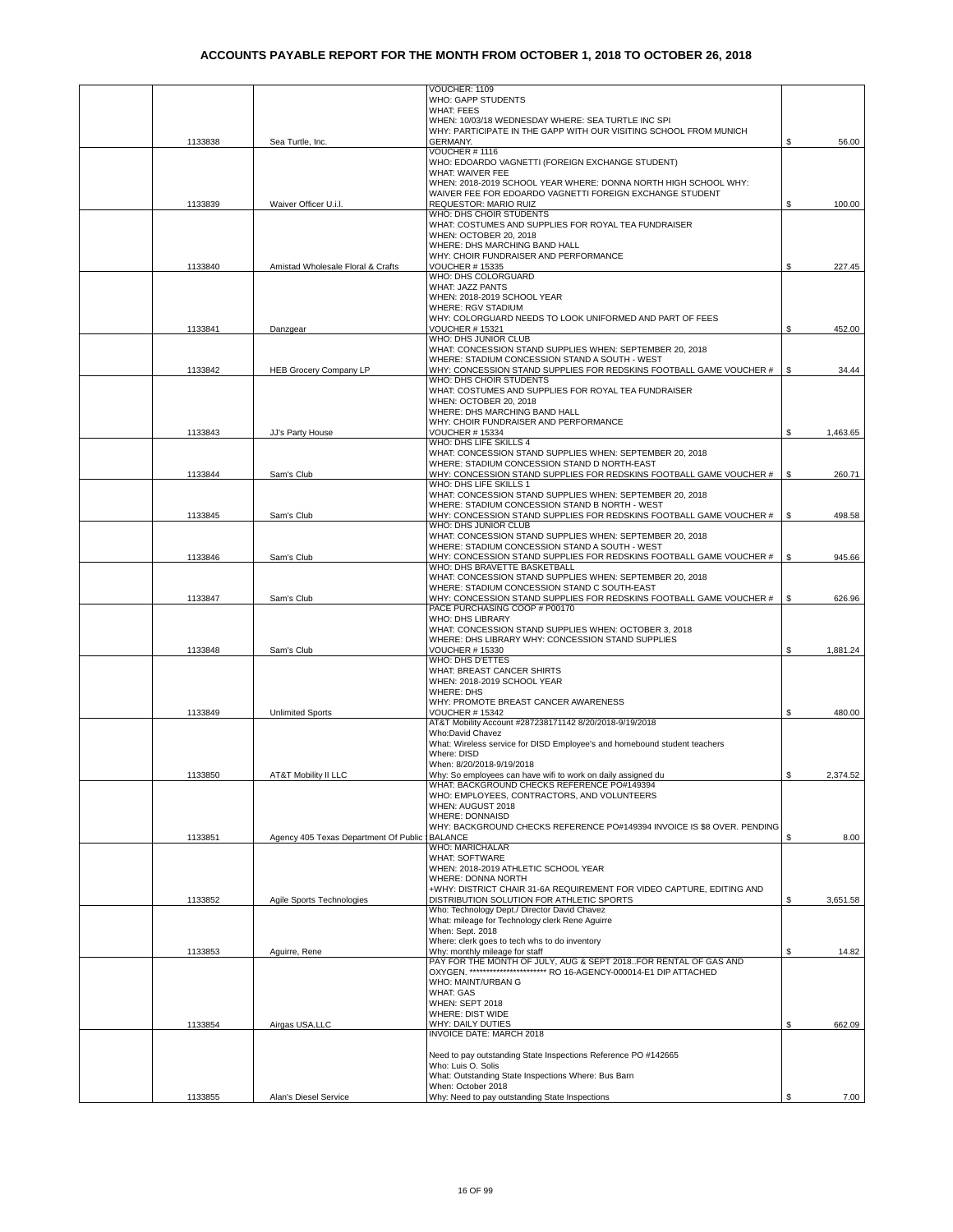|         |                                                | VOUCHER: 1109                                                                                                                              |    |          |
|---------|------------------------------------------------|--------------------------------------------------------------------------------------------------------------------------------------------|----|----------|
|         |                                                | WHO: GAPP STUDENTS<br><b>WHAT: FEES</b>                                                                                                    |    |          |
|         |                                                | WHEN: 10/03/18 WEDNESDAY WHERE: SEA TURTLE INC SPI                                                                                         |    |          |
|         |                                                | WHY: PARTICIPATE IN THE GAPP WITH OUR VISITING SCHOOL FROM MUNICH                                                                          |    |          |
| 1133838 | Sea Turtle, Inc.                               | <b>GERMANY.</b><br>VOUCHER #1116                                                                                                           | S  | 56.00    |
|         |                                                | WHO: EDOARDO VAGNETTI (FOREIGN EXCHANGE STUDENT)                                                                                           |    |          |
|         |                                                | WHAT: WAIVER FEE                                                                                                                           |    |          |
|         |                                                | WHEN: 2018-2019 SCHOOL YEAR WHERE: DONNA NORTH HIGH SCHOOL WHY:<br>WAIVER FEE FOR EDOARDO VAGNETTI FOREIGN EXCHANGE STUDENT                |    |          |
| 1133839 | Waiver Officer U.i.l.                          | REQUESTOR: MARIO RUIZ                                                                                                                      | \$ | 100.00   |
|         |                                                | WHO: DHS CHOIR STUDENTS                                                                                                                    |    |          |
|         |                                                | WHAT: COSTUMES AND SUPPLIES FOR ROYAL TEA FUNDRAISER<br>WHEN: OCTOBER 20, 2018                                                             |    |          |
|         |                                                | WHERE: DHS MARCHING BAND HALL                                                                                                              |    |          |
|         |                                                | WHY: CHOIR FUNDRAISER AND PERFORMANCE                                                                                                      |    |          |
| 1133840 | Amistad Wholesale Floral & Crafts              | <b>VOUCHER # 15335</b><br>WHO: DHS COLORGUARD                                                                                              | \$ | 227.45   |
|         |                                                | WHAT: JAZZ PANTS                                                                                                                           |    |          |
|         |                                                | WHEN: 2018-2019 SCHOOL YEAR                                                                                                                |    |          |
|         |                                                | <b>WHERE: RGV STADIUM</b>                                                                                                                  |    |          |
| 1133841 | Danzgear                                       | WHY: COLORGUARD NEEDS TO LOOK UNIFORMED AND PART OF FEES<br>VOUCHER # 15321                                                                | \$ | 452.00   |
|         |                                                | WHO: DHS JUNIOR CLUB                                                                                                                       |    |          |
|         |                                                | WHAT: CONCESSION STAND SUPPLIES WHEN: SEPTEMBER 20, 2018                                                                                   |    |          |
| 1133842 | <b>HEB Grocery Company LP</b>                  | WHERE: STADIUM CONCESSION STAND A SOUTH - WEST<br>WHY: CONCESSION STAND SUPPLIES FOR REDSKINS FOOTBALL GAME VOUCHER #                      | \$ | 34.44    |
|         |                                                | WHO: DHS CHOIR STUDENTS                                                                                                                    |    |          |
|         |                                                | WHAT: COSTUMES AND SUPPLIES FOR ROYAL TEA FUNDRAISER                                                                                       |    |          |
|         |                                                | WHEN: OCTOBER 20, 2018<br>WHERE: DHS MARCHING BAND HALL                                                                                    |    |          |
|         |                                                | WHY: CHOIR FUNDRAISER AND PERFORMANCE                                                                                                      |    |          |
| 1133843 | JJ's Party House                               | <b>VOUCHER # 15334</b>                                                                                                                     | \$ | 1,463.65 |
|         |                                                | WHO: DHS LIFE SKILLS 4<br>WHAT: CONCESSION STAND SUPPLIES WHEN: SEPTEMBER 20, 2018                                                         |    |          |
|         |                                                | WHERE: STADIUM CONCESSION STAND D NORTH-EAST                                                                                               |    |          |
| 1133844 | Sam's Club                                     | WHY: CONCESSION STAND SUPPLIES FOR REDSKINS FOOTBALL GAME VOUCHER #                                                                        | \$ | 260.71   |
|         |                                                | WHO: DHS LIFE SKILLS 1<br>WHAT: CONCESSION STAND SUPPLIES WHEN: SEPTEMBER 20, 2018                                                         |    |          |
|         |                                                | WHERE: STADIUM CONCESSION STAND B NORTH - WEST                                                                                             |    |          |
| 1133845 | Sam's Club                                     | WHY: CONCESSION STAND SUPPLIES FOR REDSKINS FOOTBALL GAME VOUCHER #                                                                        | \$ | 498.58   |
|         |                                                | WHO: DHS JUNIOR CLUB                                                                                                                       |    |          |
|         |                                                | WHAT: CONCESSION STAND SUPPLIES WHEN: SEPTEMBER 20, 2018<br>WHERE: STADIUM CONCESSION STAND A SOUTH - WEST                                 |    |          |
| 1133846 | Sam's Club                                     | WHY: CONCESSION STAND SUPPLIES FOR REDSKINS FOOTBALL GAME VOUCHER #                                                                        | \$ | 945.66   |
|         |                                                | WHO: DHS BRAVETTE BASKETBALL                                                                                                               |    |          |
|         |                                                | WHAT: CONCESSION STAND SUPPLIES WHEN: SEPTEMBER 20, 2018<br>WHERE: STADIUM CONCESSION STAND C SOUTH-EAST                                   |    |          |
| 1133847 | Sam's Club                                     | WHY: CONCESSION STAND SUPPLIES FOR REDSKINS FOOTBALL GAME VOUCHER #                                                                        | \$ | 626.96   |
|         |                                                | PACE PURCHASING COOP # P00170                                                                                                              |    |          |
|         |                                                | WHO: DHS LIBRARY<br>WHAT: CONCESSION STAND SUPPLIES WHEN: OCTOBER 3, 2018                                                                  |    |          |
|         |                                                | WHERE: DHS LIBRARY WHY: CONCESSION STAND SUPPLIES                                                                                          |    |          |
| 1133848 | Sam's Club                                     | <b>VOUCHER # 15330</b>                                                                                                                     | \$ | 1,881.24 |
|         |                                                | WHO: DHS D'ETTES<br>WHAT: BREAST CANCER SHIRTS                                                                                             |    |          |
|         |                                                | WHEN: 2018-2019 SCHOOL YEAR                                                                                                                |    |          |
|         |                                                | <b>WHERE: DHS</b>                                                                                                                          |    |          |
| 1133849 | <b>Unlimited Sports</b>                        | WHY: PROMOTE BREAST CANCER AWARENESS<br><b>VOUCHER # 15342</b>                                                                             | \$ | 480.00   |
|         |                                                | AT&T Mobility Account #287238171142 8/20/2018-9/19/2018                                                                                    |    |          |
|         |                                                | Who:David Chavez                                                                                                                           |    |          |
|         |                                                | What: Wireless service for DISD Employee's and homebound student teachers<br>Where: DISD                                                   |    |          |
|         |                                                | When: 8/20/2018-9/19/2018                                                                                                                  |    |          |
| 1133850 | <b>AT&amp;T Mobility II LLC</b>                | Why: So employees can have wifi to work on daily assigned du                                                                               |    | 2,374.52 |
|         |                                                | WHAT: BACKGROUND CHECKS REFERENCE PO#149394<br>WHO: EMPLOYEES, CONTRACTORS, AND VOLUNTEERS                                                 |    |          |
|         |                                                | WHEN: AUGUST 2018                                                                                                                          |    |          |
|         |                                                |                                                                                                                                            |    |          |
|         |                                                | WHERE: DONNAISD                                                                                                                            |    |          |
|         |                                                | WHY: BACKGROUND CHECKS REFERENCE PO#149394 INVOICE IS \$8 OVER. PENDING                                                                    |    |          |
| 1133851 | Agency 405 Texas Department Of Public IBALANCE | <b>WHO: MARICHALAR</b>                                                                                                                     | \$ | 8.00     |
|         |                                                | <b>WHAT: SOFTWARE</b>                                                                                                                      |    |          |
|         |                                                | WHEN: 2018-2019 ATHLETIC SCHOOL YEAR                                                                                                       |    |          |
|         |                                                | WHERE: DONNA NORTH                                                                                                                         |    |          |
| 1133852 | Agile Sports Technologies                      | +WHY: DISTRICT CHAIR 31-6A REQUIREMENT FOR VIDEO CAPTURE, EDITING AND<br>DISTRIBUTION SOLUTION FOR ATHLETIC SPORTS                         | \$ | 3,651.58 |
|         |                                                | Who: Technology Dept./ Director David Chavez                                                                                               |    |          |
|         |                                                | What: mileage for Technology clerk Rene Aguirre<br>When: Sept. 2018                                                                        |    |          |
|         |                                                | Where: clerk goes to tech whs to do inventory                                                                                              |    |          |
| 1133853 | Aguirre, Rene                                  | Why: monthly mileage for staff                                                                                                             | \$ | 14.82    |
|         |                                                | PAY FOR THE MONTH OF JULY, AUG & SEPT 2018. FOR RENTAL OF GAS AND<br>OXYGEN. ************************* RO 16-AGENCY-000014-E1 DIP ATTACHED |    |          |
|         |                                                | WHO: MAINT/URBAN G                                                                                                                         |    |          |
|         |                                                | <b>WHAT: GAS</b>                                                                                                                           |    |          |
|         |                                                | WHEN: SEPT 2018<br>WHERE: DIST WIDE                                                                                                        |    |          |
| 1133854 | Airgas USA, LLC                                | WHY: DAILY DUTIES                                                                                                                          | \$ | 662.09   |
|         |                                                | INVOICE DATE: MARCH 2018                                                                                                                   |    |          |
|         |                                                | Need to pay outstanding State Inspections Reference PO #142665                                                                             |    |          |
|         |                                                | Who: Luis O. Solis                                                                                                                         |    |          |
|         |                                                | What: Outstanding State Inspections Where: Bus Barn<br>When: October 2018                                                                  |    |          |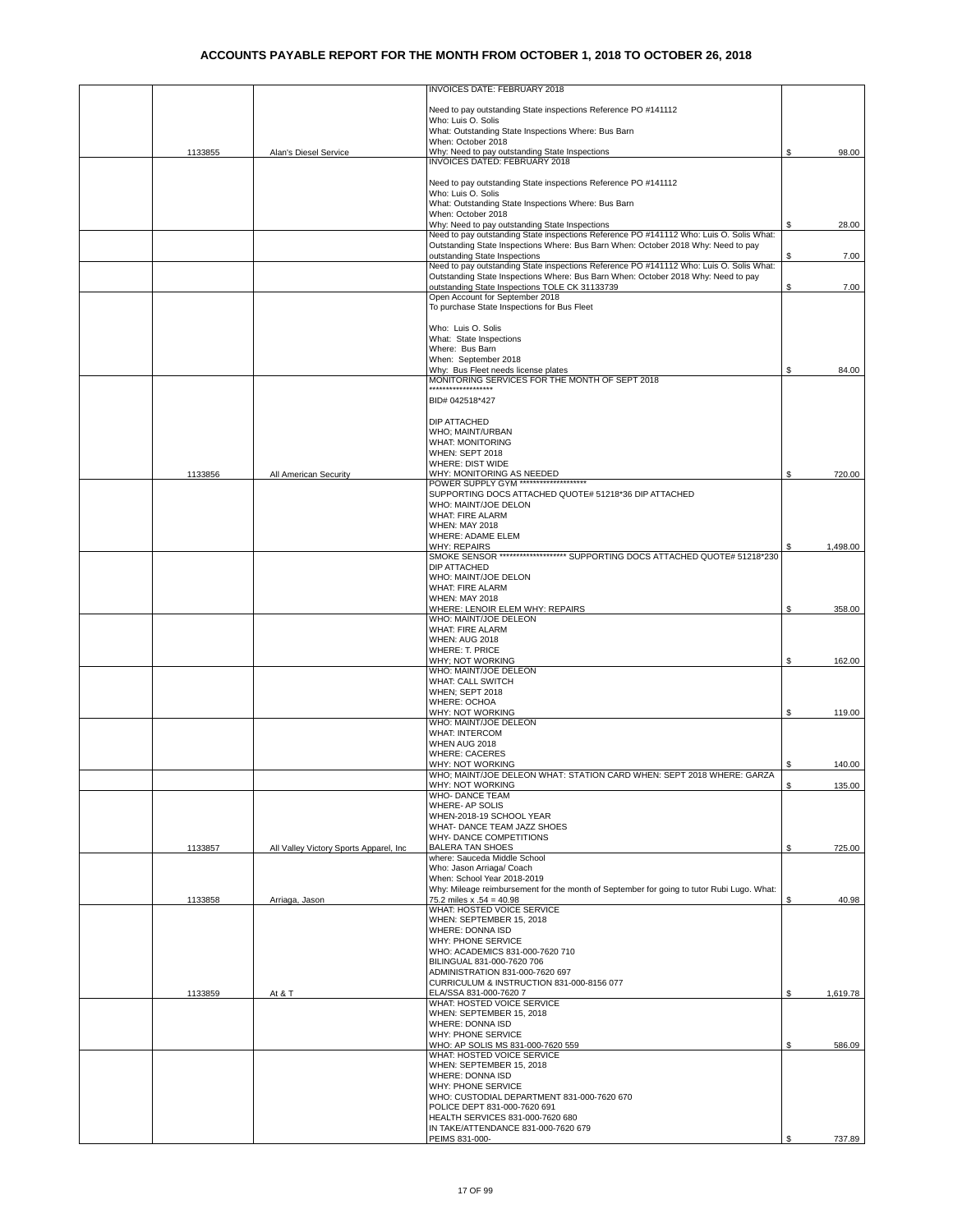|         |                                         | INVOICES DATE: FEBRUARY 2018                                                                                                                                                 |    |          |
|---------|-----------------------------------------|------------------------------------------------------------------------------------------------------------------------------------------------------------------------------|----|----------|
|         |                                         |                                                                                                                                                                              |    |          |
|         |                                         | Need to pay outstanding State inspections Reference PO #141112                                                                                                               |    |          |
|         |                                         | Who: Luis O. Solis<br>What: Outstanding State Inspections Where: Bus Barn                                                                                                    |    |          |
|         |                                         | When: October 2018                                                                                                                                                           |    |          |
| 1133855 | Alan's Diesel Service                   | Why: Need to pay outstanding State Inspections<br>INVOICES DATED: FEBRUARY 2018                                                                                              | \$ | 98.00    |
|         |                                         |                                                                                                                                                                              |    |          |
|         |                                         | Need to pay outstanding State inspections Reference PO #141112                                                                                                               |    |          |
|         |                                         | Who: Luis O. Solis                                                                                                                                                           |    |          |
|         |                                         | What: Outstanding State Inspections Where: Bus Barn<br>When: October 2018                                                                                                    |    |          |
|         |                                         | Why: Need to pay outstanding State Inspections                                                                                                                               |    | 28.00    |
|         |                                         | Need to pay outstanding State inspections Reference PO #141112 Who: Luis O. Solis What:<br>Outstanding State Inspections Where: Bus Barn When: October 2018 Why: Need to pay |    |          |
|         |                                         | outstanding State Inspections                                                                                                                                                | S  | 7.00     |
|         |                                         | Need to pay outstanding State inspections Reference PO #141112 Who: Luis O. Solis What:                                                                                      |    |          |
|         |                                         | Outstanding State Inspections Where: Bus Barn When: October 2018 Why: Need to pay<br>outstanding State Inspections TOLE CK 31133739                                          | \$ | 7.00     |
|         |                                         | Open Account for September 2018                                                                                                                                              |    |          |
|         |                                         | To purchase State Inspections for Bus Fleet                                                                                                                                  |    |          |
|         |                                         | Who: Luis O. Solis                                                                                                                                                           |    |          |
|         |                                         | What: State Inspections                                                                                                                                                      |    |          |
|         |                                         | Where: Bus Barn                                                                                                                                                              |    |          |
|         |                                         | When: September 2018<br>Why: Bus Fleet needs license plates                                                                                                                  | \$ | 84.00    |
|         |                                         | MONITORING SERVICES FOR THE MONTH OF SEPT 2018<br>                                                                                                                           |    |          |
|         |                                         | BID# 042518*427                                                                                                                                                              |    |          |
|         |                                         |                                                                                                                                                                              |    |          |
|         |                                         | DIP ATTACHED                                                                                                                                                                 |    |          |
|         |                                         | WHO; MAINT/URBAN<br><b>WHAT: MONITORING</b>                                                                                                                                  |    |          |
|         |                                         | WHEN: SEPT 2018                                                                                                                                                              |    |          |
|         |                                         | WHERE: DIST WIDE                                                                                                                                                             |    |          |
| 1133856 | All American Security                   | WHY: MONITORING AS NEEDED<br>POWER SUPPLY GYM ********************                                                                                                           | \$ | 720.00   |
|         |                                         | SUPPORTING DOCS ATTACHED QUOTE# 51218*36 DIP ATTACHED                                                                                                                        |    |          |
|         |                                         | WHO: MAINT/JOE DELON<br>WHAT: FIRE ALARM                                                                                                                                     |    |          |
|         |                                         | <b>WHEN: MAY 2018</b>                                                                                                                                                        |    |          |
|         |                                         | WHERE: ADAME ELEM                                                                                                                                                            |    |          |
|         |                                         | <b>WHY: REPAIRS</b><br>SMOKE SENSOR ******************** SUPPORTING DOCS ATTACHED QUOTE# 51218*230                                                                           |    | 1,498.00 |
|         |                                         | DIP ATTACHED                                                                                                                                                                 |    |          |
|         |                                         | WHO: MAINT/JOE DELON                                                                                                                                                         |    |          |
|         |                                         | WHAT: FIRE ALARM<br><b>WHEN: MAY 2018</b>                                                                                                                                    |    |          |
|         |                                         | WHERE: LENOIR ELEM WHY: REPAIRS                                                                                                                                              | \$ | 358.00   |
|         |                                         | WHO: MAINT/JOE DELEON                                                                                                                                                        |    |          |
|         |                                         | <b>WHAT: FIRE ALARM</b><br><b>WHEN: AUG 2018</b>                                                                                                                             |    |          |
|         |                                         | <b>WHERE: T. PRICE</b>                                                                                                                                                       |    |          |
|         |                                         | WHY; NOT WORKING<br>WHO: MAINT/JOE DELEON                                                                                                                                    | \$ | 162.00   |
|         |                                         | WHAT: CALL SWITCH                                                                                                                                                            |    |          |
|         |                                         | WHEN; SEPT 2018                                                                                                                                                              |    |          |
|         |                                         | WHERE: OCHOA<br>WHY: NOT WORKING                                                                                                                                             | \$ | 119.00   |
|         |                                         | WHO: MAINT/JOE DELEON                                                                                                                                                        |    |          |
|         |                                         | <b>WHAT: INTERCOM</b><br>WHEN AUG 2018                                                                                                                                       |    |          |
|         |                                         | <b>WHERE: CACERES</b>                                                                                                                                                        |    |          |
|         |                                         | WHY: NOT WORKING                                                                                                                                                             | \$ | 140.00   |
|         |                                         | WHO; MAINT/JOE DELEON WHAT: STATION CARD WHEN: SEPT 2018 WHERE: GARZA<br>WHY: NOT WORKING                                                                                    | S  | 135.00   |
|         |                                         | <b>WHO- DANCE TEAM</b>                                                                                                                                                       |    |          |
|         |                                         | WHERE- AP SOLIS                                                                                                                                                              |    |          |
|         |                                         | WHEN-2018-19 SCHOOL YEAR<br>WHAT- DANCE TEAM JAZZ SHOES                                                                                                                      |    |          |
|         |                                         | WHY- DANCE COMPETITIONS                                                                                                                                                      |    |          |
| 1133857 | All Valley Victory Sports Apparel, Inc. | <b>BALERA TAN SHOES</b>                                                                                                                                                      | \$ | 725.00   |
|         |                                         | where: Sauceda Middle School<br>Who: Jason Arriaga/ Coach                                                                                                                    |    |          |
|         |                                         | When: School Year 2018-2019                                                                                                                                                  |    |          |
| 1133858 | Arriaga, Jason                          | Why: Mileage reimbursement for the month of September for going to tutor Rubi Lugo. What:<br>75.2 miles $x .54 = 40.98$                                                      | \$ | 40.98    |
|         |                                         | WHAT: HOSTED VOICE SERVICE                                                                                                                                                   |    |          |
|         |                                         | WHEN: SEPTEMBER 15, 2018                                                                                                                                                     |    |          |
|         |                                         | WHERE: DONNA ISD<br>WHY: PHONE SERVICE                                                                                                                                       |    |          |
|         |                                         | WHO: ACADEMICS 831-000-7620 710                                                                                                                                              |    |          |
|         |                                         | BILINGUAL 831-000-7620 706<br>ADMINISTRATION 831-000-7620 697                                                                                                                |    |          |
|         |                                         | CURRICULUM & INSTRUCTION 831-000-8156 077                                                                                                                                    |    |          |
| 1133859 | At & T                                  | ELA/SSA 831-000-7620 7                                                                                                                                                       | \$ | 1,619.78 |
|         |                                         | WHAT: HOSTED VOICE SERVICE<br>WHEN: SEPTEMBER 15, 2018                                                                                                                       |    |          |
|         |                                         | WHERE: DONNA ISD                                                                                                                                                             |    |          |
|         |                                         | WHY: PHONE SERVICE                                                                                                                                                           |    |          |
|         |                                         | WHO: AP SOLIS MS 831-000-7620 559<br>WHAT: HOSTED VOICE SERVICE                                                                                                              | \$ | 586.09   |
|         |                                         | WHEN: SEPTEMBER 15, 2018                                                                                                                                                     |    |          |
|         |                                         | WHERE: DONNA ISD<br>WHY: PHONE SERVICE                                                                                                                                       |    |          |
|         |                                         | WHO: CUSTODIAL DEPARTMENT 831-000-7620 670                                                                                                                                   |    |          |
|         |                                         | POLICE DEPT 831-000-7620 691                                                                                                                                                 |    |          |
|         |                                         | HEALTH SERVICES 831-000-7620 680<br>IN TAKE/ATTENDANCE 831-000-7620 679                                                                                                      |    |          |
|         |                                         | PEIMS 831-000-                                                                                                                                                               | \$ | 737.89   |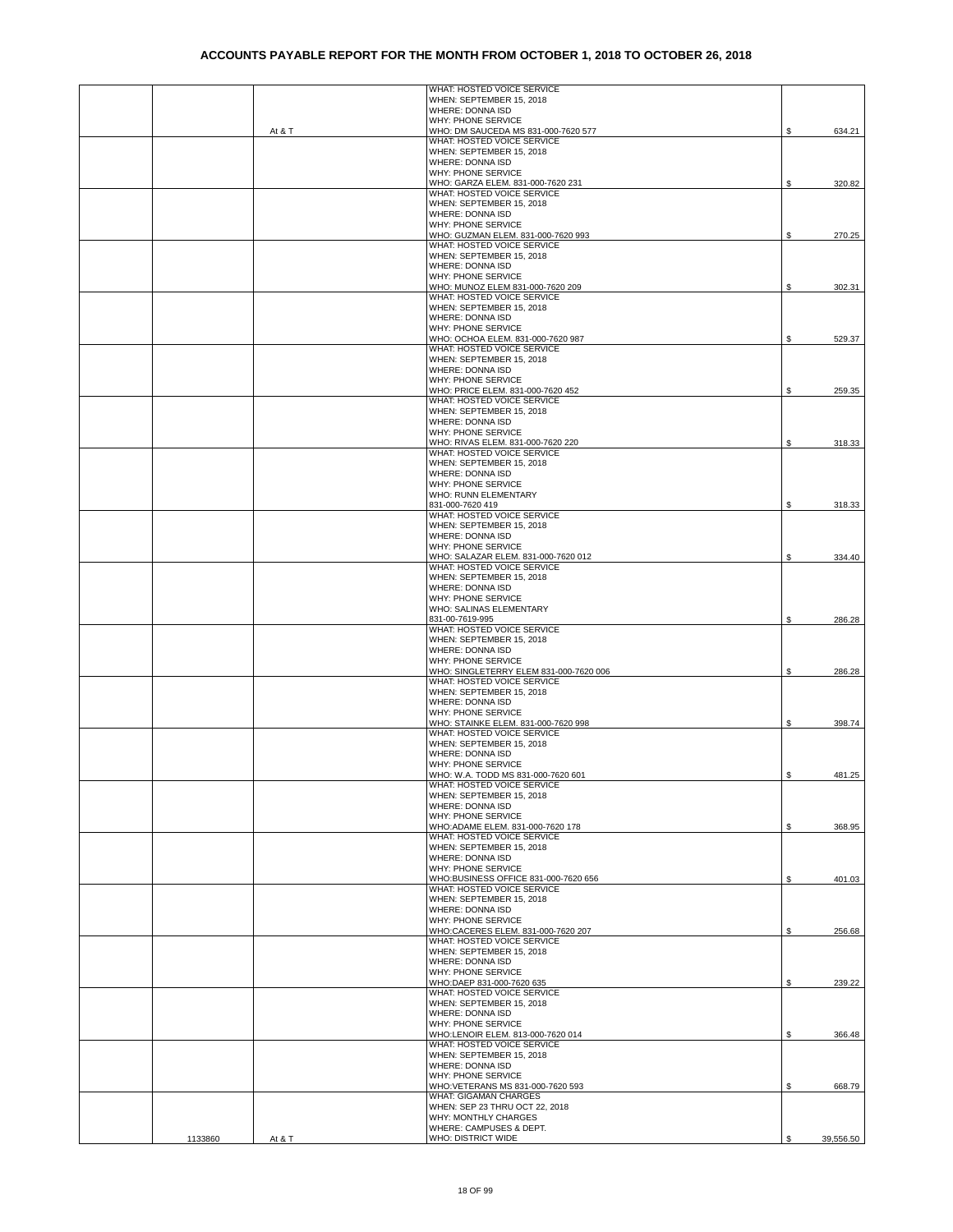|         |        | WHAT: HOSTED VOICE SERVICE                                         |                 |
|---------|--------|--------------------------------------------------------------------|-----------------|
|         |        | WHEN: SEPTEMBER 15, 2018                                           |                 |
|         |        | WHERE: DONNA ISD<br>WHY: PHONE SERVICE                             |                 |
|         | At & T | WHO: DM SAUCEDA MS 831-000-7620 577                                | \$<br>634.21    |
|         |        | WHAT: HOSTED VOICE SERVICE                                         |                 |
|         |        | WHEN: SEPTEMBER 15, 2018                                           |                 |
|         |        | WHERE: DONNA ISD<br>WHY: PHONE SERVICE                             |                 |
|         |        | WHO: GARZA ELEM. 831-000-7620 231                                  | 320.82<br>\$    |
|         |        | WHAT: HOSTED VOICE SERVICE                                         |                 |
|         |        | WHEN: SEPTEMBER 15, 2018                                           |                 |
|         |        | WHERE: DONNA ISD<br>WHY: PHONE SERVICE                             |                 |
|         |        | WHO: GUZMAN ELEM. 831-000-7620 993                                 | \$<br>270.25    |
|         |        | WHAT: HOSTED VOICE SERVICE                                         |                 |
|         |        | WHEN: SEPTEMBER 15, 2018                                           |                 |
|         |        | WHERE: DONNA ISD                                                   |                 |
|         |        | WHY: PHONE SERVICE<br>WHO: MUNOZ ELEM 831-000-7620 209             |                 |
|         |        | WHAT: HOSTED VOICE SERVICE                                         | 302.31<br>S     |
|         |        | WHEN: SEPTEMBER 15, 2018                                           |                 |
|         |        | WHERE: DONNA ISD                                                   |                 |
|         |        | WHY: PHONE SERVICE                                                 |                 |
|         |        | WHO: OCHOA ELEM. 831-000-7620 987<br>WHAT: HOSTED VOICE SERVICE    | 529.37<br>S     |
|         |        | WHEN: SEPTEMBER 15, 2018                                           |                 |
|         |        | WHERE: DONNA ISD                                                   |                 |
|         |        | WHY: PHONE SERVICE                                                 |                 |
|         |        | WHO: PRICE ELEM. 831-000-7620 452<br>WHAT: HOSTED VOICE SERVICE    | S<br>259.35     |
|         |        | WHEN: SEPTEMBER 15, 2018                                           |                 |
|         |        | WHERE: DONNA ISD                                                   |                 |
|         |        | WHY: PHONE SERVICE                                                 |                 |
|         |        | WHO: RIVAS ELEM. 831-000-7620 220                                  | 318.33<br>\$    |
|         |        | WHAT: HOSTED VOICE SERVICE<br>WHEN: SEPTEMBER 15, 2018             |                 |
|         |        | WHERE: DONNA ISD                                                   |                 |
|         |        | WHY: PHONE SERVICE                                                 |                 |
|         |        | WHO: RUNN ELEMENTARY                                               |                 |
|         |        | 831-000-7620 419                                                   | \$<br>318.33    |
|         |        | WHAT: HOSTED VOICE SERVICE<br>WHEN: SEPTEMBER 15, 2018             |                 |
|         |        | WHERE: DONNA ISD                                                   |                 |
|         |        | WHY: PHONE SERVICE                                                 |                 |
|         |        | WHO: SALAZAR ELEM. 831-000-7620 012                                | \$<br>334.40    |
|         |        | WHAT: HOSTED VOICE SERVICE                                         |                 |
|         |        | WHEN: SEPTEMBER 15, 2018<br>WHERE: DONNA ISD                       |                 |
|         |        | WHY: PHONE SERVICE                                                 |                 |
|         |        | WHO: SALINAS ELEMENTARY                                            |                 |
|         |        | 831-00-7619-995                                                    | 286.28<br>\$    |
|         |        | WHAT: HOSTED VOICE SERVICE                                         |                 |
|         |        | WHEN: SEPTEMBER 15, 2018<br>WHERE: DONNA ISD                       |                 |
|         |        | WHY: PHONE SERVICE                                                 |                 |
|         |        | WHO: SINGLETERRY ELEM 831-000-7620 006                             | \$<br>286.28    |
|         |        | WHAT: HOSTED VOICE SERVICE                                         |                 |
|         |        | WHEN: SEPTEMBER 15, 2018                                           |                 |
|         |        | WHERE: DONNA ISD<br>WHY: PHONE SERVICE                             |                 |
|         |        | WHO: STAINKE ELEM. 831-000-7620 998                                | \$<br>398.74    |
|         |        | WHAT: HOSTED VOICE SERVICE                                         |                 |
|         |        | WHEN: SEPTEMBER 15, 2018                                           |                 |
|         |        | WHERE: DONNA ISD<br>WHY: PHONE SERVICE                             |                 |
|         |        | WHO: W.A. TODD MS 831-000-7620 601                                 | \$<br>481.25    |
|         |        | WHAT: HOSTED VOICE SERVICE                                         |                 |
|         |        | WHEN: SEPTEMBER 15, 2018                                           |                 |
|         |        | WHERE: DONNA ISD                                                   |                 |
|         |        | WHY: PHONE SERVICE                                                 |                 |
|         |        | WHO:ADAME ELEM. 831-000-7620 178<br>WHAT: HOSTED VOICE SERVICE     | \$<br>368.95    |
|         |        | WHEN: SEPTEMBER 15, 2018                                           |                 |
|         |        | WHERE: DONNA ISD                                                   |                 |
|         |        | WHY: PHONE SERVICE                                                 |                 |
|         |        | WHO:BUSINESS OFFICE 831-000-7620 656<br>WHAT: HOSTED VOICE SERVICE | 401.03<br>\$    |
|         |        | WHEN: SEPTEMBER 15, 2018                                           |                 |
|         |        | WHERE: DONNA ISD                                                   |                 |
|         |        | WHY: PHONE SERVICE                                                 |                 |
|         |        | WHO:CACERES ELEM. 831-000-7620 207<br>WHAT: HOSTED VOICE SERVICE   | \$<br>256.68    |
|         |        | WHEN: SEPTEMBER 15, 2018                                           |                 |
|         |        | WHERE: DONNA ISD                                                   |                 |
|         |        | WHY: PHONE SERVICE                                                 |                 |
|         |        | WHO:DAEP 831-000-7620 635                                          | 239.22<br>\$    |
|         |        | WHAT: HOSTED VOICE SERVICE                                         |                 |
|         |        | WHEN: SEPTEMBER 15, 2018<br>WHERE: DONNA ISD                       |                 |
|         |        | WHY: PHONE SERVICE                                                 |                 |
|         |        | WHO:LENOIR ELEM. 813-000-7620 014                                  | \$<br>366.48    |
|         |        | WHAT: HOSTED VOICE SERVICE                                         |                 |
|         |        | WHEN: SEPTEMBER 15, 2018                                           |                 |
|         |        | WHERE: DONNA ISD<br>WHY: PHONE SERVICE                             |                 |
|         |        | WHO:VETERANS MS 831-000-7620 593                                   | 668.79<br>\$    |
|         |        | <b>WHAT: GIGAMAN CHARGES</b>                                       |                 |
|         |        | WHEN: SEP 23 THRU OCT 22, 2018                                     |                 |
|         |        | WHY: MONTHLY CHARGES                                               |                 |
| 1133860 | At & T | WHERE: CAMPUSES & DEPT.<br>WHO: DISTRICT WIDE                      | \$<br>39,556.50 |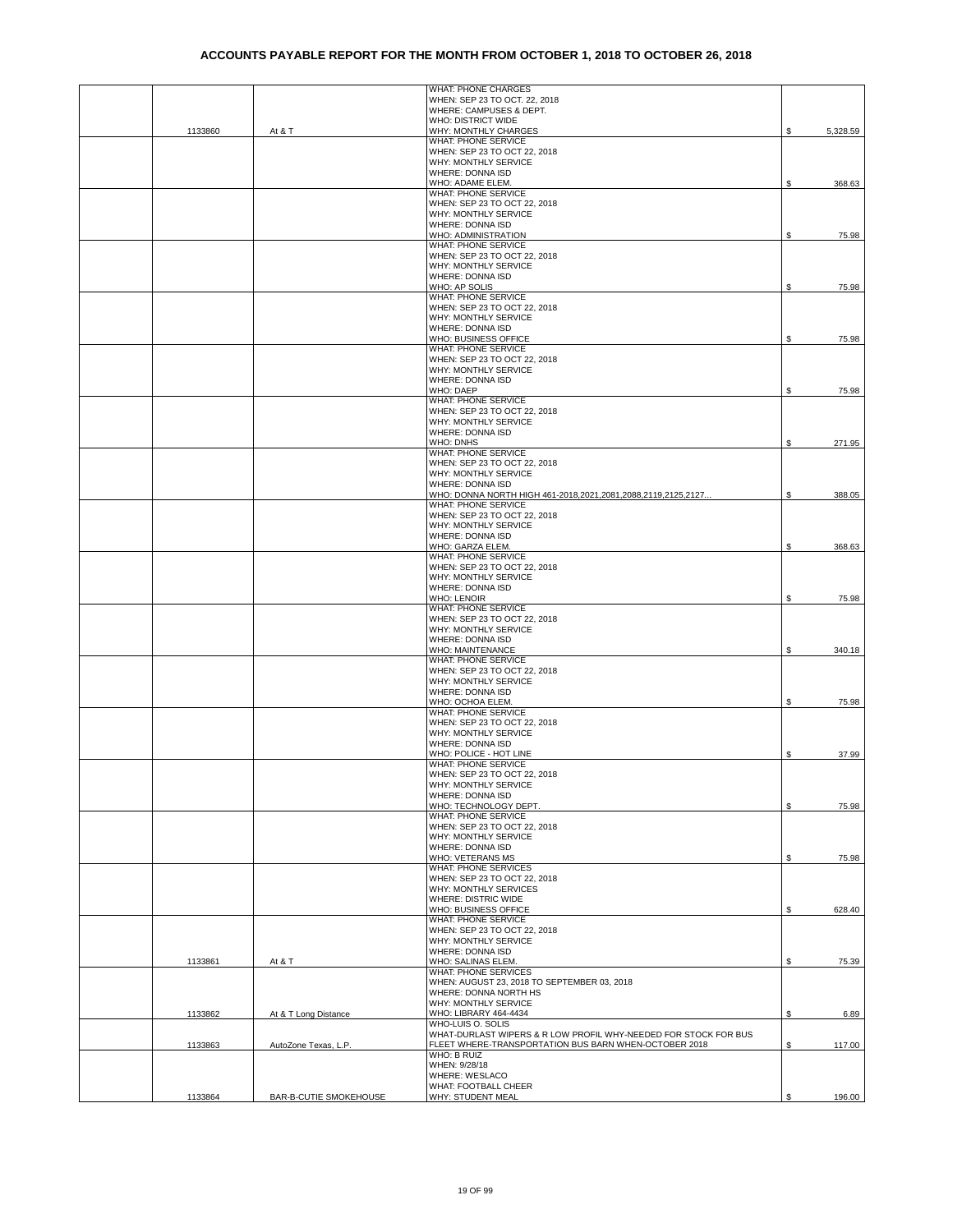|         |                               | <b>WHAT: PHONE CHARGES</b>                                                          |    |          |
|---------|-------------------------------|-------------------------------------------------------------------------------------|----|----------|
|         |                               | WHEN: SEP 23 TO OCT. 22, 2018                                                       |    |          |
|         |                               | WHERE: CAMPUSES & DEPT.<br>WHO: DISTRICT WIDE                                       |    |          |
| 1133860 | At & T                        | WHY: MONTHLY CHARGES                                                                | S  | 5,328.59 |
|         |                               | WHAT: PHONE SERVICE                                                                 |    |          |
|         |                               | WHEN: SEP 23 TO OCT 22, 2018                                                        |    |          |
|         |                               | WHY: MONTHLY SERVICE                                                                |    |          |
|         |                               | WHERE: DONNA ISD                                                                    |    |          |
|         |                               | WHO: ADAME ELEM.<br>WHAT: PHONE SERVICE                                             | S  | 368.63   |
|         |                               | WHEN: SEP 23 TO OCT 22, 2018                                                        |    |          |
|         |                               | WHY: MONTHLY SERVICE                                                                |    |          |
|         |                               | WHERE: DONNA ISD                                                                    |    |          |
|         |                               | WHO: ADMINISTRATION                                                                 | S  | 75.98    |
|         |                               | WHAT: PHONE SERVICE                                                                 |    |          |
|         |                               | WHEN: SEP 23 TO OCT 22, 2018<br>WHY: MONTHLY SERVICE                                |    |          |
|         |                               | <b>WHERE: DONNA ISD</b>                                                             |    |          |
|         |                               | WHO: AP SOLIS                                                                       | S  | 75.98    |
|         |                               | <b>WHAT: PHONE SERVICE</b>                                                          |    |          |
|         |                               | WHEN: SEP 23 TO OCT 22, 2018                                                        |    |          |
|         |                               | WHY: MONTHLY SERVICE                                                                |    |          |
|         |                               | WHERE: DONNA ISD                                                                    |    |          |
|         |                               | WHO: BUSINESS OFFICE<br><b>WHAT: PHONE SERVICE</b>                                  | S  | 75.98    |
|         |                               | WHEN: SEP 23 TO OCT 22, 2018                                                        |    |          |
|         |                               | WHY: MONTHLY SERVICE                                                                |    |          |
|         |                               | WHERE: DONNA ISD                                                                    |    |          |
|         |                               | <b>WHO: DAEP</b>                                                                    | \$ | 75.98    |
|         |                               | WHAT: PHONE SERVICE                                                                 |    |          |
|         |                               | WHEN: SEP 23 TO OCT 22, 2018                                                        |    |          |
|         |                               | WHY: MONTHLY SERVICE<br>WHERE: DONNA ISD                                            |    |          |
|         |                               | WHO: DNHS                                                                           |    | 271.95   |
|         |                               | WHAT: PHONE SERVICE                                                                 |    |          |
|         |                               | WHEN: SEP 23 TO OCT 22, 2018                                                        |    |          |
|         |                               | WHY: MONTHLY SERVICE                                                                |    |          |
|         |                               | <b>WHERE: DONNA ISD</b>                                                             |    |          |
|         |                               | WHO: DONNA NORTH HIGH 461-2018,2021,2081,2088,2119,2125,2127<br>WHAT: PHONE SERVICE | \$ | 388.05   |
|         |                               | WHEN: SEP 23 TO OCT 22, 2018                                                        |    |          |
|         |                               | WHY: MONTHLY SERVICE                                                                |    |          |
|         |                               | WHERE: DONNA ISD                                                                    |    |          |
|         |                               | WHO: GARZA ELEM                                                                     | S  | 368.63   |
|         |                               | WHAT: PHONE SERVICE                                                                 |    |          |
|         |                               | WHEN: SEP 23 TO OCT 22, 2018<br>WHY: MONTHLY SERVICE                                |    |          |
|         |                               | WHERE: DONNA ISD                                                                    |    |          |
|         |                               | <b>WHO: LENOIR</b>                                                                  | £. | 75.98    |
|         |                               | WHAT: PHONE SERVICE                                                                 |    |          |
|         |                               | WHEN: SEP 23 TO OCT 22, 2018                                                        |    |          |
|         |                               | WHY: MONTHLY SERVICE                                                                |    |          |
|         |                               | WHERE: DONNA ISD                                                                    |    |          |
|         |                               | <b>WHO: MAINTENANCE</b><br>WHAT: PHONE SERVICE                                      | S  | 340.18   |
|         |                               | WHEN: SEP 23 TO OCT 22, 2018                                                        |    |          |
|         |                               | WHY: MONTHLY SERVICE                                                                |    |          |
|         |                               | WHERE: DONNA ISD                                                                    |    |          |
|         |                               | WHO: OCHOA ELEM.                                                                    | S  | 75.98    |
|         |                               | <b>WHAT: PHONE SERVICE</b>                                                          |    |          |
|         |                               | WHEN: SEP 23 TO OCT 22, 2018                                                        |    |          |
|         |                               | WHY: MONTHLY SERVICE<br>WHERE: DONNA ISD                                            |    |          |
|         |                               | WHO: POLICE - HOT LINE                                                              | \$ | 37.99    |
|         |                               | WHAT: PHONE SERVICE                                                                 |    |          |
|         |                               | WHEN: SEP 23 TO OCT 22, 2018                                                        |    |          |
|         |                               | WHY: MONTHLY SERVICE                                                                |    |          |
|         |                               | WHERE: DONNA ISD                                                                    |    |          |
|         |                               | WHO: TECHNOLOGY DEPT.<br>WHAT: PHONE SERVICE                                        | \$ | 75.98    |
|         |                               | WHEN: SEP 23 TO OCT 22, 2018                                                        |    |          |
|         |                               | WHY: MONTHLY SERVICE                                                                |    |          |
|         |                               | WHERE: DONNA ISD                                                                    |    |          |
|         |                               | WHO: VETERANS MS                                                                    | \$ | 75.98    |
|         |                               | <b>WHAT: PHONE SERVICES</b>                                                         |    |          |
|         |                               | WHEN: SEP 23 TO OCT 22, 2018                                                        |    |          |
|         |                               | WHY: MONTHLY SERVICES<br><b>WHERE: DISTRIC WIDE</b>                                 |    |          |
|         |                               | WHO: BUSINESS OFFICE                                                                | S  | 628.40   |
|         |                               | WHAT: PHONE SERVICE                                                                 |    |          |
|         |                               | WHEN: SEP 23 TO OCT 22, 2018                                                        |    |          |
|         |                               | WHY: MONTHLY SERVICE                                                                |    |          |
|         |                               | WHERE: DONNA ISD                                                                    |    |          |
| 1133861 | At & T                        | WHO: SALINAS ELEM.<br><b>WHAT: PHONE SERVICES</b>                                   | S  | 75.39    |
|         |                               | WHEN: AUGUST 23, 2018 TO SEPTEMBER 03, 2018                                         |    |          |
|         |                               | WHERE: DONNA NORTH HS                                                               |    |          |
|         |                               | WHY: MONTHLY SERVICE                                                                |    |          |
| 1133862 | At & T Long Distance          | WHO: LIBRARY 464-4434                                                               | \$ | 6.89     |
|         |                               | WHO-LUIS O. SOLIS                                                                   |    |          |
|         |                               | WHAT-DURLAST WIPERS & R LOW PROFIL WHY-NEEDED FOR STOCK FOR BUS                     |    |          |
| 1133863 | AutoZone Texas, L.P.          | FLEET WHERE-TRANSPORTATION BUS BARN WHEN-OCTOBER 2018<br>WHO: B RUIZ                | \$ | 117.00   |
|         |                               | WHEN: 9/28/18                                                                       |    |          |
|         |                               | WHERE: WESLACO                                                                      |    |          |
|         |                               | WHAT: FOOTBALL CHEER                                                                |    |          |
| 1133864 | <b>BAR-B-CUTIE SMOKEHOUSE</b> | WHY: STUDENT MEAL                                                                   | S  | 196.00   |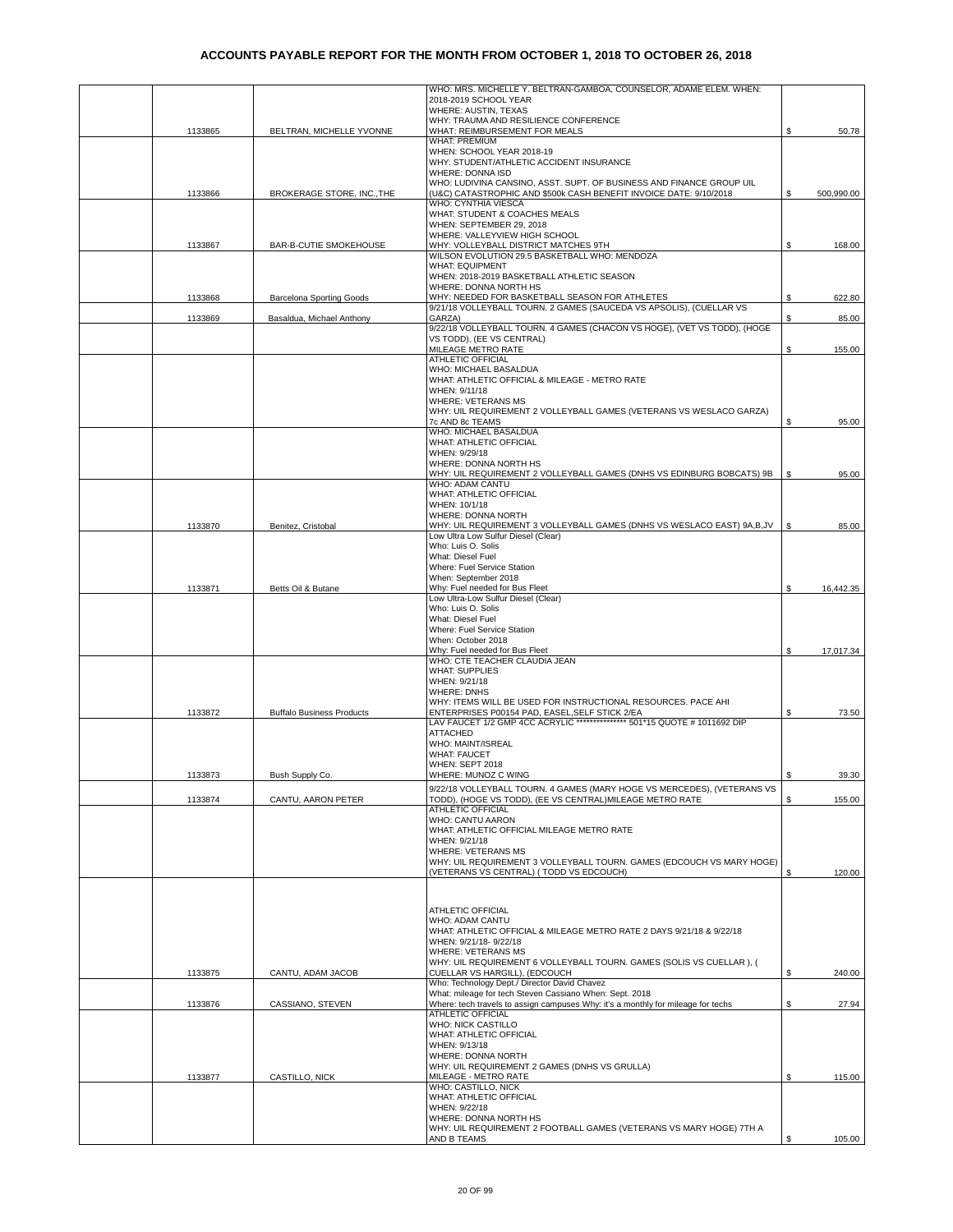|         |                                  | WHO: MRS. MICHELLE Y. BELTRAN-GAMBOA, COUNSELOR, ADAME ELEM. WHEN:<br>2018-2019 SCHOOL YEAR                                                |    |            |
|---------|----------------------------------|--------------------------------------------------------------------------------------------------------------------------------------------|----|------------|
|         |                                  | WHERE: AUSTIN, TEXAS                                                                                                                       |    |            |
|         |                                  | WHY: TRAUMA AND RESILIENCE CONFERENCE                                                                                                      |    |            |
| 1133865 | BELTRAN, MICHELLE YVONNE         | WHAT: REIMBURSEMENT FOR MEALS<br><b>WHAT: PREMIUM</b>                                                                                      | S  | 50.78      |
|         |                                  | WHEN: SCHOOL YEAR 2018-19                                                                                                                  |    |            |
|         |                                  | WHY: STUDENT/ATHLETIC ACCIDENT INSURANCE                                                                                                   |    |            |
|         |                                  | WHERE: DONNA ISD                                                                                                                           |    |            |
| 1133866 | BROKERAGE STORE, INC., THE       | WHO: LUDIVINA CANSINO, ASST. SUPT. OF BUSINESS AND FINANCE GROUP UIL<br>(U&C) CATASTROPHIC AND \$500k CASH BENEFIT INVOICE DATE: 9/10/2018 | S  | 500,990.00 |
|         |                                  | WHO: CYNTHIA VIESCA                                                                                                                        |    |            |
|         |                                  | WHAT: STUDENT & COACHES MEALS                                                                                                              |    |            |
|         |                                  | WHEN: SEPTEMBER 29, 2018<br>WHERE: VALLEYVIEW HIGH SCHOOL                                                                                  |    |            |
| 1133867 | BAR-B-CUTIE SMOKEHOUSE           | WHY: VOLLEYBALL DISTRICT MATCHES 9TH                                                                                                       | \$ | 168.00     |
|         |                                  | WILSON EVOLUTION 29.5 BASKETBALL WHO: MENDOZA                                                                                              |    |            |
|         |                                  | <b>WHAT: EQUIPMENT</b>                                                                                                                     |    |            |
|         |                                  | WHEN: 2018-2019 BASKETBALL ATHLETIC SEASON<br>WHERE: DONNA NORTH HS                                                                        |    |            |
| 1133868 | <b>Barcelona Sporting Goods</b>  | WHY: NEEDED FOR BASKETBALL SEASON FOR ATHLETES                                                                                             | S  | 622.80     |
|         |                                  | 9/21/18 VOLLEYBALL TOURN. 2 GAMES (SAUCEDA VS APSOLIS), (CUELLAR VS                                                                        |    |            |
| 1133869 | Basaldua, Michael Anthony        | GARZA)                                                                                                                                     | S  | 85.00      |
|         |                                  | 9/22/18 VOLLEYBALL TOURN. 4 GAMES (CHACON VS HOGE), (VET VS TODD), (HOGE<br>VS TODD), (EE VS CENTRAL)                                      |    |            |
|         |                                  | MILEAGE METRO RATE                                                                                                                         | \$ | 155.00     |
|         |                                  | <b>ATHLETIC OFFICIAL</b>                                                                                                                   |    |            |
|         |                                  | WHO: MICHAEL BASALDUA                                                                                                                      |    |            |
|         |                                  | WHAT: ATHLETIC OFFICIAL & MILEAGE - METRO RATE<br>WHEN: 9/11/18                                                                            |    |            |
|         |                                  | WHERE: VETERANS MS                                                                                                                         |    |            |
|         |                                  | WHY: UIL REQUIREMENT 2 VOLLEYBALL GAMES (VETERANS VS WESLACO GARZA)                                                                        |    |            |
|         |                                  | 7c AND 8c TEAMS                                                                                                                            | \$ | 95.00      |
|         |                                  | WHO: MICHAEL BASALDUA<br><b>WHAT: ATHLETIC OFFICIAL</b>                                                                                    |    |            |
|         |                                  | WHEN: 9/29/18                                                                                                                              |    |            |
|         |                                  | WHERE: DONNA NORTH HS                                                                                                                      |    |            |
|         |                                  | WHY: UIL REQUIREMENT 2 VOLLEYBALL GAMES (DNHS VS EDINBURG BOBCATS) 9B                                                                      | \$ | 95.00      |
|         |                                  | WHO: ADAM CANTU<br><b>WHAT: ATHLETIC OFFICIAL</b>                                                                                          |    |            |
|         |                                  | WHEN: 10/1/18                                                                                                                              |    |            |
|         |                                  | WHERE: DONNA NORTH                                                                                                                         |    |            |
| 1133870 | Benitez, Cristobal               | WHY: UIL REQUIREMENT 3 VOLLEYBALL GAMES (DNHS VS WESLACO EAST) 9A,B,JV                                                                     | \$ | 85.00      |
|         |                                  | Low Ultra Low Sulfur Diesel (Clear)<br>Who: Luis O. Solis                                                                                  |    |            |
|         |                                  | What: Diesel Fuel                                                                                                                          |    |            |
|         |                                  | Where: Fuel Service Station                                                                                                                |    |            |
|         |                                  | When: September 2018                                                                                                                       |    |            |
| 1133871 | Betts Oil & Butane               | Why: Fuel needed for Bus Fleet<br>Low Ultra-Low Sulfur Diesel (Clear)                                                                      | S  | 16,442.35  |
|         |                                  | Who: Luis O. Solis                                                                                                                         |    |            |
|         |                                  | What: Diesel Fuel                                                                                                                          |    |            |
|         |                                  | Where: Fuel Service Station                                                                                                                |    |            |
|         |                                  | When: October 2018<br>Why: Fuel needed for Bus Fleet                                                                                       |    | 17,017.34  |
|         |                                  | WHO: CTE TEACHER CLAUDIA JEAN                                                                                                              |    |            |
|         |                                  | <b>WHAT: SUPPLIES</b>                                                                                                                      |    |            |
|         |                                  | WHEN: 9/21/18                                                                                                                              |    |            |
|         |                                  | <b>WHERE: DNHS</b><br>WHY: ITEMS WILL BE USED FOR INSTRUCTIONAL RESOURCES. PACE AHI                                                        |    |            |
| 1133872 | <b>Buffalo Business Products</b> | ENTERPRISES P00154 PAD, EASEL, SELF STICK 2/EA                                                                                             | \$ | 73.50      |
|         |                                  | LAV FAUCET 1/2 GMP 4CC ACRYLIC ************** 501*15 QUOTE # 1011692 DIP                                                                   |    |            |
|         |                                  | <b>ATTACHED</b>                                                                                                                            |    |            |
|         |                                  | WHO: MAINT/ISREAL<br><b>WHAT: FAUCET</b>                                                                                                   |    |            |
|         |                                  | WHEN: SEPT 2018                                                                                                                            |    |            |
| 1133873 | Bush Supply Co.                  | WHERE: MUNOZ C WING                                                                                                                        |    | 39.30      |
|         |                                  | 9/22/18 VOLLEYBALL TOURN. 4 GAMES (MARY HOGE VS MERCEDES), (VETERANS VS                                                                    |    |            |
| 1133874 | CANTU, AARON PETER               | TODD), (HOGE VS TODD), (EE VS CENTRAL)MILEAGE METRO RATE                                                                                   | S  | 155.00     |
|         |                                  | <b>ATHLETIC OFFICIAL</b><br>WHO: CANTU AARON                                                                                               |    |            |
|         |                                  | WHAT: ATHLETIC OFFICIAL MILEAGE METRO RATE                                                                                                 |    |            |
|         |                                  | WHEN: 9/21/18                                                                                                                              |    |            |
|         |                                  | WHERE: VETERANS MS                                                                                                                         |    |            |
|         |                                  | WHY: UIL REQUIREMENT 3 VOLLEYBALL TOURN. GAMES (EDCOUCH VS MARY HOGE)<br>(VETERANS VS CENTRAL) (TODD VS EDCOUCH)                           | \$ |            |
|         |                                  |                                                                                                                                            |    | 120.00     |
|         |                                  |                                                                                                                                            |    |            |
|         |                                  | ATHLETIC OFFICIAL                                                                                                                          |    |            |
|         |                                  | WHO: ADAM CANTU                                                                                                                            |    |            |
|         |                                  | WHAT: ATHLETIC OFFICIAL & MILEAGE METRO RATE 2 DAYS 9/21/18 & 9/22/18                                                                      |    |            |
|         |                                  | WHEN: 9/21/18-9/22/18                                                                                                                      |    |            |
|         |                                  | WHERE: VETERANS MS<br>WHY: UIL REQUIREMENT 6 VOLLEYBALL TOURN. GAMES (SOLIS VS CUELLAR), (                                                 |    |            |
| 1133875 | CANTU. ADAM JACOB                | CUELLAR VS HARGILL), (EDCOUCH                                                                                                              | S. | 240.00     |
|         |                                  | Who: Technology Dept./ Director David Chavez                                                                                               |    |            |
|         |                                  | What: mileage for tech Steven Cassiano When: Sept. 2018                                                                                    |    |            |
| 1133876 | CASSIANO, STEVEN                 | Where: tech travels to assign campuses Why: it's a monthly for mileage for techs<br>ATHLETIC OFFICIAL                                      | \$ | 27.94      |
|         |                                  | WHO: NICK CASTILLO                                                                                                                         |    |            |
|         |                                  | WHAT: ATHLETIC OFFICIAL                                                                                                                    |    |            |
|         |                                  | WHEN: 9/13/18                                                                                                                              |    |            |
|         |                                  | WHERE: DONNA NORTH<br>WHY: UIL REQUIREMENT 2 GAMES (DNHS VS GRULLA)                                                                        |    |            |
| 1133877 | CASTILLO, NICK                   | MILEAGE - METRO RATE                                                                                                                       | S  | 115.00     |
|         |                                  | WHO: CASTILLO, NICK                                                                                                                        |    |            |
|         |                                  | WHAT: ATHLETIC OFFICIAL                                                                                                                    |    |            |
|         |                                  | WHEN: 9/22/18<br>WHERE: DONNA NORTH HS                                                                                                     |    |            |
|         |                                  | WHY: UIL REQUIREMENT 2 FOOTBALL GAMES (VETERANS VS MARY HOGE) 7TH A                                                                        |    |            |
|         |                                  | AND B TEAMS                                                                                                                                | \$ | 105.00     |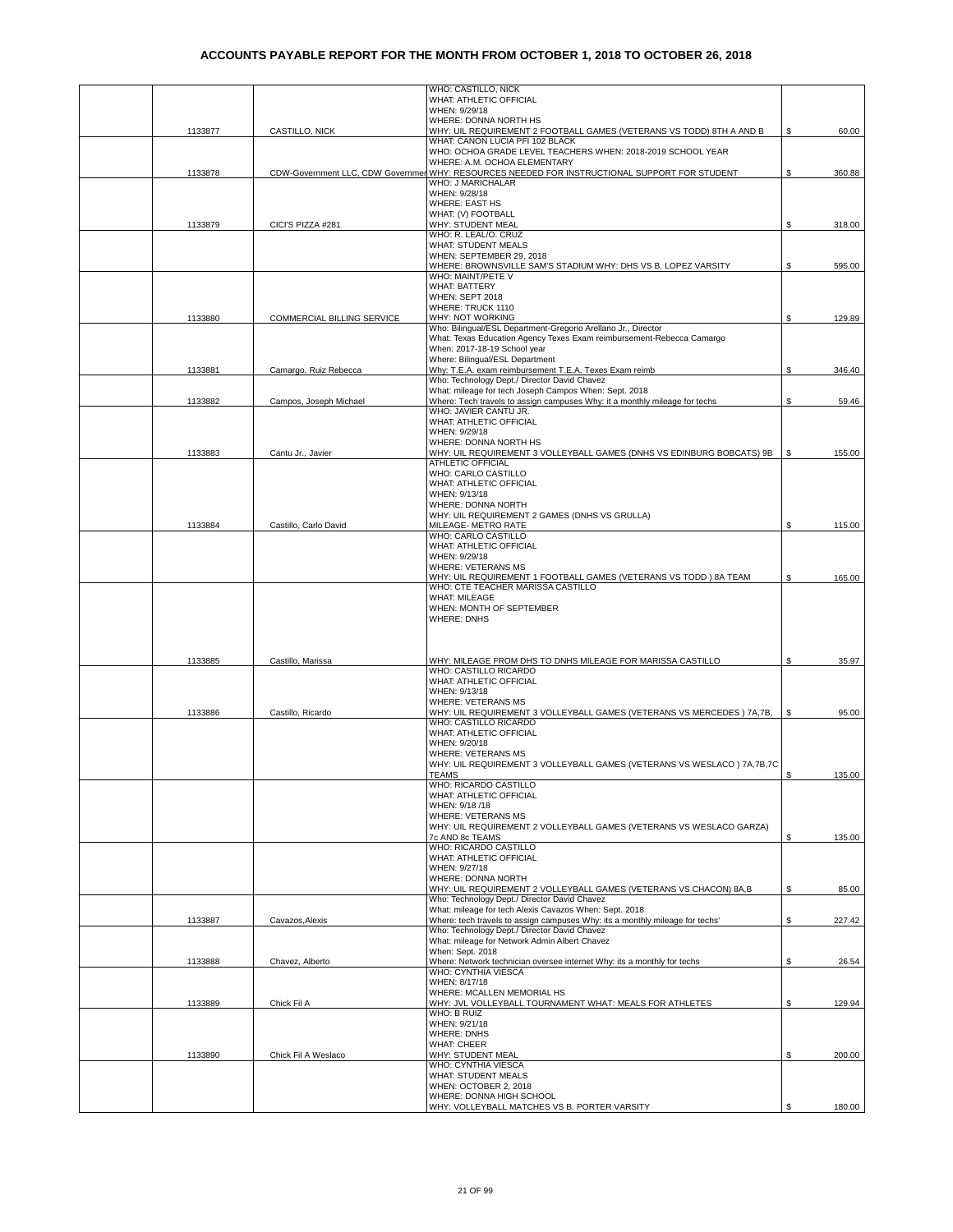|         |                            | WHO: CASTILLO, NICK                                                                                    |    |        |
|---------|----------------------------|--------------------------------------------------------------------------------------------------------|----|--------|
|         |                            | WHAT: ATHLETIC OFFICIAL<br>WHEN: 9/29/18                                                               |    |        |
|         |                            | WHERE: DONNA NORTH HS                                                                                  |    |        |
| 1133877 | CASTILLO, NICK             | WHY: UIL REQUIREMENT 2 FOOTBALL GAMES (VETERANS VS TODD) 8TH A AND B                                   | S  | 60.00  |
|         |                            | WHAT: CANON LUCIA PFI 102 BLACK                                                                        |    |        |
|         |                            | WHO: OCHOA GRADE LEVEL TEACHERS WHEN: 2018-2019 SCHOOL YEAR<br>WHERE: A.M. OCHOA ELEMENTARY            |    |        |
| 1133878 |                            | CDW-Government LLC, CDW Governmen WHY: RESOURCES NEEDED FOR INSTRUCTIONAL SUPPORT FOR STUDENT          | S  | 360.88 |
|         |                            | WHO: J MARICHALAR                                                                                      |    |        |
|         |                            | WHEN: 9/28/18<br><b>WHERE: EAST HS</b>                                                                 |    |        |
|         |                            | WHAT: (V) FOOTBALL                                                                                     |    |        |
| 1133879 | CICI'S PIZZA #281          | WHY: STUDENT MEAL                                                                                      | S  | 318.00 |
|         |                            | WHO: R. LEAL/O. CRUZ<br><b>WHAT: STUDENT MEALS</b>                                                     |    |        |
|         |                            | WHEN: SEPTEMBER 29, 2018                                                                               |    |        |
|         |                            | WHERE: BROWNSVILLE SAM'S STADIUM WHY: DHS VS B. LOPEZ VARSITY                                          | S  | 595.00 |
|         |                            | WHO: MAINT/PETE V<br><b>WHAT: BATTERY</b>                                                              |    |        |
|         |                            | WHEN: SEPT 2018                                                                                        |    |        |
|         |                            | WHERE: TRUCK 1110                                                                                      |    |        |
| 1133880 | COMMERCIAL BILLING SERVICE | WHY: NOT WORKING<br>Who: Bilingual/ESL Department-Gregorio Arellano Jr., Director                      | \$ | 129.89 |
|         |                            | What: Texas Education Agency Texes Exam reimbursement-Rebecca Camargo                                  |    |        |
|         |                            | When: 2017-18-19 School year                                                                           |    |        |
| 1133881 | Camargo, Ruiz Rebecca      | Where: Bilingual/ESL Department<br>Why: T.E.A. exam reimbursement T.E.A. Texes Exam reimb              | \$ | 346.40 |
|         |                            | Who: Technology Dept./ Director David Chavez                                                           |    |        |
|         |                            | What: mileage for tech Joseph Campos When: Sept. 2018                                                  |    |        |
| 1133882 | Campos, Joseph Michael     | Where: Tech travels to assign campuses Why: it a monthly mileage for techs<br>WHO: JAVIER CANTU JR.    | \$ | 59.46  |
|         |                            | WHAT: ATHLETIC OFFICIAL                                                                                |    |        |
|         |                            | WHEN: 9/29/18                                                                                          |    |        |
|         |                            | WHERE: DONNA NORTH HS<br>WHY: UIL REQUIREMENT 3 VOLLEYBALL GAMES (DNHS VS EDINBURG BOBCATS) 9B         |    | 155.00 |
| 1133883 | Cantu Jr., Javier          | ATHLETIC OFFICIAL                                                                                      | \$ |        |
|         |                            | WHO: CARLO CASTILLO                                                                                    |    |        |
|         |                            | WHAT: ATHLETIC OFFICIAL                                                                                |    |        |
|         |                            | WHEN: 9/13/18<br>WHERE: DONNA NORTH                                                                    |    |        |
|         |                            | WHY: UIL REQUIREMENT 2 GAMES (DNHS VS GRULLA)                                                          |    |        |
| 1133884 | Castillo, Carlo David      | MILEAGE- METRO RATE<br>WHO: CARLO CASTILLO                                                             | \$ | 115.00 |
|         |                            | WHAT: ATHLETIC OFFICIAL                                                                                |    |        |
|         |                            | WHEN: 9/29/18                                                                                          |    |        |
|         |                            | <b>WHERE: VETERANS MS</b><br>WHY: UIL REQUIREMENT 1 FOOTBALL GAMES (VETERANS VS TODD) 8A TEAM          | S  | 165.00 |
|         |                            | WHO: CTE TEACHER MARISSA CASTILLO                                                                      |    |        |
|         |                            | <b>WHAT: MILEAGE</b>                                                                                   |    |        |
|         |                            | WHEN: MONTH OF SEPTEMBER<br><b>WHERE: DNHS</b>                                                         |    |        |
|         |                            |                                                                                                        |    |        |
|         |                            |                                                                                                        |    |        |
|         |                            |                                                                                                        | \$ |        |
| 1133885 | Castillo, Marissa          | WHY: MILEAGE FROM DHS TO DNHS MILEAGE FOR MARISSA CASTILLO<br>WHO: CASTILLO RICARDO                    |    | 35.97  |
|         |                            | WHAT: ATHLETIC OFFICIAL                                                                                |    |        |
|         |                            | WHEN: 9/13/18                                                                                          |    |        |
| 1133886 | Castillo, Ricardo          | <b>WHERE: VETERANS MS</b><br>WHY: UIL REQUIREMENT 3 VOLLEYBALL GAMES (VETERANS VS MERCEDES) 7A,7B,     | \$ | 95.00  |
|         |                            | WHO: CASTILLO RICARDO                                                                                  |    |        |
|         |                            | WHAT: ATHLETIC OFFICIAL                                                                                |    |        |
|         |                            | WHEN: 9/20/18<br><b>WHERE: VETERANS MS</b>                                                             |    |        |
|         |                            | WHY: UIL REQUIREMENT 3 VOLLEYBALL GAMES (VETERANS VS WESLACO) 7A, 7B, 7C                               |    |        |
|         |                            | TEAMS                                                                                                  | S. | 135.00 |
|         |                            | WHO: RICARDO CASTILLO<br>WHAT: ATHLETIC OFFICIAL                                                       |    |        |
|         |                            | WHEN: 9/18 /18                                                                                         |    |        |
|         |                            | <b>WHERE: VETERANS MS</b>                                                                              |    |        |
|         |                            | WHY: UIL REQUIREMENT 2 VOLLEYBALL GAMES (VETERANS VS WESLACO GARZA)<br>7c AND 8c TEAMS                 | S  | 135.00 |
|         |                            | WHO: RICARDO CASTILLO                                                                                  |    |        |
|         |                            | WHAT: ATHLETIC OFFICIAL                                                                                |    |        |
|         |                            | WHEN: 9/27/18<br>WHERE: DONNA NORTH                                                                    |    |        |
|         |                            | WHY: UIL REQUIREMENT 2 VOLLEYBALL GAMES (VETERANS VS CHACON) 8A,B                                      | S  | 85.00  |
|         |                            | Who: Technology Dept./ Director David Chavez<br>What: mileage for tech Alexis Cavazos When: Sept. 2018 |    |        |
| 1133887 | Cavazos, Alexis            | Where: tech travels to assign campuses Why: its a monthly mileage for techs'                           | S. | 227.42 |
|         |                            | Who: Technology Dept./ Director David Chavez                                                           |    |        |
|         |                            | What: mileage for Network Admin Albert Chavez<br>When: Sept. 2018                                      |    |        |
| 1133888 | Chavez, Alberto            | Where: Network technician oversee internet Why: its a monthly for techs                                | \$ | 26.54  |
|         |                            | WHO: CYNTHIA VIESCA                                                                                    |    |        |
|         |                            | WHEN: 8/17/18<br>WHERE: MCALLEN MEMORIAL HS                                                            |    |        |
| 1133889 | Chick Fil A                | WHY: JVL VOLLEYBALL TOURNAMENT WHAT: MEALS FOR ATHLETES                                                | \$ | 129.94 |
|         |                            | WHO: B RUIZ                                                                                            |    |        |
|         |                            | WHEN: 9/21/18<br><b>WHERE: DNHS</b>                                                                    |    |        |
|         |                            | <b>WHAT: CHEER</b>                                                                                     |    |        |
| 1133890 | Chick Fil A Weslaco        | WHY: STUDENT MEAL                                                                                      | \$ | 200.00 |
|         |                            | WHO: CYNTHIA VIESCA<br><b>WHAT: STUDENT MEALS</b>                                                      |    |        |
|         |                            | WHEN: OCTOBER 2, 2018                                                                                  |    |        |
|         |                            | WHERE: DONNA HIGH SCHOOL                                                                               |    |        |
|         |                            | WHY: VOLLEYBALL MATCHES VS B. PORTER VARSITY                                                           | \$ | 180.00 |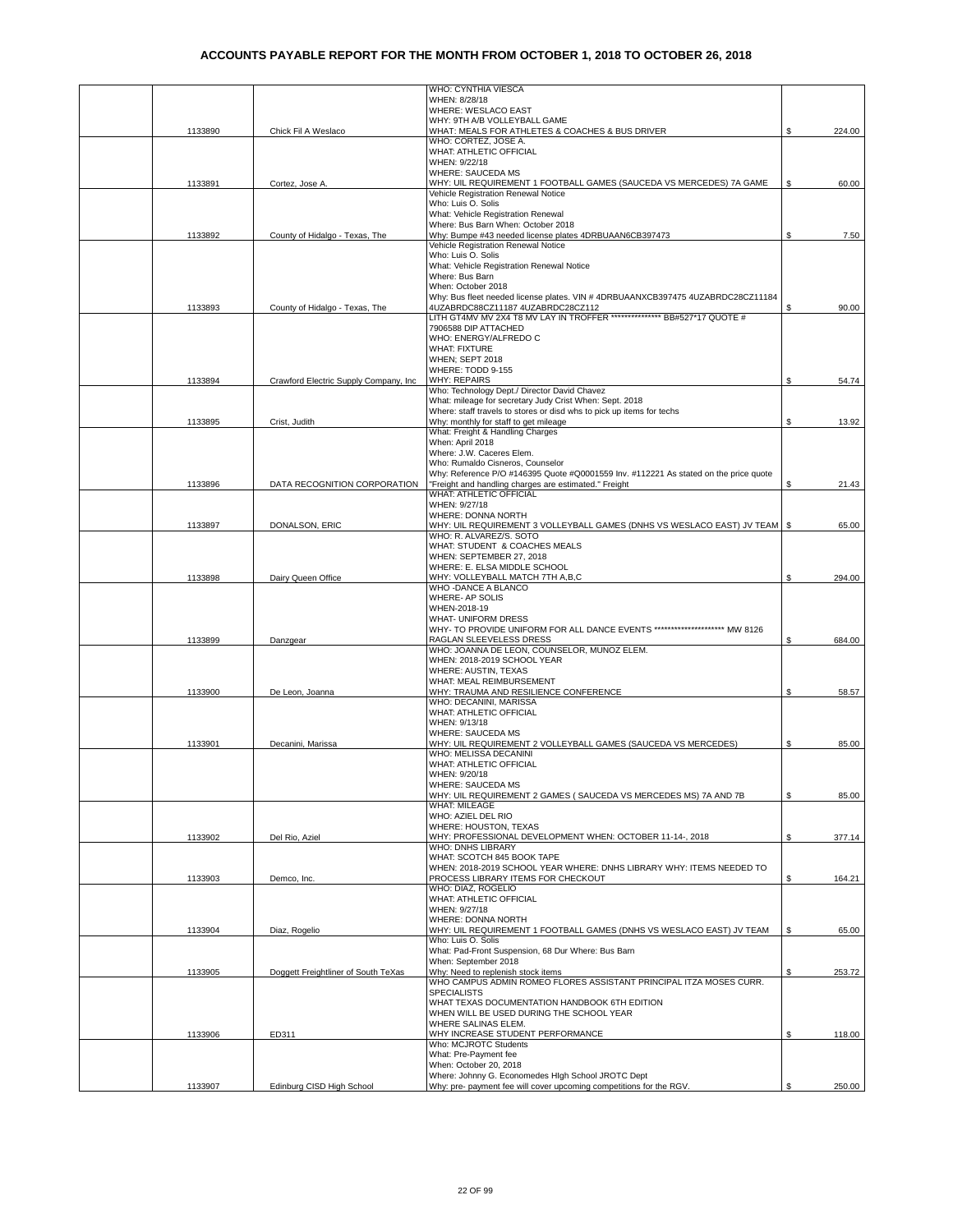|         |                                       | WHO: CYNTHIA VIESCA                                                                                                              |    |        |
|---------|---------------------------------------|----------------------------------------------------------------------------------------------------------------------------------|----|--------|
|         |                                       | WHEN: 8/28/18                                                                                                                    |    |        |
|         |                                       | WHERE: WESLACO EAST<br>WHY: 9TH A/B VOLLEYBALL GAME                                                                              |    |        |
| 1133890 | Chick Fil A Weslaco                   | WHAT: MEALS FOR ATHLETES & COACHES & BUS DRIVER                                                                                  |    | 224.00 |
|         |                                       | WHO: CORTEZ, JOSE A.                                                                                                             |    |        |
|         |                                       | WHAT: ATHLETIC OFFICIAL                                                                                                          |    |        |
|         |                                       | WHEN: 9/22/18                                                                                                                    |    |        |
| 1133891 | Cortez, Jose A.                       | WHERE: SAUCEDA MS<br>WHY: UIL REQUIREMENT 1 FOOTBALL GAMES (SAUCEDA VS MERCEDES) 7A GAME                                         | S. | 60.00  |
|         |                                       | Vehicle Registration Renewal Notice                                                                                              |    |        |
|         |                                       | Who: Luis O. Solis                                                                                                               |    |        |
|         |                                       | What: Vehicle Registration Renewal                                                                                               |    |        |
|         |                                       | Where: Bus Barn When: October 2018<br>Why: Bumpe #43 needed license plates 4DRBUAAN6CB397473                                     |    |        |
| 1133892 | County of Hidalgo - Texas, The        | Vehicle Registration Renewal Notice                                                                                              | \$ | 7.50   |
|         |                                       | Who: Luis O. Solis                                                                                                               |    |        |
|         |                                       | What: Vehicle Registration Renewal Notice                                                                                        |    |        |
|         |                                       | Where: Bus Barn                                                                                                                  |    |        |
|         |                                       | When: October 2018<br>Why: Bus fleet needed license plates. VIN # 4DRBUAANXCB397475 4UZABRDC28CZ11184                            |    |        |
| 1133893 | County of Hidalgo - Texas, The        | 4UZABRDC88CZ11187 4UZABRDC28CZ112                                                                                                | \$ | 90.00  |
|         |                                       | LITH GT4MV MV 2X4 T8 MV LAY IN TROFFER **************** BB#527*17 QUOTE #                                                        |    |        |
|         |                                       | 7906588 DIP ATTACHED                                                                                                             |    |        |
|         |                                       | WHO: ENERGY/ALFREDO C                                                                                                            |    |        |
|         |                                       | <b>WHAT: FIXTURE</b><br>WHEN; SEPT 2018                                                                                          |    |        |
|         |                                       | WHERE: TODD 9-155                                                                                                                |    |        |
| 1133894 | Crawford Electric Supply Company, Inc | <b>WHY: REPAIRS</b>                                                                                                              | \$ | 54.74  |
|         |                                       | Who: Technology Dept./ Director David Chavez                                                                                     |    |        |
|         |                                       | What: mileage for secretary Judy Crist When: Sept. 2018<br>Where: staff travels to stores or disd whs to pick up items for techs |    |        |
| 1133895 | Crist, Judith                         | Why: monthly for staff to get mileage                                                                                            | \$ | 13.92  |
|         |                                       | What: Freight & Handling Charges                                                                                                 |    |        |
|         |                                       | When: April 2018                                                                                                                 |    |        |
|         |                                       | Where: J.W. Caceres Elem.                                                                                                        |    |        |
|         |                                       | Who: Rumaldo Cisneros, Counselor<br>Why: Reference P/O #146395 Quote #Q0001559 Inv. #112221 As stated on the price quote         |    |        |
| 1133896 | DATA RECOGNITION CORPORATION          | "Freight and handling charges are estimated." Freight                                                                            | S  | 21.43  |
|         |                                       | WHAT: ATHLETIC OFFICIAL                                                                                                          |    |        |
|         |                                       | WHEN: 9/27/18                                                                                                                    |    |        |
|         |                                       | WHERE: DONNA NORTH                                                                                                               |    |        |
| 1133897 | DONALSON, ERIC                        | WHY: UIL REQUIREMENT 3 VOLLEYBALL GAMES (DNHS VS WESLACO EAST) JV TEAM   \$<br>WHO: R. ALVAREZ/S. SOTO                           |    | 65.00  |
|         |                                       | WHAT: STUDENT & COACHES MEALS                                                                                                    |    |        |
|         |                                       | WHEN: SEPTEMBER 27, 2018                                                                                                         |    |        |
|         |                                       | WHERE: E. ELSA MIDDLE SCHOOL                                                                                                     |    |        |
| 1133898 | Dairy Queen Office                    | WHY: VOLLEYBALL MATCH 7TH A,B,C<br>WHO -DANCE A BLANCO                                                                           | \$ | 294.00 |
|         |                                       | WHERE- AP SOLIS                                                                                                                  |    |        |
|         |                                       | WHEN-2018-19                                                                                                                     |    |        |
|         |                                       | <b>WHAT- UNIFORM DRESS</b>                                                                                                       |    |        |
|         |                                       | WHY- TO PROVIDE UNIFORM FOR ALL DANCE EVENTS ********************* MW 8126                                                       |    |        |
| 1133899 | Danzgear                              | RAGLAN SLEEVELESS DRESS<br>WHO: JOANNA DE LEON, COUNSELOR, MUNOZ ELEM.                                                           | S. | 684.00 |
|         |                                       | WHEN: 2018-2019 SCHOOL YEAR                                                                                                      |    |        |
|         |                                       | WHERE: AUSTIN, TEXAS                                                                                                             |    |        |
|         |                                       | WHAT: MEAL REIMBURSEMENT                                                                                                         |    |        |
| 1133900 | De Leon, Joanna                       | WHY: TRAUMA AND RESILIENCE CONFERENCE<br>WHO: DECANINI, MARISSA                                                                  | \$ | 58.57  |
|         |                                       | WHAT: ATHLETIC OFFICIAL                                                                                                          |    |        |
|         |                                       | WHEN: 9/13/18                                                                                                                    |    |        |
|         |                                       | <b>WHERE: SAUCEDA MS</b>                                                                                                         |    |        |
| 1133901 | Decanini, Marissa                     | WHY: UIL REQUIREMENT 2 VOLLEYBALL GAMES (SAUCEDA VS MERCEDES)                                                                    | \$ | 85.00  |
|         |                                       | WHO: MELISSA DECANINI<br>WHAT: ATHLETIC OFFICIAL                                                                                 |    |        |
|         |                                       | WHEN: 9/20/18                                                                                                                    |    |        |
|         |                                       | WHERE: SAUCEDA MS                                                                                                                |    |        |
|         |                                       | WHY: UIL REQUIREMENT 2 GAMES ( SAUCEDA VS MERCEDES MS) 7A AND 7B                                                                 | \$ | 85.00  |
|         |                                       | <b>WHAT: MILEAGE</b><br>WHO: AZIEL DEL RIO                                                                                       |    |        |
|         |                                       | WHERE: HOUSTON, TEXAS                                                                                                            |    |        |
| 1133902 | Del Rio. Aziel                        | WHY: PROFESSIONAL DEVELOPMENT WHEN: OCTOBER 11-14-, 2018                                                                         | \$ | 377.14 |
|         |                                       | <b>WHO: DNHS LIBRARY</b>                                                                                                         |    |        |
|         |                                       | WHAT: SCOTCH 845 BOOK TAPE<br>WHEN: 2018-2019 SCHOOL YEAR WHERE: DNHS LIBRARY WHY: ITEMS NEEDED TO                               |    |        |
| 1133903 | Demco, Inc.                           | PROCESS LIBRARY ITEMS FOR CHECKOUT                                                                                               | \$ | 164.21 |
|         |                                       | WHO: DIAZ, ROGELIO                                                                                                               |    |        |
|         |                                       | <b>WHAT: ATHLETIC OFFICIAL</b>                                                                                                   |    |        |
|         |                                       | WHEN: 9/27/18                                                                                                                    |    |        |
| 1133904 | Diaz, Rogelio                         | WHERE: DONNA NORTH<br>WHY: UIL REQUIREMENT 1 FOOTBALL GAMES (DNHS VS WESLACO EAST) JV TEAM                                       | \$ | 65.00  |
|         |                                       | Who: Luis O. Solis                                                                                                               |    |        |
|         |                                       | What: Pad-Front Suspension, 68 Dur Where: Bus Barn                                                                               |    |        |
|         |                                       | When: September 2018                                                                                                             |    |        |
| 1133905 | Doggett Freightliner of South TeXas   | Why: Need to replenish stock items<br>WHO CAMPUS ADMIN ROMEO FLORES ASSISTANT PRINCIPAL ITZA MOSES CURR.                         | \$ | 253.72 |
|         |                                       | <b>SPECIALISTS</b>                                                                                                               |    |        |
|         |                                       | WHAT TEXAS DOCUMENTATION HANDBOOK 6TH EDITION                                                                                    |    |        |
|         |                                       | WHEN WILL BE USED DURING THE SCHOOL YEAR                                                                                         |    |        |
|         |                                       | WHERE SALINAS ELEM.                                                                                                              |    |        |
| 1133906 | ED311                                 | WHY INCREASE STUDENT PERFORMANCE<br>Who: MCJROTC Students                                                                        | \$ | 118.00 |
|         |                                       | What: Pre-Payment fee                                                                                                            |    |        |
|         |                                       | When: October 20, 2018                                                                                                           |    |        |
|         |                                       | Where: Johnny G. Economedes High School JROTC Dept                                                                               |    |        |
| 1133907 | Edinburg CISD High School             | Why: pre- payment fee will cover upcoming competitions for the RGV.                                                              | \$ | 250.00 |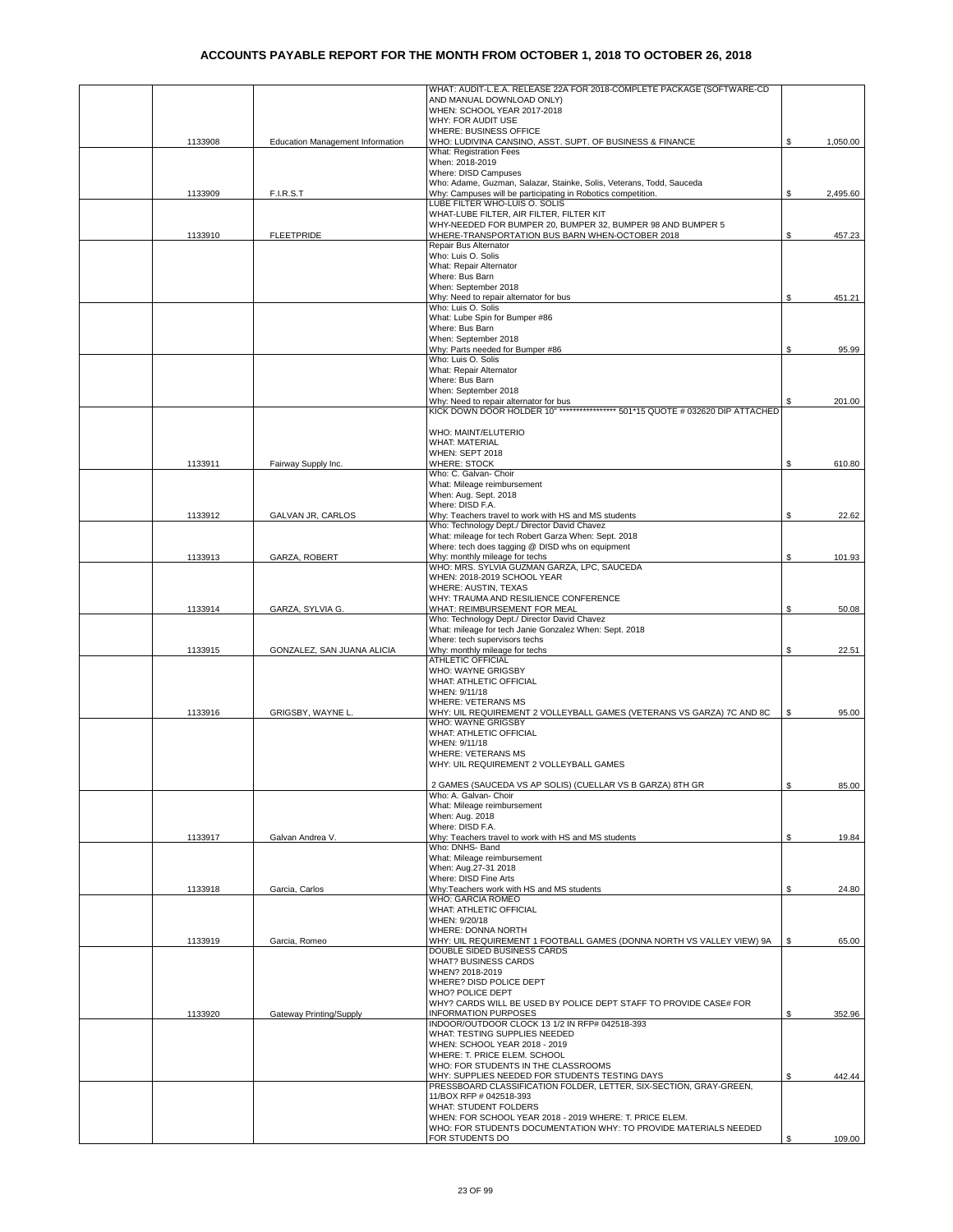|         |                                  | WHAT: AUDIT-L.E.A. RELEASE 22A FOR 2018-COMPLETE PACKAGE (SOFTWARE-CD                                                       |    |          |
|---------|----------------------------------|-----------------------------------------------------------------------------------------------------------------------------|----|----------|
|         |                                  | AND MANUAL DOWNLOAD ONLY)                                                                                                   |    |          |
|         |                                  | WHEN: SCHOOL YEAR 2017-2018<br>WHY: FOR AUDIT USE                                                                           |    |          |
|         |                                  | WHERE: BUSINESS OFFICE                                                                                                      |    |          |
| 1133908 | Education Management Information | WHO: LUDIVINA CANSINO, ASST. SUPT. OF BUSINESS & FINANCE                                                                    | \$ | 1,050.00 |
|         |                                  | What: Registration Fees                                                                                                     |    |          |
|         |                                  | When: 2018-2019                                                                                                             |    |          |
|         |                                  | Where: DISD Campuses<br>Who: Adame, Guzman, Salazar, Stainke, Solis, Veterans, Todd, Sauceda                                |    |          |
| 1133909 | F.I.R.S.T                        | Why: Campuses will be participating in Robotics competition.                                                                | S. | 2,495.60 |
|         |                                  | LUBE FILTER WHO-LUIS O. SOLIS                                                                                               |    |          |
|         |                                  | WHAT-LUBE FILTER, AIR FILTER, FILTER KIT                                                                                    |    |          |
|         |                                  | WHY-NEEDED FOR BUMPER 20, BUMPER 32, BUMPER 98 AND BUMPER 5                                                                 |    |          |
| 1133910 | <b>FLEETPRIDE</b>                | WHERE-TRANSPORTATION BUS BARN WHEN-OCTOBER 2018                                                                             | \$ | 457.23   |
|         |                                  | Repair Bus Alternator<br>Who: Luis O. Solis                                                                                 |    |          |
|         |                                  | What: Repair Alternator                                                                                                     |    |          |
|         |                                  | Where: Bus Barn                                                                                                             |    |          |
|         |                                  | When: September 2018                                                                                                        |    |          |
|         |                                  | Why: Need to repair alternator for bus                                                                                      |    | 451.21   |
|         |                                  | Who: Luis O. Solis<br>What: Lube Spin for Bumper #86                                                                        |    |          |
|         |                                  | Where: Bus Barn                                                                                                             |    |          |
|         |                                  | When: September 2018                                                                                                        |    |          |
|         |                                  | Why: Parts needed for Bumper #86                                                                                            | \$ | 95.99    |
|         |                                  | Who: Luis O. Solis                                                                                                          |    |          |
|         |                                  | What: Repair Alternator<br>Where: Bus Barn                                                                                  |    |          |
|         |                                  | When: September 2018                                                                                                        |    |          |
|         |                                  | Why: Need to repair alternator for bus                                                                                      | S. | 201.00   |
|         |                                  | KICK DOWN DOOR HOLDER 10" ***************** 501*15 QUOTE # 032620 DIP ATTACHED                                              |    |          |
|         |                                  |                                                                                                                             |    |          |
|         |                                  | WHO: MAINT/ELUTERIO<br><b>WHAT: MATERIAL</b>                                                                                |    |          |
|         |                                  | WHEN: SEPT 2018                                                                                                             |    |          |
| 1133911 | Fairway Supply Inc.              | <b>WHERE: STOCK</b>                                                                                                         | \$ | 610.80   |
|         |                                  | Who: C. Galvan- Choir                                                                                                       |    |          |
|         |                                  | What: Mileage reimbursement                                                                                                 |    |          |
|         |                                  | When: Aug. Sept. 2018<br>Where: DISD F.A.                                                                                   |    |          |
| 1133912 | GALVAN JR, CARLOS                | Why: Teachers travel to work with HS and MS students                                                                        | \$ | 22.62    |
|         |                                  | Who: Technology Dept./ Director David Chavez                                                                                |    |          |
|         |                                  | What: mileage for tech Robert Garza When: Sept. 2018                                                                        |    |          |
|         |                                  | Where: tech does tagging @ DISD whs on equipment                                                                            |    |          |
| 1133913 | GARZA, ROBERT                    | Why: monthly mileage for techs<br>WHO: MRS. SYLVIA GUZMAN GARZA, LPC, SAUCEDA                                               | \$ | 101.93   |
|         |                                  | WHEN: 2018-2019 SCHOOL YEAR                                                                                                 |    |          |
|         |                                  | WHERE: AUSTIN, TEXAS                                                                                                        |    |          |
|         |                                  | WHY: TRAUMA AND RESILIENCE CONFERENCE                                                                                       |    |          |
| 1133914 | GARZA, SYLVIA G.                 | WHAT: REIMBURSEMENT FOR MEAL                                                                                                | \$ | 50.08    |
|         |                                  | Who: Technology Dept./ Director David Chavez<br>What: mileage for tech Janie Gonzalez When: Sept. 2018                      |    |          |
|         |                                  | Where: tech supervisors techs                                                                                               |    |          |
| 1133915 | GONZALEZ, SAN JUANA ALICIA       | Why: monthly mileage for techs                                                                                              | \$ | 22.51    |
|         |                                  | <b>ATHLETIC OFFICIAL</b>                                                                                                    |    |          |
|         |                                  | WHO: WAYNE GRIGSBY                                                                                                          |    |          |
|         |                                  | WHAT: ATHLETIC OFFICIAL<br>WHEN: 9/11/18                                                                                    |    |          |
|         |                                  | <b>WHERE: VETERANS MS</b>                                                                                                   |    |          |
| 1133916 | GRIGSBY, WAYNE L                 | WHY: UIL REQUIREMENT 2 VOLLEYBALL GAMES (VETERANS VS GARZA) 7C AND 8C                                                       | S  | 95.00    |
|         |                                  | WHO: WAYNE GRIGSBY                                                                                                          |    |          |
|         |                                  | WHAT: ATHLETIC OFFICIAL                                                                                                     |    |          |
|         |                                  | WHEN: 9/11/18<br><b>WHERE: VETERANS MS</b>                                                                                  |    |          |
|         |                                  | WHY: UIL REQUIREMENT 2 VOLLEYBALL GAMES                                                                                     |    |          |
|         |                                  |                                                                                                                             |    |          |
|         |                                  | 2 GAMES (SAUCEDA VS AP SOLIS) (CUELLAR VS B GARZA) 8TH GR                                                                   | \$ | 85.00    |
|         |                                  | Who: A. Galvan- Choir                                                                                                       |    |          |
|         |                                  | What: Mileage reimbursement<br>When: Aug. 2018                                                                              |    |          |
|         |                                  | Where: DISD F.A.                                                                                                            |    |          |
| 1133917 | Galvan Andrea V.                 | Why: Teachers travel to work with HS and MS students                                                                        | \$ | 19.84    |
|         |                                  | Who: DNHS- Band                                                                                                             |    |          |
|         |                                  | What: Mileage reimbursement                                                                                                 |    |          |
|         |                                  | When: Aug.27-31 2018<br>Where: DISD Fine Arts                                                                               |    |          |
| 1133918 | Garcia, Carlos                   | Why:Teachers work with HS and MS students                                                                                   | \$ | 24.80    |
|         |                                  | WHO: GARCIA ROMEO                                                                                                           |    |          |
|         |                                  | WHAT: ATHLETIC OFFICIAL                                                                                                     |    |          |
|         |                                  | WHEN: 9/20/18                                                                                                               |    |          |
| 1133919 | Garcia, Romeo                    | WHERE: DONNA NORTH<br>WHY: UIL REQUIREMENT 1 FOOTBALL GAMES (DONNA NORTH VS VALLEY VIEW) 9A                                 | S  | 65.00    |
|         |                                  | DOUBLE SIDED BUSINESS CARDS                                                                                                 |    |          |
|         |                                  | <b>WHAT? BUSINESS CARDS</b>                                                                                                 |    |          |
|         |                                  | WHEN? 2018-2019                                                                                                             |    |          |
|         |                                  | WHERE? DISD POLICE DEPT                                                                                                     |    |          |
|         |                                  | WHO? POLICE DEPT<br>WHY? CARDS WILL BE USED BY POLICE DEPT STAFF TO PROVIDE CASE# FOR                                       |    |          |
| 1133920 | Gateway Printing/Supply          | <b>INFORMATION PURPOSES</b>                                                                                                 | \$ | 352.96   |
|         |                                  | INDOOR/OUTDOOR CLOCK 13 1/2 IN RFP# 042518-393                                                                              |    |          |
|         |                                  | WHAT: TESTING SUPPLIES NEEDED                                                                                               |    |          |
|         |                                  | WHEN: SCHOOL YEAR 2018 - 2019                                                                                               |    |          |
|         |                                  | WHERE: T. PRICE ELEM. SCHOOL<br>WHO: FOR STUDENTS IN THE CLASSROOMS                                                         |    |          |
|         |                                  | WHY: SUPPLIES NEEDED FOR STUDENTS TESTING DAYS                                                                              | \$ | 442.44   |
|         |                                  | PRESSBOARD CLASSIFICATION FOLDER, LETTER, SIX-SECTION, GRAY-GREEN,                                                          |    |          |
|         |                                  | 11/BOX RFP # 042518-393                                                                                                     |    |          |
|         |                                  | <b>WHAT: STUDENT FOLDERS</b>                                                                                                |    |          |
|         |                                  | WHEN: FOR SCHOOL YEAR 2018 - 2019 WHERE: T. PRICE ELEM.<br>WHO: FOR STUDENTS DOCUMENTATION WHY: TO PROVIDE MATERIALS NEEDED |    |          |
|         |                                  | FOR STUDENTS DO                                                                                                             | \$ | 109.00   |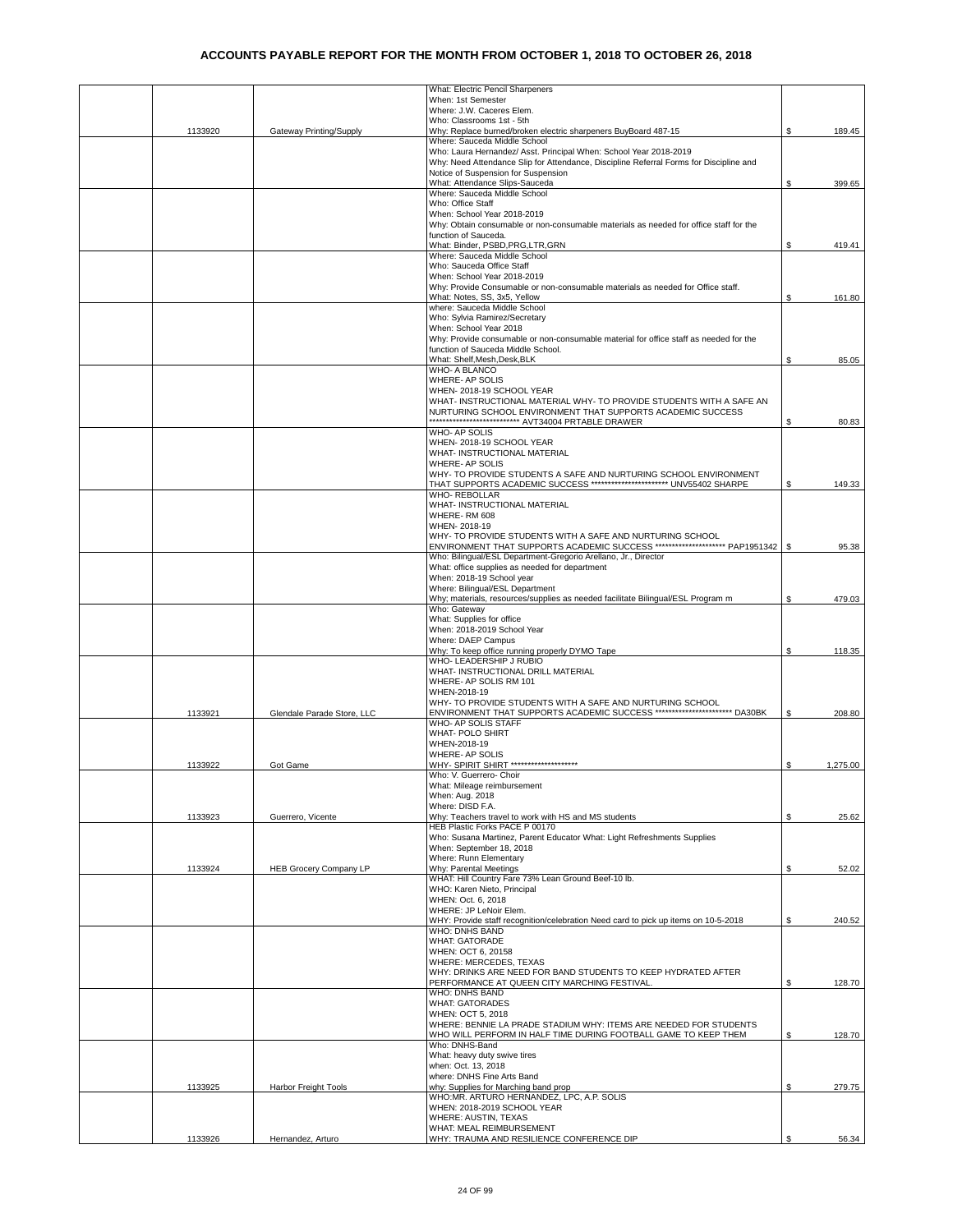|         |                               | What: Electric Pencil Sharpeners                                                                                                            |    |          |
|---------|-------------------------------|---------------------------------------------------------------------------------------------------------------------------------------------|----|----------|
|         |                               | When: 1st Semester                                                                                                                          |    |          |
|         |                               | Where: J.W. Caceres Elem.<br>Who: Classrooms 1st - 5th                                                                                      |    |          |
| 1133920 | Gateway Printing/Supply       | Why: Replace burned/broken electric sharpeners BuyBoard 487-15                                                                              | S  | 189.45   |
|         |                               | Where: Sauceda Middle School                                                                                                                |    |          |
|         |                               | Who: Laura Hernandez/ Asst. Principal When: School Year 2018-2019                                                                           |    |          |
|         |                               | Why: Need Attendance Slip for Attendance, Discipline Referral Forms for Discipline and                                                      |    |          |
|         |                               | Notice of Suspension for Suspension<br>What: Attendance Slips-Sauceda                                                                       |    |          |
|         |                               | Where: Sauceda Middle School                                                                                                                | S  | 399.65   |
|         |                               | Who: Office Staff                                                                                                                           |    |          |
|         |                               | When: School Year 2018-2019                                                                                                                 |    |          |
|         |                               | Why: Obtain consumable or non-consumable materials as needed for office staff for the                                                       |    |          |
|         |                               | function of Sauceda.                                                                                                                        |    |          |
|         |                               | What: Binder, PSBD, PRG, LTR, GRN                                                                                                           | S  | 419.41   |
|         |                               | Where: Sauceda Middle School                                                                                                                |    |          |
|         |                               | Who: Sauceda Office Staff                                                                                                                   |    |          |
|         |                               | When: School Year 2018-2019<br>Why: Provide Consumable or non-consumable materials as needed for Office staff.                              |    |          |
|         |                               | What: Notes, SS, 3x5, Yellow                                                                                                                | \$ | 161.80   |
|         |                               | where: Sauceda Middle School                                                                                                                |    |          |
|         |                               | Who: Sylvia Ramirez/Secretary                                                                                                               |    |          |
|         |                               | When: School Year 2018                                                                                                                      |    |          |
|         |                               | Why: Provide consumable or non-consumable material for office staff as needed for the                                                       |    |          |
|         |                               | function of Sauceda Middle School.                                                                                                          |    |          |
|         |                               | What: Shelf, Mesh, Desk, BLK                                                                                                                | \$ | 85.05    |
|         |                               | WHO- A BLANCO<br>WHERE- AP SOLIS                                                                                                            |    |          |
|         |                               | WHEN-2018-19 SCHOOL YEAR                                                                                                                    |    |          |
|         |                               | WHAT- INSTRUCTIONAL MATERIAL WHY- TO PROVIDE STUDENTS WITH A SAFE AN                                                                        |    |          |
|         |                               | NURTURING SCHOOL ENVIRONMENT THAT SUPPORTS ACADEMIC SUCCESS                                                                                 |    |          |
|         |                               | **************************** AVT34004 PRTABLE DRAWER                                                                                        | \$ | 80.83    |
|         |                               | <b>WHO-AP SOLIS</b>                                                                                                                         |    |          |
|         |                               | WHEN-2018-19 SCHOOL YEAR                                                                                                                    |    |          |
|         |                               | WHAT- INSTRUCTIONAL MATERIAL                                                                                                                |    |          |
|         |                               | WHERE- AP SOLIS                                                                                                                             |    |          |
|         |                               | WHY- TO PROVIDE STUDENTS A SAFE AND NURTURING SCHOOL ENVIRONMENT<br>THAT SUPPORTS ACADEMIC SUCCESS ************************ UNV55402 SHARPE | S  | 149.33   |
|         |                               | <b>WHO- REBOLLAR</b>                                                                                                                        |    |          |
|         |                               | WHAT- INSTRUCTIONAL MATERIAL                                                                                                                |    |          |
|         |                               | WHERE-RM 608                                                                                                                                |    |          |
|         |                               | WHEN-2018-19                                                                                                                                |    |          |
|         |                               | WHY- TO PROVIDE STUDENTS WITH A SAFE AND NURTURING SCHOOL                                                                                   |    |          |
|         |                               | ENVIRONMENT THAT SUPPORTS ACADEMIC SUCCESS ********************* PAP1951342                                                                 | -S | 95.38    |
|         |                               | Who: Bilingual/ESL Department-Gregorio Arellano, Jr., Director<br>What: office supplies as needed for department                            |    |          |
|         |                               | When: 2018-19 School year                                                                                                                   |    |          |
|         |                               | Where: Bilingual/ESL Department                                                                                                             |    |          |
|         |                               | Why; materials, resources/supplies as needed facilitate Bilingual/ESL Program m                                                             | \$ | 479.03   |
|         |                               | Who: Gateway                                                                                                                                |    |          |
|         |                               | What: Supplies for office                                                                                                                   |    |          |
|         |                               | When: 2018-2019 School Year                                                                                                                 |    |          |
|         |                               | Where: DAEP Campus                                                                                                                          |    |          |
|         |                               | Why: To keep office running properly DYMO Tape<br>WHO- LEADERSHIP J RUBIO                                                                   | \$ | 118.35   |
|         |                               | WHAT- INSTRUCTIONAL DRILL MATERIAL                                                                                                          |    |          |
|         |                               | WHERE- AP SOLIS RM 101                                                                                                                      |    |          |
|         |                               | WHEN-2018-19                                                                                                                                |    |          |
|         |                               | WHY- TO PROVIDE STUDENTS WITH A SAFE AND NURTURING SCHOOL                                                                                   |    |          |
| 1133921 | Glendale Parade Store, LLC    | ENVIRONMENT THAT SUPPORTS ACADEMIC SUCCESS ************************* DA30BK                                                                 | \$ | 208.80   |
|         |                               | WHO- AP SOLIS STAFF                                                                                                                         |    |          |
|         |                               | WHAT- POLO SHIRT                                                                                                                            |    |          |
|         |                               | WHEN-2018-19                                                                                                                                |    |          |
| 1133922 | Got Game                      | WHERE- AP SOLIS<br>WHY- SPIRIT SHIRT ********************                                                                                   | \$ | 1,275.00 |
|         |                               | Vho: V. Guerrero- Choir                                                                                                                     |    |          |
|         |                               | What: Mileage reimbursement                                                                                                                 |    |          |
|         |                               | When: Aug. 2018                                                                                                                             |    |          |
|         |                               | Where: DISD F.A.                                                                                                                            |    |          |
| 1133923 | Guerrero, Vicente             | Why: Teachers travel to work with HS and MS students                                                                                        | S  | 25.62    |
|         |                               | HEB Plastic Forks PACE P 00170                                                                                                              |    |          |
|         |                               | Who: Susana Martinez, Parent Educator What: Light Refreshments Supplies                                                                     |    |          |
|         |                               | When: September 18, 2018<br>Where: Runn Elementary                                                                                          |    |          |
| 1133924 | <b>HEB Grocery Company LP</b> | Why: Parental Meetings                                                                                                                      | \$ | 52.02    |
|         |                               | WHAT: Hill Country Fare 73% Lean Ground Beef-10 lb.                                                                                         |    |          |
|         |                               | WHO: Karen Nieto, Principal                                                                                                                 |    |          |
|         |                               | WHEN: Oct. 6, 2018                                                                                                                          |    |          |
|         |                               | WHERE: JP LeNoir Elem.                                                                                                                      |    |          |
|         |                               | WHY: Provide staff recognition/celebration Need card to pick up items on 10-5-2018                                                          | \$ | 240.52   |
|         |                               | WHO: DNHS BAND<br><b>WHAT: GATORADE</b>                                                                                                     |    |          |
|         |                               | WHEN: OCT 6, 20158                                                                                                                          |    |          |
|         |                               | WHERE: MERCEDES, TEXAS                                                                                                                      |    |          |
|         |                               | WHY: DRINKS ARE NEED FOR BAND STUDENTS TO KEEP HYDRATED AFTER                                                                               |    |          |
|         |                               | PERFORMANCE AT QUEEN CITY MARCHING FESTIVAL                                                                                                 | \$ | 128.70   |
|         |                               | WHO: DNHS BAND                                                                                                                              |    |          |
|         |                               | <b>WHAT: GATORADES</b>                                                                                                                      |    |          |
|         |                               | WHEN: OCT 5, 2018<br>WHERE: BENNIE LA PRADE STADIUM WHY: ITEMS ARE NEEDED FOR STUDENTS                                                      |    |          |
|         |                               | WHO WILL PERFORM IN HALF TIME DURING FOOTBALL GAME TO KEEP THEM                                                                             | \$ | 128.70   |
|         |                               | Who: DNHS-Band                                                                                                                              |    |          |
|         |                               | What: heavy duty swive tires                                                                                                                |    |          |
|         |                               | when: Oct. 13, 2018                                                                                                                         |    |          |
|         |                               | where: DNHS Fine Arts Band                                                                                                                  |    |          |
|         | Harbor Freight Tools          | why: Supplies for Marching band prop                                                                                                        | S. | 279.75   |
| 1133925 |                               |                                                                                                                                             |    |          |
|         |                               | WHO:MR. ARTURO HERNANDEZ, LPC, A.P. SOLIS                                                                                                   |    |          |
|         |                               | WHEN: 2018-2019 SCHOOL YEAR                                                                                                                 |    |          |
|         |                               | WHERE: AUSTIN, TEXAS<br>WHAT: MEAL REIMBURSEMENT                                                                                            |    |          |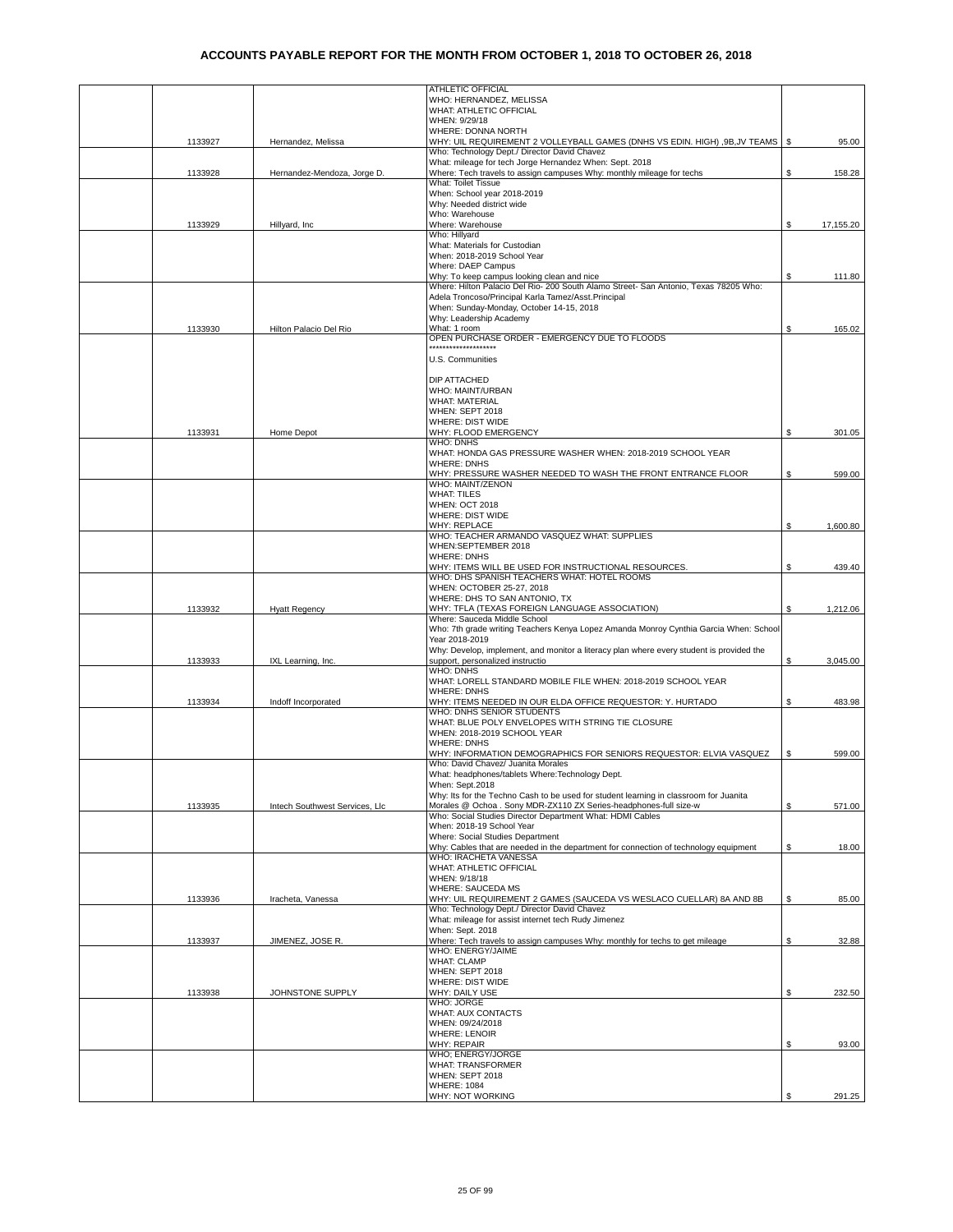|         |                                | <b>ATHLETIC OFFICIAL</b>                                                                                                                                   |    |           |
|---------|--------------------------------|------------------------------------------------------------------------------------------------------------------------------------------------------------|----|-----------|
|         |                                | WHO: HERNANDEZ, MELISSA                                                                                                                                    |    |           |
|         |                                | WHAT: ATHLETIC OFFICIAL<br>WHEN: 9/29/18                                                                                                                   |    |           |
|         |                                | WHERE: DONNA NORTH                                                                                                                                         |    |           |
| 1133927 | Hernandez, Melissa             | WHY: UIL REQUIREMENT 2 VOLLEYBALL GAMES (DNHS VS EDIN. HIGH) , 9B, JV TEAMS                                                                                | -S | 95.00     |
|         |                                | Who: Technology Dept./ Director David Chavez                                                                                                               |    |           |
|         |                                | What: mileage for tech Jorge Hernandez When: Sept. 2018                                                                                                    |    |           |
| 1133928 | Hernandez-Mendoza, Jorge D.    | Where: Tech travels to assign campuses Why: monthly mileage for techs                                                                                      | \$ | 158.28    |
|         |                                | What: Toilet Tissue<br>When: School year 2018-2019                                                                                                         |    |           |
|         |                                | Why: Needed district wide                                                                                                                                  |    |           |
|         |                                | Who: Warehouse                                                                                                                                             |    |           |
| 1133929 | Hillyard, Inc                  | Where: Warehouse                                                                                                                                           | \$ | 17,155.20 |
|         |                                | Who: Hillyard                                                                                                                                              |    |           |
|         |                                | What: Materials for Custodian                                                                                                                              |    |           |
|         |                                | When: 2018-2019 School Year                                                                                                                                |    |           |
|         |                                | Where: DAEP Campus                                                                                                                                         |    |           |
|         |                                | Why: To keep campus looking clean and nice                                                                                                                 | \$ | 111.80    |
|         |                                | Where: Hilton Palacio Del Rio- 200 South Alamo Street- San Antonio, Texas 78205 Who:<br>Adela Troncoso/Principal Karla Tamez/Asst.Principal                |    |           |
|         |                                | When: Sunday-Monday, October 14-15, 2018                                                                                                                   |    |           |
|         |                                | Why: Leadership Academy                                                                                                                                    |    |           |
| 1133930 | Hilton Palacio Del Rio         | What: 1 room                                                                                                                                               | \$ | 165.02    |
|         |                                | OPEN PURCHASE ORDER - EMERGENCY DUE TO FLOODS                                                                                                              |    |           |
|         |                                | ********************                                                                                                                                       |    |           |
|         |                                | U.S. Communities                                                                                                                                           |    |           |
|         |                                |                                                                                                                                                            |    |           |
|         |                                | DIP ATTACHED<br>WHO: MAINT/URBAN                                                                                                                           |    |           |
|         |                                | <b>WHAT: MATERIAL</b>                                                                                                                                      |    |           |
|         |                                | WHEN: SEPT 2018                                                                                                                                            |    |           |
|         |                                | WHERE: DIST WIDE                                                                                                                                           |    |           |
| 1133931 | Home Depot                     | WHY: FLOOD EMERGENCY                                                                                                                                       | \$ | 301.05    |
|         |                                | <b>WHO: DNHS</b>                                                                                                                                           |    |           |
|         |                                | WHAT: HONDA GAS PRESSURE WASHER WHEN: 2018-2019 SCHOOL YEAR                                                                                                |    |           |
|         |                                | <b>WHERE: DNHS</b>                                                                                                                                         |    |           |
|         |                                | WHY: PRESSURE WASHER NEEDED TO WASH THE FRONT ENTRANCE FLOOR<br>WHO: MAINT/ZENON                                                                           | \$ | 599.00    |
|         |                                | <b>WHAT: TILES</b>                                                                                                                                         |    |           |
|         |                                | <b>WHEN: OCT 2018</b>                                                                                                                                      |    |           |
|         |                                | WHERE: DIST WIDE                                                                                                                                           |    |           |
|         |                                | <b>WHY: REPLACE</b>                                                                                                                                        | \$ | 1,600.80  |
|         |                                | WHO: TEACHER ARMANDO VASQUEZ WHAT: SUPPLIES                                                                                                                |    |           |
|         |                                | WHEN:SEPTEMBER 2018                                                                                                                                        |    |           |
|         |                                | <b>WHERE: DNHS</b><br>WHY: ITEMS WILL BE USED FOR INSTRUCTIONAL RESOURCES.                                                                                 | \$ | 439.40    |
|         |                                | WHO: DHS SPANISH TEACHERS WHAT: HOTEL ROOMS                                                                                                                |    |           |
|         |                                | WHEN: OCTOBER 25-27, 2018                                                                                                                                  |    |           |
|         |                                | WHERE: DHS TO SAN ANTONIO, TX                                                                                                                              |    |           |
| 1133932 | <b>Hyatt Regency</b>           | WHY: TFLA (TEXAS FOREIGN LANGUAGE ASSOCIATION)                                                                                                             | \$ | 1,212.06  |
|         |                                | Where: Sauceda Middle School                                                                                                                               |    |           |
|         |                                | Who: 7th grade writing Teachers Kenya Lopez Amanda Monroy Cynthia Garcia When: School<br>Year 2018-2019                                                    |    |           |
|         |                                | Why: Develop, implement, and monitor a literacy plan where every student is provided the                                                                   |    |           |
| 1133933 | IXL Learning, Inc.             | support, personalized instructio                                                                                                                           | \$ | 3,045.00  |
|         |                                | <b>WHO: DNHS</b>                                                                                                                                           |    |           |
|         |                                | WHAT: LORELL STANDARD MOBILE FILE WHEN: 2018-2019 SCHOOL YEAR                                                                                              |    |           |
|         |                                | <b>WHERE: DNHS</b>                                                                                                                                         |    |           |
| 1133934 | Indoff Incorporated            | WHY: ITEMS NEEDED IN OUR ELDA OFFICE REQUESTOR: Y. HURTADO<br>WHO: DNHS SENIOR STUDENTS                                                                    | \$ | 483.98    |
|         |                                | WHAT: BLUE POLY ENVELOPES WITH STRING TIE CLOSURE                                                                                                          |    |           |
|         |                                | WHEN: 2018-2019 SCHOOL YEAR                                                                                                                                |    |           |
|         |                                | <b>WHERE: DNHS</b>                                                                                                                                         |    |           |
|         |                                | WHY: INFORMATION DEMOGRAPHICS FOR SENIORS REQUESTOR: ELVIA VASQUEZ                                                                                         | \$ | 599.00    |
|         |                                | Who: David Chavez/ Juanita Morales                                                                                                                         |    |           |
|         |                                | What: headphones/tablets Where:Technology Dept.                                                                                                            |    |           |
|         |                                | When: Sept.2018                                                                                                                                            |    |           |
| 1133935 | Intech Southwest Services, Llc | Why: Its for the Techno Cash to be used for student learning in classroom for Juanita<br>Morales @ Ochoa . Sony MDR-ZX110 ZX Series-headphones-full size-w | \$ | 571.00    |
|         |                                | Who: Social Studies Director Department What: HDMI Cables                                                                                                  |    |           |
|         |                                | When: 2018-19 School Year                                                                                                                                  |    |           |
|         |                                | Where: Social Studies Department                                                                                                                           |    |           |
|         |                                | Why: Cables that are needed in the department for connection of technology equipment                                                                       | \$ | 18.00     |
|         |                                | WHO: IRACHETA VANESSA                                                                                                                                      |    |           |
|         |                                | WHAT: ATHLETIC OFFICIAL<br>WHEN: 9/18/18                                                                                                                   |    |           |
|         |                                | WHERE: SAUCEDA MS                                                                                                                                          |    |           |
| 1133936 | Iracheta, Vanessa              | WHY: UIL REQUIREMENT 2 GAMES (SAUCEDA VS WESLACO CUELLAR) 8A AND 8B                                                                                        | \$ | 85.00     |
|         |                                | Who: Technology Dept./ Director David Chavez                                                                                                               |    |           |
|         |                                | What: mileage for assist internet tech Rudy Jimenez                                                                                                        |    |           |
|         |                                | When: Sept. 2018                                                                                                                                           |    |           |
| 1133937 | JIMENEZ, JOSE R.               | Where: Tech travels to assign campuses Why: monthly for techs to get mileage<br>WHO: ENERGY/JAIME                                                          | \$ | 32.88     |
|         |                                | <b>WHAT: CLAMP</b>                                                                                                                                         |    |           |
|         |                                | WHEN: SEPT 2018                                                                                                                                            |    |           |
|         |                                | WHERE: DIST WIDE                                                                                                                                           |    |           |
| 1133938 | JOHNSTONE SUPPLY               | WHY: DAILY USE                                                                                                                                             | \$ | 232.50    |
|         |                                | <b>WHO: JORGE</b>                                                                                                                                          |    |           |
|         |                                | WHAT: AUX CONTACTS                                                                                                                                         |    |           |
|         |                                | WHEN: 09/24/2018<br><b>WHERE: LENOIR</b>                                                                                                                   |    |           |
|         |                                | <b>WHY: REPAIR</b>                                                                                                                                         | \$ | 93.00     |
|         |                                | WHO; ENERGY/JORGE                                                                                                                                          |    |           |
|         |                                | <b>WHAT: TRANSFORMER</b>                                                                                                                                   |    |           |
|         |                                | WHEN: SEPT 2018                                                                                                                                            |    |           |
|         |                                | <b>WHERE: 1084</b>                                                                                                                                         |    |           |
|         |                                | WHY: NOT WORKING                                                                                                                                           |    | 291.25    |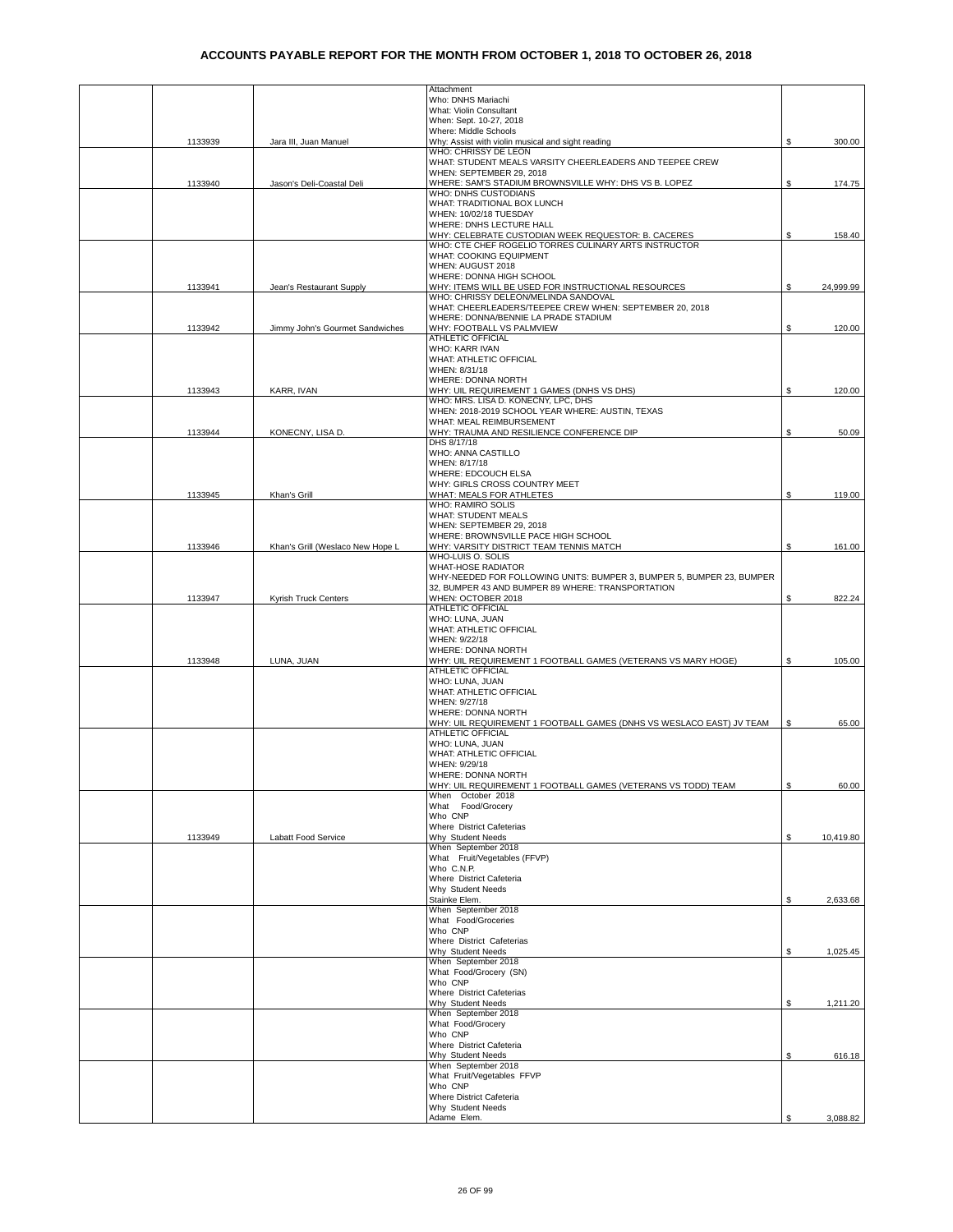|         |                                  | Attachment                                                                         |    |           |
|---------|----------------------------------|------------------------------------------------------------------------------------|----|-----------|
|         |                                  | Who: DNHS Mariachi                                                                 |    |           |
|         |                                  | What: Violin Consultant<br>When: Sept. 10-27, 2018                                 |    |           |
|         |                                  | Where: Middle Schools                                                              |    |           |
| 1133939 | Jara III, Juan Manuel            | Why: Assist with violin musical and sight reading                                  | \$ | 300.00    |
|         |                                  | WHO: CHRISSY DE LEON                                                               |    |           |
|         |                                  | WHAT: STUDENT MEALS VARSITY CHEERLEADERS AND TEEPEE CREW                           |    |           |
|         |                                  | WHEN: SEPTEMBER 29, 2018                                                           |    |           |
| 1133940 | Jason's Deli-Coastal Deli        | WHERE: SAM'S STADIUM BROWNSVILLE WHY: DHS VS B. LOPEZ                              | \$ | 174.75    |
|         |                                  | WHO: DNHS CUSTODIANS                                                               |    |           |
|         |                                  | WHAT: TRADITIONAL BOX LUNCH<br>WHEN: 10/02/18 TUESDAY                              |    |           |
|         |                                  | WHERE: DNHS LECTURE HALL                                                           |    |           |
|         |                                  | WHY: CELEBRATE CUSTODIAN WEEK REQUESTOR: B. CACERES                                | \$ | 158.40    |
|         |                                  | WHO: CTE CHEF ROGELIO TORRES CULINARY ARTS INSTRUCTOR                              |    |           |
|         |                                  | WHAT: COOKING EQUIPMENT                                                            |    |           |
|         |                                  | WHEN: AUGUST 2018                                                                  |    |           |
|         |                                  | WHERE: DONNA HIGH SCHOOL                                                           |    |           |
| 1133941 | Jean's Restaurant Supply         | WHY: ITEMS WILL BE USED FOR INSTRUCTIONAL RESOURCES                                | S. | 24,999.99 |
|         |                                  | WHO: CHRISSY DELEON/MELINDA SANDOVAL                                               |    |           |
|         |                                  | WHAT: CHEERLEADERS/TEEPEE CREW WHEN: SEPTEMBER 20, 2018                            |    |           |
| 1133942 | Jimmy John's Gourmet Sandwiches  | WHERE: DONNA/BENNIE LA PRADE STADIUM<br>WHY: FOOTBALL VS PALMVIEW                  | \$ | 120.00    |
|         |                                  | ATHLETIC OFFICIAL                                                                  |    |           |
|         |                                  | WHO: KARR IVAN                                                                     |    |           |
|         |                                  | WHAT: ATHLETIC OFFICIAL                                                            |    |           |
|         |                                  | WHEN: 8/31/18                                                                      |    |           |
|         |                                  | WHERE: DONNA NORTH                                                                 |    |           |
| 1133943 | KARR, IVAN                       | WHY: UIL REQUIREMENT 1 GAMES (DNHS VS DHS)                                         | S  | 120.00    |
|         |                                  | WHO: MRS. LISA D. KONECNY, LPC, DHS                                                |    |           |
|         |                                  | WHEN: 2018-2019 SCHOOL YEAR WHERE: AUSTIN, TEXAS                                   |    |           |
| 1133944 |                                  | WHAT: MEAL REIMBURSEMENT<br>WHY: TRAUMA AND RESILIENCE CONFERENCE DIP              |    |           |
|         | KONECNY, LISA D.                 | DHS 8/17/18                                                                        | \$ | 50.09     |
|         |                                  | WHO: ANNA CASTILLO                                                                 |    |           |
|         |                                  | WHEN: 8/17/18                                                                      |    |           |
|         |                                  | WHERE: EDCOUCH ELSA                                                                |    |           |
|         |                                  | WHY: GIRLS CROSS COUNTRY MEET                                                      |    |           |
| 1133945 | Khan's Grill                     | WHAT: MEALS FOR ATHLETES                                                           | \$ | 119.00    |
|         |                                  | <b>WHO: RAMIRO SOLIS</b>                                                           |    |           |
|         |                                  | <b>WHAT: STUDENT MEALS</b>                                                         |    |           |
|         |                                  | WHEN: SEPTEMBER 29, 2018                                                           |    |           |
|         |                                  | WHERE: BROWNSVILLE PACE HIGH SCHOOL                                                |    |           |
| 1133946 | Khan's Grill (Weslaco New Hope L | WHY: VARSITY DISTRICT TEAM TENNIS MATCH<br>WHO-LUIS O. SOLIS                       | \$ | 161.00    |
|         |                                  | <b>WHAT-HOSE RADIATOR</b>                                                          |    |           |
|         |                                  | WHY-NEEDED FOR FOLLOWING UNITS: BUMPER 3, BUMPER 5, BUMPER 23, BUMPER              |    |           |
|         |                                  | 32, BUMPER 43 AND BUMPER 89 WHERE: TRANSPORTATION                                  |    |           |
| 1133947 | Kyrish Truck Centers             | WHEN: OCTOBER 2018                                                                 | \$ | 822.24    |
|         |                                  | <b>ATHLETIC OFFICIAL</b>                                                           |    |           |
|         |                                  | WHO: LUNA, JUAN                                                                    |    |           |
|         |                                  | WHAT: ATHLETIC OFFICIAL                                                            |    |           |
|         |                                  | WHEN: 9/22/18                                                                      |    |           |
|         |                                  | WHERE: DONNA NORTH                                                                 |    |           |
| 1133948 | LUNA, JUAN                       | WHY: UIL REQUIREMENT 1 FOOTBALL GAMES (VETERANS VS MARY HOGE)<br>ATHLETIC OFFICIAL | \$ | 105.00    |
|         |                                  | WHO: LUNA, JUAN                                                                    |    |           |
|         |                                  | WHAT: ATHLETIC OFFICIAL                                                            |    |           |
|         |                                  | WHEN: 9/27/18                                                                      |    |           |
|         |                                  | WHERE: DONNA NORTH                                                                 |    |           |
|         |                                  | WHY: UIL REQUIREMENT 1 FOOTBALL GAMES (DNHS VS WESLACO EAST) JV TEAM               | \$ | 65.00     |
|         |                                  | ATHLETIC OFFICIAL                                                                  |    |           |
|         |                                  | WHO: LUNA, JUAN                                                                    |    |           |
|         |                                  | WHAT: ATHLETIC OFFICIAL                                                            |    |           |
|         |                                  | WHEN: 9/29/18                                                                      |    |           |
|         |                                  | WHERE: DONNA NORTH                                                                 |    | 60.00     |
|         |                                  | WHY: UIL REQUIREMENT 1 FOOTBALL GAMES (VETERANS VS TODD) TEAM<br>When October 2018 | \$ |           |
|         |                                  | What Food/Grocery                                                                  |    |           |
|         |                                  | Who CNP                                                                            |    |           |
|         |                                  | Where District Cafeterias                                                          |    |           |
| 1133949 | Labatt Food Service              | Why Student Needs                                                                  | \$ | 10,419.80 |
|         |                                  | When September 2018                                                                |    |           |
|         |                                  | What Fruit/Vegetables (FFVP)                                                       |    |           |
|         |                                  | Who C.N.P.                                                                         |    |           |
|         |                                  | Where District Cafeteria<br>Why Student Needs                                      |    |           |
|         |                                  | Stainke Elem.                                                                      | \$ | 2,633.68  |
|         |                                  | When September 2018                                                                |    |           |
|         |                                  | What Food/Groceries                                                                |    |           |
|         |                                  | Who CNP                                                                            |    |           |
|         |                                  | Where District Cafeterias                                                          |    |           |
|         |                                  | Why Student Needs                                                                  | \$ | 1,025.45  |
|         |                                  | When September 2018                                                                |    |           |
|         |                                  | What Food/Grocery (SN)                                                             |    |           |
|         |                                  | Who CNP                                                                            |    |           |
|         |                                  | Where District Cafeterias<br>Why Student Needs                                     |    |           |
|         |                                  | When September 2018                                                                | \$ | 1,211.20  |
|         |                                  | What Food/Grocery                                                                  |    |           |
|         |                                  | Who CNP                                                                            |    |           |
|         |                                  | Where District Cafeteria                                                           |    |           |
|         |                                  | Why Student Needs                                                                  | \$ | 616.18    |
|         |                                  | When September 2018                                                                |    |           |
|         |                                  | What Fruit/Vegetables FFVP                                                         |    |           |
|         |                                  | Who CNP                                                                            |    |           |
|         |                                  | Where District Cafeteria                                                           |    |           |
|         |                                  | Why Student Needs<br>Adame Elem.                                                   | ፍ  | 3,088.82  |
|         |                                  |                                                                                    |    |           |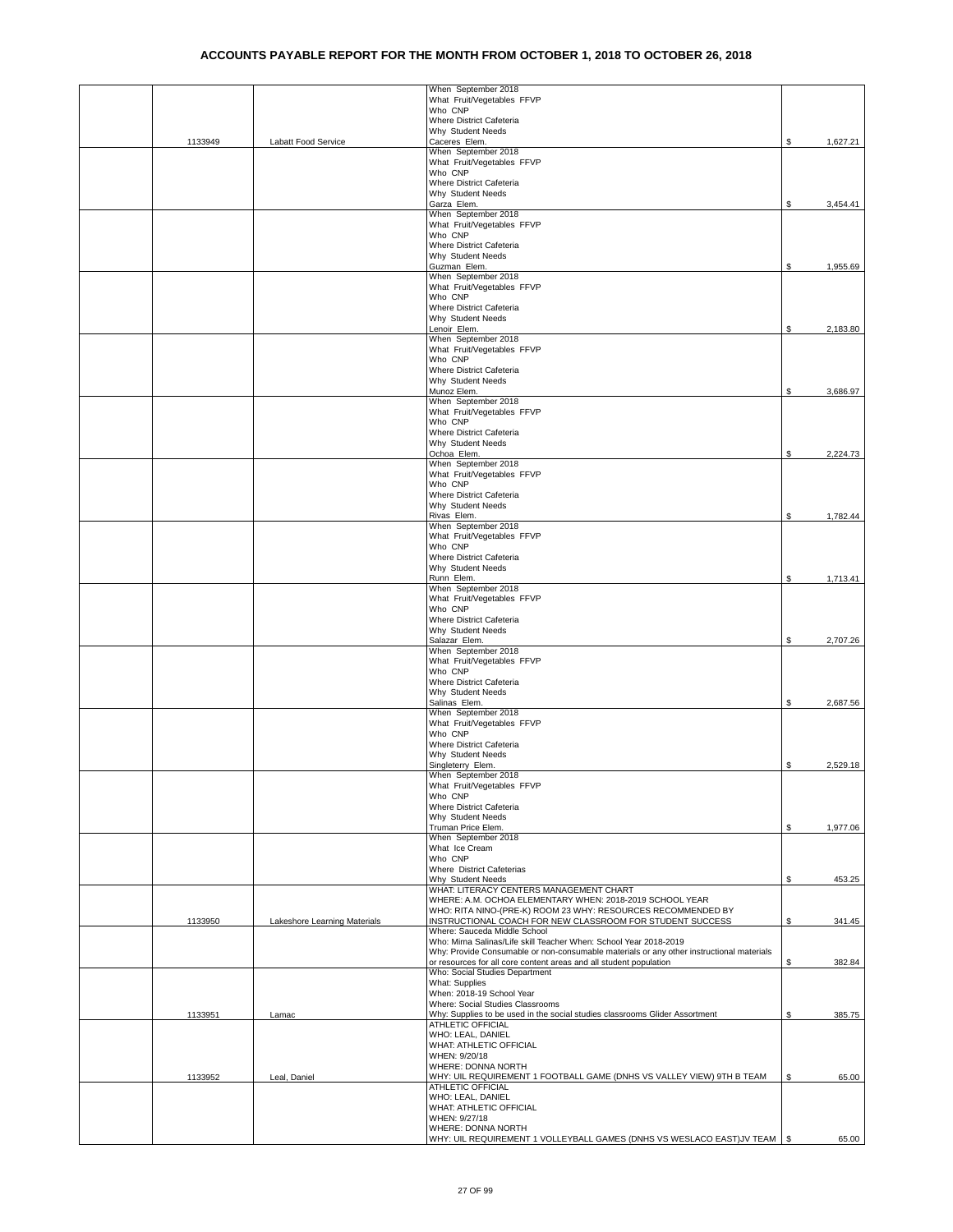|         |                              | When September 2018<br>What Fruit/Vegetables FFVP                                                                                                              |    |          |
|---------|------------------------------|----------------------------------------------------------------------------------------------------------------------------------------------------------------|----|----------|
|         |                              | Who CNP                                                                                                                                                        |    |          |
|         |                              | Where District Cafeteria<br>Why Student Needs                                                                                                                  |    |          |
| 1133949 | Labatt Food Service          | Caceres Elem.                                                                                                                                                  | \$ | 1,627.21 |
|         |                              | When September 2018                                                                                                                                            |    |          |
|         |                              | What Fruit/Vegetables FFVP<br>Who CNP                                                                                                                          |    |          |
|         |                              | Where District Cafeteria                                                                                                                                       |    |          |
|         |                              | Why Student Needs<br>Garza Elem.                                                                                                                               | S. | 3,454.41 |
|         |                              | When September 2018                                                                                                                                            |    |          |
|         |                              | What Fruit/Vegetables FFVP<br>Who CNP                                                                                                                          |    |          |
|         |                              | Where District Cafeteria                                                                                                                                       |    |          |
|         |                              | Why Student Needs                                                                                                                                              |    |          |
|         |                              | Guzman Elem.<br>When September 2018                                                                                                                            | \$ | 1,955.69 |
|         |                              | What Fruit/Vegetables FFVP                                                                                                                                     |    |          |
|         |                              | Who CNP<br>Where District Cafeteria                                                                                                                            |    |          |
|         |                              | Why Student Needs                                                                                                                                              |    |          |
|         |                              | Lenoir Elem.<br>When September 2018                                                                                                                            | \$ | 2,183.80 |
|         |                              | What Fruit/Vegetables FFVP                                                                                                                                     |    |          |
|         |                              | Who CNP                                                                                                                                                        |    |          |
|         |                              | Where District Cafeteria<br>Why Student Needs                                                                                                                  |    |          |
|         |                              | Munoz Elem.                                                                                                                                                    | \$ | 3,686.97 |
|         |                              | When September 2018<br>What Fruit/Vegetables FFVP                                                                                                              |    |          |
|         |                              | Who CNP                                                                                                                                                        |    |          |
|         |                              | Where District Cafeteria<br>Why Student Needs                                                                                                                  |    |          |
|         |                              | Ochoa Elem.                                                                                                                                                    | \$ | 2,224.73 |
|         |                              | When September 2018<br>What Fruit/Vegetables FFVP                                                                                                              |    |          |
|         |                              | Who CNP                                                                                                                                                        |    |          |
|         |                              | Where District Cafeteria                                                                                                                                       |    |          |
|         |                              | Why Student Needs<br>Rivas Elem.                                                                                                                               | \$ | 1,782.44 |
|         |                              | When September 2018                                                                                                                                            |    |          |
|         |                              | What Fruit/Vegetables FFVP<br>Who CNP                                                                                                                          |    |          |
|         |                              | Where District Cafeteria                                                                                                                                       |    |          |
|         |                              | Why Student Needs                                                                                                                                              |    |          |
|         |                              | Runn Elem.<br>When September 2018                                                                                                                              | \$ | 1,713.41 |
|         |                              | What Fruit/Vegetables FFVP                                                                                                                                     |    |          |
|         |                              | Who CNP<br>Where District Cafeteria                                                                                                                            |    |          |
|         |                              | Why Student Needs                                                                                                                                              |    |          |
|         |                              | Salazar Elem.<br>When September 2018                                                                                                                           | \$ | 2,707.26 |
|         |                              | What Fruit/Vegetables FFVP                                                                                                                                     |    |          |
|         |                              | Who CNP                                                                                                                                                        |    |          |
|         |                              | Where District Cafeteria<br>Why Student Needs                                                                                                                  |    |          |
|         |                              | Salinas Elem.                                                                                                                                                  | \$ | 2,687.56 |
|         |                              | When September 2018<br>What Fruit/Vegetables FFVP                                                                                                              |    |          |
|         |                              | Who CNP                                                                                                                                                        |    |          |
|         |                              | Where District Cafeteria<br>Why Student Needs                                                                                                                  |    |          |
|         |                              | Singleterry Elem.                                                                                                                                              | \$ | 2,529.18 |
|         |                              | When September 2018<br>What Fruit/Vegetables FFVP                                                                                                              |    |          |
|         |                              | Who CNP                                                                                                                                                        |    |          |
|         |                              | Where District Cafeteria                                                                                                                                       |    |          |
|         |                              | Why Student Needs<br>Truman Price Elem.                                                                                                                        | \$ | 1,977.06 |
|         |                              | When September 2018                                                                                                                                            |    |          |
|         |                              | What Ice Cream<br>Who CNP                                                                                                                                      |    |          |
|         |                              | Where District Cafeterias                                                                                                                                      |    |          |
|         |                              | Why Student Needs<br>WHAT: LITERACY CENTERS MANAGEMENT CHART                                                                                                   | S. | 453.25   |
|         |                              | WHERE: A.M. OCHOA ELEMENTARY WHEN: 2018-2019 SCHOOL YEAR                                                                                                       |    |          |
|         |                              | WHO: RITA NINO-(PRE-K) ROOM 23 WHY: RESOURCES RECOMMENDED BY                                                                                                   |    |          |
| 1133950 | Lakeshore Learning Materials | INSTRUCTIONAL COACH FOR NEW CLASSROOM FOR STUDENT SUCCESS<br>Where: Sauceda Middle School                                                                      | \$ | 341.45   |
|         |                              | Who: Mirna Salinas/Life skill Teacher When: School Year 2018-2019                                                                                              |    |          |
|         |                              | Why: Provide Consumable or non-consumable materials or any other instructional materials<br>or resources for all core content areas and all student population | \$ | 382.84   |
|         |                              | Who: Social Studies Department                                                                                                                                 |    |          |
|         |                              | What: Supplies<br>When: 2018-19 School Year                                                                                                                    |    |          |
|         |                              | Where: Social Studies Classrooms                                                                                                                               |    |          |
| 1133951 | Lamac                        | Why: Supplies to be used in the social studies classrooms Glider Assortment<br>ATHLETIC OFFICIAL                                                               | \$ | 385.75   |
|         |                              | WHO: LEAL, DANIEL                                                                                                                                              |    |          |
|         |                              | WHAT: ATHLETIC OFFICIAL<br>WHEN: 9/20/18                                                                                                                       |    |          |
|         |                              | WHERE: DONNA NORTH                                                                                                                                             |    |          |
| 1133952 | Leal, Daniel                 | WHY: UIL REQUIREMENT 1 FOOTBALL GAME (DNHS VS VALLEY VIEW) 9TH B TEAM                                                                                          | S  | 65.00    |
|         |                              | ATHLETIC OFFICIAL<br>WHO: LEAL, DANIEL                                                                                                                         |    |          |
|         |                              | WHAT: ATHLETIC OFFICIAL                                                                                                                                        |    |          |
|         |                              | WHEN: 9/27/18<br>WHERE: DONNA NORTH                                                                                                                            |    |          |
|         |                              | WHY: UIL REQUIREMENT 1 VOLLEYBALL GAMES (DNHS VS WESLACO EAST)JV TEAM   \$                                                                                     |    | 65.00    |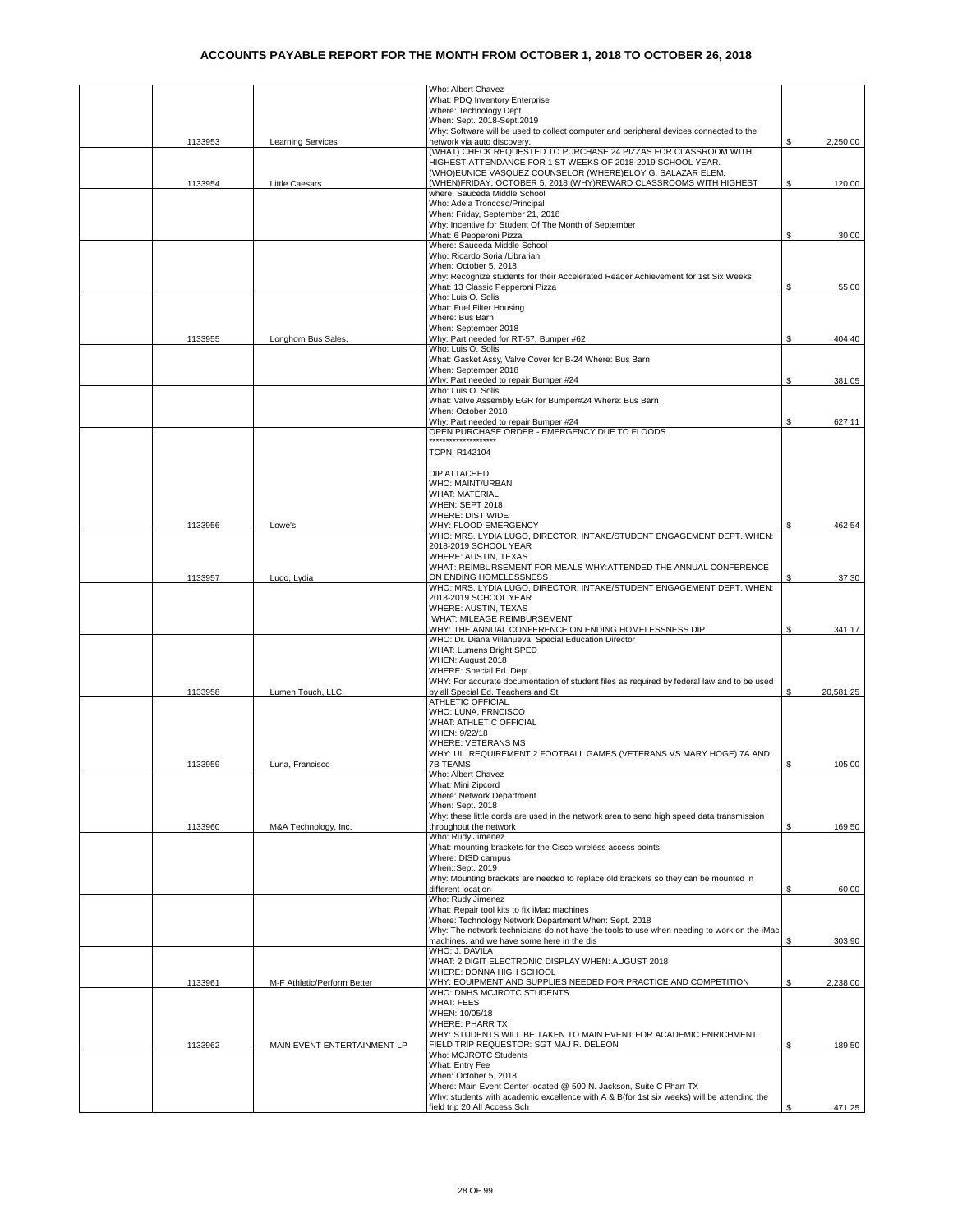|         |                             | Who: Albert Chavez                                                                                                     |    |           |
|---------|-----------------------------|------------------------------------------------------------------------------------------------------------------------|----|-----------|
|         |                             | What: PDQ Inventory Enterprise                                                                                         |    |           |
|         |                             | Where: Technology Dept.<br>When: Sept. 2018-Sept.2019                                                                  |    |           |
|         |                             | Why: Software will be used to collect computer and peripheral devices connected to the                                 |    |           |
| 1133953 | <b>Learning Services</b>    | network via auto discovery.                                                                                            | \$ | 2,250.00  |
|         |                             | (WHAT) CHECK REQUESTED TO PURCHASE 24 PIZZAS FOR CLASSROOM WITH                                                        |    |           |
|         |                             | HIGHEST ATTENDANCE FOR 1 ST WEEKS OF 2018-2019 SCHOOL YEAR.                                                            |    |           |
|         |                             | (WHO)EUNICE VASQUEZ COUNSELOR (WHERE)ELOY G. SALAZAR ELEM.                                                             |    |           |
| 1133954 | Little Caesars              | (WHEN)FRIDAY, OCTOBER 5, 2018 (WHY)REWARD CLASSROOMS WITH HIGHEST<br>where: Sauceda Middle School                      | \$ | 120.00    |
|         |                             | Who: Adela Troncoso/Principal                                                                                          |    |           |
|         |                             | When: Friday, September 21, 2018                                                                                       |    |           |
|         |                             | Why: Incentive for Student Of The Month of September                                                                   |    |           |
|         |                             | What: 6 Pepperoni Pizza                                                                                                | \$ | 30.00     |
|         |                             | Where: Sauceda Middle School                                                                                           |    |           |
|         |                             | Who: Ricardo Soria / Librarian<br>When: October 5, 2018                                                                |    |           |
|         |                             | Why: Recognize students for their Accelerated Reader Achievement for 1st Six Weeks                                     |    |           |
|         |                             | What: 13 Classic Pepperoni Pizza                                                                                       | S  | 55.00     |
|         |                             | Who: Luis O. Solis                                                                                                     |    |           |
|         |                             | What: Fuel Filter Housing                                                                                              |    |           |
|         |                             | Where: Bus Barn                                                                                                        |    |           |
|         |                             | When: September 2018                                                                                                   |    |           |
| 1133955 | Longhorn Bus Sales,         | Why: Part needed for RT-57, Bumper #62                                                                                 | \$ | 404.40    |
|         |                             | Who: Luis O. Solis<br>What: Gasket Assy, Valve Cover for B-24 Where: Bus Barn                                          |    |           |
|         |                             | When: September 2018                                                                                                   |    |           |
|         |                             | Why: Part needed to repair Bumper #24                                                                                  | \$ | 381.05    |
|         |                             | Who: Luis O. Solis                                                                                                     |    |           |
|         |                             | What: Valve Assembly EGR for Bumper#24 Where: Bus Barn                                                                 |    |           |
|         |                             | When: October 2018                                                                                                     |    |           |
|         |                             | Why: Part needed to repair Bumper #24<br>OPEN PURCHASE ORDER - EMERGENCY DUE TO FLOODS                                 | \$ | 627.11    |
|         |                             | ********************                                                                                                   |    |           |
|         |                             | TCPN: R142104                                                                                                          |    |           |
|         |                             |                                                                                                                        |    |           |
|         |                             | DIP ATTACHED                                                                                                           |    |           |
|         |                             | WHO: MAINT/URBAN                                                                                                       |    |           |
|         |                             | <b>WHAT: MATERIAL</b>                                                                                                  |    |           |
|         |                             | WHEN: SEPT 2018                                                                                                        |    |           |
|         |                             | WHERE: DIST WIDE<br>WHY: FLOOD EMERGENCY                                                                               |    |           |
| 1133956 | Lowe's                      | WHO: MRS. LYDIA LUGO, DIRECTOR, INTAKE/STUDENT ENGAGEMENT DEPT. WHEN:                                                  |    | 462.54    |
|         |                             | 2018-2019 SCHOOL YEAR                                                                                                  |    |           |
|         |                             | WHERE: AUSTIN, TEXAS                                                                                                   |    |           |
|         |                             | WHAT: REIMBURSEMENT FOR MEALS WHY:ATTENDED THE ANNUAL CONFERENCE                                                       |    |           |
| 1133957 | Lugo, Lydia                 | ON ENDING HOMELESSNESS                                                                                                 | S  | 37.30     |
|         |                             | WHO: MRS. LYDIA LUGO, DIRECTOR, INTAKE/STUDENT ENGAGEMENT DEPT. WHEN:                                                  |    |           |
|         |                             | 2018-2019 SCHOOL YEAR<br>WHERE: AUSTIN, TEXAS                                                                          |    |           |
|         |                             | WHAT: MILEAGE REIMBURSEMENT                                                                                            |    |           |
|         |                             | WHY: THE ANNUAL CONFERENCE ON ENDING HOMELESSNESS DIP                                                                  | \$ | 341.17    |
|         |                             | WHO: Dr. Diana Villanueva, Special Education Director                                                                  |    |           |
|         |                             | WHAT: Lumens Bright SPED                                                                                               |    |           |
|         |                             | WHEN: August 2018                                                                                                      |    |           |
|         |                             | WHERE: Special Ed. Dept.<br>WHY: For accurate documentation of student files as required by federal law and to be used |    |           |
| 1133958 | Lumen Touch, LLC.           | by all Special Ed. Teachers and St                                                                                     |    | 20,581.25 |
|         |                             | ATHLETIC OFFICIAL                                                                                                      |    |           |
|         |                             | WHO: LUNA, FRNCISCO                                                                                                    |    |           |
|         |                             | WHAT: ATHLETIC OFFICIAL                                                                                                |    |           |
|         |                             | WHEN: 9/22/18                                                                                                          |    |           |
|         |                             | <b>WHERE: VETERANS MS</b>                                                                                              |    |           |
| 1133959 | Luna, Francisco             | WHY: UIL REQUIREMENT 2 FOOTBALL GAMES (VETERANS VS MARY HOGE) 7A AND<br><b>7B TEAMS</b>                                | \$ | 105.00    |
|         |                             | Who: Albert Chavez                                                                                                     |    |           |
|         |                             | What: Mini Zipcord                                                                                                     |    |           |
|         |                             | Where: Network Department                                                                                              |    |           |
|         |                             | When: Sept. 2018                                                                                                       |    |           |
|         |                             | Why: these little cords are used in the network area to send high speed data transmission                              |    |           |
| 1133960 | M&A Technology, Inc.        | throughout the network                                                                                                 | S. | 169.50    |
|         |                             | Who: Rudy Jimenez<br>What: mounting brackets for the Cisco wireless access points                                      |    |           |
|         |                             | Where: DISD campus                                                                                                     |    |           |
|         |                             | When::Sept. 2019                                                                                                       |    |           |
|         |                             | Why: Mounting brackets are needed to replace old brackets so they can be mounted in                                    |    |           |
|         |                             | different location                                                                                                     | S  | 60.00     |
|         |                             | Who: Rudy Jimenez                                                                                                      |    |           |
|         |                             | What: Repair tool kits to fix iMac machines<br>Where: Technology Network Department When: Sept. 2018                   |    |           |
|         |                             | Why: The network technicians do not have the tools to use when needing to work on the iMac                             |    |           |
|         |                             | machines. and we have some here in the dis                                                                             | S. | 303.90    |
|         |                             | WHO: J. DAVILA                                                                                                         |    |           |
|         |                             | WHAT: 2 DIGIT ELECTRONIC DISPLAY WHEN: AUGUST 2018                                                                     |    |           |
|         |                             | WHERE: DONNA HIGH SCHOOL                                                                                               |    |           |
| 1133961 | M-F Athletic/Perform Better | WHY: EQUIPMENT AND SUPPLIES NEEDED FOR PRACTICE AND COMPETITION<br>WHO: DNHS MCJROTC STUDENTS                          | S  | 2,238.00  |
|         |                             | <b>WHAT: FEES</b>                                                                                                      |    |           |
|         |                             | WHEN: 10/05/18                                                                                                         |    |           |
|         |                             | <b>WHERE: PHARR TX</b>                                                                                                 |    |           |
|         |                             | WHY: STUDENTS WILL BE TAKEN TO MAIN EVENT FOR ACADEMIC ENRICHMENT                                                      |    |           |
| 1133962 | MAIN EVENT ENTERTAINMENT LP | FIELD TRIP REQUESTOR: SGT MAJ R. DELEON                                                                                | S  | 189.50    |
|         |                             | Who: MCJROTC Students                                                                                                  |    |           |
|         |                             | What: Entry Fee<br>When: October 5, 2018                                                                               |    |           |
|         |                             | Where: Main Event Center located @ 500 N. Jackson, Suite C Pharr TX                                                    |    |           |
|         |                             | Why: students with academic excellence with A & B(for 1st six weeks) will be attending the                             |    |           |
|         |                             | field trip 20 All Access Sch                                                                                           |    | 471.25    |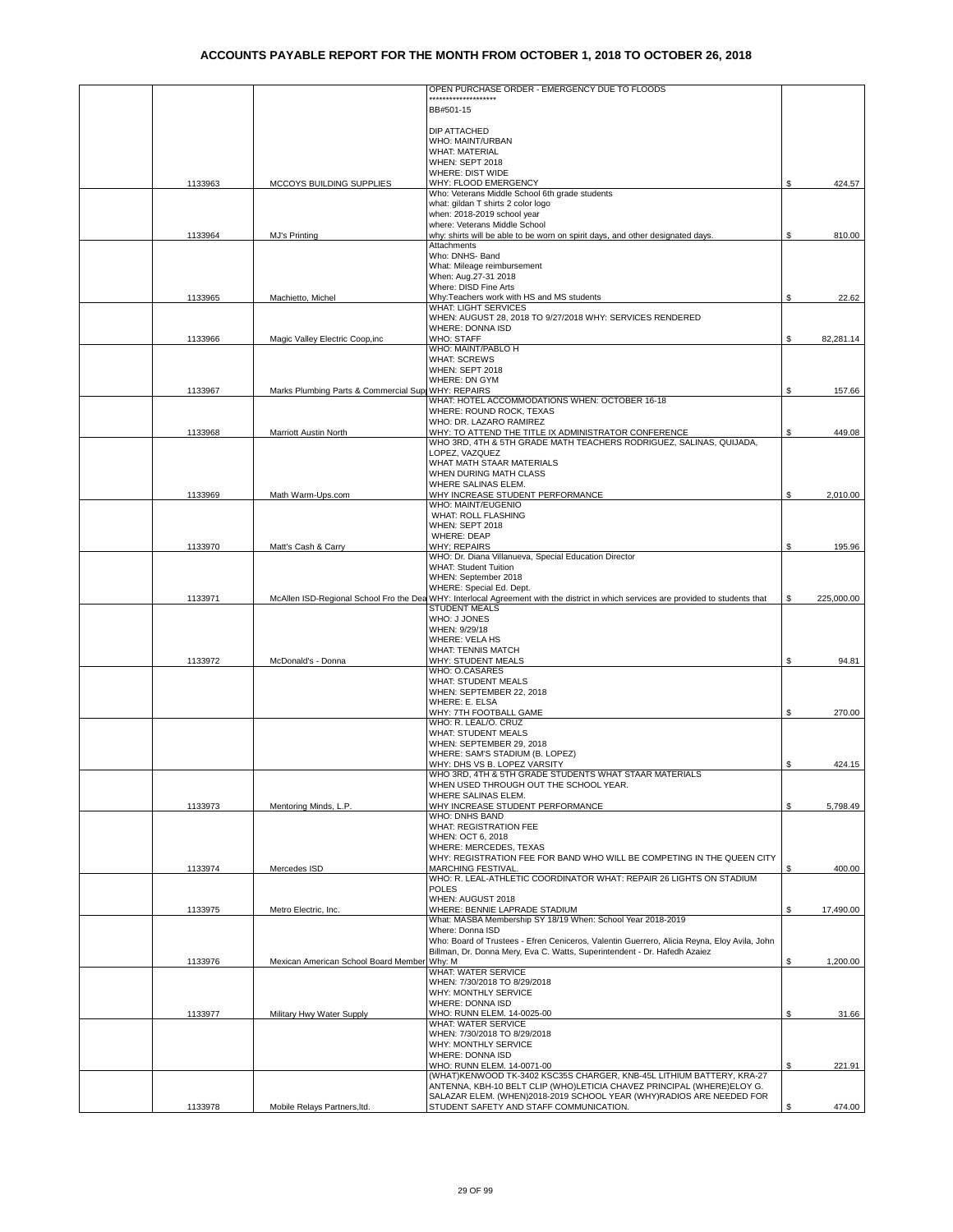|         |                                        | OPEN PURCHASE ORDER - EMERGENCY DUE TO FLOODS                                                                                                               |    |            |
|---------|----------------------------------------|-------------------------------------------------------------------------------------------------------------------------------------------------------------|----|------------|
|         |                                        |                                                                                                                                                             |    |            |
|         |                                        | BB#501-15                                                                                                                                                   |    |            |
|         |                                        | DIP ATTACHED                                                                                                                                                |    |            |
|         |                                        | WHO: MAINT/URBAN                                                                                                                                            |    |            |
|         |                                        | <b>WHAT: MATERIAL</b>                                                                                                                                       |    |            |
|         |                                        | WHEN: SEPT 2018                                                                                                                                             |    |            |
| 1133963 | MCCOYS BUILDING SUPPLIES               | WHERE: DIST WIDE<br>WHY: FLOOD EMERGENCY                                                                                                                    | S  | 424.57     |
|         |                                        | Who: Veterans Middle School 6th grade students                                                                                                              |    |            |
|         |                                        | what: gildan T shirts 2 color logo                                                                                                                          |    |            |
|         |                                        | when: 2018-2019 school year                                                                                                                                 |    |            |
| 1133964 | MJ's Printing                          | where: Veterans Middle School<br>why: shirts will be able to be worn on spirit days, and other designated days.                                             | \$ | 810.00     |
|         |                                        | Attachments                                                                                                                                                 |    |            |
|         |                                        | Who: DNHS- Band                                                                                                                                             |    |            |
|         |                                        | What: Mileage reimbursement                                                                                                                                 |    |            |
|         |                                        | When: Aug.27-31 2018<br>Where: DISD Fine Arts                                                                                                               |    |            |
| 1133965 | Machietto, Michel                      | Why: Teachers work with HS and MS students                                                                                                                  | \$ | 22.62      |
|         |                                        | <b>WHAT: LIGHT SERVICES</b>                                                                                                                                 |    |            |
|         |                                        | WHEN: AUGUST 28, 2018 TO 9/27/2018 WHY: SERVICES RENDERED<br>WHERE: DONNA ISD                                                                               |    |            |
| 1133966 | Magic Valley Electric Coop, inc        | <b>WHO: STAFF</b>                                                                                                                                           | \$ | 82,281.14  |
|         |                                        | WHO: MAINT/PABLO H                                                                                                                                          |    |            |
|         |                                        | <b>WHAT: SCREWS</b>                                                                                                                                         |    |            |
|         |                                        | WHEN: SEPT 2018<br>WHERE: DN GYM                                                                                                                            |    |            |
| 1133967 | Marks Plumbing Parts & Commercial Supp | <b>WHY: REPAIRS</b>                                                                                                                                         | S  | 157.66     |
|         |                                        | WHAT: HOTEL ACCOMMODATIONS WHEN: OCTOBER 16-18                                                                                                              |    |            |
|         |                                        | WHERE: ROUND ROCK, TEXAS                                                                                                                                    |    |            |
| 1133968 | Marriott Austin North                  | WHO: DR. LAZARO RAMIREZ<br>WHY: TO ATTEND THE TITLE IX ADMINISTRATOR CONFERENCE                                                                             | \$ | 449.08     |
|         |                                        | WHO 3RD, 4TH & 5TH GRADE MATH TEACHERS RODRIGUEZ, SALINAS, QUIJADA,                                                                                         |    |            |
|         |                                        | LOPEZ, VAZQUEZ                                                                                                                                              |    |            |
|         |                                        | WHAT MATH STAAR MATERIALS                                                                                                                                   |    |            |
|         |                                        | WHEN DURING MATH CLASS<br>WHERE SALINAS ELEM.                                                                                                               |    |            |
| 1133969 | Math Warm-Ups.com                      | WHY INCREASE STUDENT PERFORMANCE                                                                                                                            | S  | 2,010.00   |
|         |                                        | WHO: MAINT/EUGENIO                                                                                                                                          |    |            |
|         |                                        | WHAT: ROLL FLASHING<br>WHEN: SEPT 2018                                                                                                                      |    |            |
|         |                                        | <b>WHERE: DEAP</b>                                                                                                                                          |    |            |
| 1133970 | Matt's Cash & Carry                    | <b>WHY: REPAIRS</b>                                                                                                                                         | \$ | 195.96     |
|         |                                        | WHO: Dr. Diana Villanueva, Special Education Director<br><b>WHAT: Student Tuition</b>                                                                       |    |            |
|         |                                        | WHEN: September 2018                                                                                                                                        |    |            |
|         |                                        | WHERE: Special Ed. Dept.                                                                                                                                    |    |            |
| 1133971 |                                        | McAllen ISD-Regional School Fro the Dea WHY: Interlocal Agreement with the district in which services are provided to students that<br><b>STUDENT MEALS</b> | S  | 225,000.00 |
|         |                                        | WHO: J JONES                                                                                                                                                |    |            |
|         |                                        | WHEN: 9/29/18                                                                                                                                               |    |            |
|         |                                        | <b>WHERE: VELA HS</b>                                                                                                                                       |    |            |
| 1133972 | McDonald's - Donna                     | WHAT: TENNIS MATCH<br>WHY: STUDENT MEALS                                                                                                                    | \$ | 94.81      |
|         |                                        | WHO: O.CASARES                                                                                                                                              |    |            |
|         |                                        | WHAT: STUDENT MEALS                                                                                                                                         |    |            |
|         |                                        | WHEN: SEPTEMBER 22, 2018<br>WHERE: E. ELSA                                                                                                                  |    |            |
|         |                                        | WHY: 7TH FOOTBALL GAME                                                                                                                                      | S  | 270.00     |
|         |                                        | WHO: R. LEAL/O. CRUZ                                                                                                                                        |    |            |
|         |                                        | <b>WHAT: STUDENT MEALS</b>                                                                                                                                  |    |            |
|         |                                        | WHEN: SEPTEMBER 29, 2018<br>WHERE: SAM'S STADIUM (B. LOPEZ)                                                                                                 |    |            |
|         |                                        | WHY: DHS VS B. LOPEZ VARSITY                                                                                                                                | \$ | 424.15     |
|         |                                        | WHO 3RD, 4TH & 5TH GRADE STUDENTS WHAT STAAR MATERIALS                                                                                                      |    |            |
|         |                                        | WHEN USED THROUGH OUT THE SCHOOL YEAR.<br>WHERE SALINAS ELEM.                                                                                               |    |            |
| 1133973 | Mentoring Minds, L.P.                  | WHY INCREASE STUDENT PERFORMANCE                                                                                                                            | \$ | 5,798.49   |
|         |                                        | WHO: DNHS BAND                                                                                                                                              |    |            |
|         |                                        | WHAT: REGISTRATION FEE<br>WHEN: OCT 6, 2018                                                                                                                 |    |            |
|         |                                        | WHERE: MERCEDES, TEXAS                                                                                                                                      |    |            |
|         |                                        | WHY: REGISTRATION FEE FOR BAND WHO WILL BE COMPETING IN THE QUEEN CITY                                                                                      |    |            |
| 1133974 | Mercedes ISD                           | <b>MARCHING FESTIVAL</b>                                                                                                                                    | \$ | 400.00     |
|         |                                        | WHO: R. LEAL-ATHLETIC COORDINATOR WHAT: REPAIR 26 LIGHTS ON STADIUM<br><b>POLES</b>                                                                         |    |            |
|         |                                        | WHEN: AUGUST 2018                                                                                                                                           |    |            |
| 1133975 | Metro Electric, Inc.                   | WHERE: BENNIE LAPRADE STADIUM                                                                                                                               | \$ | 17,490.00  |
|         |                                        | What: MASBA Membership SY 18/19 When: School Year 2018-2019<br>Where: Donna ISD                                                                             |    |            |
|         |                                        | Who: Board of Trustees - Efren Ceniceros, Valentin Guerrero, Alicia Reyna, Eloy Avila, John                                                                 |    |            |
|         |                                        | Billman, Dr. Donna Mery, Eva C. Watts, Superintendent - Dr. Hafedh Azaiez                                                                                   |    |            |
| 1133976 | Mexican American School Board Member   | Why: M<br><b>WHAT: WATER SERVICE</b>                                                                                                                        | \$ | 1,200.00   |
|         |                                        | WHEN: 7/30/2018 TO 8/29/2018                                                                                                                                |    |            |
|         |                                        | WHY: MONTHLY SERVICE                                                                                                                                        |    |            |
|         |                                        | WHERE: DONNA ISD                                                                                                                                            |    |            |
| 1133977 | Military Hwy Water Supply              | WHO: RUNN ELEM. 14-0025-00<br>WHAT: WATER SERVICE                                                                                                           | \$ | 31.66      |
|         |                                        | WHEN: 7/30/2018 TO 8/29/2018                                                                                                                                |    |            |
|         |                                        | WHY: MONTHLY SERVICE                                                                                                                                        |    |            |
|         |                                        | WHERE: DONNA ISD<br>WHO: RUNN ELEM. 14-0071-00                                                                                                              | \$ | 221.91     |
|         |                                        | (WHAT)KENWOOD TK-3402 KSC35S CHARGER, KNB-45L LITHIUM BATTERY, KRA-27                                                                                       |    |            |
|         |                                        | ANTENNA, KBH-10 BELT CLIP (WHO)LETICIA CHAVEZ PRINCIPAL (WHERE)ELOY G.                                                                                      |    |            |
| 1133978 | Mobile Relays Partners, Itd.           | SALAZAR ELEM. (WHEN)2018-2019 SCHOOL YEAR (WHY)RADIOS ARE NEEDED FOR<br>STUDENT SAFETY AND STAFF COMMUNICATION.                                             | \$ | 474.00     |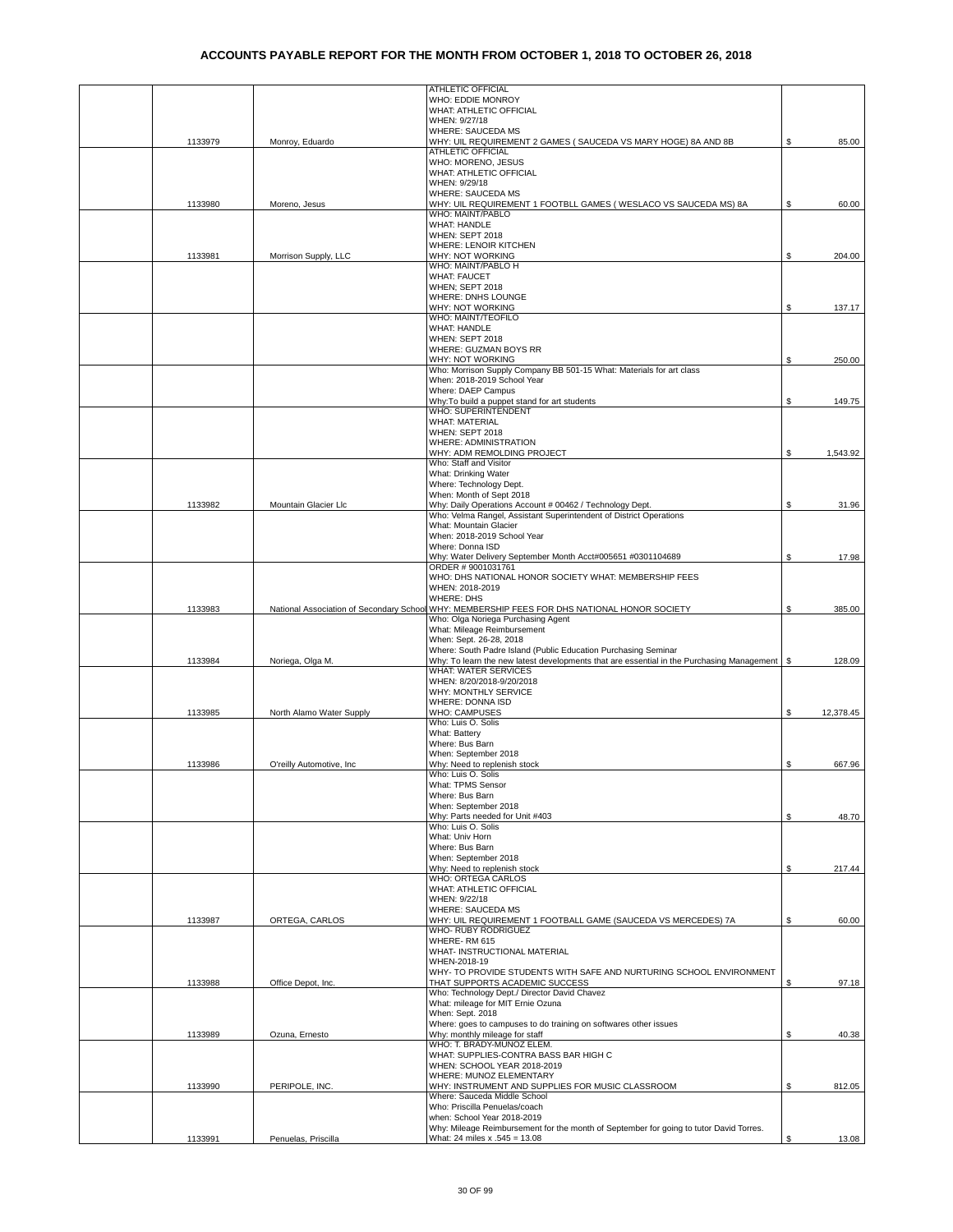|         |                          | ATHLETIC OFFICIAL                                                                                                     |                 |
|---------|--------------------------|-----------------------------------------------------------------------------------------------------------------------|-----------------|
|         |                          | WHO: EDDIE MONROY                                                                                                     |                 |
|         |                          | WHAT: ATHLETIC OFFICIAL                                                                                               |                 |
|         |                          | WHEN: 9/27/18                                                                                                         |                 |
| 1133979 | Monroy, Eduardo          | WHERE: SAUCEDA MS<br>WHY: UIL REQUIREMENT 2 GAMES ( SAUCEDA VS MARY HOGE) 8A AND 8B                                   | \$<br>85.00     |
|         |                          | ATHLETIC OFFICIAL                                                                                                     |                 |
|         |                          | WHO: MORENO, JESUS                                                                                                    |                 |
|         |                          | WHAT: ATHLETIC OFFICIAL                                                                                               |                 |
|         |                          | WHEN: 9/29/18                                                                                                         |                 |
|         |                          | WHERE: SAUCEDA MS                                                                                                     |                 |
| 1133980 | Moreno, Jesus            | WHY: UIL REQUIREMENT 1 FOOTBLL GAMES (WESLACO VS SAUCEDA MS) 8A                                                       | \$<br>60.00     |
|         |                          | WHO: MAINT/PABLO<br><b>WHAT: HANDLE</b>                                                                               |                 |
|         |                          | WHEN: SEPT 2018                                                                                                       |                 |
|         |                          | <b>WHERE: LENOIR KITCHEN</b>                                                                                          |                 |
| 1133981 | Morrison Supply, LLC     | WHY: NOT WORKING                                                                                                      | \$<br>204.00    |
|         |                          | WHO: MAINT/PABLO H                                                                                                    |                 |
|         |                          | <b>WHAT: FAUCET</b>                                                                                                   |                 |
|         |                          | WHEN; SEPT 2018                                                                                                       |                 |
|         |                          | WHERE: DNHS LOUNGE<br>WHY: NOT WORKING                                                                                | \$<br>137.17    |
|         |                          | WHO: MAINT/TEOFILO                                                                                                    |                 |
|         |                          | <b>WHAT: HANDLE</b>                                                                                                   |                 |
|         |                          | WHEN: SEPT 2018                                                                                                       |                 |
|         |                          | WHERE: GUZMAN BOYS RR                                                                                                 |                 |
|         |                          | WHY: NOT WORKING                                                                                                      | \$<br>250.00    |
|         |                          | Who: Morrison Supply Company BB 501-15 What: Materials for art class<br>When: 2018-2019 School Year                   |                 |
|         |                          | Where: DAEP Campus                                                                                                    |                 |
|         |                          | Why: To build a puppet stand for art students                                                                         | \$<br>149.75    |
|         |                          | <b>WHO: SUPERINTENDENT</b>                                                                                            |                 |
|         |                          | <b>WHAT: MATERIAL</b>                                                                                                 |                 |
|         |                          | WHEN: SEPT 2018                                                                                                       |                 |
|         |                          | WHERE: ADMINISTRATION<br>WHY: ADM REMOLDING PROJECT                                                                   |                 |
|         |                          | Who: Staff and Visitor                                                                                                | \$<br>1,543.92  |
|         |                          | What: Drinking Water                                                                                                  |                 |
|         |                          | Where: Technology Dept.                                                                                               |                 |
|         |                          | When: Month of Sept 2018                                                                                              |                 |
| 1133982 | Mountain Glacier Llc     | Why: Daily Operations Account # 00462 / Technology Dept.                                                              | \$<br>31.96     |
|         |                          | Who: Velma Rangel, Assistant Superintendent of District Operations                                                    |                 |
|         |                          | What: Mountain Glacier<br>When: 2018-2019 School Year                                                                 |                 |
|         |                          | Where: Donna ISD                                                                                                      |                 |
|         |                          | Why: Water Delivery September Month Acct#005651 #0301104689                                                           | \$<br>17.98     |
|         |                          | ORDER #9001031761                                                                                                     |                 |
|         |                          | WHO: DHS NATIONAL HONOR SOCIETY WHAT: MEMBERSHIP FEES                                                                 |                 |
|         |                          | WHEN: 2018-2019                                                                                                       |                 |
|         |                          | <b>WHERE: DHS</b><br>National Association of Secondary School WHY: MEMBERSHIP FEES FOR DHS NATIONAL HONOR SOCIETY     | \$<br>385.00    |
| 1133983 |                          | Who: Olga Noriega Purchasing Agent                                                                                    |                 |
|         |                          | What: Mileage Reimbursement                                                                                           |                 |
|         |                          | When: Sept. 26-28, 2018                                                                                               |                 |
|         |                          | Where: South Padre Island (Public Education Purchasing Seminar                                                        |                 |
| 1133984 | Noriega, Olga M.         | Why: To learn the new latest developments that are essential in the Purchasing Management \ \$                        | 128.09          |
|         |                          | <b>WHAT: WATER SERVICES</b><br>WHEN: 8/20/2018-9/20/2018                                                              |                 |
|         |                          | WHY: MONTHLY SERVICE                                                                                                  |                 |
|         |                          | WHERE: DONNA ISD                                                                                                      |                 |
| 1133985 | North Alamo Water Supply | <b>WHO: CAMPUSES</b>                                                                                                  | \$<br>12,378.45 |
|         |                          | Who: Luis O. Solis                                                                                                    |                 |
|         |                          | What: Battery                                                                                                         |                 |
|         |                          | Where: Bus Barn<br>When: September 2018                                                                               |                 |
| 1133986 | O'reilly Automotive, Inc | Why: Need to replenish stock                                                                                          | \$<br>667.96    |
|         |                          | ANIO. LUIS U. SOIIS                                                                                                   |                 |
|         |                          | What: TPMS Sensor                                                                                                     |                 |
|         |                          | Where: Bus Barn                                                                                                       |                 |
|         |                          | When: September 2018                                                                                                  |                 |
|         |                          |                                                                                                                       |                 |
|         |                          | Why: Parts needed for Unit #403                                                                                       | \$<br>48.70     |
|         |                          | Who: Luis O. Solis                                                                                                    |                 |
|         |                          | What: Univ Horn                                                                                                       |                 |
|         |                          | Where: Bus Barn                                                                                                       |                 |
|         |                          | When: September 2018<br>Why: Need to replenish stock                                                                  | \$<br>217.44    |
|         |                          | WHO: ORTEGA CARLOS                                                                                                    |                 |
|         |                          | WHAT: ATHLETIC OFFICIAL                                                                                               |                 |
|         |                          | WHEN: 9/22/18                                                                                                         |                 |
|         |                          | WHERE: SAUCEDA MS                                                                                                     |                 |
| 1133987 | ORTEGA, CARLOS           | WHY: UIL REQUIREMENT 1 FOOTBALL GAME (SAUCEDA VS MERCEDES) 7A<br>WHO- RUBY RODRIGUEZ                                  | \$<br>60.00     |
|         |                          | WHERE-RM 615                                                                                                          |                 |
|         |                          | WHAT- INSTRUCTIONAL MATERIAL                                                                                          |                 |
|         |                          | WHEN-2018-19                                                                                                          |                 |
|         |                          | WHY- TO PROVIDE STUDENTS WITH SAFE AND NURTURING SCHOOL ENVIRONMENT                                                   |                 |
| 1133988 | Office Depot, Inc.       | THAT SUPPORTS ACADEMIC SUCCESS                                                                                        | \$<br>97.18     |
|         |                          | Who: Technology Dept./ Director David Chavez<br>What: mileage for MIT Ernie Ozuna                                     |                 |
|         |                          | When: Sept. 2018                                                                                                      |                 |
|         |                          | Where: goes to campuses to do training on softwares other issues                                                      |                 |
| 1133989 | Ozuna, Ernesto           | Why: monthly mileage for staff                                                                                        | \$<br>40.38     |
|         |                          | WHO: T. BRADY-MUNOZ ELEM.                                                                                             |                 |
|         |                          | WHAT: SUPPLIES-CONTRA BASS BAR HIGH C                                                                                 |                 |
|         |                          | WHEN: SCHOOL YEAR 2018-2019<br>WHERE: MUNOZ ELEMENTARY                                                                |                 |
| 1133990 | PERIPOLE, INC.           | WHY: INSTRUMENT AND SUPPLIES FOR MUSIC CLASSROOM                                                                      | \$<br>812.05    |
|         |                          | Where: Sauceda Middle School                                                                                          |                 |
|         |                          | Who: Priscilla Penuelas/coach                                                                                         |                 |
|         |                          | when: School Year 2018-2019<br>Why: Mileage Reimbursement for the month of September for going to tutor David Torres. |                 |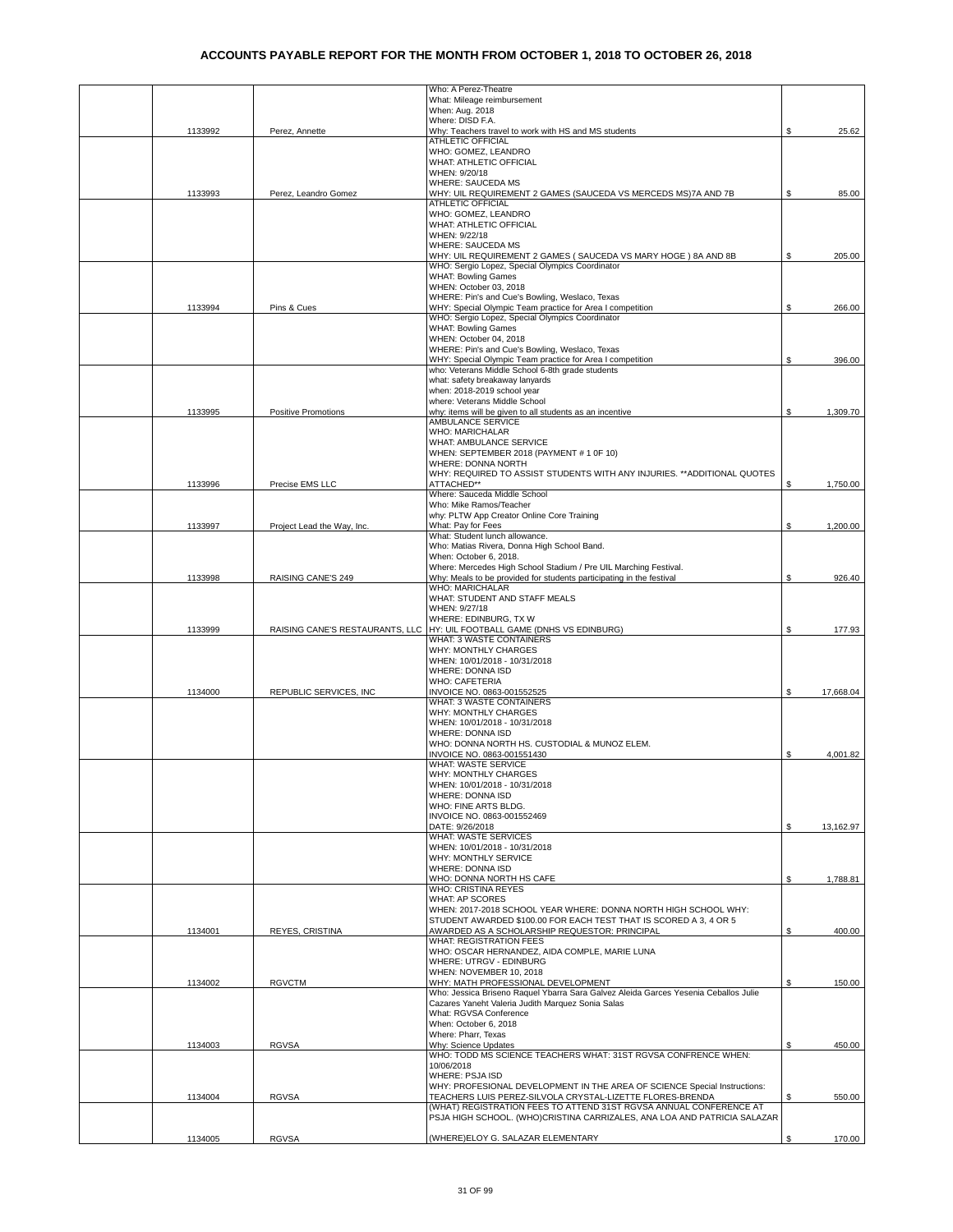|         |                                 | Who: A Perez-Theatre                                                                                                                     |    |           |
|---------|---------------------------------|------------------------------------------------------------------------------------------------------------------------------------------|----|-----------|
|         |                                 | What: Mileage reimbursement                                                                                                              |    |           |
|         |                                 | When: Aug. 2018                                                                                                                          |    |           |
|         |                                 | Where: DISD F.A.<br>Why: Teachers travel to work with HS and MS students                                                                 |    |           |
| 1133992 | Perez, Annette                  | ATHLETIC OFFICIAL                                                                                                                        | S  | 25.62     |
|         |                                 | WHO: GOMEZ, LEANDRO                                                                                                                      |    |           |
|         |                                 | WHAT: ATHLETIC OFFICIAL                                                                                                                  |    |           |
|         |                                 | WHEN: 9/20/18                                                                                                                            |    |           |
|         |                                 | <b>WHERE: SAUCEDA MS</b>                                                                                                                 |    |           |
| 1133993 | Perez, Leandro Gomez            | WHY: UIL REQUIREMENT 2 GAMES (SAUCEDA VS MERCEDS MS)7A AND 7B                                                                            | \$ | 85.00     |
|         |                                 | ATHLETIC OFFICIAL<br>WHO: GOMEZ, LEANDRO                                                                                                 |    |           |
|         |                                 | WHAT: ATHLETIC OFFICIAL                                                                                                                  |    |           |
|         |                                 | WHEN: 9/22/18                                                                                                                            |    |           |
|         |                                 | <b>WHERE: SAUCEDA MS</b>                                                                                                                 |    |           |
|         |                                 | WHY: UIL REQUIREMENT 2 GAMES ( SAUCEDA VS MARY HOGE ) 8A AND 8B                                                                          | S  | 205.00    |
|         |                                 | WHO: Sergio Lopez, Special Olympics Coordinator                                                                                          |    |           |
|         |                                 | <b>WHAT: Bowling Games</b>                                                                                                               |    |           |
|         |                                 | WHEN: October 03, 2018                                                                                                                   |    |           |
| 1133994 | Pins & Cues                     | WHERE: Pin's and Cue's Bowling, Weslaco, Texas<br>WHY: Special Olympic Team practice for Area I competition                              | \$ | 266.00    |
|         |                                 | WHO: Sergio Lopez, Special Olympics Coordinator                                                                                          |    |           |
|         |                                 | <b>WHAT: Bowling Games</b>                                                                                                               |    |           |
|         |                                 | WHEN: October 04, 2018                                                                                                                   |    |           |
|         |                                 | WHERE: Pin's and Cue's Bowling, Weslaco, Texas                                                                                           |    |           |
|         |                                 | WHY: Special Olympic Team practice for Area I competition                                                                                | \$ | 396.00    |
|         |                                 | who: Veterans Middle School 6-8th grade students                                                                                         |    |           |
|         |                                 | what: safety breakaway lanyards<br>when: 2018-2019 school year                                                                           |    |           |
|         |                                 | where: Veterans Middle School                                                                                                            |    |           |
| 1133995 | <b>Positive Promotions</b>      | why: items will be given to all students as an incentive                                                                                 | \$ | 1,309.70  |
|         |                                 | <b>AMBULANCE SERVICE</b>                                                                                                                 |    |           |
|         |                                 | <b>WHO: MARICHALAR</b>                                                                                                                   |    |           |
|         |                                 | WHAT: AMBULANCE SERVICE                                                                                                                  |    |           |
|         |                                 | WHEN: SEPTEMBER 2018 (PAYMENT # 1 0F 10)                                                                                                 |    |           |
|         |                                 | WHERE: DONNA NORTH                                                                                                                       |    |           |
| 1133996 | Precise EMS LLC                 | WHY: REQUIRED TO ASSIST STUDENTS WITH ANY INJURIES. ** ADDITIONAL QUOTES<br>ATTACHED**                                                   | \$ | 1,750.00  |
|         |                                 | Where: Sauceda Middle School                                                                                                             |    |           |
|         |                                 | Who: Mike Ramos/Teacher                                                                                                                  |    |           |
|         |                                 | why: PLTW App Creator Online Core Training                                                                                               |    |           |
| 1133997 | Project Lead the Way, Inc.      | What: Pay for Fees                                                                                                                       | \$ | 1.200.00  |
|         |                                 | What: Student lunch allowance.                                                                                                           |    |           |
|         |                                 | Who: Matias Rivera, Donna High School Band.                                                                                              |    |           |
|         |                                 | When: October 6, 2018.                                                                                                                   |    |           |
| 1133998 | RAISING CANE'S 249              | Where: Mercedes High School Stadium / Pre UIL Marching Festival.<br>Why: Meals to be provided for students participating in the festival | S  | 926.40    |
|         |                                 | WHO: MARICHALAR                                                                                                                          |    |           |
|         |                                 | WHAT: STUDENT AND STAFF MEALS                                                                                                            |    |           |
|         |                                 | WHEN: 9/27/18                                                                                                                            |    |           |
|         |                                 | WHERE: EDINBURG, TX W                                                                                                                    |    |           |
| 1133999 | RAISING CANE'S RESTAURANTS, LLC | HY: UIL FOOTBALL GAME (DNHS VS EDINBURG)                                                                                                 | S  | 177.93    |
|         |                                 | WHAT: 3 WASTE CONTAINERS                                                                                                                 |    |           |
|         |                                 | WHY: MONTHLY CHARGES                                                                                                                     |    |           |
|         |                                 | WHEN: 10/01/2018 - 10/31/2018<br>WHERE: DONNA ISD                                                                                        |    |           |
|         |                                 | <b>WHO: CAFETERIA</b>                                                                                                                    |    |           |
| 1134000 | REPUBLIC SERVICES, INC          | INVOICE NO. 0863-001552525                                                                                                               | \$ | 17,668.04 |
|         |                                 | WHAT: 3 WASTE CONTAINERS                                                                                                                 |    |           |
|         |                                 | WHY: MONTHLY CHARGES                                                                                                                     |    |           |
|         |                                 | WHEN: 10/01/2018 - 10/31/2018                                                                                                            |    |           |
|         |                                 | <b>WHERE: DONNA ISD</b><br>WHO: DONNA NORTH HS. CUSTODIAL & MUNOZ ELEM.                                                                  |    |           |
|         |                                 | INVOICE NO. 0863-001551430                                                                                                               | \$ | 4.001.82  |
|         |                                 | WHAT: WASTE SERVICE                                                                                                                      |    |           |
|         |                                 | WHY: MONTHLY CHARGES                                                                                                                     |    |           |
|         |                                 | WHEN: 10/01/2018 - 10/31/2018                                                                                                            |    |           |
|         |                                 | WHERE: DONNA ISD                                                                                                                         |    |           |
|         |                                 | WHO: FINE ARTS BLDG.                                                                                                                     |    |           |
|         |                                 | INVOICE NO. 0863-001552469                                                                                                               |    |           |
|         |                                 | DATE: 9/26/2018<br>WHAT: WASTE SERVICES                                                                                                  | \$ | 13,162.97 |
|         |                                 | WHEN: 10/01/2018 - 10/31/2018                                                                                                            |    |           |
|         |                                 | WHY: MONTHLY SERVICE                                                                                                                     |    |           |
|         |                                 | <b>WHERE: DONNA ISD</b>                                                                                                                  |    |           |
|         |                                 | WHO: DONNA NORTH HS CAFE                                                                                                                 | \$ | 1,788.81  |
|         |                                 | WHO: CRISTINA REYES                                                                                                                      |    |           |
|         |                                 | <b>WHAT: AP SCORES</b>                                                                                                                   |    |           |
|         |                                 | WHEN: 2017-2018 SCHOOL YEAR WHERE: DONNA NORTH HIGH SCHOOL WHY:<br>STUDENT AWARDED \$100.00 FOR EACH TEST THAT IS SCORED A 3, 4 OR 5     |    |           |
| 1134001 | REYES, CRISTINA                 | AWARDED AS A SCHOLARSHIP REQUESTOR: PRINCIPAL                                                                                            | \$ | 400.00    |
|         |                                 | <b>WHAT: REGISTRATION FEES</b>                                                                                                           |    |           |
|         |                                 | WHO: OSCAR HERNANDEZ, AIDA COMPLE, MARIE LUNA                                                                                            |    |           |
|         |                                 | WHERE: UTRGV - EDINBURG                                                                                                                  |    |           |
|         |                                 | WHEN: NOVEMBER 10, 2018                                                                                                                  |    |           |
| 1134002 | <b>RGVCTM</b>                   | WHY: MATH PROFESSIONAL DEVELOPMENT<br>Who: Jessica Briseno Raquel Ybarra Sara Galvez Aleida Garces Yesenia Ceballos Julie                | \$ | 150.00    |
|         |                                 | Cazares Yaneht Valeria Judith Marquez Sonia Salas                                                                                        |    |           |
|         |                                 | What: RGVSA Conference                                                                                                                   |    |           |
|         |                                 | When: October 6, 2018                                                                                                                    |    |           |
|         |                                 | Where: Pharr, Texas                                                                                                                      |    |           |
| 1134003 | <b>RGVSA</b>                    | Why: Science Updates                                                                                                                     | \$ | 450.00    |
|         |                                 | WHO: TODD MS SCIENCE TEACHERS WHAT: 31ST RGVSA CONFRENCE WHEN:                                                                           |    |           |
|         |                                 | 10/06/2018                                                                                                                               |    |           |
|         |                                 | WHERE: PSJA ISD<br>WHY: PROFESIONAL DEVELOPMENT IN THE AREA OF SCIENCE Special Instructions:                                             |    |           |
| 1134004 | <b>RGVSA</b>                    | TEACHERS LUIS PEREZ-SILVOLA CRYSTAL-LIZETTE FLORES-BRENDA                                                                                | \$ | 550.00    |
|         |                                 | (WHAT) REGISTRATION FEES TO ATTEND 31ST RGVSA ANNUAL CONFERENCE AT                                                                       |    |           |
|         |                                 | PSJA HIGH SCHOOL. (WHO)CRISTINA CARRIZALES, ANA LOA AND PATRICIA SALAZAR                                                                 |    |           |
|         |                                 |                                                                                                                                          |    |           |
| 1134005 | <b>RGVSA</b>                    | (WHERE)ELOY G. SALAZAR ELEMENTARY                                                                                                        | \$ | 170.00    |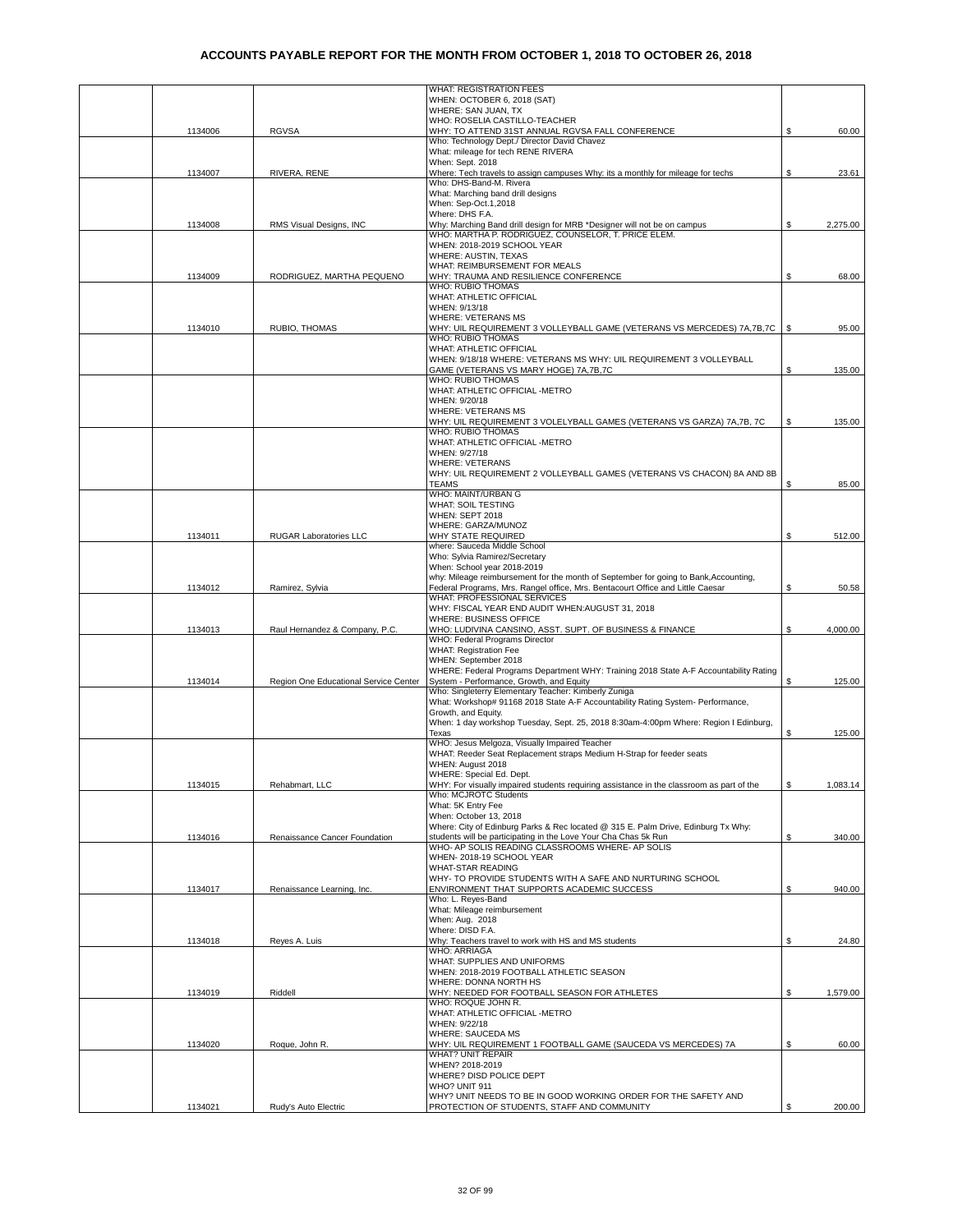|         |                                       | <b>WHAT: REGISTRATION FEES</b>                                                                                                    |    |          |
|---------|---------------------------------------|-----------------------------------------------------------------------------------------------------------------------------------|----|----------|
|         |                                       | WHEN: OCTOBER 6, 2018 (SAT)                                                                                                       |    |          |
|         |                                       | WHERE: SAN JUAN, TX                                                                                                               |    |          |
| 1134006 | <b>RGVSA</b>                          | WHO: ROSELIA CASTILLO-TEACHER<br>WHY: TO ATTEND 31ST ANNUAL RGVSA FALL CONFERENCE                                                 | \$ | 60.00    |
|         |                                       | Who: Technology Dept./ Director David Chavez                                                                                      |    |          |
|         |                                       | What: mileage for tech RENE RIVERA                                                                                                |    |          |
|         |                                       | When: Sept. 2018                                                                                                                  |    |          |
| 1134007 | RIVERA, RENE                          | Where: Tech travels to assign campuses Why: its a monthly for mileage for techs                                                   | S. | 23.61    |
|         |                                       | Who: DHS-Band-M. Rivera<br>What: Marching band drill designs                                                                      |    |          |
|         |                                       | When: Sep-Oct.1,2018                                                                                                              |    |          |
|         |                                       | Where: DHS F.A.                                                                                                                   |    |          |
| 1134008 | RMS Visual Designs, INC               | Why: Marching Band drill design for MRB *Designer will not be on campus                                                           | S  | 2,275.00 |
|         |                                       | WHO: MARTHA P. RODRIGUEZ, COUNSELOR, T. PRICE ELEM.                                                                               |    |          |
|         |                                       | WHEN: 2018-2019 SCHOOL YEAR                                                                                                       |    |          |
|         |                                       | WHERE: AUSTIN, TEXAS<br>WHAT: REIMBURSEMENT FOR MEALS                                                                             |    |          |
| 1134009 | RODRIGUEZ, MARTHA PEQUENO             | WHY: TRAUMA AND RESILIENCE CONFERENCE                                                                                             | S  | 68.00    |
|         |                                       | WHO: RUBIO THOMAS                                                                                                                 |    |          |
|         |                                       | WHAT: ATHLETIC OFFICIAL                                                                                                           |    |          |
|         |                                       | WHEN: 9/13/18                                                                                                                     |    |          |
|         |                                       | <b>WHERE: VETERANS MS</b>                                                                                                         |    |          |
| 1134010 | RUBIO, THOMAS                         | WHY: UIL REQUIREMENT 3 VOLLEYBALL GAME (VETERANS VS MERCEDES) 7A, 7B, 7C<br>WHO: RUBIO THOMAS                                     | \$ | 95.00    |
|         |                                       | WHAT: ATHLETIC OFFICIAL                                                                                                           |    |          |
|         |                                       | WHEN: 9/18/18 WHERE: VETERANS MS WHY: UIL REQUIREMENT 3 VOLLEYBALL                                                                |    |          |
|         |                                       | GAME (VETERANS VS MARY HOGE) 7A,7B,7C                                                                                             | \$ | 135.00   |
|         |                                       | WHO: RUBIO THOMAS                                                                                                                 |    |          |
|         |                                       | WHAT: ATHLETIC OFFICIAL -METRO                                                                                                    |    |          |
|         |                                       | WHEN: 9/20/18<br><b>WHERE: VETERANS MS</b>                                                                                        |    |          |
|         |                                       | WHY: UIL REQUIREMENT 3 VOLELYBALL GAMES (VETERANS VS GARZA) 7A,7B, 7C                                                             | \$ | 135.00   |
|         |                                       | WHO: RUBIO THOMAS                                                                                                                 |    |          |
|         |                                       | WHAT: ATHLETIC OFFICIAL -METRO                                                                                                    |    |          |
|         |                                       | WHEN: 9/27/18                                                                                                                     |    |          |
|         |                                       | <b>WHERE: VETERANS</b>                                                                                                            |    |          |
|         |                                       | WHY: UIL REQUIREMENT 2 VOLLEYBALL GAMES (VETERANS VS CHACON) 8A AND 8B<br><b>TEAMS</b>                                            | \$ | 85.00    |
|         |                                       | WHO: MAINT/URBAN G                                                                                                                |    |          |
|         |                                       | <b>WHAT: SOIL TESTING</b>                                                                                                         |    |          |
|         |                                       | WHEN: SEPT 2018                                                                                                                   |    |          |
|         |                                       | WHERE: GARZA/MUNOZ                                                                                                                |    |          |
| 1134011 | RUGAR Laboratories LLC                | WHY STATE REQUIRED                                                                                                                | S  | 512.00   |
|         |                                       | where: Sauceda Middle School<br>Who: Sylvia Ramirez/Secretary                                                                     |    |          |
|         |                                       | When: School year 2018-2019                                                                                                       |    |          |
|         |                                       | why: Mileage reimbursement for the month of September for going to Bank, Accounting,                                              |    |          |
| 1134012 | Ramirez, Sylvia                       | Federal Programs, Mrs. Rangel office, Mrs. Bentacourt Office and Little Caesar                                                    | S  | 50.58    |
|         |                                       | WHAT: PROFESSIONAL SERVICES                                                                                                       |    |          |
|         |                                       | WHY: FISCAL YEAR END AUDIT WHEN:AUGUST 31, 2018<br>WHERE: BUSINESS OFFICE                                                         |    |          |
| 1134013 | Raul Hernandez & Company, P.C.        | WHO: LUDIVINA CANSINO, ASST. SUPT. OF BUSINESS & FINANCE                                                                          | S. | 4,000.00 |
|         |                                       | WHO: Federal Programs Director                                                                                                    |    |          |
|         |                                       | <b>WHAT: Registration Fee</b>                                                                                                     |    |          |
|         |                                       | WHEN: September 2018                                                                                                              |    |          |
| 1134014 | Region One Educational Service Center | WHERE: Federal Programs Department WHY: Training 2018 State A-F Accountability Rating<br>System - Performance, Growth, and Equity | S  | 125.00   |
|         |                                       | Who: Singleterry Elementary Teacher: Kimberly Zuniga                                                                              |    |          |
|         |                                       | What: Workshop# 91168 2018 State A-F Accountability Rating System- Performance,                                                   |    |          |
|         |                                       | Growth, and Equity.                                                                                                               |    |          |
|         |                                       | When: 1 day workshop Tuesday, Sept. 25, 2018 8:30am-4:00pm Where: Region I Edinburg,                                              |    |          |
|         |                                       | Texas<br>WHO: Jesus Melgoza, Visually Impaired Teacher                                                                            | \$ | 125.00   |
|         |                                       | WHAT: Reeder Seat Replacement straps Medium H-Strap for feeder seats                                                              |    |          |
|         |                                       | WHEN: August 2018                                                                                                                 |    |          |
|         |                                       | WHERE: Special Ed. Dept.                                                                                                          |    |          |
| 1134015 | Rehabmart, LLC                        | WHY: For visually impaired students requiring assistance in the classroom as part of the                                          | \$ | 1,083.14 |
|         |                                       | Who: MCJROTC Students                                                                                                             |    |          |
|         |                                       | What: 5K Entry Fee<br>When: October 13, 2018                                                                                      |    |          |
|         |                                       | Where: City of Edinburg Parks & Rec located @ 315 E. Palm Drive, Edinburg Tx Why:                                                 |    |          |
| 1134016 | Renaissance Cancer Foundation         | students will be participating in the Love Your Cha Chas 5k Run                                                                   | \$ | 340.00   |
|         |                                       | WHO- AP SOLIS READING CLASSROOMS WHERE- AP SOLIS                                                                                  |    |          |
|         |                                       | WHEN-2018-19 SCHOOL YEAR                                                                                                          |    |          |
|         |                                       | <b>WHAT-STAR READING</b><br>WHY- TO PROVIDE STUDENTS WITH A SAFE AND NURTURING SCHOOL                                             |    |          |
| 1134017 | Renaissance Learning, Inc.            | ENVIRONMENT THAT SUPPORTS ACADEMIC SUCCESS                                                                                        | \$ | 940.00   |
|         |                                       | Who: L. Reves-Band                                                                                                                |    |          |
|         |                                       | What: Mileage reimbursement                                                                                                       |    |          |
|         |                                       | When: Aug. 2018                                                                                                                   |    |          |
|         |                                       | Where: DISD F.A.                                                                                                                  |    |          |
| 1134018 | Reyes A. Luis                         | Why: Teachers travel to work with HS and MS students<br><b>WHO: ARRIAGA</b>                                                       | \$ | 24.80    |
|         |                                       | WHAT: SUPPLIES AND UNIFORMS                                                                                                       |    |          |
|         |                                       | WHEN: 2018-2019 FOOTBALL ATHLETIC SEASON                                                                                          |    |          |
|         |                                       | WHERE: DONNA NORTH HS                                                                                                             |    |          |
| 1134019 | Riddell                               | WHY: NEEDED FOR FOOTBALL SEASON FOR ATHLETES<br>WHO: ROQUE JOHN R.                                                                | \$ | 1,579.00 |
|         |                                       | WHAT: ATHLETIC OFFICIAL -METRO                                                                                                    |    |          |
|         |                                       | WHEN: 9/22/18                                                                                                                     |    |          |
|         |                                       | <b>WHERE: SAUCEDA MS</b>                                                                                                          |    |          |
| 1134020 | Roque, John R.                        | WHY: UIL REQUIREMENT 1 FOOTBALL GAME (SAUCEDA VS MERCEDES) 7A                                                                     | \$ | 60.00    |
|         |                                       | <b>WHAT? UNIT REPAIR</b>                                                                                                          |    |          |
|         |                                       | WHEN? 2018-2019<br>WHERE? DISD POLICE DEPT                                                                                        |    |          |
|         |                                       | WHO? UNIT 911                                                                                                                     |    |          |
|         |                                       | WHY? UNIT NEEDS TO BE IN GOOD WORKING ORDER FOR THE SAFETY AND                                                                    |    |          |
| 1134021 | Rudy's Auto Electric                  | PROTECTION OF STUDENTS, STAFF AND COMMUNITY                                                                                       | \$ | 200.00   |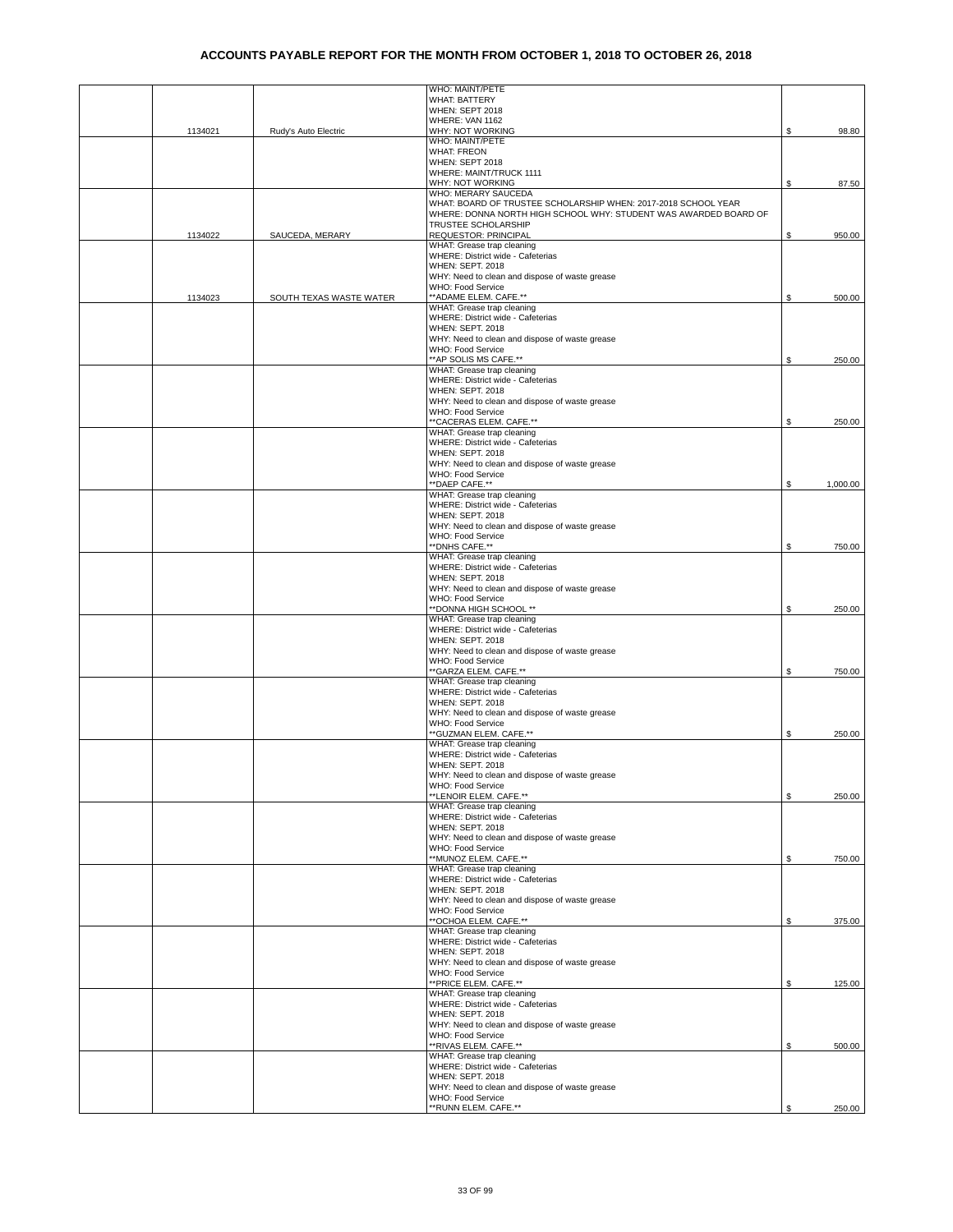|         |                         | WHO: MAINT/PETE                                                  |    |          |
|---------|-------------------------|------------------------------------------------------------------|----|----------|
|         |                         | <b>WHAT: BATTERY</b><br>WHEN: SEPT 2018                          |    |          |
|         |                         | WHERE: VAN 1162                                                  |    |          |
| 1134021 | Rudy's Auto Electric    | WHY: NOT WORKING                                                 | S  | 98.80    |
|         |                         | WHO: MAINT/PETE                                                  |    |          |
|         |                         | <b>WHAT: FREON</b>                                               |    |          |
|         |                         | WHEN: SEPT 2018                                                  |    |          |
|         |                         | WHERE: MAINT/TRUCK 1111                                          |    |          |
|         |                         | WHY: NOT WORKING                                                 | \$ | 87.50    |
|         |                         | WHO: MERARY SAUCEDA                                              |    |          |
|         |                         | WHAT: BOARD OF TRUSTEE SCHOLARSHIP WHEN: 2017-2018 SCHOOL YEAR   |    |          |
|         |                         | WHERE: DONNA NORTH HIGH SCHOOL WHY: STUDENT WAS AWARDED BOARD OF |    |          |
| 1134022 | SAUCEDA, MERARY         | TRUSTEE SCHOLARSHIP<br><b>REQUESTOR: PRINCIPAL</b>               | \$ | 950.00   |
|         |                         | WHAT: Grease trap cleaning                                       |    |          |
|         |                         | WHERE: District wide - Cafeterias                                |    |          |
|         |                         | WHEN: SEPT. 2018                                                 |    |          |
|         |                         | WHY: Need to clean and dispose of waste grease                   |    |          |
|         |                         | WHO: Food Service                                                |    |          |
| 1134023 | SOUTH TEXAS WASTE WATER | ** ADAME ELEM. CAFE.**                                           | \$ | 500.00   |
|         |                         | WHAT: Grease trap cleaning                                       |    |          |
|         |                         | WHERE: District wide - Cafeterias                                |    |          |
|         |                         | <b>WHEN: SEPT. 2018</b>                                          |    |          |
|         |                         | WHY: Need to clean and dispose of waste grease                   |    |          |
|         |                         | WHO: Food Service                                                |    |          |
|         |                         | ** AP SOLIS MS CAFE.**                                           | \$ | 250.00   |
|         |                         | WHAT: Grease trap cleaning<br>WHERE: District wide - Cafeterias  |    |          |
|         |                         | <b>WHEN: SEPT. 2018</b>                                          |    |          |
|         |                         | WHY: Need to clean and dispose of waste grease                   |    |          |
|         |                         | WHO: Food Service                                                |    |          |
|         |                         | "CACERAS ELEM. CAFE.**                                           | \$ | 250.00   |
|         |                         | WHAT: Grease trap cleaning                                       |    |          |
|         |                         | WHERE: District wide - Cafeterias                                |    |          |
|         |                         | <b>WHEN: SEPT. 2018</b>                                          |    |          |
|         |                         | WHY: Need to clean and dispose of waste grease                   |    |          |
|         |                         | WHO: Food Service                                                |    |          |
|         |                         | **DAEP CAFE.**                                                   | \$ | 1,000.00 |
|         |                         | WHAT: Grease trap cleaning                                       |    |          |
|         |                         | WHERE: District wide - Cafeterias                                |    |          |
|         |                         | <b>WHEN: SEPT. 2018</b>                                          |    |          |
|         |                         | WHY: Need to clean and dispose of waste grease                   |    |          |
|         |                         | WHO: Food Service<br>**DNHS CAFE.**                              | \$ | 750.00   |
|         |                         | WHAT: Grease trap cleaning                                       |    |          |
|         |                         | WHERE: District wide - Cafeterias                                |    |          |
|         |                         | <b>WHEN: SEPT. 2018</b>                                          |    |          |
|         |                         | WHY: Need to clean and dispose of waste grease                   |    |          |
|         |                         | WHO: Food Service                                                |    |          |
|         |                         | ** DONNA HIGH SCHOOL **                                          | \$ | 250.00   |
|         |                         | WHAT: Grease trap cleaning                                       |    |          |
|         |                         | WHERE: District wide - Cafeterias                                |    |          |
|         |                         | <b>WHEN: SEPT. 2018</b>                                          |    |          |
|         |                         | WHY: Need to clean and dispose of waste grease                   |    |          |
|         |                         | WHO: Food Service<br>**GARZA ELEM. CAFE.**                       | \$ | 750.00   |
|         |                         | WHAT: Grease trap cleaning                                       |    |          |
|         |                         | WHERE: District wide - Cafeterias                                |    |          |
|         |                         | <b>WHEN: SEPT. 2018</b>                                          |    |          |
|         |                         | WHY: Need to clean and dispose of waste grease                   |    |          |
|         |                         | WHO: Food Service                                                |    |          |
|         |                         | "GUZMAN ELEM. CAFE.**                                            | \$ | 250.00   |
|         |                         | WHAT: Grease trap cleaning                                       |    |          |
|         |                         | WHERE: District wide - Cafeterias                                |    |          |
|         |                         | WHEN: SEPT. 2018                                                 |    |          |
|         |                         | WHY: Need to clean and dispose of waste grease                   |    |          |
|         |                         | WHO: Food Service<br>**LENOIR ELEM. CAFE.**                      |    |          |
|         |                         | WHAT: Grease trap cleaning                                       | \$ | 250.00   |
|         |                         | WHERE: District wide - Cafeterias                                |    |          |
|         |                         | <b>WHEN: SEPT. 2018</b>                                          |    |          |
|         |                         | WHY: Need to clean and dispose of waste grease                   |    |          |
|         |                         | WHO: Food Service                                                |    |          |
|         |                         | **MUNOZ ELEM. CAFE.**                                            | \$ | 750.00   |
|         |                         | WHAT: Grease trap cleaning                                       |    |          |
|         |                         | WHERE: District wide - Cafeterias                                |    |          |
|         |                         | <b>WHEN: SEPT. 2018</b>                                          |    |          |
|         |                         | WHY: Need to clean and dispose of waste grease                   |    |          |
|         |                         | WHO: Food Service                                                |    |          |
|         |                         | ** OCHOA ELEM. CAFE.**<br>WHAT: Grease trap cleaning             | \$ | 375.00   |
|         |                         | WHERE: District wide - Cafeterias                                |    |          |
|         |                         | <b>WHEN: SEPT. 2018</b>                                          |    |          |
|         |                         | WHY: Need to clean and dispose of waste grease                   |    |          |
|         |                         | WHO: Food Service                                                |    |          |
|         |                         | ** PRICE ELEM. CAFE.**                                           | \$ | 125.00   |
|         |                         | WHAT: Grease trap cleaning                                       |    |          |
|         |                         | WHERE: District wide - Cafeterias                                |    |          |
|         |                         | <b>WHEN: SEPT. 2018</b>                                          |    |          |
|         |                         | WHY: Need to clean and dispose of waste grease                   |    |          |
|         |                         | WHO: Food Service<br>**RIVAS ELEM. CAFE.**                       | \$ | 500.00   |
|         |                         | WHAT: Grease trap cleaning                                       |    |          |
|         |                         | WHERE: District wide - Cafeterias                                |    |          |
|         |                         | WHEN: SEPT. 2018                                                 |    |          |
|         |                         | WHY: Need to clean and dispose of waste grease                   |    |          |
|         |                         | WHO: Food Service                                                |    |          |
|         |                         | ** RUNN ELEM. CAFE.**                                            | \$ | 250.00   |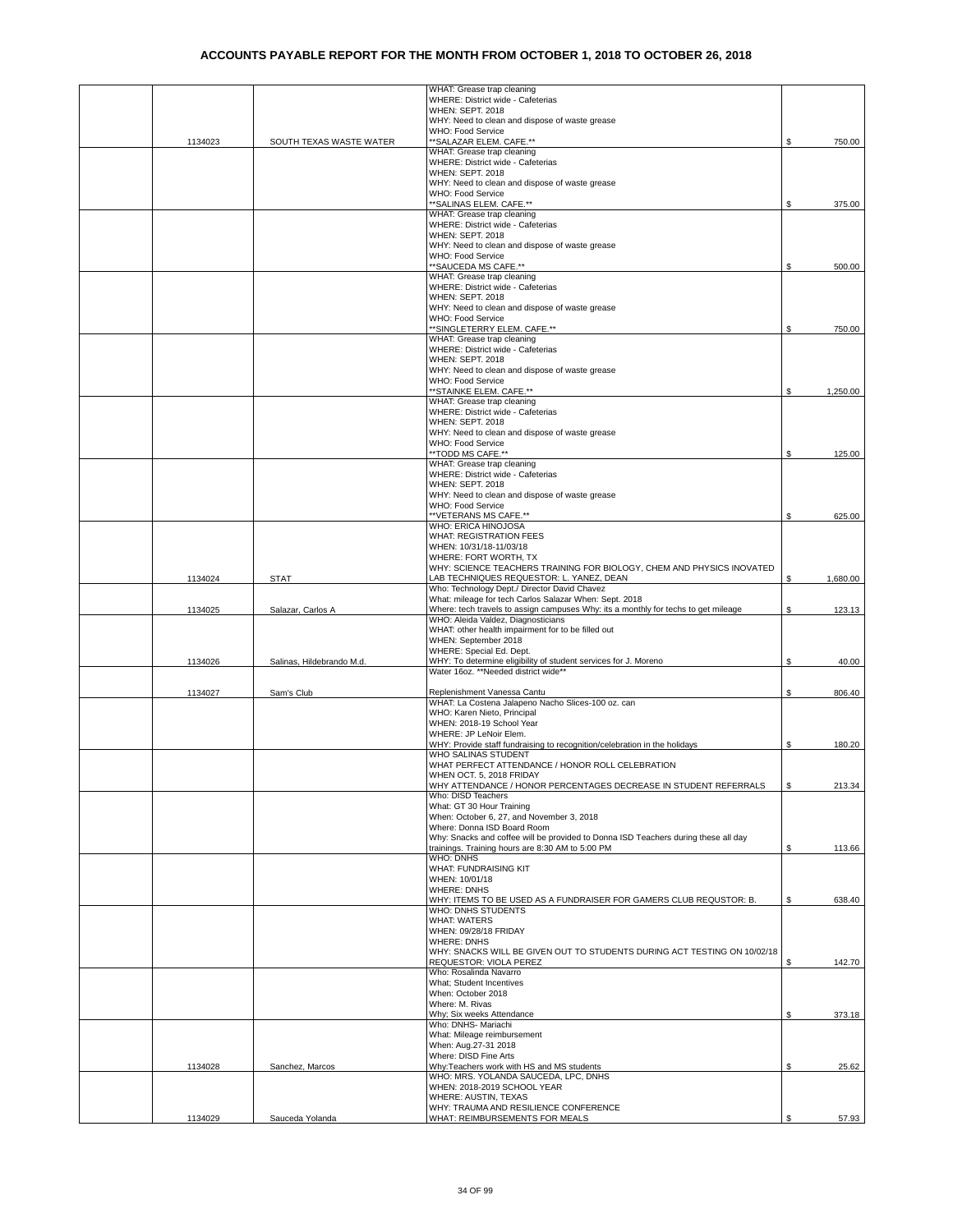|         |                           | WHAT: Grease trap cleaning                                                                                        |    |          |
|---------|---------------------------|-------------------------------------------------------------------------------------------------------------------|----|----------|
|         |                           | WHERE: District wide - Cafeterias                                                                                 |    |          |
|         |                           | WHEN: SEPT. 2018                                                                                                  |    |          |
|         |                           | WHY: Need to clean and dispose of waste grease<br>WHO: Food Service                                               |    |          |
| 1134023 | SOUTH TEXAS WASTE WATER   | ** SALAZAR ELEM. CAFE.**                                                                                          | S. | 750.00   |
|         |                           | WHAT: Grease trap cleaning                                                                                        |    |          |
|         |                           | WHERE: District wide - Cafeterias                                                                                 |    |          |
|         |                           | <b>WHEN: SEPT. 2018</b><br>WHY: Need to clean and dispose of waste grease                                         |    |          |
|         |                           | WHO: Food Service                                                                                                 |    |          |
|         |                           | ** SALINAS ELEM. CAFE.**                                                                                          | \$ | 375.00   |
|         |                           | WHAT: Grease trap cleaning                                                                                        |    |          |
|         |                           | WHERE: District wide - Cafeterias                                                                                 |    |          |
|         |                           | <b>WHEN: SEPT. 2018</b>                                                                                           |    |          |
|         |                           | WHY: Need to clean and dispose of waste grease<br>WHO: Food Service                                               |    |          |
|         |                           | **SAUCEDA MS CAFE.**                                                                                              | \$ | 500.00   |
|         |                           | WHAT: Grease trap cleaning                                                                                        |    |          |
|         |                           | WHERE: District wide - Cafeterias                                                                                 |    |          |
|         |                           | <b>WHEN: SEPT. 2018</b>                                                                                           |    |          |
|         |                           | WHY: Need to clean and dispose of waste grease                                                                    |    |          |
|         |                           | WHO: Food Service<br>**SINGLETERRY ELEM. CAFE.**                                                                  | \$ | 750.00   |
|         |                           | WHAT: Grease trap cleaning                                                                                        |    |          |
|         |                           | WHERE: District wide - Cafeterias                                                                                 |    |          |
|         |                           | <b>WHEN: SEPT. 2018</b>                                                                                           |    |          |
|         |                           | WHY: Need to clean and dispose of waste grease                                                                    |    |          |
|         |                           | WHO: Food Service<br>**STAINKE ELEM. CAFE.**                                                                      | \$ | 1,250.00 |
|         |                           | WHAT: Grease trap cleaning                                                                                        |    |          |
|         |                           | WHERE: District wide - Cafeterias                                                                                 |    |          |
|         |                           | <b>WHEN: SEPT. 2018</b>                                                                                           |    |          |
|         |                           | WHY: Need to clean and dispose of waste grease                                                                    |    |          |
|         |                           | WHO: Food Service<br>**TODD MS CAFE.**                                                                            | \$ | 125.00   |
|         |                           | WHAT: Grease trap cleaning                                                                                        |    |          |
|         |                           | WHERE: District wide - Cafeterias                                                                                 |    |          |
|         |                           | <b>WHEN: SEPT. 2018</b>                                                                                           |    |          |
|         |                           | WHY: Need to clean and dispose of waste grease                                                                    |    |          |
|         |                           | WHO: Food Service<br>**VETERANS MS CAFE.**                                                                        | \$ | 625.00   |
|         |                           | WHO: ERICA HINOJOSA                                                                                               |    |          |
|         |                           | <b>WHAT: REGISTRATION FEES</b>                                                                                    |    |          |
|         |                           | WHEN: 10/31/18-11/03/18                                                                                           |    |          |
|         |                           | WHERE: FORT WORTH, TX                                                                                             |    |          |
| 1134024 | <b>STAT</b>               | WHY: SCIENCE TEACHERS TRAINING FOR BIOLOGY, CHEM AND PHYSICS INOVATED<br>LAB TECHNIQUES REQUESTOR: L. YANEZ, DEAN | \$ | 1,680.00 |
|         |                           | Who: Technology Dept./ Director David Chavez                                                                      |    |          |
|         |                           | What: mileage for tech Carlos Salazar When: Sept. 2018                                                            |    |          |
| 1134025 | Salazar, Carlos A         | Where: tech travels to assign campuses Why: its a monthly for techs to get mileage                                | \$ | 123.13   |
|         |                           | WHO: Aleida Valdez, Diagnosticians                                                                                |    |          |
|         |                           | WHAT: other health impairment for to be filled out                                                                |    |          |
|         |                           | WHEN: September 2018<br>WHERE: Special Ed. Dept.                                                                  |    |          |
| 1134026 | Salinas, Hildebrando M.d. | WHY: To determine eligibility of student services for J. Moreno                                                   | \$ | 40.00    |
|         |                           | Water 16oz. **Needed district wide**                                                                              |    |          |
|         |                           |                                                                                                                   |    |          |
| 1134027 | Sam's Club                | Replenishment Vanessa Cantu<br>WHAT: La Costena Jalapeno Nacho Slices-100 oz. can                                 | \$ | 806.40   |
|         |                           | WHO: Karen Nieto, Principal                                                                                       |    |          |
|         |                           | WHEN: 2018-19 School Year                                                                                         |    |          |
|         |                           | WHERE: JP LeNoir Elem.                                                                                            |    |          |
|         |                           | WHY: Provide staff fundraising to recognition/celebration in the holidays                                         |    |          |
|         |                           |                                                                                                                   | \$ | 180.20   |
|         |                           | WHO SALINAS STUDENT                                                                                               |    |          |
|         |                           | WHAT PERFECT ATTENDANCE / HONOR ROLL CELEBRATION                                                                  |    |          |
|         |                           | VHEN OCT. 5, 2018 FRIDAY                                                                                          |    |          |
|         |                           | WHY ATTENDANCE / HONOR PERCENTAGES DECREASE IN STUDENT REFERRALS<br>Who: DISD Teachers                            | \$ | 213.34   |
|         |                           | What: GT 30 Hour Training                                                                                         |    |          |
|         |                           | When: October 6, 27, and November 3, 2018                                                                         |    |          |
|         |                           | Where: Donna ISD Board Room                                                                                       |    |          |
|         |                           | Why: Snacks and coffee will be provided to Donna ISD Teachers during these all day                                |    |          |
|         |                           | trainings. Training hours are 8:30 AM to 5:00 PM<br><b>WHO: DNHS</b>                                              | \$ | 113.66   |
|         |                           | WHAT: FUNDRAISING KIT                                                                                             |    |          |
|         |                           | WHEN: 10/01/18                                                                                                    |    |          |
|         |                           | <b>WHERE: DNHS</b>                                                                                                |    |          |
|         |                           | WHY: ITEMS TO BE USED AS A FUNDRAISER FOR GAMERS CLUB REQUSTOR: B.                                                | \$ | 638.40   |
|         |                           | WHO: DNHS STUDENTS<br><b>WHAT: WATERS</b>                                                                         |    |          |
|         |                           | WHEN: 09/28/18 FRIDAY                                                                                             |    |          |
|         |                           | <b>WHERE: DNHS</b>                                                                                                |    |          |
|         |                           | WHY: SNACKS WILL BE GIVEN OUT TO STUDENTS DURING ACT TESTING ON 10/02/18                                          |    |          |
|         |                           | REQUESTOR: VIOLA PEREZ<br>Who: Rosalinda Navarro                                                                  | Ŝ. | 142.70   |
|         |                           | What; Student Incentives                                                                                          |    |          |
|         |                           | When: October 2018                                                                                                |    |          |
|         |                           | Where: M. Rivas                                                                                                   |    |          |
|         |                           | Why; Six weeks Attendance                                                                                         | S. | 373.18   |
|         |                           | Who: DNHS- Mariachi                                                                                               |    |          |
|         |                           | What: Mileage reimbursement<br>When: Aug.27-31 2018                                                               |    |          |
|         |                           | Where: DISD Fine Arts                                                                                             |    |          |
| 1134028 | Sanchez, Marcos           | Why:Teachers work with HS and MS students                                                                         | \$ | 25.62    |
|         |                           | WHO: MRS. YOLANDA SAUCEDA, LPC, DNHS                                                                              |    |          |
|         |                           | WHEN: 2018-2019 SCHOOL YEAR                                                                                       |    |          |
|         |                           | WHERE: AUSTIN, TEXAS<br>WHY: TRAUMA AND RESILIENCE CONFERENCE                                                     |    |          |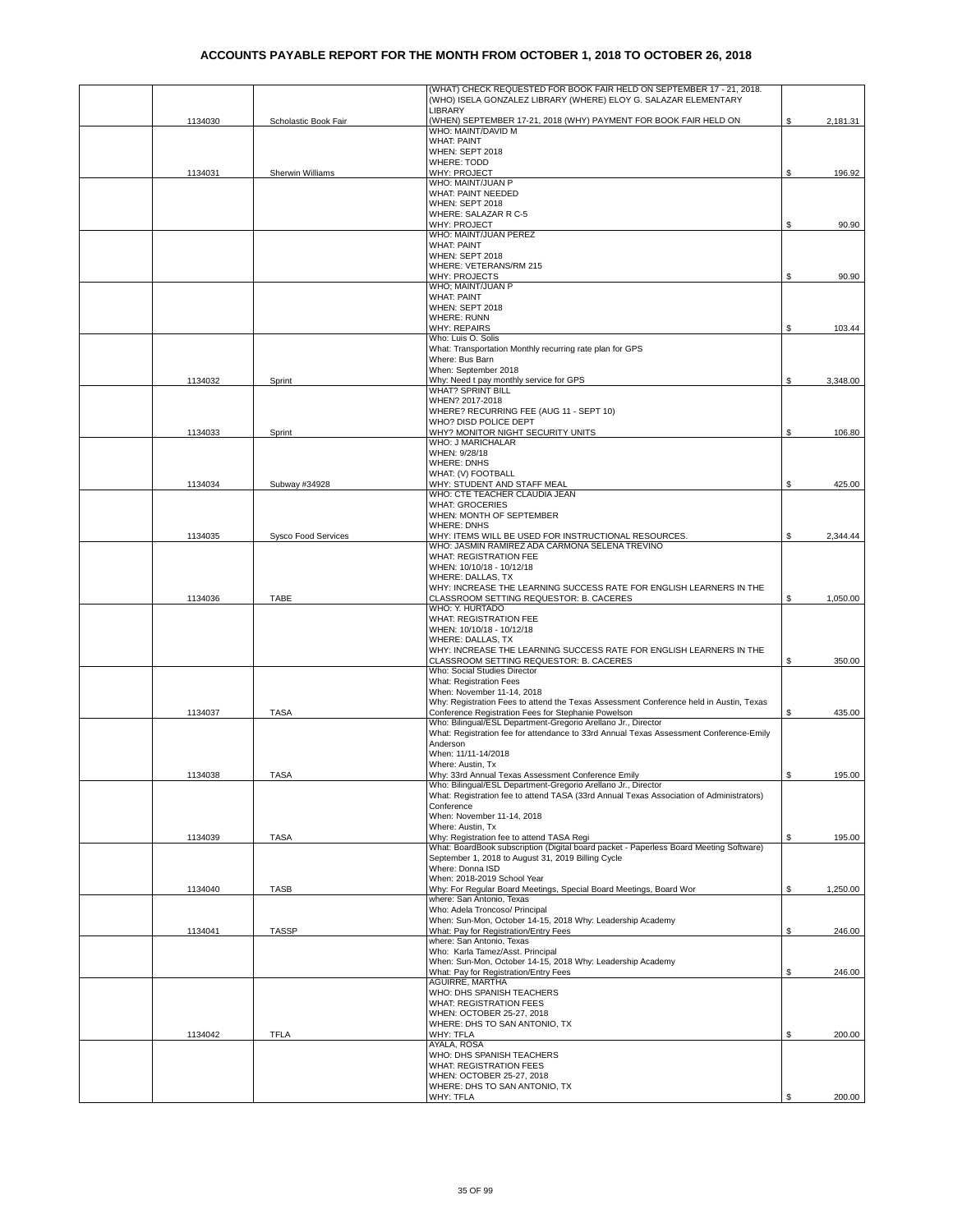|         |                            | (WHAT) CHECK REQUESTED FOR BOOK FAIR HELD ON SEPTEMBER 17 - 21, 2018.<br>(WHO) ISELA GONZALEZ LIBRARY (WHERE) ELOY G. SALAZAR ELEMENTARY                |    |          |
|---------|----------------------------|---------------------------------------------------------------------------------------------------------------------------------------------------------|----|----------|
|         |                            | LIBRARY                                                                                                                                                 |    |          |
| 1134030 | Scholastic Book Fair       | (WHEN) SEPTEMBER 17-21, 2018 (WHY) PAYMENT FOR BOOK FAIR HELD ON                                                                                        |    | 2,181.31 |
|         |                            | WHO: MAINT/DAVID M                                                                                                                                      |    |          |
|         |                            | <b>WHAT: PAINT</b><br>WHEN: SEPT 2018                                                                                                                   |    |          |
|         |                            | <b>WHERE: TODD</b>                                                                                                                                      |    |          |
| 1134031 | Sherwin Williams           | WHY: PROJECT                                                                                                                                            | \$ | 196.92   |
|         |                            | WHO: MAINT/JUAN P                                                                                                                                       |    |          |
|         |                            | <b>WHAT: PAINT NEEDED</b>                                                                                                                               |    |          |
|         |                            | WHEN: SEPT 2018<br>WHERE: SALAZAR R C-5                                                                                                                 |    |          |
|         |                            | WHY: PROJECT                                                                                                                                            |    | 90.90    |
|         |                            | WHO: MAINT/JUAN PEREZ                                                                                                                                   |    |          |
|         |                            | <b>WHAT: PAINT</b><br>WHEN: SEPT 2018                                                                                                                   |    |          |
|         |                            | WHERE: VETERANS/RM 215                                                                                                                                  |    |          |
|         |                            | WHY: PROJECTS                                                                                                                                           | S  | 90.90    |
|         |                            | WHO; MAINT/JUAN P                                                                                                                                       |    |          |
|         |                            | <b>WHAT: PAINT</b><br>WHEN: SEPT 2018                                                                                                                   |    |          |
|         |                            | WHERE: RUNN                                                                                                                                             |    |          |
|         |                            | <b>WHY: REPAIRS</b>                                                                                                                                     | S  | 103.44   |
|         |                            | Who: Luis O. Solis                                                                                                                                      |    |          |
|         |                            | What: Transportation Monthly recurring rate plan for GPS<br>Where: Bus Barn                                                                             |    |          |
|         |                            | When: September 2018                                                                                                                                    |    |          |
| 1134032 | Sprint                     | Why: Need t pay monthly service for GPS                                                                                                                 | \$ | 3,348.00 |
|         |                            | <b>WHAT? SPRINT BILL</b>                                                                                                                                |    |          |
|         |                            | WHEN? 2017-2018<br>WHERE? RECURRING FEE (AUG 11 - SEPT 10)                                                                                              |    |          |
|         |                            | WHO? DISD POLICE DEPT                                                                                                                                   |    |          |
| 1134033 | Sprint                     | WHY? MONITOR NIGHT SECURITY UNITS                                                                                                                       | S  | 106.80   |
|         |                            | WHO: J MARICHALAR<br>WHEN: 9/28/18                                                                                                                      |    |          |
|         |                            | <b>WHERE: DNHS</b>                                                                                                                                      |    |          |
|         |                            | WHAT: (V) FOOTBALL                                                                                                                                      |    |          |
| 1134034 | Subway #34928              | WHY: STUDENT AND STAFF MEAL                                                                                                                             | S  | 425.00   |
|         |                            | WHO: CTE TEACHER CLAUDIA JEAN<br><b>WHAT: GROCERIES</b>                                                                                                 |    |          |
|         |                            | WHEN: MONTH OF SEPTEMBER                                                                                                                                |    |          |
|         |                            | WHERE: DNHS                                                                                                                                             |    |          |
| 1134035 | <b>Sysco Food Services</b> | WHY: ITEMS WILL BE USED FOR INSTRUCTIONAL RESOURCES.<br>WHO: JASMIN RAMIREZ ADA CARMONA SELENA TREVINO                                                  | \$ | 2,344.44 |
|         |                            | WHAT: REGISTRATION FEE                                                                                                                                  |    |          |
|         |                            | WHEN: 10/10/18 - 10/12/18                                                                                                                               |    |          |
|         |                            | WHERE: DALLAS, TX                                                                                                                                       |    |          |
| 1134036 | TABE                       | WHY: INCREASE THE LEARNING SUCCESS RATE FOR ENGLISH LEARNERS IN THE<br>CLASSROOM SETTING REQUESTOR: B. CACERES                                          | \$ | 1,050.00 |
|         |                            | WHO: Y. HURTADO                                                                                                                                         |    |          |
|         |                            | WHAT: REGISTRATION FEE                                                                                                                                  |    |          |
|         |                            | WHEN: 10/10/18 - 10/12/18<br>WHERE: DALLAS, TX                                                                                                          |    |          |
|         |                            | WHY: INCREASE THE LEARNING SUCCESS RATE FOR ENGLISH LEARNERS IN THE                                                                                     |    |          |
|         |                            | CLASSROOM SETTING REQUESTOR: B. CACERES                                                                                                                 | \$ | 350.00   |
|         |                            | Who: Social Studies Director<br>What: Registration Fees                                                                                                 |    |          |
|         |                            | When: November 11-14, 2018                                                                                                                              |    |          |
|         |                            | Why: Registration Fees to attend the Texas Assessment Conference held in Austin, Texas                                                                  |    |          |
| 1134037 | <b>TASA</b>                | Conference Registration Fees for Stephanie Powelson                                                                                                     | \$ | 435.00   |
|         |                            | Who: Bilingual/ESL Department-Gregorio Arellano Jr., Director<br>What: Registration fee for attendance to 33rd Annual Texas Assessment Conference-Emily |    |          |
|         |                            | Anderson                                                                                                                                                |    |          |
|         |                            | When: 11/11-14/2018                                                                                                                                     |    |          |
|         |                            | Where: Austin, Tx                                                                                                                                       |    |          |
| 1134038 | <b>TASA</b>                | Why: 33rd Annual Texas Assessment Conference Emily<br>Who: Bilingual/ESL Department-Gregorio Arellano Jr., Director                                     | \$ | 195.00   |
|         |                            | What: Registration fee to attend TASA (33rd Annual Texas Association of Administrators)                                                                 |    |          |
|         |                            | Conference                                                                                                                                              |    |          |
|         |                            | When: November 11-14, 2018<br>Where: Austin, Tx                                                                                                         |    |          |
| 1134039 | <b>TASA</b>                | Why: Registration fee to attend TASA Regi                                                                                                               | \$ | 195.00   |
|         |                            | What: BoardBook subscription (Digital board packet - Paperless Board Meeting Software)                                                                  |    |          |
|         |                            | September 1, 2018 to August 31, 2019 Billing Cycle                                                                                                      |    |          |
|         |                            | Where: Donna ISD<br>When: 2018-2019 School Year                                                                                                         |    |          |
| 1134040 | <b>TASB</b>                | Why: For Regular Board Meetings, Special Board Meetings, Board Wor                                                                                      | \$ | 1,250.00 |
|         |                            | where: San Antonio, Texas                                                                                                                               |    |          |
|         |                            | Who: Adela Troncoso/ Principal<br>When: Sun-Mon, October 14-15, 2018 Why: Leadership Academy                                                            |    |          |
| 1134041 | <b>TASSP</b>               | What: Pay for Registration/Entry Fees                                                                                                                   | \$ | 246.00   |
|         |                            | where: San Antonio, Texas                                                                                                                               |    |          |
|         |                            | Who: Karla Tamez/Asst. Principal<br>When: Sun-Mon, October 14-15, 2018 Why: Leadership Academy                                                          |    |          |
|         |                            | What: Pay for Registration/Entry Fees                                                                                                                   | \$ | 246.00   |
|         |                            | AGUIRRE, MARTHA                                                                                                                                         |    |          |
|         |                            | WHO: DHS SPANISH TEACHERS                                                                                                                               |    |          |
|         |                            | WHAT: REGISTRATION FEES<br>WHEN: OCTOBER 25-27, 2018                                                                                                    |    |          |
|         |                            | WHERE: DHS TO SAN ANTONIO, TX                                                                                                                           |    |          |
| 1134042 | <b>TFLA</b>                | WHY: TFLA                                                                                                                                               | \$ | 200.00   |
|         |                            | AYALA, ROSA<br>WHO: DHS SPANISH TEACHERS                                                                                                                |    |          |
|         |                            | <b>WHAT: REGISTRATION FEES</b>                                                                                                                          |    |          |
|         |                            | WHEN: OCTOBER 25-27, 2018                                                                                                                               |    |          |
|         |                            | WHERE: DHS TO SAN ANTONIO, TX                                                                                                                           |    |          |
|         |                            | WHY: TFLA                                                                                                                                               | \$ | 200.00   |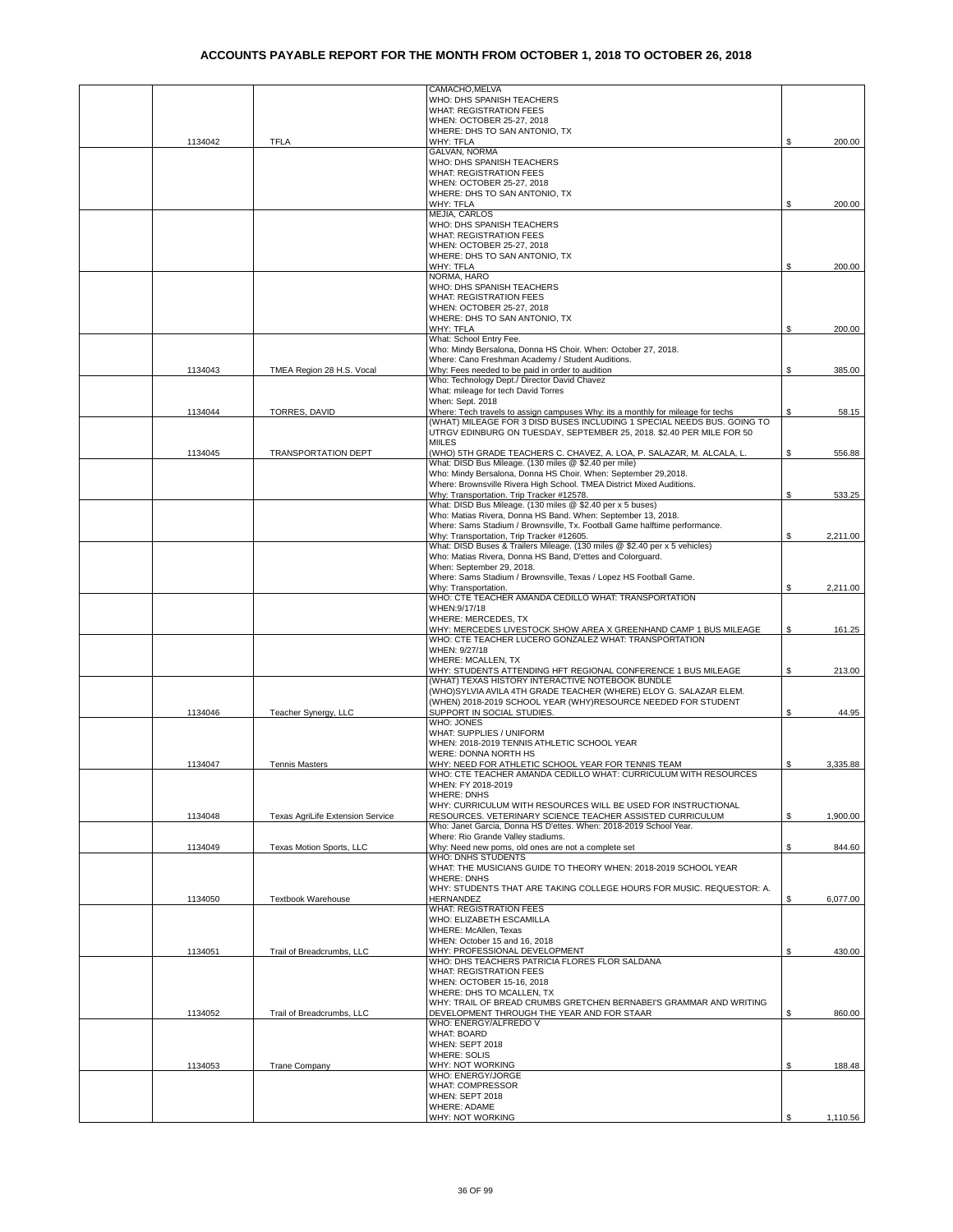|         |                                  | CAMACHO, MELVA<br>WHO: DHS SPANISH TEACHERS                                                                                             |     |          |
|---------|----------------------------------|-----------------------------------------------------------------------------------------------------------------------------------------|-----|----------|
|         |                                  | <b>WHAT: REGISTRATION FEES</b>                                                                                                          |     |          |
|         |                                  | WHEN: OCTOBER 25-27, 2018                                                                                                               |     |          |
|         |                                  | WHERE: DHS TO SAN ANTONIO, TX                                                                                                           |     |          |
| 1134042 | <b>TFLA</b>                      | WHY: TFLA                                                                                                                               | \$  | 200.00   |
|         |                                  | GALVAN, NORMA                                                                                                                           |     |          |
|         |                                  | WHO: DHS SPANISH TEACHERS                                                                                                               |     |          |
|         |                                  | WHAT: REGISTRATION FEES                                                                                                                 |     |          |
|         |                                  | WHEN: OCTOBER 25-27, 2018                                                                                                               |     |          |
|         |                                  | WHERE: DHS TO SAN ANTONIO, TX                                                                                                           |     |          |
|         |                                  | WHY: TFLA                                                                                                                               | \$  | 200.00   |
|         |                                  | MEJIA, CARLOS                                                                                                                           |     |          |
|         |                                  | WHO: DHS SPANISH TEACHERS                                                                                                               |     |          |
|         |                                  | <b>WHAT: REGISTRATION FEES</b>                                                                                                          |     |          |
|         |                                  | WHEN: OCTOBER 25-27, 2018                                                                                                               |     |          |
|         |                                  | WHERE: DHS TO SAN ANTONIO, TX                                                                                                           | \$  | 200.00   |
|         |                                  | WHY: TFLA<br>NORMA, HARO                                                                                                                |     |          |
|         |                                  | WHO: DHS SPANISH TEACHERS                                                                                                               |     |          |
|         |                                  | <b>WHAT: REGISTRATION FEES</b>                                                                                                          |     |          |
|         |                                  | WHEN: OCTOBER 25-27, 2018                                                                                                               |     |          |
|         |                                  | WHERE: DHS TO SAN ANTONIO, TX                                                                                                           |     |          |
|         |                                  | WHY: TFLA                                                                                                                               | \$  | 200.00   |
|         |                                  | What: School Entry Fee.                                                                                                                 |     |          |
|         |                                  | Who: Mindy Bersalona, Donna HS Choir. When: October 27, 2018.                                                                           |     |          |
|         |                                  | Where: Cano Freshman Academy / Student Auditions.                                                                                       |     |          |
| 1134043 | TMEA Region 28 H.S. Vocal        | Why: Fees needed to be paid in order to audition                                                                                        | \$  | 385.00   |
|         |                                  | Who: Technology Dept./ Director David Chavez                                                                                            |     |          |
|         |                                  | What: mileage for tech David Torres                                                                                                     |     |          |
|         |                                  | When: Sept. 2018                                                                                                                        |     |          |
| 1134044 | TORRES, DAVID                    | Where: Tech travels to assign campuses Why: its a monthly for mileage for techs                                                         | \$  | 58.15    |
|         |                                  | (WHAT) MILEAGE FOR 3 DISD BUSES INCLUDING 1 SPECIAL NEEDS BUS. GOING TO                                                                 |     |          |
|         |                                  | UTRGV EDINBURG ON TUESDAY, SEPTEMBER 25, 2018. \$2.40 PER MILE FOR 50                                                                   |     |          |
|         |                                  | <b>MIILES</b>                                                                                                                           |     |          |
| 1134045 | <b>TRANSPORTATION DEPT</b>       | (WHO) 5TH GRADE TEACHERS C. CHAVEZ, A. LOA, P. SALAZAR, M. ALCALA, L.                                                                   | S   | 556.88   |
|         |                                  | What: DISD Bus Mileage. (130 miles @ \$2.40 per mile)                                                                                   |     |          |
|         |                                  | Who: Mindy Bersalona, Donna HS Choir. When: September 29,2018.<br>Where: Brownsville Rivera High School. TMEA District Mixed Auditions. |     |          |
|         |                                  |                                                                                                                                         |     |          |
|         |                                  | Why: Transportation. Trip Tracker #12578.<br>What: DISD Bus Mileage. (130 miles @ \$2.40 per x 5 buses)                                 | S   | 533.25   |
|         |                                  | Who: Matias Rivera, Donna HS Band. When: September 13, 2018.                                                                            |     |          |
|         |                                  | Where: Sams Stadium / Brownsville, Tx. Football Game halftime performance.                                                              |     |          |
|         |                                  | Why: Transportation, Trip Tracker #12605.                                                                                               |     | 2,211.00 |
|         |                                  | What: DISD Buses & Trailers Mileage. (130 miles @ \$2.40 per x 5 vehicles)                                                              |     |          |
|         |                                  | Who: Matias Rivera, Donna HS Band, D'ettes and Colorguard.                                                                              |     |          |
|         |                                  | When: September 29, 2018.                                                                                                               |     |          |
|         |                                  | Where: Sams Stadium / Brownsville, Texas / Lopez HS Football Game.                                                                      |     |          |
|         |                                  | Why: Transportation.                                                                                                                    | \$  | 2,211.00 |
|         |                                  | WHO: CTE TEACHER AMANDA CEDILLO WHAT: TRANSPORTATION                                                                                    |     |          |
|         |                                  | WHEN: 9/17/18                                                                                                                           |     |          |
|         |                                  | WHERE: MERCEDES, TX                                                                                                                     |     |          |
|         |                                  | WHY: MERCEDES LIVESTOCK SHOW AREA X GREENHAND CAMP 1 BUS MILEAGE                                                                        | S   | 161.25   |
|         |                                  | WHO: CTE TEACHER LUCERO GONZALEZ WHAT: TRANSPORTATION                                                                                   |     |          |
|         |                                  | WHEN: 9/27/18                                                                                                                           |     |          |
|         |                                  | WHERE: MCALLEN, TX                                                                                                                      |     |          |
|         |                                  | WHY: STUDENTS ATTENDING HFT REGIONAL CONFERENCE 1 BUS MILEAGE                                                                           | S   | 213.00   |
|         |                                  | (WHAT) TEXAS HISTORY INTERACTIVE NOTEBOOK BUNDLE                                                                                        |     |          |
|         |                                  | (WHO)SYLVIA AVILA 4TH GRADE TEACHER (WHERE) ELOY G. SALAZAR ELEM.                                                                       |     |          |
|         |                                  | (WHEN) 2018-2019 SCHOOL YEAR (WHY)RESOURCE NEEDED FOR STUDENT                                                                           |     |          |
| 1134046 | Teacher Synergy, LLC             | SUPPORT IN SOCIAL STUDIES.                                                                                                              | \$  | 44.95    |
|         |                                  | WHO: JONES                                                                                                                              |     |          |
|         |                                  | WHAT: SUPPLIES / UNIFORM                                                                                                                |     |          |
|         |                                  | WHEN: 2018-2019 TENNIS ATHLETIC SCHOOL YEAR                                                                                             |     |          |
|         |                                  | WERE: DONNA NORTH HS                                                                                                                    |     |          |
| 1134047 | <b>Tennis Masters</b>            | WHY: NEED FOR ATHLETIC SCHOOL YEAR FOR TENNIS TEAM                                                                                      | \$. | 3,335.88 |
|         |                                  | WHO: CTE TEACHER AMANDA CEDILLO WHAT: CURRICULUM WITH RESOURCES                                                                         |     |          |
|         |                                  | WHEN: FY 2018-2019                                                                                                                      |     |          |
|         |                                  | <b>WHERE: DNHS</b><br>WHY: CURRICULUM WITH RESOURCES WILL BE USED FOR INSTRUCTIONAL                                                     |     |          |
| 1134048 | Texas AgriLife Extension Service | RESOURCES. VETERINARY SCIENCE TEACHER ASSISTED CURRICULUM                                                                               | S   | 1,900.00 |
|         |                                  | Who: Janet Garcia, Donna HS D'ettes. When: 2018-2019 School Year.                                                                       |     |          |
|         |                                  | Where: Rio Grande Valley stadiums.                                                                                                      |     |          |
| 1134049 | Texas Motion Sports, LLC         | Why: Need new poms, old ones are not a complete set                                                                                     | \$  | 844.60   |
|         |                                  | WHO: DNHS STUDENTS                                                                                                                      |     |          |
|         |                                  | WHAT: THE MUSICIANS GUIDE TO THEORY WHEN: 2018-2019 SCHOOL YEAR                                                                         |     |          |
|         |                                  | <b>WHERE: DNHS</b>                                                                                                                      |     |          |
|         |                                  | WHY: STUDENTS THAT ARE TAKING COLLEGE HOURS FOR MUSIC. REQUESTOR: A.                                                                    |     |          |
| 1134050 | <b>Textbook Warehouse</b>        | HERNANDEZ                                                                                                                               | \$  | 6,077.00 |
|         |                                  | <b>WHAT: REGISTRATION FEES</b>                                                                                                          |     |          |
|         |                                  | WHO: ELIZABETH ESCAMILLA                                                                                                                |     |          |
|         |                                  | WHERE: McAllen, Texas                                                                                                                   |     |          |
|         |                                  | WHEN: October 15 and 16, 2018                                                                                                           |     |          |
| 1134051 | Trail of Breadcrumbs, LLC        | WHY: PROFESSIONAL DEVELOPMENT                                                                                                           | \$  | 430.00   |
|         |                                  | WHO: DHS TEACHERS PATRICIA FLORES FLOR SALDANA                                                                                          |     |          |
|         |                                  | <b>WHAT: REGISTRATION FEES</b><br>WHEN: OCTOBER 15-16, 2018                                                                             |     |          |
|         |                                  | WHERE: DHS TO MCALLEN, TX                                                                                                               |     |          |
|         |                                  | WHY: TRAIL OF BREAD CRUMBS GRETCHEN BERNABEI'S GRAMMAR AND WRITING                                                                      |     |          |
| 1134052 | Trail of Breadcrumbs, LLC        |                                                                                                                                         | \$  |          |
|         |                                  | DEVELOPMENT THROUGH THE YEAR AND FOR STAAR<br>WHO: ENERGY/ALFREDO V                                                                     |     | 860.00   |
|         |                                  | <b>WHAT: BOARD</b>                                                                                                                      |     |          |
|         |                                  | WHEN: SEPT 2018                                                                                                                         |     |          |
|         |                                  | <b>WHERE: SOLIS</b>                                                                                                                     |     |          |
| 1134053 | <b>Trane Company</b>             | WHY: NOT WORKING                                                                                                                        | \$  | 188.48   |
|         |                                  | WHO: ENERGY/JORGE                                                                                                                       |     |          |
|         |                                  | <b>WHAT: COMPRESSOR</b>                                                                                                                 |     |          |
|         |                                  | WHEN: SEPT 2018                                                                                                                         |     |          |
|         |                                  | WHERE: ADAME                                                                                                                            |     |          |
|         |                                  | WHY: NOT WORKING                                                                                                                        |     | 1,110.56 |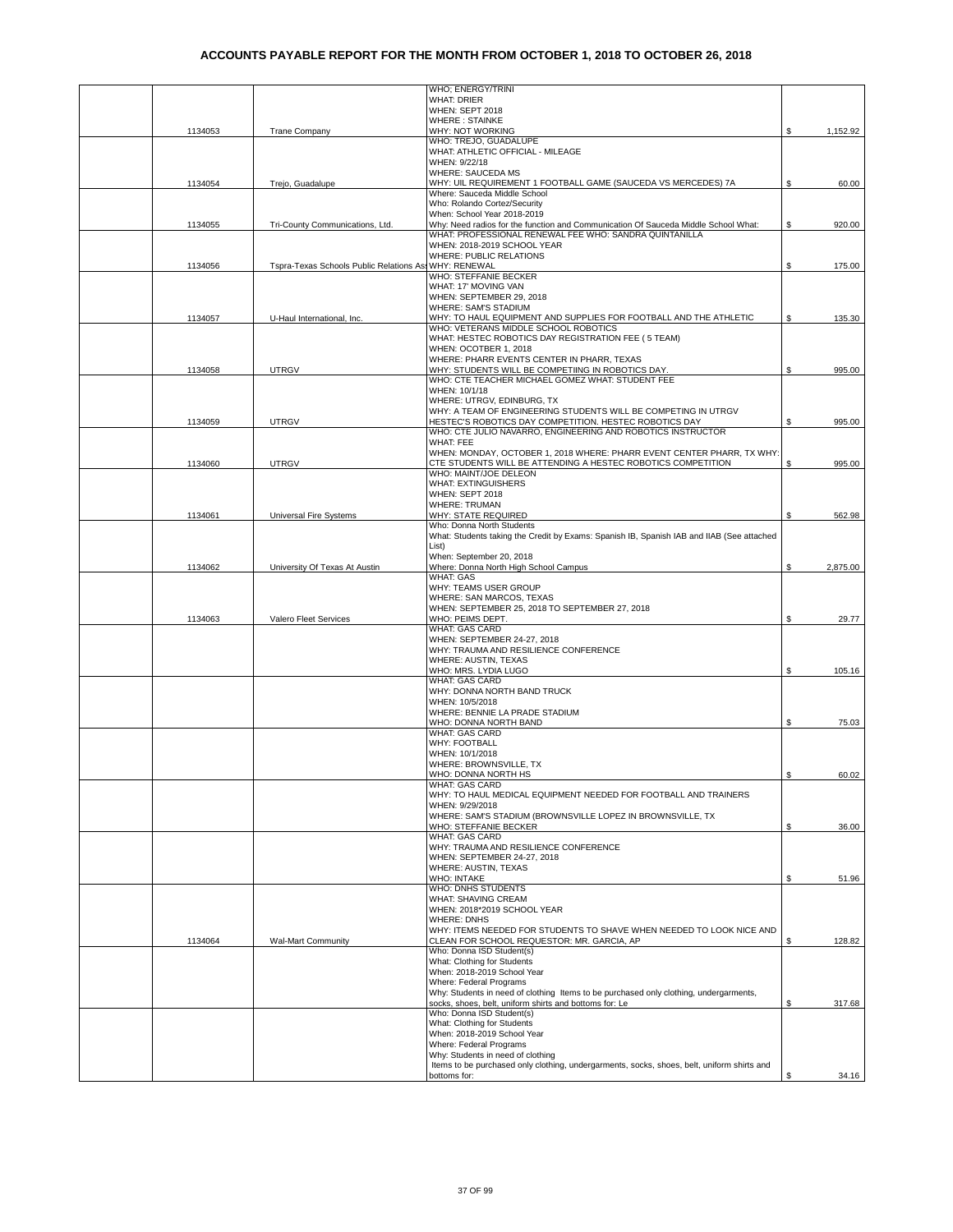|         |                                         | WHO; ENERGY/TRINI                                                                                                                               |    |          |
|---------|-----------------------------------------|-------------------------------------------------------------------------------------------------------------------------------------------------|----|----------|
|         |                                         | <b>WHAT: DRIER</b>                                                                                                                              |    |          |
|         |                                         | WHEN: SEPT 2018<br><b>WHERE: STAINKE</b>                                                                                                        |    |          |
| 1134053 | <b>Trane Company</b>                    | WHY: NOT WORKING                                                                                                                                | \$ | 1,152.92 |
|         |                                         | WHO: TREJO, GUADALUPE<br>WHAT: ATHLETIC OFFICIAL - MILEAGE                                                                                      |    |          |
|         |                                         | WHEN: 9/22/18                                                                                                                                   |    |          |
|         |                                         | <b>WHERE: SAUCEDA MS</b>                                                                                                                        |    |          |
| 1134054 | Trejo, Guadalupe                        | WHY: UIL REQUIREMENT 1 FOOTBALL GAME (SAUCEDA VS MERCEDES) 7A<br>Where: Sauceda Middle School                                                   | \$ | 60.00    |
|         |                                         | Who: Rolando Cortez/Security                                                                                                                    |    |          |
|         |                                         | When: School Year 2018-2019<br>Why: Need radios for the function and Communication Of Sauceda Middle School What:                               |    | 920.00   |
| 1134055 | Tri-County Communications, Ltd.         | WHAT: PROFESSIONAL RENEWAL FEE WHO: SANDRA QUINTANILLA                                                                                          | \$ |          |
|         |                                         | WHEN: 2018-2019 SCHOOL YEAR                                                                                                                     |    |          |
| 1134056 | Tspra-Texas Schools Public Relations As | <b>WHERE: PUBLIC RELATIONS</b><br>WHY: RENEWAL                                                                                                  | \$ | 175.00   |
|         |                                         | WHO: STEFFANIE BECKER                                                                                                                           |    |          |
|         |                                         | WHAT: 17' MOVING VAN                                                                                                                            |    |          |
|         |                                         | WHEN: SEPTEMBER 29, 2018<br><b>WHERE: SAM'S STADIUM</b>                                                                                         |    |          |
| 1134057 | U-Haul International, Inc.              | WHY: TO HAUL EQUIPMENT AND SUPPLIES FOR FOOTBALL AND THE ATHLETIC                                                                               | S  | 135.30   |
|         |                                         | WHO: VETERANS MIDDLE SCHOOL ROBOTICS                                                                                                            |    |          |
|         |                                         | WHAT: HESTEC ROBOTICS DAY REGISTRATION FEE ( 5 TEAM)<br>WHEN: OCOTBER 1, 2018                                                                   |    |          |
|         |                                         | WHERE: PHARR EVENTS CENTER IN PHARR, TEXAS                                                                                                      |    |          |
| 1134058 | <b>UTRGV</b>                            | WHY: STUDENTS WILL BE COMPETIING IN ROBOTICS DAY.<br>WHO: CTE TEACHER MICHAEL GOMEZ WHAT: STUDENT FEE                                           | \$ | 995.00   |
|         |                                         | WHEN: 10/1/18                                                                                                                                   |    |          |
|         |                                         | WHERE: UTRGV, EDINBURG, TX                                                                                                                      |    |          |
| 1134059 | <b>UTRGV</b>                            | WHY: A TEAM OF ENGINEERING STUDENTS WILL BE COMPETING IN UTRGV<br>HESTEC'S ROBOTICS DAY COMPETITION. HESTEC ROBOTICS DAY                        | S  | 995.00   |
|         |                                         | WHO: CTE JULIO NAVARRO, ENGINEERING AND ROBOTICS INSTRUCTOR                                                                                     |    |          |
|         |                                         | WHAT: FEE                                                                                                                                       |    |          |
| 1134060 | <b>UTRGV</b>                            | WHEN: MONDAY, OCTOBER 1, 2018 WHERE: PHARR EVENT CENTER PHARR, TX WHY:<br>CTE STUDENTS WILL BE ATTENDING A HESTEC ROBOTICS COMPETITION          | S  | 995.00   |
|         |                                         | WHO: MAINT/JOE DELEON                                                                                                                           |    |          |
|         |                                         | <b>WHAT: EXTINGUISHERS</b>                                                                                                                      |    |          |
|         |                                         | WHEN: SEPT 2018<br><b>WHERE: TRUMAN</b>                                                                                                         |    |          |
| 1134061 | Universal Fire Systems                  | WHY: STATE REQUIRED                                                                                                                             | £. | 562.98   |
|         |                                         | Who: Donna North Students                                                                                                                       |    |          |
|         |                                         | What: Students taking the Credit by Exams: Spanish IB, Spanish IAB and IIAB (See attached<br>List)                                              |    |          |
|         |                                         | When: September 20, 2018                                                                                                                        |    |          |
| 1134062 | University Of Texas At Austin           | Where: Donna North High School Campus<br><b>WHAT: GAS</b>                                                                                       | S  | 2,875.00 |
|         |                                         | WHY: TEAMS USER GROUP                                                                                                                           |    |          |
|         |                                         | WHERE: SAN MARCOS, TEXAS                                                                                                                        |    |          |
| 1134063 | Valero Fleet Services                   | WHEN: SEPTEMBER 25, 2018 TO SEPTEMBER 27, 2018<br>WHO: PEIMS DEPT.                                                                              | £. | 29.77    |
|         |                                         | <b>WHAT: GAS CARD</b>                                                                                                                           |    |          |
|         |                                         | WHEN: SEPTEMBER 24-27, 2018<br>WHY: TRAUMA AND RESILIENCE CONFERENCE                                                                            |    |          |
|         |                                         | WHERE: AUSTIN, TEXAS                                                                                                                            |    |          |
|         |                                         | WHO: MRS. LYDIA LUGO                                                                                                                            | \$ | 105.16   |
|         |                                         | WHAT: GAS CARD<br>WHY: DONNA NORTH BAND TRUCK                                                                                                   |    |          |
|         |                                         | WHEN: 10/5/2018                                                                                                                                 |    |          |
|         |                                         | WHERE: BENNIE LA PRADE STADIUM                                                                                                                  |    |          |
|         |                                         | WHO: DONNA NORTH BAND<br><b>WHAT: GAS CARD</b>                                                                                                  | \$ | 75.03    |
|         |                                         | <b>WHY: FOOTBALL</b>                                                                                                                            |    |          |
|         |                                         | WHEN: 10/1/2018<br>WHERE: BROWNSVILLE, TX                                                                                                       |    |          |
|         |                                         | WHO: DONNA NORTH HS                                                                                                                             | \$ | 60.02    |
|         |                                         | WHAT: GAS CARD                                                                                                                                  |    |          |
|         |                                         | WHY: TO HAUL MEDICAL EQUIPMENT NEEDED FOR FOOTBALL AND TRAINERS<br>WHEN: 9/29/2018                                                              |    |          |
|         |                                         | WHERE: SAM'S STADIUM (BROWNSVILLE LOPEZ IN BROWNSVILLE, TX                                                                                      |    |          |
|         |                                         | WHO: STEFFANIE BECKER                                                                                                                           | \$ | 36.00    |
|         |                                         | WHAT: GAS CARD<br>WHY: TRAUMA AND RESILIENCE CONFERENCE                                                                                         |    |          |
|         |                                         | WHEN: SEPTEMBER 24-27, 2018                                                                                                                     |    |          |
|         |                                         | WHERE: AUSTIN, TEXAS<br><b>WHO: INTAKE</b>                                                                                                      |    |          |
|         |                                         | WHO: DNHS STUDENTS                                                                                                                              | \$ | 51.96    |
|         |                                         | WHAT: SHAVING CREAM                                                                                                                             |    |          |
|         |                                         | WHEN: 2018*2019 SCHOOL YEAR<br><b>WHERE: DNHS</b>                                                                                               |    |          |
|         |                                         | WHY: ITEMS NEEDED FOR STUDENTS TO SHAVE WHEN NEEDED TO LOOK NICE AND                                                                            |    |          |
| 1134064 | <b>Wal-Mart Community</b>               | CLEAN FOR SCHOOL REQUESTOR: MR. GARCIA, AP                                                                                                      | £. | 128.82   |
|         |                                         | Who: Donna ISD Student(s)<br>What: Clothing for Students                                                                                        |    |          |
|         |                                         | When: 2018-2019 School Year                                                                                                                     |    |          |
|         |                                         | Where: Federal Programs                                                                                                                         |    |          |
|         |                                         | Why: Students in need of clothing Items to be purchased only clothing, undergarments,<br>socks, shoes, belt, uniform shirts and bottoms for: Le | \$ | 317.68   |
|         |                                         | Who: Donna ISD Student(s)                                                                                                                       |    |          |
|         |                                         | What: Clothing for Students<br>When: 2018-2019 School Year                                                                                      |    |          |
|         |                                         | Where: Federal Programs                                                                                                                         |    |          |
|         |                                         | Why: Students in need of clothing                                                                                                               |    |          |
|         |                                         | Items to be purchased only clothing, undergarments, socks, shoes, belt, uniform shirts and<br>bottoms for:                                      | £. | 34.16    |
|         |                                         |                                                                                                                                                 |    |          |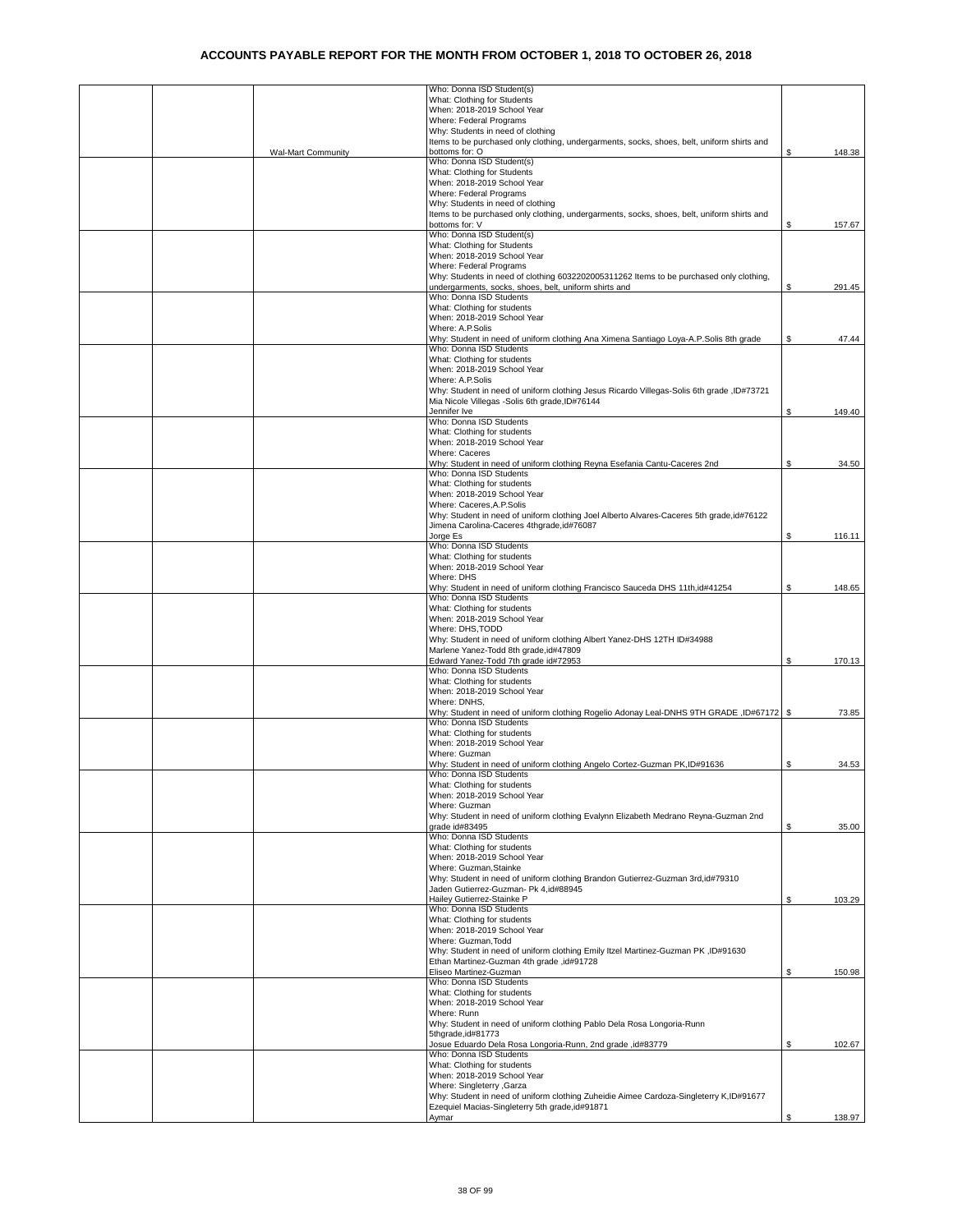|  |                           | Who: Donna ISD Student(s)                                                                                                                 |     |        |
|--|---------------------------|-------------------------------------------------------------------------------------------------------------------------------------------|-----|--------|
|  |                           | What: Clothing for Students<br>When: 2018-2019 School Year                                                                                |     |        |
|  |                           | Where: Federal Programs                                                                                                                   |     |        |
|  |                           | Why: Students in need of clothing                                                                                                         |     |        |
|  |                           | Items to be purchased only clothing, undergarments, socks, shoes, belt, uniform shirts and                                                |     |        |
|  | <b>Wal-Mart Community</b> | bottoms for: O                                                                                                                            | \$  | 148.38 |
|  |                           | Who: Donna ISD Student(s)<br>What: Clothing for Students                                                                                  |     |        |
|  |                           | When: 2018-2019 School Year                                                                                                               |     |        |
|  |                           | Where: Federal Programs                                                                                                                   |     |        |
|  |                           | Why: Students in need of clothing                                                                                                         |     |        |
|  |                           | Items to be purchased only clothing, undergarments, socks, shoes, belt, uniform shirts and                                                |     |        |
|  |                           | bottoms for: V<br>Who: Donna ISD Student(s)                                                                                               |     | 157.67 |
|  |                           | What: Clothing for Students                                                                                                               |     |        |
|  |                           | When: 2018-2019 School Year                                                                                                               |     |        |
|  |                           | Where: Federal Programs                                                                                                                   |     |        |
|  |                           | Why: Students in need of clothing 6032202005311262 Items to be purchased only clothing,                                                   |     |        |
|  |                           | undergarments, socks, shoes, belt, uniform shirts and<br>Who: Donna ISD Students                                                          | S   | 291.45 |
|  |                           | What: Clothing for students                                                                                                               |     |        |
|  |                           | When: 2018-2019 School Year                                                                                                               |     |        |
|  |                           | Where: A.P.Solis                                                                                                                          |     |        |
|  |                           | Why: Student in need of uniform clothing Ana Ximena Santiago Loya-A.P.Solis 8th grade                                                     | \$  | 47.44  |
|  |                           | Who: Donna ISD Students<br>What: Clothing for students                                                                                    |     |        |
|  |                           | When: 2018-2019 School Year                                                                                                               |     |        |
|  |                           | Where: A.P.Solis                                                                                                                          |     |        |
|  |                           | Why: Student in need of uniform clothing Jesus Ricardo Villegas-Solis 6th grade, ID#73721                                                 |     |        |
|  |                           | Mia Nicole Villegas -Solis 6th grade, ID#76144                                                                                            |     |        |
|  |                           | Jennifer Ive<br>Who: Donna ISD Students                                                                                                   | \$  | 149.40 |
|  |                           | What: Clothing for students                                                                                                               |     |        |
|  |                           | When: 2018-2019 School Year                                                                                                               |     |        |
|  |                           | Where: Caceres                                                                                                                            |     |        |
|  |                           | Why: Student in need of uniform clothing Reyna Esefania Cantu-Caceres 2nd<br>Who: Donna ISD Students                                      | \$  | 34.50  |
|  |                           | What: Clothing for students                                                                                                               |     |        |
|  |                           | When: 2018-2019 School Year                                                                                                               |     |        |
|  |                           | Where: Caceres, A.P. Solis                                                                                                                |     |        |
|  |                           | Why: Student in need of uniform clothing Joel Alberto Alvares-Caceres 5th grade, id#76122                                                 |     |        |
|  |                           | Jimena Carolina-Caceres 4thgrade, id#76087<br>Jorge Es                                                                                    | S   | 116.11 |
|  |                           | Who: Donna ISD Students                                                                                                                   |     |        |
|  |                           | What: Clothing for students                                                                                                               |     |        |
|  |                           | When: 2018-2019 School Year                                                                                                               |     |        |
|  |                           | Where: DHS                                                                                                                                |     |        |
|  |                           | Why: Student in need of uniform clothing Francisco Sauceda DHS 11th, id#41254<br>Who: Donna ISD Students                                  | \$  | 148.65 |
|  |                           | What: Clothing for students                                                                                                               |     |        |
|  |                           | When: 2018-2019 School Year                                                                                                               |     |        |
|  |                           | Where: DHS, TODD                                                                                                                          |     |        |
|  |                           | Why: Student in need of uniform clothing Albert Yanez-DHS 12TH ID#34988                                                                   |     |        |
|  |                           | Marlene Yanez-Todd 8th grade, id#47809                                                                                                    |     |        |
|  |                           |                                                                                                                                           |     |        |
|  |                           | Edward Yanez-Todd 7th grade id#72953<br>Who: Donna ISD Students                                                                           | \$  | 170.13 |
|  |                           | What: Clothing for students                                                                                                               |     |        |
|  |                           | When: 2018-2019 School Year                                                                                                               |     |        |
|  |                           | Where: DNHS,                                                                                                                              |     |        |
|  |                           | Why: Student in need of uniform clothing Rogelio Adonay Leal-DNHS 9TH GRADE ,ID#67172   \$                                                |     | 73.85  |
|  |                           | Who: Donna ISD Students<br>What: Clothing for students                                                                                    |     |        |
|  |                           | When: 2018-2019 School Year                                                                                                               |     |        |
|  |                           | Where: Guzman                                                                                                                             |     |        |
|  |                           | Why: Student in need of uniform clothing Angelo Cortez-Guzman PK,ID#91636                                                                 | S   | 34.53  |
|  |                           | /Vho: Donna ISD Students<br>What: Clothing for students                                                                                   |     |        |
|  |                           | When: 2018-2019 School Year                                                                                                               |     |        |
|  |                           | Where: Guzman                                                                                                                             |     |        |
|  |                           | Why: Student in need of uniform clothing Evalynn Elizabeth Medrano Reyna-Guzman 2nd                                                       |     |        |
|  |                           | grade id#83495                                                                                                                            | \$. | 35.00  |
|  |                           | Who: Donna ISD Students<br>What: Clothing for students                                                                                    |     |        |
|  |                           | When: 2018-2019 School Year                                                                                                               |     |        |
|  |                           | Where: Guzman, Stainke                                                                                                                    |     |        |
|  |                           | Why: Student in need of uniform clothing Brandon Gutierrez-Guzman 3rd, id#79310                                                           |     |        |
|  |                           | Jaden Gutierrez-Guzman- Pk 4,id#88945<br>Hailey Gutierrez-Stainke P                                                                       | \$  | 103.29 |
|  |                           | Who: Donna ISD Students                                                                                                                   |     |        |
|  |                           | What: Clothing for students                                                                                                               |     |        |
|  |                           | When: 2018-2019 School Year                                                                                                               |     |        |
|  |                           | Where: Guzman, Todd<br>Why: Student in need of uniform clothing Emily Itzel Martinez-Guzman PK, ID#91630                                  |     |        |
|  |                           | Ethan Martinez-Guzman 4th grade, id#91728                                                                                                 |     |        |
|  |                           | Eliseo Martinez-Guzman                                                                                                                    | \$  | 150.98 |
|  |                           | Who: Donna ISD Students                                                                                                                   |     |        |
|  |                           | What: Clothing for students<br>When: 2018-2019 School Year                                                                                |     |        |
|  |                           | Where: Runn                                                                                                                               |     |        |
|  |                           | Why: Student in need of uniform clothing Pablo Dela Rosa Longoria-Runn                                                                    |     |        |
|  |                           | 5thgrade, id#81773                                                                                                                        |     |        |
|  |                           | Josue Eduardo Dela Rosa Longoria-Runn, 2nd grade ,id#83779                                                                                | \$  | 102.67 |
|  |                           | Who: Donna ISD Students<br>What: Clothing for students                                                                                    |     |        |
|  |                           | When: 2018-2019 School Year                                                                                                               |     |        |
|  |                           | Where: Singleterry , Garza                                                                                                                |     |        |
|  |                           | Why: Student in need of uniform clothing Zuheidie Aimee Cardoza-Singleterry K,ID#91677<br>Ezequiel Macias-Singleterry 5th grade, id#91871 |     |        |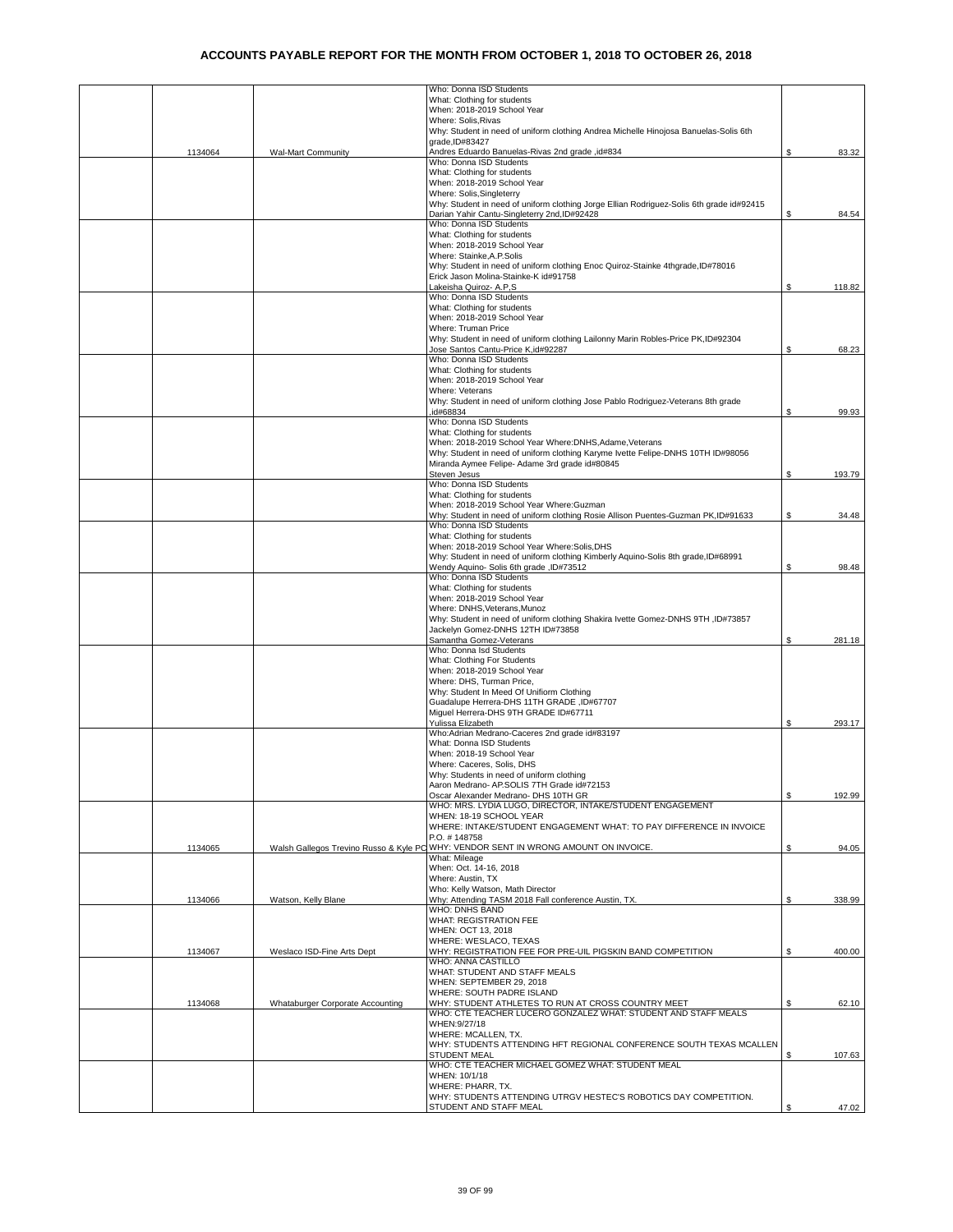|         |                                  | Who: Donna ISD Students                                                                                                             |    |        |
|---------|----------------------------------|-------------------------------------------------------------------------------------------------------------------------------------|----|--------|
|         |                                  | What: Clothing for students                                                                                                         |    |        |
|         |                                  | When: 2018-2019 School Year                                                                                                         |    |        |
|         |                                  | Where: Solis, Rivas                                                                                                                 |    |        |
|         |                                  | Why: Student in need of uniform clothing Andrea Michelle Hinojosa Banuelas-Solis 6th<br>grade, ID#83427                             |    |        |
| 1134064 | <b>Wal-Mart Community</b>        | Andres Eduardo Banuelas-Rivas 2nd grade, id#834                                                                                     | \$ | 83.32  |
|         |                                  | Who: Donna ISD Students                                                                                                             |    |        |
|         |                                  | What: Clothing for students                                                                                                         |    |        |
|         |                                  | When: 2018-2019 School Year                                                                                                         |    |        |
|         |                                  | Where: Solis, Singleterry                                                                                                           |    |        |
|         |                                  | Why: Student in need of uniform clothing Jorge Ellian Rodriguez-Solis 6th grade id#92415                                            |    |        |
|         |                                  | Darian Yahir Cantu-Singleterry 2nd, ID#92428<br>Who: Donna ISD Students                                                             | \$ | 84.54  |
|         |                                  | What: Clothing for students                                                                                                         |    |        |
|         |                                  | When: 2018-2019 School Year                                                                                                         |    |        |
|         |                                  | Where: Stainke, A.P. Solis                                                                                                          |    |        |
|         |                                  | Why: Student in need of uniform clothing Enoc Quiroz-Stainke 4thgrade, ID#78016                                                     |    |        |
|         |                                  | Erick Jason Molina-Stainke-K id#91758                                                                                               |    |        |
|         |                                  | Lakeisha Quiroz- A.P.S                                                                                                              | \$ | 118.82 |
|         |                                  | Who: Donna ISD Students<br>What: Clothing for students                                                                              |    |        |
|         |                                  | When: 2018-2019 School Year                                                                                                         |    |        |
|         |                                  | Where: Truman Price                                                                                                                 |    |        |
|         |                                  | Why: Student in need of uniform clothing Lailonny Marin Robles-Price PK,ID#92304                                                    |    |        |
|         |                                  | Jose Santos Cantu-Price K,id#92287                                                                                                  | \$ | 68.23  |
|         |                                  | Who: Donna ISD Students                                                                                                             |    |        |
|         |                                  | What: Clothing for students                                                                                                         |    |        |
|         |                                  | When: 2018-2019 School Year                                                                                                         |    |        |
|         |                                  | Where: Veterans<br>Why: Student in need of uniform clothing Jose Pablo Rodriguez-Veterans 8th grade                                 |    |        |
|         |                                  | id#68834                                                                                                                            | \$ | 99.93  |
|         |                                  | Who: Donna ISD Students                                                                                                             |    |        |
|         |                                  | What: Clothing for students                                                                                                         |    |        |
|         |                                  | When: 2018-2019 School Year Where:DNHS, Adame, Veterans                                                                             |    |        |
|         |                                  | Why: Student in need of uniform clothing Karyme Ivette Felipe-DNHS 10TH ID#98056                                                    |    |        |
|         |                                  | Miranda Aymee Felipe- Adame 3rd grade id#80845                                                                                      |    |        |
|         |                                  | Steven Jesus<br>Who: Donna ISD Students                                                                                             | \$ | 193.79 |
|         |                                  | What: Clothing for students                                                                                                         |    |        |
|         |                                  | When: 2018-2019 School Year Where: Guzman                                                                                           |    |        |
|         |                                  | Why: Student in need of uniform clothing Rosie Allison Puentes-Guzman PK,ID#91633                                                   | \$ | 34.48  |
|         |                                  | Who: Donna ISD Students                                                                                                             |    |        |
|         |                                  | What: Clothing for students                                                                                                         |    |        |
|         |                                  | When: 2018-2019 School Year Where: Solis, DHS<br>Why: Student in need of uniform clothing Kimberly Aquino-Solis 8th grade, ID#68991 |    |        |
|         |                                  | Wendy Aquino- Solis 6th grade, ID#73512                                                                                             | \$ | 98.48  |
|         |                                  | Who: Donna ISD Students                                                                                                             |    |        |
|         |                                  | What: Clothing for students                                                                                                         |    |        |
|         |                                  | When: 2018-2019 School Year                                                                                                         |    |        |
|         |                                  | Where: DNHS, Veterans, Munoz                                                                                                        |    |        |
|         |                                  | Why: Student in need of uniform clothing Shakira Ivette Gomez-DNHS 9TH , ID#73857                                                   |    |        |
|         |                                  | Jackelyn Gomez-DNHS 12TH ID#73858<br>Samantha Gomez-Veterans                                                                        | \$ | 281.18 |
|         |                                  | Who: Donna Isd Students                                                                                                             |    |        |
|         |                                  | What: Clothing For Students                                                                                                         |    |        |
|         |                                  | When: 2018-2019 School Year                                                                                                         |    |        |
|         |                                  | Where: DHS, Turman Price,                                                                                                           |    |        |
|         |                                  | Why: Student In Meed Of Unifiorm Clothing                                                                                           |    |        |
|         |                                  | Guadalupe Herrera-DHS 11TH GRADE , ID#67707<br>Miguel Herrera-DHS 9TH GRADE ID#67711                                                |    |        |
|         |                                  | Yulissa Elizabeth                                                                                                                   | \$ | 293.17 |
|         |                                  | Who:Adrian Medrano-Caceres 2nd grade id#83197                                                                                       |    |        |
|         |                                  | What: Donna ISD Students                                                                                                            |    |        |
|         |                                  | When: 2018-19 School Year                                                                                                           |    |        |
|         |                                  | Where: Caceres, Solis, DHS                                                                                                          |    |        |
|         |                                  | Why: Students in need of uniform clothing                                                                                           |    |        |
|         |                                  | Aaron Medrano- AP.SOLIS 7TH Grade id#72153<br>Oscar Alexander Medrano- DHS 10TH GR                                                  | \$ | 192.99 |
|         |                                  | WHO: MRS. LYDIA LUGO, DIRECTOR, INTAKE/STUDENT ENGAGEMENT                                                                           |    |        |
|         |                                  | WHEN: 18-19 SCHOOL YEAR                                                                                                             |    |        |
|         |                                  | WHERE: INTAKE/STUDENT ENGAGEMENT WHAT: TO PAY DIFFERENCE IN INVOICE                                                                 |    |        |
|         |                                  | P.O. #148758                                                                                                                        |    |        |
| 1134065 |                                  | Walsh Gallegos Trevino Russo & Kyle PC WHY: VENDOR SENT IN WRONG AMOUNT ON INVOICE.<br>What: Mileage                                | \$ | 94.05  |
|         |                                  | When: Oct. 14-16, 2018                                                                                                              |    |        |
|         |                                  | Where: Austin, TX                                                                                                                   |    |        |
|         |                                  | Who: Kelly Watson, Math Director                                                                                                    |    |        |
| 1134066 | Watson, Kelly Blane              | Why: Attending TASM 2018 Fall conference Austin, TX.                                                                                | \$ | 338.99 |
|         |                                  | <b>WHO: DNHS BAND</b>                                                                                                               |    |        |
|         |                                  | <b>WHAT: REGISTRATION FEE</b><br>WHEN: OCT 13, 2018                                                                                 |    |        |
|         |                                  | WHERE: WESLACO, TEXAS                                                                                                               |    |        |
| 1134067 | Weslaco ISD-Fine Arts Dept       | WHY: REGISTRATION FEE FOR PRE-UIL PIGSKIN BAND COMPETITION                                                                          | \$ | 400.00 |
|         |                                  | WHO: ANNA CASTILLO                                                                                                                  |    |        |
|         |                                  | WHAT: STUDENT AND STAFF MEALS                                                                                                       |    |        |
|         |                                  | WHEN: SEPTEMBER 29, 2018                                                                                                            |    |        |
|         |                                  | WHERE: SOUTH PADRE ISLAND<br>WHY: STUDENT ATHLETES TO RUN AT CROSS COUNTRY MEET                                                     |    |        |
| 1134068 | Whataburger Corporate Accounting | WHO: CTE TEACHER LUCERO GONZALEZ WHAT: STUDENT AND STAFF MEALS                                                                      | \$ | 62.10  |
|         |                                  | WHEN: 9/27/18                                                                                                                       |    |        |
|         |                                  | WHERE: MCALLEN, TX.                                                                                                                 |    |        |
|         |                                  | WHY: STUDENTS ATTENDING HFT REGIONAL CONFERENCE SOUTH TEXAS MCALLEN                                                                 |    |        |
|         |                                  | STUDENT MEAL                                                                                                                        | \$ | 107.63 |
|         |                                  | WHO: CTE TEACHER MICHAEL GOMEZ WHAT: STUDENT MEAL                                                                                   |    |        |
|         |                                  | WHEN: 10/1/18<br>WHERE: PHARR, TX.                                                                                                  |    |        |
|         |                                  | WHY: STUDENTS ATTENDING UTRGV HESTEC'S ROBOTICS DAY COMPETITION.                                                                    |    |        |
|         |                                  | STUDENT AND STAFF MEAL                                                                                                              | S  | 47.02  |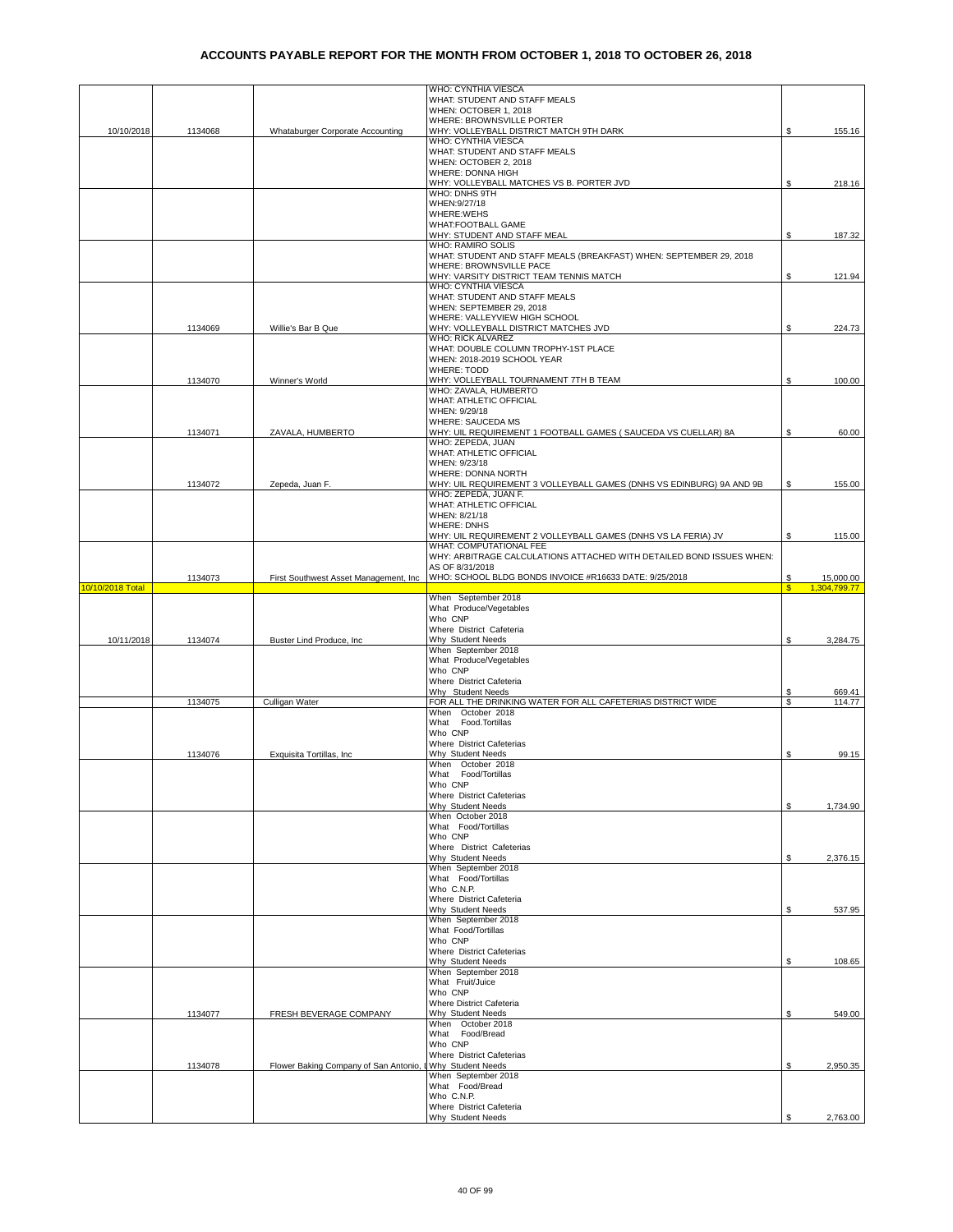|                  |         |                                        | WHO: CYNTHIA VIESCA                                                   |         |                           |
|------------------|---------|----------------------------------------|-----------------------------------------------------------------------|---------|---------------------------|
|                  |         |                                        | WHAT: STUDENT AND STAFF MEALS                                         |         |                           |
|                  |         |                                        | WHEN: OCTOBER 1, 2018<br>WHERE: BROWNSVILLE PORTER                    |         |                           |
| 10/10/2018       | 1134068 | Whataburger Corporate Accounting       | WHY: VOLLEYBALL DISTRICT MATCH 9TH DARK                               | S       | 155.16                    |
|                  |         |                                        | WHO: CYNTHIA VIESCA                                                   |         |                           |
|                  |         |                                        | WHAT: STUDENT AND STAFF MEALS                                         |         |                           |
|                  |         |                                        | WHEN: OCTOBER 2, 2018                                                 |         |                           |
|                  |         |                                        | WHERE: DONNA HIGH                                                     |         |                           |
|                  |         |                                        | WHY: VOLLEYBALL MATCHES VS B. PORTER JVD                              | \$      | 218.16                    |
|                  |         |                                        | WHO: DNHS 9TH<br>WHEN: 9/27/18                                        |         |                           |
|                  |         |                                        | WHERE:WEHS                                                            |         |                           |
|                  |         |                                        | <b>WHAT:FOOTBALL GAME</b>                                             |         |                           |
|                  |         |                                        | WHY: STUDENT AND STAFF MEAL                                           | \$      | 187.32                    |
|                  |         |                                        | <b>WHO: RAMIRO SOLIS</b>                                              |         |                           |
|                  |         |                                        | WHAT: STUDENT AND STAFF MEALS (BREAKFAST) WHEN: SEPTEMBER 29, 2018    |         |                           |
|                  |         |                                        | WHERE: BROWNSVILLE PACE                                               |         |                           |
|                  |         |                                        | WHY: VARSITY DISTRICT TEAM TENNIS MATCH                               | \$      | 121.94                    |
|                  |         |                                        | WHO: CYNTHIA VIESCA                                                   |         |                           |
|                  |         |                                        | WHAT: STUDENT AND STAFF MEALS                                         |         |                           |
|                  |         |                                        | WHEN: SEPTEMBER 29, 2018                                              |         |                           |
|                  |         |                                        | WHERE: VALLEYVIEW HIGH SCHOOL<br>WHY: VOLLEYBALL DISTRICT MATCHES JVD | S.      | 224.73                    |
|                  | 1134069 | Willie's Bar B Que                     | WHO: RICK ALVAREZ                                                     |         |                           |
|                  |         |                                        | WHAT: DOUBLE COLUMN TROPHY-1ST PLACE                                  |         |                           |
|                  |         |                                        | WHEN: 2018-2019 SCHOOL YEAR                                           |         |                           |
|                  |         |                                        | <b>WHERE: TODD</b>                                                    |         |                           |
|                  | 1134070 | Winner's World                         | WHY: VOLLEYBALL TOURNAMENT 7TH B TEAM                                 | \$      | 100.00                    |
|                  |         |                                        | WHO: ZAVALA, HUMBERTO                                                 |         |                           |
|                  |         |                                        | <b>WHAT: ATHLETIC OFFICIAL</b>                                        |         |                           |
|                  |         |                                        | WHEN: 9/29/18                                                         |         |                           |
|                  |         |                                        | WHERE: SAUCEDA MS                                                     |         |                           |
|                  | 1134071 | ZAVALA, HUMBERTO                       | WHY: UIL REQUIREMENT 1 FOOTBALL GAMES ( SAUCEDA VS CUELLAR) 8A        | S       | 60.00                     |
|                  |         |                                        | WHO: ZEPEDA, JUAN                                                     |         |                           |
|                  |         |                                        | <b>WHAT: ATHLETIC OFFICIAL</b><br>WHEN: 9/23/18                       |         |                           |
|                  |         |                                        | WHERE: DONNA NORTH                                                    |         |                           |
|                  | 1134072 | Zepeda, Juan F.                        | WHY: UIL REQUIREMENT 3 VOLLEYBALL GAMES (DNHS VS EDINBURG) 9A AND 9B  | \$      | 155.00                    |
|                  |         |                                        | WHO: ZEPEDA, JUAN F.                                                  |         |                           |
|                  |         |                                        | WHAT: ATHLETIC OFFICIAL                                               |         |                           |
|                  |         |                                        | WHEN: 8/21/18                                                         |         |                           |
|                  |         |                                        | <b>WHERE: DNHS</b>                                                    |         |                           |
|                  |         |                                        | WHY: UIL REQUIREMENT 2 VOLLEYBALL GAMES (DNHS VS LA FERIA) JV         | S       | 115.00                    |
|                  |         |                                        | WHAT: COMPUTATIONAL FEE                                               |         |                           |
|                  |         |                                        | WHY: ARBITRAGE CALCULATIONS ATTACHED WITH DETAILED BOND ISSUES WHEN:  |         |                           |
|                  |         |                                        | AS OF 8/31/2018                                                       |         |                           |
| 10/10/2018 Total | 1134073 | First Southwest Asset Management, Inc. | WHO: SCHOOL BLDG BONDS INVOICE #R16633 DATE: 9/25/2018                | \$<br>¢ | 15,000.00<br>1.304.799.77 |
|                  |         |                                        | When September 2018                                                   |         |                           |
|                  |         |                                        |                                                                       |         |                           |
|                  |         |                                        |                                                                       |         |                           |
|                  |         |                                        | What Produce/Vegetables                                               |         |                           |
|                  |         |                                        | Who CNP<br>Where District Cafeteria                                   |         |                           |
| 10/11/2018       | 1134074 | Buster Lind Produce, Inc               | Why Student Needs                                                     | S       | 3,284.75                  |
|                  |         |                                        | When September 2018                                                   |         |                           |
|                  |         |                                        | What Produce/Vegetables                                               |         |                           |
|                  |         |                                        | Who CNP                                                               |         |                           |
|                  |         |                                        | Where District Cafeteria                                              |         |                           |
|                  |         |                                        | Why Student Needs                                                     | S       | 669.41                    |
|                  | 1134075 | Culligan Water                         | FOR ALL THE DRINKING WATER FOR ALL CAFETERIAS DISTRICT WIDE           | \$      | 114.77                    |
|                  |         |                                        | When October 2018                                                     |         |                           |
|                  |         |                                        | What Food.Tortillas                                                   |         |                           |
|                  |         |                                        | Who CNP                                                               |         |                           |
|                  | 1134076 |                                        | Where District Cafeterias<br>Why Student Needs                        | \$      | 99.15                     |
|                  |         | Exquisita Tortillas, Inc.              | When October 2018                                                     |         |                           |
|                  |         |                                        | What Food/Tortillas                                                   |         |                           |
|                  |         |                                        | Who CNP                                                               |         |                           |
|                  |         |                                        | Where District Cafeterias                                             |         |                           |
|                  |         |                                        | Why Student Needs                                                     | \$      | 1,734.90                  |
|                  |         |                                        | When October 2018                                                     |         |                           |
|                  |         |                                        | What Food/Tortillas                                                   |         |                           |
|                  |         |                                        | Who CNP                                                               |         |                           |
|                  |         |                                        | Where District Cafeterias                                             |         |                           |
|                  |         |                                        | Why Student Needs                                                     | \$      | 2,376.15                  |
|                  |         |                                        | When September 2018<br>What Food/Tortillas                            |         |                           |
|                  |         |                                        | Who C.N.P.                                                            |         |                           |
|                  |         |                                        | Where District Cafeteria                                              |         |                           |
|                  |         |                                        | Why Student Needs                                                     | \$      | 537.95                    |
|                  |         |                                        | When September 2018                                                   |         |                           |
|                  |         |                                        | What Food/Tortillas                                                   |         |                           |
|                  |         |                                        | Who CNP                                                               |         |                           |
|                  |         |                                        | Where District Cafeterias                                             |         |                           |
|                  |         |                                        | Why Student Needs                                                     | \$      | 108.65                    |
|                  |         |                                        | When September 2018                                                   |         |                           |
|                  |         |                                        | What Fruit/Juice<br>Who CNP                                           |         |                           |
|                  |         |                                        | Where District Cafeteria                                              |         |                           |
|                  | 1134077 | FRESH BEVERAGE COMPANY                 | Why Student Needs                                                     | \$      | 549.00                    |
|                  |         |                                        | When October 2018                                                     |         |                           |
|                  |         |                                        | What Food/Bread                                                       |         |                           |
|                  |         |                                        | Who CNP                                                               |         |                           |
|                  |         |                                        | Where District Cafeterias                                             |         |                           |
|                  | 1134078 | Flower Baking Company of San Antonio,  | Why Student Needs                                                     | \$      | 2,950.35                  |
|                  |         |                                        | When September 2018                                                   |         |                           |
|                  |         |                                        | What Food/Bread                                                       |         |                           |
|                  |         |                                        | Who C.N.P.<br>Where District Cafeteria                                |         |                           |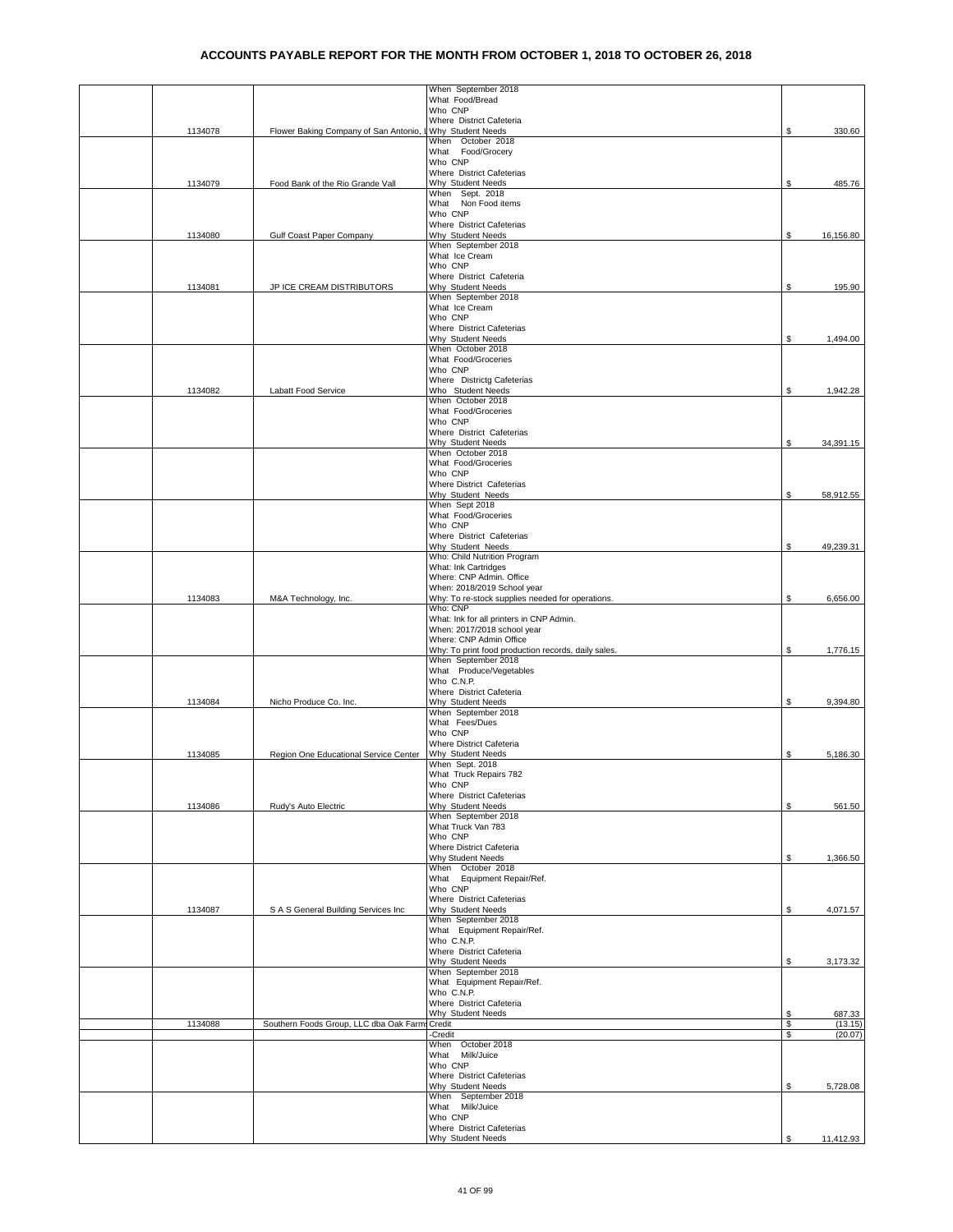| When September 2018<br>What Food/Bread<br>Who CNP<br>Where District Cafeteria<br>Flower Baking Company of San Antonio, LWhy Student Needs<br>1134078<br>When October 2018<br>What Food/Grocery<br>Who CNP<br>Where District Cafeterias | \$       | 330.60            |
|----------------------------------------------------------------------------------------------------------------------------------------------------------------------------------------------------------------------------------------|----------|-------------------|
|                                                                                                                                                                                                                                        |          |                   |
|                                                                                                                                                                                                                                        |          |                   |
|                                                                                                                                                                                                                                        |          |                   |
|                                                                                                                                                                                                                                        |          |                   |
|                                                                                                                                                                                                                                        |          |                   |
|                                                                                                                                                                                                                                        |          |                   |
|                                                                                                                                                                                                                                        |          |                   |
| Why Student Needs<br>1134079<br>Food Bank of the Rio Grande Vall                                                                                                                                                                       | \$       | 485.76            |
| When Sept. 2018                                                                                                                                                                                                                        |          |                   |
| What Non Food items                                                                                                                                                                                                                    |          |                   |
| Who CNP                                                                                                                                                                                                                                |          |                   |
| Where District Cafeterias                                                                                                                                                                                                              |          |                   |
| Why Student Needs<br>1134080<br>Gulf Coast Paper Company                                                                                                                                                                               | \$       | 16,156.80         |
| When September 2018<br>What Ice Cream                                                                                                                                                                                                  |          |                   |
| Who CNP                                                                                                                                                                                                                                |          |                   |
| Where District Cafeteria                                                                                                                                                                                                               |          |                   |
| Why Student Needs<br>1134081<br>JP ICE CREAM DISTRIBUTORS                                                                                                                                                                              | \$       | 195.90            |
| When September 2018                                                                                                                                                                                                                    |          |                   |
| What Ice Cream<br>Who CNP                                                                                                                                                                                                              |          |                   |
| Where District Cafeterias                                                                                                                                                                                                              |          |                   |
| Why Student Needs                                                                                                                                                                                                                      | S        | 1,494.00          |
| When October 2018                                                                                                                                                                                                                      |          |                   |
| What Food/Groceries                                                                                                                                                                                                                    |          |                   |
| Who CNP                                                                                                                                                                                                                                |          |                   |
| Where Districtg Cafeterias<br>Who Student Needs<br>1134082<br>Labatt Food Service                                                                                                                                                      | \$       | 1,942.28          |
| When October 2018                                                                                                                                                                                                                      |          |                   |
| What Food/Groceries                                                                                                                                                                                                                    |          |                   |
| Who CNP                                                                                                                                                                                                                                |          |                   |
| Where District Cafeterias                                                                                                                                                                                                              |          |                   |
| Why Student Needs                                                                                                                                                                                                                      | S        | 34,391.15         |
| When October 2018<br>What Food/Groceries                                                                                                                                                                                               |          |                   |
| Who CNP                                                                                                                                                                                                                                |          |                   |
| Where District Cafeterias                                                                                                                                                                                                              |          |                   |
| Why Student Needs                                                                                                                                                                                                                      | \$       | 58,912.55         |
| When Sept 2018                                                                                                                                                                                                                         |          |                   |
| What Food/Groceries<br>Who CNP                                                                                                                                                                                                         |          |                   |
| Where District Cafeterias                                                                                                                                                                                                              |          |                   |
| Why Student Needs                                                                                                                                                                                                                      | S        | 49,239.31         |
| Who: Child Nutrition Program                                                                                                                                                                                                           |          |                   |
| What: Ink Cartridges                                                                                                                                                                                                                   |          |                   |
| Where: CNP Admin. Office                                                                                                                                                                                                               |          |                   |
| When: 2018/2019 School year                                                                                                                                                                                                            |          |                   |
|                                                                                                                                                                                                                                        |          |                   |
| Why: To re-stock supplies needed for operations.<br>1134083<br>M&A Technology, Inc.                                                                                                                                                    | \$       | 6,656.00          |
| Who: CNP                                                                                                                                                                                                                               |          |                   |
| What: Ink for all printers in CNP Admin.<br>When: 2017/2018 school year                                                                                                                                                                |          |                   |
| Where: CNP Admin Office                                                                                                                                                                                                                |          |                   |
| Why: To print food production records, daily sales.                                                                                                                                                                                    | S        | 1,776.15          |
| When September 2018                                                                                                                                                                                                                    |          |                   |
| What Produce/Vegetables                                                                                                                                                                                                                |          |                   |
| Who C.N.P.<br>Where District Cafeteria                                                                                                                                                                                                 |          |                   |
| 1134084<br>Nicho Produce Co. Inc.<br>Why Student Needs                                                                                                                                                                                 | \$       | 9,394.80          |
| When September 2018                                                                                                                                                                                                                    |          |                   |
| What Fees/Dues                                                                                                                                                                                                                         |          |                   |
| Who CNP                                                                                                                                                                                                                                |          |                   |
| Where District Cafeteria<br>1134085<br>Why Student Needs                                                                                                                                                                               | \$       | 5,186.30          |
| Region One Educational Service Center<br>When Sept. 2018                                                                                                                                                                               |          |                   |
| What Truck Repairs 782                                                                                                                                                                                                                 |          |                   |
| Who CNP                                                                                                                                                                                                                                |          |                   |
| Where District Cafeterias                                                                                                                                                                                                              |          |                   |
| Why Student Needs<br>1134086<br>Rudy's Auto Electric                                                                                                                                                                                   | \$       | 561.50            |
| When September 2018<br>What Truck Van 783                                                                                                                                                                                              |          |                   |
| Who CNP                                                                                                                                                                                                                                |          |                   |
| Where District Cafeteria                                                                                                                                                                                                               |          |                   |
| Why Student Needs                                                                                                                                                                                                                      | \$       | 1,366.50          |
| When October 2018                                                                                                                                                                                                                      |          |                   |
| What Equipment Repair/Ref.<br>Who CNP                                                                                                                                                                                                  |          |                   |
| Where District Cafeterias                                                                                                                                                                                                              |          |                   |
| 1134087<br>S A S General Building Services Inc<br>Why Student Needs                                                                                                                                                                    | \$       | 4,071.57          |
| When September 2018                                                                                                                                                                                                                    |          |                   |
| What Equipment Repair/Ref.                                                                                                                                                                                                             |          |                   |
| Who C.N.P.<br>Where District Cafeteria                                                                                                                                                                                                 |          |                   |
| Why Student Needs                                                                                                                                                                                                                      | \$       | 3,173.32          |
| When September 2018                                                                                                                                                                                                                    |          |                   |
| What Equipment Repair/Ref.                                                                                                                                                                                                             |          |                   |
| Who C.N.P.                                                                                                                                                                                                                             |          |                   |
| Where District Cafeteria                                                                                                                                                                                                               |          |                   |
| Why Student Needs<br>1134088<br>Southern Foods Group, LLC dba Oak Farms<br>Credit                                                                                                                                                      | \$<br>\$ | 687.33<br>(13.15) |
| Credit-                                                                                                                                                                                                                                | \$       | (20.07)           |
| When October 2018                                                                                                                                                                                                                      |          |                   |
| What Milk/Juice                                                                                                                                                                                                                        |          |                   |
| Who CNP                                                                                                                                                                                                                                |          |                   |
| Where District Cafeterias<br>Why Student Needs                                                                                                                                                                                         | \$       | 5,728.08          |
| When September 2018                                                                                                                                                                                                                    |          |                   |
| What Milk/Juice                                                                                                                                                                                                                        |          |                   |
| Who CNP<br>Where District Cafeterias                                                                                                                                                                                                   |          |                   |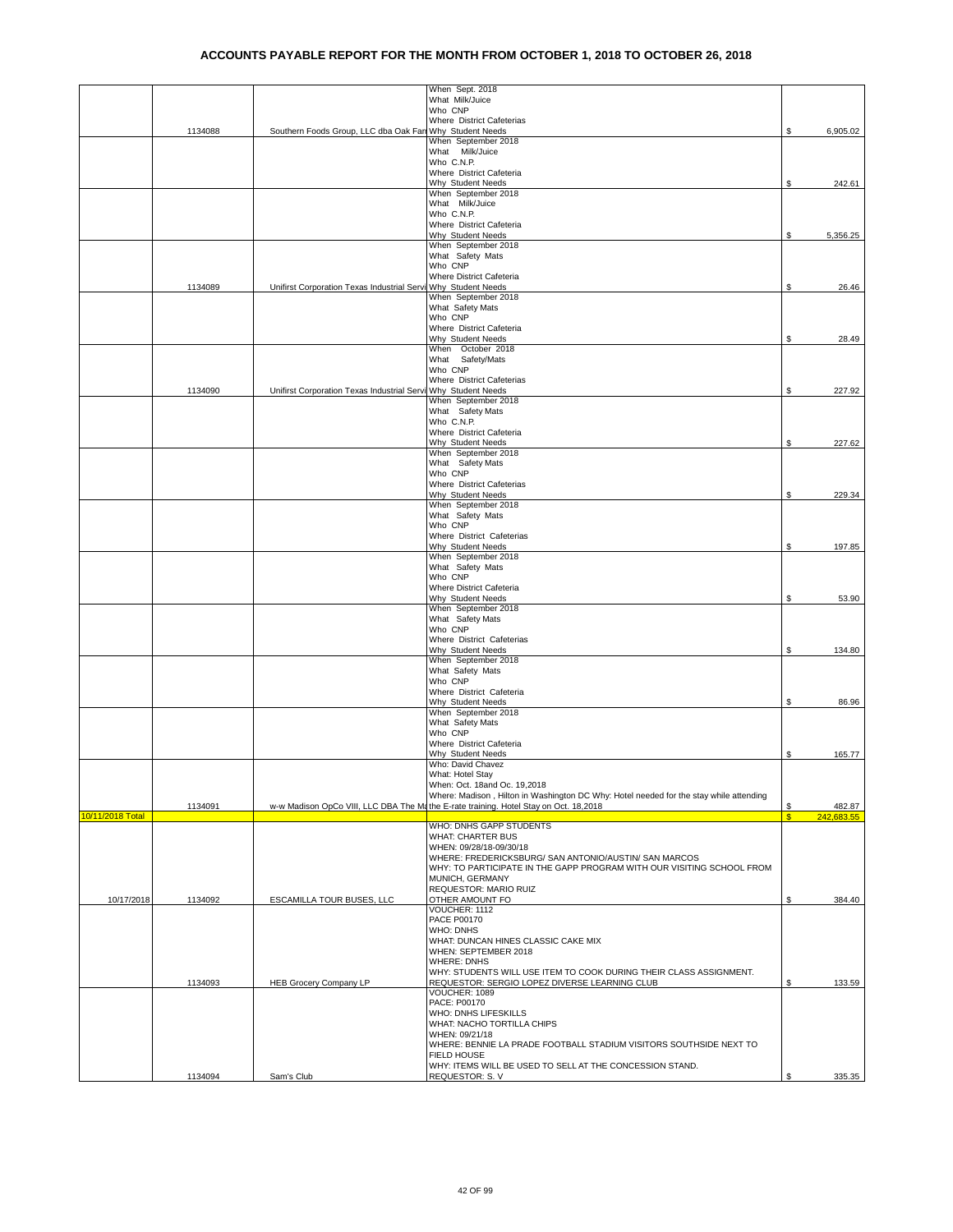|                  |         |                                                               | When Sept. 2018<br>What Milk/Juice                                                                                                                                             |    |            |
|------------------|---------|---------------------------------------------------------------|--------------------------------------------------------------------------------------------------------------------------------------------------------------------------------|----|------------|
|                  |         |                                                               | Who CNP                                                                                                                                                                        |    |            |
|                  |         |                                                               | Where District Cafeterias                                                                                                                                                      |    |            |
|                  | 1134088 | Southern Foods Group, LLC dba Oak Fan Why Student Needs       | When September 2018                                                                                                                                                            | \$ | 6,905.02   |
|                  |         |                                                               | What Milk/Juice                                                                                                                                                                |    |            |
|                  |         |                                                               | Who C.N.P.<br>Where District Cafeteria                                                                                                                                         |    |            |
|                  |         |                                                               | Why Student Needs                                                                                                                                                              | \$ | 242.61     |
|                  |         |                                                               | When September 2018<br>What Milk/Juice                                                                                                                                         |    |            |
|                  |         |                                                               | Who C.N.P.                                                                                                                                                                     |    |            |
|                  |         |                                                               | Where District Cafeteria                                                                                                                                                       |    |            |
|                  |         |                                                               | Why Student Needs<br>When September 2018                                                                                                                                       | \$ | 5,356.25   |
|                  |         |                                                               | What Safety Mats                                                                                                                                                               |    |            |
|                  |         |                                                               | Who CNP<br>Where District Cafeteria                                                                                                                                            |    |            |
|                  | 1134089 | Unifirst Corporation Texas Industrial Servi Why Student Needs |                                                                                                                                                                                | \$ | 26.46      |
|                  |         |                                                               | When September 2018                                                                                                                                                            |    |            |
|                  |         |                                                               | What Safety Mats<br>Who CNP                                                                                                                                                    |    |            |
|                  |         |                                                               | Where District Cafeteria                                                                                                                                                       |    |            |
|                  |         |                                                               | Why Student Needs<br>When October 2018                                                                                                                                         | \$ | 28.49      |
|                  |         |                                                               | What Safety/Mats                                                                                                                                                               |    |            |
|                  |         |                                                               | Who CNP                                                                                                                                                                        |    |            |
|                  | 1134090 | Unifirst Corporation Texas Industrial Servi Why Student Needs | Where District Cafeterias                                                                                                                                                      | S  | 227.92     |
|                  |         |                                                               | When September 2018                                                                                                                                                            |    |            |
|                  |         |                                                               | What Safety Mats                                                                                                                                                               |    |            |
|                  |         |                                                               | Who C.N.P.<br>Where District Cafeteria                                                                                                                                         |    |            |
|                  |         |                                                               | Why Student Needs                                                                                                                                                              | \$ | 227.62     |
|                  |         |                                                               | When September 2018<br>What Safety Mats                                                                                                                                        |    |            |
|                  |         |                                                               | Who CNP                                                                                                                                                                        |    |            |
|                  |         |                                                               | Where District Cafeterias                                                                                                                                                      |    |            |
|                  |         |                                                               | Why Student Needs<br>When September 2018                                                                                                                                       | \$ | 229.34     |
|                  |         |                                                               | What Safety Mats                                                                                                                                                               |    |            |
|                  |         |                                                               | Who CNP                                                                                                                                                                        |    |            |
|                  |         |                                                               | Where District Cafeterias<br>Why Student Needs                                                                                                                                 | \$ | 197.85     |
|                  |         |                                                               | When September 2018                                                                                                                                                            |    |            |
|                  |         |                                                               | What Safety Mats<br>Who CNP                                                                                                                                                    |    |            |
|                  |         |                                                               | Where District Cafeteria                                                                                                                                                       |    |            |
|                  |         |                                                               | Why Student Needs                                                                                                                                                              | \$ | 53.90      |
|                  |         |                                                               | When September 2018<br>What Safety Mats                                                                                                                                        |    |            |
|                  |         |                                                               | Who CNP                                                                                                                                                                        |    |            |
|                  |         |                                                               | Where District Cafeterias                                                                                                                                                      |    |            |
|                  |         |                                                               | Why Student Needs<br>When September 2018                                                                                                                                       | \$ | 134.80     |
|                  |         |                                                               | What Safety Mats                                                                                                                                                               |    |            |
|                  |         |                                                               | Who CNP<br>Where District Cafeteria                                                                                                                                            |    |            |
|                  |         |                                                               | Why Student Needs                                                                                                                                                              | \$ | 86.96      |
|                  |         |                                                               | When September 2018                                                                                                                                                            |    |            |
|                  |         |                                                               | What Safety Mats<br>Who CNP                                                                                                                                                    |    |            |
|                  |         |                                                               | Where District Cafeteria                                                                                                                                                       |    |            |
|                  |         |                                                               | Why Student Needs<br>Who: David Chavez                                                                                                                                         | \$ | 165.77     |
|                  |         |                                                               | What: Hotel Stay                                                                                                                                                               |    |            |
|                  |         |                                                               | When: Oct. 18and Oc. 19,2018                                                                                                                                                   |    |            |
|                  | 1134091 |                                                               | Where: Madison, Hilton in Washington DC Why: Hotel needed for the stay while attending<br>w-w Madison OpCo VIII, LLC DBA The Mathe E-rate training. Hotel Stay on Oct. 18,2018 | \$ | 482.87     |
| 10/11/2018 Total |         |                                                               |                                                                                                                                                                                | S  | 242.683.55 |
|                  |         |                                                               | WHO: DNHS GAPP STUDENTS                                                                                                                                                        |    |            |
|                  |         |                                                               | WHAT: CHARTER BUS<br>WHEN: 09/28/18-09/30/18                                                                                                                                   |    |            |
|                  |         |                                                               | WHERE: FREDERICKSBURG/ SAN ANTONIO/AUSTIN/ SAN MARCOS                                                                                                                          |    |            |
|                  |         |                                                               | WHY: TO PARTICIPATE IN THE GAPP PROGRAM WITH OUR VISITING SCHOOL FROM<br>MUNICH, GERMANY                                                                                       |    |            |
|                  |         |                                                               | REQUESTOR: MARIO RUIZ                                                                                                                                                          |    |            |
| 10/17/2018       | 1134092 | ESCAMILLA TOUR BUSES, LLC                                     | OTHER AMOUNT FO                                                                                                                                                                | \$ | 384.40     |
|                  |         |                                                               | VOUCHER: 1112<br>PACE P00170                                                                                                                                                   |    |            |
|                  |         |                                                               | <b>WHO: DNHS</b>                                                                                                                                                               |    |            |
|                  |         |                                                               | WHAT: DUNCAN HINES CLASSIC CAKE MIX<br>WHEN: SEPTEMBER 2018                                                                                                                    |    |            |
|                  |         |                                                               | <b>WHERE: DNHS</b>                                                                                                                                                             |    |            |
|                  |         |                                                               | WHY: STUDENTS WILL USE ITEM TO COOK DURING THEIR CLASS ASSIGNMENT.                                                                                                             |    |            |
|                  | 1134093 | <b>HEB Grocery Company LP</b>                                 | REQUESTOR: SERGIO LOPEZ DIVERSE LEARNING CLUB<br>VOUCHER: 1089                                                                                                                 | \$ | 133.59     |
|                  |         |                                                               | PACE: P00170                                                                                                                                                                   |    |            |
|                  |         |                                                               | WHO: DNHS LIFESKILLS<br>WHAT: NACHO TORTILLA CHIPS                                                                                                                             |    |            |
|                  |         |                                                               | WHEN: 09/21/18                                                                                                                                                                 |    |            |
|                  |         |                                                               | WHERE: BENNIE LA PRADE FOOTBALL STADIUM VISITORS SOUTHSIDE NEXT TO                                                                                                             |    |            |
|                  |         |                                                               | FIELD HOUSE<br>WHY: ITEMS WILL BE USED TO SELL AT THE CONCESSION STAND.                                                                                                        |    |            |
|                  | 1134094 | Sam's Club                                                    | REQUESTOR: S.V                                                                                                                                                                 | S  | 335.35     |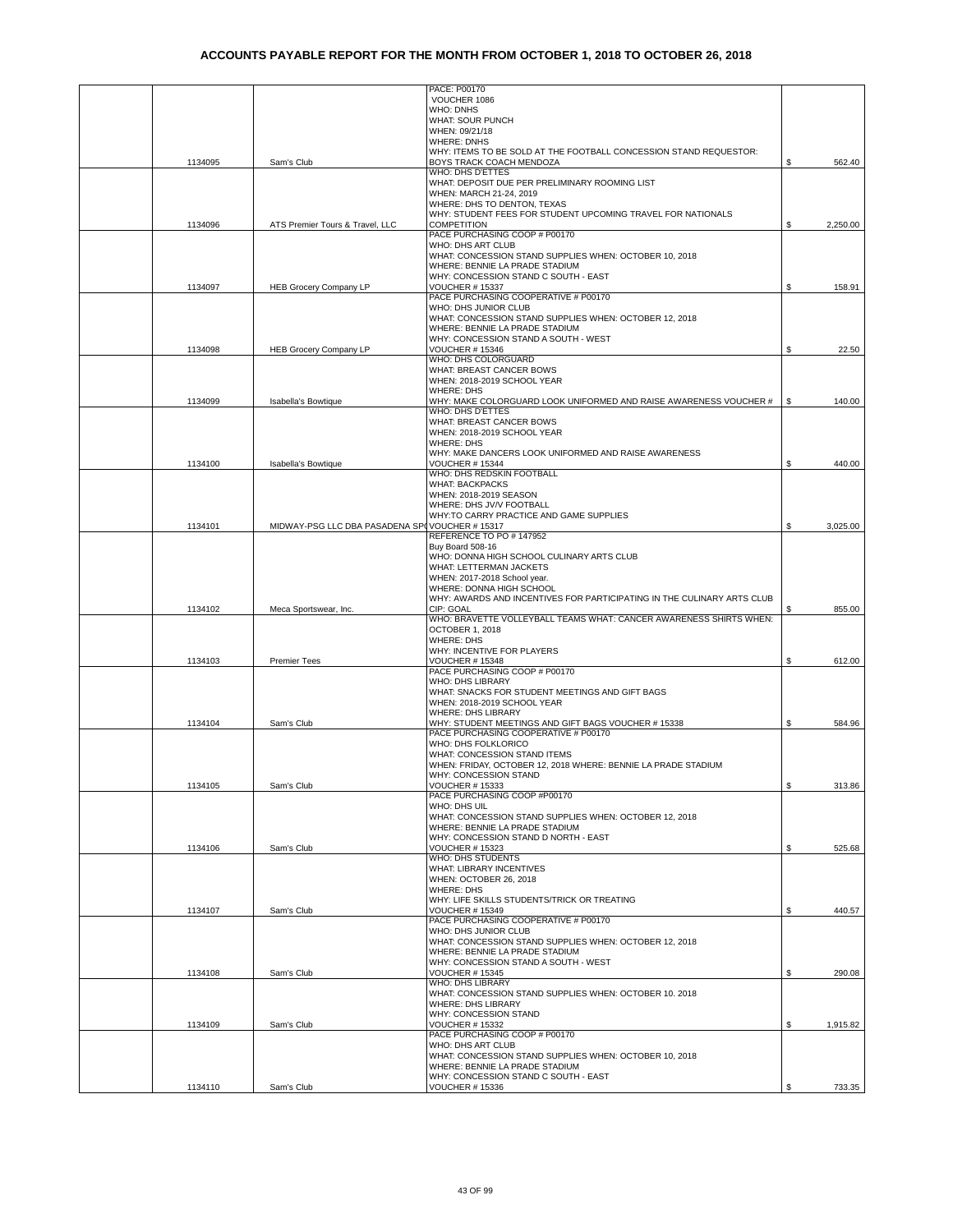|         |                                               | PACE: P00170                                                                             |    |          |
|---------|-----------------------------------------------|------------------------------------------------------------------------------------------|----|----------|
|         |                                               | VOUCHER 1086<br><b>WHO: DNHS</b>                                                         |    |          |
|         |                                               | WHAT: SOUR PUNCH                                                                         |    |          |
|         |                                               | WHEN: 09/21/18                                                                           |    |          |
|         |                                               | <b>WHERE: DNHS</b><br>WHY: ITEMS TO BE SOLD AT THE FOOTBALL CONCESSION STAND REQUESTOR:  |    |          |
| 1134095 | Sam's Club                                    | BOYS TRACK COACH MENDOZA                                                                 | S. | 562.40   |
|         |                                               | WHO: DHS D'ETTES                                                                         |    |          |
|         |                                               | WHAT: DEPOSIT DUE PER PRELIMINARY ROOMING LIST<br>WHEN: MARCH 21-24, 2019                |    |          |
|         |                                               | WHERE: DHS TO DENTON, TEXAS                                                              |    |          |
|         |                                               | WHY: STUDENT FEES FOR STUDENT UPCOMING TRAVEL FOR NATIONALS                              |    |          |
| 1134096 | ATS Premier Tours & Travel, LLC               | <b>COMPETITION</b>                                                                       | \$ | 2,250.00 |
|         |                                               | PACE PURCHASING COOP # P00170<br>WHO: DHS ART CLUB                                       |    |          |
|         |                                               | WHAT: CONCESSION STAND SUPPLIES WHEN: OCTOBER 10, 2018                                   |    |          |
|         |                                               | WHERE: BENNIE LA PRADE STADIUM                                                           |    |          |
| 1134097 | <b>HEB Grocery Company LP</b>                 | WHY: CONCESSION STAND C SOUTH - EAST<br><b>VOUCHER # 15337</b>                           | \$ | 158.91   |
|         |                                               | PACE PURCHASING COOPERATIVE # P00170                                                     |    |          |
|         |                                               | WHO: DHS JUNIOR CLUB                                                                     |    |          |
|         |                                               | WHAT: CONCESSION STAND SUPPLIES WHEN: OCTOBER 12, 2018<br>WHERE: BENNIE LA PRADE STADIUM |    |          |
|         |                                               | WHY: CONCESSION STAND A SOUTH - WEST                                                     |    |          |
| 1134098 | <b>HEB Grocery Company LP</b>                 | <b>VOUCHER # 15346</b>                                                                   | S  | 22.50    |
|         |                                               | WHO: DHS COLORGUARD<br>WHAT: BREAST CANCER BOWS                                          |    |          |
|         |                                               | WHEN: 2018-2019 SCHOOL YEAR                                                              |    |          |
|         |                                               | <b>WHERE: DHS</b>                                                                        |    |          |
| 1134099 | Isabella's Bowtique                           | WHY: MAKE COLORGUARD LOOK UNIFORMED AND RAISE AWARENESS VOUCHER #<br>WHO: DHS D'ETTES    | S  | 140.00   |
|         |                                               | WHAT: BREAST CANCER BOWS                                                                 |    |          |
|         |                                               | WHEN: 2018-2019 SCHOOL YEAR                                                              |    |          |
|         |                                               | <b>WHERE: DHS</b>                                                                        |    |          |
| 1134100 | Isabella's Bowtique                           | WHY: MAKE DANCERS LOOK UNIFORMED AND RAISE AWARENESS<br>VOUCHER # 15344                  | S  | 440.00   |
|         |                                               | WHO: DHS REDSKIN FOOTBALL                                                                |    |          |
|         |                                               | <b>WHAT: BACKPACKS</b>                                                                   |    |          |
|         |                                               | WHEN: 2018-2019 SEASON<br>WHERE: DHS JV/V FOOTBALL                                       |    |          |
|         |                                               | WHY:TO CARRY PRACTICE AND GAME SUPPLIES                                                  |    |          |
| 1134101 | MIDWAY-PSG LLC DBA PASADENA SP(VOUCHER #15317 |                                                                                          | \$ | 3,025.00 |
|         |                                               | REFERENCE TO PO # 147952<br>Buy Board 508-16                                             |    |          |
|         |                                               | WHO: DONNA HIGH SCHOOL CULINARY ARTS CLUB                                                |    |          |
|         |                                               | WHAT: LETTERMAN JACKETS                                                                  |    |          |
|         |                                               | WHEN: 2017-2018 School year.<br>WHERE: DONNA HIGH SCHOOL                                 |    |          |
|         |                                               | WHY: AWARDS AND INCENTIVES FOR PARTICIPATING IN THE CULINARY ARTS CLUB                   |    |          |
| 1134102 | Meca Sportswear, Inc.                         | CIP: GOAL                                                                                | S  | 855.00   |
|         |                                               | WHO: BRAVETTE VOLLEYBALL TEAMS WHAT: CANCER AWARENESS SHIRTS WHEN:<br>OCTOBER 1, 2018    |    |          |
|         |                                               | <b>WHERE: DHS</b>                                                                        |    |          |
|         |                                               | WHY: INCENTIVE FOR PLAYERS                                                               |    |          |
| 1134103 | <b>Premier Tees</b>                           | <b>VOUCHER # 15348</b><br>PACE PURCHASING COOP # P00170                                  | \$ | 612.00   |
|         |                                               | <b>WHO: DHS LIBRARY</b>                                                                  |    |          |
|         |                                               | WHAT: SNACKS FOR STUDENT MEETINGS AND GIFT BAGS                                          |    |          |
|         |                                               | WHEN: 2018-2019 SCHOOL YEAR<br>WHERE: DHS LIBRARY                                        |    |          |
| 1134104 | Sam's Club                                    | WHY: STUDENT MEETINGS AND GIFT BAGS VOUCHER # 15338                                      | S  | 584.96   |
|         |                                               | PACE PURCHASING COOPERATIVE # P00170                                                     |    |          |
|         |                                               | WHO: DHS FOLKLORICO<br>WHAT: CONCESSION STAND ITEMS                                      |    |          |
|         |                                               | WHEN: FRIDAY, OCTOBER 12, 2018 WHERE: BENNIE LA PRADE STADIUM                            |    |          |
|         |                                               | WHY: CONCESSION STAND                                                                    |    |          |
| 1134105 | Sam's Club                                    | <b>VOUCHER # 15333</b><br>PACE PURCHASING COOP #P00170                                   | \$ | 313.86   |
|         |                                               | WHO: DHS UIL                                                                             |    |          |
|         |                                               | WHAT: CONCESSION STAND SUPPLIES WHEN: OCTOBER 12, 2018                                   |    |          |
|         |                                               | WHERE: BENNIE LA PRADE STADIUM<br>WHY: CONCESSION STAND D NORTH - EAST                   |    |          |
| 1134106 | Sam's Club                                    | <b>VOUCHER # 15323</b>                                                                   | \$ | 525.68   |
|         |                                               | WHO: DHS STUDENTS                                                                        |    |          |
|         |                                               | <b>WHAT: LIBRARY INCENTIVES</b><br>WHEN: OCTOBER 26, 2018                                |    |          |
|         |                                               | <b>WHERE: DHS</b>                                                                        |    |          |
|         |                                               | WHY: LIFE SKILLS STUDENTS/TRICK OR TREATING                                              |    |          |
| 1134107 | Sam's Club                                    | VOUCHER # 15349<br>PACE PURCHASING COOPERATIVE # P00170                                  | \$ | 440.57   |
|         |                                               | WHO: DHS JUNIOR CLUB                                                                     |    |          |
|         |                                               | WHAT: CONCESSION STAND SUPPLIES WHEN: OCTOBER 12, 2018                                   |    |          |
|         |                                               | WHERE: BENNIE LA PRADE STADIUM<br>WHY: CONCESSION STAND A SOUTH - WEST                   |    |          |
| 1134108 | Sam's Club                                    | <b>VOUCHER # 15345</b>                                                                   | \$ | 290.08   |
|         |                                               | WHO: DHS LIBRARY                                                                         |    |          |
|         |                                               | WHAT: CONCESSION STAND SUPPLIES WHEN: OCTOBER 10. 2018<br>WHERE: DHS LIBRARY             |    |          |
|         |                                               | WHY: CONCESSION STAND                                                                    |    |          |
| 1134109 | Sam's Club                                    | <b>VOUCHER # 15332</b>                                                                   | S. | 1,915.82 |
|         |                                               | PACE PURCHASING COOP # P00170<br>WHO: DHS ART CLUB                                       |    |          |
|         |                                               | WHAT: CONCESSION STAND SUPPLIES WHEN: OCTOBER 10, 2018                                   |    |          |
|         |                                               | WHERE: BENNIE LA PRADE STADIUM                                                           |    |          |
| 1134110 | Sam's Club                                    | WHY: CONCESSION STAND C SOUTH - EAST<br><b>VOUCHER # 15336</b>                           | \$ | 733.35   |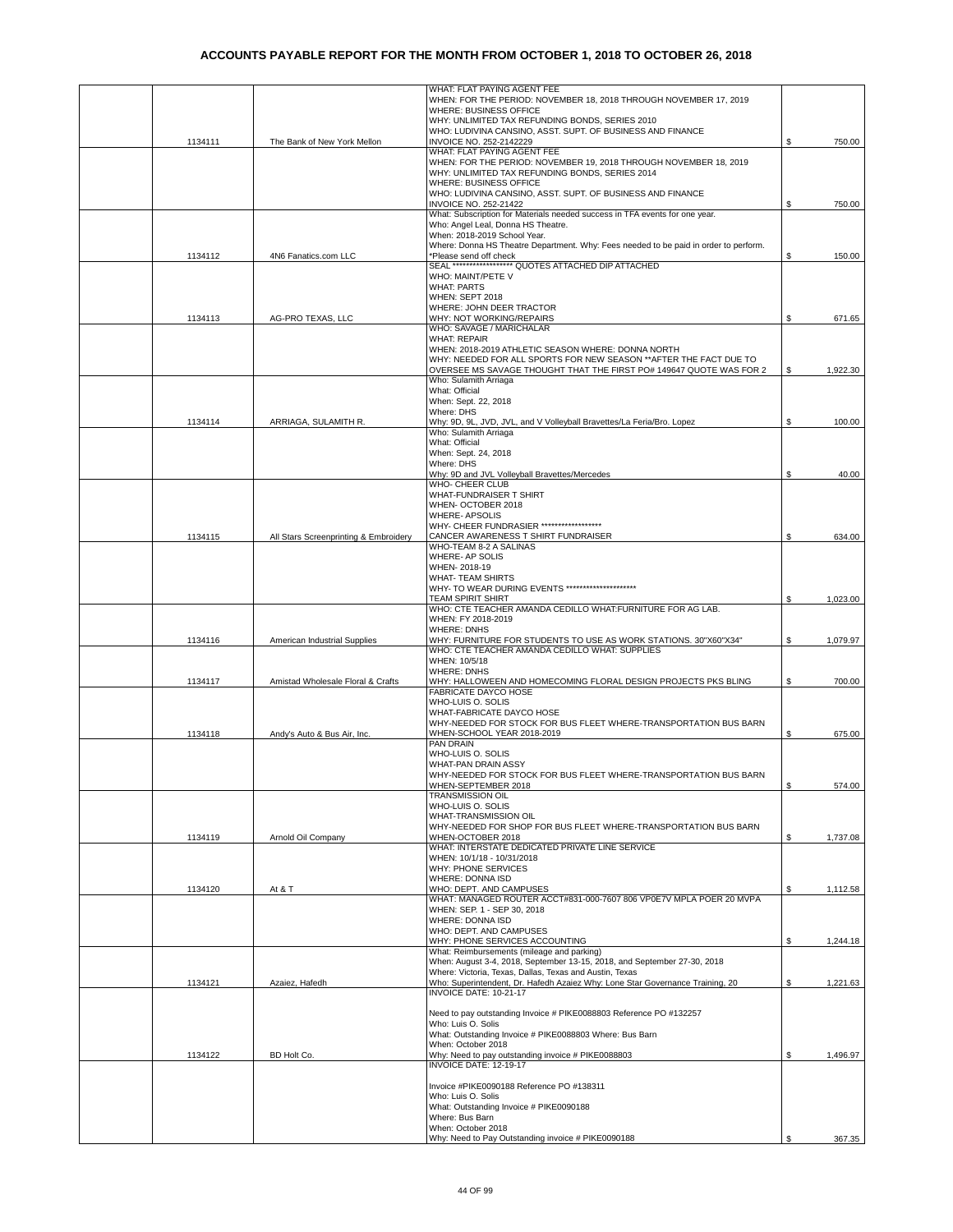|         |                                       | WHAT: FLAT PAYING AGENT FEE                                                                                                              |    |          |
|---------|---------------------------------------|------------------------------------------------------------------------------------------------------------------------------------------|----|----------|
|         |                                       | WHEN: FOR THE PERIOD: NOVEMBER 18, 2018 THROUGH NOVEMBER 17, 2019<br>WHERE: BUSINESS OFFICE                                              |    |          |
|         |                                       | WHY: UNLIMITED TAX REFUNDING BONDS, SERIES 2010                                                                                          |    |          |
| 1134111 | The Bank of New York Mellon           | WHO: LUDIVINA CANSINO, ASST. SUPT. OF BUSINESS AND FINANCE<br>INVOICE NO. 252-2142229                                                    | S  | 750.00   |
|         |                                       | WHAT: FLAT PAYING AGENT FEE                                                                                                              |    |          |
|         |                                       | WHEN: FOR THE PERIOD: NOVEMBER 19, 2018 THROUGH NOVEMBER 18, 2019<br>WHY: UNLIMITED TAX REFUNDING BONDS, SERIES 2014                     |    |          |
|         |                                       | WHERE: BUSINESS OFFICE                                                                                                                   |    |          |
|         |                                       | WHO: LUDIVINA CANSINO, ASST. SUPT. OF BUSINESS AND FINANCE<br><b>INVOICE NO. 252-21422</b>                                               | S  | 750.00   |
|         |                                       | What: Subscription for Materials needed success in TFA events for one year.                                                              |    |          |
|         |                                       | Who: Angel Leal, Donna HS Theatre.<br>When: 2018-2019 School Year.                                                                       |    |          |
|         |                                       | Where: Donna HS Theatre Department. Why: Fees needed to be paid in order to perform.                                                     |    |          |
| 1134112 | 4N6 Fanatics.com LLC                  | *Please send off check<br>SEAL ****************** QUOTES ATTACHED DIP ATTACHED                                                           | S  | 150.00   |
|         |                                       | WHO: MAINT/PETE V<br><b>WHAT: PARTS</b>                                                                                                  |    |          |
|         |                                       | WHEN: SEPT 2018                                                                                                                          |    |          |
|         |                                       | WHERE: JOHN DEER TRACTOR                                                                                                                 |    | 671.65   |
| 1134113 | AG-PRO TEXAS, LLC                     | WHY: NOT WORKING/REPAIRS<br>WHO: SAVAGE / MARICHALAR                                                                                     | \$ |          |
|         |                                       | <b>WHAT: REPAIR</b><br>WHEN: 2018-2019 ATHLETIC SEASON WHERE: DONNA NORTH                                                                |    |          |
|         |                                       | WHY: NEEDED FOR ALL SPORTS FOR NEW SEASON ** AFTER THE FACT DUE TO                                                                       |    |          |
|         |                                       | OVERSEE MS SAVAGE THOUGHT THAT THE FIRST PO# 149647 QUOTE WAS FOR 2                                                                      | \$ | 1,922.30 |
|         |                                       | Who: Sulamith Arriaga<br>What: Official                                                                                                  |    |          |
|         |                                       | When: Sept. 22, 2018<br>Where: DHS                                                                                                       |    |          |
| 1134114 | ARRIAGA, SULAMITH R.                  | Why: 9D, 9L, JVD, JVL, and V Volleyball Bravettes/La Feria/Bro. Lopez                                                                    | \$ | 100.00   |
|         |                                       | Who: Sulamith Arriaga<br>What: Official                                                                                                  |    |          |
|         |                                       | When: Sept. 24, 2018                                                                                                                     |    |          |
|         |                                       | Where: DHS                                                                                                                               |    |          |
|         |                                       | Why: 9D and JVL Volleyball Bravettes/Mercedes<br>WHO- CHEER CLUB                                                                         | \$ | 40.00    |
|         |                                       | WHAT-FUNDRAISER T SHIRT                                                                                                                  |    |          |
|         |                                       | WHEN- OCTOBER 2018<br><b>WHERE- APSOLIS</b>                                                                                              |    |          |
|         |                                       | WHY- CHEER FUNDRASIER ******************                                                                                                 |    |          |
| 1134115 | All Stars Screenprinting & Embroidery | CANCER AWARENESS T SHIRT FUNDRAISER<br>WHO-TEAM 8-2 A SALINAS                                                                            | \$ | 634.00   |
|         |                                       | WHERE- AP SOLIS                                                                                                                          |    |          |
|         |                                       | WHEN-2018-19<br><b>WHAT- TEAM SHIRTS</b>                                                                                                 |    |          |
|         |                                       | WHY- TO WEAR DURING EVENTS *********************                                                                                         |    |          |
|         |                                       | TEAM SPIRIT SHIRT<br>WHO: CTE TEACHER AMANDA CEDILLO WHAT:FURNITURE FOR AG LAB.                                                          | \$ | 1,023.00 |
|         |                                       | WHEN: FY 2018-2019<br><b>WHERE: DNHS</b>                                                                                                 |    |          |
| 1134116 | American Industrial Supplies          | WHY: FURNITURE FOR STUDENTS TO USE AS WORK STATIONS. 30"X60"X34"                                                                         | \$ | 1,079.97 |
|         |                                       | WHO: CTE TEACHER AMANDA CEDILLO WHAT: SUPPLIES<br>WHEN: 10/5/18                                                                          |    |          |
|         |                                       | <b>WHERE: DNHS</b>                                                                                                                       |    |          |
| 1134117 | Amistad Wholesale Floral & Crafts     | WHY: HALLOWEEN AND HOMECOMING FLORAL DESIGN PROJECTS PKS BLING<br>FABRICATE DAYCO HOSE                                                   | \$ | 700.00   |
|         |                                       | WHO-LUIS O. SOLIS<br>WHAT-FABRICATE DAYCO HOSE                                                                                           |    |          |
|         |                                       | WHY-NEEDED FOR STOCK FOR BUS FLEET WHERE-TRANSPORTATION BUS BARN                                                                         |    |          |
| 1134118 | Andy's Auto & Bus Air, Inc.           | WHEN-SCHOOL YEAR 2018-2019<br><b>PAN DRAIN</b>                                                                                           | \$ | 675.00   |
|         |                                       | WHO-LUIS O. SOLIS                                                                                                                        |    |          |
|         |                                       | WHAT-PAN DRAIN ASSY<br>WHY-NEEDED FOR STOCK FOR BUS FLEET WHERE-TRANSPORTATION BUS BARN                                                  |    |          |
|         |                                       | WHEN-SEPTEMBER 2018                                                                                                                      | \$ | 574.00   |
|         |                                       | <b>TRANSMISSION OIL</b><br>WHO-LUIS O. SOLIS                                                                                             |    |          |
|         |                                       | WHAT-TRANSMISSION OIL                                                                                                                    |    |          |
| 1134119 | Arnold Oil Company                    | WHY-NEEDED FOR SHOP FOR BUS FLEET WHERE-TRANSPORTATION BUS BARN<br>WHEN-OCTOBER 2018                                                     | \$ | 1,737.08 |
|         |                                       | WHAT: INTERSTATE DEDICATED PRIVATE LINE SERVICE                                                                                          |    |          |
|         |                                       | WHEN: 10/1/18 - 10/31/2018<br>WHY: PHONE SERVICES                                                                                        |    |          |
|         |                                       | WHERE: DONNA ISD                                                                                                                         |    |          |
| 1134120 | At & T                                | WHO: DEPT. AND CAMPUSES<br>WHAT: MANAGED ROUTER ACCT#831-000-7607 806 VP0E7V MPLA POER 20 MVPA                                           | \$ | 1,112.58 |
|         |                                       | WHEN: SEP. 1 - SEP 30, 2018                                                                                                              |    |          |
|         |                                       | WHERE: DONNA ISD<br>WHO: DEPT. AND CAMPUSES                                                                                              |    |          |
|         |                                       | WHY: PHONE SERVICES ACCOUNTING<br>What: Reimbursements (mileage and parking)                                                             | \$ | 1,244.18 |
|         |                                       | When: August 3-4, 2018, September 13-15, 2018, and September 27-30, 2018                                                                 |    |          |
| 1134121 | Azaiez, Hafedh                        | Where: Victoria, Texas, Dallas, Texas and Austin, Texas<br>Who: Superintendent, Dr. Hafedh Azaiez Why: Lone Star Governance Training, 20 | \$ | 1,221.63 |
|         |                                       | INVOICE DATE: 10-21-17                                                                                                                   |    |          |
|         |                                       | Need to pay outstanding Invoice # PIKE0088803 Reference PO #132257                                                                       |    |          |
|         |                                       | Who: Luis O. Solis                                                                                                                       |    |          |
|         |                                       | What: Outstanding Invoice # PIKE0088803 Where: Bus Barn<br>When: October 2018                                                            |    |          |
| 1134122 | BD Holt Co.                           | Why: Need to pay outstanding invoice # PIKE0088803<br>INVOICE DATE: 12-19-17                                                             | S  | 1,496.97 |
|         |                                       |                                                                                                                                          |    |          |
|         |                                       | Invoice #PIKE0090188 Reference PO #138311<br>Who: Luis O. Solis                                                                          |    |          |
|         |                                       | What: Outstanding Invoice # PIKE0090188                                                                                                  |    |          |
|         |                                       | Where: Bus Barn<br>When: October 2018                                                                                                    |    |          |
|         |                                       | Why: Need to Pay Outstanding invoice # PIKE0090188                                                                                       | \$ | 367.35   |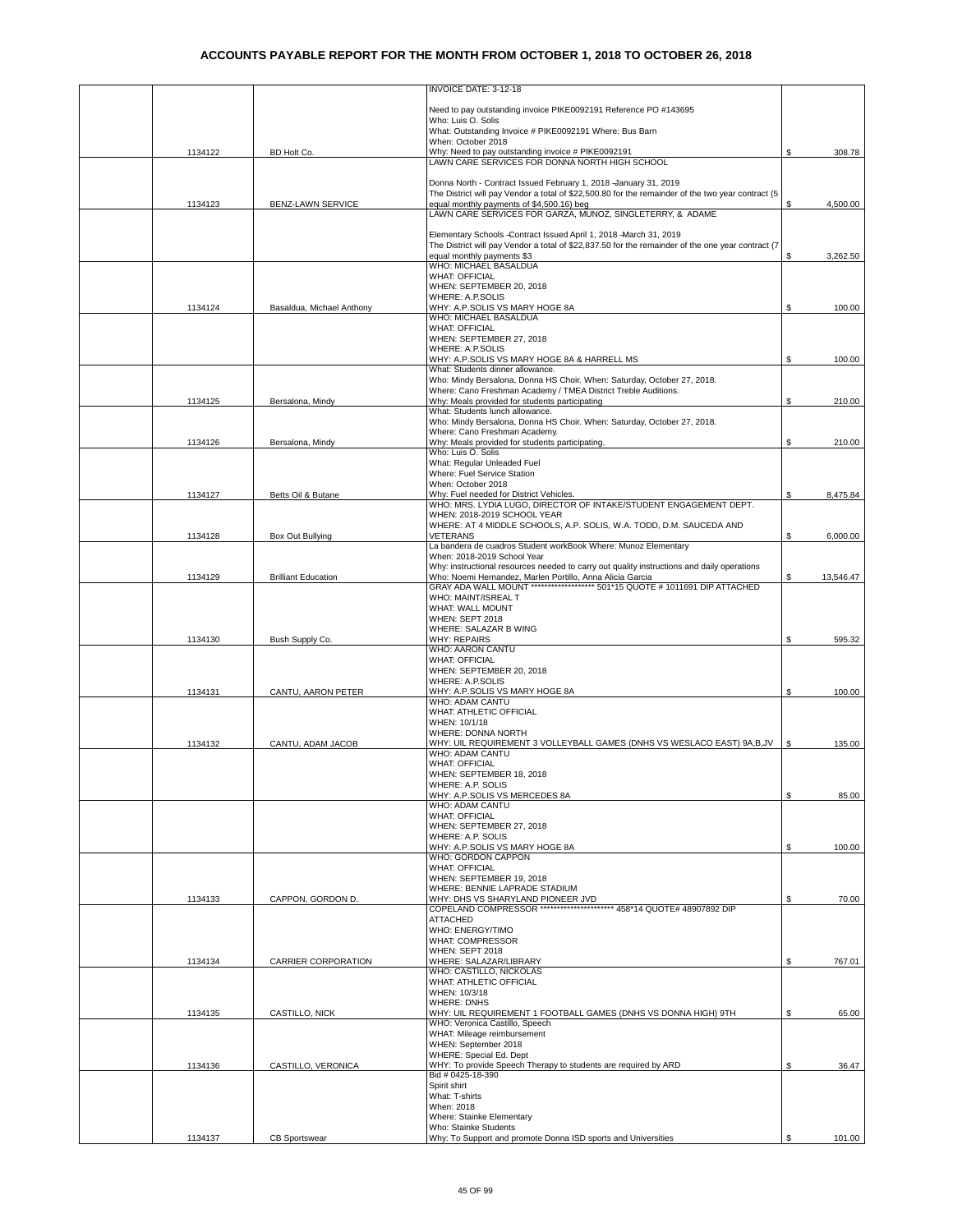|         |                            | INVOICE DATE: 3-12-18                                                                                                                     |    |           |
|---------|----------------------------|-------------------------------------------------------------------------------------------------------------------------------------------|----|-----------|
|         |                            | Need to pay outstanding invoice PIKE0092191 Reference PO #143695                                                                          |    |           |
|         |                            | Who: Luis O. Solis                                                                                                                        |    |           |
|         |                            | What: Outstanding Invoice # PIKE0092191 Where: Bus Barn<br>When: October 2018                                                             |    |           |
| 1134122 | BD Holt Co.                | Why: Need to pay outstanding invoice # PIKE0092191<br>LAWN CARE SERVICES FOR DONNA NORTH HIGH SCHOOL                                      | \$ | 308.78    |
|         |                            |                                                                                                                                           |    |           |
|         |                            | Donna North - Contract Issued February 1, 2018 -January 31, 2019                                                                          |    |           |
|         |                            | The District will pay Vendor a total of \$22,500.80 for the remainder of the two year contract (5                                         |    |           |
| 1134123 | BENZ-LAWN SERVICE          | equal monthly payments of \$4,500.16) beg                                                                                                 | \$ | 4,500.00  |
|         |                            | LAWN CARE SERVICES FOR GARZA, MUNOZ, SINGLETERRY, & ADAME                                                                                 |    |           |
|         |                            | Elementary Schools -Contract Issued April 1, 2018 -March 31, 2019                                                                         |    |           |
|         |                            | The District will pay Vendor a total of \$22,837.50 for the remainder of the one year contract (7                                         |    |           |
|         |                            | equal monthly payments \$3<br>WHO: MICHAEL BASALDUA                                                                                       | S  | 3,262.50  |
|         |                            | <b>WHAT: OFFICIAL</b>                                                                                                                     |    |           |
|         |                            | WHEN: SEPTEMBER 20, 2018                                                                                                                  |    |           |
| 1134124 | Basaldua, Michael Anthony  | <b>WHERE: A.P.SOLIS</b><br>WHY: A.P.SOLIS VS MARY HOGE 8A                                                                                 | \$ | 100.00    |
|         |                            | WHO: MICHAEL BASALDUA                                                                                                                     |    |           |
|         |                            | <b>WHAT: OFFICIAL</b>                                                                                                                     |    |           |
|         |                            | WHEN: SEPTEMBER 27, 2018<br>WHERE: A.P.SOLIS                                                                                              |    |           |
|         |                            | WHY: A.P.SOLIS VS MARY HOGE 8A & HARRELL MS                                                                                               | \$ | 100.00    |
|         |                            | What: Students dinner allowance.                                                                                                          |    |           |
|         |                            | Who: Mindy Bersalona, Donna HS Choir. When: Saturday, October 27, 2018.<br>Where: Cano Freshman Academy / TMEA District Treble Auditions. |    |           |
| 1134125 | Bersalona, Mindy           | Why: Meals provided for students participating                                                                                            | \$ | 210.00    |
|         |                            | What: Students lunch allowance.                                                                                                           |    |           |
|         |                            | Who: Mindy Bersalona, Donna HS Choir. When: Saturday, October 27, 2018.<br>Where: Cano Freshman Academy.                                  |    |           |
| 1134126 | Bersalona, Mindy           | Why: Meals provided for students participating.                                                                                           | \$ | 210.00    |
|         |                            | Who: Luis O. Solis                                                                                                                        |    |           |
|         |                            | What: Regular Unleaded Fuel<br>Where: Fuel Service Station                                                                                |    |           |
|         |                            | When: October 2018                                                                                                                        |    |           |
| 1134127 | Betts Oil & Butane         | Why: Fuel needed for District Vehicles.                                                                                                   | \$ | 8,475.84  |
|         |                            | WHO: MRS. LYDIA LUGO, DIRECTOR OF INTAKE/STUDENT ENGAGEMENT DEPT.<br>WHEN: 2018-2019 SCHOOL YEAR                                          |    |           |
|         |                            | WHERE: AT 4 MIDDLE SCHOOLS, A.P. SOLIS, W.A. TODD, D.M. SAUCEDA AND                                                                       |    |           |
| 1134128 | Box Out Bullying           | <b>VETERANS</b>                                                                                                                           | \$ | 6,000.00  |
|         |                            | La bandera de cuadros Student workBook Where: Munoz Elementary<br>When: 2018-2019 School Year                                             |    |           |
|         |                            | Why: instructional resources needed to carry out quality instructions and daily operations                                                |    |           |
| 1134129 | <b>Brilliant Education</b> | Who: Noemi Hernandez, Marlen Portillo, Anna Alicia Garcia                                                                                 | \$ | 13,546.47 |
|         |                            | GRAY ADA WALL MOUNT ******************* 501*15 QUOTE # 1011691 DIP ATTACHED                                                               |    |           |
|         |                            | WHO: MAINT/ISREAL T<br>WHAT: WALL MOUNT                                                                                                   |    |           |
|         |                            | WHEN: SEPT 2018                                                                                                                           |    |           |
|         |                            | WHERE: SALAZAR B WING                                                                                                                     |    |           |
| 1134130 | Bush Supply Co.            | <b>WHY: REPAIRS</b><br>WHO: AARON CANTU                                                                                                   | \$ | 595.32    |
|         |                            | <b>WHAT: OFFICIAL</b>                                                                                                                     |    |           |
|         |                            | WHEN: SEPTEMBER 20, 2018                                                                                                                  |    |           |
| 1134131 | CANTU, AARON PETER         | WHERE: A.P.SOLIS<br>WHY: A.P.SOLIS VS MARY HOGE 8A                                                                                        | \$ | 100.00    |
|         |                            | WHO: ADAM CANTU                                                                                                                           |    |           |
|         |                            | WHAT: ATHLETIC OFFICIAL                                                                                                                   |    |           |
|         |                            | WHEN: 10/1/18<br>WHERE: DONNA NORTH                                                                                                       |    |           |
| 1134132 | CANTU, ADAM JACOB          | WHY: UIL REQUIREMENT 3 VOLLEYBALL GAMES (DNHS VS WESLACO EAST) 9A,B,JV                                                                    | S  | 135.00    |
|         |                            | WHO: ADAM CANTU                                                                                                                           |    |           |
|         |                            | <b>WHAT: OFFICIAL</b><br>WHEN: SEPTEMBER 18, 2018                                                                                         |    |           |
|         |                            | WHERE: A.P. SOLIS                                                                                                                         |    |           |
|         |                            | WHY: A.P.SOLIS VS MERCEDES 8A                                                                                                             | \$ | 85.00     |
|         |                            | WHO: ADAM CANTU<br><b>WHAT: OFFICIAL</b>                                                                                                  |    |           |
|         |                            | WHEN: SEPTEMBER 27, 2018                                                                                                                  |    |           |
|         |                            | WHERE: A.P. SOLIS                                                                                                                         |    |           |
|         |                            | WHY: A.P.SOLIS VS MARY HOGE 8A<br>WHO: GORDON CAPPON                                                                                      | \$ | 100.00    |
|         |                            | <b>WHAT: OFFICIAL</b>                                                                                                                     |    |           |
|         |                            | WHEN: SEPTEMBER 19, 2018                                                                                                                  |    |           |
| 1134133 | CAPPON, GORDON D.          | WHERE: BENNIE LAPRADE STADIUM<br>WHY: DHS VS SHARYLAND PIONEER JVD                                                                        | \$ | 70.00     |
|         |                            | COPELAND COMPRESSOR ********************** 458*14 QUOTE# 48907892 DIP                                                                     |    |           |
|         |                            | <b>ATTACHED</b>                                                                                                                           |    |           |
|         |                            | WHO: ENERGY/TIMO<br><b>WHAT: COMPRESSOR</b>                                                                                               |    |           |
|         |                            | WHEN: SEPT 2018                                                                                                                           |    |           |
| 1134134 | CARRIER CORPORATION        | WHERE: SALAZAR/LIBRARY                                                                                                                    | \$ | 767.01    |
|         |                            | WHO: CASTILLO, NICKOLAS                                                                                                                   |    |           |
|         |                            | WHAT: ATHLETIC OFFICIAL<br>WHEN: 10/3/18                                                                                                  |    |           |
|         |                            | <b>WHERE: DNHS</b>                                                                                                                        |    |           |
| 1134135 | CASTILLO, NICK             | WHY: UIL REQUIREMENT 1 FOOTBALL GAMES (DNHS VS DONNA HIGH) 9TH                                                                            | \$ | 65.00     |
|         |                            | WHO: Veronica Castillo, Speech<br>WHAT: Mileage reimbursement                                                                             |    |           |
|         |                            | WHEN: September 2018                                                                                                                      |    |           |
|         |                            | WHERE: Special Ed. Dept                                                                                                                   |    |           |
| 1134136 | CASTILLO, VERONICA         | WHY: To provide Speech Therapy to students are required by ARD<br>Bid # 0425-18-390                                                       | \$ | 36.47     |
|         |                            | Spirit shirt                                                                                                                              |    |           |
|         |                            | What: T-shirts                                                                                                                            |    |           |
|         |                            | When: 2018<br>Where: Stainke Elementary                                                                                                   |    |           |
|         |                            | Who: Stainke Students                                                                                                                     |    |           |
| 1134137 | CB Sportswear              | Why: To Support and promote Donna ISD sports and Universities                                                                             | \$ | 101.00    |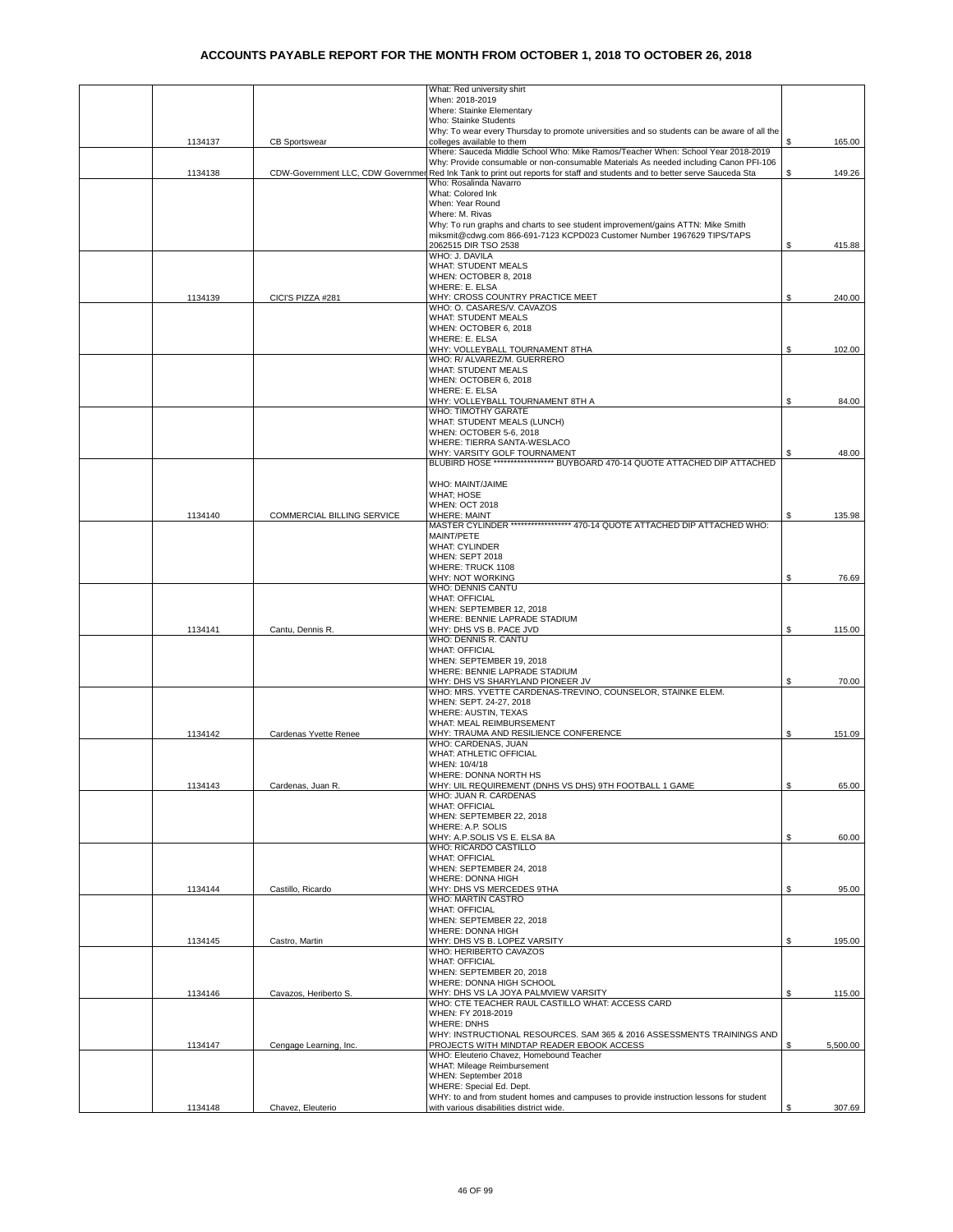|         |                                   | What: Red university shirt                                                                                                                                                |    |          |
|---------|-----------------------------------|---------------------------------------------------------------------------------------------------------------------------------------------------------------------------|----|----------|
|         |                                   | When: 2018-2019<br>Where: Stainke Elementary                                                                                                                              |    |          |
|         |                                   | Who: Stainke Students                                                                                                                                                     |    |          |
|         |                                   | Why: To wear every Thursday to promote universities and so students can be aware of all the                                                                               |    |          |
| 1134137 | <b>CB Sportswear</b>              | colleges available to them                                                                                                                                                | \$ | 165.00   |
|         |                                   | Where: Sauceda Middle School Who: Mike Ramos/Teacher When: School Year 2018-2019<br>Why: Provide consumable or non-consumable Materials As needed including Canon PFI-106 |    |          |
| 1134138 | CDW-Government LLC, CDW Governmer | Red Ink Tank to print out reports for staff and students and to better serve Sauceda Sta                                                                                  | \$ | 149.26   |
|         |                                   | Who: Rosalinda Navarro                                                                                                                                                    |    |          |
|         |                                   | <b>What: Colored Ink</b><br>When: Year Round                                                                                                                              |    |          |
|         |                                   | Where: M. Rivas                                                                                                                                                           |    |          |
|         |                                   | Why: To run graphs and charts to see student improvement/gains ATTN: Mike Smith                                                                                           |    |          |
|         |                                   | miksmit@cdwg.com 866-691-7123 KCPD023 Customer Number 1967629 TIPS/TAPS                                                                                                   |    |          |
|         |                                   | 2062515 DIR TSO 2538<br>WHO: J. DAVILA                                                                                                                                    | \$ | 415.88   |
|         |                                   | <b>WHAT: STUDENT MEALS</b>                                                                                                                                                |    |          |
|         |                                   | WHEN: OCTOBER 8, 2018                                                                                                                                                     |    |          |
|         |                                   | WHERE: E. ELSA                                                                                                                                                            |    |          |
| 1134139 | CICI'S PIZZA #281                 | WHY: CROSS COUNTRY PRACTICE MEET<br>WHO: O. CASARES/V. CAVAZOS                                                                                                            | S  | 240.00   |
|         |                                   | <b>WHAT: STUDENT MEALS</b>                                                                                                                                                |    |          |
|         |                                   | WHEN: OCTOBER 6, 2018                                                                                                                                                     |    |          |
|         |                                   | WHERE: E. ELSA<br>WHY: VOLLEYBALL TOURNAMENT 8THA                                                                                                                         |    | 102.00   |
|         |                                   | WHO: R/ ALVAREZ/M. GUERRERO                                                                                                                                               | \$ |          |
|         |                                   | WHAT: STUDENT MEALS                                                                                                                                                       |    |          |
|         |                                   | WHEN: OCTOBER 6, 2018                                                                                                                                                     |    |          |
|         |                                   | WHERE: E. ELSA                                                                                                                                                            |    | 84.00    |
|         |                                   | WHY: VOLLEYBALL TOURNAMENT 8TH A<br>WHO: TIMOTHY GARATE                                                                                                                   | \$ |          |
|         |                                   | WHAT: STUDENT MEALS (LUNCH)                                                                                                                                               |    |          |
|         |                                   | WHEN: OCTOBER 5-6, 2018                                                                                                                                                   |    |          |
|         |                                   | WHERE: TIERRA SANTA-WESLACO<br>WHY: VARSITY GOLF TOURNAMENT                                                                                                               |    | 48.00    |
|         |                                   | BLUBIRD HOSE ******************* BUYBOARD 470-14 QUOTE ATTACHED DIP ATTACHED                                                                                              |    |          |
|         |                                   |                                                                                                                                                                           |    |          |
|         |                                   | WHO: MAINT/JAIME                                                                                                                                                          |    |          |
|         |                                   | <b>WHAT: HOSE</b><br><b>WHEN: OCT 2018</b>                                                                                                                                |    |          |
| 1134140 | COMMERCIAL BILLING SERVICE        | <b>WHERE: MAINT</b>                                                                                                                                                       | \$ | 135.98   |
|         |                                   | MASTER CYLINDER ****************** 470-14 QUOTE ATTACHED DIP ATTACHED WHO:                                                                                                |    |          |
|         |                                   | MAINT/PETE<br><b>WHAT: CYLINDER</b>                                                                                                                                       |    |          |
|         |                                   | WHEN: SEPT 2018                                                                                                                                                           |    |          |
|         |                                   | WHERE: TRUCK 1108                                                                                                                                                         |    |          |
|         |                                   | WHY: NOT WORKING                                                                                                                                                          | \$ | 76.69    |
|         |                                   | WHO: DENNIS CANTU<br><b>WHAT: OFFICIAL</b>                                                                                                                                |    |          |
|         |                                   | WHEN: SEPTEMBER 12, 2018                                                                                                                                                  |    |          |
|         |                                   | WHERE: BENNIE LAPRADE STADIUM                                                                                                                                             |    |          |
| 1134141 | Cantu, Dennis R.                  | WHY: DHS VS B. PACE JVD                                                                                                                                                   | \$ | 115.00   |
|         |                                   | WHO: DENNIS R. CANTU<br><b>WHAT: OFFICIAL</b>                                                                                                                             |    |          |
|         |                                   | WHEN: SEPTEMBER 19, 2018                                                                                                                                                  |    |          |
|         |                                   | WHERE: BENNIE LAPRADE STADIUM                                                                                                                                             |    |          |
|         |                                   | WHY: DHS VS SHARYLAND PIONEER JV<br>WHO: MRS. YVETTE CARDENAS-TREVINO, COUNSELOR, STAINKE ELEM.                                                                           | \$ | 70.00    |
|         |                                   | WHEN: SEPT. 24-27, 2018                                                                                                                                                   |    |          |
|         |                                   | WHERE: AUSTIN, TEXAS                                                                                                                                                      |    |          |
|         |                                   | WHAT: MEAL REIMBURSEMENT                                                                                                                                                  |    |          |
| 1134142 | Cardenas Yvette Renee             | WHY: TRAUMA AND RESILIENCE CONFERENCE                                                                                                                                     | \$ | 151.09   |
|         |                                   | WHO: CARDENAS, JUAN<br>WHAT: ATHLETIC OFFICIAL                                                                                                                            |    |          |
|         |                                   | WHEN: 10/4/18                                                                                                                                                             |    |          |
|         |                                   | WHERE: DONNA NORTH HS                                                                                                                                                     |    |          |
| 1134143 | Cardenas, Juan R.                 | WHY: UIL REQUIREMENT (DNHS VS DHS) 9TH FOOTBALL 1 GAME<br>WHO: JUAN R. CARDENAS                                                                                           | \$ | 65.00    |
|         |                                   | <b>WHAT: OFFICIAL</b>                                                                                                                                                     |    |          |
|         |                                   | WHEN: SEPTEMBER 22, 2018                                                                                                                                                  |    |          |
|         |                                   | WHERE: A.P. SOLIS                                                                                                                                                         |    |          |
|         |                                   | WHY: A.P.SOLIS VS E. ELSA 8A<br>WHO: RICARDO CASTILLO                                                                                                                     | \$ | 60.00    |
|         |                                   | <b>WHAT: OFFICIAL</b>                                                                                                                                                     |    |          |
|         |                                   | WHEN: SEPTEMBER 24, 2018                                                                                                                                                  |    |          |
|         |                                   | WHERE: DONNA HIGH                                                                                                                                                         |    |          |
| 1134144 | Castillo, Ricardo                 | WHY: DHS VS MERCEDES 9THA<br><b>WHO: MARTIN CASTRO</b>                                                                                                                    | \$ | 95.00    |
|         |                                   | <b>WHAT: OFFICIAL</b>                                                                                                                                                     |    |          |
|         |                                   | WHEN: SEPTEMBER 22, 2018                                                                                                                                                  |    |          |
|         |                                   | WHERE: DONNA HIGH<br>WHY: DHS VS B. LOPEZ VARSITY                                                                                                                         | \$ |          |
| 1134145 | Castro, Martin                    | WHO: HERIBERTO CAVAZOS                                                                                                                                                    |    | 195.00   |
|         |                                   | <b>WHAT: OFFICIAL</b>                                                                                                                                                     |    |          |
|         |                                   | WHEN: SEPTEMBER 20, 2018                                                                                                                                                  |    |          |
|         |                                   | WHERE: DONNA HIGH SCHOOL                                                                                                                                                  |    |          |
| 1134146 | Cavazos, Heriberto S.             | WHY: DHS VS LA JOYA PALMVIEW VARSITY<br>WHO: CTE TEACHER RAUL CASTILLO WHAT: ACCESS CARD                                                                                  | \$ | 115.00   |
|         |                                   | WHEN: FY 2018-2019                                                                                                                                                        |    |          |
|         |                                   | <b>WHERE: DNHS</b>                                                                                                                                                        |    |          |
| 1134147 | Cengage Learning, Inc.            | WHY: INSTRUCTIONAL RESOURCES. SAM 365 & 2016 ASSESSMENTS TRAININGS AND<br>PROJECTS WITH MINDTAP READER EBOOK ACCESS                                                       | \$ | 5,500.00 |
|         |                                   | WHO: Eleuterio Chavez, Homebound Teacher                                                                                                                                  |    |          |
|         |                                   | WHAT: Mileage Reimbursement                                                                                                                                               |    |          |
|         |                                   | WHEN: September 2018                                                                                                                                                      |    |          |
|         |                                   | WHERE: Special Ed. Dept.                                                                                                                                                  |    |          |
| 1134148 | Chavez, Eleuterio                 | WHY: to and from student homes and campuses to provide instruction lessons for student<br>with various disabilities district wide.                                        | \$ | 307.69   |
|         |                                   |                                                                                                                                                                           |    |          |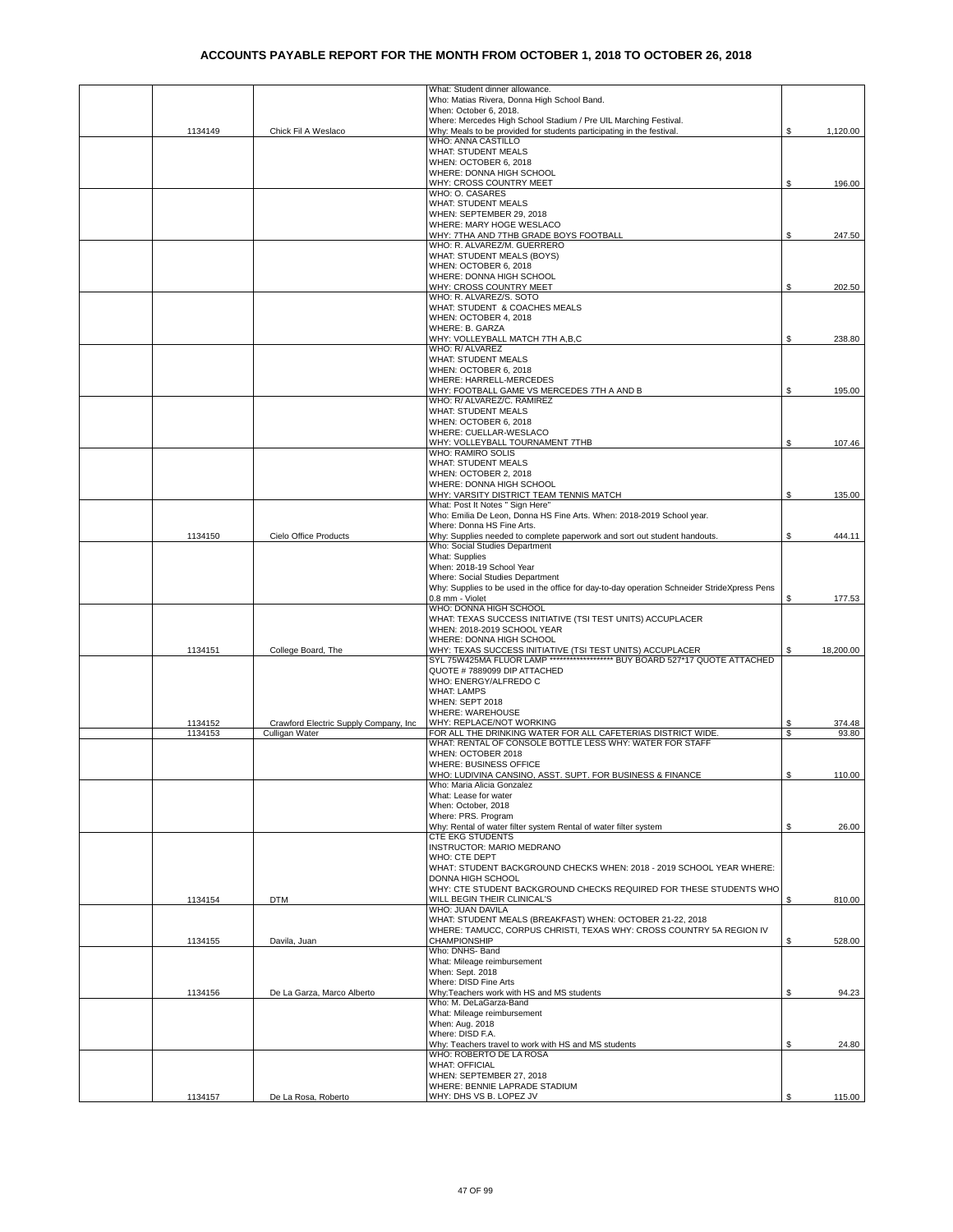|                    |                                                         | What: Student dinner allowance.                                                                                                                         |          |                 |
|--------------------|---------------------------------------------------------|---------------------------------------------------------------------------------------------------------------------------------------------------------|----------|-----------------|
|                    |                                                         | Who: Matias Rivera, Donna High School Band.                                                                                                             |          |                 |
|                    |                                                         | When: October 6, 2018.<br>Where: Mercedes High School Stadium / Pre UIL Marching Festival.                                                              |          |                 |
| 1134149            | Chick Fil A Weslaco                                     | Why: Meals to be provided for students participating in the festival.                                                                                   | \$       | 1,120.00        |
|                    |                                                         | WHO: ANNA CASTILLO                                                                                                                                      |          |                 |
|                    |                                                         | <b>WHAT: STUDENT MEALS</b><br>WHEN: OCTOBER 6, 2018                                                                                                     |          |                 |
|                    |                                                         | WHERE: DONNA HIGH SCHOOL                                                                                                                                |          |                 |
|                    |                                                         | WHY: CROSS COUNTRY MEET                                                                                                                                 | S        | 196.00          |
|                    |                                                         | WHO: O. CASARES                                                                                                                                         |          |                 |
|                    |                                                         | <b>WHAT: STUDENT MEALS</b><br>WHEN: SEPTEMBER 29, 2018                                                                                                  |          |                 |
|                    |                                                         | WHERE: MARY HOGE WESLACO                                                                                                                                |          |                 |
|                    |                                                         | WHY: 7THA AND 7THB GRADE BOYS FOOTBALL                                                                                                                  | \$       | 247.50          |
|                    |                                                         | WHO: R. ALVAREZ/M. GUERRERO                                                                                                                             |          |                 |
|                    |                                                         | WHAT: STUDENT MEALS (BOYS)<br>WHEN: OCTOBER 6, 2018                                                                                                     |          |                 |
|                    |                                                         | WHERE: DONNA HIGH SCHOOL                                                                                                                                |          |                 |
|                    |                                                         | WHY: CROSS COUNTRY MEET                                                                                                                                 | S        | 202.50          |
|                    |                                                         | WHO: R. ALVAREZ/S. SOTO                                                                                                                                 |          |                 |
|                    |                                                         | WHAT: STUDENT & COACHES MEALS<br>WHEN: OCTOBER 4, 2018                                                                                                  |          |                 |
|                    |                                                         | WHERE: B. GARZA                                                                                                                                         |          |                 |
|                    |                                                         | WHY: VOLLEYBALL MATCH 7TH A,B,C                                                                                                                         | \$       | 238.80          |
|                    |                                                         | WHO: R/ ALVAREZ<br><b>WHAT: STUDENT MEALS</b>                                                                                                           |          |                 |
|                    |                                                         | WHEN: OCTOBER 6, 2018                                                                                                                                   |          |                 |
|                    |                                                         | WHERE: HARRELL-MERCEDES                                                                                                                                 |          |                 |
|                    |                                                         | WHY: FOOTBALL GAME VS MERCEDES 7TH A AND B                                                                                                              | \$       | 195.00          |
|                    |                                                         | WHO: R/ ALVAREZ/C. RAMIREZ<br><b>WHAT: STUDENT MEALS</b>                                                                                                |          |                 |
|                    |                                                         | WHEN: OCTOBER 6, 2018                                                                                                                                   |          |                 |
|                    |                                                         | WHERE: CUELLAR-WESLACO                                                                                                                                  |          |                 |
|                    |                                                         | WHY: VOLLEYBALL TOURNAMENT 7THB                                                                                                                         | \$       | 107.46          |
|                    |                                                         | WHO: RAMIRO SOLIS                                                                                                                                       |          |                 |
|                    |                                                         | <b>WHAT: STUDENT MEALS</b><br>WHEN: OCTOBER 2, 2018                                                                                                     |          |                 |
|                    |                                                         | WHERE: DONNA HIGH SCHOOL                                                                                                                                |          |                 |
|                    |                                                         | WHY: VARSITY DISTRICT TEAM TENNIS MATCH                                                                                                                 | S        | 135.00          |
|                    |                                                         | What: Post It Notes " Sign Here"<br>Who: Emilia De Leon, Donna HS Fine Arts. When: 2018-2019 School year.                                               |          |                 |
|                    |                                                         | Where: Donna HS Fine Arts.                                                                                                                              |          |                 |
| 1134150            | Cielo Office Products                                   | Why: Supplies needed to complete paperwork and sort out student handouts.                                                                               | \$       | 444.11          |
|                    |                                                         | Who: Social Studies Department                                                                                                                          |          |                 |
|                    |                                                         | What: Supplies                                                                                                                                          |          |                 |
|                    |                                                         | When: 2018-19 School Year<br>Where: Social Studies Department                                                                                           |          |                 |
|                    |                                                         | Why: Supplies to be used in the office for day-to-day operation Schneider StrideXpress Pens                                                             |          |                 |
|                    |                                                         | 0.8 mm - Violet                                                                                                                                         | S        | 177.53          |
|                    |                                                         | WHO: DONNA HIGH SCHOOL                                                                                                                                  |          |                 |
|                    |                                                         | WHAT: TEXAS SUCCESS INITIATIVE (TSI TEST UNITS) ACCUPLACER<br>WHEN: 2018-2019 SCHOOL YEAR                                                               |          |                 |
|                    |                                                         | WHERE: DONNA HIGH SCHOOL                                                                                                                                |          |                 |
| 1134151            | College Board, The                                      | WHY: TEXAS SUCCESS INITIATIVE (TSI TEST UNITS) ACCUPLACER<br>SYL 75W425MA FLUOR LAMP ********************************** BUY BOARD 527*17 QUOTE ATTACHED |          | 18,200.00       |
|                    |                                                         |                                                                                                                                                         |          |                 |
|                    |                                                         | QUOTE #7889099 DIP ATTACHED<br>WHO: ENERGY/ALFREDO C                                                                                                    |          |                 |
|                    |                                                         | <b>WHAT: LAMPS</b>                                                                                                                                      |          |                 |
|                    |                                                         | WHEN: SEPT 2018                                                                                                                                         |          |                 |
|                    |                                                         | WHERE: WAREHOUSE                                                                                                                                        |          |                 |
| 1134152<br>1134153 | Crawford Electric Supply Company, Inc<br>Culligan Water | WHY: REPLACE/NOT WORKING<br>FOR ALL TH <u>E DRINKING WATER FOR ALL CAFETERIAS DISTRICT WIDE.</u>                                                        | \$<br>\$ | 374.48<br>93.80 |
|                    |                                                         | WHAT: RENTAL OF CONSOLE BOTTLE LESS WHY: WATER FOR STAFF                                                                                                |          |                 |
|                    |                                                         | WHEN: OCTOBER 2018                                                                                                                                      |          |                 |
|                    |                                                         | WHERE: BUSINESS OFFICE                                                                                                                                  |          |                 |
|                    |                                                         | WHO: LUDIVINA CANSINO, ASST, SUPT, FOR BUSINESS & FINANCE<br>Who: Maria Alicia Gonzalez                                                                 | S.       | 110.00          |
|                    |                                                         | What: Lease for water                                                                                                                                   |          |                 |
|                    |                                                         | When: October, 2018                                                                                                                                     |          |                 |
|                    |                                                         | Where: PRS. Program                                                                                                                                     |          |                 |
|                    |                                                         | Why: Rental of water filter system Rental of water filter system<br>CTE EKG STUDENTS                                                                    | S.       | 26.00           |
|                    |                                                         | INSTRUCTOR: MARIO MEDRANO                                                                                                                               |          |                 |
|                    |                                                         | WHO: CTE DEPT                                                                                                                                           |          |                 |
|                    |                                                         | WHAT: STUDENT BACKGROUND CHECKS WHEN: 2018 - 2019 SCHOOL YEAR WHERE:                                                                                    |          |                 |
|                    |                                                         | DONNA HIGH SCHOOL<br>WHY: CTE STUDENT BACKGROUND CHECKS REQUIRED FOR THESE STUDENTS WHO                                                                 |          |                 |
| 1134154            | <b>DTM</b>                                              | WILL BEGIN THEIR CLINICAL'S                                                                                                                             | \$       | 810.00          |
|                    |                                                         | WHO: JUAN DAVILA                                                                                                                                        |          |                 |
|                    |                                                         | WHAT: STUDENT MEALS (BREAKFAST) WHEN: OCTOBER 21-22, 2018<br>WHERE: TAMUCC, CORPUS CHRISTI, TEXAS WHY: CROSS COUNTRY 5A REGION IV                       |          |                 |
| 1134155            | Davila, Juan                                            | <b>CHAMPIONSHIP</b>                                                                                                                                     | \$       | 528.00          |
|                    |                                                         | Who: DNHS- Band                                                                                                                                         |          |                 |
|                    |                                                         | What: Mileage reimbursement                                                                                                                             |          |                 |
|                    |                                                         | When: Sept. 2018<br>Where: DISD Fine Arts                                                                                                               |          |                 |
| 1134156            | De La Garza, Marco Alberto                              | Why:Teachers work with HS and MS students                                                                                                               | \$       | 94.23           |
|                    |                                                         | Who: M. DeLaGarza-Band                                                                                                                                  |          |                 |
|                    |                                                         | What: Mileage reimbursement                                                                                                                             |          |                 |
|                    |                                                         | When: Aug. 2018<br>Where: DISD F.A.                                                                                                                     |          |                 |
|                    |                                                         | Why: Teachers travel to work with HS and MS students                                                                                                    | \$       | 24.80           |
|                    |                                                         | WHO: ROBERTO DE LA ROSA                                                                                                                                 |          |                 |
|                    |                                                         | <b>WHAT: OFFICIAL</b>                                                                                                                                   |          |                 |
|                    |                                                         | WHEN: SEPTEMBER 27, 2018<br>WHERE: BENNIE LAPRADE STADIUM                                                                                               |          |                 |
| 1134157            | De La Rosa, Roberto                                     | WHY: DHS VS B. LOPEZ JV                                                                                                                                 | \$       | 115.00          |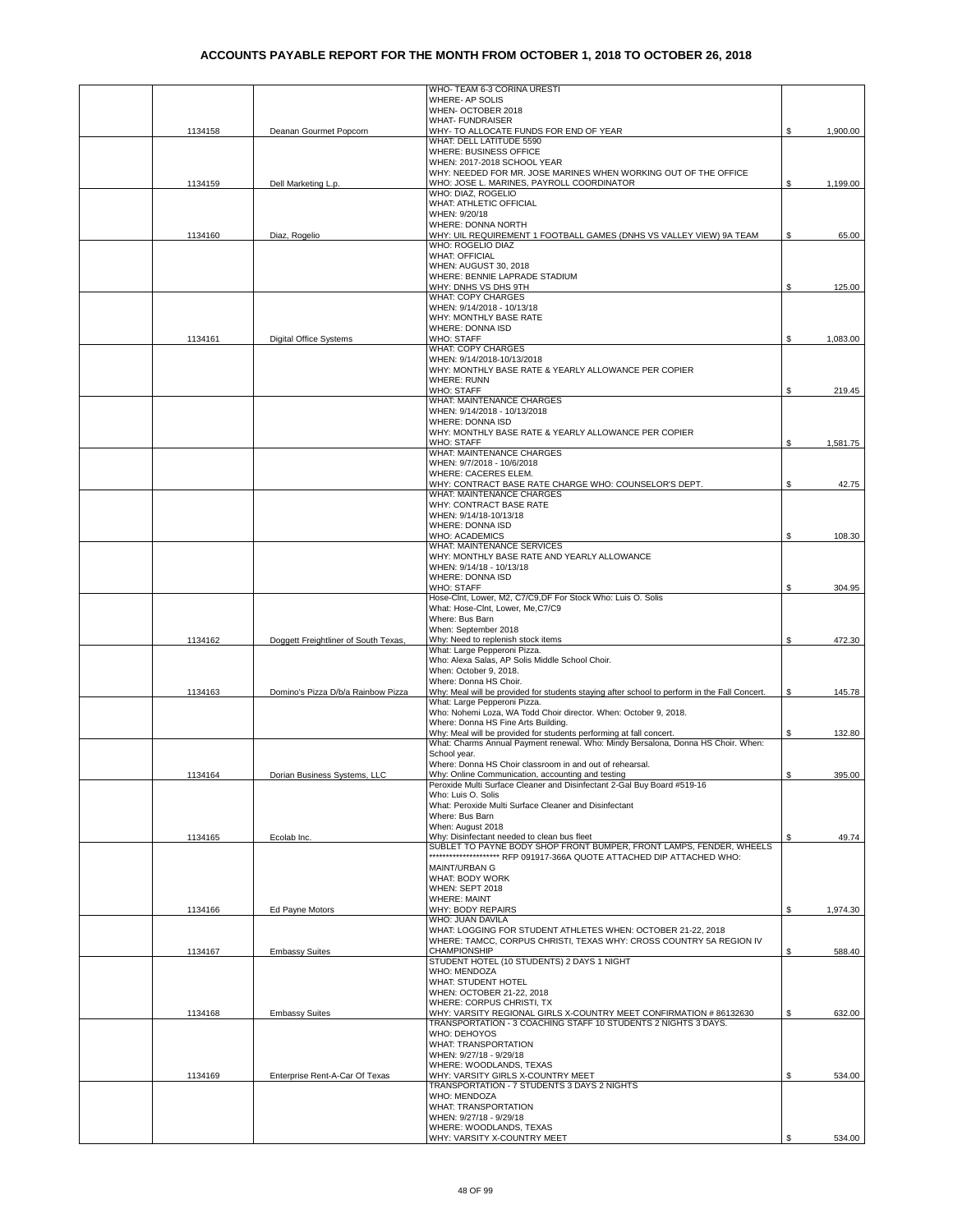|         |                                      | WHO- TEAM 6-3 CORINA URESTI                                                                                                                             |     |          |
|---------|--------------------------------------|---------------------------------------------------------------------------------------------------------------------------------------------------------|-----|----------|
|         |                                      | WHERE- AP SOLIS<br>WHEN- OCTOBER 2018                                                                                                                   |     |          |
|         |                                      | <b>WHAT- FUNDRAISER</b>                                                                                                                                 |     |          |
| 1134158 | Deanan Gourmet Popcorn               | WHY- TO ALLOCATE FUNDS FOR END OF YEAR                                                                                                                  | \$  | 1,900.00 |
|         |                                      | WHAT: DELL LATITUDE 5590                                                                                                                                |     |          |
|         |                                      | WHERE: BUSINESS OFFICE<br>WHEN: 2017-2018 SCHOOL YEAR                                                                                                   |     |          |
|         |                                      | WHY: NEEDED FOR MR. JOSE MARINES WHEN WORKING OUT OF THE OFFICE                                                                                         |     |          |
| 1134159 | Dell Marketing L.p.                  | WHO: JOSE L. MARINES, PAYROLL COORDINATOR                                                                                                               | S.  | 1,199.00 |
|         |                                      | WHO: DIAZ, ROGELIO                                                                                                                                      |     |          |
|         |                                      | WHAT: ATHLETIC OFFICIAL                                                                                                                                 |     |          |
|         |                                      | WHEN: 9/20/18                                                                                                                                           |     |          |
| 1134160 | Diaz, Rogelio                        | WHERE: DONNA NORTH<br>WHY: UIL REQUIREMENT 1 FOOTBALL GAMES (DNHS VS VALLEY VIEW) 9A TEAM                                                               | S.  | 65.00    |
|         |                                      | WHO: ROGELIO DIAZ                                                                                                                                       |     |          |
|         |                                      | <b>WHAT: OFFICIAL</b>                                                                                                                                   |     |          |
|         |                                      | WHEN: AUGUST 30, 2018                                                                                                                                   |     |          |
|         |                                      | WHERE: BENNIE LAPRADE STADIUM                                                                                                                           |     |          |
|         |                                      | WHY: DNHS VS DHS 9TH                                                                                                                                    | \$. | 125.00   |
|         |                                      | <b>WHAT: COPY CHARGES</b><br>WHEN: 9/14/2018 - 10/13/18                                                                                                 |     |          |
|         |                                      | WHY: MONTHLY BASE RATE                                                                                                                                  |     |          |
|         |                                      | WHERE: DONNA ISD                                                                                                                                        |     |          |
| 1134161 | <b>Digital Office Systems</b>        | <b>WHO: STAFF</b>                                                                                                                                       |     | 1,083.00 |
|         |                                      | <b>WHAT: COPY CHARGES</b>                                                                                                                               |     |          |
|         |                                      | WHEN: 9/14/2018-10/13/2018                                                                                                                              |     |          |
|         |                                      | WHY: MONTHLY BASE RATE & YEARLY ALLOWANCE PER COPIER<br><b>WHERE: RUNN</b>                                                                              |     |          |
|         |                                      | <b>WHO: STAFF</b>                                                                                                                                       | S.  | 219.45   |
|         |                                      | WHAT: MAINTENANCE CHARGES                                                                                                                               |     |          |
|         |                                      | WHEN: 9/14/2018 - 10/13/2018                                                                                                                            |     |          |
|         |                                      | WHERE: DONNA ISD                                                                                                                                        |     |          |
|         |                                      | WHY: MONTHLY BASE RATE & YEARLY ALLOWANCE PER COPIER                                                                                                    |     |          |
|         |                                      | <b>WHO: STAFF</b>                                                                                                                                       | \$  | 1,581.75 |
|         |                                      | WHAT: MAINTENANCE CHARGES<br>WHEN: 9/7/2018 - 10/6/2018                                                                                                 |     |          |
|         |                                      | WHERE: CACERES ELEM.                                                                                                                                    |     |          |
|         |                                      | WHY: CONTRACT BASE RATE CHARGE WHO: COUNSELOR'S DEPT.                                                                                                   | S.  | 42.75    |
|         |                                      | WHAT: MAINTENANCE CHARGES                                                                                                                               |     |          |
|         |                                      | WHY: CONTRACT BASE RATE                                                                                                                                 |     |          |
|         |                                      | WHEN: 9/14/18-10/13/18                                                                                                                                  |     |          |
|         |                                      | WHERE: DONNA ISD<br><b>WHO: ACADEMICS</b>                                                                                                               | \$  | 108.30   |
|         |                                      | WHAT: MAINTENANCE SERVICES                                                                                                                              |     |          |
|         |                                      | WHY: MONTHLY BASE RATE AND YEARLY ALLOWANCE                                                                                                             |     |          |
|         |                                      | WHEN: 9/14/18 - 10/13/18                                                                                                                                |     |          |
|         |                                      | WHERE: DONNA ISD                                                                                                                                        |     |          |
|         |                                      | <b>WHO: STAFF</b>                                                                                                                                       | \$  | 304.95   |
|         |                                      | Hose-Clnt, Lower, M2, C7/C9,DF For Stock Who: Luis O. Solis<br>What: Hose-Clnt, Lower, Me,C7/C9                                                         |     |          |
|         |                                      | Where: Bus Barn                                                                                                                                         |     |          |
|         |                                      | When: September 2018                                                                                                                                    |     |          |
| 1134162 | Doggett Freightliner of South Texas, | Why: Need to replenish stock items                                                                                                                      | \$  | 472.30   |
|         |                                      | What: Large Pepperoni Pizza.                                                                                                                            |     |          |
|         |                                      | Who: Alexa Salas, AP Solis Middle School Choir.<br>When: October 9, 2018.                                                                               |     |          |
|         |                                      | Where: Donna HS Choir.                                                                                                                                  |     |          |
| 1134163 | Domino's Pizza D/b/a Rainbow Pizza   | Why: Meal will be provided for students staying after school to perform in the Fall Concert.                                                            | S.  | 145.78   |
|         |                                      | What: Large Pepperoni Pizza.                                                                                                                            |     |          |
|         |                                      | Who: Nohemi Loza, WA Todd Choir director. When: October 9, 2018.                                                                                        |     |          |
|         |                                      | Where: Donna HS Fine Arts Building.                                                                                                                     |     |          |
|         |                                      | Why: Meal will be provided for students performing at fall concert.<br>What: Charms Annual Payment renewal. Who: Mindy Bersalona, Donna HS Choir. When: | S   | 132.80   |
|         |                                      | School year.                                                                                                                                            |     |          |
|         |                                      | Where: Donna HS Choir classroom in and out of rehearsal.                                                                                                |     |          |
| 1134164 | Dorian Business Systems, LLC         | Why: Online Communication, accounting and testing                                                                                                       | \$  | 395.00   |
|         |                                      | Peroxide Multi Surface Cleaner and Disinfectant 2-Gal Buy Board #519-16                                                                                 |     |          |
|         |                                      | Who: Luis O. Solis                                                                                                                                      |     |          |
|         |                                      | What: Peroxide Multi Surface Cleaner and Disinfectant<br>Where: Bus Barn                                                                                |     |          |
|         |                                      | When: August 2018                                                                                                                                       |     |          |
| 1134165 | Ecolab Inc.                          | Why: Disinfectant needed to clean bus fleet                                                                                                             | S   | 49.74    |
|         |                                      | SUBLET TO PAYNE BODY SHOP FRONT BUMPER, FRONT LAMPS, FENDER, WHEELS                                                                                     |     |          |
|         |                                      | ************************************ RFP 091917-366A QUOTE ATTACHED DIP ATTACHED WHO:                                                                   |     |          |
|         |                                      | MAINT/URBAN G                                                                                                                                           |     |          |
|         |                                      | WHAT: BODY WORK                                                                                                                                         |     |          |
|         |                                      | WHEN: SEPT 2018<br><b>WHERE: MAINT</b>                                                                                                                  |     |          |
| 1134166 | Ed Payne Motors                      | WHY: BODY REPAIRS                                                                                                                                       | \$  | 1,974.30 |
|         |                                      | WHO: JUAN DAVILA                                                                                                                                        |     |          |
|         |                                      | WHAT: LOGGING FOR STUDENT ATHLETES WHEN: OCTOBER 21-22, 2018                                                                                            |     |          |
|         |                                      | WHERE: TAMCC, CORPUS CHRISTI, TEXAS WHY: CROSS COUNTRY 5A REGION IV                                                                                     |     |          |
| 1134167 | <b>Embassy Suites</b>                | <b>CHAMPIONSHIP</b>                                                                                                                                     | S.  | 588.40   |
|         |                                      | STUDENT HOTEL (10 STUDENTS) 2 DAYS 1 NIGHT<br>WHO: MENDOZA                                                                                              |     |          |
|         |                                      | WHAT: STUDENT HOTEL                                                                                                                                     |     |          |
|         |                                      | WHEN: OCTOBER 21-22, 2018                                                                                                                               |     |          |
|         |                                      | WHERE: CORPUS CHRISTI, TX                                                                                                                               |     |          |
| 1134168 | <b>Embassy Suites</b>                | WHY: VARSITY REGIONAL GIRLS X-COUNTRY MEET CONFIRMATION # 86132630                                                                                      | \$  | 632.00   |
|         |                                      | TRANSPORTATION - 3 COACHING STAFF 10 STUDENTS 2 NIGHTS 3 DAYS.                                                                                          |     |          |
|         |                                      | WHO: DEHOYOS<br>WHAT: TRANSPORTATION                                                                                                                    |     |          |
|         |                                      | WHEN: 9/27/18 - 9/29/18                                                                                                                                 |     |          |
|         |                                      | WHERE: WOODLANDS, TEXAS                                                                                                                                 |     |          |
| 1134169 | Enterprise Rent-A-Car Of Texas       | WHY: VARSITY GIRLS X-COUNTRY MEET                                                                                                                       | \$  | 534.00   |
|         |                                      | TRANSPORTATION - 7 STUDENTS 3 DAYS 2 NIGHTS                                                                                                             |     |          |
|         |                                      | WHO: MENDOZA<br><b>WHAT: TRANSPORTATION</b>                                                                                                             |     |          |
|         |                                      | WHEN: 9/27/18 - 9/29/18                                                                                                                                 |     |          |
|         |                                      | WHERE: WOODLANDS, TEXAS                                                                                                                                 |     |          |
|         |                                      | WHY: VARSITY X-COUNTRY MEET                                                                                                                             | S.  | 534.00   |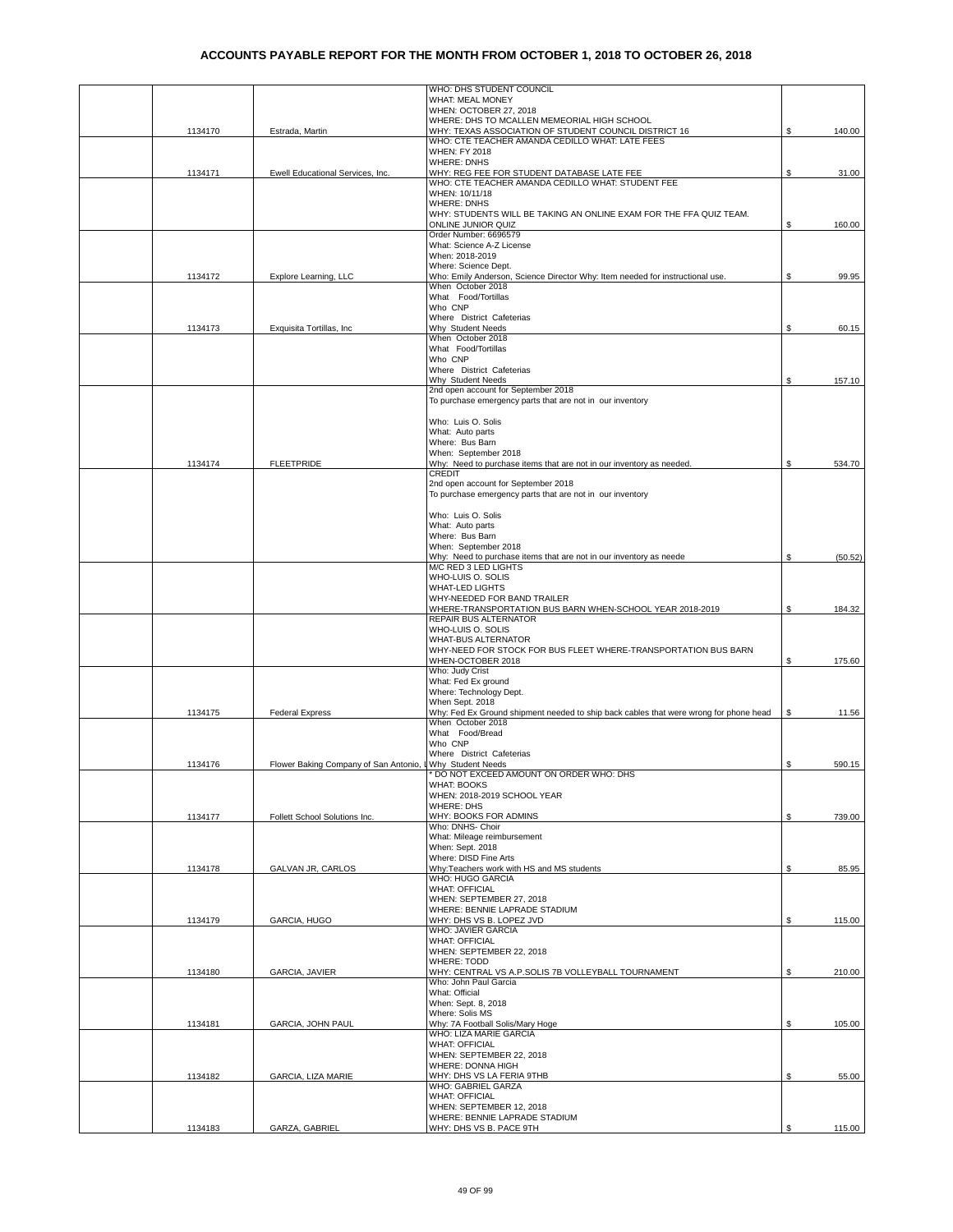|         |                                       | WHO: DHS STUDENT COUNCIL                                                                        |    |         |
|---------|---------------------------------------|-------------------------------------------------------------------------------------------------|----|---------|
|         |                                       | WHAT: MEAL MONEY                                                                                |    |         |
|         |                                       | WHEN: OCTOBER 27, 2018<br>WHERE: DHS TO MCALLEN MEMEORIAL HIGH SCHOOL                           |    |         |
| 1134170 | Estrada, Martin                       | WHY: TEXAS ASSOCIATION OF STUDENT COUNCIL DISTRICT 16                                           | \$ | 140.00  |
|         |                                       | WHO: CTE TEACHER AMANDA CEDILLO WHAT: LATE FEES                                                 |    |         |
|         |                                       | <b>WHEN: FY 2018</b>                                                                            |    |         |
|         |                                       | <b>WHERE: DNHS</b>                                                                              |    |         |
| 1134171 | Ewell Educational Services, Inc.      | WHY: REG FEE FOR STUDENT DATABASE LATE FEE<br>WHO: CTE TEACHER AMANDA CEDILLO WHAT: STUDENT FEE | \$ | 31.00   |
|         |                                       | WHEN: 10/11/18                                                                                  |    |         |
|         |                                       | <b>WHERE: DNHS</b>                                                                              |    |         |
|         |                                       | WHY: STUDENTS WILL BE TAKING AN ONLINE EXAM FOR THE FFA QUIZ TEAM.                              |    |         |
|         |                                       | ONLINE JUNIOR QUIZ                                                                              | S  | 160.00  |
|         |                                       | Order Number: 6696579<br>What: Science A-Z License                                              |    |         |
|         |                                       | When: 2018-2019                                                                                 |    |         |
|         |                                       | Where: Science Dept.                                                                            |    |         |
| 1134172 | Explore Learning, LLC                 | Who: Emily Anderson, Science Director Why: Item needed for instructional use.                   | \$ | 99.95   |
|         |                                       | When October 2018                                                                               |    |         |
|         |                                       | What Food/Tortillas<br>Who CNP                                                                  |    |         |
|         |                                       | Where District Cafeterias                                                                       |    |         |
| 1134173 | Exquisita Tortillas, Inc              | Why Student Needs                                                                               | \$ | 60.15   |
|         |                                       | When October 2018                                                                               |    |         |
|         |                                       | What Food/Tortillas                                                                             |    |         |
|         |                                       | Who CNP<br>Where District Cafeterias                                                            |    |         |
|         |                                       | Why Student Needs                                                                               | \$ | 157.10  |
|         |                                       | 2nd open account for September 2018                                                             |    |         |
|         |                                       | To purchase emergency parts that are not in our inventory                                       |    |         |
|         |                                       | Who: Luis O. Solis                                                                              |    |         |
|         |                                       | What: Auto parts                                                                                |    |         |
|         |                                       | Where: Bus Barn                                                                                 |    |         |
|         |                                       | When: September 2018                                                                            |    |         |
| 1134174 | <b>FLEETPRIDE</b>                     | Why: Need to purchase items that are not in our inventory as needed.                            | \$ | 534.70  |
|         |                                       | <b>CREDIT</b><br>2nd open account for September 2018                                            |    |         |
|         |                                       | To purchase emergency parts that are not in our inventory                                       |    |         |
|         |                                       |                                                                                                 |    |         |
|         |                                       | Who: Luis O. Solis                                                                              |    |         |
|         |                                       | What: Auto parts                                                                                |    |         |
|         |                                       | Where: Bus Barn                                                                                 |    |         |
|         |                                       | When: September 2018<br>Why: Need to purchase items that are not in our inventory as neede      | \$ | (50.52) |
|         |                                       | M/C RED 3 LED LIGHTS                                                                            |    |         |
|         |                                       | WHO-LUIS O. SOLIS                                                                               |    |         |
|         |                                       | <b>WHAT-LED LIGHTS</b>                                                                          |    |         |
|         |                                       | WHY-NEEDED FOR BAND TRAILER                                                                     |    |         |
|         |                                       | WHERE-TRANSPORTATION BUS BARN WHEN-SCHOOL YEAR 2018-2019<br>REPAIR BUS ALTERNATOR               | \$ | 184.32  |
|         |                                       | WHO-LUIS O. SOLIS                                                                               |    |         |
|         |                                       | <b>WHAT-BUS ALTERNATOR</b>                                                                      |    |         |
|         |                                       | WHY-NEED FOR STOCK FOR BUS FLEET WHERE-TRANSPORTATION BUS BARN                                  |    |         |
|         |                                       | WHEN-OCTOBER 2018                                                                               | \$ | 175.60  |
|         |                                       | Who: Judy Crist<br>What: Fed Ex ground                                                          |    |         |
|         |                                       | Where: Technology Dept.                                                                         |    |         |
|         |                                       | When Sept. 2018                                                                                 |    |         |
| 1134175 | <b>Federal Express</b>                | Why: Fed Ex Ground shipment needed to ship back cables that were wrong for phone head           | \$ | 11.56   |
|         |                                       | When October 2018                                                                               |    |         |
|         |                                       | What Food/Bread<br>Who CNP                                                                      |    |         |
|         |                                       | Where District Cafeterias                                                                       |    |         |
| 1134176 | Flower Baking Company of San Antonio, | <b>LWhy Student Needs</b>                                                                       | \$ | 590.15  |
|         |                                       | DO NOT EXCEED AMOUNT ON ORDER WHO: DHS                                                          |    |         |
|         |                                       | WHAT: BOOKS                                                                                     |    |         |
|         |                                       | WHEN: 2018-2019 SCHOOL YEAR<br><b>WHERE: DHS</b>                                                |    |         |
| 1134177 | Follett School Solutions Inc.         | WHY: BOOKS FOR ADMINS                                                                           | \$ | 739.00  |
|         |                                       | Who: DNHS- Choir                                                                                |    |         |
|         |                                       | What: Mileage reimbursement                                                                     |    |         |
|         |                                       | When: Sept. 2018<br>Where: DISD Fine Arts                                                       |    |         |
| 1134178 | GALVAN JR, CARLOS                     | Why: Teachers work with HS and MS students                                                      | \$ | 85.95   |
|         |                                       | WHO: HUGO GARCIA                                                                                |    |         |
|         |                                       | <b>WHAT: OFFICIAL</b>                                                                           |    |         |
|         |                                       | WHEN: SEPTEMBER 27, 2018                                                                        |    |         |
| 1134179 | GARCIA, HUGO                          | WHERE: BENNIE LAPRADE STADIUM<br>WHY: DHS VS B. LOPEZ JVD                                       | \$ | 115.00  |
|         |                                       | WHO: JAVIER GARCIA                                                                              |    |         |
|         |                                       | <b>WHAT: OFFICIAL</b>                                                                           |    |         |
|         |                                       | WHEN: SEPTEMBER 22, 2018                                                                        |    |         |
|         |                                       | <b>WHERE: TODD</b>                                                                              |    |         |
| 1134180 | GARCIA, JAVIER                        | WHY: CENTRAL VS A.P.SOLIS 7B VOLLEYBALL TOURNAMENT<br>Who: John Paul Garcia                     | \$ | 210.00  |
|         |                                       | What: Official                                                                                  |    |         |
|         |                                       | When: Sept. 8, 2018                                                                             |    |         |
|         |                                       | Where: Solis MS                                                                                 |    |         |
| 1134181 | GARCIA, JOHN PAUL                     | Why: 7A Football Solis/Mary Hoge                                                                | \$ | 105.00  |
|         |                                       | WHO: LIZA MARIE GARCIA<br><b>WHAT: OFFICIAL</b>                                                 |    |         |
|         |                                       | WHEN: SEPTEMBER 22, 2018                                                                        |    |         |
|         |                                       | WHERE: DONNA HIGH                                                                               |    |         |
| 1134182 | GARCIA, LIZA MARIE                    | WHY: DHS VS LA FERIA 9THB                                                                       | \$ | 55.00   |
|         |                                       | WHO: GABRIEL GARZA                                                                              |    |         |
|         |                                       | <b>WHAT: OFFICIAL</b><br>WHEN: SEPTEMBER 12, 2018                                               |    |         |
|         |                                       | WHERE: BENNIE LAPRADE STADIUM                                                                   |    |         |
| 1134183 | GARZA, GABRIEL                        | WHY: DHS VS B. PACE 9TH                                                                         | \$ | 115.00  |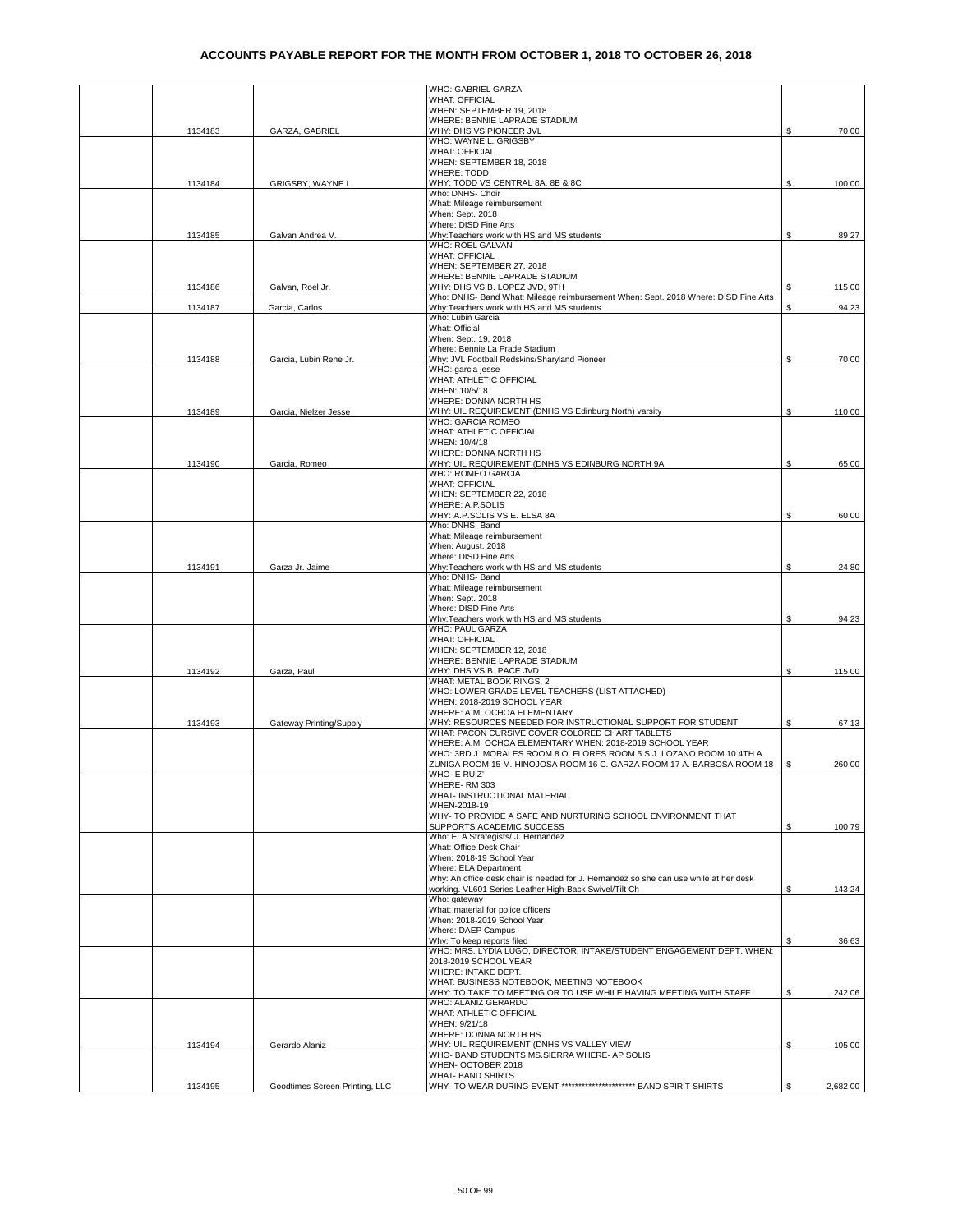|         |                                | WHO: GABRIEL GARZA                                                                                             |    |          |
|---------|--------------------------------|----------------------------------------------------------------------------------------------------------------|----|----------|
|         |                                | <b>WHAT: OFFICIAL</b>                                                                                          |    |          |
|         |                                | WHEN: SEPTEMBER 19, 2018<br>WHERE: BENNIE LAPRADE STADIUM                                                      |    |          |
| 1134183 | GARZA, GABRIEL                 | WHY: DHS VS PIONEER JVL                                                                                        | \$ | 70.00    |
|         |                                | WHO: WAYNE L. GRIGSBY                                                                                          |    |          |
|         |                                | <b>WHAT: OFFICIAL</b>                                                                                          |    |          |
|         |                                | WHEN: SEPTEMBER 18, 2018<br><b>WHERE: TODD</b>                                                                 |    |          |
| 1134184 | GRIGSBY, WAYNE L               | WHY: TODD VS CENTRAL 8A, 8B & 8C                                                                               | \$ | 100.00   |
|         |                                | Who: DNHS- Choir                                                                                               |    |          |
|         |                                | What: Mileage reimbursement                                                                                    |    |          |
|         |                                | When: Sept. 2018<br>Where: DISD Fine Arts                                                                      |    |          |
| 1134185 | Galvan Andrea V.               | Why:Teachers work with HS and MS students                                                                      | \$ | 89.27    |
|         |                                | WHO: ROEL GALVAN                                                                                               |    |          |
|         |                                | <b>WHAT: OFFICIAL</b>                                                                                          |    |          |
|         |                                | WHEN: SEPTEMBER 27, 2018<br>WHERE: BENNIE LAPRADE STADIUM                                                      |    |          |
| 1134186 | Galvan, Roel Jr.               | WHY: DHS VS B. LOPEZ JVD, 9TH                                                                                  | S  | 115.00   |
|         |                                | Who: DNHS- Band What: Mileage reimbursement When: Sept. 2018 Where: DISD Fine Arts                             |    |          |
| 1134187 | Garcia, Carlos                 | Why:Teachers work with HS and MS students                                                                      | \$ | 94.23    |
|         |                                | Who: Lubin Garcia<br>What: Official                                                                            |    |          |
|         |                                | When: Sept. 19, 2018                                                                                           |    |          |
|         |                                | Where: Bennie La Prade Stadium                                                                                 |    |          |
| 1134188 | Garcia, Lubin Rene Jr.         | Why: JVL Football Redskins/Sharyland Pioneer                                                                   | \$ | 70.00    |
|         |                                | WHO: garcia jesse                                                                                              |    |          |
|         |                                | WHAT: ATHLETIC OFFICIAL<br>WHEN: 10/5/18                                                                       |    |          |
|         |                                | WHERE: DONNA NORTH HS                                                                                          |    |          |
| 1134189 | Garcia. Nielzer Jesse          | WHY: UIL REQUIREMENT (DNHS VS Edinburg North) varsity                                                          | \$ | 110.00   |
|         |                                | <b>WHO: GARCIA ROMEO</b>                                                                                       |    |          |
|         |                                | WHAT: ATHLETIC OFFICIAL                                                                                        |    |          |
|         |                                | WHEN: 10/4/18                                                                                                  |    |          |
| 1134190 | Garcia, Romeo                  | WHERE: DONNA NORTH HS<br>WHY: UIL REQUIREMENT (DNHS VS EDINBURG NORTH 9A                                       | \$ | 65.00    |
|         |                                | WHO: ROMEO GARCIA                                                                                              |    |          |
|         |                                | <b>WHAT: OFFICIAL</b>                                                                                          |    |          |
|         |                                | WHEN: SEPTEMBER 22, 2018                                                                                       |    |          |
|         |                                | WHERE: A.P.SOLIS<br>WHY: A.P.SOLIS VS E. ELSA 8A                                                               | \$ | 60.00    |
|         |                                | Who: DNHS- Band                                                                                                |    |          |
|         |                                | What: Mileage reimbursement                                                                                    |    |          |
|         |                                | When: August. 2018                                                                                             |    |          |
|         |                                | Where: DISD Fine Arts                                                                                          |    |          |
| 1134191 | Garza Jr. Jaime                | Why:Teachers work with HS and MS students<br>Who: DNHS- Band                                                   | \$ | 24.80    |
|         |                                | What: Mileage reimbursement                                                                                    |    |          |
|         |                                | When: Sept. 2018                                                                                               |    |          |
|         |                                | Where: DISD Fine Arts                                                                                          |    |          |
|         |                                | Why:Teachers work with HS and MS students                                                                      | \$ | 94.23    |
|         |                                | WHO: PAUL GARZA<br><b>WHAT: OFFICIAL</b>                                                                       |    |          |
|         |                                | WHEN: SEPTEMBER 12, 2018                                                                                       |    |          |
|         |                                | WHERE: BENNIE LAPRADE STADIUM                                                                                  |    |          |
| 1134192 | Garza, Paul                    | WHY: DHS VS B. PACE JVD                                                                                        | \$ | 115.00   |
|         |                                | WHAT: METAL BOOK RINGS, 2<br>WHO: LOWER GRADE LEVEL TEACHERS (LIST ATTACHED)                                   |    |          |
|         |                                | WHEN: 2018-2019 SCHOOL YEAR                                                                                    |    |          |
|         |                                | WHERE: A.M. OCHOA ELEMENTARY                                                                                   |    |          |
| 1134193 | Gateway Printing/Supply        | WHY: RESOURCES NEEDED FOR INSTRUCTIONAL SUPPORT FOR STUDENT                                                    | \$ | 67.13    |
|         |                                | WHAT: PACON CURSIVE COVER COLORED CHART TABLETS<br>WHERE: A.M. OCHOA ELEMENTARY WHEN: 2018-2019 SCHOOL YEAR    |    |          |
|         |                                | WHO: 3RD J. MORALES ROOM 8 O. FLORES ROOM 5 S.J. LOZANO ROOM 10 4TH A.                                         |    |          |
|         |                                | ZUNIGA ROOM 15 M. HINOJOSA ROOM 16 C. GARZA ROOM 17 A. BARBOSA ROOM 18                                         | \$ | 260.00   |
|         |                                | WHO- E RUIZ'                                                                                                   |    |          |
|         |                                | WHERE-RM 303                                                                                                   |    |          |
|         |                                | WHAT- INSTRUCTIONAL MATERIAL<br>WHEN-2018-19                                                                   |    |          |
|         |                                | WHY- TO PROVIDE A SAFE AND NURTURING SCHOOL ENVIRONMENT THAT                                                   |    |          |
|         |                                | SUPPORTS ACADEMIC SUCCESS                                                                                      | \$ | 100.79   |
|         |                                | Who: ELA Strategists/ J. Hernandez                                                                             |    |          |
|         |                                | What: Office Desk Chair                                                                                        |    |          |
|         |                                | When: 2018-19 School Year<br>Where: ELA Department                                                             |    |          |
|         |                                | Why: An office desk chair is needed for J. Hernandez so she can use while at her desk                          |    |          |
|         |                                | working. VL601 Series Leather High-Back Swivel/Tilt Ch                                                         | S  | 143.24   |
|         |                                | Who: gateway                                                                                                   |    |          |
|         |                                | What: material for police officers<br>When: 2018-2019 School Year                                              |    |          |
|         |                                | Where: DAEP Campus                                                                                             |    |          |
|         |                                | Why: To keep reports filed                                                                                     | S  | 36.63    |
|         |                                | WHO: MRS. LYDIA LUGO, DIRECTOR, INTAKE/STUDENT ENGAGEMENT DEPT. WHEN:                                          |    |          |
|         |                                | 2018-2019 SCHOOL YEAR                                                                                          |    |          |
|         |                                | WHERE: INTAKE DEPT.                                                                                            |    |          |
|         |                                | WHAT: BUSINESS NOTEBOOK, MEETING NOTEBOOK<br>WHY: TO TAKE TO MEETING OR TO USE WHILE HAVING MEETING WITH STAFF | S. | 242.06   |
|         |                                | WHO: ALANIZ GERARDO                                                                                            |    |          |
|         |                                | WHAT: ATHLETIC OFFICIAL                                                                                        |    |          |
|         |                                | WHEN: 9/21/18                                                                                                  |    |          |
|         |                                | WHERE: DONNA NORTH HS                                                                                          |    |          |
| 1134194 | Gerardo Alaniz                 | WHY: UIL REQUIREMENT (DNHS VS VALLEY VIEW<br>WHO- BAND STUDENTS MS.SIERRA WHERE- AP SOLIS                      | \$ | 105.00   |
|         |                                | WHEN- OCTOBER 2018                                                                                             |    |          |
|         |                                | WHAT- BAND SHIRTS                                                                                              |    |          |
| 1134195 | Goodtimes Screen Printing, LLC | WHY- TO WEAR DURING EVENT ************************ BAND SPIRIT SHIRTS                                          | S. | 2,682.00 |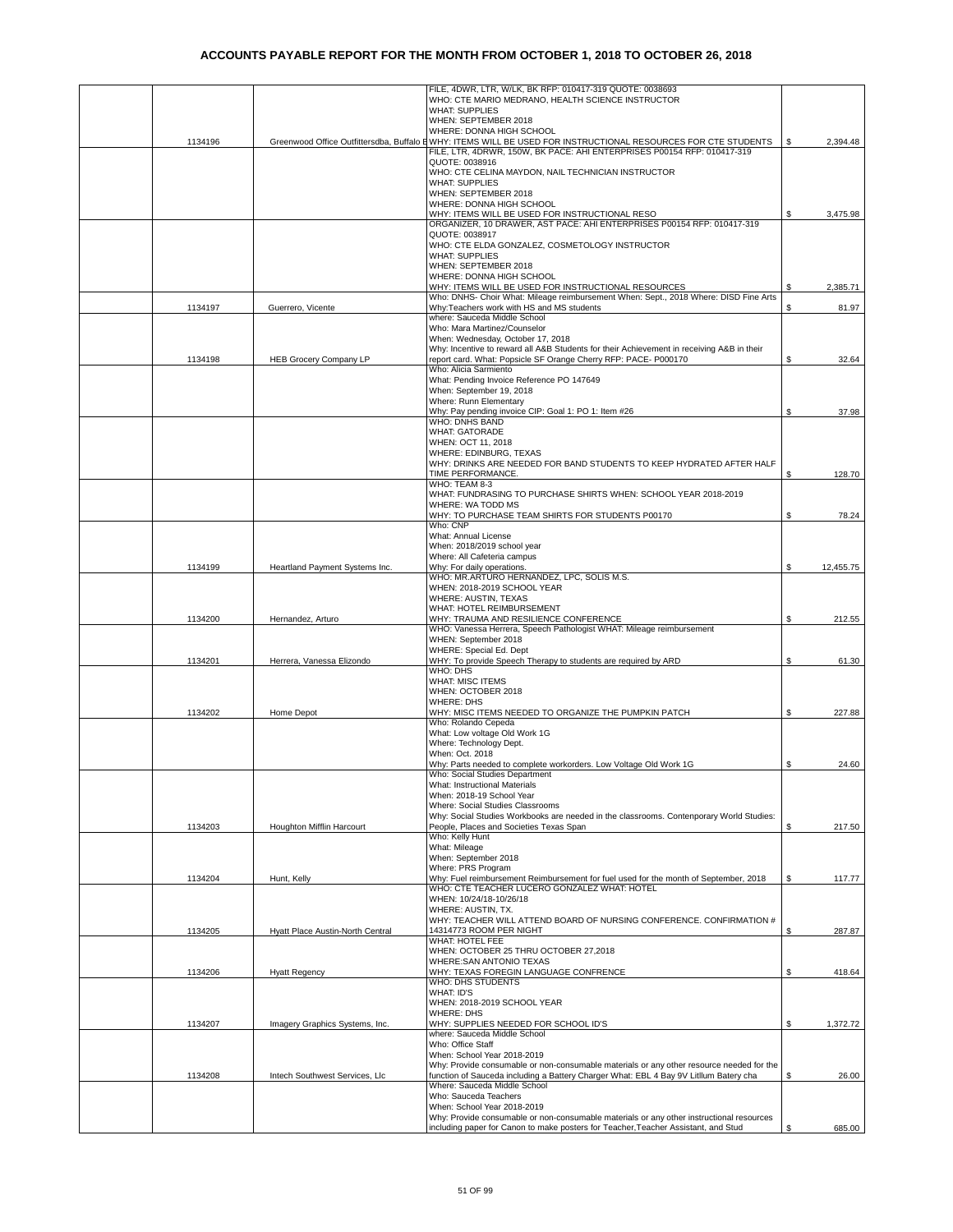|         |                                  | FILE, 4DWR, LTR, W/LK, BK RFP: 010417-319 QUOTE: 0038693                                                                                                     |    |           |
|---------|----------------------------------|--------------------------------------------------------------------------------------------------------------------------------------------------------------|----|-----------|
|         |                                  | WHO: CTE MARIO MEDRANO, HEALTH SCIENCE INSTRUCTOR                                                                                                            |    |           |
|         |                                  | <b>WHAT: SUPPLIES</b><br>WHEN: SEPTEMBER 2018                                                                                                                |    |           |
|         |                                  | WHERE: DONNA HIGH SCHOOL                                                                                                                                     |    |           |
| 1134196 |                                  | Greenwood Office Outfittersdba, Buffalo E WHY: ITEMS WILL BE USED FOR INSTRUCTIONAL RESOURCES FOR CTE STUDENTS                                               | S  | 2,394.48  |
|         |                                  | FILE, LTR, 4DRWR, 150W, BK PACE: AHI ENTERPRISES P00154 RFP: 010417-319                                                                                      |    |           |
|         |                                  | QUOTE: 0038916                                                                                                                                               |    |           |
|         |                                  | WHO: CTE CELINA MAYDON, NAIL TECHNICIAN INSTRUCTOR<br><b>WHAT: SUPPLIES</b>                                                                                  |    |           |
|         |                                  | WHEN: SEPTEMBER 2018                                                                                                                                         |    |           |
|         |                                  | WHERE: DONNA HIGH SCHOOL                                                                                                                                     |    |           |
|         |                                  | WHY: ITEMS WILL BE USED FOR INSTRUCTIONAL RESO                                                                                                               | \$ | 3,475.98  |
|         |                                  | ORGANIZER, 10 DRAWER, AST PACE: AHI ENTERPRISES P00154 RFP: 010417-319<br>QUOTE: 0038917                                                                     |    |           |
|         |                                  | WHO: CTE ELDA GONZALEZ, COSMETOLOGY INSTRUCTOR                                                                                                               |    |           |
|         |                                  | <b>WHAT: SUPPLIES</b>                                                                                                                                        |    |           |
|         |                                  | WHEN: SEPTEMBER 2018                                                                                                                                         |    |           |
|         |                                  | WHERE: DONNA HIGH SCHOOL                                                                                                                                     |    |           |
|         |                                  | WHY: ITEMS WILL BE USED FOR INSTRUCTIONAL RESOURCES<br>Who: DNHS- Choir What: Mileage reimbursement When: Sept., 2018 Where: DISD Fine Arts                  | S  | 2,385.71  |
| 1134197 | Guerrero, Vicente                | Why: Teachers work with HS and MS students                                                                                                                   | \$ | 81.97     |
|         |                                  | where: Sauceda Middle School                                                                                                                                 |    |           |
|         |                                  | Who: Mara Martinez/Counselor                                                                                                                                 |    |           |
|         |                                  | When: Wednesday, October 17, 2018                                                                                                                            |    |           |
| 1134198 | <b>HEB Grocery Company LP</b>    | Why: Incentive to reward all A&B Students for their Achievement in receiving A&B in their<br>report card. What: Popsicle SF Orange Cherry RFP: PACE- P000170 | \$ | 32.64     |
|         |                                  | Who: Alicia Sarmiento                                                                                                                                        |    |           |
|         |                                  | What: Pending Invoice Reference PO 147649                                                                                                                    |    |           |
|         |                                  | When: September 19, 2018                                                                                                                                     |    |           |
|         |                                  | Where: Runn Elementary<br>Why: Pay pending invoice CIP: Goal 1: PO 1: Item #26                                                                               | \$ | 37.98     |
|         |                                  | WHO: DNHS BAND                                                                                                                                               |    |           |
|         |                                  | <b>WHAT: GATORADE</b>                                                                                                                                        |    |           |
|         |                                  | WHEN: OCT 11, 2018                                                                                                                                           |    |           |
|         |                                  | WHERE: EDINBURG, TEXAS                                                                                                                                       |    |           |
|         |                                  | WHY: DRINKS ARE NEEDED FOR BAND STUDENTS TO KEEP HYDRATED AFTER HALF<br>TIME PERFORMANCE.                                                                    | \$ | 128.70    |
|         |                                  | WHO: TEAM 8-3                                                                                                                                                |    |           |
|         |                                  | WHAT: FUNDRASING TO PURCHASE SHIRTS WHEN: SCHOOL YEAR 2018-2019                                                                                              |    |           |
|         |                                  | WHERE: WA TODD MS                                                                                                                                            |    |           |
|         |                                  | WHY: TO PURCHASE TEAM SHIRTS FOR STUDENTS P00170<br>Who: CNP                                                                                                 | \$ | 78.24     |
|         |                                  | What: Annual License                                                                                                                                         |    |           |
|         |                                  | When: 2018/2019 school year                                                                                                                                  |    |           |
|         |                                  | Where: All Cafeteria campus                                                                                                                                  |    |           |
| 1134199 | Heartland Payment Systems Inc.   | Why: For daily operations.<br>WHO: MR.ARTURO HERNANDEZ, LPC, SOLIS M.S.                                                                                      | \$ | 12,455.75 |
|         |                                  | WHEN: 2018-2019 SCHOOL YEAR                                                                                                                                  |    |           |
|         |                                  | WHERE: AUSTIN, TEXAS                                                                                                                                         |    |           |
|         |                                  | WHAT: HOTEL REIMBURSEMENT                                                                                                                                    |    |           |
| 1134200 | Hernandez, Arturo                | WHY: TRAUMA AND RESILIENCE CONFERENCE                                                                                                                        | \$ | 212.55    |
|         |                                  | WHO: Vanessa Herrera, Speech Pathologist WHAT: Mileage reimbursement<br>WHEN: September 2018                                                                 |    |           |
|         |                                  | WHERE: Special Ed. Dept                                                                                                                                      |    |           |
| 1134201 | Herrera, Vanessa Elizondo        | WHY: To provide Speech Therapy to students are required by ARD                                                                                               | \$ | 61.30     |
|         |                                  | WHO: DHS                                                                                                                                                     |    |           |
|         |                                  | <b>WHAT: MISC ITEMS</b><br>WHEN: OCTOBER 2018                                                                                                                |    |           |
|         |                                  | <b>WHERE: DHS</b>                                                                                                                                            |    |           |
| 1134202 | Home Depot                       | WHY: MISC ITEMS NEEDED TO ORGANIZE THE PUMPKIN PATCH                                                                                                         | S  | 227.88    |
|         |                                  | Who: Rolando Cepeda                                                                                                                                          |    |           |
|         |                                  | What: Low voltage Old Work 1G<br>Where: Technology Dept.                                                                                                     |    |           |
|         |                                  | When: Oct. 2018                                                                                                                                              |    |           |
|         |                                  | Why: Parts needed to complete workorders. Low Voltage Old Work 1G                                                                                            | \$ | 24.60     |
|         |                                  | vvno: Social Studies Department                                                                                                                              |    |           |
|         |                                  | What: Instructional Materials                                                                                                                                |    |           |
|         |                                  | When: 2018-19 School Year<br>Where: Social Studies Classrooms                                                                                                |    |           |
|         |                                  | Why: Social Studies Workbooks are needed in the classrooms. Contenporary World Studies:                                                                      |    |           |
| 1134203 | Houghton Mifflin Harcourt        | People, Places and Societies Texas Span                                                                                                                      | \$ | 217.50    |
|         |                                  | Who: Kelly Hunt                                                                                                                                              |    |           |
|         |                                  | What: Mileage<br>When: September 2018                                                                                                                        |    |           |
|         |                                  | Where: PRS Program                                                                                                                                           |    |           |
| 1134204 | Hunt, Kelly                      | Why: Fuel reimbursement Reimbursement for fuel used for the month of September, 2018                                                                         | \$ | 117.77    |
|         |                                  | WHO: CTE TEACHER LUCERO GONZALEZ WHAT: HOTEL                                                                                                                 |    |           |
|         |                                  | WHEN: 10/24/18-10/26/18                                                                                                                                      |    |           |
|         |                                  | WHERE: AUSTIN, TX.<br>WHY: TEACHER WILL ATTEND BOARD OF NURSING CONFERENCE. CONFIRMATION #                                                                   |    |           |
| 1134205 | Hyatt Place Austin-North Central | 14314773 ROOM PER NIGHT                                                                                                                                      | \$ | 287.87    |
|         |                                  | WHAT: HOTEL FEE                                                                                                                                              |    |           |
|         |                                  | WHEN: OCTOBER 25 THRU OCTOBER 27,2018                                                                                                                        |    |           |
| 1134206 | <b>Hyatt Regency</b>             | WHERE: SAN ANTONIO TEXAS<br>WHY: TEXAS FOREGIN LANGUAGE CONFRENCE                                                                                            | \$ | 418.64    |
|         |                                  | WHO: DHS STUDENTS                                                                                                                                            |    |           |
|         |                                  | WHAT: ID'S                                                                                                                                                   |    |           |
|         |                                  | WHEN: 2018-2019 SCHOOL YEAR                                                                                                                                  |    |           |
|         |                                  | WHERE: DHS                                                                                                                                                   |    |           |
| 1134207 | Imagery Graphics Systems, Inc.   | WHY: SUPPLIES NEEDED FOR SCHOOL ID'S<br>where: Sauceda Middle School                                                                                         | \$ | 1,372.72  |
|         |                                  | Who: Office Staff                                                                                                                                            |    |           |
|         |                                  | When: School Year 2018-2019                                                                                                                                  |    |           |
|         |                                  | Why: Provide consumable or non-consumable materials or any other resource needed for the                                                                     |    |           |
| 1134208 | Intech Southwest Services, Llc   | function of Sauceda including a Battery Charger What: EBL 4 Bay 9V Litllum Batery cha<br>Where: Sauceda Middle School                                        | S. | 26.00     |
|         |                                  | Who: Sauceda Teachers                                                                                                                                        |    |           |
|         |                                  | When: School Year 2018-2019                                                                                                                                  |    |           |
|         |                                  | Why: Provide consumable or non-consumable materials or any other instructional resources                                                                     |    |           |
|         |                                  | including paper for Canon to make posters for Teacher, Teacher Assistant, and Stud                                                                           |    | 685.00    |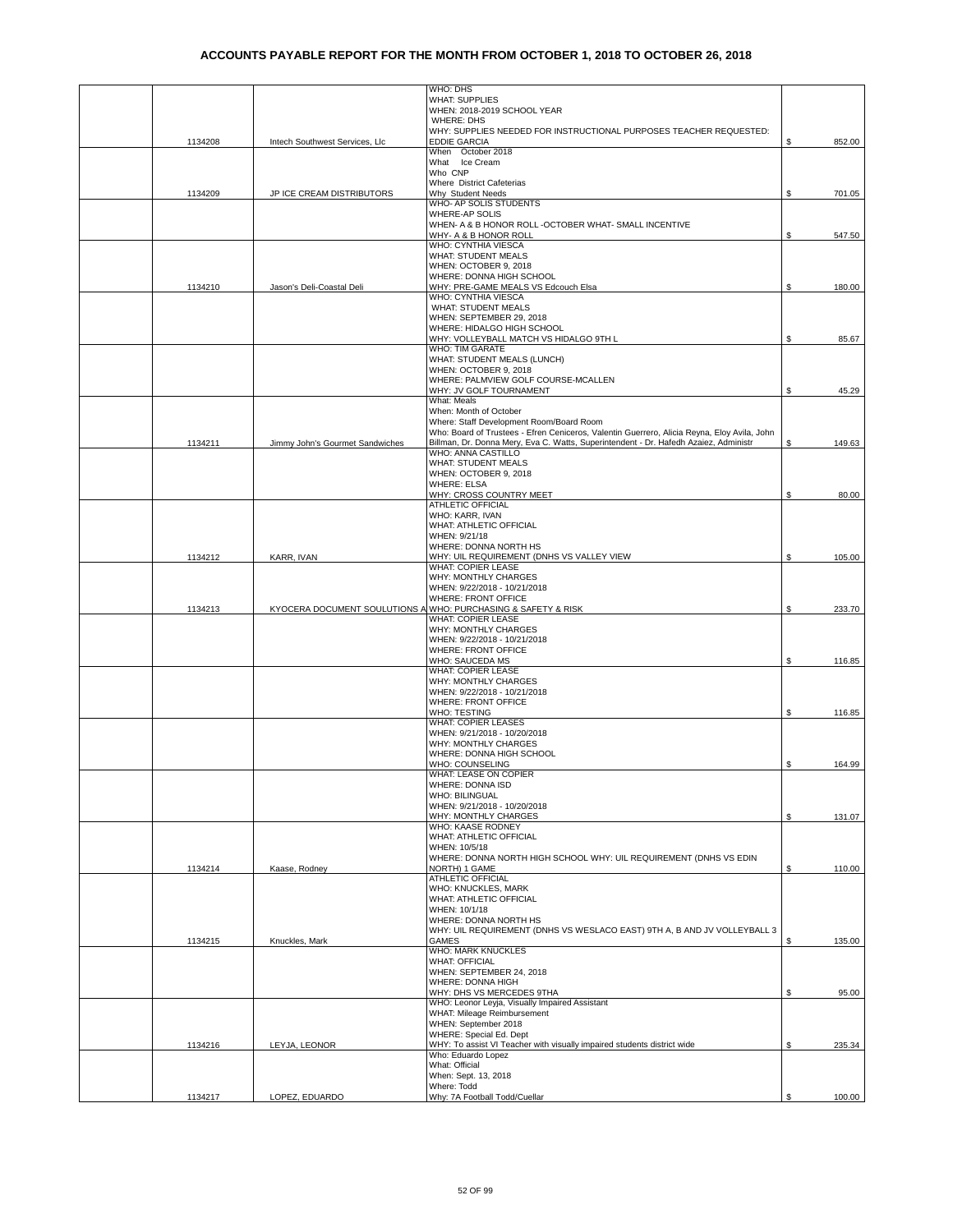|         |                                 | WHO: DHS<br><b>WHAT: SUPPLIES</b>                                                                          |    |        |
|---------|---------------------------------|------------------------------------------------------------------------------------------------------------|----|--------|
|         |                                 | WHEN: 2018-2019 SCHOOL YEAR                                                                                |    |        |
|         |                                 | WHERE: DHS<br>WHY: SUPPLIES NEEDED FOR INSTRUCTIONAL PURPOSES TEACHER REQUESTED:                           |    |        |
| 1134208 | Intech Southwest Services, Llc  | <b>EDDIE GARCIA</b><br>When October 2018                                                                   | \$ | 852.00 |
|         |                                 | What Ice Cream                                                                                             |    |        |
|         |                                 | Who CNP<br>Where District Cafeterias                                                                       |    |        |
| 1134209 | JP ICE CREAM DISTRIBUTORS       | Why Student Needs                                                                                          | \$ | 701.05 |
|         |                                 | WHO- AP SOLIS STUDENTS<br>WHERE-AP SOLIS                                                                   |    |        |
|         |                                 | WHEN- A & B HONOR ROLL -OCTOBER WHAT- SMALL INCENTIVE                                                      |    |        |
|         |                                 | WHY- A & B HONOR ROLL<br>WHO: CYNTHIA VIESCA                                                               | \$ | 547.50 |
|         |                                 | <b>WHAT: STUDENT MEALS</b>                                                                                 |    |        |
|         |                                 | WHEN: OCTOBER 9, 2018<br>WHERE: DONNA HIGH SCHOOL                                                          |    |        |
| 1134210 | Jason's Deli-Coastal Deli       | WHY: PRE-GAME MEALS VS Edcouch Elsa<br>WHO: CYNTHIA VIESCA                                                 | \$ | 180.00 |
|         |                                 | WHAT: STUDENT MEALS                                                                                        |    |        |
|         |                                 | WHEN: SEPTEMBER 29, 2018<br>WHERE: HIDALGO HIGH SCHOOL                                                     |    |        |
|         |                                 | WHY: VOLLEYBALL MATCH VS HIDALGO 9TH L                                                                     | \$ | 85.67  |
|         |                                 | WHO: TIM GARATE<br>WHAT: STUDENT MEALS (LUNCH)                                                             |    |        |
|         |                                 | WHEN: OCTOBER 9, 2018                                                                                      |    |        |
|         |                                 | WHERE: PALMVIEW GOLF COURSE-MCALLEN<br>WHY: JV GOLF TOURNAMENT                                             | \$ | 45.29  |
|         |                                 | What: Meals                                                                                                |    |        |
|         |                                 | When: Month of October<br>Where: Staff Development Room/Board Room                                         |    |        |
|         |                                 | Who: Board of Trustees - Efren Ceniceros, Valentin Guerrero, Alicia Reyna, Eloy Avila, John                |    |        |
| 1134211 | Jimmy John's Gourmet Sandwiches | Billman, Dr. Donna Mery, Eva C. Watts, Superintendent - Dr. Hafedh Azaiez, Administr<br>WHO: ANNA CASTILLO | \$ | 149.63 |
|         |                                 | <b>WHAT: STUDENT MEALS</b><br>WHEN: OCTOBER 9, 2018                                                        |    |        |
|         |                                 | <b>WHERE: ELSA</b>                                                                                         |    |        |
|         |                                 | WHY: CROSS COUNTRY MEET<br>ATHLETIC OFFICIAL                                                               | \$ | 80.00  |
|         |                                 | WHO: KARR, IVAN                                                                                            |    |        |
|         |                                 | WHAT: ATHLETIC OFFICIAL<br>WHEN: 9/21/18                                                                   |    |        |
|         |                                 | WHERE: DONNA NORTH HS                                                                                      |    |        |
| 1134212 | KARR, IVAN                      | WHY: UIL REQUIREMENT (DNHS VS VALLEY VIEW<br>WHAT: COPIER LEASE                                            | \$ | 105.00 |
|         |                                 | WHY: MONTHLY CHARGES                                                                                       |    |        |
|         |                                 | WHEN: 9/22/2018 - 10/21/2018<br><b>WHERE: FRONT OFFICE</b>                                                 |    |        |
| 1134213 |                                 | KYOCERA DOCUMENT SOULUTIONS A WHO: PURCHASING & SAFETY & RISK<br>WHAT: COPIER LEASE                        | \$ | 233.70 |
|         |                                 | WHY: MONTHLY CHARGES                                                                                       |    |        |
|         |                                 | WHEN: 9/22/2018 - 10/21/2018<br>WHERE: FRONT OFFICE                                                        |    |        |
|         |                                 | WHO: SAUCEDA MS                                                                                            | \$ | 116.85 |
|         |                                 | <b>WHAT: COPIER LEASE</b><br>WHY: MONTHLY CHARGES                                                          |    |        |
|         |                                 | WHEN: 9/22/2018 - 10/21/2018<br>WHERE: FRONT OFFICE                                                        |    |        |
|         |                                 | WHO: TESTING                                                                                               | \$ | 116.85 |
|         |                                 | WHAT: COPIER LEASES<br>WHEN: 9/21/2018 - 10/20/2018                                                        |    |        |
|         |                                 | WHY: MONTHLY CHARGES                                                                                       |    |        |
|         |                                 | WHERE: DONNA HIGH SCHOOL<br>WHO: COUNSELING                                                                | \$ | 164.99 |
|         |                                 | WHAT: LEASE ON COPIER                                                                                      |    |        |
|         |                                 | WHERE: DONNA ISD<br><b>WHO: BILINGUAL</b>                                                                  |    |        |
|         |                                 | WHEN: 9/21/2018 - 10/20/2018                                                                               |    |        |
|         |                                 | WHY: MONTHLY CHARGES<br>WHO: KAASE RODNEY                                                                  | \$ | 131.07 |
|         |                                 | WHAT: ATHLETIC OFFICIAL<br>WHEN: 10/5/18                                                                   |    |        |
|         |                                 | WHERE: DONNA NORTH HIGH SCHOOL WHY: UIL REQUIREMENT (DNHS VS EDIN                                          |    |        |
| 1134214 | Kaase, Rodney                   | NORTH) 1 GAME<br><b>ATHLETIC OFFICIAL</b>                                                                  | \$ | 110.00 |
|         |                                 | WHO: KNUCKLES, MARK                                                                                        |    |        |
|         |                                 | WHAT: ATHLETIC OFFICIAL<br>WHEN: 10/1/18                                                                   |    |        |
|         |                                 | WHERE: DONNA NORTH HS                                                                                      |    |        |
| 1134215 | Knuckles, Mark                  | WHY: UIL REQUIREMENT (DNHS VS WESLACO EAST) 9TH A, B AND JV VOLLEYBALL 3<br><b>GAMES</b>                   | S  | 135.00 |
|         |                                 | WHO: MARK KNUCKLES<br><b>WHAT: OFFICIAL</b>                                                                |    |        |
|         |                                 | WHEN: SEPTEMBER 24, 2018                                                                                   |    |        |
|         |                                 | WHERE: DONNA HIGH<br>WHY: DHS VS MERCEDES 9THA                                                             | S. | 95.00  |
|         |                                 | WHO: Leonor Leyja, Visually Impaired Assistant                                                             |    |        |
|         |                                 | WHAT: Mileage Reimbursement<br>WHEN: September 2018                                                        |    |        |
|         |                                 | WHERE: Special Ed. Dept                                                                                    |    |        |
| 1134216 | LEYJA, LEONOR                   | WHY: To assist VI Teacher with visually impaired students district wide<br>Who: Eduardo Lopez              | \$ | 235.34 |
|         |                                 | What: Official                                                                                             |    |        |
|         |                                 | When: Sept. 13, 2018<br>Where: Todd                                                                        |    |        |
| 1134217 | LOPEZ, EDUARDO                  | Why: 7A Football Todd/Cuellar                                                                              | S  | 100.00 |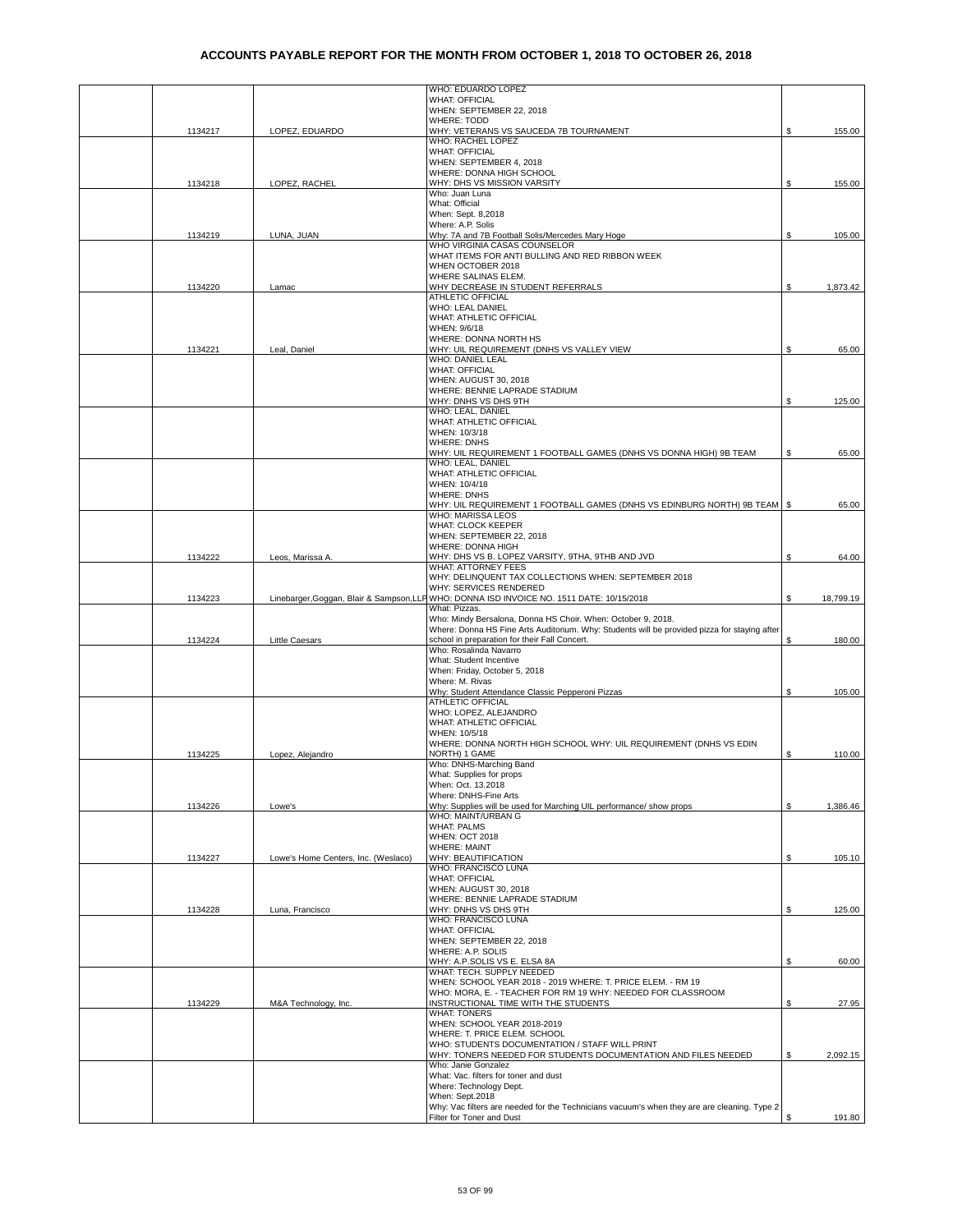|         |                                     | WHO: EDUARDO LOPEZ                                                                                                                                           |    |           |
|---------|-------------------------------------|--------------------------------------------------------------------------------------------------------------------------------------------------------------|----|-----------|
|         |                                     | <b>WHAT: OFFICIAL</b>                                                                                                                                        |    |           |
|         |                                     | WHEN: SEPTEMBER 22, 2018<br><b>WHERE: TODD</b>                                                                                                               |    |           |
| 1134217 | LOPEZ. EDUARDO                      | WHY: VETERANS VS SAUCEDA 7B TOURNAMENT                                                                                                                       | \$ | 155.00    |
|         |                                     | WHO: RACHEL LOPEZ                                                                                                                                            |    |           |
|         |                                     | <b>WHAT: OFFICIAL</b><br>WHEN: SEPTEMBER 4, 2018                                                                                                             |    |           |
|         |                                     | WHERE: DONNA HIGH SCHOOL                                                                                                                                     |    |           |
| 1134218 | LOPEZ, RACHEL                       | WHY: DHS VS MISSION VARSITY                                                                                                                                  | S. | 155.00    |
|         |                                     | Who: Juan Luna                                                                                                                                               |    |           |
|         |                                     | What: Official                                                                                                                                               |    |           |
|         |                                     | When: Sept. 8,2018<br>Where: A.P. Solis                                                                                                                      |    |           |
| 1134219 | LUNA, JUAN                          | Why: 7A and 7B Football Solis/Mercedes Mary Hoge                                                                                                             | \$ | 105.00    |
|         |                                     | WHO VIRGINIA CASAS COUNSELOR                                                                                                                                 |    |           |
|         |                                     | WHAT ITEMS FOR ANTI BULLING AND RED RIBBON WEEK                                                                                                              |    |           |
|         |                                     | WHEN OCTOBER 2018<br>WHERE SALINAS ELEM.                                                                                                                     |    |           |
| 1134220 | Lamac                               | WHY DECREASE IN STUDENT REFERRALS                                                                                                                            | \$ | 1,873.42  |
|         |                                     | ATHLETIC OFFICIAL                                                                                                                                            |    |           |
|         |                                     | WHO: LEAL DANIEL                                                                                                                                             |    |           |
|         |                                     | WHAT: ATHLETIC OFFICIAL                                                                                                                                      |    |           |
|         |                                     | WHEN: 9/6/18<br>WHERE: DONNA NORTH HS                                                                                                                        |    |           |
| 1134221 | Leal, Daniel                        | WHY: UIL REQUIREMENT (DNHS VS VALLEY VIEW                                                                                                                    | \$ | 65.00     |
|         |                                     | WHO: DANIEL LEAL                                                                                                                                             |    |           |
|         |                                     | <b>WHAT: OFFICIAL</b>                                                                                                                                        |    |           |
|         |                                     | WHEN: AUGUST 30, 2018<br>WHERE: BENNIE LAPRADE STADIUM                                                                                                       |    |           |
|         |                                     | WHY: DNHS VS DHS 9TH                                                                                                                                         | \$ | 125.00    |
|         |                                     | WHO: LEAL, DANIEL                                                                                                                                            |    |           |
|         |                                     | WHAT: ATHLETIC OFFICIAL                                                                                                                                      |    |           |
|         |                                     | WHEN: 10/3/18                                                                                                                                                |    |           |
|         |                                     | <b>WHERE: DNHS</b><br>WHY: UIL REQUIREMENT 1 FOOTBALL GAMES (DNHS VS DONNA HIGH) 9B TEAM                                                                     |    |           |
|         |                                     | WHO: LEAL, DANIEL                                                                                                                                            | S  | 65.00     |
|         |                                     | WHAT: ATHLETIC OFFICIAL                                                                                                                                      |    |           |
|         |                                     | WHEN: 10/4/18                                                                                                                                                |    |           |
|         |                                     | <b>WHERE: DNHS</b>                                                                                                                                           |    |           |
|         |                                     | WHY: UIL REQUIREMENT 1 FOOTBALL GAMES (DNHS VS EDINBURG NORTH) 9B TEAM   \$<br><b>WHO: MARISSA LEOS</b>                                                      |    | 65.00     |
|         |                                     | WHAT: CLOCK KEEPER                                                                                                                                           |    |           |
|         |                                     | WHEN: SEPTEMBER 22, 2018                                                                                                                                     |    |           |
|         |                                     | WHERE: DONNA HIGH                                                                                                                                            |    |           |
| 1134222 | Leos, Marissa A.                    | WHY: DHS VS B. LOPEZ VARSITY, 9THA, 9THB AND JVD<br><b>WHAT: ATTORNEY FEES</b>                                                                               | \$ | 64.00     |
|         |                                     | WHY: DELINQUENT TAX COLLECTIONS WHEN: SEPTEMBER 2018                                                                                                         |    |           |
|         |                                     | WHY: SERVICES RENDERED                                                                                                                                       |    |           |
| 1134223 |                                     | Linebarger, Goggan, Blair & Sampson, LLP WHO: DONNA ISD INVOICE NO. 1511 DATE: 10/15/2018                                                                    | \$ | 18,799.19 |
|         |                                     | What: Pizzas.                                                                                                                                                |    |           |
|         |                                     | Who: Mindy Bersalona, Donna HS Choir. When: October 9, 2018.<br>Where: Donna HS Fine Arts Auditorium. Why: Students will be provided pizza for staying after |    |           |
| 1134224 | Little Caesars                      | school in preparation for their Fall Concert.                                                                                                                | \$ | 180.00    |
|         |                                     | Who: Rosalinda Navarro                                                                                                                                       |    |           |
|         |                                     | What: Student Incentive                                                                                                                                      |    |           |
|         |                                     | When: Friday, October 5, 2018                                                                                                                                |    |           |
|         |                                     | Where: M. Rivas<br>Why: Student Attendance Classic Pepperoni Pizzas                                                                                          | S  | 105.00    |
|         |                                     | ATHLETIC OFFICIAL                                                                                                                                            |    |           |
|         |                                     | WHO: LOPEZ, ALEJANDRO                                                                                                                                        |    |           |
|         |                                     | <b>WHAT: ATHLETIC OFFICIAL</b>                                                                                                                               |    |           |
|         |                                     | WHEN: 10/5/18<br>WHERE: DONNA NORTH HIGH SCHOOL WHY: UIL REQUIREMENT (DNHS VS EDIN                                                                           |    |           |
| 1134225 | Lopez, Alejandro                    | NORTH) 1 GAME                                                                                                                                                | \$ | 110.00    |
|         |                                     | Who: DNHS-Marching Band                                                                                                                                      |    |           |
|         |                                     | What: Supplies for props                                                                                                                                     |    |           |
|         |                                     | When: Oct. 13.2018                                                                                                                                           |    |           |
| 1134226 | Lowe's                              | Where: DNHS-Fine Arts<br>Why: Supplies will be used for Marching UIL performance/ show props                                                                 | \$ | 1.386.46  |
|         |                                     | WHO: MAINT/URBAN G                                                                                                                                           |    |           |
|         |                                     | <b>WHAT: PALMS</b>                                                                                                                                           |    |           |
|         |                                     | <b>WHEN: OCT 2018</b>                                                                                                                                        |    |           |
|         |                                     | <b>WHERE: MAINT</b>                                                                                                                                          | \$ |           |
| 1134227 | Lowe's Home Centers, Inc. (Weslaco) | WHY: BEAUTIFICATION<br>WHO: FRANCISCO LUNA                                                                                                                   |    | 105.10    |
|         |                                     | <b>WHAT: OFFICIAL</b>                                                                                                                                        |    |           |
|         |                                     | WHEN: AUGUST 30, 2018                                                                                                                                        |    |           |
|         |                                     | WHERE: BENNIE LAPRADE STADIUM                                                                                                                                |    |           |
| 1134228 | Luna, Francisco                     | WHY: DNHS VS DHS 9TH<br>WHO: FRANCISCO LUNA                                                                                                                  | \$ | 125.00    |
|         |                                     | <b>WHAT: OFFICIAL</b>                                                                                                                                        |    |           |
|         |                                     | WHEN: SEPTEMBER 22, 2018                                                                                                                                     |    |           |
|         |                                     | WHERE: A.P. SOLIS                                                                                                                                            |    |           |
|         |                                     | WHY: A.P.SOLIS VS E. ELSA 8A                                                                                                                                 | \$ | 60.00     |
|         |                                     | WHAT: TECH. SUPPLY NEEDED<br>WHEN: SCHOOL YEAR 2018 - 2019 WHERE: T. PRICE ELEM. - RM 19                                                                     |    |           |
|         |                                     | WHO: MORA, E. - TEACHER FOR RM 19 WHY: NEEDED FOR CLASSROOM                                                                                                  |    |           |
| 1134229 | M&A Technology, Inc.                | INSTRUCTIONAL TIME WITH THE STUDENTS                                                                                                                         | \$ | 27.95     |
|         |                                     | <b>WHAT: TONERS</b>                                                                                                                                          |    |           |
|         |                                     | WHEN: SCHOOL YEAR 2018-2019<br>WHERE: T. PRICE ELEM. SCHOOL                                                                                                  |    |           |
|         |                                     | WHO: STUDENTS DOCUMENTATION / STAFF WILL PRINT                                                                                                               |    |           |
|         |                                     | WHY: TONERS NEEDED FOR STUDENTS DOCUMENTATION AND FILES NEEDED                                                                                               | \$ | 2,092.15  |
|         |                                     | Who: Janie Gonzalez                                                                                                                                          |    |           |
|         |                                     | What: Vac. filters for toner and dust                                                                                                                        |    |           |
|         |                                     | Where: Technology Dept.<br>When: Sept.2018                                                                                                                   |    |           |
|         |                                     | Why: Vac filters are needed for the Technicians vacuum's when they are are cleaning. Type 2                                                                  |    |           |
|         |                                     | Filter for Toner and Dust                                                                                                                                    | \$ | 191.80    |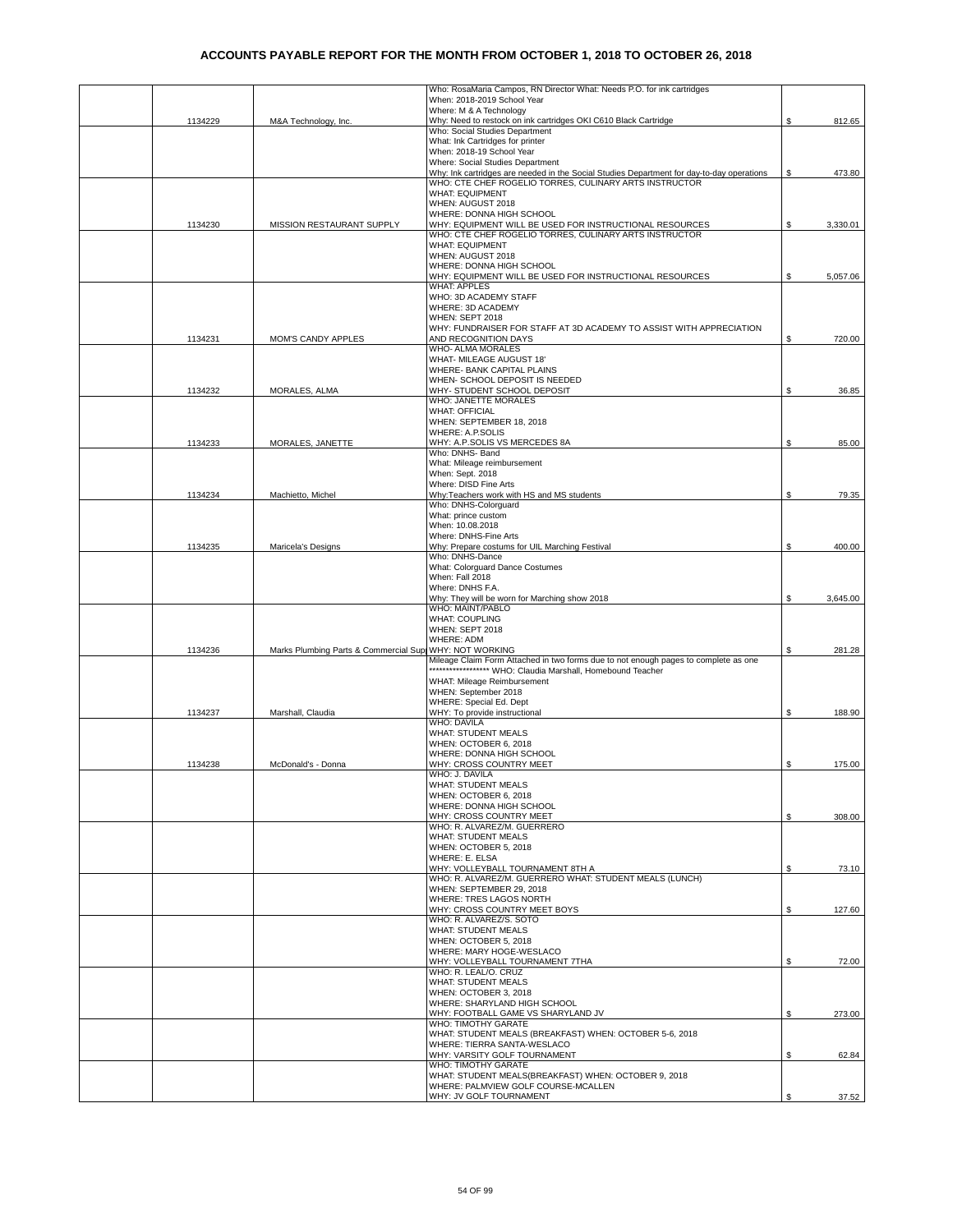|         |                                        | Who: RosaMaria Campos, RN Director What: Needs P.O. for ink cartridges                                                                              |    |          |
|---------|----------------------------------------|-----------------------------------------------------------------------------------------------------------------------------------------------------|----|----------|
|         |                                        | When: 2018-2019 School Year                                                                                                                         |    |          |
| 1134229 | M&A Technology, Inc.                   | Where: M & A Technology<br>Why: Need to restock on ink cartridges OKI C610 Black Cartridge                                                          | \$ | 812.65   |
|         |                                        | Who: Social Studies Department                                                                                                                      |    |          |
|         |                                        | What: Ink Cartridges for printer                                                                                                                    |    |          |
|         |                                        | When: 2018-19 School Year                                                                                                                           |    |          |
|         |                                        | Where: Social Studies Department                                                                                                                    |    |          |
|         |                                        | Why: Ink cartridges are needed in the Social Studies Department for day-to-day operations<br>WHO: CTE CHEF ROGELIO TORRES, CULINARY ARTS INSTRUCTOR | \$ | 473.80   |
|         |                                        | <b>WHAT: EQUIPMENT</b>                                                                                                                              |    |          |
|         |                                        | WHEN: AUGUST 2018                                                                                                                                   |    |          |
|         |                                        | WHERE: DONNA HIGH SCHOOL                                                                                                                            |    |          |
| 1134230 | MISSION RESTAURANT SUPPLY              | WHY: EQUIPMENT WILL BE USED FOR INSTRUCTIONAL RESOURCES                                                                                             | \$ | 3,330.01 |
|         |                                        | WHO: CTE CHEF ROGELIO TORRES, CULINARY ARTS INSTRUCTOR                                                                                              |    |          |
|         |                                        | <b>WHAT: EQUIPMENT</b>                                                                                                                              |    |          |
|         |                                        | WHEN: AUGUST 2018<br>WHERE: DONNA HIGH SCHOOL                                                                                                       |    |          |
|         |                                        | WHY: EQUIPMENT WILL BE USED FOR INSTRUCTIONAL RESOURCES                                                                                             | S  | 5,057.06 |
|         |                                        | <b>WHAT: APPLES</b>                                                                                                                                 |    |          |
|         |                                        | WHO: 3D ACADEMY STAFF                                                                                                                               |    |          |
|         |                                        | WHERE: 3D ACADEMY                                                                                                                                   |    |          |
|         |                                        | WHEN: SEPT 2018                                                                                                                                     |    |          |
|         |                                        | WHY: FUNDRAISER FOR STAFF AT 3D ACADEMY TO ASSIST WITH APPRECIATION                                                                                 |    |          |
| 1134231 | MOM'S CANDY APPLES                     | AND RECOGNITION DAYS<br>WHO- ALMA MORALES                                                                                                           | \$ | 720.00   |
|         |                                        | WHAT- MILEAGE AUGUST 18'                                                                                                                            |    |          |
|         |                                        | WHERE- BANK CAPITAL PLAINS                                                                                                                          |    |          |
|         |                                        | WHEN- SCHOOL DEPOSIT IS NEEDED                                                                                                                      |    |          |
| 1134232 | MORALES, ALMA                          | WHY- STUDENT SCHOOL DEPOSIT                                                                                                                         | S  | 36.85    |
|         |                                        | WHO: JANETTE MORALES                                                                                                                                |    |          |
|         |                                        | <b>WHAT: OFFICIAL</b><br>WHEN: SEPTEMBER 18, 2018                                                                                                   |    |          |
|         |                                        | WHERE: A.P.SOLIS                                                                                                                                    |    |          |
| 1134233 | MORALES, JANETTE                       | WHY: A.P.SOLIS VS MERCEDES 8A                                                                                                                       | \$ | 85.00    |
|         |                                        | Who: DNHS- Band                                                                                                                                     |    |          |
|         |                                        | What: Mileage reimbursement                                                                                                                         |    |          |
|         |                                        | When: Sept. 2018                                                                                                                                    |    |          |
|         |                                        | Where: DISD Fine Arts<br>Why:Teachers work with HS and MS students                                                                                  | \$ |          |
| 1134234 | Machietto, Michel                      | Who: DNHS-Colorguard                                                                                                                                |    | 79.35    |
|         |                                        | What: prince custom                                                                                                                                 |    |          |
|         |                                        | When: 10.08.2018                                                                                                                                    |    |          |
|         |                                        | Where: DNHS-Fine Arts                                                                                                                               |    |          |
| 1134235 | Maricela's Designs                     | Why: Prepare costums for UIL Marching Festival                                                                                                      | \$ | 400.00   |
|         |                                        | Who: DNHS-Dance<br>What: Colorguard Dance Costumes                                                                                                  |    |          |
|         |                                        | When: Fall 2018                                                                                                                                     |    |          |
|         |                                        | Where: DNHS F.A.                                                                                                                                    |    |          |
|         |                                        | Why: They will be worn for Marching show 2018                                                                                                       | \$ | 3,645.00 |
|         |                                        | <b>WHO: MAINT/PABLO</b>                                                                                                                             |    |          |
|         |                                        | <b>WHAT: COUPLING</b>                                                                                                                               |    |          |
|         |                                        | WHEN: SEPT 2018<br><b>WHERE: ADM</b>                                                                                                                |    |          |
| 1134236 | Marks Plumbing Parts & Commercial Supp | <b>WHY: NOT WORKING</b>                                                                                                                             | S  | 281.28   |
|         |                                        | Mileage Claim Form Attached in two forms due to not enough pages to complete as one                                                                 |    |          |
|         |                                        | ****************** WHO: Claudia Marshall, Homebound Teacher                                                                                         |    |          |
|         |                                        | WHAT: Mileage Reimbursement                                                                                                                         |    |          |
|         |                                        | WHEN: September 2018                                                                                                                                |    |          |
| 1134237 | Marshall, Claudia                      | WHERE: Special Ed. Dept<br>WHY: To provide instructional                                                                                            |    | 188.90   |
|         |                                        | <b>WHO: DAVILA</b>                                                                                                                                  | \$ |          |
|         |                                        | WHAT: STUDENT MEALS                                                                                                                                 |    |          |
|         |                                        | WHEN: OCTOBER 6, 2018                                                                                                                               |    |          |
|         |                                        | WHERE: DONNA HIGH SCHOOL                                                                                                                            |    |          |
| 1134238 | McDonald's - Donna                     | WHY: CROSS COUNTRY MEET                                                                                                                             | \$ | 175.00   |
|         |                                        | WHO: J. DAVILA                                                                                                                                      |    |          |
|         |                                        | <b>WHAT: STUDENT MEALS</b><br>WHEN: OCTOBER 6, 2018                                                                                                 |    |          |
|         |                                        | WHERE: DONNA HIGH SCHOOL                                                                                                                            |    |          |
|         |                                        | WHY: CROSS COUNTRY MEET                                                                                                                             | \$ | 308.00   |
|         |                                        | WHO: R. ALVAREZ/M. GUERRERO                                                                                                                         |    |          |
|         |                                        | <b>WHAT: STUDENT MEALS</b>                                                                                                                          |    |          |
|         |                                        | WHEN: OCTOBER 5, 2018                                                                                                                               |    |          |
|         |                                        | WHERE: E. ELSA<br>WHY: VOLLEYBALL TOURNAMENT 8TH A                                                                                                  | \$ |          |
|         |                                        | WHO: R. ALVAREZ/M. GUERRERO WHAT: STUDENT MEALS (LUNCH)                                                                                             |    | 73.10    |
|         |                                        | WHEN: SEPTEMBER 29, 2018                                                                                                                            |    |          |
|         |                                        | WHERE: TRES LAGOS NORTH                                                                                                                             |    |          |
|         |                                        | WHY: CROSS COUNTRY MEET BOYS                                                                                                                        | \$ | 127.60   |
|         |                                        | WHO: R. ALVAREZ/S. SOTO                                                                                                                             |    |          |
|         |                                        | <b>WHAT: STUDENT MEALS</b>                                                                                                                          |    |          |
|         |                                        | WHEN: OCTOBER 5, 2018<br>WHERE: MARY HOGE-WESLACO                                                                                                   |    |          |
|         |                                        | WHY: VOLLEYBALL TOURNAMENT 7THA                                                                                                                     | \$ | 72.00    |
|         |                                        | WHO: R. LEAL/O. CRUZ                                                                                                                                |    |          |
|         |                                        | <b>WHAT: STUDENT MEALS</b>                                                                                                                          |    |          |
|         |                                        | WHEN: OCTOBER 3, 2018                                                                                                                               |    |          |
|         |                                        | WHERE: SHARYLAND HIGH SCHOOL                                                                                                                        |    |          |
|         |                                        | WHY: FOOTBALL GAME VS SHARYLAND JV<br>WHO: TIMOTHY GARATE                                                                                           | \$ | 273.00   |
|         |                                        | WHAT: STUDENT MEALS (BREAKFAST) WHEN: OCTOBER 5-6, 2018                                                                                             |    |          |
|         |                                        | WHERE: TIERRA SANTA-WESLACO                                                                                                                         |    |          |
|         |                                        | WHY: VARSITY GOLF TOURNAMENT                                                                                                                        | \$ | 62.84    |
|         |                                        | WHO: TIMOTHY GARATE                                                                                                                                 |    |          |
|         |                                        | WHAT: STUDENT MEALS(BREAKFAST) WHEN: OCTOBER 9, 2018                                                                                                |    |          |
|         |                                        | WHERE: PALMVIEW GOLF COURSE-MCALLEN<br>WHY: JV GOLF TOURNAMENT                                                                                      | \$ | 37.52    |
|         |                                        |                                                                                                                                                     |    |          |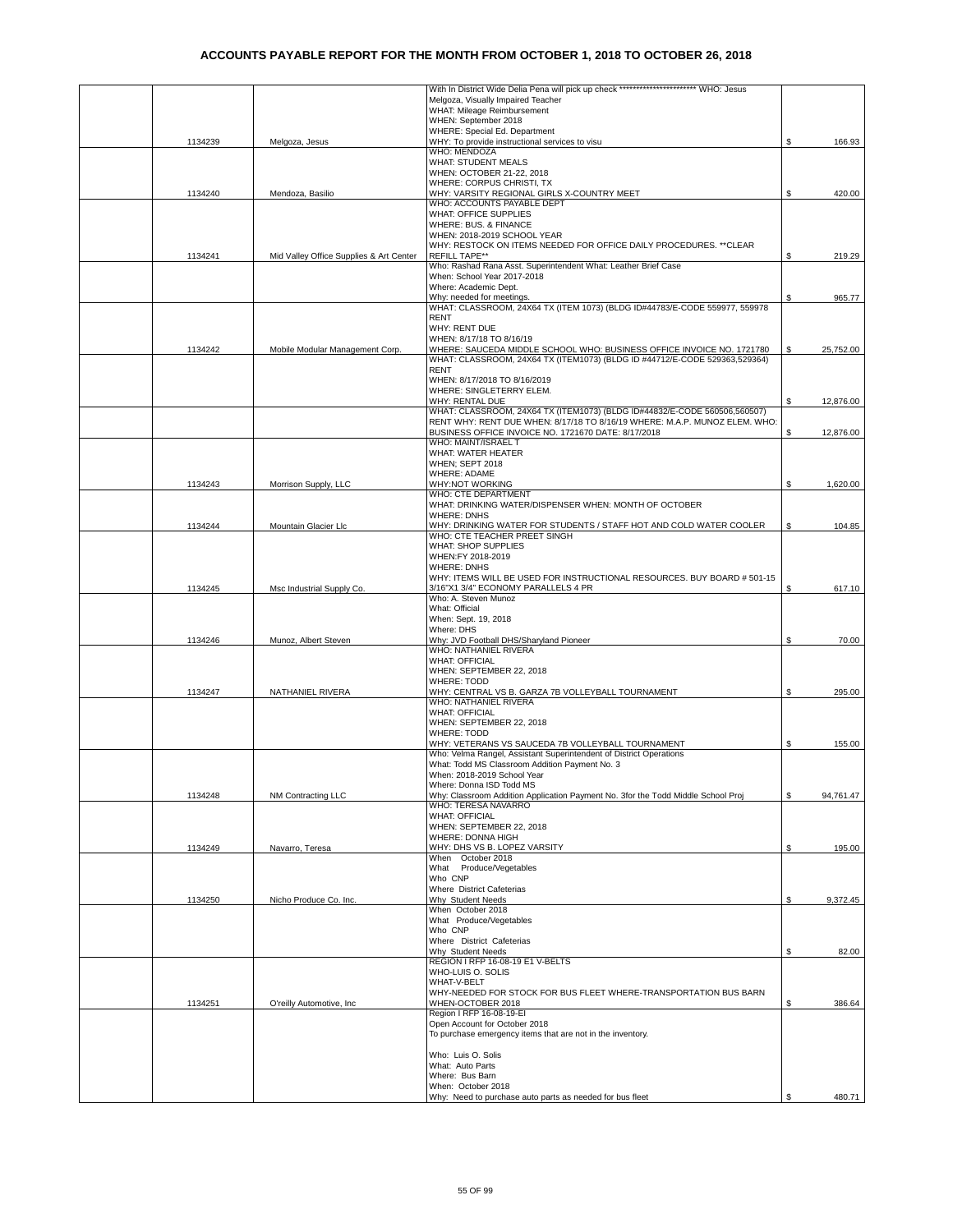|         |                                         | With In District Wide Delia Pena will pick up check ************************ WHO: Jesus |    |           |
|---------|-----------------------------------------|-----------------------------------------------------------------------------------------|----|-----------|
|         |                                         | Melgoza, Visually Impaired Teacher                                                      |    |           |
|         |                                         | WHAT: Mileage Reimbursement                                                             |    |           |
|         |                                         | WHEN: September 2018                                                                    |    |           |
|         |                                         | WHERE: Special Ed. Department                                                           |    |           |
|         |                                         | WHY: To provide instructional services to visu                                          | S. | 166.93    |
| 1134239 | Melgoza, Jesus                          | WHO: MENDOZA                                                                            |    |           |
|         |                                         | <b>WHAT: STUDENT MEALS</b>                                                              |    |           |
|         |                                         |                                                                                         |    |           |
|         |                                         | WHEN: OCTOBER 21-22, 2018                                                               |    |           |
|         |                                         | WHERE: CORPUS CHRISTI, TX                                                               |    |           |
| 1134240 | Mendoza, Basilio                        | WHY: VARSITY REGIONAL GIRLS X-COUNTRY MEET                                              | \$ | 420.00    |
|         |                                         | WHO: ACCOUNTS PAYABLE DEPT                                                              |    |           |
|         |                                         | WHAT: OFFICE SUPPLIES                                                                   |    |           |
|         |                                         | WHERE: BUS. & FINANCE                                                                   |    |           |
|         |                                         | WHEN: 2018-2019 SCHOOL YEAR                                                             |    |           |
|         |                                         | WHY: RESTOCK ON ITEMS NEEDED FOR OFFICE DAILY PROCEDURES. ** CLEAR                      |    |           |
| 1134241 | Mid Valley Office Supplies & Art Center | <b>REFILL TAPE**</b>                                                                    | Ŝ. | 219.29    |
|         |                                         | Who: Rashad Rana Asst. Superintendent What: Leather Brief Case                          |    |           |
|         |                                         | When: School Year 2017-2018                                                             |    |           |
|         |                                         | Where: Academic Dept.                                                                   |    |           |
|         |                                         | Why: needed for meetings.                                                               |    | 965.77    |
|         |                                         | WHAT: CLASSROOM, 24X64 TX (ITEM 1073) (BLDG ID#44783/E-CODE 559977, 559978              |    |           |
|         |                                         | <b>RENT</b>                                                                             |    |           |
|         |                                         | <b>WHY: RENT DUE</b>                                                                    |    |           |
|         |                                         | WHEN: 8/17/18 TO 8/16/19                                                                |    |           |
| 1134242 | Mobile Modular Management Corp.         | WHERE: SAUCEDA MIDDLE SCHOOL WHO: BUSINESS OFFICE INVOICE NO. 1721780                   | S  | 25,752.00 |
|         |                                         | WHAT: CLASSROOM, 24X64 TX (ITEM1073) (BLDG ID #44712/E-CODE 529363,529364)              |    |           |
|         |                                         | <b>RENT</b>                                                                             |    |           |
|         |                                         | WHEN: 8/17/2018 TO 8/16/2019                                                            |    |           |
|         |                                         | WHERE: SINGLETERRY ELEM.                                                                |    |           |
|         |                                         | WHY: RENTAL DUE                                                                         | \$ | 12,876.00 |
|         |                                         | WHAT: CLASSROOM, 24X64 TX (ITEM1073) (BLDG ID#44832/E-CODE 560506,560507)               |    |           |
|         |                                         | RENT WHY: RENT DUE WHEN: 8/17/18 TO 8/16/19 WHERE: M.A.P. MUNOZ ELEM. WHO:              |    |           |
|         |                                         |                                                                                         | \$ |           |
|         |                                         | BUSINESS OFFICE INVOICE NO. 1721670 DATE: 8/17/2018<br>WHO: MAINT/ISRAEL T              |    | 12,876.00 |
|         |                                         |                                                                                         |    |           |
|         |                                         | WHAT: WATER HEATER                                                                      |    |           |
|         |                                         | WHEN; SEPT 2018                                                                         |    |           |
|         |                                         | <b>WHERE: ADAME</b>                                                                     |    |           |
| 1134243 | Morrison Supply, LLC                    | <b>WHY:NOT WORKING</b>                                                                  |    | 1,620.00  |
|         |                                         | WHO: CTE DEPARTMENT                                                                     |    |           |
|         |                                         | WHAT: DRINKING WATER/DISPENSER WHEN: MONTH OF OCTOBER                                   |    |           |
|         |                                         | <b>WHERE: DNHS</b>                                                                      |    |           |
| 1134244 | Mountain Glacier Llc                    | WHY: DRINKING WATER FOR STUDENTS / STAFF HOT AND COLD WATER COOLER                      | \$ | 104.85    |
|         |                                         | WHO: CTE TEACHER PREET SINGH                                                            |    |           |
|         |                                         | WHAT: SHOP SUPPLIES                                                                     |    |           |
|         |                                         | WHEN:FY 2018-2019                                                                       |    |           |
|         |                                         | <b>WHERE: DNHS</b>                                                                      |    |           |
|         |                                         | WHY: ITEMS WILL BE USED FOR INSTRUCTIONAL RESOURCES. BUY BOARD # 501-15                 |    |           |
| 1134245 | Msc Industrial Supply Co.               | 3/16"X1 3/4" ECONOMY PARALLELS 4 PR                                                     | \$ | 617.10    |
|         |                                         | Who: A. Steven Munoz                                                                    |    |           |
|         |                                         | What: Official                                                                          |    |           |
|         |                                         | When: Sept. 19, 2018                                                                    |    |           |
|         |                                         | Where: DHS                                                                              |    |           |
| 1134246 | Munoz, Albert Steven                    | Why: JVD Football DHS/Sharyland Pioneer                                                 | \$ | 70.00     |
|         |                                         | WHO: NATHANIEL RIVERA                                                                   |    |           |
|         |                                         | <b>WHAT: OFFICIAL</b>                                                                   |    |           |
|         |                                         | WHEN: SEPTEMBER 22, 2018                                                                |    |           |
|         |                                         | <b>WHERE: TODD</b>                                                                      |    |           |
| 1134247 | NATHANIEL RIVERA                        | WHY: CENTRAL VS B. GARZA 7B VOLLEYBALL TOURNAMENT                                       | \$ | 295.00    |
|         |                                         | WHO: NATHANIEL RIVERA                                                                   |    |           |
|         |                                         | <b>WHAT: OFFICIAL</b>                                                                   |    |           |
|         |                                         | WHEN: SEPTEMBER 22, 2018                                                                |    |           |
|         |                                         | <b>WHERE: TODD</b>                                                                      |    |           |
|         |                                         | WHY: VETERANS VS SAUCEDA 7B VOLLEYBALL TOURNAMENT                                       | \$ | 155.00    |
|         |                                         | Who: Velma Rangel, Assistant Superintendent of District Operations                      |    |           |
|         |                                         | What: Todd MS Classroom Addition Payment No. 3                                          |    |           |
|         |                                         | When: 2018-2019 School Year                                                             |    |           |
|         |                                         | Where: Donna ISD Todd MS                                                                |    |           |
| 1134248 | NM Contracting LLC                      | Why: Classroom Addition Application Payment No. 3for the Todd Middle School Proj        | \$ | 94,761.47 |
|         |                                         | WHO: TERESA NAVARRO                                                                     |    |           |
|         |                                         | <b>WHAT: OFFICIAL</b>                                                                   |    |           |
|         |                                         | WHEN: SEPTEMBER 22, 2018                                                                |    |           |
|         |                                         | WHERE: DONNA HIGH                                                                       |    |           |
|         | Navarro, Teresa                         | WHY: DHS VS B. LOPEZ VARSITY                                                            |    |           |
| 1134249 |                                         | When October 2018                                                                       | \$ | 195.00    |
|         |                                         | What Produce/Vegetables                                                                 |    |           |
|         |                                         |                                                                                         |    |           |
|         |                                         | Who CNP                                                                                 |    |           |
|         |                                         | Where District Cafeterias<br>Why Student Needs                                          |    |           |
| 1134250 | Nicho Produce Co. Inc.                  |                                                                                         | S  | 9,372.45  |
|         |                                         | When October 2018                                                                       |    |           |
|         |                                         | What Produce/Vegetables                                                                 |    |           |
|         |                                         | Who CNP                                                                                 |    |           |
|         |                                         | Where District Cafeterias                                                               |    |           |
|         |                                         | Why Student Needs                                                                       | \$ | 82.00     |
|         |                                         | REGION I RFP 16-08-19 E1 V-BELTS                                                        |    |           |
|         |                                         | WHO-LUIS O. SOLIS                                                                       |    |           |
|         |                                         | WHAT-V-BELT                                                                             |    |           |
|         |                                         | WHY-NEEDED FOR STOCK FOR BUS FLEET WHERE-TRANSPORTATION BUS BARN                        |    |           |
| 1134251 | O'reilly Automotive, Inc                | WHEN-OCTOBER 2018                                                                       | \$ | 386.64    |
|         |                                         | Region I RFP 16-08-19-EI                                                                |    |           |
|         |                                         | Open Account for October 2018                                                           |    |           |
|         |                                         | To purchase emergency items that are not in the inventory.                              |    |           |
|         |                                         |                                                                                         |    |           |
|         |                                         | Who: Luis O. Solis                                                                      |    |           |
|         |                                         | What: Auto Parts                                                                        |    |           |
|         |                                         | Where: Bus Barn                                                                         |    |           |
|         |                                         | When: October 2018                                                                      |    |           |
|         |                                         | Why: Need to purchase auto parts as needed for bus fleet                                | \$ | 480.71    |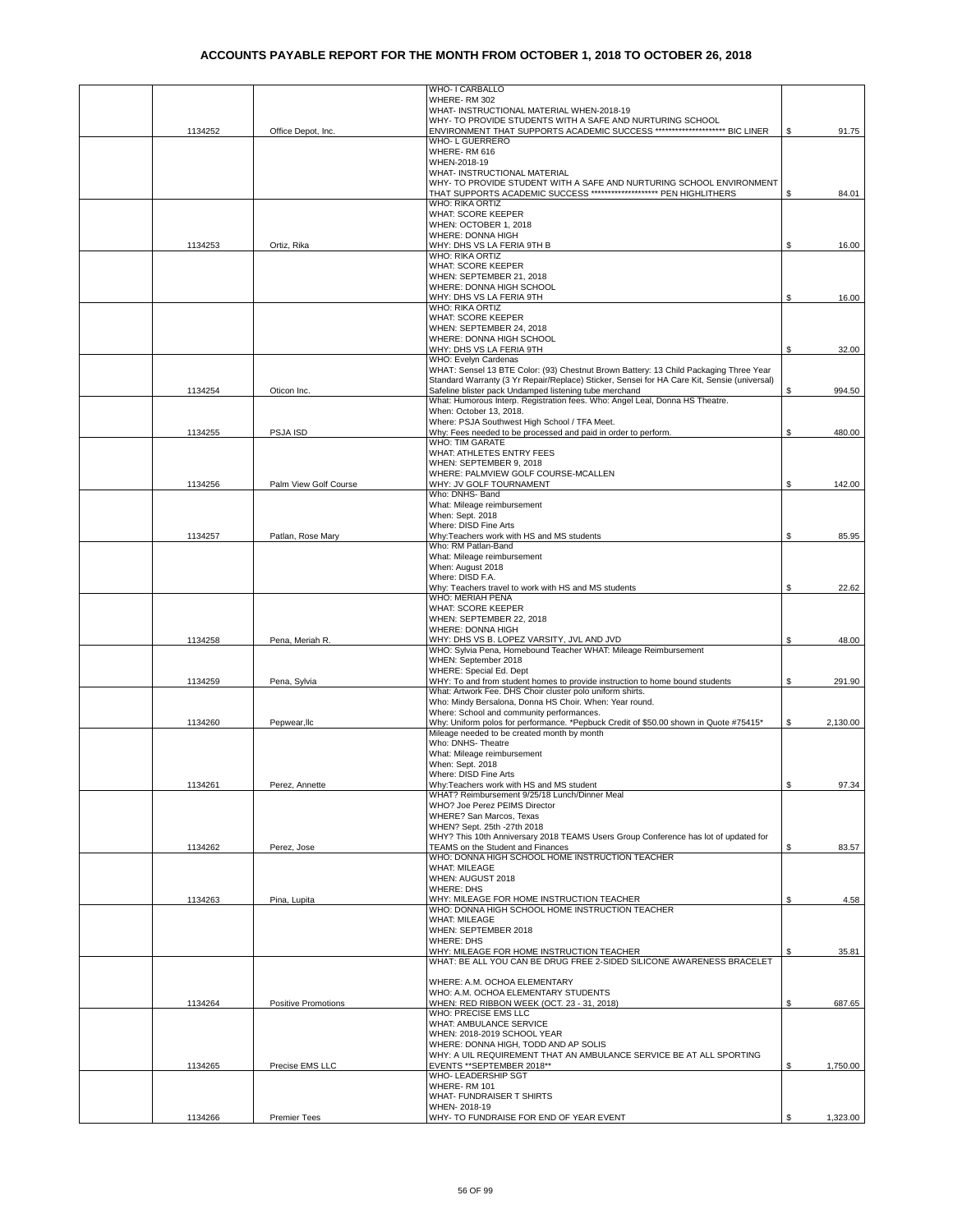|         |                            | WHO- I CARBALLO                                                                                                    |                |
|---------|----------------------------|--------------------------------------------------------------------------------------------------------------------|----------------|
|         |                            | WHERE-RM 302                                                                                                       |                |
|         |                            | WHAT- INSTRUCTIONAL MATERIAL WHEN-2018-19                                                                          |                |
|         |                            | WHY- TO PROVIDE STUDENTS WITH A SAFE AND NURTURING SCHOOL                                                          |                |
| 1134252 | Office Depot, Inc.         | ENVIRONMENT THAT SUPPORTS ACADEMIC SUCCESS ************************* BIC LINER                                     | S.<br>91.75    |
|         |                            | WHO- L GUERRERO<br>WHERE-RM 616                                                                                    |                |
|         |                            | WHEN-2018-19                                                                                                       |                |
|         |                            | WHAT- INSTRUCTIONAL MATERIAL                                                                                       |                |
|         |                            | WHY- TO PROVIDE STUDENT WITH A SAFE AND NURTURING SCHOOL ENVIRONMENT                                               |                |
|         |                            | THAT SUPPORTS ACADEMIC SUCCESS ******************** PEN HIGHLITHERS                                                | S.<br>84.01    |
|         |                            | <b>WHO: RIKA ORTIZ</b>                                                                                             |                |
|         |                            | WHAT: SCORE KEEPER                                                                                                 |                |
|         |                            | WHEN: OCTOBER 1, 2018                                                                                              |                |
| 1134253 | Ortiz, Rika                | WHERE: DONNA HIGH<br>WHY: DHS VS LA FERIA 9TH B                                                                    | \$<br>16.00    |
|         |                            | WHO: RIKA ORTIZ                                                                                                    |                |
|         |                            | WHAT: SCORE KEEPER                                                                                                 |                |
|         |                            | WHEN: SEPTEMBER 21, 2018                                                                                           |                |
|         |                            | WHERE: DONNA HIGH SCHOOL                                                                                           |                |
|         |                            | WHY: DHS VS LA FERIA 9TH                                                                                           | 16.00<br>S     |
|         |                            | <b>WHO: RIKA ORTIZ</b>                                                                                             |                |
|         |                            | WHAT: SCORE KEEPER<br>WHEN: SEPTEMBER 24, 2018                                                                     |                |
|         |                            | WHERE: DONNA HIGH SCHOOL                                                                                           |                |
|         |                            | WHY: DHS VS LA FERIA 9TH                                                                                           | \$<br>32.00    |
|         |                            | WHO: Evelyn Cardenas                                                                                               |                |
|         |                            | WHAT: Sensel 13 BTE Color: (93) Chestnut Brown Battery: 13 Child Packaging Three Year                              |                |
|         |                            | Standard Warranty (3 Yr Repair/Replace) Sticker, Sensei for HA Care Kit, Sensie (universal)                        |                |
| 1134254 | Oticon Inc                 | Safeline blister pack Undamped listening tube merchand                                                             | 994.50         |
|         |                            | What: Humorous Interp, Registration fees, Who: Angel Leal, Donna HS Theatre,<br>When: October 13, 2018.            |                |
|         |                            | Where: PSJA Southwest High School / TFA Meet.                                                                      |                |
| 1134255 | PSJA ISD                   | Why: Fees needed to be processed and paid in order to perform.                                                     | S.<br>480.00   |
|         |                            | WHO: TIM GARATE                                                                                                    |                |
|         |                            | WHAT: ATHLETES ENTRY FEES                                                                                          |                |
|         |                            | WHEN: SEPTEMBER 9, 2018                                                                                            |                |
|         |                            | WHERE: PALMVIEW GOLF COURSE-MCALLEN                                                                                |                |
| 1134256 | Palm View Golf Course      | WHY: JV GOLF TOURNAMENT                                                                                            | 142.00<br>S    |
|         |                            | Who: DNHS- Band<br>What: Mileage reimbursement                                                                     |                |
|         |                            | When: Sept. 2018                                                                                                   |                |
|         |                            | Where: DISD Fine Arts                                                                                              |                |
| 1134257 | Patlan, Rose Mary          | Why:Teachers work with HS and MS students                                                                          | \$<br>85.95    |
|         |                            | Who: RM Patlan-Band                                                                                                |                |
|         |                            | What: Mileage reimbursement                                                                                        |                |
|         |                            | When: August 2018                                                                                                  |                |
|         |                            | Where: DISD F.A.                                                                                                   |                |
|         |                            | Why: Teachers travel to work with HS and MS students<br>WHO: MERIAH PENA                                           | S<br>22.62     |
|         |                            | <b>WHAT: SCORE KEEPER</b>                                                                                          |                |
|         |                            | WHEN: SEPTEMBER 22, 2018                                                                                           |                |
|         |                            |                                                                                                                    |                |
|         |                            | WHERE: DONNA HIGH                                                                                                  |                |
| 1134258 | Pena, Meriah R.            | WHY: DHS VS B. LOPEZ VARSITY, JVL AND JVD                                                                          | \$<br>48.00    |
|         |                            | WHO: Sylvia Pena, Homebound Teacher WHAT: Mileage Reimbursement                                                    |                |
|         |                            | WHEN: September 2018                                                                                               |                |
|         |                            | WHERE: Special Ed. Dept                                                                                            |                |
| 1134259 | Pena, Sylvia               | WHY: To and from student homes to provide instruction to home bound students                                       | \$<br>291.90   |
|         |                            | What: Artwork Fee. DHS Choir cluster polo uniform shirts.                                                          |                |
|         |                            | Who: Mindy Bersalona, Donna HS Choir. When: Year round.<br>Where: School and community performances.               |                |
| 1134260 | Pepwear.llc                | Why: Uniform polos for performance. *Pepbuck Credit of \$50.00 shown in Quote #75415*                              | S<br>2,130.00  |
|         |                            | Mileage needed to be created month by month                                                                        |                |
|         |                            | Who: DNHS- Theatre                                                                                                 |                |
|         |                            | What: Mileage reimbursement                                                                                        |                |
|         |                            | When: Sept. 2018                                                                                                   |                |
|         |                            | Where: DISD Fine Arts                                                                                              |                |
| 1134261 | Perez, Annette             | Why: Teachers work with HS and MS student<br>WHAT? Reimbursement 9/25/18 Lunch/Dinner Meal                         | \$<br>97.34    |
|         |                            | WHO? Joe Perez PEIMS Director                                                                                      |                |
|         |                            | WHERE? San Marcos, Texas                                                                                           |                |
|         |                            | WHEN? Sept. 25th -27th 2018                                                                                        |                |
|         |                            | WHY? This 10th Anniversary 2018 TEAMS Users Group Conference has lot of updated for                                |                |
| 1134262 | Perez, Jose                | TEAMS on the Student and Finances                                                                                  | 83.57<br>\$    |
|         |                            | WHO: DONNA HIGH SCHOOL HOME INSTRUCTION TEACHER                                                                    |                |
|         |                            | <b>WHAT: MILEAGE</b><br>WHEN: AUGUST 2018                                                                          |                |
|         |                            | <b>WHERE: DHS</b>                                                                                                  |                |
| 1134263 | Pina, Lupita               | WHY: MILEAGE FOR HOME INSTRUCTION TEACHER                                                                          | \$<br>4.58     |
|         |                            | WHO: DONNA HIGH SCHOOL HOME INSTRUCTION TEACHER                                                                    |                |
|         |                            | <b>WHAT: MILEAGE</b>                                                                                               |                |
|         |                            | WHEN: SEPTEMBER 2018                                                                                               |                |
|         |                            | <b>WHERE: DHS</b>                                                                                                  |                |
|         |                            | WHY: MILEAGE FOR HOME INSTRUCTION TEACHER<br>WHAT: BE ALL YOU CAN BE DRUG FREE 2-SIDED SILICONE AWARENESS BRACELET | \$<br>35.81    |
|         |                            |                                                                                                                    |                |
|         |                            | WHERE: A.M. OCHOA ELEMENTARY                                                                                       |                |
|         |                            | WHO: A.M. OCHOA ELEMENTARY STUDENTS                                                                                |                |
| 1134264 | <b>Positive Promotions</b> | WHEN: RED RIBBON WEEK (OCT. 23 - 31, 2018)                                                                         | \$<br>687.65   |
|         |                            | WHO: PRECISE EMS LLC                                                                                               |                |
|         |                            | WHAT: AMBULANCE SERVICE                                                                                            |                |
|         |                            | WHEN: 2018-2019 SCHOOL YEAR<br>WHERE: DONNA HIGH, TODD AND AP SOLIS                                                |                |
|         |                            | WHY: A UIL REQUIREMENT THAT AN AMBULANCE SERVICE BE AT ALL SPORTING                                                |                |
| 1134265 | Precise EMS LLC            | EVENTS ** SEPTEMBER 2018**                                                                                         | \$<br>1,750.00 |
|         |                            | WHO- LEADERSHIP SGT                                                                                                |                |
|         |                            | WHERE-RM 101                                                                                                       |                |
|         |                            | WHAT- FUNDRAISER T SHIRTS<br>WHEN-2018-19                                                                          |                |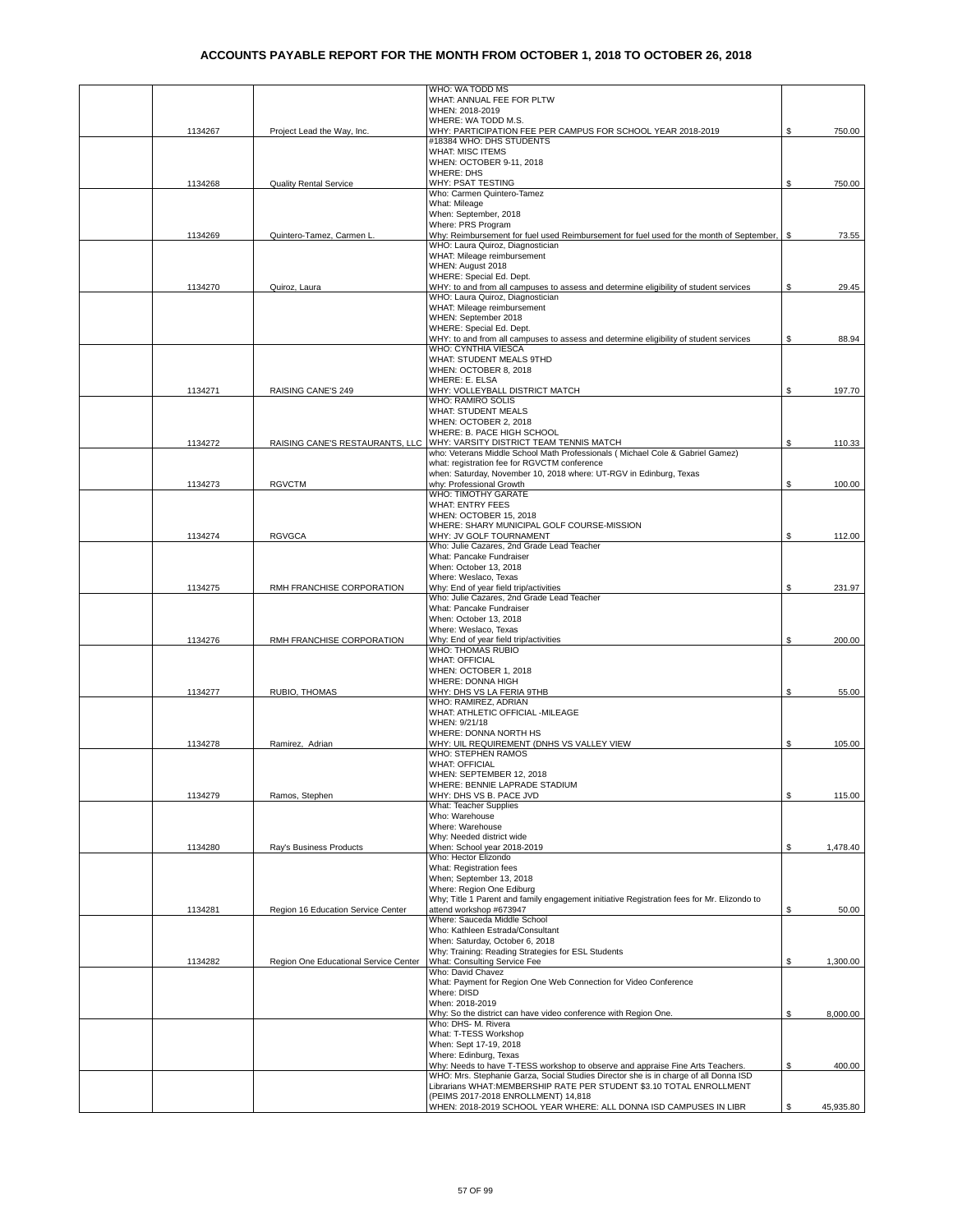|         |                                       | WHO: WA TODD MS                                                                                                              |     |           |
|---------|---------------------------------------|------------------------------------------------------------------------------------------------------------------------------|-----|-----------|
|         |                                       | WHAT: ANNUAL FEE FOR PLTW                                                                                                    |     |           |
|         |                                       | WHEN: 2018-2019<br>WHERE: WA TODD M.S.                                                                                       |     |           |
| 1134267 | Project Lead the Way, Inc.            | WHY: PARTICIPATION FEE PER CAMPUS FOR SCHOOL YEAR 2018-2019                                                                  | S   | 750.00    |
|         |                                       | #18384 WHO: DHS STUDENTS                                                                                                     |     |           |
|         |                                       | <b>WHAT: MISC ITEMS</b>                                                                                                      |     |           |
|         |                                       | WHEN: OCTOBER 9-11, 2018                                                                                                     |     |           |
| 1134268 | <b>Quality Rental Service</b>         | <b>WHERE: DHS</b><br>WHY: PSAT TESTING                                                                                       | \$. | 750.00    |
|         |                                       | Who: Carmen Quintero-Tamez                                                                                                   |     |           |
|         |                                       | What: Mileage                                                                                                                |     |           |
|         |                                       | When: September, 2018                                                                                                        |     |           |
|         |                                       | Where: PRS Program                                                                                                           |     |           |
| 1134269 | Quintero-Tamez, Carmen L              | Why: Reimbursement for fuel used Reimbursement for fuel used for the month of September,<br>WHO: Laura Quiroz, Diagnostician | S.  | 73.55     |
|         |                                       | WHAT: Mileage reimbursement                                                                                                  |     |           |
|         |                                       | WHEN: August 2018                                                                                                            |     |           |
|         |                                       | WHERE: Special Ed. Dept.                                                                                                     |     |           |
| 1134270 | Quiroz, Laura                         | WHY: to and from all campuses to assess and determine eligibility of student services<br>WHO: Laura Quiroz, Diagnostician    | \$  | 29.45     |
|         |                                       | WHAT: Mileage reimbursement                                                                                                  |     |           |
|         |                                       | WHEN: September 2018                                                                                                         |     |           |
|         |                                       | WHERE: Special Ed. Dept.                                                                                                     |     |           |
|         |                                       | WHY: to and from all campuses to assess and determine eligibility of student services                                        | \$  | 88.94     |
|         |                                       | WHO: CYNTHIA VIESCA<br>WHAT: STUDENT MEALS 9THD                                                                              |     |           |
|         |                                       | WHEN: OCTOBER 8, 2018                                                                                                        |     |           |
|         |                                       | WHERE: E. ELSA                                                                                                               |     |           |
| 1134271 | RAISING CANE'S 249                    | WHY: VOLLEYBALL DISTRICT MATCH                                                                                               | \$  | 197.70    |
|         |                                       | WHO: RAMIRO SOLIS<br>WHAT: STUDENT MEALS                                                                                     |     |           |
|         |                                       | WHEN: OCTOBER 2, 2018                                                                                                        |     |           |
|         |                                       | WHERE: B. PACE HIGH SCHOOL                                                                                                   |     |           |
| 1134272 | RAISING CANE'S RESTAURANTS, LLC       | WHY: VARSITY DISTRICT TEAM TENNIS MATCH                                                                                      | \$  | 110.33    |
|         |                                       | who: Veterans Middle School Math Professionals ( Michael Cole & Gabriel Gamez)                                               |     |           |
|         |                                       | what: registration fee for RGVCTM conference<br>when: Saturday, November 10, 2018 where: UT-RGV in Edinburg, Texas           |     |           |
| 1134273 | <b>RGVCTM</b>                         | why: Professional Growth                                                                                                     | \$  | 100.00    |
|         |                                       | WHO: TIMOTHY GARATE                                                                                                          |     |           |
|         |                                       | <b>WHAT: ENTRY FEES</b>                                                                                                      |     |           |
|         |                                       | WHEN: OCTOBER 15, 2018                                                                                                       |     |           |
|         |                                       | WHERE: SHARY MUNICIPAL GOLF COURSE-MISSION<br>WHY: JV GOLF TOURNAMENT                                                        |     |           |
| 1134274 | <b>RGVGCA</b>                         | Who: Julie Cazares, 2nd Grade Lead Teacher                                                                                   | S   | 112.00    |
|         |                                       | What: Pancake Fundraiser                                                                                                     |     |           |
|         |                                       | When: October 13, 2018                                                                                                       |     |           |
|         |                                       | Where: Weslaco, Texas                                                                                                        |     |           |
| 1134275 | RMH FRANCHISE CORPORATION             | Why: End of year field trip/activities<br>Who: Julie Cazares, 2nd Grade Lead Teacher                                         | \$  | 231.97    |
|         |                                       | What: Pancake Fundraiser                                                                                                     |     |           |
|         |                                       | When: October 13, 2018                                                                                                       |     |           |
|         |                                       | Where: Weslaco, Texas                                                                                                        |     |           |
| 1134276 | RMH FRANCHISE CORPORATION             | Why: End of year field trip/activities<br><b>WHO: THOMAS RUBIO</b>                                                           | \$  | 200.00    |
|         |                                       | <b>WHAT: OFFICIAL</b>                                                                                                        |     |           |
|         |                                       | WHEN: OCTOBER 1, 2018                                                                                                        |     |           |
|         |                                       | WHERE: DONNA HIGH                                                                                                            |     |           |
| 1134277 | RUBIO, THOMAS                         | WHY: DHS VS LA FERIA 9THB                                                                                                    | \$  | 55.00     |
|         |                                       | WHO: RAMIREZ, ADRIAN<br>WHAT: ATHLETIC OFFICIAL - MILEAGE                                                                    |     |           |
|         |                                       | WHEN: 9/21/18                                                                                                                |     |           |
|         |                                       | WHERE: DONNA NORTH HS                                                                                                        |     |           |
| 1134278 | Ramirez, Adrian                       | WHY: UIL REQUIREMENT (DNHS VS VALLEY VIEW                                                                                    | \$  | 105.00    |
|         |                                       | <b>WHO: STEPHEN RAMOS</b><br><b>WHAT: OFFICIAL</b>                                                                           |     |           |
|         |                                       | WHEN: SEPTEMBER 12, 2018                                                                                                     |     |           |
|         |                                       | WHERE: BENNIE LAPRADE STADIUM                                                                                                |     |           |
| 1134279 | Ramos, Stephen                        | WHY: DHS VS B. PACE JVD                                                                                                      | \$  | 115.00    |
|         |                                       | What: Teacher Supplies                                                                                                       |     |           |
|         |                                       | Who: Warehouse<br>Where: Warehouse                                                                                           |     |           |
|         |                                       | Why: Needed district wide                                                                                                    |     |           |
| 1134280 | Ray's Business Products               | When: School year 2018-2019                                                                                                  | \$  | 1,478.40  |
|         |                                       | Who: Hector Elizondo                                                                                                         |     |           |
|         |                                       | What: Registration fees<br>When; September 13, 2018                                                                          |     |           |
|         |                                       | Where: Region One Ediburg                                                                                                    |     |           |
|         |                                       | Why; Title 1 Parent and family engagement initiative Registration fees for Mr. Elizondo to                                   |     |           |
| 1134281 | Region 16 Education Service Center    | attend workshop #673947                                                                                                      | \$  | 50.00     |
|         |                                       | Where: Sauceda Middle School                                                                                                 |     |           |
|         |                                       | Who: Kathleen Estrada/Consultant                                                                                             |     |           |
|         |                                       | When: Saturday, October 6, 2018<br>Why: Training: Reading Strategies for ESL Students                                        |     |           |
| 1134282 | Region One Educational Service Center | What: Consulting Service Fee                                                                                                 | \$  | 1,300.00  |
|         |                                       | Who: David Chavez                                                                                                            |     |           |
|         |                                       | What: Payment for Region One Web Connection for Video Conference                                                             |     |           |
|         |                                       | Where: DISD<br>When: 2018-2019                                                                                               |     |           |
|         |                                       | Why: So the district can have video conference with Region One.                                                              | \$  | 8,000.00  |
|         |                                       | Who: DHS- M. Rivera                                                                                                          |     |           |
|         |                                       | What: T-TESS Workshop                                                                                                        |     |           |
|         |                                       | When: Sept 17-19, 2018                                                                                                       |     |           |
|         |                                       | Where: Edinburg, Texas<br>Why: Needs to have T-TESS workshop to observe and appraise Fine Arts Teachers.                     | \$  | 400.00    |
|         |                                       | WHO: Mrs. Stephanie Garza, Social Studies Director she is in charge of all Donna ISD                                         |     |           |
|         |                                       | Librarians WHAT:MEMBERSHIP RATE PER STUDENT \$3.10 TOTAL ENROLLMENT                                                          |     |           |
|         |                                       | (PEIMS 2017-2018 ENROLLMENT) 14,818                                                                                          |     |           |
|         |                                       | WHEN: 2018-2019 SCHOOL YEAR WHERE: ALL DONNA ISD CAMPUSES IN LIBR                                                            | \$  | 45,935.80 |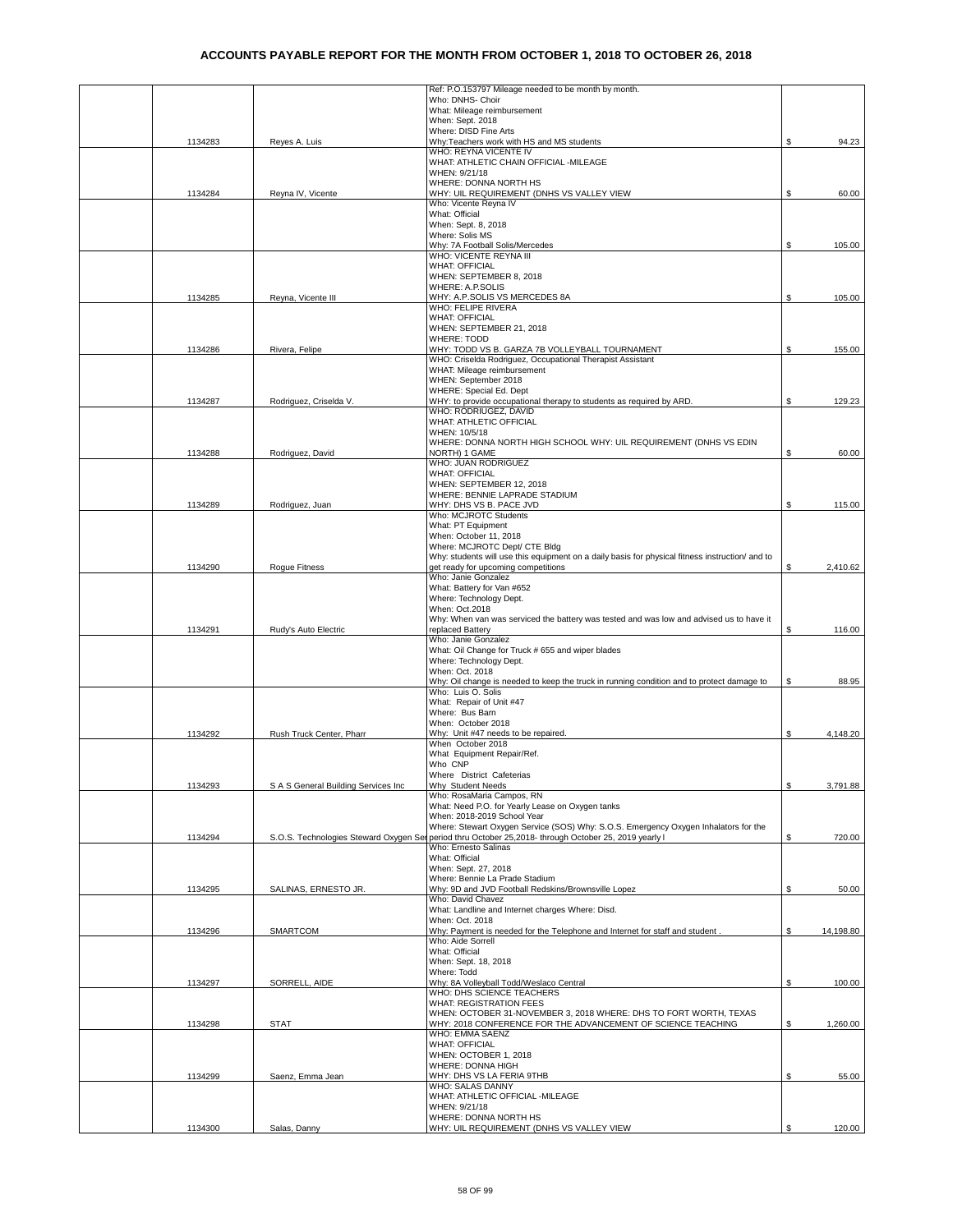|         |                                     | Ref: P.O.153797 Mileage needed to be month by month.                                                               |    |           |
|---------|-------------------------------------|--------------------------------------------------------------------------------------------------------------------|----|-----------|
|         |                                     | Who: DNHS- Choir                                                                                                   |    |           |
|         |                                     | What: Mileage reimbursement                                                                                        |    |           |
|         |                                     | When: Sept. 2018<br>Where: DISD Fine Arts                                                                          |    |           |
| 1134283 | Reyes A. Luis                       | Why:Teachers work with HS and MS students                                                                          | \$ | 94.23     |
|         |                                     | WHO: REYNA VICENTE IV                                                                                              |    |           |
|         |                                     | WHAT: ATHLETIC CHAIN OFFICIAL -MILEAGE                                                                             |    |           |
|         |                                     | WHEN: 9/21/18                                                                                                      |    |           |
|         |                                     | WHERE: DONNA NORTH HS                                                                                              |    |           |
| 1134284 | Reyna IV, Vicente                   | WHY: UIL REQUIREMENT (DNHS VS VALLEY VIEW                                                                          | \$ | 60.00     |
|         |                                     | Who: Vicente Reyna IV<br>What: Official                                                                            |    |           |
|         |                                     | When: Sept. 8, 2018                                                                                                |    |           |
|         |                                     | Where: Solis MS                                                                                                    |    |           |
|         |                                     | Why: 7A Football Solis/Mercedes                                                                                    | \$ | 105.00    |
|         |                                     | WHO: VICENTE REYNA III                                                                                             |    |           |
|         |                                     | <b>WHAT: OFFICIAL</b>                                                                                              |    |           |
|         |                                     | WHEN: SEPTEMBER 8, 2018<br>WHERE: A.P.SOLIS                                                                        |    |           |
| 1134285 | Reyna, Vicente III                  | WHY: A.P.SOLIS VS MERCEDES 8A                                                                                      | \$ | 105.00    |
|         |                                     | WHO: FELIPE RIVERA                                                                                                 |    |           |
|         |                                     | <b>WHAT: OFFICIAL</b>                                                                                              |    |           |
|         |                                     | WHEN: SEPTEMBER 21, 2018                                                                                           |    |           |
|         |                                     | <b>WHERE: TODD</b>                                                                                                 |    |           |
| 1134286 | Rivera, Felipe                      | WHY: TODD VS B. GARZA 7B VOLLEYBALL TOURNAMENT<br>WHO: Criselda Rodriguez, Occupational Therapist Assistant        | S. | 155.00    |
|         |                                     | WHAT: Mileage reimbursement                                                                                        |    |           |
|         |                                     | WHEN: September 2018                                                                                               |    |           |
|         |                                     | WHERE: Special Ed. Dept                                                                                            |    |           |
| 1134287 | Rodriguez, Criselda V.              | WHY: to provide occupational therapy to students as required by ARD.                                               | \$ | 129.23    |
|         |                                     | WHO: RODRIUGEZ, DAVID                                                                                              |    |           |
|         |                                     | WHAT: ATHLETIC OFFICIAL                                                                                            |    |           |
|         |                                     | WHEN: 10/5/18<br>WHERE: DONNA NORTH HIGH SCHOOL WHY: UIL REQUIREMENT (DNHS VS EDIN                                 |    |           |
| 1134288 | Rodriguez, David                    | NORTH) 1 GAME                                                                                                      | S. | 60.00     |
|         |                                     | WHO: JUAN RODRIGUEZ                                                                                                |    |           |
|         |                                     | <b>WHAT: OFFICIAL</b>                                                                                              |    |           |
|         |                                     | WHEN: SEPTEMBER 12, 2018                                                                                           |    |           |
|         |                                     | WHERE: BENNIE LAPRADE STADIUM                                                                                      |    |           |
| 1134289 | Rodriguez, Juan                     | WHY: DHS VS B. PACE JVD<br>Who: MCJROTC Students                                                                   | \$ | 115.00    |
|         |                                     | What: PT Equipment                                                                                                 |    |           |
|         |                                     | When: October 11, 2018                                                                                             |    |           |
|         |                                     | Where: MCJROTC Dept/ CTE Bldg                                                                                      |    |           |
|         |                                     | Why: students will use this equipment on a daily basis for physical fitness instruction/ and to                    |    |           |
| 1134290 | Rogue Fitness                       | get ready for upcoming competitions                                                                                | \$ | 2,410.62  |
|         |                                     | Who: Janie Gonzalez                                                                                                |    |           |
|         |                                     | What: Battery for Van #652<br>Where: Technology Dept.                                                              |    |           |
|         |                                     | When: Oct.2018                                                                                                     |    |           |
|         |                                     | Why: When van was serviced the battery was tested and was low and advised us to have it                            |    |           |
| 1134291 | Rudy's Auto Electric                | replaced Battery                                                                                                   | \$ | 116.00    |
|         |                                     | Who: Janie Gonzalez                                                                                                |    |           |
|         |                                     | What: Oil Change for Truck # 655 and wiper blades                                                                  |    |           |
|         |                                     | Where: Technology Dept.<br>When: Oct. 2018                                                                         |    |           |
|         |                                     | Why: Oil change is needed to keep the truck in running condition and to protect damage to                          | \$ | 88.95     |
|         |                                     | Who: Luis O. Solis                                                                                                 |    |           |
|         |                                     | What: Repair of Unit #47                                                                                           |    |           |
|         |                                     | Where: Bus Barn                                                                                                    |    |           |
|         |                                     | When: October 2018                                                                                                 |    |           |
| 1134292 | Rush Truck Center, Pharr            | Why: Unit #47 needs to be repaired.<br>When October 2018                                                           | \$ | 4,148.20  |
|         |                                     | What Equipment Repair/Ref.                                                                                         |    |           |
|         |                                     | Who CNP                                                                                                            |    |           |
|         |                                     | Where District Cafeterias                                                                                          |    |           |
| 1134293 | S A S General Building Services Inc | Why Student Needs                                                                                                  | \$ | 3,791.88  |
|         |                                     | Who: RosaMaria Campos, RN                                                                                          |    |           |
|         |                                     | What: Need P.O. for Yearly Lease on Oxygen tanks                                                                   |    |           |
|         |                                     | When: 2018-2019 School Year<br>Where: Stewart Oxygen Service (SOS) Why: S.O.S. Emergency Oxygen Inhalators for the |    |           |
| 1134294 |                                     | S.O.S. Technologies Steward Oxygen Ser period thru October 25,2018- through October 25, 2019 yearly I              | \$ | 720.00    |
|         |                                     | Who: Ernesto Salinas                                                                                               |    |           |
|         |                                     | What: Official                                                                                                     |    |           |
|         |                                     | When: Sept. 27, 2018                                                                                               |    |           |
|         |                                     | Where: Bennie La Prade Stadium<br>Why: 9D and JVD Football Redskins/Brownsville Lopez                              |    |           |
| 1134295 | SALINAS, ERNESTO JR.                | Who: David Chavez                                                                                                  | \$ | 50.00     |
|         |                                     | What: Landline and Internet charges Where: Disd.                                                                   |    |           |
|         |                                     | When: Oct. 2018                                                                                                    |    |           |
| 1134296 | SMARTCOM                            | Why: Payment is needed for the Telephone and Internet for staff and student.                                       | \$ | 14,198.80 |
|         |                                     | Who: Aide Sorrell                                                                                                  |    |           |
|         |                                     | What: Official<br>When: Sept. 18, 2018                                                                             |    |           |
|         |                                     | Where: Todd                                                                                                        |    |           |
| 1134297 | SORRELL, AIDE                       | Why: 8A Volleyball Todd/Weslaco Central                                                                            | \$ | 100.00    |
|         |                                     | WHO: DHS SCIENCE TEACHERS                                                                                          |    |           |
|         |                                     | WHAT: REGISTRATION FEES                                                                                            |    |           |
|         |                                     | WHEN: OCTOBER 31-NOVEMBER 3, 2018 WHERE: DHS TO FORT WORTH, TEXAS                                                  |    |           |
| 1134298 | <b>STAT</b>                         | WHY: 2018 CONFERENCE FOR THE ADVANCEMENT OF SCIENCE TEACHING<br>WHO: EMMA SAENZ                                    | \$ | 1,260.00  |
|         |                                     | <b>WHAT: OFFICIAL</b>                                                                                              |    |           |
|         |                                     | WHEN: OCTOBER 1, 2018                                                                                              |    |           |
|         |                                     | WHERE: DONNA HIGH                                                                                                  |    |           |
| 1134299 | Saenz, Emma Jean                    | WHY: DHS VS LA FERIA 9THB                                                                                          | \$ | 55.00     |
|         |                                     | WHO: SALAS DANNY<br>WHAT: ATHLETIC OFFICIAL -MILEAGE                                                               |    |           |
|         |                                     | WHEN: 9/21/18                                                                                                      |    |           |
|         |                                     | WHERE: DONNA NORTH HS                                                                                              |    |           |
| 1134300 | Salas, Danny                        | WHY: UIL REQUIREMENT (DNHS VS VALLEY VIEW                                                                          | \$ | 120.00    |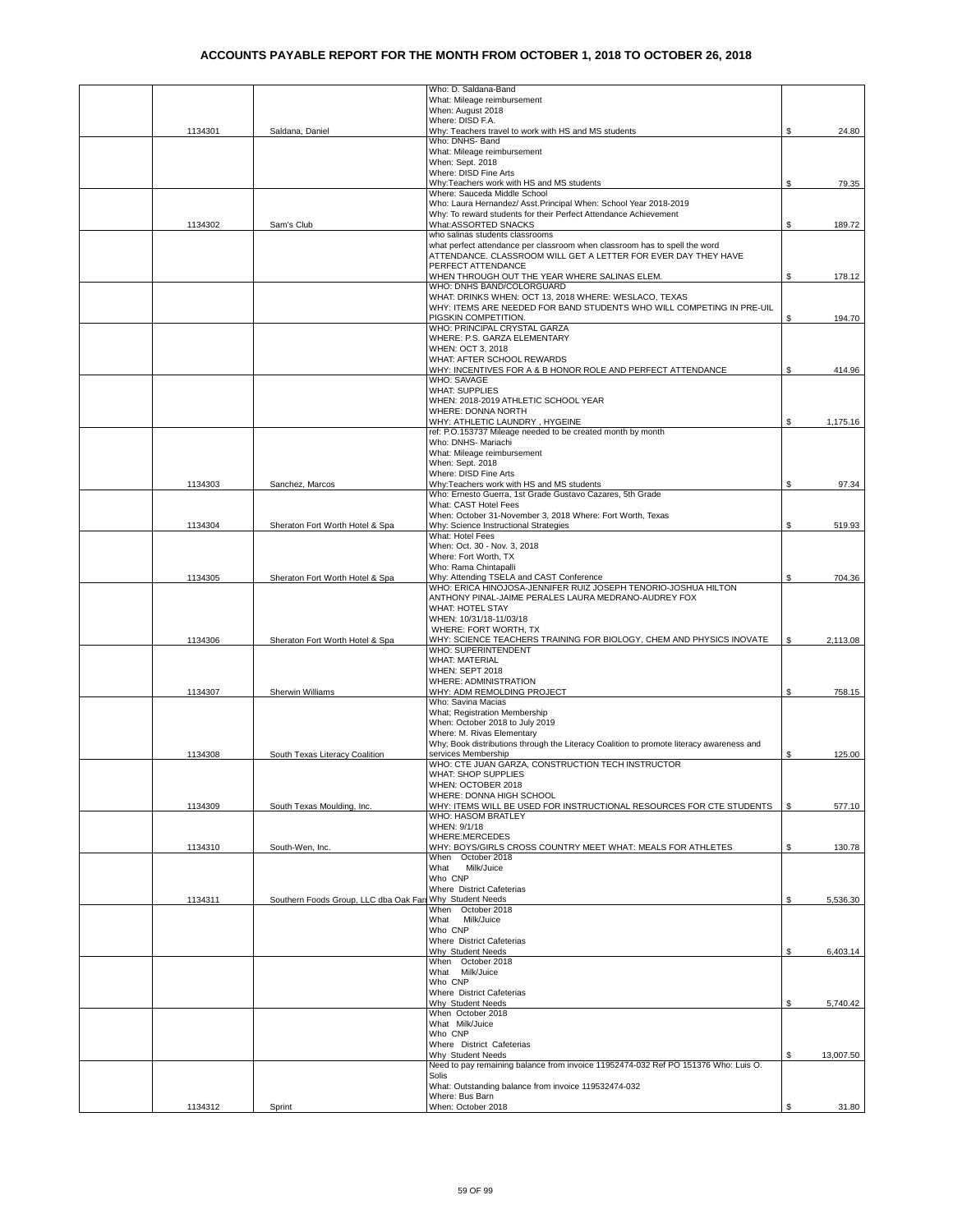|         |                                        | Who: D. Saldana-Band                                                                                    |    |           |
|---------|----------------------------------------|---------------------------------------------------------------------------------------------------------|----|-----------|
|         |                                        | What: Mileage reimbursement                                                                             |    |           |
|         |                                        | When: August 2018                                                                                       |    |           |
|         |                                        | Where: DISD F.A.<br>Why: Teachers travel to work with HS and MS students                                |    |           |
| 1134301 | Saldana, Daniel                        | Who: DNHS- Band                                                                                         | S  | 24.80     |
|         |                                        | What: Mileage reimbursement                                                                             |    |           |
|         |                                        | When: Sept. 2018                                                                                        |    |           |
|         |                                        | Where: DISD Fine Arts                                                                                   |    |           |
|         |                                        | Why:Teachers work with HS and MS students                                                               | \$ | 79.35     |
|         |                                        | Where: Sauceda Middle School                                                                            |    |           |
|         |                                        | Who: Laura Hernandez/ Asst. Principal When: School Year 2018-2019                                       |    |           |
|         |                                        | Why: To reward students for their Perfect Attendance Achievement                                        |    |           |
| 1134302 | Sam's Club                             | What:ASSORTED SNACKS<br>who salinas students classrooms                                                 | S. | 189.72    |
|         |                                        | what perfect attendance per classroom when classroom has to spell the word                              |    |           |
|         |                                        | ATTENDANCE. CLASSROOM WILL GET A LETTER FOR EVER DAY THEY HAVE                                          |    |           |
|         |                                        | PERFECT ATTENDANCE                                                                                      |    |           |
|         |                                        | WHEN THROUGH OUT THE YEAR WHERE SALINAS ELEM.                                                           | S. | 178.12    |
|         |                                        | WHO: DNHS BAND/COLORGUARD                                                                               |    |           |
|         |                                        | WHAT: DRINKS WHEN: OCT 13, 2018 WHERE: WESLACO, TEXAS                                                   |    |           |
|         |                                        | WHY: ITEMS ARE NEEDED FOR BAND STUDENTS WHO WILL COMPETING IN PRE-UIL                                   |    |           |
|         |                                        | PIGSKIN COMPETITION.<br>WHO: PRINCIPAL CRYSTAL GARZA                                                    | S  | 194.70    |
|         |                                        | WHERE: P.S. GARZA ELEMENTARY                                                                            |    |           |
|         |                                        | WHEN: OCT 3, 2018                                                                                       |    |           |
|         |                                        | WHAT: AFTER SCHOOL REWARDS                                                                              |    |           |
|         |                                        | WHY: INCENTIVES FOR A & B HONOR ROLE AND PERFECT ATTENDANCE                                             | S  | 414.96    |
|         |                                        | WHO: SAVAGE                                                                                             |    |           |
|         |                                        | <b>WHAT: SUPPLIES</b>                                                                                   |    |           |
|         |                                        | WHEN: 2018-2019 ATHLETIC SCHOOL YEAR<br>WHERE: DONNA NORTH                                              |    |           |
|         |                                        |                                                                                                         |    | 1.175.16  |
|         |                                        | WHY: ATHLETIC LAUNDRY, HYGEINE<br>ref: P.O.153737 Mileage needed to be created month by month           | S. |           |
|         |                                        | Who: DNHS- Mariachi                                                                                     |    |           |
|         |                                        | What: Mileage reimbursement                                                                             |    |           |
|         |                                        | When: Sept. 2018                                                                                        |    |           |
|         |                                        | Where: DISD Fine Arts                                                                                   |    |           |
| 1134303 | Sanchez, Marcos                        | Why:Teachers work with HS and MS students                                                               | \$ | 97.34     |
|         |                                        | Who: Ernesto Guerra, 1st Grade Gustavo Cazares, 5th Grade                                               |    |           |
|         |                                        | What: CAST Hotel Fees                                                                                   |    |           |
| 1134304 | Sheraton Fort Worth Hotel & Spa        | When: October 31-November 3, 2018 Where: Fort Worth, Texas<br>Why: Science Instructional Strategies     | \$ | 519.93    |
|         |                                        | What: Hotel Fees                                                                                        |    |           |
|         |                                        | When: Oct. 30 - Nov. 3, 2018                                                                            |    |           |
|         |                                        | Where: Fort Worth, TX                                                                                   |    |           |
|         |                                        | Who: Rama Chintapalli                                                                                   |    |           |
| 1134305 | Sheraton Fort Worth Hotel & Spa        | Why: Attending TSELA and CAST Conference                                                                | S  | 704.36    |
|         |                                        | WHO: ERICA HINOJOSA-JENNIFER RUIZ JOSEPH TENORIO-JOSHUA HILTON                                          |    |           |
|         |                                        | ANTHONY PINAL-JAIME PERALES LAURA MEDRANO-AUDREY FOX                                                    |    |           |
|         |                                        | WHAT: HOTEL STAY<br>WHEN: 10/31/18-11/03/18                                                             |    |           |
|         |                                        | WHERE: FORT WORTH, TX                                                                                   |    |           |
| 1134306 | Sheraton Fort Worth Hotel & Spa        | WHY: SCIENCE TEACHERS TRAINING FOR BIOLOGY, CHEM AND PHYSICS INOVATE                                    | S  | 2,113.08  |
|         |                                        | WHO: SUPERINTENDENT                                                                                     |    |           |
|         |                                        | <b>WHAT: MATERIAL</b>                                                                                   |    |           |
|         |                                        | WHEN: SEPT 2018                                                                                         |    |           |
|         |                                        | WHERE: ADMINISTRATION                                                                                   |    |           |
| 1134307 | Sherwin Williams                       | WHY: ADM REMOLDING PROJECT<br>Who: Savina Macias                                                        | S  | 758.15    |
|         |                                        | What; Registration Membership                                                                           |    |           |
|         |                                        | When: October 2018 to July 2019                                                                         |    |           |
|         |                                        | Where: M. Rivas Elementary                                                                              |    |           |
|         |                                        | Why; Book distributions through the Literacy Coalition to promote literacy awareness and                |    |           |
| 1134308 | South Texas Literacy Coalition         | services Membership                                                                                     | \$ | 125.00    |
|         |                                        | WHO: CTE JUAN GARZA, CONSTRUCTION TECH INSTRUCTOR                                                       |    |           |
|         |                                        | WHAT: SHOP SUPPLIES                                                                                     |    |           |
|         |                                        | WHEN: OCTOBER 2018                                                                                      |    |           |
| 1134309 | South Texas Moulding, Inc.             | WHERE: DONNA HIGH SCHOOL<br>WHY: ITEMS WILL BE USED FOR INSTRUCTIONAL RESOURCES FOR CTE STUDENTS        | \$ | 577.10    |
|         |                                        | <b>WHO: HASOM BRATLEY</b>                                                                               |    |           |
|         |                                        | WHEN: 9/1/18                                                                                            |    |           |
|         |                                        | WHERE:MERCEDES                                                                                          |    |           |
| 1134310 | South-Wen, Inc.                        | WHY: BOYS/GIRLS CROSS COUNTRY MEET WHAT: MEALS FOR ATHLETES                                             | \$ | 130.78    |
|         |                                        | When October 2018                                                                                       |    |           |
|         |                                        | What<br>Milk/Juice                                                                                      |    |           |
|         |                                        | Who CNP<br>Where District Cafeterias                                                                    |    |           |
| 1134311 | Southern Foods Group, LLC dba Oak Farr | Why Student Needs                                                                                       | \$ | 5,536.30  |
|         |                                        | When October 2018                                                                                       |    |           |
|         |                                        | What Milk/Juice                                                                                         |    |           |
|         |                                        | Who CNP                                                                                                 |    |           |
|         |                                        | Where District Cafeterias                                                                               |    |           |
|         |                                        | Why Student Needs                                                                                       | \$ | 6,403.14  |
|         |                                        | When October 2018                                                                                       |    |           |
|         |                                        | What Milk/Juice<br>Who CNP                                                                              |    |           |
|         |                                        | Where District Cafeterias                                                                               |    |           |
|         |                                        | Why Student Needs                                                                                       | \$ | 5,740.42  |
|         |                                        | When October 2018                                                                                       |    |           |
|         |                                        | What Milk/Juice                                                                                         |    |           |
|         |                                        | Who CNP                                                                                                 |    |           |
|         |                                        | Where District Cafeterias                                                                               |    |           |
|         |                                        | Why Student Needs<br>Need to pay remaining balance from invoice 11952474-032 Ref PO 151376 Who: Luis O. | \$ | 13,007.50 |
|         |                                        | Solis                                                                                                   |    |           |
|         |                                        | What: Outstanding balance from invoice 119532474-032                                                    |    |           |
|         |                                        | Where: Bus Barn                                                                                         |    |           |
| 1134312 | Sprint                                 | When: October 2018                                                                                      | \$ | 31.80     |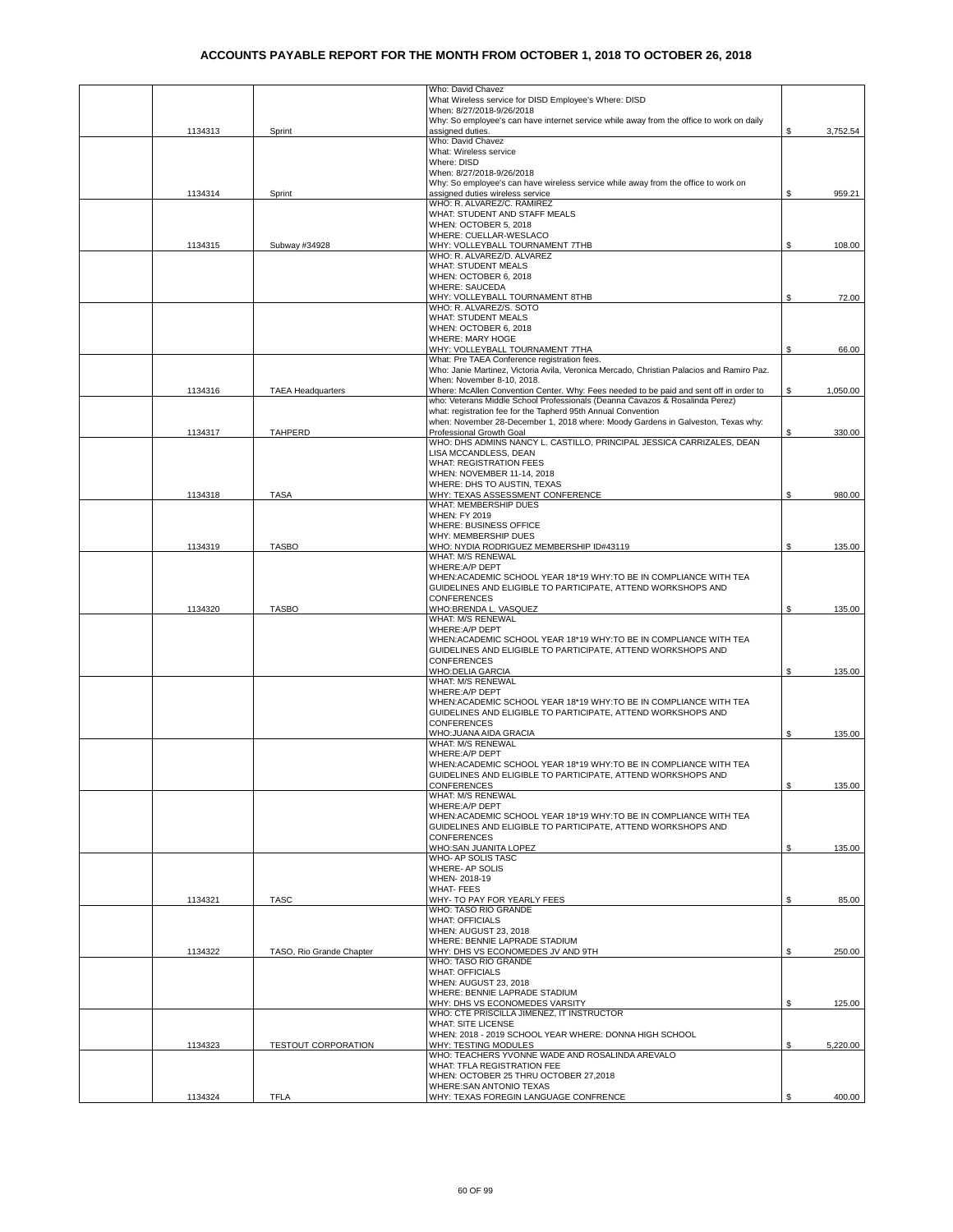|         |                            | Who: David Chavez                                                                                                                  |    |          |
|---------|----------------------------|------------------------------------------------------------------------------------------------------------------------------------|----|----------|
|         |                            | What Wireless service for DISD Employee's Where: DISD<br>When: 8/27/2018-9/26/2018                                                 |    |          |
|         |                            | Why: So employee's can have internet service while away from the office to work on daily                                           |    |          |
| 1134313 | Sprint                     | assigned duties.                                                                                                                   | \$ | 3,752.54 |
|         |                            | Who: David Chavez                                                                                                                  |    |          |
|         |                            | What: Wireless service                                                                                                             |    |          |
|         |                            | Where: DISD                                                                                                                        |    |          |
|         |                            | When: 8/27/2018-9/26/2018<br>Why: So employee's can have wireless service while away from the office to work on                    |    |          |
| 1134314 | Sprint                     | assigned duties wireless service                                                                                                   | \$ | 959.21   |
|         |                            | WHO: R. ALVAREZ/C. RAMIREZ                                                                                                         |    |          |
|         |                            | WHAT: STUDENT AND STAFF MEALS                                                                                                      |    |          |
|         |                            | WHEN: OCTOBER 5, 2018                                                                                                              |    |          |
|         |                            | WHERE: CUELLAR-WESLACO                                                                                                             |    |          |
| 1134315 | Subway #34928              | WHY: VOLLEYBALL TOURNAMENT 7THB<br>WHO: R. ALVAREZ/D. ALVAREZ                                                                      | S  | 108.00   |
|         |                            | <b>WHAT: STUDENT MEALS</b>                                                                                                         |    |          |
|         |                            | WHEN: OCTOBER 6, 2018                                                                                                              |    |          |
|         |                            | <b>WHERE: SAUCEDA</b>                                                                                                              |    |          |
|         |                            | WHY: VOLLEYBALL TOURNAMENT 8THB                                                                                                    | S  | 72.00    |
|         |                            | WHO: R. ALVAREZ/S. SOTO<br>WHAT: STUDENT MEALS                                                                                     |    |          |
|         |                            | WHEN: OCTOBER 6, 2018                                                                                                              |    |          |
|         |                            | WHERE: MARY HOGE                                                                                                                   |    |          |
|         |                            | WHY: VOLLEYBALL TOURNAMENT 7THA                                                                                                    | \$ | 66.00    |
|         |                            | What: Pre TAEA Conference registration fees.                                                                                       |    |          |
|         |                            | Who: Janie Martinez, Victoria Avila, Veronica Mercado, Christian Palacios and Ramiro Paz.                                          |    |          |
|         |                            | When: November 8-10, 2018.<br>Where: McAllen Convention Center. Why: Fees needed to be paid and sent off in order to               |    |          |
| 1134316 | <b>TAEA Headquarters</b>   | who: Veterans Middle School Professionals (Deanna Cavazos & Rosalinda Perez)                                                       | S  | 1,050.00 |
|         |                            | what: registration fee for the Tapherd 95th Annual Convention                                                                      |    |          |
|         |                            | when: November 28-December 1, 2018 where: Moody Gardens in Galveston, Texas why:                                                   |    |          |
| 1134317 | <b>TAHPERD</b>             | Professional Growth Goal                                                                                                           | S  | 330.00   |
|         |                            | WHO: DHS ADMINS NANCY L. CASTILLO, PRINCIPAL JESSICA CARRIZALES, DEAN                                                              |    |          |
|         |                            | LISA MCCANDLESS, DEAN<br><b>WHAT: REGISTRATION FEES</b>                                                                            |    |          |
|         |                            | WHEN: NOVEMBER 11-14, 2018                                                                                                         |    |          |
|         |                            | WHERE: DHS TO AUSTIN, TEXAS                                                                                                        |    |          |
| 1134318 | <b>TASA</b>                | WHY: TEXAS ASSESSMENT CONFERENCE                                                                                                   | \$ | 980.00   |
|         |                            | WHAT: MEMBERSHIP DUES                                                                                                              |    |          |
|         |                            | <b>WHEN: FY 2019</b>                                                                                                               |    |          |
|         |                            | WHERE: BUSINESS OFFICE                                                                                                             |    |          |
|         |                            | WHY: MEMBERSHIP DUES<br>WHO: NYDIA RODRIGUEZ MEMBERSHIP ID#43119                                                                   | \$ | 135.00   |
| 1134319 | <b>TASBO</b>               | WHAT: M/S RENEWAL                                                                                                                  |    |          |
|         |                            | WHERE: A/P DEPT                                                                                                                    |    |          |
|         |                            | WHEN: ACADEMIC SCHOOL YEAR 18*19 WHY: TO BE IN COMPLIANCE WITH TEA                                                                 |    |          |
|         |                            | GUIDELINES AND ELIGIBLE TO PARTICIPATE, ATTEND WORKSHOPS AND                                                                       |    |          |
|         |                            | <b>CONFERENCES</b>                                                                                                                 |    |          |
| 1134320 | <b>TASBO</b>               | WHO:BRENDA L. VASQUEZ<br>WHAT: M/S RENEWAL                                                                                         | \$ | 135.00   |
|         |                            | WHERE: A/P DEPT                                                                                                                    |    |          |
|         |                            | WHEN: ACADEMIC SCHOOL YEAR 18*19 WHY: TO BE IN COMPLIANCE WITH TEA                                                                 |    |          |
|         |                            | GUIDELINES AND ELIGIBLE TO PARTICIPATE, ATTEND WORKSHOPS AND                                                                       |    |          |
|         |                            | CONFERENCES                                                                                                                        |    |          |
|         |                            | <b>WHO:DELIA GARCIA</b>                                                                                                            | \$ | 135.00   |
|         |                            | WHAT: M/S RENEWAL                                                                                                                  |    |          |
|         |                            | WHERE: A/P DEPT<br>WHEN: ACADEMIC SCHOOL YEAR 18*19 WHY: TO BE IN COMPLIANCE WITH TEA                                              |    |          |
|         |                            | GUIDELINES AND ELIGIBLE TO PARTICIPATE, ATTEND WORKSHOPS AND                                                                       |    |          |
|         |                            | <b>CONFERENCES</b>                                                                                                                 |    |          |
|         |                            | WHO: JUANA AIDA GRACIA                                                                                                             | \$ | 135.00   |
|         |                            | WHAT: M/S RENEWAL                                                                                                                  |    |          |
|         |                            | WHERE: A/P DEPT                                                                                                                    |    |          |
|         |                            | WHEN: ACADEMIC SCHOOL YEAR 18*19 WHY: TO BE IN COMPLIANCE WITH TEA<br>GUIDELINES AND ELIGIBLE TO PARTICIPATE, ATTEND WORKSHOPS AND |    |          |
|         |                            | <b>CONFERENCES</b>                                                                                                                 | \$ | 135.00   |
|         |                            | WHAT: M/S RENEWAL                                                                                                                  |    |          |
|         |                            | WHERE: A/P DEPT                                                                                                                    |    |          |
|         |                            | WHEN: ACADEMIC SCHOOL YEAR 18*19 WHY: TO BE IN COMPLIANCE WITH TEA                                                                 |    |          |
|         |                            | GUIDELINES AND ELIGIBLE TO PARTICIPATE, ATTEND WORKSHOPS AND                                                                       |    |          |
|         |                            | <b>CONFERENCES</b>                                                                                                                 | \$ |          |
|         |                            | WHO:SAN JUANITA LOPEZ<br>WHO- AP SOLIS TASC                                                                                        |    | 135.00   |
|         |                            | WHERE- AP SOLIS                                                                                                                    |    |          |
|         |                            | WHEN-2018-19                                                                                                                       |    |          |
|         |                            | <b>WHAT-FEES</b>                                                                                                                   |    |          |
| 1134321 | <b>TASC</b>                | WHY- TO PAY FOR YEARLY FEES                                                                                                        | \$ | 85.00    |
|         |                            | WHO: TASO RIO GRANDE<br><b>WHAT: OFFICIALS</b>                                                                                     |    |          |
|         |                            | WHEN: AUGUST 23, 2018                                                                                                              |    |          |
|         |                            | WHERE: BENNIE LAPRADE STADIUM                                                                                                      |    |          |
| 1134322 | TASO, Rio Grande Chapter   | WHY: DHS VS ECONOMEDES JV AND 9TH                                                                                                  | \$ | 250.00   |
|         |                            | WHO: TASO RIO GRANDE                                                                                                               |    |          |
|         |                            | <b>WHAT: OFFICIALS</b>                                                                                                             |    |          |
|         |                            | WHEN: AUGUST 23, 2018<br>WHERE: BENNIE LAPRADE STADIUM                                                                             |    |          |
|         |                            | WHY: DHS VS ECONOMEDES VARSITY                                                                                                     | \$ | 125.00   |
|         |                            | WHO: CTE PRISCILLA JIMENEZ, IT INSTRUCTOR                                                                                          |    |          |
|         |                            | <b>WHAT: SITE LICENSE</b>                                                                                                          |    |          |
|         |                            | WHEN: 2018 - 2019 SCHOOL YEAR WHERE: DONNA HIGH SCHOOL                                                                             |    |          |
| 1134323 | <b>TESTOUT CORPORATION</b> | WHY: TESTING MODULES                                                                                                               | \$ | 5,220.00 |
|         |                            | WHO: TEACHERS YVONNE WADE AND ROSALINDA AREVALO<br>WHAT: TFLA REGISTRATION FEE                                                     |    |          |
|         |                            | WHEN: OCTOBER 25 THRU OCTOBER 27,2018                                                                                              |    |          |
|         |                            | <b>WHERE:SAN ANTONIO TEXAS</b>                                                                                                     |    |          |
| 1134324 | <b>TFLA</b>                | WHY: TEXAS FOREGIN LANGUAGE CONFRENCE                                                                                              | \$ | 400.00   |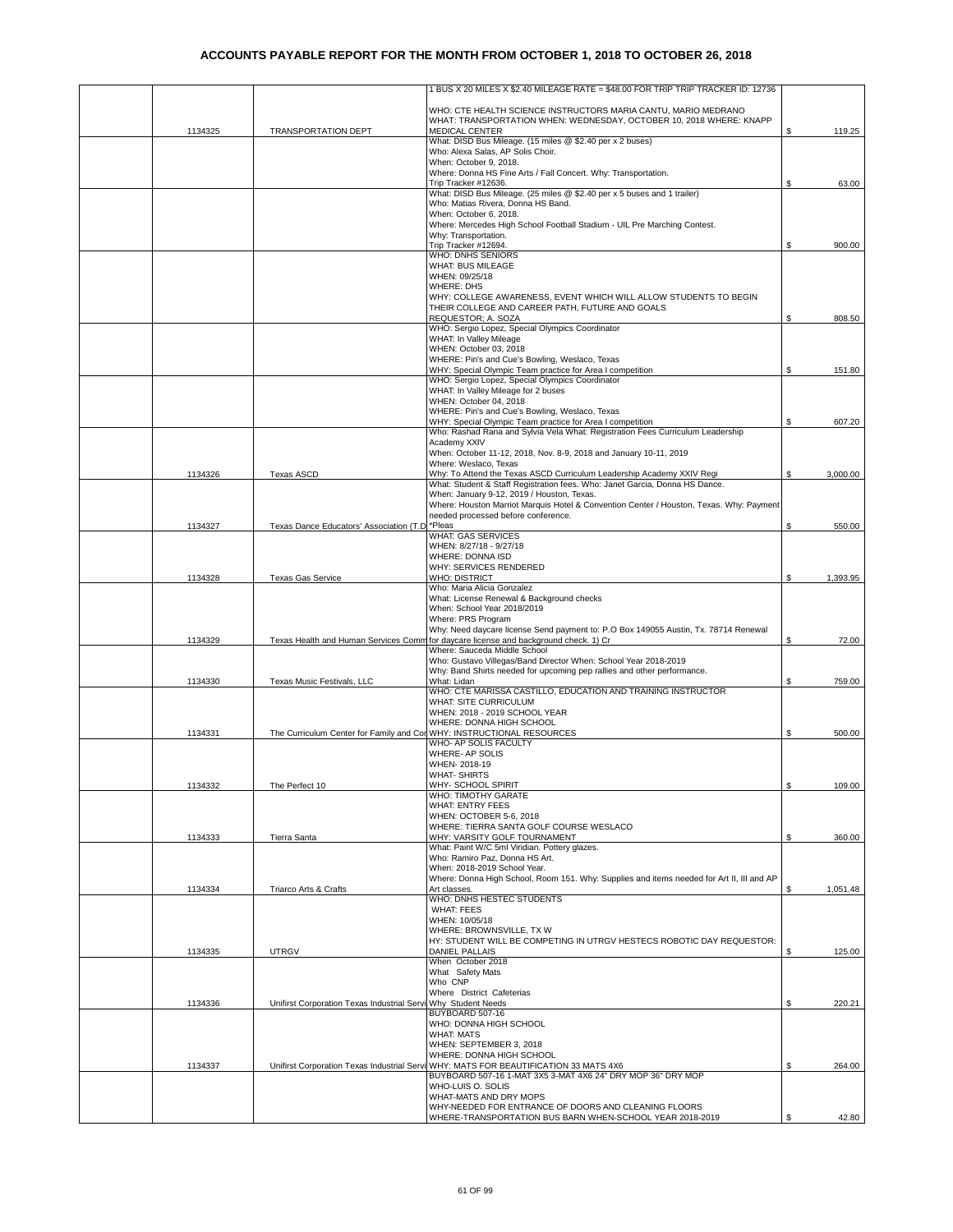|         |                                                                       | 1 BUS X 20 MILES X \$2.40 MILEAGE RATE = \$48.00 FOR TRIP TRIP TRACKER ID: 12736                                                                     |    |          |
|---------|-----------------------------------------------------------------------|------------------------------------------------------------------------------------------------------------------------------------------------------|----|----------|
|         |                                                                       | WHO: CTE HEALTH SCIENCE INSTRUCTORS MARIA CANTU, MARIO MEDRANO<br>WHAT: TRANSPORTATION WHEN: WEDNESDAY, OCTOBER 10, 2018 WHERE: KNAPP                |    |          |
| 1134325 | TRANSPORTATION DEPT                                                   | MEDICAL CENTER<br>What: DISD Bus Mileage. (15 miles @ \$2.40 per x 2 buses)                                                                          |    | 119.25   |
|         |                                                                       | Who: Alexa Salas, AP Solis Choir.                                                                                                                    |    |          |
|         |                                                                       | When: October 9, 2018.<br>Where: Donna HS Fine Arts / Fall Concert. Why: Transportation.                                                             |    |          |
|         |                                                                       | Trip Tracker #12636.                                                                                                                                 | S  | 63.00    |
|         |                                                                       | What: DISD Bus Mileage. (25 miles @ \$2.40 per x 5 buses and 1 trailer)<br>Who: Matias Rivera, Donna HS Band.                                        |    |          |
|         |                                                                       | When: October 6, 2018.                                                                                                                               |    |          |
|         |                                                                       | Where: Mercedes High School Football Stadium - UIL Pre Marching Contest.                                                                             |    |          |
|         |                                                                       | Why: Transportation.<br>Trip Tracker #12694.                                                                                                         | \$ | 900.00   |
|         |                                                                       | <b>WHO: DNHS SENIORS</b>                                                                                                                             |    |          |
|         |                                                                       | WHAT: BUS MILEAGE<br>WHEN: 09/25/18                                                                                                                  |    |          |
|         |                                                                       | <b>WHERE: DHS</b>                                                                                                                                    |    |          |
|         |                                                                       | WHY: COLLEGE AWARENESS, EVENT WHICH WILL ALLOW STUDENTS TO BEGIN<br>THEIR COLLEGE AND CAREER PATH, FUTURE AND GOALS                                  |    |          |
|         |                                                                       | REQUESTOR; A. SOZA                                                                                                                                   | \$ | 808.50   |
|         |                                                                       | WHO: Sergio Lopez, Special Olympics Coordinator                                                                                                      |    |          |
|         |                                                                       | WHAT: In Valley Mileage<br>WHEN: October 03, 2018                                                                                                    |    |          |
|         |                                                                       | WHERE: Pin's and Cue's Bowling, Weslaco, Texas                                                                                                       |    |          |
|         |                                                                       | WHY: Special Olympic Team practice for Area I competition<br>WHO: Sergio Lopez, Special Olympics Coordinator                                         | \$ | 151.80   |
|         |                                                                       | WHAT: In Valley Mileage for 2 buses                                                                                                                  |    |          |
|         |                                                                       | WHEN: October 04, 2018<br>WHERE: Pin's and Cue's Bowling, Weslaco, Texas                                                                             |    |          |
|         |                                                                       | WHY: Special Olympic Team practice for Area I competition                                                                                            | \$ | 607.20   |
|         |                                                                       | Who: Rashad Rana and Sylvia Vela What: Registration Fees Curriculum Leadership<br>Academy XXIV                                                       |    |          |
|         |                                                                       | When: October 11-12, 2018, Nov. 8-9, 2018 and January 10-11, 2019                                                                                    |    |          |
|         |                                                                       | Where: Weslaco, Texas                                                                                                                                |    |          |
| 1134326 | <b>Texas ASCD</b>                                                     | Why: To Attend the Texas ASCD Curriculum Leadership Academy XXIV Regi<br>What: Student & Staff Registration fees. Who: Janet Garcia, Donna HS Dance. | \$ | 3,000.00 |
|         |                                                                       | When: January 9-12, 2019 / Houston, Texas.                                                                                                           |    |          |
|         |                                                                       | Where: Houston Marriot Marquis Hotel & Convention Center / Houston, Texas. Why: Payment<br>needed processed before conference.                       |    |          |
| 1134327 | Texas Dance Educators' Association (T.D                               | *Pleas                                                                                                                                               | \$ | 550.00   |
|         |                                                                       | <b>WHAT: GAS SERVICES</b><br>WHEN: 8/27/18 - 9/27/18                                                                                                 |    |          |
|         |                                                                       | WHERE: DONNA ISD                                                                                                                                     |    |          |
|         |                                                                       | WHY: SERVICES RENDERED                                                                                                                               |    |          |
| 1134328 | <b>Texas Gas Service</b>                                              | <b>WHO: DISTRICT</b><br>Who: Maria Alicia Gonzalez                                                                                                   | S  | 1,393.95 |
|         |                                                                       | What: License Renewal & Background checks                                                                                                            |    |          |
|         |                                                                       | When: School Year 2018/2019<br>Where: PRS Program                                                                                                    |    |          |
|         |                                                                       | Why: Need daycare license Send payment to: P.O Box 149055 Austin, Tx. 78714 Renewal                                                                  |    |          |
| 1134329 |                                                                       | Texas Health and Human Services Comm for daycare license and background check. 1) Cr<br>Where: Sauceda Middle School                                 | \$ | 72.00    |
|         |                                                                       | Who: Gustavo Villegas/Band Director When: School Year 2018-2019                                                                                      |    |          |
| 1134330 | Texas Music Festivals, LLC                                            | Why: Band Shirts needed for upcoming pep rallies and other performance.<br>What: Lidan                                                               | \$ | 759.00   |
|         |                                                                       | WHO: CTE MARISSA CASTILLO, EDUCATION AND TRAINING INSTRUCTOR                                                                                         |    |          |
|         |                                                                       | WHAT: SITE CURRICULUM<br>WHEN: 2018 - 2019 SCHOOL YEAR                                                                                               |    |          |
|         |                                                                       | WHERE: DONNA HIGH SCHOOL                                                                                                                             |    |          |
| 1134331 | The Curriculum Center for Family and Con WHY: INSTRUCTIONAL RESOURCES |                                                                                                                                                      | \$ | 500.00   |
|         |                                                                       | WHO- AP SOLIS FACULTY<br>WHERE- AP SOLIS                                                                                                             |    |          |
|         |                                                                       | WHEN-2018-19                                                                                                                                         |    |          |
| 1134332 | The Perfect 10                                                        | <b>WHAT-SHIRTS</b><br>WHY- SCHOOL SPIRIT                                                                                                             | \$ | 109.00   |
|         |                                                                       | WHO: TIMOTHY GARATE                                                                                                                                  |    |          |
|         |                                                                       | <b>WHAT: ENTRY FEES</b><br>WHEN: OCTOBER 5-6, 2018                                                                                                   |    |          |
|         |                                                                       | WHERE: TIERRA SANTA GOLF COURSE WESLACO                                                                                                              |    |          |
| 1134333 | Tierra Santa                                                          | WHY: VARSITY GOLF TOURNAMENT<br>What: Paint W/C 5ml Viridian. Pottery glazes.                                                                        | S  | 360.00   |
|         |                                                                       | Who: Ramiro Paz, Donna HS Art.                                                                                                                       |    |          |
|         |                                                                       | When: 2018-2019 School Year.<br>Where: Donna High School, Room 151. Why: Supplies and items needed for Art II, III and AP                            |    |          |
| 1134334 | Triarco Arts & Crafts                                                 | Art classes                                                                                                                                          | \$ | 1,051.48 |
|         |                                                                       | WHO: DNHS HESTEC STUDENTS<br><b>WHAT: FEES</b>                                                                                                       |    |          |
|         |                                                                       | WHEN: 10/05/18                                                                                                                                       |    |          |
|         |                                                                       | WHERE: BROWNSVILLE, TX W                                                                                                                             |    |          |
| 1134335 | <b>UTRGV</b>                                                          | HY: STUDENT WILL BE COMPETING IN UTRGV HESTECS ROBOTIC DAY REQUESTOR:<br><b>DANIEL PALLAIS</b>                                                       | \$ | 125.00   |
|         |                                                                       | When October 2018                                                                                                                                    |    |          |
|         |                                                                       | What Safety Mats<br>Who CNP                                                                                                                          |    |          |
|         |                                                                       | Where District Cafeterias                                                                                                                            |    |          |
| 1134336 | Unifirst Corporation Texas Industrial Servi Why Student Needs         | BUYBOARD 507-16                                                                                                                                      | \$ | 220.21   |
|         |                                                                       | WHO: DONNA HIGH SCHOOL                                                                                                                               |    |          |
|         |                                                                       | <b>WHAT: MATS</b><br>WHEN: SEPTEMBER 3, 2018                                                                                                         |    |          |
|         |                                                                       | WHERE: DONNA HIGH SCHOOL                                                                                                                             |    |          |
| 1134337 |                                                                       | Unifirst Corporation Texas Industrial Servi WHY: MATS FOR BEAUTIFICATION 33 MATS 4X6<br>BUYBOARD 507-16 1-MAT 3X5 3-MAT 4X6 24" DRY MOP 36" DRY MOP  | \$ | 264.00   |
|         |                                                                       | WHO-LUIS O. SOLIS                                                                                                                                    |    |          |
|         |                                                                       | WHAT-MATS AND DRY MOPS<br>WHY-NEEDED FOR ENTRANCE OF DOORS AND CLEANING FLOORS                                                                       |    |          |
|         |                                                                       | WHERE-TRANSPORTATION BUS BARN WHEN-SCHOOL YEAR 2018-2019                                                                                             | S  | 42.80    |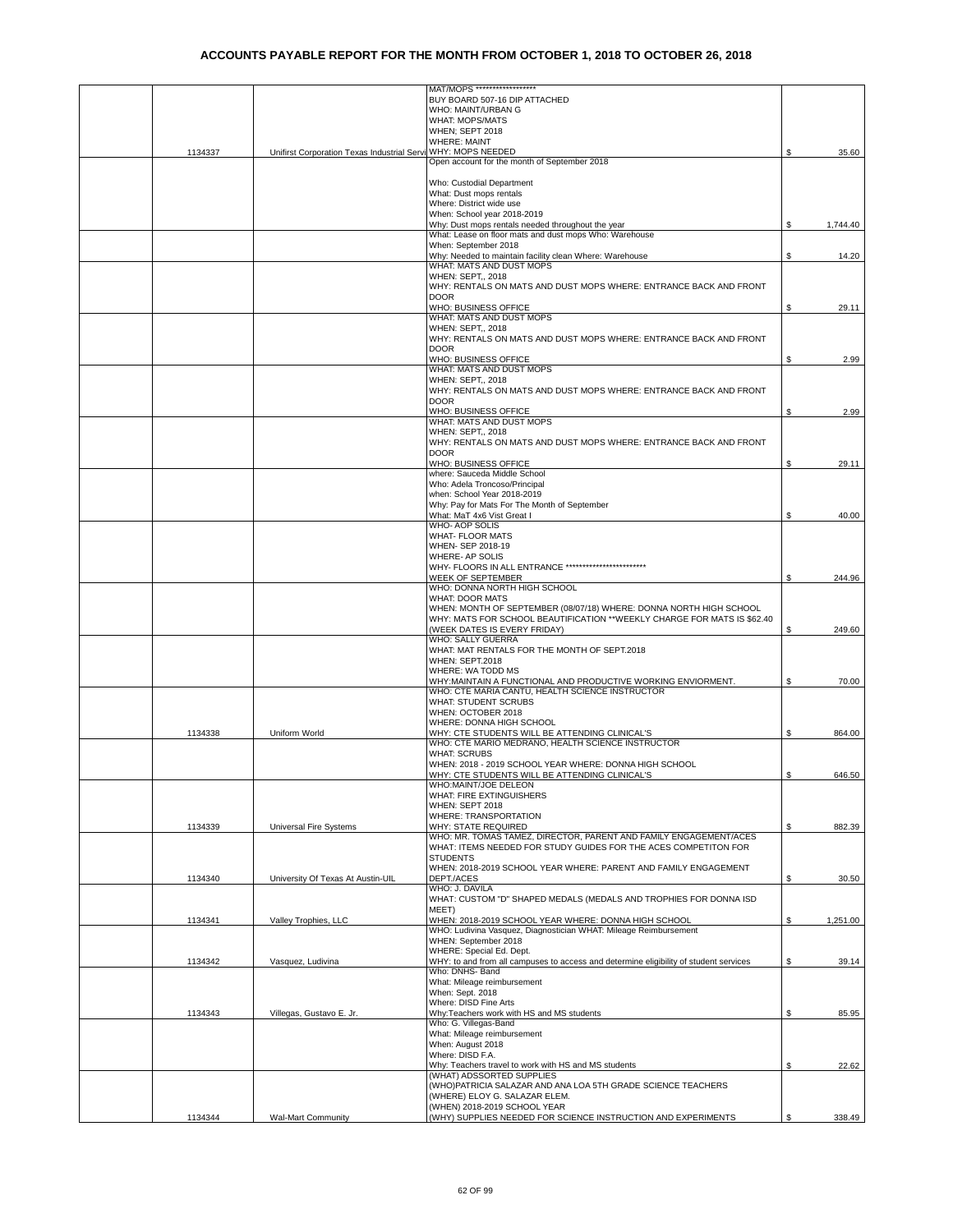|         |                                                              | MAT/MOPS ******************                                                              |    |          |
|---------|--------------------------------------------------------------|------------------------------------------------------------------------------------------|----|----------|
|         |                                                              | BUY BOARD 507-16 DIP ATTACHED                                                            |    |          |
|         |                                                              | WHO: MAINT/URBAN G                                                                       |    |          |
|         |                                                              | <b>WHAT: MOPS/MATS</b>                                                                   |    |          |
|         |                                                              | WHEN; SEPT 2018                                                                          |    |          |
|         |                                                              | <b>WHERE: MAINT</b>                                                                      |    |          |
| 1134337 | Unifirst Corporation Texas Industrial Servi WHY: MOPS NEEDED |                                                                                          | S  | 35.60    |
|         |                                                              | Open account for the month of September 2018                                             |    |          |
|         |                                                              |                                                                                          |    |          |
|         |                                                              | Who: Custodial Department                                                                |    |          |
|         |                                                              | What: Dust mops rentals                                                                  |    |          |
|         |                                                              | Where: District wide use                                                                 |    |          |
|         |                                                              | When: School year 2018-2019                                                              |    |          |
|         |                                                              | Why: Dust mops rentals needed throughout the year                                        |    | 1,744.40 |
|         |                                                              | What: Lease on floor mats and dust mops Who: Warehouse                                   |    |          |
|         |                                                              | When: September 2018                                                                     |    |          |
|         |                                                              | Why: Needed to maintain facility clean Where: Warehouse                                  | S  | 14.20    |
|         |                                                              | WHAT: MATS AND DUST MOPS                                                                 |    |          |
|         |                                                              | WHEN: SEPT,, 2018                                                                        |    |          |
|         |                                                              | WHY: RENTALS ON MATS AND DUST MOPS WHERE: ENTRANCE BACK AND FRONT                        |    |          |
|         |                                                              | <b>DOOR</b>                                                                              |    |          |
|         |                                                              | WHO: BUSINESS OFFICE                                                                     | \$ | 29.11    |
|         |                                                              | WHAT: MATS AND DUST MOPS                                                                 |    |          |
|         |                                                              | WHEN: SEPT., 2018                                                                        |    |          |
|         |                                                              | WHY: RENTALS ON MATS AND DUST MOPS WHERE: ENTRANCE BACK AND FRONT                        |    |          |
|         |                                                              | <b>DOOR</b>                                                                              |    |          |
|         |                                                              | WHO: BUSINESS OFFICE<br>WHAT: MATS AND DUST MOPS                                         | \$ | 2.99     |
|         |                                                              |                                                                                          |    |          |
|         |                                                              | WHEN: SEPT,, 2018<br>WHY: RENTALS ON MATS AND DUST MOPS WHERE: ENTRANCE BACK AND FRONT   |    |          |
|         |                                                              | <b>DOOR</b>                                                                              |    |          |
|         |                                                              | WHO: BUSINESS OFFICE                                                                     | S  | 2.99     |
|         |                                                              | WHAT: MATS AND DUST MOPS                                                                 |    |          |
|         |                                                              | WHEN: SEPT,, 2018                                                                        |    |          |
|         |                                                              | WHY: RENTALS ON MATS AND DUST MOPS WHERE: ENTRANCE BACK AND FRONT                        |    |          |
|         |                                                              | <b>DOOR</b>                                                                              |    |          |
|         |                                                              | <b>WHO: BUSINESS OFFICE</b>                                                              | \$ | 29.11    |
|         |                                                              | where: Sauceda Middle School                                                             |    |          |
|         |                                                              | Who: Adela Troncoso/Principal                                                            |    |          |
|         |                                                              | when: School Year 2018-2019                                                              |    |          |
|         |                                                              | Why: Pay for Mats For The Month of September                                             |    |          |
|         |                                                              | What: MaT 4x6 Vist Great I                                                               | S  | 40.00    |
|         |                                                              | WHO- AOP SOLIS                                                                           |    |          |
|         |                                                              | <b>WHAT- FLOOR MATS</b>                                                                  |    |          |
|         |                                                              | WHEN- SEP 2018-19                                                                        |    |          |
|         |                                                              | WHERE- AP SOLIS                                                                          |    |          |
|         |                                                              | WHY- FLOORS IN ALL ENTRANCE                                                              |    |          |
|         |                                                              | WEEK OF SEPTEMBER                                                                        | S  | 244.96   |
|         |                                                              | WHO: DONNA NORTH HIGH SCHOOL                                                             |    |          |
|         |                                                              | <b>WHAT: DOOR MATS</b>                                                                   |    |          |
|         |                                                              | WHEN: MONTH OF SEPTEMBER (08/07/18) WHERE: DONNA NORTH HIGH SCHOOL                       |    |          |
|         |                                                              | WHY: MATS FOR SCHOOL BEAUTIFICATION **WEEKLY CHARGE FOR MATS IS \$62.40                  |    |          |
|         |                                                              | (WEEK DATES IS EVERY FRIDAY)                                                             | \$ | 249.60   |
|         |                                                              | WHO: SALLY GUERRA                                                                        |    |          |
|         |                                                              | WHAT: MAT RENTALS FOR THE MONTH OF SEPT.2018                                             |    |          |
|         |                                                              | WHEN: SEPT.2018                                                                          |    |          |
|         |                                                              | WHERE: WA TODD MS                                                                        |    |          |
|         |                                                              | WHY: MAINTAIN A FUNCTIONAL AND PRODUCTIVE WORKING ENVIORMENT.                            | \$ | 70.00    |
|         |                                                              | WHO: CTE MARIA CANTU, HEALTH SCIENCE INSTRUCTOR                                          |    |          |
|         |                                                              | <b>WHAT: STUDENT SCRUBS</b>                                                              |    |          |
|         |                                                              | WHEN: OCTOBER 2018                                                                       |    |          |
|         |                                                              | WHERE: DONNA HIGH SCHOOL                                                                 |    |          |
| 1134338 | Uniform World                                                | WHY: CTE STUDENTS WILL BE ATTENDING CLINICAL'S                                           | S  | 864.00   |
|         |                                                              | WHO: CTE MARIO MEDRANO, HEALTH SCIENCE INSTRUCTOR                                        |    |          |
|         |                                                              | <b>WHAT: SCRUBS</b>                                                                      |    |          |
|         |                                                              | WHEN: 2018 - 2019 SCHOOL YEAR WHERE: DONNA HIGH SCHOOL                                   |    |          |
|         |                                                              | WHY: CTE STUDENTS WILL BE ATTENDING CLINICAL'S                                           |    | 646.50   |
|         |                                                              | WHO:MAINT/JOE DELEON                                                                     |    |          |
|         |                                                              | WHAT: FIRE EXTINGUISHERS                                                                 |    |          |
|         |                                                              | WHEN: SEPT 2018                                                                          |    |          |
|         |                                                              | WHERE: TRANSPORTATION                                                                    |    |          |
| 1134339 | Universal Fire Systems                                       | WHY: STATE REQUIRED<br>WHO: MR. TOMAS TAMEZ. DIRECTOR. PARENT AND FAMILY ENGAGEMENT/ACES | \$ | 882.39   |
|         |                                                              |                                                                                          |    |          |
|         |                                                              | WHAT: ITEMS NEEDED FOR STUDY GUIDES FOR THE ACES COMPETITON FOR                          |    |          |
|         |                                                              | <b>STUDENTS</b>                                                                          |    |          |
|         |                                                              | WHEN: 2018-2019 SCHOOL YEAR WHERE: PARENT AND FAMILY ENGAGEMENT<br>DEPT./ACES            | S  |          |
| 1134340 | University Of Texas At Austin-UIL                            | WHO: J. DAVILA                                                                           |    | 30.50    |
|         |                                                              | WHAT: CUSTOM "D" SHAPED MEDALS (MEDALS AND TROPHIES FOR DONNA ISD                        |    |          |
|         |                                                              | MEET)                                                                                    |    |          |
| 1134341 | Valley Trophies, LLC                                         | WHEN: 2018-2019 SCHOOL YEAR WHERE: DONNA HIGH SCHOOL                                     | \$ | 1,251.00 |
|         |                                                              | WHO: Ludivina Vasquez, Diagnostician WHAT: Mileage Reimbursement                         |    |          |
|         |                                                              | WHEN: September 2018                                                                     |    |          |
|         |                                                              | WHERE: Special Ed. Dept.                                                                 |    |          |
| 1134342 | Vasquez, Ludivina                                            | WHY: to and from all campuses to access and determine eligibility of student services    | \$ | 39.14    |
|         |                                                              | Who: DNHS- Band                                                                          |    |          |
|         |                                                              | What: Mileage reimbursement                                                              |    |          |
|         |                                                              | When: Sept. 2018                                                                         |    |          |
|         |                                                              | Where: DISD Fine Arts                                                                    |    |          |
| 1134343 | Villegas, Gustavo E. Jr.                                     | Why: Teachers work with HS and MS students                                               | \$ | 85.95    |
|         |                                                              | Who: G. Villegas-Band                                                                    |    |          |
|         |                                                              | What: Mileage reimbursement                                                              |    |          |
|         |                                                              | When: August 2018                                                                        |    |          |
|         |                                                              | Where: DISD F.A.                                                                         |    |          |
|         |                                                              | Why: Teachers travel to work with HS and MS students                                     | S  | 22.62    |
|         |                                                              | (WHAT) ADSSORTED SUPPLIES                                                                |    |          |
|         |                                                              | (WHO)PATRICIA SALAZAR AND ANA LOA 5TH GRADE SCIENCE TEACHERS                             |    |          |
|         |                                                              | (WHERE) ELOY G. SALAZAR ELEM.                                                            |    |          |
|         |                                                              | (WHEN) 2018-2019 SCHOOL YEAR                                                             |    |          |
| 1134344 | <b>Wal-Mart Community</b>                                    | (WHY) SUPPLIES NEEDED FOR SCIENCE INSTRUCTION AND EXPERIMENTS                            |    | 338.49   |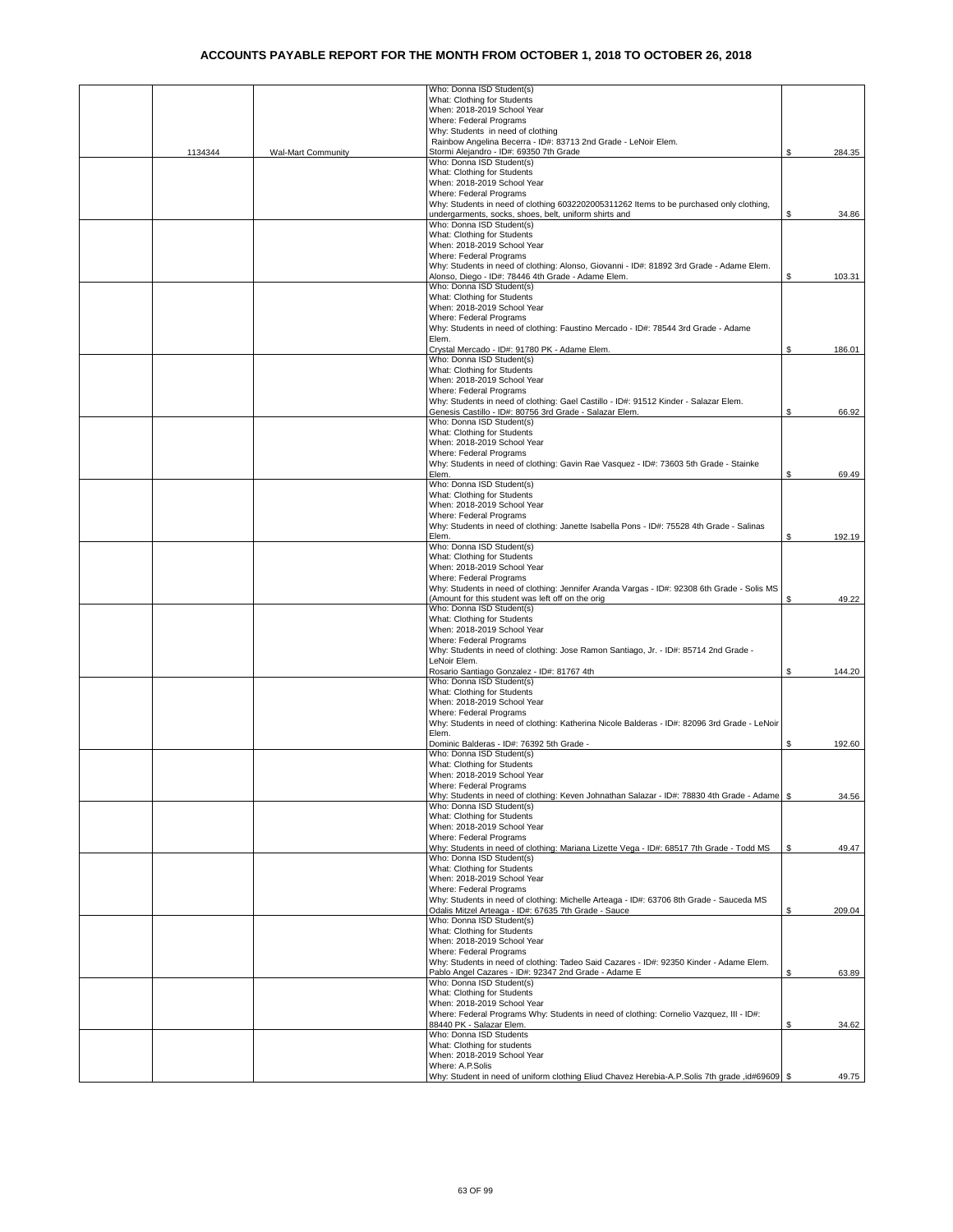|         |                           | Who: Donna ISD Student(s)                                                                                                                       |    |        |
|---------|---------------------------|-------------------------------------------------------------------------------------------------------------------------------------------------|----|--------|
|         |                           | What: Clothing for Students                                                                                                                     |    |        |
|         |                           | When: 2018-2019 School Year                                                                                                                     |    |        |
|         |                           | Where: Federal Programs                                                                                                                         |    |        |
|         |                           | Why: Students in need of clothing                                                                                                               |    |        |
| 1134344 | <b>Wal-Mart Community</b> | Rainbow Angelina Becerra - ID#: 83713 2nd Grade - LeNoir Elem.<br>Stormi Alejandro - ID#: 69350 7th Grade                                       | \$ | 284.35 |
|         |                           | Who: Donna ISD Student(s)                                                                                                                       |    |        |
|         |                           | What: Clothing for Students                                                                                                                     |    |        |
|         |                           | When: 2018-2019 School Year                                                                                                                     |    |        |
|         |                           | Where: Federal Programs                                                                                                                         |    |        |
|         |                           | Why: Students in need of clothing 6032202005311262 Items to be purchased only clothing,                                                         |    |        |
|         |                           | undergarments, socks, shoes, belt, uniform shirts and                                                                                           | \$ | 34.86  |
|         |                           | Who: Donna ISD Student(s)                                                                                                                       |    |        |
|         |                           | What: Clothing for Students                                                                                                                     |    |        |
|         |                           | When: 2018-2019 School Year                                                                                                                     |    |        |
|         |                           | Where: Federal Programs                                                                                                                         |    |        |
|         |                           | Why: Students in need of clothing: Alonso, Giovanni - ID#: 81892 3rd Grade - Adame Elem.                                                        |    |        |
|         |                           | Alonso, Diego - ID#: 78446 4th Grade - Adame Elem.                                                                                              | \$ | 103.31 |
|         |                           | Who: Donna ISD Student(s)                                                                                                                       |    |        |
|         |                           | What: Clothing for Students                                                                                                                     |    |        |
|         |                           | When: 2018-2019 School Year                                                                                                                     |    |        |
|         |                           | Where: Federal Programs                                                                                                                         |    |        |
|         |                           | Why: Students in need of clothing: Faustino Mercado - ID#: 78544 3rd Grade - Adame                                                              |    |        |
|         |                           | Elem.                                                                                                                                           |    |        |
|         |                           | Crystal Mercado - ID#: 91780 PK - Adame Elem.                                                                                                   | \$ | 186.01 |
|         |                           | Who: Donna ISD Student(s)                                                                                                                       |    |        |
|         |                           | What: Clothing for Students                                                                                                                     |    |        |
|         |                           | When: 2018-2019 School Year                                                                                                                     |    |        |
|         |                           | Where: Federal Programs                                                                                                                         |    |        |
|         |                           | Why: Students in need of clothing: Gael Castillo - ID#: 91512 Kinder - Salazar Elem.                                                            |    |        |
|         |                           | Genesis Castillo - ID#: 80756 3rd Grade - Salazar Elem.<br>Who: Donna ISD Student(s)                                                            | \$ | 66.92  |
|         |                           |                                                                                                                                                 |    |        |
|         |                           | What: Clothing for Students                                                                                                                     |    |        |
|         |                           | When: 2018-2019 School Year                                                                                                                     |    |        |
|         |                           | Where: Federal Programs                                                                                                                         |    |        |
|         |                           | Why: Students in need of clothing: Gavin Rae Vasquez - ID#: 73603 5th Grade - Stainke<br>Elem.                                                  | \$ | 69.49  |
|         |                           | Who: Donna ISD Student(s)                                                                                                                       |    |        |
|         |                           | What: Clothing for Students                                                                                                                     |    |        |
|         |                           | When: 2018-2019 School Year                                                                                                                     |    |        |
|         |                           | Where: Federal Programs                                                                                                                         |    |        |
|         |                           | Why: Students in need of clothing: Janette Isabella Pons - ID#: 75528 4th Grade - Salinas                                                       |    |        |
|         |                           | Elem.                                                                                                                                           | \$ | 192.19 |
|         |                           | Who: Donna ISD Student(s)                                                                                                                       |    |        |
|         |                           | What: Clothing for Students                                                                                                                     |    |        |
|         |                           | When: 2018-2019 School Year                                                                                                                     |    |        |
|         |                           | Where: Federal Programs                                                                                                                         |    |        |
|         |                           | Why: Students in need of clothing: Jennifer Aranda Vargas - ID#: 92308 6th Grade - Solis MS                                                     |    |        |
|         |                           | (Amount for this student was left off on the orig                                                                                               | \$ | 49.22  |
|         |                           | Who: Donna ISD Student(s)                                                                                                                       |    |        |
|         |                           | What: Clothing for Students                                                                                                                     |    |        |
|         |                           | When: 2018-2019 School Year                                                                                                                     |    |        |
|         |                           | Where: Federal Programs                                                                                                                         |    |        |
|         |                           | Why: Students in need of clothing: Jose Ramon Santiago, Jr. - ID#: 85714 2nd Grade -                                                            |    |        |
|         |                           | LeNoir Elem.                                                                                                                                    |    |        |
|         |                           | Rosario Santiago Gonzalez - ID#: 81767 4th<br>Who: Donna ISD Student(s)                                                                         | \$ | 144.20 |
|         |                           | What: Clothing for Students                                                                                                                     |    |        |
|         |                           | When: 2018-2019 School Year                                                                                                                     |    |        |
|         |                           | Where: Federal Programs                                                                                                                         |    |        |
|         |                           | Why: Students in need of clothing: Katherina Nicole Balderas - ID#: 82096 3rd Grade - LeNoir                                                    |    |        |
|         |                           | Elem.                                                                                                                                           |    |        |
|         |                           | Dominic Balderas - ID#: 76392 5th Grade -                                                                                                       | \$ | 192.60 |
|         |                           | Who: Donna ISD Student(s)                                                                                                                       |    |        |
|         |                           | What: Clothing for Students                                                                                                                     |    |        |
|         |                           | When: 2018-2019 School Year                                                                                                                     |    |        |
|         |                           | Where: Federal Programs                                                                                                                         |    |        |
|         |                           | Why: Students in need of clothing: Keven Johnathan Salazar - ID#: 78830 4th Grade - Adame   \$                                                  |    | 34.56  |
|         |                           | Who: Donna ISD Student(s)                                                                                                                       |    |        |
|         |                           | What: Clothing for Students                                                                                                                     |    |        |
|         |                           | When: 2018-2019 School Year                                                                                                                     |    |        |
|         |                           | Where: Federal Programs                                                                                                                         |    |        |
|         |                           | Why: Students in need of clothing: Mariana Lizette Vega - ID#: 68517 7th Grade - Todd MS                                                        | \$ | 49.47  |
|         |                           | Who: Donna ISD Student(s)                                                                                                                       |    |        |
|         |                           | What: Clothing for Students                                                                                                                     |    |        |
|         |                           | When: 2018-2019 School Year                                                                                                                     |    |        |
|         |                           | Where: Federal Programs                                                                                                                         |    |        |
|         |                           | Why: Students in need of clothing: Michelle Arteaga - ID#: 63706 8th Grade - Sauceda MS<br>Odalis Mitzel Arteaga - ID#: 67635 7th Grade - Sauce | \$ | 209.04 |
|         |                           | Who: Donna ISD Student(s)                                                                                                                       |    |        |
|         |                           | What: Clothing for Students                                                                                                                     |    |        |
|         |                           | When: 2018-2019 School Year                                                                                                                     |    |        |
|         |                           | Where: Federal Programs                                                                                                                         |    |        |
|         |                           | Why: Students in need of clothing: Tadeo Said Cazares - ID#: 92350 Kinder - Adame Elem.                                                         |    |        |
|         |                           | Pablo Angel Cazares - ID#: 92347 2nd Grade - Adame E                                                                                            | S  | 63.89  |
|         |                           | Who: Donna ISD Student(s)                                                                                                                       |    |        |
|         |                           | What: Clothing for Students                                                                                                                     |    |        |
|         |                           | When: 2018-2019 School Year                                                                                                                     |    |        |
|         |                           | Where: Federal Programs Why: Students in need of clothing: Cornelio Vazquez, III - ID#:                                                         |    |        |
|         |                           | 88440 PK - Salazar Elem.                                                                                                                        | \$ | 34.62  |
|         |                           | Who: Donna ISD Students                                                                                                                         |    |        |
|         |                           | What: Clothing for students                                                                                                                     |    |        |
|         |                           | When: 2018-2019 School Year                                                                                                                     |    |        |
|         |                           | Where: A.P.Solis                                                                                                                                |    |        |
|         |                           | Why: Student in need of uniform clothing Eliud Chavez Herebia-A.P.Solis 7th grade ,id#69609   \$                                                |    | 49.75  |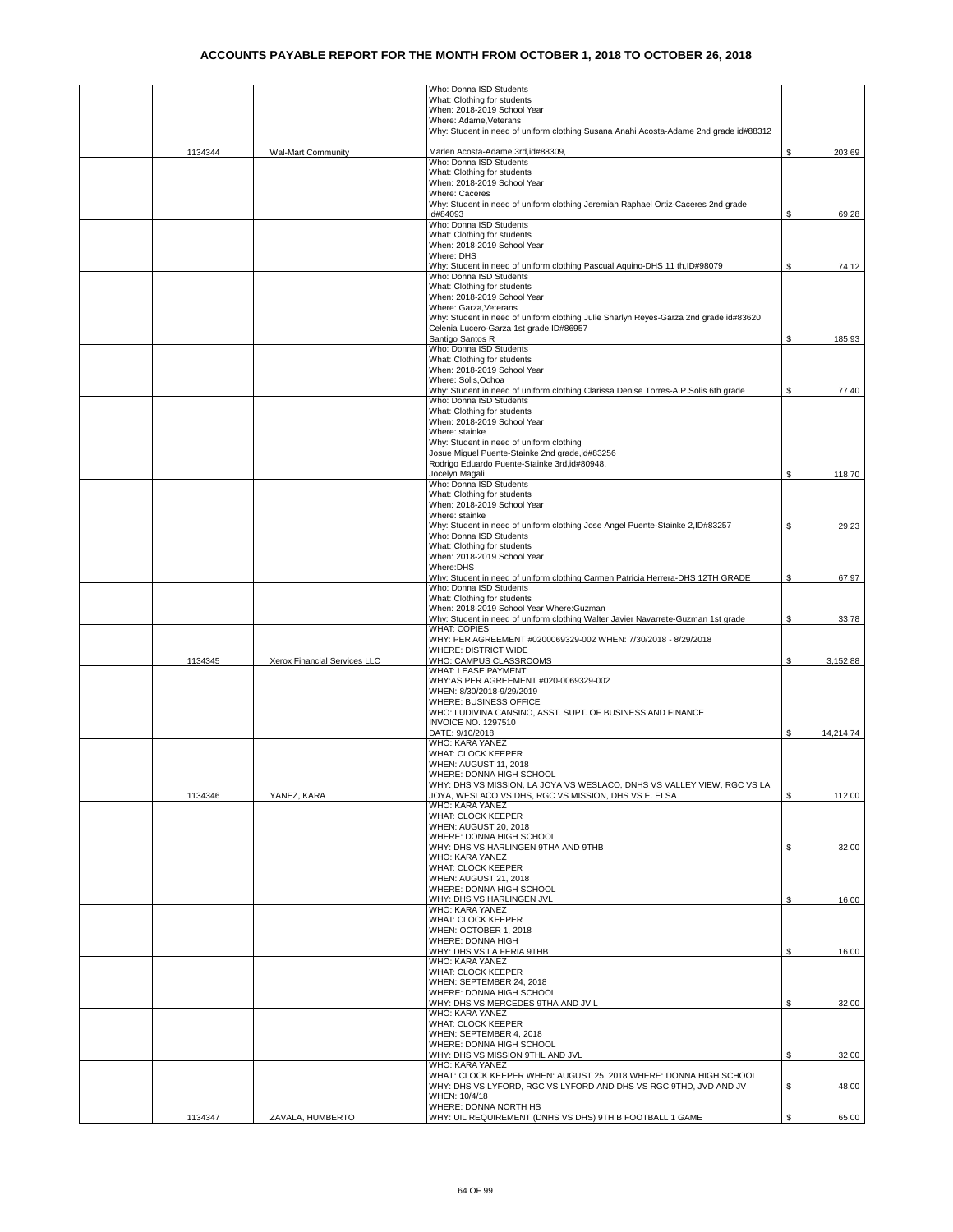|         |                              | Who: Donna ISD Students                                                                                        |    |           |
|---------|------------------------------|----------------------------------------------------------------------------------------------------------------|----|-----------|
|         |                              | What: Clothing for students                                                                                    |    |           |
|         |                              | When: 2018-2019 School Year                                                                                    |    |           |
|         |                              | Where: Adame.Veterans<br>Why: Student in need of uniform clothing Susana Anahi Acosta-Adame 2nd grade id#88312 |    |           |
|         |                              |                                                                                                                |    |           |
| 1134344 | <b>Wal-Mart Community</b>    | Marlen Acosta-Adame 3rd, id#88309,                                                                             | \$ | 203.69    |
|         |                              | Who: Donna ISD Students                                                                                        |    |           |
|         |                              | What: Clothing for students                                                                                    |    |           |
|         |                              | When: 2018-2019 School Year                                                                                    |    |           |
|         |                              | Where: Caceres                                                                                                 |    |           |
|         |                              | Why: Student in need of uniform clothing Jeremiah Raphael Ortiz-Caceres 2nd grade                              |    |           |
|         |                              | id#84093                                                                                                       | \$ | 69.28     |
|         |                              | Who: Donna ISD Students                                                                                        |    |           |
|         |                              | What: Clothing for students<br>When: 2018-2019 School Year                                                     |    |           |
|         |                              | Where: DHS                                                                                                     |    |           |
|         |                              | Why: Student in need of uniform clothing Pascual Aquino-DHS 11 th, ID#98079                                    | \$ | 74.12     |
|         |                              | Who: Donna ISD Students                                                                                        |    |           |
|         |                              | What: Clothing for students                                                                                    |    |           |
|         |                              | When: 2018-2019 School Year                                                                                    |    |           |
|         |                              | Where: Garza, Veterans                                                                                         |    |           |
|         |                              | Why: Student in need of uniform clothing Julie Sharlyn Reyes-Garza 2nd grade id#83620                          |    |           |
|         |                              | Celenia Lucero-Garza 1st grade.ID#86957                                                                        |    |           |
|         |                              | Santigo Santos R                                                                                               | \$ | 185.93    |
|         |                              | Who: Donna ISD Students<br>What: Clothing for students                                                         |    |           |
|         |                              | When: 2018-2019 School Year                                                                                    |    |           |
|         |                              | Where: Solis, Ochoa                                                                                            |    |           |
|         |                              | Why: Student in need of uniform clothing Clarissa Denise Torres-A.P.Solis 6th grade                            | S  | 77.40     |
|         |                              | Who: Donna ISD Students                                                                                        |    |           |
|         |                              | What: Clothing for students                                                                                    |    |           |
|         |                              | When: 2018-2019 School Year                                                                                    |    |           |
|         |                              | Where: stainke                                                                                                 |    |           |
|         |                              | Why: Student in need of uniform clothing                                                                       |    |           |
|         |                              | Josue Miguel Puente-Stainke 2nd grade, id#83256                                                                |    |           |
|         |                              | Rodrigo Eduardo Puente-Stainke 3rd, id#80948,<br>Jocelyn Magali                                                | \$ |           |
|         |                              | Who: Donna ISD Students                                                                                        |    | 118.70    |
|         |                              | What: Clothing for students                                                                                    |    |           |
|         |                              | When: 2018-2019 School Year                                                                                    |    |           |
|         |                              | Where: stainke                                                                                                 |    |           |
|         |                              | Why: Student in need of uniform clothing Jose Angel Puente-Stainke 2,ID#83257                                  | \$ | 29.23     |
|         |                              | Who: Donna ISD Students                                                                                        |    |           |
|         |                              | What: Clothing for students                                                                                    |    |           |
|         |                              | When: 2018-2019 School Year                                                                                    |    |           |
|         |                              | Where:DHS<br>Why: Student in need of uniform clothing Carmen Patricia Herrera-DHS 12TH GRADE                   | \$ | 67.97     |
|         |                              | Who: Donna ISD Students                                                                                        |    |           |
|         |                              | What: Clothing for students                                                                                    |    |           |
|         |                              | When: 2018-2019 School Year Where: Guzman                                                                      |    |           |
|         |                              | Why: Student in need of uniform clothing Walter Javier Navarrete-Guzman 1st grade                              | \$ | 33.78     |
|         |                              | <b>WHAT: COPIES</b>                                                                                            |    |           |
|         |                              | WHY: PER AGREEMENT #0200069329-002 WHEN: 7/30/2018 - 8/29/2018                                                 |    |           |
|         |                              | WHERE: DISTRICT WIDE                                                                                           |    |           |
| 1134345 | Xerox Financial Services LLC | WHO: CAMPUS CLASSROOMS<br>WHAT: LEASE PAYMENT                                                                  | \$ | 3,152.88  |
|         |                              | WHY:AS PER AGREEMENT #020-0069329-002                                                                          |    |           |
|         |                              | WHEN: 8/30/2018-9/29/2019                                                                                      |    |           |
|         |                              | WHERE: BUSINESS OFFICE                                                                                         |    |           |
|         |                              | WHO: LUDIVINA CANSINO, ASST. SUPT. OF BUSINESS AND FINANCE                                                     |    |           |
|         |                              | <b>INVOICE NO. 1297510</b>                                                                                     |    |           |
|         |                              | DATE: 9/10/2018                                                                                                | S  | 14,214.74 |
|         |                              | WHO: KARA YANEZ                                                                                                |    |           |
|         |                              | WHAT: CLOCK KEEPER                                                                                             |    |           |
|         |                              | WHEN: AUGUST 11, 2018                                                                                          |    |           |
|         |                              | WHERE: DONNA HIGH SCHOOL<br>WHY: DHS VS MISSION, LA JOYA VS WESLACO, DNHS VS VALLEY VIEW, RGC VS LA            |    |           |
| 1134346 | YANEZ, KARA                  | JOYA, WESLACO VS DHS, RGC VS MISSION, DHS VS E. ELSA                                                           | \$ | 112.00    |
|         |                              | WHO: KARA YANEZ                                                                                                |    |           |
|         |                              | WHAT: CLOCK KEEPER                                                                                             |    |           |
|         |                              | WHEN: AUGUST 20, 2018                                                                                          |    |           |
|         |                              | WHERE: DONNA HIGH SCHOOL                                                                                       |    |           |
|         |                              | WHY: DHS VS HARLINGEN 9THA AND 9THB                                                                            | \$ | 32.00     |
|         |                              | WHO: KARA YANEZ                                                                                                |    |           |
|         |                              | WHAT: CLOCK KEEPER<br><b>WHEN: AUGUST 21, 2018</b>                                                             |    |           |
|         |                              | WHERE: DONNA HIGH SCHOOL                                                                                       |    |           |
|         |                              | WHY: DHS VS HARLINGEN JVL                                                                                      | \$ | 16.00     |
|         |                              | WHO: KARA YANEZ                                                                                                |    |           |
|         |                              | WHAT: CLOCK KEEPER                                                                                             |    |           |
|         |                              | WHEN: OCTOBER 1, 2018                                                                                          |    |           |
|         |                              | WHERE: DONNA HIGH                                                                                              |    |           |
|         |                              | WHY: DHS VS LA FERIA 9THB                                                                                      | \$ | 16.00     |
|         |                              | WHO: KARA YANEZ<br><b>WHAT: CLOCK KEEPER</b>                                                                   |    |           |
|         |                              | WHEN: SEPTEMBER 24, 2018                                                                                       |    |           |
|         |                              | WHERE: DONNA HIGH SCHOOL                                                                                       |    |           |
|         |                              | WHY: DHS VS MERCEDES 9THA AND JV L                                                                             | \$ | 32.00     |
|         |                              | WHO: KARA YANEZ                                                                                                |    |           |
|         |                              | WHAT: CLOCK KEEPER                                                                                             |    |           |
|         |                              | WHEN: SEPTEMBER 4, 2018                                                                                        |    |           |
|         |                              | WHERE: DONNA HIGH SCHOOL                                                                                       |    |           |
|         |                              | WHY: DHS VS MISSION 9THL AND JVL                                                                               | \$ | 32.00     |
|         |                              | WHO: KARA YANEZ                                                                                                |    |           |
|         |                              | WHAT: CLOCK KEEPER WHEN: AUGUST 25, 2018 WHERE: DONNA HIGH SCHOOL                                              |    |           |
|         |                              | WHY: DHS VS LYFORD, RGC VS LYFORD AND DHS VS RGC 9THD, JVD AND JV<br>WHEN: 10/4/18                             | \$ | 48.00     |
|         |                              | WHERE: DONNA NORTH HS                                                                                          |    |           |
| 1134347 | ZAVALA, HUMBERTO             | WHY: UIL REQUIREMENT (DNHS VS DHS) 9TH B FOOTBALL 1 GAME                                                       | \$ | 65.00     |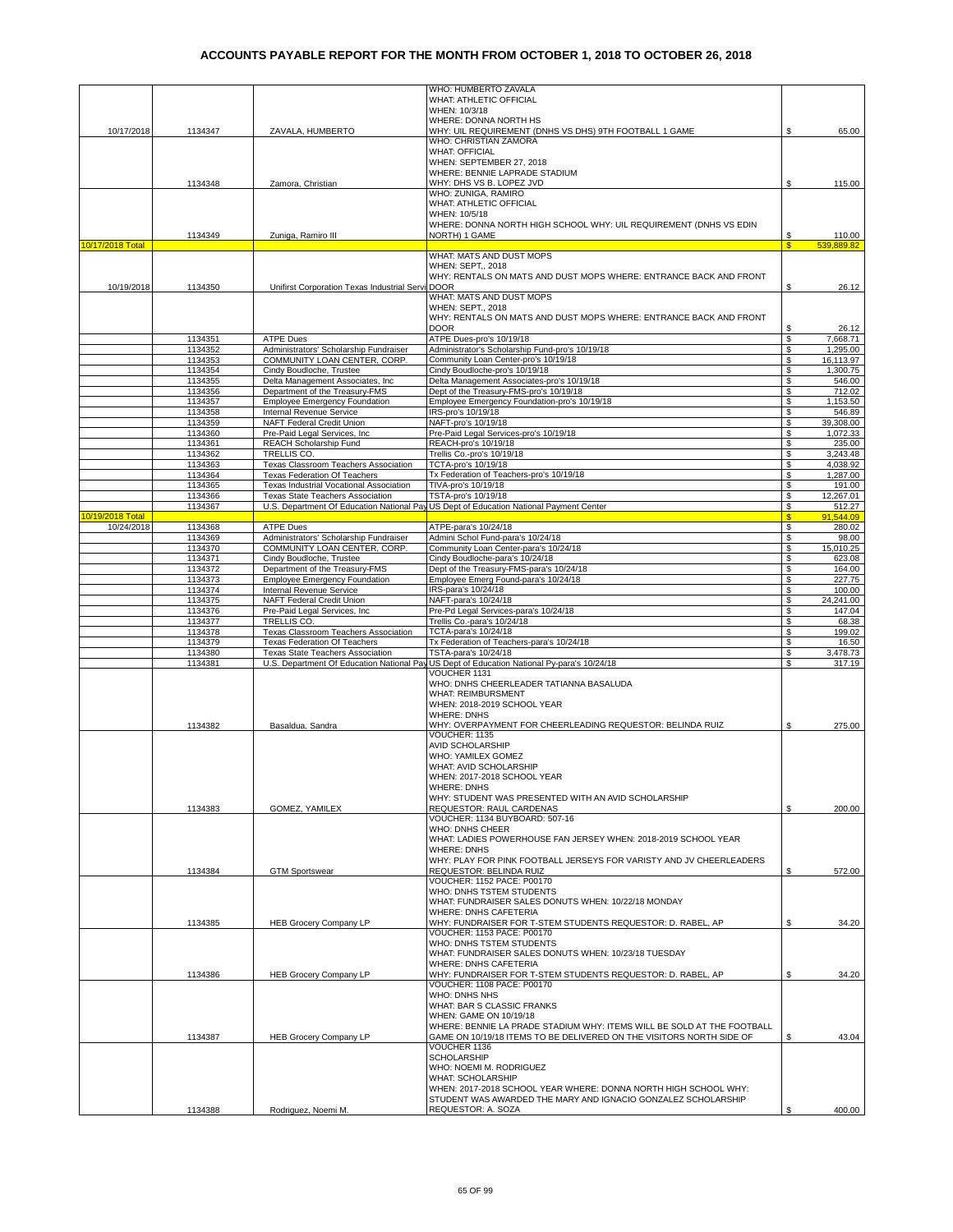|                  |         |                                                  | WHO: HUMBERTO ZAVALA                                                                       |              |            |
|------------------|---------|--------------------------------------------------|--------------------------------------------------------------------------------------------|--------------|------------|
|                  |         |                                                  | WHAT: ATHLETIC OFFICIAL                                                                    |              |            |
|                  |         |                                                  | WHEN: 10/3/18                                                                              |              |            |
|                  |         |                                                  | WHERE: DONNA NORTH HS                                                                      |              |            |
| 10/17/2018       | 1134347 | ZAVALA, HUMBERTO                                 | WHY: UIL REQUIREMENT (DNHS VS DHS) 9TH FOOTBALL 1 GAME                                     |              | 65.00      |
|                  |         |                                                  | WHO: CHRISTIAN ZAMORA                                                                      |              |            |
|                  |         |                                                  | <b>WHAT: OFFICIAL</b>                                                                      |              |            |
|                  |         |                                                  | WHEN: SEPTEMBER 27, 2018                                                                   |              |            |
|                  |         |                                                  | WHERE: BENNIE LAPRADE STADIUM                                                              |              |            |
|                  |         |                                                  | WHY: DHS VS B. LOPEZ JVD                                                                   | \$           |            |
|                  | 1134348 | Zamora, Christian                                |                                                                                            |              | 115.00     |
|                  |         |                                                  | WHO: ZUNIGA, RAMIRO                                                                        |              |            |
|                  |         |                                                  | WHAT: ATHLETIC OFFICIAL                                                                    |              |            |
|                  |         |                                                  | WHEN: 10/5/18                                                                              |              |            |
|                  |         |                                                  | WHERE: DONNA NORTH HIGH SCHOOL WHY: UIL REQUIREMENT (DNHS VS EDIN                          |              |            |
|                  | 1134349 | Zuniga, Ramiro III                               | NORTH) 1 GAME                                                                              | \$           | 110.00     |
| 10/17/2018 Total |         |                                                  |                                                                                            | $\mathbf{s}$ | 539,889.82 |
|                  |         |                                                  | WHAT: MATS AND DUST MOPS                                                                   |              |            |
|                  |         |                                                  | WHEN: SEPT,, 2018                                                                          |              |            |
|                  |         |                                                  | WHY: RENTALS ON MATS AND DUST MOPS WHERE: ENTRANCE BACK AND FRONT                          |              |            |
| 10/19/2018       | 1134350 | Unifirst Corporation Texas Industrial Servi DOOR |                                                                                            | \$           | 26.12      |
|                  |         |                                                  | WHAT: MATS AND DUST MOPS                                                                   |              |            |
|                  |         |                                                  | <b>WHEN: SEPT., 2018</b>                                                                   |              |            |
|                  |         |                                                  | WHY: RENTALS ON MATS AND DUST MOPS WHERE: ENTRANCE BACK AND FRONT                          |              |            |
|                  |         |                                                  | <b>DOOR</b>                                                                                | \$           | 26.12      |
|                  |         |                                                  |                                                                                            |              |            |
|                  | 1134351 | <b>ATPE Dues</b>                                 | ATPE Dues-pro's 10/19/18                                                                   | \$           | 7,668.71   |
|                  | 1134352 | Administrators' Scholarship Fundraiser           | Administrator's Scholarship Fund-pro's 10/19/18                                            | \$           | 1,295.00   |
|                  | 1134353 | COMMUNITY LOAN CENTER, CORP.                     | Community Loan Center-pro's 10/19/18                                                       | \$           | 16,113.97  |
|                  | 1134354 | Cindy Boudloche, Trustee                         | Cindy Boudloche-pro's 10/19/18                                                             | \$           | 1,300.75   |
|                  | 1134355 | Delta Management Associates, Inc.                | Delta Management Associates-pro's 10/19/18                                                 | \$           | 546.00     |
|                  | 1134356 | Department of the Treasury-FMS                   | Dept of the Treasury-FMS-pro's 10/19/18                                                    | \$           | 712.02     |
|                  | 1134357 | <b>Employee Emergency Foundation</b>             | Employee Emergency Foundation-pro's 10/19/18                                               | \$           | 1,153.50   |
|                  | 1134358 | Internal Revenue Service                         | IRS-pro's 10/19/18                                                                         | \$           | 546.89     |
|                  | 1134359 | NAFT Federal Credit Union                        | NAFT-pro's 10/19/18                                                                        | \$           | 39,308.00  |
|                  | 1134360 | Pre-Paid Legal Services, Inc.                    | Pre-Paid Legal Services-pro's 10/19/18                                                     | \$           | 1.072.33   |
|                  | 1134361 | REACH Scholarship Fund                           | REACH-pro's 10/19/18                                                                       | \$           | 235.00     |
|                  |         | TRELLIS CO.                                      |                                                                                            |              |            |
|                  | 1134362 |                                                  | Trellis Co.-pro's 10/19/18                                                                 | \$           | 3,243.48   |
|                  | 1134363 | Texas Classroom Teachers Association             | TCTA-pro's 10/19/18                                                                        | \$           | 4,038.92   |
|                  | 1134364 | <b>Texas Federation Of Teachers</b>              | Tx Federation of Teachers-pro's 10/19/18                                                   | \$           | 1,287.00   |
|                  | 1134365 | Texas Industrial Vocational Association          | TIVA-pro's 10/19/18                                                                        | \$           | 191.00     |
|                  | 1134366 | <b>Texas State Teachers Association</b>          | TSTA-pro's 10/19/18                                                                        | \$           | 12,267.01  |
|                  | 1134367 |                                                  | U.S. Department Of Education National Pay US Dept of Education National Payment Center     | \$           | 512.27     |
| 10/19/2018 Total |         |                                                  |                                                                                            | S            | 91.544.09  |
| 10/24/2018       | 1134368 | <b>ATPE Dues</b>                                 | ATPE-para's 10/24/18                                                                       | \$           | 280.02     |
|                  | 1134369 | Administrators' Scholarship Fundraiser           | Admini Schol Fund-para's 10/24/18                                                          | \$           | 98.00      |
|                  | 1134370 | COMMUNITY LOAN CENTER, CORP.                     | Community Loan Center-para's 10/24/18                                                      | \$           | 15,010.25  |
|                  | 1134371 | Cindy Boudloche, Trustee                         | Cindy Boudloche-para's 10/24/18                                                            | \$           | 623.08     |
|                  | 1134372 | Department of the Treasury-FMS                   | Dept of the Treasury-FMS-para's 10/24/18                                                   | \$           | 164.00     |
|                  | 1134373 |                                                  |                                                                                            | \$           | 227.75     |
|                  |         | <b>Employee Emergency Foundation</b>             | Employee Emerg Found-para's 10/24/18                                                       |              |            |
|                  | 1134374 | Internal Revenue Service                         | IRS-para's 10/24/18                                                                        | \$           | 100.00     |
|                  | 1134375 | NAFT Federal Credit Union                        | NAFT-para's 10/24/18                                                                       | \$           | 24,241.00  |
|                  | 1134376 | Pre-Paid Legal Services, Inc.                    | Pre-Pd Legal Services-para's 10/24/18                                                      | \$           | 147.04     |
|                  | 1134377 | TRELLIS CO.                                      | Trellis Co.-para's 10/24/18                                                                | \$           | 68.38      |
|                  | 1134378 | Texas Classroom Teachers Association             | TCTA-para's 10/24/18                                                                       | \$           | 199.02     |
|                  | 1134379 | Texas Federation Of Teachers                     | Tx Federation of Teachers-para's 10/24/18                                                  | \$           | 16.50      |
|                  | 1134380 | <b>Texas State Teachers Association</b>          | TSTA-para's 10/24/18                                                                       | \$           | 3,478.73   |
|                  | 1134381 |                                                  | U.S. Department Of Education National Pay US Dept of Education National Py-para's 10/24/18 | \$           | 317.19     |
|                  |         |                                                  | VOUCHER 1131                                                                               |              |            |
|                  |         |                                                  | WHO: DNHS CHEERLEADER TATIANNA BASALUDA                                                    |              |            |
|                  |         |                                                  | <b>WHAT: REIMBURSMENT</b>                                                                  |              |            |
|                  |         |                                                  | WHEN: 2018-2019 SCHOOL YEAR                                                                |              |            |
|                  |         |                                                  |                                                                                            |              |            |
|                  |         |                                                  | <b>WHERE: DNHS</b>                                                                         |              |            |
|                  | 1134382 | Basaldua, Sandra                                 | WHY: OVERPAYMENT FOR CHEERLEADING REQUESTOR: BELINDA RUIZ                                  | \$           | 275.00     |
|                  |         |                                                  | VOUCHER: 1135                                                                              |              |            |
|                  |         |                                                  | <b>AVID SCHOLARSHIP</b>                                                                    |              |            |
|                  |         |                                                  | WHO: YAMILEX GOMEZ                                                                         |              |            |
|                  |         |                                                  | WHAT: AVID SCHOLARSHIP                                                                     |              |            |
|                  |         |                                                  | WHEN: 2017-2018 SCHOOL YEAR                                                                |              |            |
|                  |         |                                                  | <b>WHERE: DNHS</b>                                                                         |              |            |
|                  |         |                                                  | WHY: STUDENT WAS PRESENTED WITH AN AVID SCHOLARSHIP                                        |              |            |
|                  | 1134383 | GOMEZ, YAMILEX                                   | REQUESTOR: RAUL CARDENAS                                                                   | \$           | 200.00     |
|                  |         |                                                  | VOUCHER: 1134 BUYBOARD: 507-16                                                             |              |            |
|                  |         |                                                  | WHO: DNHS CHEER                                                                            |              |            |
|                  |         |                                                  | WHAT: LADIES POWERHOUSE FAN JERSEY WHEN: 2018-2019 SCHOOL YEAR                             |              |            |
|                  |         |                                                  | <b>WHERE: DNHS</b>                                                                         |              |            |
|                  |         |                                                  | WHY: PLAY FOR PINK FOOTBALL JERSEYS FOR VARISTY AND JV CHEERLEADERS                        |              |            |
|                  | 1134384 |                                                  | REQUESTOR: BELINDA RUIZ                                                                    |              |            |
|                  |         | <b>GTM Sportswear</b>                            | VOUCHER: 1152 PACE: P00170                                                                 | S            | 572.00     |
|                  |         |                                                  | WHO: DNHS TSTEM STUDENTS                                                                   |              |            |
|                  |         |                                                  |                                                                                            |              |            |
|                  |         |                                                  | WHAT: FUNDRAISER SALES DONUTS WHEN: 10/22/18 MONDAY                                        |              |            |
|                  |         |                                                  | WHERE: DNHS CAFETERIA                                                                      |              |            |
|                  | 1134385 | <b>HEB Grocery Company LP</b>                    | WHY: FUNDRAISER FOR T-STEM STUDENTS REQUESTOR: D. RABEL, AP                                | \$           | 34.20      |
|                  |         |                                                  | VOUCHER: 1153 PACE: P00170                                                                 |              |            |
|                  |         |                                                  | WHO: DNHS TSTEM STUDENTS                                                                   |              |            |
|                  |         |                                                  | WHAT: FUNDRAISER SALES DONUTS WHEN: 10/23/18 TUESDAY                                       |              |            |
|                  |         |                                                  | WHERE: DNHS CAFETERIA                                                                      |              |            |
|                  | 1134386 | <b>HEB Grocery Company LP</b>                    | WHY: FUNDRAISER FOR T-STEM STUDENTS REQUESTOR: D. RABEL, AP                                | \$           | 34.20      |
|                  |         |                                                  | VOUCHER: 1108 PACE: P00170                                                                 |              |            |
|                  |         |                                                  | WHO: DNHS NHS                                                                              |              |            |
|                  |         |                                                  | WHAT: BAR S CLASSIC FRANKS                                                                 |              |            |
|                  |         |                                                  | WHEN: GAME ON 10/19/18                                                                     |              |            |
|                  |         |                                                  | WHERE: BENNIE LA PRADE STADIUM WHY: ITEMS WILL BE SOLD AT THE FOOTBALL                     |              |            |
|                  |         |                                                  |                                                                                            |              |            |
|                  | 1134387 | <b>HEB Grocery Company LP</b>                    | GAME ON 10/19/18 ITEMS TO BE DELIVERED ON THE VISITORS NORTH SIDE OF                       | \$           | 43.04      |
|                  |         |                                                  | VOUCHER 1136                                                                               |              |            |
|                  |         |                                                  | <b>SCHOLARSHIP</b>                                                                         |              |            |
|                  |         |                                                  | WHO: NOEMI M. RODRIGUEZ                                                                    |              |            |
|                  |         |                                                  | <b>WHAT: SCHOLARSHIP</b>                                                                   |              |            |
|                  |         |                                                  | WHEN: 2017-2018 SCHOOL YEAR WHERE: DONNA NORTH HIGH SCHOOL WHY:                            |              |            |
|                  |         |                                                  | STUDENT WAS AWARDED THE MARY AND IGNACIO GONZALEZ SCHOLARSHIP                              |              |            |
|                  | 1134388 | Rodriguez, Noemi M.                              | REQUESTOR: A. SOZA                                                                         | S            | 400.00     |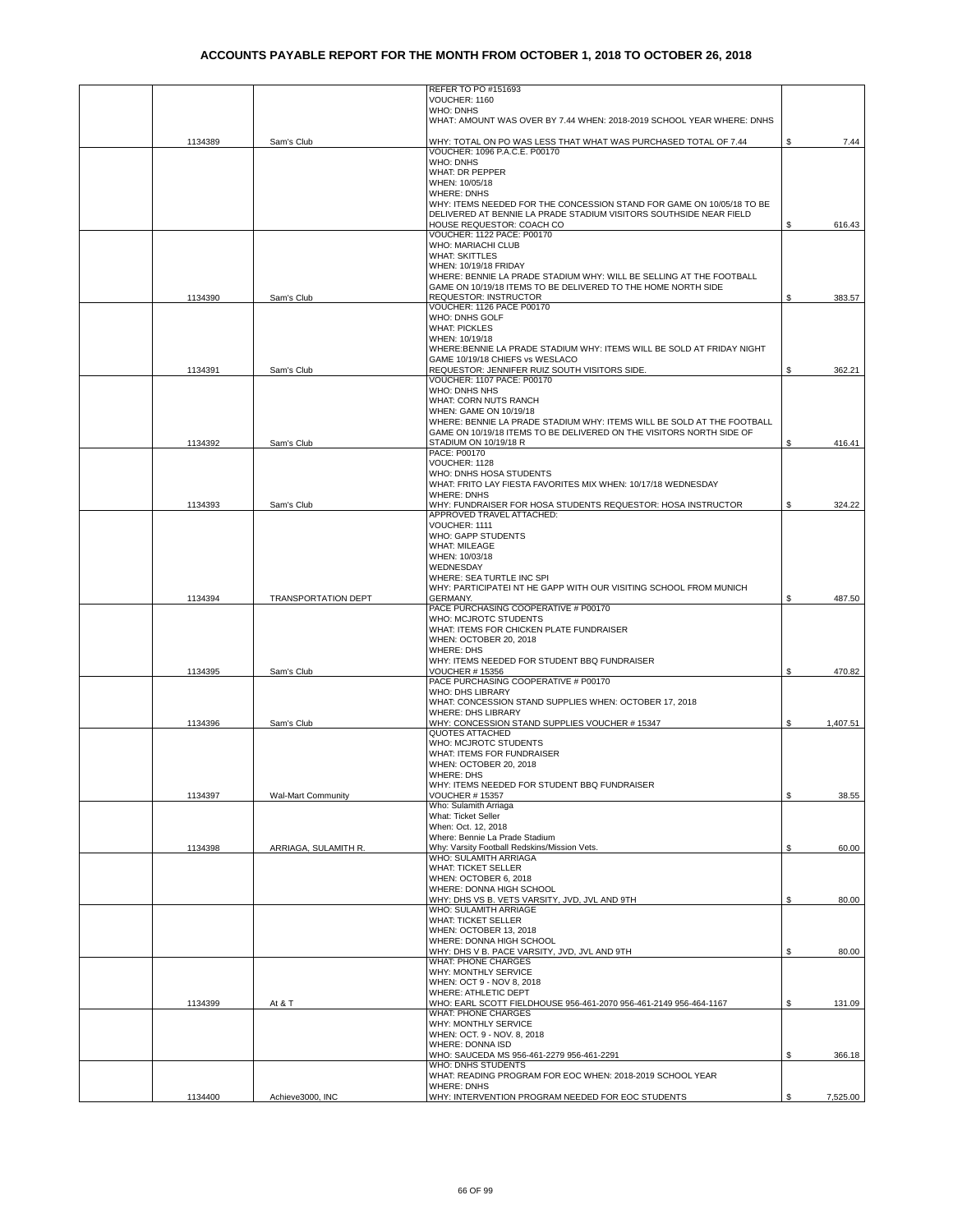|         |                           | REFER TO PO #151693                                                                             |    |          |
|---------|---------------------------|-------------------------------------------------------------------------------------------------|----|----------|
|         |                           | VOUCHER: 1160                                                                                   |    |          |
|         |                           | <b>WHO: DNHS</b>                                                                                |    |          |
|         |                           | WHAT: AMOUNT WAS OVER BY 7.44 WHEN: 2018-2019 SCHOOL YEAR WHERE: DNHS                           |    |          |
| 1134389 | Sam's Club                | WHY: TOTAL ON PO WAS LESS THAT WHAT WAS PURCHASED TOTAL OF 7.44                                 | \$ | 7.44     |
|         |                           | VOUCHER: 1096 P.A.C.E. P00170                                                                   |    |          |
|         |                           | <b>WHO: DNHS</b>                                                                                |    |          |
|         |                           | WHAT: DR PEPPER                                                                                 |    |          |
|         |                           | WHEN: 10/05/18                                                                                  |    |          |
|         |                           | <b>WHERE: DNHS</b>                                                                              |    |          |
|         |                           | WHY: ITEMS NEEDED FOR THE CONCESSION STAND FOR GAME ON 10/05/18 TO BE                           |    |          |
|         |                           | DELIVERED AT BENNIE LA PRADE STADIUM VISITORS SOUTHSIDE NEAR FIELD<br>HOUSE REQUESTOR: COACH CO | \$ | 616.43   |
|         |                           | VOUCHER: 1122 PACE: P00170                                                                      |    |          |
|         |                           | <b>WHO: MARIACHI CLUB</b>                                                                       |    |          |
|         |                           | <b>WHAT: SKITTLES</b>                                                                           |    |          |
|         |                           | WHEN: 10/19/18 FRIDAY                                                                           |    |          |
|         |                           | WHERE: BENNIE LA PRADE STADIUM WHY: WILL BE SELLING AT THE FOOTBALL                             |    |          |
|         |                           | GAME ON 10/19/18 ITEMS TO BE DELIVERED TO THE HOME NORTH SIDE                                   |    |          |
| 1134390 | Sam's Club                | <b>REQUESTOR: INSTRUCTOR</b><br>VOUCHER: 1126 PACE P00170                                       | \$ | 383.57   |
|         |                           | WHO: DNHS GOLF                                                                                  |    |          |
|         |                           | <b>WHAT: PICKLES</b>                                                                            |    |          |
|         |                           | WHEN: 10/19/18                                                                                  |    |          |
|         |                           | WHERE: BENNIE LA PRADE STADIUM WHY: ITEMS WILL BE SOLD AT FRIDAY NIGHT                          |    |          |
|         |                           | GAME 10/19/18 CHIEFS vs WESLACO                                                                 |    |          |
| 1134391 | Sam's Club                | REQUESTOR: JENNIFER RUIZ SOUTH VISITORS SIDE.<br>VOUCHER: 1107 PACE: P00170                     | \$ | 362.21   |
|         |                           | WHO: DNHS NHS                                                                                   |    |          |
|         |                           | WHAT: CORN NUTS RANCH                                                                           |    |          |
|         |                           | WHEN: GAME ON 10/19/18                                                                          |    |          |
|         |                           | WHERE: BENNIE LA PRADE STADIUM WHY: ITEMS WILL BE SOLD AT THE FOOTBALL                          |    |          |
|         |                           | GAME ON 10/19/18 ITEMS TO BE DELIVERED ON THE VISITORS NORTH SIDE OF                            |    |          |
| 1134392 | Sam's Club                | STADIUM ON 10/19/18 R                                                                           | ¢  | 416.41   |
|         |                           | PACE: P00170<br>VOUCHER: 1128                                                                   |    |          |
|         |                           | WHO: DNHS HOSA STUDENTS                                                                         |    |          |
|         |                           | WHAT: FRITO LAY FIESTA FAVORITES MIX WHEN: 10/17/18 WEDNESDAY                                   |    |          |
|         |                           | <b>WHERE: DNHS</b>                                                                              |    |          |
| 1134393 | Sam's Club                | WHY: FUNDRAISER FOR HOSA STUDENTS REQUESTOR: HOSA INSTRUCTOR                                    | \$ | 324.22   |
|         |                           | APPROVED TRAVEL ATTACHED:                                                                       |    |          |
|         |                           | VOUCHER: 1111<br>WHO: GAPP STUDENTS                                                             |    |          |
|         |                           | <b>WHAT: MILEAGE</b>                                                                            |    |          |
|         |                           | WHEN: 10/03/18                                                                                  |    |          |
|         |                           | WEDNESDAY                                                                                       |    |          |
|         |                           | WHERE: SEA TURTLE INC SPI                                                                       |    |          |
|         |                           | WHY: PARTICIPATEI NT HE GAPP WITH OUR VISITING SCHOOL FROM MUNICH                               |    |          |
| 1134394 | TRANSPORTATION DEPT       | GERMANY.                                                                                        | \$ | 487.50   |
|         |                           | PACE PURCHASING COOPERATIVE # P00170<br>WHO: MCJROTC STUDENTS                                   |    |          |
|         |                           | WHAT: ITEMS FOR CHICKEN PLATE FUNDRAISER                                                        |    |          |
|         |                           | WHEN: OCTOBER 20, 2018                                                                          |    |          |
|         |                           | <b>WHERE: DHS</b>                                                                               |    |          |
|         |                           | WHY: ITEMS NEEDED FOR STUDENT BBQ FUNDRAISER                                                    |    |          |
| 1134395 | Sam's Club                | <b>VOUCHER # 15356</b>                                                                          | \$ | 470.82   |
|         |                           | PACE PURCHASING COOPERATIVE # P00170<br>WHO: DHS LIBRARY                                        |    |          |
|         |                           | WHAT: CONCESSION STAND SUPPLIES WHEN: OCTOBER 17, 2018                                          |    |          |
|         |                           | <b>WHERE: DHS LIBRARY</b>                                                                       |    |          |
| 1134396 | Sam's Club                | WHY: CONCESSION STAND SUPPLIES VOUCHER #15347                                                   | \$ | 1,407.51 |
|         |                           | <b>QUOTES ATTACHED</b>                                                                          |    |          |
|         |                           | WHO: MCJROTC STUDENTS                                                                           |    |          |
|         |                           | WHAT: ITEMS FOR FUNDRAISER<br>WHEN: OCTOBER 20, 2018                                            |    |          |
|         |                           | WHERE: DHS                                                                                      |    |          |
|         |                           | WHY: ITEMS NEEDED FOR STUDENT BBQ FUNDRAISER                                                    |    |          |
| 1134397 | <b>Wal-Mart Community</b> | VOUCHER # 15357                                                                                 | \$ | 38.55    |
|         |                           | Who: Sulamith Arriaga                                                                           |    |          |
|         |                           | What: Ticket Seller                                                                             |    |          |
|         |                           | When: Oct. 12, 2018                                                                             |    |          |
| 1134398 | ARRIAGA, SULAMITH R.      | Where: Bennie La Prade Stadium<br>Why: Varsity Football Redskins/Mission Vets.                  | S  | 60.00    |
|         |                           | WHO: SULAMITH ARRIAGA                                                                           |    |          |
|         |                           | <b>WHAT: TICKET SELLER</b>                                                                      |    |          |
|         |                           | WHEN: OCTOBER 6, 2018                                                                           |    |          |
|         |                           | WHERE: DONNA HIGH SCHOOL                                                                        |    |          |
|         |                           | WHY: DHS VS B. VETS VARSITY, JVD, JVL AND 9TH                                                   | \$ | 80.00    |
|         |                           | WHO: SULAMITH ARRIAGE                                                                           |    |          |
|         |                           | <b>WHAT: TICKET SELLER</b><br>WHEN: OCTOBER 13, 2018                                            |    |          |
|         |                           | WHERE: DONNA HIGH SCHOOL                                                                        |    |          |
|         |                           | WHY: DHS V B. PACE VARSITY, JVD, JVL AND 9TH                                                    | \$ | 80.00    |
|         |                           | <b>WHAT: PHONE CHARGES</b>                                                                      |    |          |
|         |                           | WHY: MONTHLY SERVICE                                                                            |    |          |
|         |                           | WHEN: OCT 9 - NOV 8, 2018                                                                       |    |          |
| 1134399 | At & T                    | WHERE: ATHLETIC DEPT<br>WHO: EARL SCOTT FIELDHOUSE 956-461-2070 956-461-2149 956-464-1167       | \$ | 131.09   |
|         |                           | <b>WHAT: PHONE CHARGES</b>                                                                      |    |          |
|         |                           | WHY: MONTHLY SERVICE                                                                            |    |          |
|         |                           | WHEN: OCT. 9 - NOV. 8, 2018                                                                     |    |          |
|         |                           | WHERE: DONNA ISD                                                                                |    |          |
|         |                           | WHO: SAUCEDA MS 956-461-2279 956-461-2291                                                       | \$ | 366.18   |
|         |                           | WHO: DNHS STUDENTS                                                                              |    |          |
|         |                           | WHAT: READING PROGRAM FOR EOC WHEN: 2018-2019 SCHOOL YEAR                                       |    |          |
|         |                           | <b>WHERE: DNHS</b>                                                                              |    |          |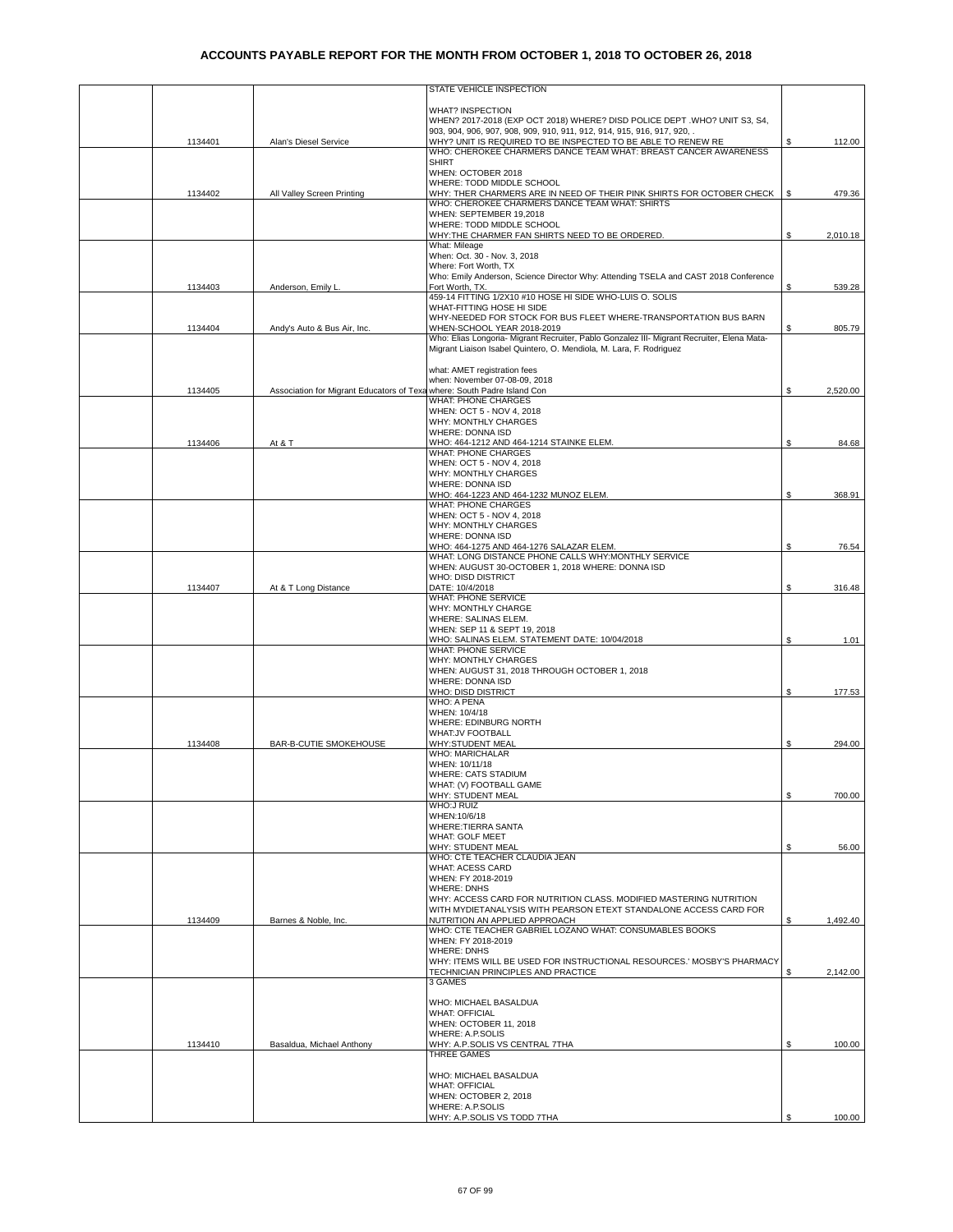|         |                                                                         | STATE VEHICLE INSPECTION                                                                                                        |    |          |
|---------|-------------------------------------------------------------------------|---------------------------------------------------------------------------------------------------------------------------------|----|----------|
|         |                                                                         | <b>WHAT? INSPECTION</b>                                                                                                         |    |          |
|         |                                                                         | WHEN? 2017-2018 (EXP OCT 2018) WHERE? DISD POLICE DEPT .WHO? UNIT S3, S4,                                                       |    |          |
|         |                                                                         | 903, 904, 906, 907, 908, 909, 910, 911, 912, 914, 915, 916, 917, 920, .                                                         |    |          |
| 1134401 | Alan's Diesel Service                                                   | WHY? UNIT IS REQUIRED TO BE INSPECTED TO BE ABLE TO RENEW RE<br>WHO: CHEROKEE CHARMERS DANCE TEAM WHAT: BREAST CANCER AWARENESS | S  | 112.00   |
|         |                                                                         | <b>SHIRT</b>                                                                                                                    |    |          |
|         |                                                                         | WHEN: OCTOBER 2018                                                                                                              |    |          |
|         |                                                                         | WHERE: TODD MIDDLE SCHOOL                                                                                                       |    |          |
| 1134402 | All Valley Screen Printing                                              | WHY: THER CHARMERS ARE IN NEED OF THEIR PINK SHIRTS FOR OCTOBER CHECK<br>WHO: CHEROKEE CHARMERS DANCE TEAM WHAT: SHIRTS         | S  | 479.36   |
|         |                                                                         | WHEN: SEPTEMBER 19,2018                                                                                                         |    |          |
|         |                                                                         | WHERE: TODD MIDDLE SCHOOL                                                                                                       |    |          |
|         |                                                                         | WHY:THE CHARMER FAN SHIRTS NEED TO BE ORDERED.                                                                                  | \$ | 2,010.18 |
|         |                                                                         | What: Mileage<br>When: Oct. 30 - Nov. 3, 2018                                                                                   |    |          |
|         |                                                                         | Where: Fort Worth, TX                                                                                                           |    |          |
|         |                                                                         | Who: Emily Anderson, Science Director Why: Attending TSELA and CAST 2018 Conference                                             |    |          |
| 1134403 | Anderson, Emily L                                                       | Fort Worth, TX.                                                                                                                 | S  | 539.28   |
|         |                                                                         | 459-14 FITTING 1/2X10 #10 HOSE HI SIDE WHO-LUIS O. SOLIS                                                                        |    |          |
|         |                                                                         | WHAT-FITTING HOSE HI SIDE<br>WHY-NEEDED FOR STOCK FOR BUS FLEET WHERE-TRANSPORTATION BUS BARN                                   |    |          |
| 1134404 | Andy's Auto & Bus Air, Inc.                                             | WHEN-SCHOOL YEAR 2018-2019                                                                                                      | S. | 805.79   |
|         |                                                                         | Who: Elias Longoria- Migrant Recruiter, Pablo Gonzalez III- Migrant Recruiter, Elena Mata-                                      |    |          |
|         |                                                                         | Migrant Liaison Isabel Quintero, O. Mendiola, M. Lara, F. Rodriguez                                                             |    |          |
|         |                                                                         |                                                                                                                                 |    |          |
|         |                                                                         | what: AMET registration fees<br>when: November 07-08-09, 2018                                                                   |    |          |
| 1134405 | Association for Migrant Educators of Texa where: South Padre Island Con |                                                                                                                                 | \$ | 2,520.00 |
|         |                                                                         | <b>WHAT: PHONE CHARGES</b>                                                                                                      |    |          |
|         |                                                                         | WHEN: OCT 5 - NOV 4, 2018                                                                                                       |    |          |
|         |                                                                         | WHY: MONTHLY CHARGES                                                                                                            |    |          |
| 1134406 | At & T                                                                  | <b>WHERE: DONNA ISD</b><br>WHO: 464-1212 AND 464-1214 STAINKE ELEM.                                                             | S  | 84.68    |
|         |                                                                         | <b>WHAT: PHONE CHARGES</b>                                                                                                      |    |          |
|         |                                                                         | WHEN: OCT 5 - NOV 4, 2018                                                                                                       |    |          |
|         |                                                                         | WHY: MONTHLY CHARGES                                                                                                            |    |          |
|         |                                                                         | WHERE: DONNA ISD                                                                                                                |    |          |
|         |                                                                         | WHO: 464-1223 AND 464-1232 MUNOZ ELEM.<br><b>WHAT: PHONE CHARGES</b>                                                            | \$ | 368.91   |
|         |                                                                         | WHEN: OCT 5 - NOV 4, 2018                                                                                                       |    |          |
|         |                                                                         | WHY: MONTHLY CHARGES                                                                                                            |    |          |
|         |                                                                         | WHERE: DONNA ISD                                                                                                                |    |          |
|         |                                                                         | WHO: 464-1275 AND 464-1276 SALAZAR ELEM                                                                                         | S  | 76.54    |
|         |                                                                         | WHAT: LONG DISTANCE PHONE CALLS WHY:MONTHLY SERVICE<br>WHEN: AUGUST 30-OCTOBER 1, 2018 WHERE: DONNA ISD                         |    |          |
|         |                                                                         | WHO: DISD DISTRICT                                                                                                              |    |          |
| 1134407 | At & T Long Distance                                                    | DATE: 10/4/2018                                                                                                                 | \$ | 316.48   |
|         |                                                                         | WHAT: PHONE SERVICE                                                                                                             |    |          |
|         |                                                                         | WHY: MONTHLY CHARGE                                                                                                             |    |          |
|         |                                                                         | WHERE: SALINAS ELEM.<br>WHEN: SEP 11 & SEPT 19, 2018                                                                            |    |          |
|         |                                                                         | WHO: SALINAS ELEM. STATEMENT DATE: 10/04/2018                                                                                   | S  | 1.01     |
|         |                                                                         | WHAT: PHONE SERVICE                                                                                                             |    |          |
|         |                                                                         | WHY: MONTHLY CHARGES                                                                                                            |    |          |
|         |                                                                         | WHEN: AUGUST 31, 2018 THROUGH OCTOBER 1, 2018                                                                                   |    |          |
|         |                                                                         | WHERE: DONNA ISD<br>WHO: DISD DISTRICT                                                                                          | \$ | 177.53   |
|         |                                                                         | WHO: A PENA                                                                                                                     |    |          |
|         |                                                                         | WHEN: 10/4/18                                                                                                                   |    |          |
|         |                                                                         | WHERE: EDINBURG NORTH                                                                                                           |    |          |
|         |                                                                         | <b>WHAT:JV FOOTBALL</b>                                                                                                         | \$ |          |
| 1134408 | <b>BAR-B-CUTIE SMOKEHOUSE</b>                                           | WHY:STUDENT MEAL<br>WHO: MARICHALAR                                                                                             |    | 294.00   |
|         |                                                                         | WHEN: 10/11/18                                                                                                                  |    |          |
|         |                                                                         | <b>WHERE: CATS STADIUM</b>                                                                                                      |    |          |
|         |                                                                         | WHAT: (V) FOOTBALL GAME                                                                                                         |    |          |
|         |                                                                         | WHY: STUDENT MEAL<br><b>WHO:J RUIZ</b>                                                                                          | \$ | 700.00   |
|         |                                                                         | WHEN:10/6/18                                                                                                                    |    |          |
|         |                                                                         | <b>WHERE: TIERRA SANTA</b>                                                                                                      |    |          |
|         |                                                                         | WHAT: GOLF MEET                                                                                                                 |    |          |
|         |                                                                         | WHY: STUDENT MEAL                                                                                                               | \$ | 56.00    |
|         |                                                                         | WHO: CTE TEACHER CLAUDIA JEAN                                                                                                   |    |          |
|         |                                                                         | WHAT: ACESS CARD<br>WHEN: FY 2018-2019                                                                                          |    |          |
|         |                                                                         | <b>WHERE: DNHS</b>                                                                                                              |    |          |
|         |                                                                         | WHY: ACCESS CARD FOR NUTRITION CLASS, MODIFIED MASTERING NUTRITION                                                              |    |          |
|         |                                                                         | WITH MYDIETANALYSIS WITH PEARSON ETEXT STANDALONE ACCESS CARD FOR                                                               |    |          |
| 1134409 | Barnes & Noble, Inc.                                                    | NUTRITION AN APPLIED APPROACH<br>WHO: CTE TEACHER GABRIEL LOZANO WHAT: CONSUMABLES BOOKS                                        | \$ | 1,492.40 |
|         |                                                                         | WHEN: FY 2018-2019                                                                                                              |    |          |
|         |                                                                         | <b>WHERE: DNHS</b>                                                                                                              |    |          |
|         |                                                                         | WHY: ITEMS WILL BE USED FOR INSTRUCTIONAL RESOURCES.' MOSBY'S PHARMACY                                                          |    |          |
|         |                                                                         | TECHNICIAN PRINCIPLES AND PRACTICE                                                                                              | S  | 2,142.00 |
|         |                                                                         | 3 GAMES                                                                                                                         |    |          |
|         |                                                                         | WHO: MICHAEL BASALDUA                                                                                                           |    |          |
|         |                                                                         | <b>WHAT: OFFICIAL</b>                                                                                                           |    |          |
|         |                                                                         | WHEN: OCTOBER 11, 2018                                                                                                          |    |          |
|         |                                                                         | WHERE: A.P.SOLIS                                                                                                                |    |          |
| 1134410 | Basaldua, Michael Anthony                                               | WHY: A.P.SOLIS VS CENTRAL 7THA<br><b>THREE GAMES</b>                                                                            | \$ | 100.00   |
|         |                                                                         |                                                                                                                                 |    |          |
|         |                                                                         | WHO: MICHAEL BASALDUA                                                                                                           |    |          |
|         |                                                                         | <b>WHAT: OFFICIAL</b>                                                                                                           |    |          |
|         |                                                                         | WHEN: OCTOBER 2, 2018                                                                                                           |    |          |
|         |                                                                         | WHERE: A.P.SOLIS<br>WHY: A.P.SOLIS VS TODD 7THA                                                                                 |    | 100.00   |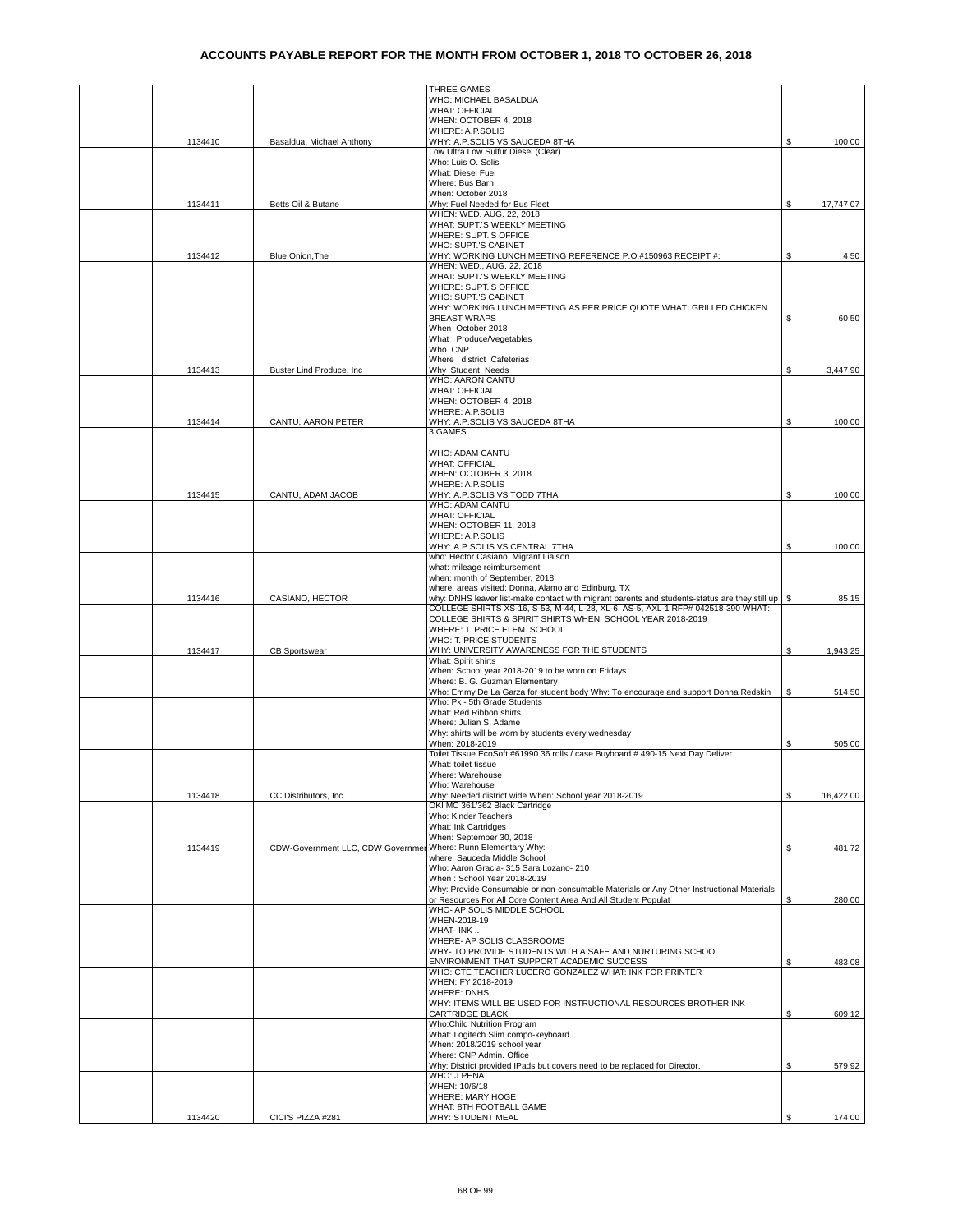|         |                                                               | THREE GAMES                                                                                                                                                                      |    |           |
|---------|---------------------------------------------------------------|----------------------------------------------------------------------------------------------------------------------------------------------------------------------------------|----|-----------|
|         |                                                               | WHO: MICHAEL BASALDUA                                                                                                                                                            |    |           |
|         |                                                               | <b>WHAT: OFFICIAL</b>                                                                                                                                                            |    |           |
|         |                                                               | WHEN: OCTOBER 4, 2018                                                                                                                                                            |    |           |
|         |                                                               | WHERE: A.P.SOLIS                                                                                                                                                                 |    |           |
| 1134410 | Basaldua, Michael Anthony                                     | WHY: A.P.SOLIS VS SAUCEDA 8THA                                                                                                                                                   | S. | 100.00    |
|         |                                                               | Low Ultra Low Sulfur Diesel (Clear)                                                                                                                                              |    |           |
|         |                                                               | Who: Luis O. Solis<br>What: Diesel Fuel                                                                                                                                          |    |           |
|         |                                                               | Where: Bus Barn                                                                                                                                                                  |    |           |
|         |                                                               | When: October 2018                                                                                                                                                               |    |           |
| 1134411 |                                                               | Why: Fuel Needed for Bus Fleet                                                                                                                                                   | S  | 17,747.07 |
|         | Betts Oil & Butane                                            | WHEN: WED. AUG. 22, 2018                                                                                                                                                         |    |           |
|         |                                                               | WHAT: SUPT.'S WEEKLY MEETING                                                                                                                                                     |    |           |
|         |                                                               | WHERE: SUPT.'S OFFICE                                                                                                                                                            |    |           |
|         |                                                               | WHO: SUPT.'S CABINET                                                                                                                                                             |    |           |
| 1134412 | Blue Onion, The                                               | WHY: WORKING LUNCH MEETING REFERENCE P.O.#150963 RECEIPT #:                                                                                                                      | S. | 4.50      |
|         |                                                               | WHEN: WED., AUG. 22, 2018                                                                                                                                                        |    |           |
|         |                                                               | WHAT: SUPT.'S WEEKLY MEETING                                                                                                                                                     |    |           |
|         |                                                               | WHERE: SUPT.'S OFFICE                                                                                                                                                            |    |           |
|         |                                                               | WHO: SUPT.'S CABINET                                                                                                                                                             |    |           |
|         |                                                               | WHY: WORKING LUNCH MEETING AS PER PRICE QUOTE WHAT: GRILLED CHICKEN                                                                                                              |    |           |
|         |                                                               | <b>BREAST WRAPS</b>                                                                                                                                                              | \$ | 60.50     |
|         |                                                               | When October 2018                                                                                                                                                                |    |           |
|         |                                                               | What Produce/Vegetables                                                                                                                                                          |    |           |
|         |                                                               | Who CNP                                                                                                                                                                          |    |           |
|         |                                                               | Where district Cafeterias                                                                                                                                                        |    |           |
| 1134413 | Buster Lind Produce, Inc.                                     | Why Student Needs                                                                                                                                                                | \$ | 3,447.90  |
|         |                                                               | WHO: AARON CANTU                                                                                                                                                                 |    |           |
|         |                                                               | <b>WHAT: OFFICIAL</b><br>WHEN: OCTOBER 4, 2018                                                                                                                                   |    |           |
|         |                                                               | WHERE: A.P.SOLIS                                                                                                                                                                 |    |           |
| 1134414 | CANTU, AARON PETER                                            | WHY: A.P.SOLIS VS SAUCEDA 8THA                                                                                                                                                   | \$ | 100.00    |
|         |                                                               | 3 GAMES                                                                                                                                                                          |    |           |
|         |                                                               |                                                                                                                                                                                  |    |           |
|         |                                                               | WHO: ADAM CANTU                                                                                                                                                                  |    |           |
|         |                                                               | <b>WHAT: OFFICIAL</b>                                                                                                                                                            |    |           |
|         |                                                               | WHEN: OCTOBER 3, 2018                                                                                                                                                            |    |           |
|         |                                                               | <b>WHERE: A.P.SOLIS</b>                                                                                                                                                          |    |           |
| 1134415 | CANTU, ADAM JACOB                                             | WHY: A.P.SOLIS VS TODD 7THA                                                                                                                                                      | \$ | 100.00    |
|         |                                                               | WHO: ADAM CANTU                                                                                                                                                                  |    |           |
|         |                                                               | <b>WHAT: OFFICIAL</b>                                                                                                                                                            |    |           |
|         |                                                               | WHEN: OCTOBER 11, 2018                                                                                                                                                           |    |           |
|         |                                                               | WHERE: A.P.SOLIS                                                                                                                                                                 |    |           |
|         |                                                               | WHY: A.P.SOLIS VS CENTRAL 7THA                                                                                                                                                   | \$ | 100.00    |
|         |                                                               | who: Hector Casiano, Migrant Liaison                                                                                                                                             |    |           |
|         |                                                               | what: mileage reimbursement                                                                                                                                                      |    |           |
|         |                                                               | when: month of September, 2018                                                                                                                                                   |    |           |
|         |                                                               | where: areas visited: Donna, Alamo and Edinburg, TX                                                                                                                              |    |           |
| 1134416 | CASIANO, HECTOR                                               | why: DNHS leaver list-make contact with migrant parents and students-status are they still up<br>COLLEGE SHIRTS XS-16, S-53, M-44, L-28, XL-6, AS-5, AXL-1 RFP# 042518-390 WHAT: |    | 85.15     |
|         |                                                               | COLLEGE SHIRTS & SPIRIT SHIRTS WHEN: SCHOOL YEAR 2018-2019                                                                                                                       |    |           |
|         |                                                               | WHERE: T. PRICE ELEM. SCHOOL                                                                                                                                                     |    |           |
|         |                                                               | WHO: T. PRICE STUDENTS                                                                                                                                                           |    |           |
| 1134417 | <b>CB Sportswear</b>                                          | WHY: UNIVERSITY AWARENESS FOR THE STUDENTS                                                                                                                                       | S. | 1,943.25  |
|         |                                                               | What: Spirit shirts                                                                                                                                                              |    |           |
|         |                                                               | When: School year 2018-2019 to be worn on Fridays                                                                                                                                |    |           |
|         |                                                               | Where: B. G. Guzman Elementary                                                                                                                                                   |    |           |
|         |                                                               | Who: Emmy De La Garza for student body Why: To encourage and support Donna Redskin                                                                                               | S  | 514.50    |
|         |                                                               | Who: Pk - 5th Grade Students                                                                                                                                                     |    |           |
|         |                                                               | What: Red Ribbon shirts                                                                                                                                                          |    |           |
|         |                                                               | Where: Julian S. Adame                                                                                                                                                           |    |           |
|         |                                                               | Why: shirts will be worn by students every wednesday                                                                                                                             |    |           |
|         |                                                               | When: 2018-2019                                                                                                                                                                  | \$ | 505.00    |
|         |                                                               | Toilet Tissue EcoSoft #61990 36 rolls / case Buyboard # 490-15 Next Day Deliver                                                                                                  |    |           |
|         |                                                               | What: toilet tissue                                                                                                                                                              |    |           |
|         |                                                               | Where: Warehouse<br>Who: Warehouse                                                                                                                                               |    |           |
| 1134418 | CC Distributors, Inc.                                         | Why: Needed district wide When: School year 2018-2019                                                                                                                            | \$ | 16,422.00 |
|         |                                                               | OKI MC 361/362 Black Cartridge                                                                                                                                                   |    |           |
|         |                                                               | Who: Kinder Teachers                                                                                                                                                             |    |           |
|         |                                                               | What: Ink Cartridges                                                                                                                                                             |    |           |
|         |                                                               | When: September 30, 2018                                                                                                                                                         |    |           |
| 1134419 | CDW-Government LLC, CDW Governmer Where: Runn Elementary Why: |                                                                                                                                                                                  | \$ | 481.72    |
|         |                                                               | where: Sauceda Middle School                                                                                                                                                     |    |           |
|         |                                                               | Who: Aaron Gracia- 315 Sara Lozano- 210                                                                                                                                          |    |           |
|         |                                                               | When: School Year 2018-2019                                                                                                                                                      |    |           |
|         |                                                               | Why: Provide Consumable or non-consumable Materials or Any Other Instructional Materials                                                                                         |    |           |
|         |                                                               | or Resources For All Core Content Area And All Student Populat                                                                                                                   | \$ | 280.00    |
|         |                                                               | WHO- AP SOLIS MIDDLE SCHOOL                                                                                                                                                      |    |           |
|         |                                                               | WHEN-2018-19                                                                                                                                                                     |    |           |
|         |                                                               | WHAT-INK                                                                                                                                                                         |    |           |
|         |                                                               | WHERE- AP SOLIS CLASSROOMS<br>WHY- TO PROVIDE STUDENTS WITH A SAFE AND NURTURING SCHOOL                                                                                          |    |           |
|         |                                                               | ENVIRONMENT THAT SUPPORT ACADEMIC SUCCESS                                                                                                                                        | \$ | 483.08    |
|         |                                                               | WHO: CTE TEACHER LUCERO GONZALEZ WHAT: INK FOR PRINTER                                                                                                                           |    |           |
|         |                                                               | WHEN: FY 2018-2019                                                                                                                                                               |    |           |
|         |                                                               | <b>WHERE: DNHS</b>                                                                                                                                                               |    |           |
|         |                                                               | WHY: ITEMS WILL BE USED FOR INSTRUCTIONAL RESOURCES BROTHER INK                                                                                                                  |    |           |
|         |                                                               | CARTRIDGE BLACK                                                                                                                                                                  | S. | 609.12    |
|         |                                                               | Who:Child Nutrition Program                                                                                                                                                      |    |           |
|         |                                                               | What: Logitech Slim compo-keyboard                                                                                                                                               |    |           |
|         |                                                               | When: 2018/2019 school year                                                                                                                                                      |    |           |
|         |                                                               | Where: CNP Admin. Office                                                                                                                                                         |    |           |
|         |                                                               | Why: District provided IPads but covers need to be replaced for Director.                                                                                                        | S. | 579.92    |
|         |                                                               | WHO: J PENA                                                                                                                                                                      |    |           |
|         |                                                               | WHEN: 10/6/18                                                                                                                                                                    |    |           |
|         |                                                               | WHERE: MARY HOGE                                                                                                                                                                 |    |           |
| 1134420 | CICI'S PIZZA #281                                             | WHAT: 8TH FOOTBALL GAME<br>WHY: STUDENT MEAL                                                                                                                                     | \$ | 174.00    |
|         |                                                               |                                                                                                                                                                                  |    |           |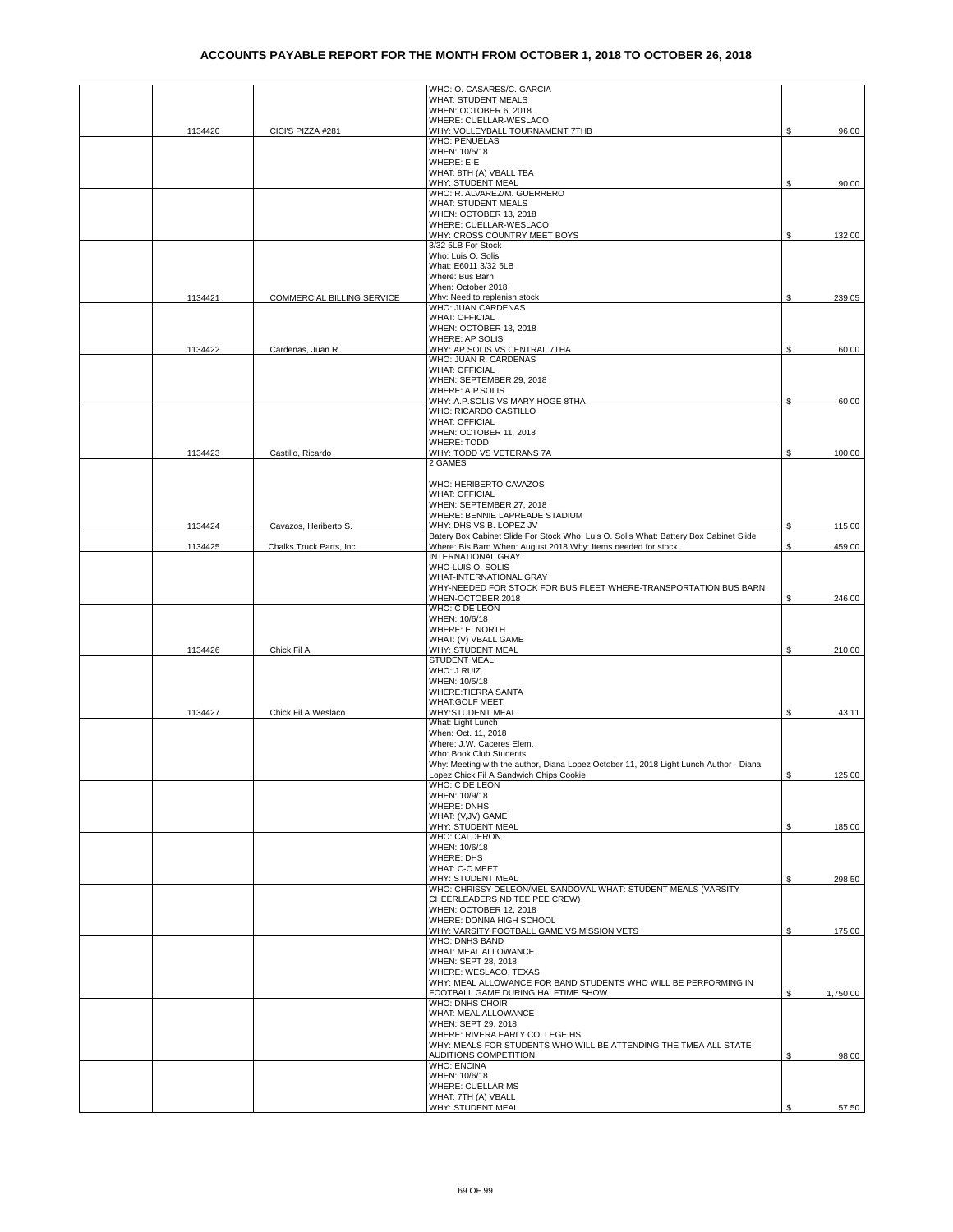|         |                            | WHO: O. CASARES/C. GARCIA<br>WHAT: STUDENT MEALS                                                                                 |    |          |
|---------|----------------------------|----------------------------------------------------------------------------------------------------------------------------------|----|----------|
|         |                            | WHEN: OCTOBER 6, 2018                                                                                                            |    |          |
|         |                            | WHERE: CUELLAR-WESLACO                                                                                                           |    |          |
| 1134420 | CICI'S PIZZA #281          | WHY: VOLLEYBALL TOURNAMENT 7THB<br><b>WHO: PENUELAS</b>                                                                          | \$ | 96.00    |
|         |                            | WHEN: 10/5/18                                                                                                                    |    |          |
|         |                            | WHERE: E-E                                                                                                                       |    |          |
|         |                            | WHAT: 8TH (A) VBALL TBA<br>WHY: STUDENT MEAL                                                                                     | \$ | 90.00    |
|         |                            | WHO: R. ALVAREZ/M. GUERRERO                                                                                                      |    |          |
|         |                            | WHAT: STUDENT MEALS                                                                                                              |    |          |
|         |                            | WHEN: OCTOBER 13, 2018<br>WHERE: CUELLAR-WESLACO                                                                                 |    |          |
|         |                            | WHY: CROSS COUNTRY MEET BOYS                                                                                                     | \$ | 132.00   |
|         |                            | 3/32 5LB For Stock                                                                                                               |    |          |
|         |                            | Who: Luis O. Solis<br>What: E6011 3/32 5LB                                                                                       |    |          |
|         |                            | Where: Bus Barn                                                                                                                  |    |          |
|         |                            | When: October 2018                                                                                                               |    |          |
| 1134421 | COMMERCIAL BILLING SERVICE | Why: Need to replenish stock<br>WHO: JUAN CARDENAS                                                                               | \$ | 239.05   |
|         |                            | <b>WHAT: OFFICIAL</b>                                                                                                            |    |          |
|         |                            | WHEN: OCTOBER 13, 2018                                                                                                           |    |          |
| 1134422 | Cardenas, Juan R.          | WHERE: AP SOLIS<br>WHY: AP SOLIS VS CENTRAL 7THA                                                                                 | \$ | 60.00    |
|         |                            | WHO: JUAN R. CARDENAS                                                                                                            |    |          |
|         |                            | <b>WHAT: OFFICIAL</b>                                                                                                            |    |          |
|         |                            | WHEN: SEPTEMBER 29, 2018<br>WHERE: A.P.SOLIS                                                                                     |    |          |
|         |                            | WHY: A.P.SOLIS VS MARY HOGE 8THA                                                                                                 | \$ | 60.00    |
|         |                            | WHO: RICARDO CASTILLO                                                                                                            |    |          |
|         |                            | <b>WHAT: OFFICIAL</b><br>WHEN: OCTOBER 11, 2018                                                                                  |    |          |
|         |                            | <b>WHERE: TODD</b>                                                                                                               |    |          |
| 1134423 | Castillo, Ricardo          | WHY: TODD VS VETERANS 7A                                                                                                         | \$ | 100.00   |
|         |                            | 2 GAMES                                                                                                                          |    |          |
|         |                            | WHO: HERIBERTO CAVAZOS                                                                                                           |    |          |
|         |                            | <b>WHAT: OFFICIAL</b>                                                                                                            |    |          |
|         |                            | WHEN: SEPTEMBER 27, 2018                                                                                                         |    |          |
| 1134424 | Cavazos, Heriberto S.      | WHERE: BENNIE LAPREADE STADIUM<br>WHY: DHS VS B. LOPEZ JV                                                                        | \$ | 115.00   |
|         |                            | Batery Box Cabinet Slide For Stock Who: Luis O. Solis What: Battery Box Cabinet Slide                                            |    |          |
| 1134425 | Chalks Truck Parts, Inc    | Where: Bis Barn When: August 2018 Why: Items needed for stock<br><b>INTERNATIONAL GRAY</b>                                       | \$ | 459.00   |
|         |                            | WHO-LUIS O. SOLIS                                                                                                                |    |          |
|         |                            | WHAT-INTERNATIONAL GRAY                                                                                                          |    |          |
|         |                            | WHY-NEEDED FOR STOCK FOR BUS FLEET WHERE-TRANSPORTATION BUS BARN                                                                 |    |          |
|         |                            | WHEN-OCTOBER 2018<br>WHO: C DE LEON                                                                                              | \$ | 246.00   |
|         |                            | WHEN: 10/6/18                                                                                                                    |    |          |
|         |                            | WHERE: E. NORTH                                                                                                                  |    |          |
| 1134426 | Chick Fil A                | WHAT: (V) VBALL GAME<br>WHY: STUDENT MEAL                                                                                        | S  | 210.00   |
|         |                            | <b>STUDENT MEAL</b>                                                                                                              |    |          |
|         |                            | WHO: J RUIZ                                                                                                                      |    |          |
|         |                            | WHEN: 10/5/18<br>WHERE: TIERRA SANTA                                                                                             |    |          |
|         |                            | <b>WHAT:GOLF MEET</b>                                                                                                            |    |          |
| 1134427 | Chick Fil A Weslaco        | WHY:STUDENT MEAL                                                                                                                 | \$ | 43.11    |
|         |                            | What: Light Lunch<br>When: Oct. 11, 2018                                                                                         |    |          |
|         |                            | Where: J.W. Caceres Elem.                                                                                                        |    |          |
|         |                            | Who: Book Club Students                                                                                                          |    |          |
|         |                            | Why: Meeting with the author, Diana Lopez October 11, 2018 Light Lunch Author - Diana<br>Lopez Chick Fil A Sandwich Chips Cookie | \$ | 125.00   |
|         |                            | WHO: C DE LEON                                                                                                                   |    |          |
|         |                            | WHEN: 10/9/18                                                                                                                    |    |          |
|         |                            | <b>WHERE: DNHS</b><br>WHAT: (V, JV) GAME                                                                                         |    |          |
|         |                            | WHY: STUDENT MEAL                                                                                                                | \$ | 185.00   |
|         |                            | <b>WHO: CALDERON</b>                                                                                                             |    |          |
|         |                            | WHEN: 10/6/18<br><b>WHERE: DHS</b>                                                                                               |    |          |
|         |                            | <b>WHAT: C-C MEET</b>                                                                                                            |    |          |
|         |                            | WHY: STUDENT MEAL                                                                                                                | \$ | 298.50   |
|         |                            | WHO: CHRISSY DELEON/MEL SANDOVAL WHAT: STUDENT MEALS (VARSITY<br>CHEERLEADERS ND TEE PEE CREW)                                   |    |          |
|         |                            | WHEN: OCTOBER 12, 2018                                                                                                           |    |          |
|         |                            | WHERE: DONNA HIGH SCHOOL                                                                                                         |    |          |
|         |                            | WHY: VARSITY FOOTBALL GAME VS MISSION VETS<br>WHO: DNHS BAND                                                                     | S  | 175.00   |
|         |                            | WHAT: MEAL ALLOWANCE                                                                                                             |    |          |
|         |                            | WHEN: SEPT 28, 2018                                                                                                              |    |          |
|         |                            | WHERE: WESLACO, TEXAS<br>WHY: MEAL ALLOWANCE FOR BAND STUDENTS WHO WILL BE PERFORMING IN                                         |    |          |
|         |                            | FOOTBALL GAME DURING HALFTIME SHOW.                                                                                              | \$ | 1,750.00 |
|         |                            | WHO: DNHS CHOIR                                                                                                                  |    |          |
|         |                            | WHAT: MEAL ALLOWANCE<br>WHEN: SEPT 29, 2018                                                                                      |    |          |
|         |                            | WHERE: RIVERA EARLY COLLEGE HS                                                                                                   |    |          |
|         |                            | WHY: MEALS FOR STUDENTS WHO WILL BE ATTENDING THE TMEA ALL STATE                                                                 |    |          |
|         |                            | AUDITIONS COMPETITION<br><b>WHO: ENCINA</b>                                                                                      | \$ | 98.00    |
|         |                            | WHEN: 10/6/18                                                                                                                    |    |          |
|         |                            | WHERE: CUELLAR MS                                                                                                                |    |          |
|         |                            | WHAT: 7TH (A) VBALL                                                                                                              |    |          |
|         |                            | WHY: STUDENT MEAL                                                                                                                | \$ | 57.50    |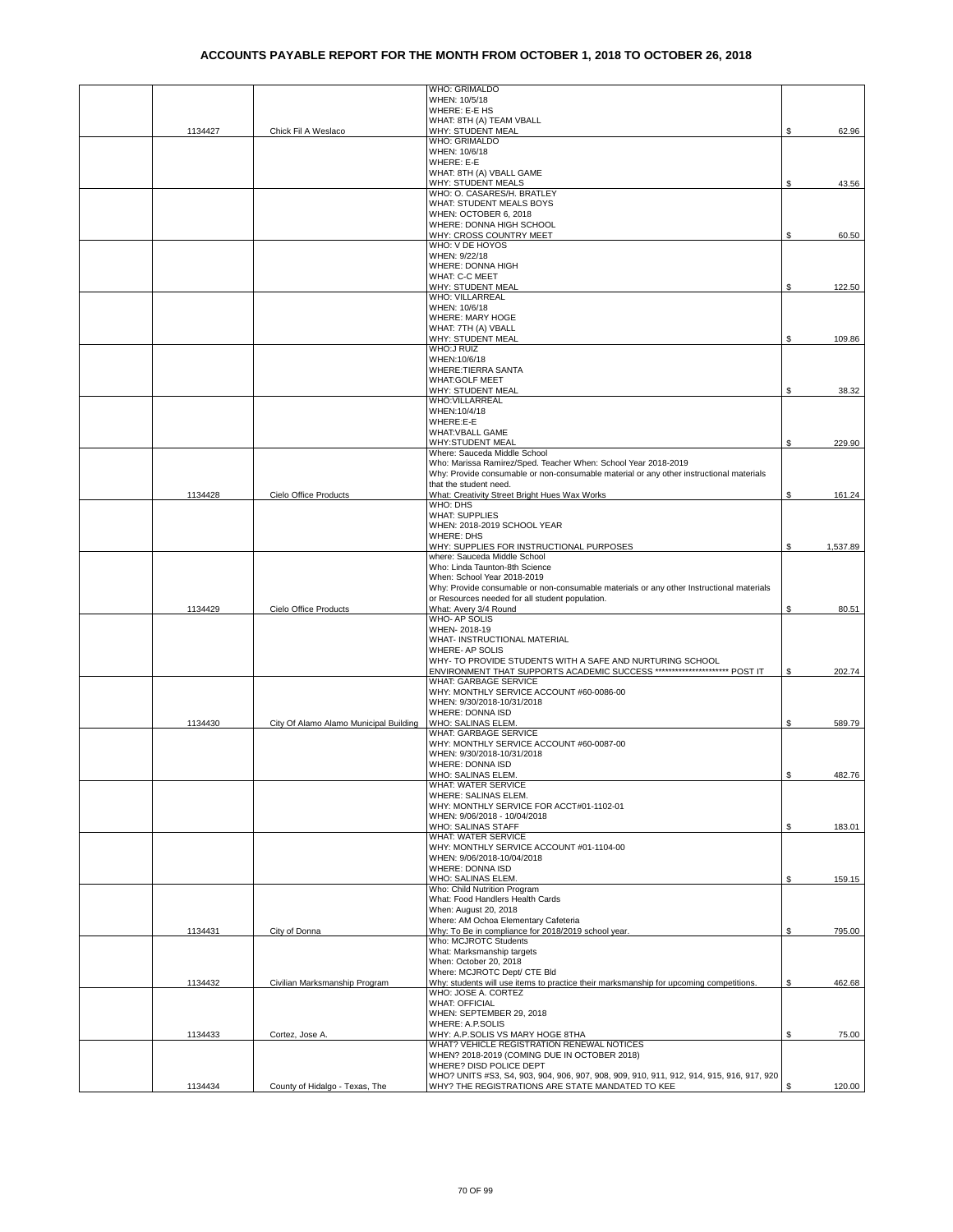|         |                                        | WHO: GRIMALDO                                                                                                     |    |          |
|---------|----------------------------------------|-------------------------------------------------------------------------------------------------------------------|----|----------|
|         |                                        | WHEN: 10/5/18<br>WHERE: E-E HS                                                                                    |    |          |
|         |                                        | WHAT: 8TH (A) TEAM VBALL                                                                                          |    |          |
| 1134427 | Chick Fil A Weslaco                    | WHY: STUDENT MEAL                                                                                                 | \$ | 62.96    |
|         |                                        | WHO: GRIMALDO                                                                                                     |    |          |
|         |                                        | WHEN: 10/6/18<br>WHERE: E-E                                                                                       |    |          |
|         |                                        | WHAT: 8TH (A) VBALL GAME                                                                                          |    |          |
|         |                                        | WHY: STUDENT MEALS                                                                                                | \$ | 43.56    |
|         |                                        | WHO: O. CASARES/H. BRATLEY                                                                                        |    |          |
|         |                                        | WHAT: STUDENT MEALS BOYS<br>WHEN: OCTOBER 6, 2018                                                                 |    |          |
|         |                                        | WHERE: DONNA HIGH SCHOOL                                                                                          |    |          |
|         |                                        | WHY: CROSS COUNTRY MEET                                                                                           | \$ | 60.50    |
|         |                                        | WHO: V DE HOYOS                                                                                                   |    |          |
|         |                                        | WHEN: 9/22/18<br>WHERE: DONNA HIGH                                                                                |    |          |
|         |                                        | <b>WHAT: C-C MEET</b>                                                                                             |    |          |
|         |                                        | WHY: STUDENT MEAL                                                                                                 | \$ | 122.50   |
|         |                                        | WHO: VILLARREAL                                                                                                   |    |          |
|         |                                        | WHEN: 10/6/18<br>WHERE: MARY HOGE                                                                                 |    |          |
|         |                                        | WHAT: 7TH (A) VBALL                                                                                               |    |          |
|         |                                        | WHY: STUDENT MEAL                                                                                                 | S  | 109.86   |
|         |                                        | <b>WHO:J RUIZ</b>                                                                                                 |    |          |
|         |                                        | WHEN:10/6/18<br><b>WHERE: TIERRA SANTA</b>                                                                        |    |          |
|         |                                        | <b>WHAT:GOLF MEET</b>                                                                                             |    |          |
|         |                                        | WHY: STUDENT MEAL                                                                                                 | \$ | 38.32    |
|         |                                        | WHO: VILLARREAL                                                                                                   |    |          |
|         |                                        | WHEN:10/4/18<br>WHERE:E-E                                                                                         |    |          |
|         |                                        | <b>WHAT: VBALL GAME</b>                                                                                           |    |          |
|         |                                        | <b>WHY:STUDENT MEAL</b>                                                                                           | \$ | 229.90   |
|         |                                        | Where: Sauceda Middle School                                                                                      |    |          |
|         |                                        | Who: Marissa Ramirez/Sped. Teacher When: School Year 2018-2019                                                    |    |          |
|         |                                        | Why: Provide consumable or non-consumable material or any other instructional materials<br>that the student need. |    |          |
| 1134428 | Cielo Office Products                  | What: Creativity Street Bright Hues Wax Works                                                                     | \$ | 161.24   |
|         |                                        | WHO: DHS                                                                                                          |    |          |
|         |                                        | <b>WHAT: SUPPLIES</b>                                                                                             |    |          |
|         |                                        | WHEN: 2018-2019 SCHOOL YEAR                                                                                       |    |          |
|         |                                        | <b>WHERE: DHS</b><br>WHY: SUPPLIES FOR INSTRUCTIONAL PURPOSES                                                     | \$ | 1,537.89 |
|         |                                        | where: Sauceda Middle School                                                                                      |    |          |
|         |                                        | Who: Linda Taunton-8th Science                                                                                    |    |          |
|         |                                        | When: School Year 2018-2019                                                                                       |    |          |
|         |                                        | Why: Provide consumable or non-consumable materials or any other Instructional materials                          |    |          |
| 1134429 | Cielo Office Products                  | or Resources needed for all student population.<br>What: Avery 3/4 Round                                          | \$ | 80.51    |
|         |                                        | <b>WHO-AP SOLIS</b>                                                                                               |    |          |
|         |                                        | WHEN-2018-19                                                                                                      |    |          |
|         |                                        | WHAT- INSTRUCTIONAL MATERIAL                                                                                      |    |          |
|         |                                        | WHERE- AP SOLIS<br>WHY- TO PROVIDE STUDENTS WITH A SAFE AND NURTURING SCHOOL                                      |    |          |
|         |                                        | ENVIRONMENT THAT SUPPORTS ACADEMIC SUCCESS ********************** POST IT                                         | \$ | 202.74   |
|         |                                        | WHAT: GARBAGE SERVICE                                                                                             |    |          |
|         |                                        | WHY: MONTHLY SERVICE ACCOUNT #60-0086-00                                                                          |    |          |
|         |                                        | WHEN: 9/30/2018-10/31/2018                                                                                        |    |          |
| 1134430 | City Of Alamo Alamo Municipal Building | WHERE: DONNA ISD<br>WHO: SALINAS ELEM.                                                                            | \$ | 589.79   |
|         |                                        | WHAT: GARBAGE SERVICE                                                                                             |    |          |
|         |                                        | WHY: MONTHLY SERVICE ACCOUNT #60-0087-00                                                                          |    |          |
|         |                                        | WHEN: 9/30/2018-10/31/2018                                                                                        |    |          |
|         |                                        | WHERE: DONNA ISD<br>WHO: SALINAS ELEM.                                                                            | \$ | 482.76   |
|         |                                        | WHAT: WATER SERVICE                                                                                               |    |          |
|         |                                        | WHERE: SALINAS ELEM.                                                                                              |    |          |
|         |                                        | WHY: MONTHLY SERVICE FOR ACCT#01-1102-01                                                                          |    |          |
|         |                                        | WHEN: 9/06/2018 - 10/04/2018                                                                                      |    |          |
|         |                                        | WHO: SALINAS STAFF<br><b>WHAT: WATER SERVICE</b>                                                                  | \$ | 183.01   |
|         |                                        | WHY: MONTHLY SERVICE ACCOUNT #01-1104-00                                                                          |    |          |
|         |                                        | WHEN: 9/06/2018-10/04/2018                                                                                        |    |          |
|         |                                        | WHERE: DONNA ISD                                                                                                  |    |          |
|         |                                        | WHO: SALINAS ELEM.<br>Who: Child Nutrition Program                                                                | \$ | 159.15   |
|         |                                        | What: Food Handlers Health Cards                                                                                  |    |          |
|         |                                        | When: August 20, 2018                                                                                             |    |          |
|         |                                        | Where: AM Ochoa Elementary Cafeteria                                                                              |    |          |
| 1134431 | City of Donna                          | Why: To Be in compliance for 2018/2019 school year.                                                               | \$ | 795.00   |
|         |                                        | Who: MCJROTC Students<br>What: Marksmanship targets                                                               |    |          |
|         |                                        | When: October 20, 2018                                                                                            |    |          |
|         |                                        | Where: MCJROTC Dept/ CTE Bld                                                                                      |    |          |
| 1134432 | Civilian Marksmanship Program          | Why: students will use items to practice their marksmanship for upcoming competitions.                            | \$ | 462.68   |
|         |                                        | WHO: JOSE A. CORTEZ<br><b>WHAT: OFFICIAL</b>                                                                      |    |          |
|         |                                        | WHEN: SEPTEMBER 29, 2018                                                                                          |    |          |
|         |                                        | WHERE: A.P.SOLIS                                                                                                  |    |          |
| 1134433 | Cortez, Jose A.                        | WHY: A.P.SOLIS VS MARY HOGE 8THA                                                                                  | \$ | 75.00    |
|         |                                        | WHAT? VEHICLE REGISTRATION RENEWAL NOTICES                                                                        |    |          |
|         |                                        | WHEN? 2018-2019 (COMING DUE IN OCTOBER 2018)<br>WHERE? DISD POLICE DEPT                                           |    |          |
|         |                                        | WHO? UNITS #S3, S4, 903, 904, 906, 907, 908, 909, 910, 911, 912, 914, 915, 916, 917, 920                          |    |          |
| 1134434 | County of Hidalgo - Texas, The         | WHY? THE REGISTRATIONS ARE STATE MANDATED TO KEE                                                                  | \$ | 120.00   |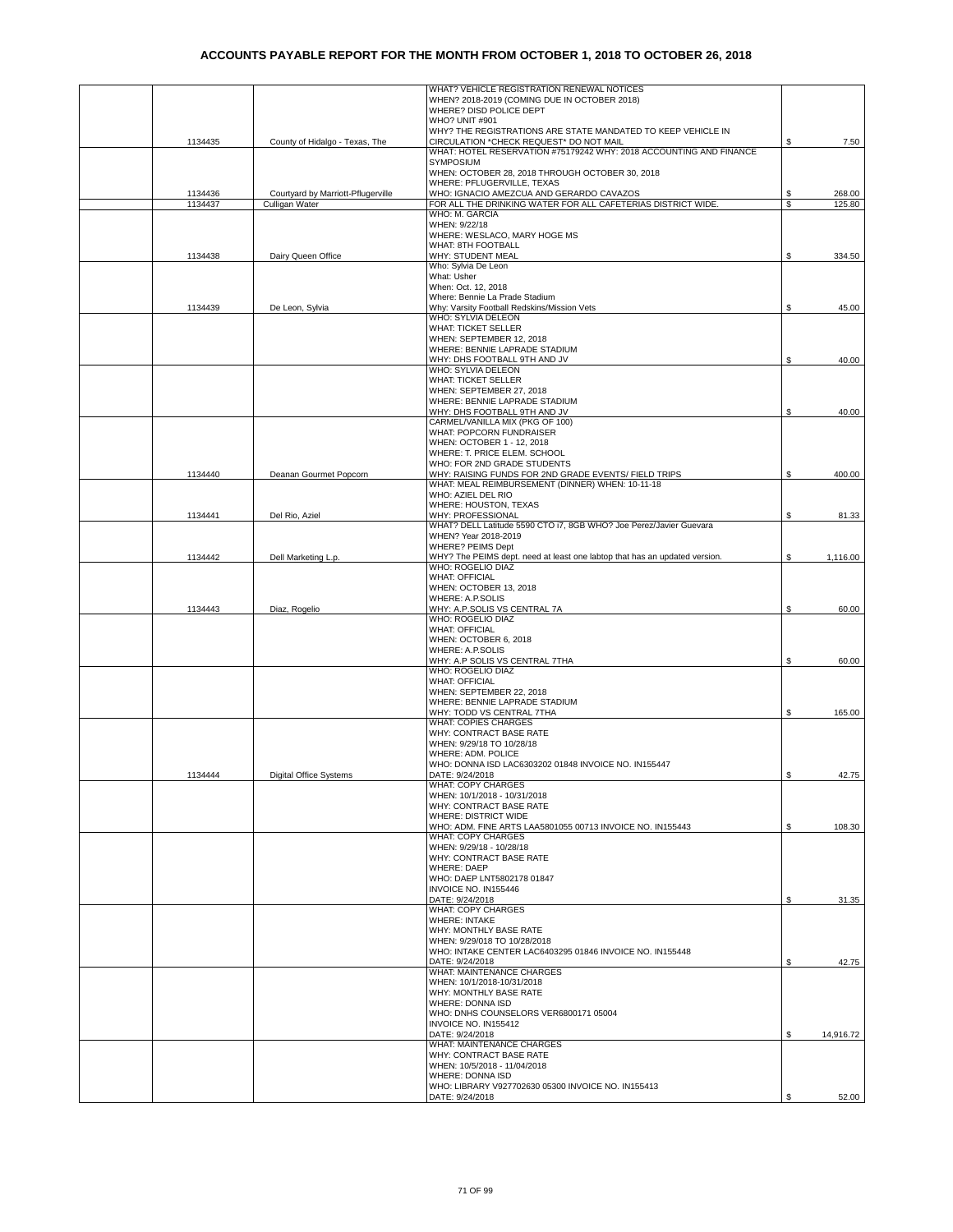|         |                                    | WHAT? VEHICLE REGISTRATION RENEWAL NOTICES<br>WHEN? 2018-2019 (COMING DUE IN OCTOBER 2018) |    |           |
|---------|------------------------------------|--------------------------------------------------------------------------------------------|----|-----------|
|         |                                    | WHERE? DISD POLICE DEPT                                                                    |    |           |
|         |                                    | WHO? UNIT #901                                                                             |    |           |
|         |                                    | WHY? THE REGISTRATIONS ARE STATE MANDATED TO KEEP VEHICLE IN                               |    |           |
| 1134435 | County of Hidalgo - Texas, The     | CIRCULATION *CHECK REQUEST* DO NOT MAIL                                                    | \$ | 7.50      |
|         |                                    | WHAT: HOTEL RESERVATION #75179242 WHY: 2018 ACCOUNTING AND FINANCE                         |    |           |
|         |                                    | SYMPOSIUM                                                                                  |    |           |
|         |                                    | WHEN: OCTOBER 28, 2018 THROUGH OCTOBER 30, 2018<br>WHERE: PFLUGERVILLE, TEXAS              |    |           |
| 1134436 | Courtyard by Marriott-Pflugerville | WHO: IGNACIO AMEZCUA AND GERARDO CAVAZOS                                                   | S  | 268.00    |
| 1134437 | Culligan Water                     | FOR ALL THE DRINKING WATER FOR ALL CAFETERIAS DISTRICT WIDE.                               | \$ | 125.80    |
|         |                                    | WHO: M. GARCIA                                                                             |    |           |
|         |                                    | WHEN: 9/22/18                                                                              |    |           |
|         |                                    | WHERE: WESLACO, MARY HOGE MS                                                               |    |           |
|         |                                    | WHAT: 8TH FOOTBALL                                                                         |    |           |
| 1134438 | Dairy Queen Office                 | WHY: STUDENT MEAL                                                                          | \$ | 334.50    |
|         |                                    | Who: Sylvia De Leon<br>What: Usher                                                         |    |           |
|         |                                    | When: Oct. 12, 2018                                                                        |    |           |
|         |                                    | Where: Bennie La Prade Stadium                                                             |    |           |
| 1134439 | De Leon, Sylvia                    | Why: Varsity Football Redskins/Mission Vets                                                | \$ | 45.00     |
|         |                                    | WHO: SYLVIA DELEON                                                                         |    |           |
|         |                                    | <b>WHAT: TICKET SELLER</b>                                                                 |    |           |
|         |                                    | WHEN: SEPTEMBER 12, 2018                                                                   |    |           |
|         |                                    | WHERE: BENNIE LAPRADE STADIUM                                                              |    |           |
|         |                                    | WHY: DHS FOOTBALL 9TH AND JV<br>WHO: SYLVIA DELEON                                         | \$ | 40.00     |
|         |                                    | <b>WHAT: TICKET SELLER</b>                                                                 |    |           |
|         |                                    | WHEN: SEPTEMBER 27, 2018                                                                   |    |           |
|         |                                    | WHERE: BENNIE LAPRADE STADIUM                                                              |    |           |
|         |                                    | WHY: DHS FOOTBALL 9TH AND JV                                                               | \$ | 40.00     |
|         |                                    | CARMEL/VANILLA MIX (PKG OF 100)                                                            |    |           |
|         |                                    | WHAT: POPCORN FUNDRAISER                                                                   |    |           |
|         |                                    | WHEN: OCTOBER 1 - 12, 2018<br>WHERE: T. PRICE ELEM. SCHOOL                                 |    |           |
|         |                                    | WHO: FOR 2ND GRADE STUDENTS                                                                |    |           |
| 1134440 | Deanan Gourmet Popcorn             | WHY: RAISING FUNDS FOR 2ND GRADE EVENTS/ FIELD TRIPS                                       | \$ | 400.00    |
|         |                                    | WHAT: MEAL REIMBURSEMENT (DINNER) WHEN: 10-11-18                                           |    |           |
|         |                                    | WHO: AZIEL DEL RIO                                                                         |    |           |
|         |                                    | WHERE: HOUSTON, TEXAS                                                                      |    |           |
| 1134441 | Del Rio, Aziel                     | WHY: PROFESSIONAL                                                                          | \$ | 81.33     |
|         |                                    | WHAT? DELL Latitude 5590 CTO i7, 8GB WHO? Joe Perez/Javier Guevara<br>WHEN? Year 2018-2019 |    |           |
|         |                                    | WHERE? PEIMS Dept                                                                          |    |           |
| 1134442 | Dell Marketing L.p.                | WHY? The PEIMS dept. need at least one labtop that has an updated version.                 | \$ | 1,116.00  |
|         |                                    | WHO: ROGELIO DIAZ                                                                          |    |           |
|         |                                    | <b>WHAT: OFFICIAL</b>                                                                      |    |           |
|         |                                    | WHEN: OCTOBER 13, 2018                                                                     |    |           |
|         |                                    | WHERE: A.P.SOLIS                                                                           |    |           |
| 1134443 | Diaz, Rogelio                      | WHY: A.P.SOLIS VS CENTRAL 7A<br>WHO: ROGELIO DIAZ                                          | \$ | 60.00     |
|         |                                    | <b>WHAT: OFFICIAL</b>                                                                      |    |           |
|         |                                    | WHEN: OCTOBER 6, 2018                                                                      |    |           |
|         |                                    | WHERE: A.P.SOLIS                                                                           |    |           |
|         |                                    | WHY: A.P SOLIS VS CENTRAL 7THA                                                             | \$ | 60.00     |
|         |                                    | WHO: ROGELIO DIAZ                                                                          |    |           |
|         |                                    | <b>WHAT: OFFICIAL</b>                                                                      |    |           |
|         |                                    | WHEN: SEPTEMBER 22, 2018<br>WHERE: BENNIE LAPRADE STADIUM                                  |    |           |
|         |                                    | WHY: TODD VS CENTRAL 7THA                                                                  | \$ | 165.00    |
|         |                                    | <b>WHAT: COPIES CHARGES</b>                                                                |    |           |
|         |                                    | WHY: CONTRACT BASE RATE                                                                    |    |           |
|         |                                    | WHEN: 9/29/18 TO 10/28/18                                                                  |    |           |
|         |                                    | WHERE: ADM. POLICE                                                                         |    |           |
|         |                                    | WHO: DONNA ISD LAC6303202 01848 INVOICE NO. IN155447                                       |    |           |
| 1134444 | Digital Office Systems             | DATE: 9/24/2018<br>WHAT: COPY CHARGES                                                      |    | 42.75     |
|         |                                    | WHEN: 10/1/2018 - 10/31/2018                                                               |    |           |
|         |                                    | WHY: CONTRACT BASE RATE                                                                    |    |           |
|         |                                    | WHERE: DISTRICT WIDE                                                                       |    |           |
|         |                                    | WHO: ADM. FINE ARTS LAA5801055 00713 INVOICE NO. IN155443                                  | \$ | 108.30    |
|         |                                    | <b>WHAT: COPY CHARGES</b>                                                                  |    |           |
|         |                                    | WHEN: 9/29/18 - 10/28/18<br>WHY: CONTRACT BASE RATE                                        |    |           |
|         |                                    | <b>WHERE: DAEP</b>                                                                         |    |           |
|         |                                    | WHO: DAEP LNT5802178 01847                                                                 |    |           |
|         |                                    | INVOICE NO. IN155446                                                                       |    |           |
|         |                                    | DATE: 9/24/2018                                                                            | \$ | 31.35     |
|         |                                    | WHAT: COPY CHARGES                                                                         |    |           |
|         |                                    | <b>WHERE: INTAKE</b>                                                                       |    |           |
|         |                                    | WHY: MONTHLY BASE RATE<br>WHEN: 9/29/018 TO 10/28/2018                                     |    |           |
|         |                                    | WHO: INTAKE CENTER LAC6403295 01846 INVOICE NO. IN155448                                   |    |           |
|         |                                    | DATE: 9/24/2018                                                                            | £. | 42.75     |
|         |                                    | WHAT: MAINTENANCE CHARGES                                                                  |    |           |
|         |                                    | WHEN: 10/1/2018-10/31/2018                                                                 |    |           |
|         |                                    | WHY: MONTHLY BASE RATE                                                                     |    |           |
|         |                                    | WHERE: DONNA ISD<br>WHO: DNHS COUNSELORS VER6800171 05004                                  |    |           |
|         |                                    | INVOICE NO. IN155412                                                                       |    |           |
|         |                                    | DATE: 9/24/2018                                                                            | \$ | 14,916.72 |
|         |                                    | WHAT: MAINTENANCE CHARGES                                                                  |    |           |
|         |                                    | WHY: CONTRACT BASE RATE                                                                    |    |           |
|         |                                    | WHEN: 10/5/2018 - 11/04/2018                                                               |    |           |
|         |                                    | WHERE: DONNA ISD<br>WHO: LIBRARY V927702630 05300 INVOICE NO. IN155413                     |    |           |
|         |                                    | DATE: 9/24/2018                                                                            | S  | 52.00     |
|         |                                    |                                                                                            |    |           |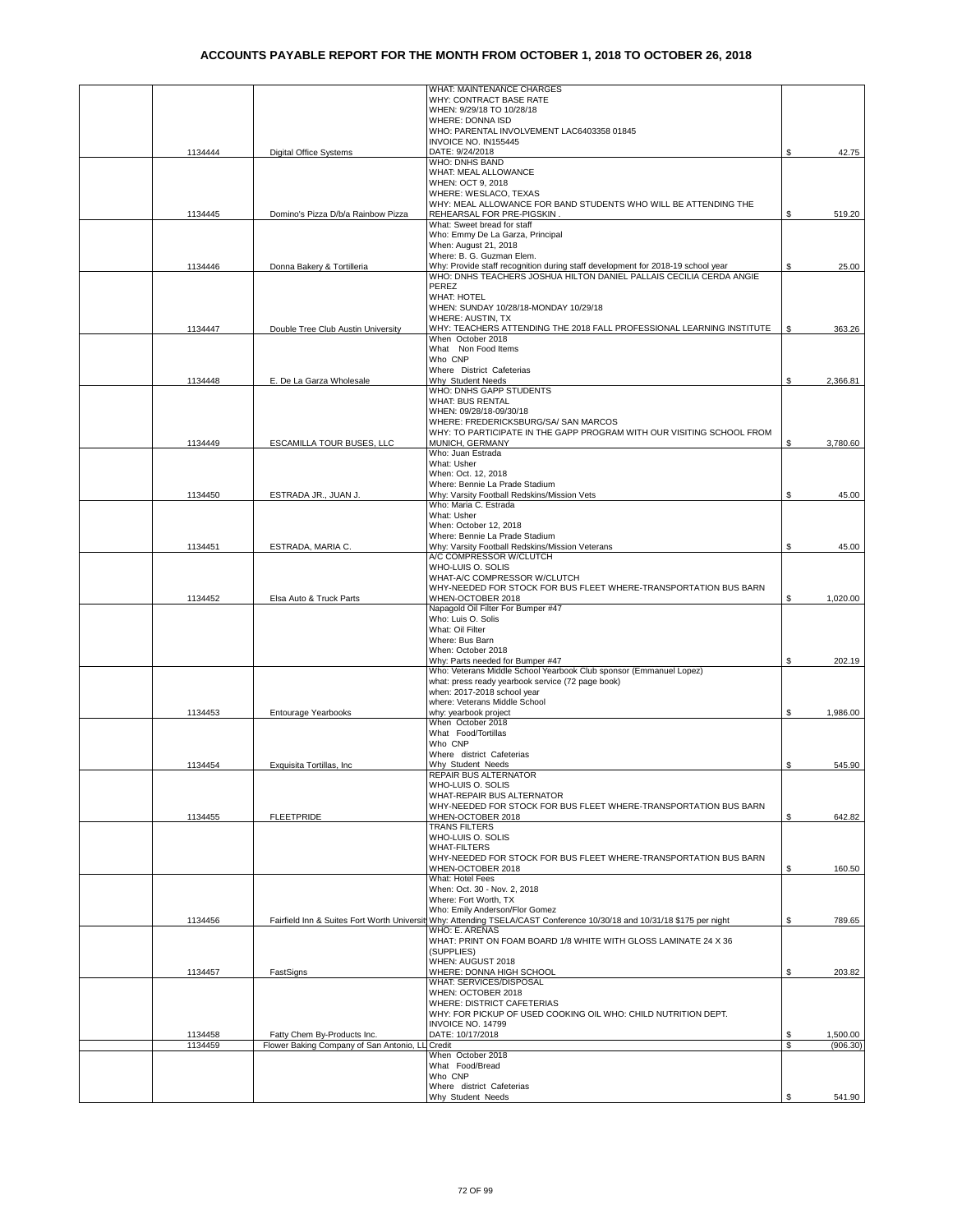|         |                                          | WHAT: MAINTENANCE CHARGES                                                                                              |     |          |
|---------|------------------------------------------|------------------------------------------------------------------------------------------------------------------------|-----|----------|
|         |                                          | WHY: CONTRACT BASE RATE                                                                                                |     |          |
|         |                                          | WHEN: 9/29/18 TO 10/28/18<br>WHERE: DONNA ISD                                                                          |     |          |
|         |                                          | WHO: PARENTAL INVOLVEMENT LAC6403358 01845                                                                             |     |          |
|         |                                          | INVOICE NO. IN155445                                                                                                   |     |          |
| 1134444 | <b>Digital Office Systems</b>            | DATE: 9/24/2018                                                                                                        | \$  | 42.75    |
|         |                                          | WHO: DNHS BAND                                                                                                         |     |          |
|         |                                          | WHAT: MEAL ALLOWANCE                                                                                                   |     |          |
|         |                                          | WHEN: OCT 9, 2018<br>WHERE: WESLACO, TEXAS                                                                             |     |          |
|         |                                          | WHY: MEAL ALLOWANCE FOR BAND STUDENTS WHO WILL BE ATTENDING THE                                                        |     |          |
| 1134445 | Domino's Pizza D/b/a Rainbow Pizza       | REHEARSAL FOR PRE-PIGSKIN.                                                                                             | \$  | 519.20   |
|         |                                          | What: Sweet bread for staff                                                                                            |     |          |
|         |                                          | Who: Emmy De La Garza, Principal                                                                                       |     |          |
|         |                                          | When: August 21, 2018<br>Where: B. G. Guzman Elem.                                                                     |     |          |
| 1134446 | Donna Bakery & Tortilleria               | Why: Provide staff recognition during staff development for 2018-19 school year                                        | \$  | 25.00    |
|         |                                          | WHO: DNHS TEACHERS JOSHUA HILTON DANIEL PALLAIS CECILIA CERDA ANGIE                                                    |     |          |
|         |                                          | PEREZ                                                                                                                  |     |          |
|         |                                          | <b>WHAT: HOTEL</b>                                                                                                     |     |          |
|         |                                          | WHEN: SUNDAY 10/28/18-MONDAY 10/29/18                                                                                  |     |          |
| 1134447 | Double Tree Club Austin University       | WHERE: AUSTIN, TX                                                                                                      | \$  | 363.26   |
|         |                                          | WHY: TEACHERS ATTENDING THE 2018 FALL PROFESSIONAL LEARNING INSTITUTE<br>When October 2018                             |     |          |
|         |                                          | What Non Food Items                                                                                                    |     |          |
|         |                                          | Who CNP                                                                                                                |     |          |
|         |                                          | Where District Cafeterias                                                                                              |     |          |
| 1134448 | E. De La Garza Wholesale                 | Why Student Needs                                                                                                      | \$  | 2,366.81 |
|         |                                          | WHO: DNHS GAPP STUDENTS<br><b>WHAT: BUS RENTAL</b>                                                                     |     |          |
|         |                                          | WHEN: 09/28/18-09/30/18                                                                                                |     |          |
|         |                                          | WHERE: FREDERICKSBURG/SA/ SAN MARCOS                                                                                   |     |          |
|         |                                          | WHY: TO PARTICIPATE IN THE GAPP PROGRAM WITH OUR VISITING SCHOOL FROM                                                  |     |          |
| 1134449 | ESCAMILLA TOUR BUSES, LLC                | MUNICH, GERMANY                                                                                                        | \$  | 3,780.60 |
|         |                                          | Who: Juan Estrada                                                                                                      |     |          |
|         |                                          | What: Usher<br>When: Oct. 12, 2018                                                                                     |     |          |
|         |                                          | Where: Bennie La Prade Stadium                                                                                         |     |          |
| 1134450 | ESTRADA JR., JUAN J.                     | Why: Varsity Football Redskins/Mission Vets                                                                            | \$. | 45.00    |
|         |                                          | Who: Maria C. Estrada                                                                                                  |     |          |
|         |                                          | What: Usher                                                                                                            |     |          |
|         |                                          | When: October 12, 2018                                                                                                 |     |          |
|         |                                          | Where: Bennie La Prade Stadium                                                                                         |     |          |
| 1134451 | ESTRADA, MARIA C.                        | Why: Varsity Football Redskins/Mission Veterans<br>A/C COMPRESSOR W/CLUTCH                                             | \$  | 45.00    |
|         |                                          | WHO-LUIS O. SOLIS                                                                                                      |     |          |
|         |                                          | WHAT-A/C COMPRESSOR W/CLUTCH                                                                                           |     |          |
|         |                                          | WHY-NEEDED FOR STOCK FOR BUS FLEET WHERE-TRANSPORTATION BUS BARN                                                       |     |          |
|         |                                          |                                                                                                                        |     |          |
| 1134452 | Elsa Auto & Truck Parts                  | WHEN-OCTOBER 2018                                                                                                      | \$  | 1,020.00 |
|         |                                          | Napagold Oil Filter For Bumper #47                                                                                     |     |          |
|         |                                          | Who: Luis O. Solis                                                                                                     |     |          |
|         |                                          | What: Oil Filter                                                                                                       |     |          |
|         |                                          | Where: Bus Barn                                                                                                        |     |          |
|         |                                          | When: October 2018<br>Why: Parts needed for Bumper #47                                                                 | \$  | 202.19   |
|         |                                          | Who: Veterans Middle School Yearbook Club sponsor (Emmanuel Lopez)                                                     |     |          |
|         |                                          | what: press ready yearbook service (72 page book)                                                                      |     |          |
|         |                                          | when: 2017-2018 school year                                                                                            |     |          |
|         |                                          | where: Veterans Middle School                                                                                          |     |          |
| 1134453 | <b>Entourage Yearbooks</b>               | why: yearbook project<br>When October 2018                                                                             | \$. | 1,986.00 |
|         |                                          | What Food/Tortillas                                                                                                    |     |          |
|         |                                          | Who CNP                                                                                                                |     |          |
|         |                                          | Where district Cafeterias                                                                                              |     |          |
| 1134454 | Exquisita Tortillas, Inc.                | Why Student Needs                                                                                                      | \$  | 545.90   |
|         |                                          | REPAIR BUS ALTERNATOR                                                                                                  |     |          |
|         |                                          | WHO-LUIS O. SOLIS<br>WHAT-REPAIR BUS ALTERNATOR                                                                        |     |          |
|         |                                          | WHY-NEEDED FOR STOCK FOR BUS FLEET WHERE-TRANSPORTATION BUS BARN                                                       |     |          |
| 1134455 | <b>FLEETPRIDE</b>                        | WHEN-OCTOBER 2018                                                                                                      | \$  | 642.82   |
|         |                                          | <b>TRANS FILTERS</b>                                                                                                   |     |          |
|         |                                          | WHO-LUIS O. SOLIS                                                                                                      |     |          |
|         |                                          | <b>WHAT-FILTERS</b>                                                                                                    |     |          |
|         |                                          | WHY-NEEDED FOR STOCK FOR BUS FLEET WHERE-TRANSPORTATION BUS BARN<br>WHEN-OCTOBER 2018                                  |     |          |
|         |                                          | What: Hotel Fees                                                                                                       | \$  | 160.50   |
|         |                                          | When: Oct. 30 - Nov. 2, 2018                                                                                           |     |          |
|         |                                          | Where: Fort Worth, TX                                                                                                  |     |          |
|         |                                          | Who: Emily Anderson/Flor Gomez                                                                                         |     |          |
| 1134456 |                                          | Fairfield Inn & Suites Fort Worth Universit Why: Attending TSELA/CAST Conference 10/30/18 and 10/31/18 \$175 per night | \$  | 789.65   |
|         |                                          | WHO: E. ARENAS<br>WHAT: PRINT ON FOAM BOARD 1/8 WHITE WITH GLOSS LAMINATE 24 X 36                                      |     |          |
|         |                                          | (SUPPLIES)                                                                                                             |     |          |
|         |                                          | WHEN: AUGUST 2018                                                                                                      |     |          |
| 1134457 | FastSigns                                | WHERE: DONNA HIGH SCHOOL                                                                                               | \$  | 203.82   |
|         |                                          | WHAT: SERVICES/DISPOSAL                                                                                                |     |          |
|         |                                          | WHEN: OCTOBER 2018<br><b>WHERE: DISTRICT CAFETERIAS</b>                                                                |     |          |
|         |                                          | WHY: FOR PICKUP OF USED COOKING OIL WHO: CHILD NUTRITION DEPT.                                                         |     |          |
|         |                                          | INVOICE NO. 14799                                                                                                      |     |          |
| 1134458 | Fatty Chem By-Products Inc.              | DATE: 10/17/2018                                                                                                       | \$  | 1,500.00 |
| 1134459 | Flower Baking Company of San Antonio, LL | Credit                                                                                                                 | S   | (906.30) |
|         |                                          | When October 2018                                                                                                      |     |          |
|         |                                          | What Food/Bread                                                                                                        |     |          |
|         |                                          | Who CNP<br>Where district Cafeterias                                                                                   |     |          |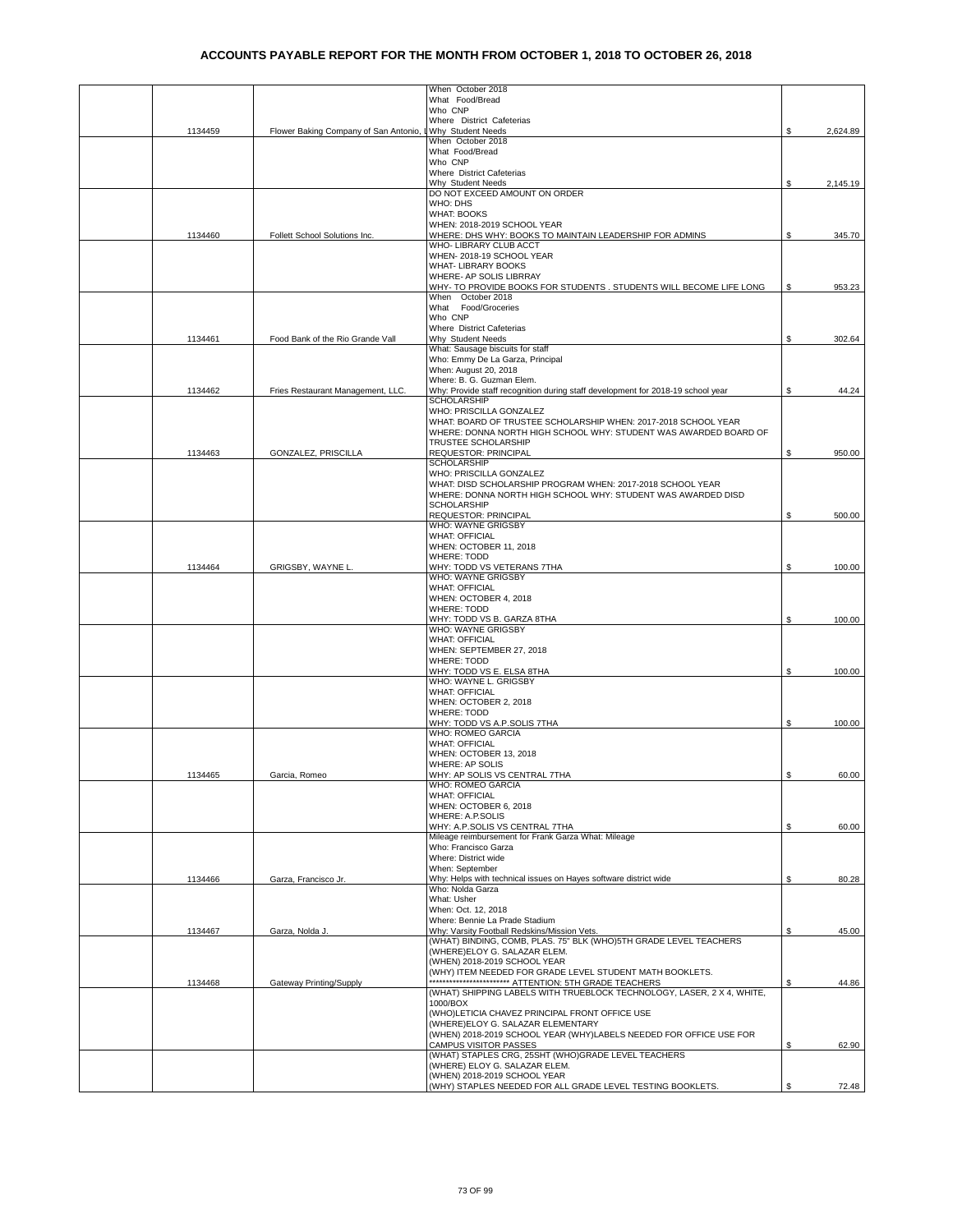|         |                                         | When October 2018<br>What Food/Bread                                                       |    |          |
|---------|-----------------------------------------|--------------------------------------------------------------------------------------------|----|----------|
|         |                                         | Who CNP                                                                                    |    |          |
| 1134459 | Flower Baking Company of San Antonio, L | Where District Cafeterias<br>Why Student Needs                                             | \$ | 2,624.89 |
|         |                                         | When October 2018<br>What Food/Bread                                                       |    |          |
|         |                                         | Who CNP                                                                                    |    |          |
|         |                                         | Where District Cafeterias<br>Why Student Needs                                             | \$ | 2,145.19 |
|         |                                         | DO NOT EXCEED AMOUNT ON ORDER                                                              |    |          |
|         |                                         | WHO: DHS<br><b>WHAT: BOOKS</b>                                                             |    |          |
|         |                                         | WHEN: 2018-2019 SCHOOL YEAR                                                                |    |          |
| 1134460 | Follett School Solutions Inc.           | WHERE: DHS WHY: BOOKS TO MAINTAIN LEADERSHIP FOR ADMINS<br>WHO- LIBRARY CLUB ACCT          | \$ | 345.70   |
|         |                                         | WHEN-2018-19 SCHOOL YEAR<br><b>WHAT- LIBRARY BOOKS</b>                                     |    |          |
|         |                                         | WHERE- AP SOLIS LIBRRAY                                                                    |    |          |
|         |                                         | WHY- TO PROVIDE BOOKS FOR STUDENTS . STUDENTS WILL BECOME LIFE LONG<br>When October 2018   | S  | 953.23   |
|         |                                         | What Food/Groceries                                                                        |    |          |
|         |                                         | Who CNP<br>Where District Cafeterias                                                       |    |          |
| 1134461 | Food Bank of the Rio Grande Vall        | Why Student Needs                                                                          | S  | 302.64   |
|         |                                         | What: Sausage biscuits for staff<br>Who: Emmy De La Garza, Principal                       |    |          |
|         |                                         | When: August 20, 2018<br>Where: B. G. Guzman Elem.                                         |    |          |
| 1134462 | Fries Restaurant Management, LLC.       | Why: Provide staff recognition during staff development for 2018-19 school year            | S  | 44.24    |
|         |                                         | <b>SCHOLARSHIP</b><br>WHO: PRISCILLA GONZALEZ                                              |    |          |
|         |                                         | WHAT: BOARD OF TRUSTEE SCHOLARSHIP WHEN: 2017-2018 SCHOOL YEAR                             |    |          |
|         |                                         | WHERE: DONNA NORTH HIGH SCHOOL WHY: STUDENT WAS AWARDED BOARD OF<br>TRUSTEE SCHOLARSHIP    |    |          |
| 1134463 | GONZALEZ, PRISCILLA                     | REQUESTOR: PRINCIPAL                                                                       | \$ | 950.00   |
|         |                                         | <b>SCHOLARSHIP</b><br>WHO: PRISCILLA GONZALEZ                                              |    |          |
|         |                                         | WHAT: DISD SCHOLARSHIP PROGRAM WHEN: 2017-2018 SCHOOL YEAR                                 |    |          |
|         |                                         | WHERE: DONNA NORTH HIGH SCHOOL WHY: STUDENT WAS AWARDED DISD<br>SCHOLARSHIP                |    |          |
|         |                                         | <b>REQUESTOR: PRINCIPAL</b><br>WHO: WAYNE GRIGSBY                                          | \$ | 500.00   |
|         |                                         | <b>WHAT: OFFICIAL</b>                                                                      |    |          |
|         |                                         | WHEN: OCTOBER 11, 2018<br><b>WHERE: TODD</b>                                               |    |          |
| 1134464 | GRIGSBY, WAYNE L.                       | WHY: TODD VS VETERANS 7THA                                                                 | \$ | 100.00   |
|         |                                         | WHO: WAYNE GRIGSBY<br><b>WHAT: OFFICIAL</b>                                                |    |          |
|         |                                         | WHEN: OCTOBER 4, 2018                                                                      |    |          |
|         |                                         | <b>WHERE: TODD</b><br>WHY: TODD VS B. GARZA 8THA                                           | \$ | 100.00   |
|         |                                         | WHO: WAYNE GRIGSBY                                                                         |    |          |
|         |                                         | <b>WHAT: OFFICIAL</b><br>WHEN: SEPTEMBER 27, 2018                                          |    |          |
|         |                                         | <b>WHERE: TODD</b><br>WHY: TODD VS E. ELSA 8THA                                            | \$ | 100.00   |
|         |                                         | WHO: WAYNE L. GRIGSBY                                                                      |    |          |
|         |                                         | <b>WHAT: OFFICIAL</b><br>WHEN: OCTOBER 2, 2018                                             |    |          |
|         |                                         | WHERE: TODD                                                                                |    |          |
|         |                                         | WHY: TODD VS A.P.SOLIS 7THA<br>WHO: ROMEO GARCIA                                           | \$ | 100.00   |
|         |                                         | <b>WHAT: OFFICIAL</b>                                                                      |    |          |
|         |                                         | WHEN: OCTOBER 13, 2018<br>WHERE: AP SOLIS                                                  |    |          |
| 1134465 | Garcia, Romeo                           | WHY: AP SOLIS VS CENTRAL 7THA                                                              | \$ | 60.00    |
|         |                                         | WHO: ROMEO GARCIA<br><b>WHAT: OFFICIAL</b>                                                 |    |          |
|         |                                         | WHEN: OCTOBER 6, 2018<br>WHERE: A.P.SOLIS                                                  |    |          |
|         |                                         | WHY: A.P.SOLIS VS CENTRAL 7THA                                                             | \$ | 60.00    |
|         |                                         | Mileage reimbursement for Frank Garza What: Mileage<br>Who: Francisco Garza                |    |          |
|         |                                         | Where: District wide                                                                       |    |          |
| 1134466 | Garza, Francisco Jr.                    | When: September<br>Why: Helps with technical issues on Hayes software district wide        | \$ | 80.28    |
|         |                                         | Who: Nolda Garza                                                                           |    |          |
|         |                                         | What: Usher<br>When: Oct. 12, 2018                                                         |    |          |
|         |                                         | Where: Bennie La Prade Stadium<br>Why: Varsity Football Redskins/Mission Vets.             |    | 45.00    |
| 1134467 | Garza, Nolda J.                         | (WHAT) BINDING, COMB, PLAS. 75" BLK (WHO)5TH GRADE LEVEL TEACHERS                          | \$ |          |
|         |                                         | (WHERE)ELOY G. SALAZAR ELEM.<br>(WHEN) 2018-2019 SCHOOL YEAR                               |    |          |
|         |                                         | (WHY) ITEM NEEDED FOR GRADE LEVEL STUDENT MATH BOOKLETS.                                   |    |          |
| 1134468 | Gateway Printing/Supply                 | (WHAT) SHIPPING LABELS WITH TRUEBLOCK TECHNOLOGY, LASER, 2 X 4, WHITE,                     | \$ | 44.86    |
|         |                                         | 1000/BOX                                                                                   |    |          |
|         |                                         | (WHO)LETICIA CHAVEZ PRINCIPAL FRONT OFFICE USE<br>(WHERE)ELOY G. SALAZAR ELEMENTARY        |    |          |
|         |                                         | (WHEN) 2018-2019 SCHOOL YEAR (WHY)LABELS NEEDED FOR OFFICE USE FOR                         |    |          |
|         |                                         | <b>CAMPUS VISITOR PASSES</b><br>(WHAT) STAPLES CRG, 25SHT (WHO)GRADE LEVEL TEACHERS        | S  | 62.90    |
|         |                                         | (WHERE) ELOY G. SALAZAR ELEM.                                                              |    |          |
|         |                                         | (WHEN) 2018-2019 SCHOOL YEAR<br>(WHY) STAPLES NEEDED FOR ALL GRADE LEVEL TESTING BOOKLETS. | \$ | 72.48    |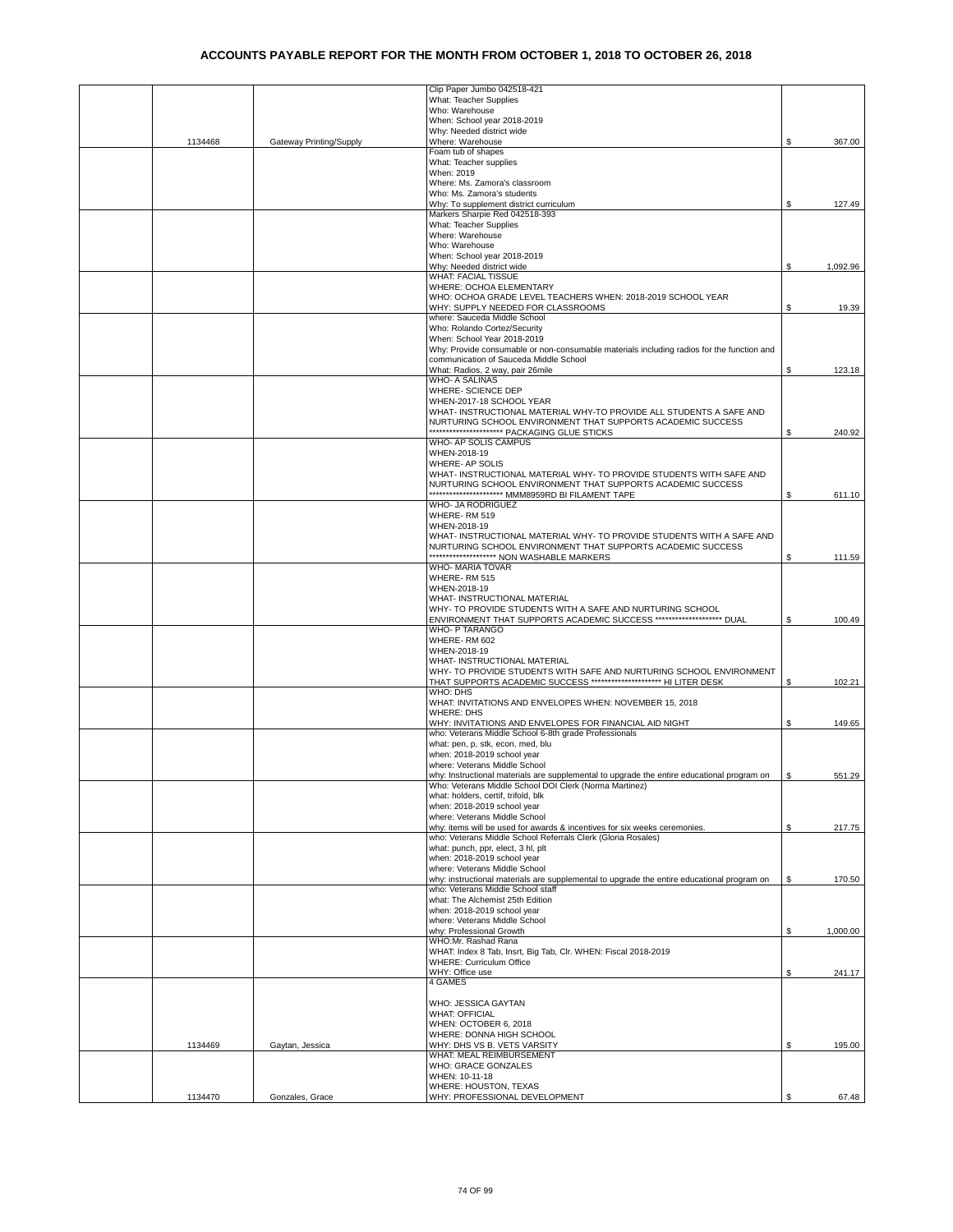|         |                         | Clip Paper Jumbo 042518-421                                                                                                               |     |          |
|---------|-------------------------|-------------------------------------------------------------------------------------------------------------------------------------------|-----|----------|
|         |                         | What: Teacher Supplies                                                                                                                    |     |          |
|         |                         | Who: Warehouse                                                                                                                            |     |          |
|         |                         | When: School year 2018-2019                                                                                                               |     |          |
|         |                         | Why: Needed district wide                                                                                                                 |     |          |
| 1134468 | Gateway Printing/Supply | Where: Warehouse                                                                                                                          | \$  | 367.00   |
|         |                         | Foam tub of shapes                                                                                                                        |     |          |
|         |                         | What: Teacher supplies<br>When: 2019                                                                                                      |     |          |
|         |                         | Where: Ms. Zamora's classroom                                                                                                             |     |          |
|         |                         | Who: Ms. Zamora's students                                                                                                                |     |          |
|         |                         | Why: To supplement district curriculum                                                                                                    | \$  | 127.49   |
|         |                         | Markers Sharpie Red 042518-393                                                                                                            |     |          |
|         |                         | What: Teacher Supplies                                                                                                                    |     |          |
|         |                         | Where: Warehouse                                                                                                                          |     |          |
|         |                         | Who: Warehouse                                                                                                                            |     |          |
|         |                         | When: School year 2018-2019                                                                                                               |     |          |
|         |                         | Why: Needed district wide                                                                                                                 | \$  | 1,092.96 |
|         |                         | <b>WHAT: FACIAL TISSUE</b>                                                                                                                |     |          |
|         |                         | WHERE: OCHOA ELEMENTARY                                                                                                                   |     |          |
|         |                         | WHO: OCHOA GRADE LEVEL TEACHERS WHEN: 2018-2019 SCHOOL YEAR                                                                               |     |          |
|         |                         | WHY: SUPPLY NEEDED FOR CLASSROOMS                                                                                                         | \$  | 19.39    |
|         |                         | where: Sauceda Middle School                                                                                                              |     |          |
|         |                         | Who: Rolando Cortez/Security                                                                                                              |     |          |
|         |                         | When: School Year 2018-2019                                                                                                               |     |          |
|         |                         | Why: Provide consumable or non-consumable materials including radios for the function and                                                 |     |          |
|         |                         | communication of Sauceda Middle School                                                                                                    |     |          |
|         |                         | What: Radios, 2 way, pair 26mile                                                                                                          | \$  | 123.18   |
|         |                         | <b>WHO- A SALINAS</b>                                                                                                                     |     |          |
|         |                         | WHERE- SCIENCE DEP                                                                                                                        |     |          |
|         |                         | WHEN-2017-18 SCHOOL YEAR                                                                                                                  |     |          |
|         |                         | WHAT- INSTRUCTIONAL MATERIAL WHY-TO PROVIDE ALL STUDENTS A SAFE AND                                                                       |     |          |
|         |                         | NURTURING SCHOOL ENVIRONMENT THAT SUPPORTS ACADEMIC SUCCESS<br>************************ PACKAGING GLUE STICKS                             | \$  | 240.92   |
|         |                         | WHO- AP SOLIS CAMPUS                                                                                                                      |     |          |
|         |                         | WHEN-2018-19                                                                                                                              |     |          |
|         |                         | WHERE- AP SOLIS                                                                                                                           |     |          |
|         |                         | WHAT- INSTRUCTIONAL MATERIAL WHY- TO PROVIDE STUDENTS WITH SAFE AND                                                                       |     |          |
|         |                         | NURTURING SCHOOL ENVIRONMENT THAT SUPPORTS ACADEMIC SUCCESS                                                                               |     |          |
|         |                         | ********************** MMM8959RD BI FILAMENT TAPE                                                                                         | \$  | 611.10   |
|         |                         | WHO- JA RODRIGUEZ                                                                                                                         |     |          |
|         |                         | WHERE-RM 519                                                                                                                              |     |          |
|         |                         | WHEN-2018-19                                                                                                                              |     |          |
|         |                         | WHAT- INSTRUCTIONAL MATERIAL WHY- TO PROVIDE STUDENTS WITH A SAFE AND                                                                     |     |          |
|         |                         | NURTURING SCHOOL ENVIRONMENT THAT SUPPORTS ACADEMIC SUCCESS                                                                               |     |          |
|         |                         | ******************** NON WASHABLE MARKERS                                                                                                 | \$  | 111.59   |
|         |                         | WHO- MARIA TOVAR                                                                                                                          |     |          |
|         |                         | WHERE-RM 515                                                                                                                              |     |          |
|         |                         | WHEN-2018-19                                                                                                                              |     |          |
|         |                         | WHAT- INSTRUCTIONAL MATERIAL                                                                                                              |     |          |
|         |                         | WHY- TO PROVIDE STUDENTS WITH A SAFE AND NURTURING SCHOOL                                                                                 |     |          |
|         |                         | ENVIRONMENT THAT SUPPORTS ACADEMIC SUCCESS ******************** DUAL                                                                      | \$  | 100.49   |
|         |                         | WHO- P TARANGO                                                                                                                            |     |          |
|         |                         | WHERE-RM 602                                                                                                                              |     |          |
|         |                         | WHEN-2018-19                                                                                                                              |     |          |
|         |                         | WHAT- INSTRUCTIONAL MATERIAL                                                                                                              |     |          |
|         |                         | WHY- TO PROVIDE STUDENTS WITH SAFE AND NURTURING SCHOOL ENVIRONMENT<br>THAT SUPPORTS ACADEMIC SUCCESS ********************* HI LITER DESK | \$  | 102.21   |
|         |                         | WHO: DHS                                                                                                                                  |     |          |
|         |                         | WHAT: INVITATIONS AND ENVELOPES WHEN: NOVEMBER 15, 2018                                                                                   |     |          |
|         |                         | <b>WHERE: DHS</b>                                                                                                                         |     |          |
|         |                         | WHY: INVITATIONS AND ENVELOPES FOR FINANCIAL AID NIGHT                                                                                    | \$  | 149.65   |
|         |                         | who: Veterans Middle School 6-8th grade Professionals                                                                                     |     |          |
|         |                         | what: pen, p, stk, econ, med, blu                                                                                                         |     |          |
|         |                         | when: 2018-2019 school year                                                                                                               |     |          |
|         |                         | where: Veterans Middle School                                                                                                             |     |          |
|         |                         | why: Instructional materials are supplemental to upgrade the entire educational program on                                                | \$. | 551.29   |
|         |                         | Who: Veterans Middle School DOI Clerk (Norma Martinez)                                                                                    |     |          |
|         |                         | what: holders, certif, trifold, blk                                                                                                       |     |          |
|         |                         | when: 2018-2019 school year                                                                                                               |     |          |
|         |                         | where: Veterans Middle School                                                                                                             |     |          |
|         |                         | why: items will be used for awards & incentives for six weeks ceremonies.                                                                 | \$  | 217.75   |
|         |                         | who: Veterans Middle School Referrals Clerk (Gloria Rosales)                                                                              |     |          |
|         |                         | what: punch, ppr, elect, 3 hl, plt                                                                                                        |     |          |
|         |                         | when: 2018-2019 school year<br>where: Veterans Middle School                                                                              |     |          |
|         |                         | why: instructional materials are supplemental to upgrade the entire educational program on                                                | S.  | 170.50   |
|         |                         | who: Veterans Middle School staff                                                                                                         |     |          |
|         |                         | what: The Alchemist 25th Edition                                                                                                          |     |          |
|         |                         | when: 2018-2019 school year                                                                                                               |     |          |
|         |                         | where: Veterans Middle School                                                                                                             |     |          |
|         |                         | why: Professional Growth                                                                                                                  | \$  | 1,000.00 |
|         |                         | WHO:Mr. Rashad Rana                                                                                                                       |     |          |
|         |                         | WHAT: Index 8 Tab, Insrt, Big Tab, Clr. WHEN: Fiscal 2018-2019                                                                            |     |          |
|         |                         | <b>WHERE: Curriculum Office</b>                                                                                                           |     |          |
|         |                         | WHY: Office use                                                                                                                           | \$  | 241.17   |
|         |                         | 4 GAMES                                                                                                                                   |     |          |
|         |                         |                                                                                                                                           |     |          |
|         |                         | WHO: JESSICA GAYTAN                                                                                                                       |     |          |
|         |                         | <b>WHAT: OFFICIAL</b>                                                                                                                     |     |          |
|         |                         | WHEN: OCTOBER 6, 2018                                                                                                                     |     |          |
|         |                         | WHERE: DONNA HIGH SCHOOL                                                                                                                  |     |          |
| 1134469 | Gaytan, Jessica         | WHY: DHS VS B. VETS VARSITY                                                                                                               | \$  | 195.00   |
|         |                         | WHAT: MEAL REIMBURSEMENT                                                                                                                  |     |          |
|         |                         | WHO: GRACE GONZALES                                                                                                                       |     |          |
|         |                         | WHEN: 10-11-18                                                                                                                            |     |          |
| 1134470 | Gonzales, Grace         | WHERE: HOUSTON, TEXAS<br>WHY: PROFESSIONAL DEVELOPMENT                                                                                    | \$  | 67.48    |
|         |                         |                                                                                                                                           |     |          |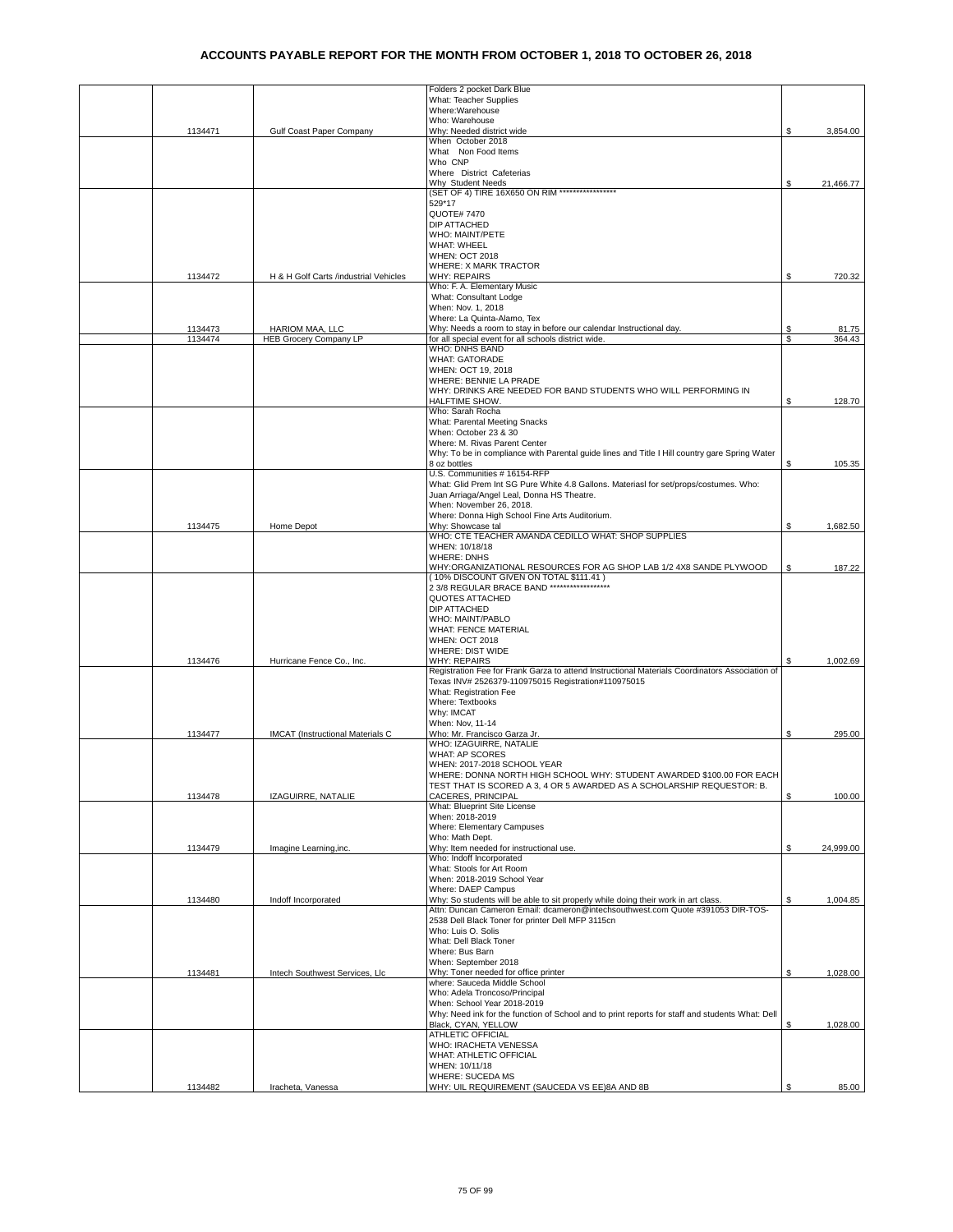|         |                                         | Folders 2 pocket Dark Blue                                                                                            |     |           |
|---------|-----------------------------------------|-----------------------------------------------------------------------------------------------------------------------|-----|-----------|
|         |                                         | What: Teacher Supplies                                                                                                |     |           |
|         |                                         | Where:Warehouse                                                                                                       |     |           |
|         |                                         | Who: Warehouse<br>Why: Needed district wide                                                                           |     |           |
| 1134471 | Gulf Coast Paper Company                | When October 2018                                                                                                     | S   | 3,854.00  |
|         |                                         | What Non Food Items                                                                                                   |     |           |
|         |                                         | Who CNP                                                                                                               |     |           |
|         |                                         | Where District Cafeterias                                                                                             |     |           |
|         |                                         | Why Student Needs                                                                                                     | \$  | 21,466.77 |
|         |                                         | (SET OF 4) TIRE 16X650 ON RIM *****************                                                                       |     |           |
|         |                                         | 529*17                                                                                                                |     |           |
|         |                                         | <b>QUOTE#7470</b>                                                                                                     |     |           |
|         |                                         | <b>DIP ATTACHED</b>                                                                                                   |     |           |
|         |                                         | <b>WHO: MAINT/PETE</b>                                                                                                |     |           |
|         |                                         | <b>WHAT: WHEEL</b>                                                                                                    |     |           |
|         |                                         | <b>WHEN: OCT 2018</b>                                                                                                 |     |           |
|         |                                         | <b>WHERE: X MARK TRACTOR</b>                                                                                          |     |           |
| 1134472 | H & H Golf Carts /industrial Vehicles   | <b>WHY: REPAIRS</b>                                                                                                   | \$  | 720.32    |
|         |                                         | Who: F. A. Elementary Music                                                                                           |     |           |
|         |                                         | What: Consultant Lodge<br>When: Nov. 1, 2018                                                                          |     |           |
|         |                                         | Where: La Quinta-Alamo, Tex                                                                                           |     |           |
| 1134473 | HARIOM MAA, LLC                         | Why: Needs a room to stay in before our calendar Instructional day.                                                   | \$  | 81.75     |
| 1134474 | <b>HEB Grocery Company LP</b>           | for all special event for all schools district wide.                                                                  | \$  | 364.43    |
|         |                                         | WHO: DNHS BAND                                                                                                        |     |           |
|         |                                         | <b>WHAT: GATORADE</b>                                                                                                 |     |           |
|         |                                         | WHEN: OCT 19, 2018                                                                                                    |     |           |
|         |                                         | WHERE: BENNIE LA PRADE                                                                                                |     |           |
|         |                                         | WHY: DRINKS ARE NEEDED FOR BAND STUDENTS WHO WILL PERFORMING IN                                                       |     |           |
|         |                                         | HALFTIME SHOW.                                                                                                        | S   | 128.70    |
|         |                                         | Who: Sarah Rocha                                                                                                      |     |           |
|         |                                         | What: Parental Meeting Snacks                                                                                         |     |           |
|         |                                         | When: October 23 & 30                                                                                                 |     |           |
|         |                                         | Where: M. Rivas Parent Center                                                                                         |     |           |
|         |                                         | Why: To be in compliance with Parental guide lines and Title I Hill country gare Spring Water                         |     |           |
|         |                                         | 8 oz bottles                                                                                                          | \$  | 105.35    |
|         |                                         | U.S. Communities # 16154-RFP<br>What: Glid Prem Int SG Pure White 4.8 Gallons. Materiasl for set/props/costumes. Who: |     |           |
|         |                                         | Juan Arriaga/Angel Leal, Donna HS Theatre.                                                                            |     |           |
|         |                                         | When: November 26, 2018.                                                                                              |     |           |
|         |                                         | Where: Donna High School Fine Arts Auditorium.                                                                        |     |           |
| 1134475 | Home Depot                              | Why: Showcase tal                                                                                                     | \$  | 1,682.50  |
|         |                                         | WHO: CTE TEACHER AMANDA CEDILLO WHAT: SHOP SUPPLIES                                                                   |     |           |
|         |                                         | WHEN: 10/18/18                                                                                                        |     |           |
|         |                                         | <b>WHERE: DNHS</b>                                                                                                    |     |           |
|         |                                         | WHY:ORGANIZATIONAL RESOURCES FOR AG SHOP LAB 1/2 4X8 SANDE PLYWOOD                                                    | \$  | 187.22    |
|         |                                         | (10% DISCOUNT GIVEN ON TOTAL \$111.41)                                                                                |     |           |
|         |                                         | 2 3/8 REGULAR BRACE BAND ******************                                                                           |     |           |
|         |                                         | QUOTES ATTACHED                                                                                                       |     |           |
|         |                                         | DIP ATTACHED                                                                                                          |     |           |
|         |                                         | WHO: MAINT/PABLO                                                                                                      |     |           |
|         |                                         | <b>WHAT: FENCE MATERIAL</b>                                                                                           |     |           |
|         |                                         | <b>WHEN: OCT 2018</b>                                                                                                 |     |           |
| 1134476 | Hurricane Fence Co., Inc.               | WHERE: DIST WIDE<br><b>WHY: REPAIRS</b>                                                                               | \$  | 1,002.69  |
|         |                                         | Registration Fee for Frank Garza to attend Instructional Materials Coordinators Association of                        |     |           |
|         |                                         | Texas INV# 2526379-110975015 Registration#110975015                                                                   |     |           |
|         |                                         | What: Registration Fee                                                                                                |     |           |
|         |                                         | Where: Textbooks                                                                                                      |     |           |
|         |                                         | Why: IMCAT                                                                                                            |     |           |
|         |                                         | When: Nov. 11-14                                                                                                      |     |           |
| 1134477 | <b>IMCAT</b> (Instructional Materials C | Who: Mr. Francisco Garza Jr.                                                                                          | \$. | 295.00    |
|         |                                         | WHO: IZAGUIRRE, NATALIE                                                                                               |     |           |
|         |                                         | <b>WHAT: AP SCORES</b>                                                                                                |     |           |
|         |                                         | WHEN: 2017-2018 SCHOOL YEAR                                                                                           |     |           |
|         |                                         | WHERE: DONNA NORTH HIGH SCHOOL WHY: STUDENT AWARDED \$100.00 FOR EACH                                                 |     |           |
|         |                                         | TEST THAT IS SCORED A 3, 4 OR 5 AWARDED AS A SCHOLARSHIP REQUESTOR: B.                                                |     |           |
| 1134478 | IZAGUIRRE, NATALIE                      | CACERES, PRINCIPAL                                                                                                    | \$  | 100.00    |
|         |                                         | What: Blueprint Site License                                                                                          |     |           |
|         |                                         | When: 2018-2019                                                                                                       |     |           |
|         |                                         | Where: Elementary Campuses                                                                                            |     |           |
|         |                                         | Who: Math Dept.                                                                                                       |     |           |
| 1134479 | Imagine Learning, inc.                  | Why: Item needed for instructional use.<br>Who: Indoff Incorporated                                                   | \$  | 24,999.00 |
|         |                                         | What: Stools for Art Room                                                                                             |     |           |
|         |                                         | When: 2018-2019 School Year                                                                                           |     |           |
|         |                                         | Where: DAEP Campus                                                                                                    |     |           |
| 1134480 | Indoff Incorporated                     | Why: So students will be able to sit properly while doing their work in art class.                                    | \$  | 1,004.85  |
|         |                                         | Attn: Duncan Cameron Email: dcameron@intechsouthwest.com Quote #391053 DIR-TOS-                                       |     |           |
|         |                                         | 2538 Dell Black Toner for printer Dell MFP 3115cn                                                                     |     |           |
|         |                                         | Who: Luis O. Solis                                                                                                    |     |           |
|         |                                         | What: Dell Black Toner                                                                                                |     |           |
|         |                                         | Where: Bus Barn                                                                                                       |     |           |
|         |                                         | When: September 2018                                                                                                  |     |           |
| 1134481 | Intech Southwest Services, Llc          | Why: Toner needed for office printer                                                                                  | Ŝ.  | 1,028.00  |
|         |                                         | where: Sauceda Middle School                                                                                          |     |           |
|         |                                         | Who: Adela Troncoso/Principal                                                                                         |     |           |
|         |                                         | When: School Year 2018-2019                                                                                           |     |           |
|         |                                         | Why: Need ink for the function of School and to print reports for staff and students What: Dell                       |     |           |
|         |                                         | Black, CYAN, YELLOW                                                                                                   | S.  | 1,028.00  |
|         |                                         | ATHLETIC OFFICIAL<br>WHO: IRACHETA VENESSA                                                                            |     |           |
|         |                                         | WHAT: ATHLETIC OFFICIAL                                                                                               |     |           |
|         |                                         | WHEN: 10/11/18                                                                                                        |     |           |
|         |                                         | WHERE: SUCEDA MS                                                                                                      |     |           |
| 1134482 | Iracheta, Vanessa                       | WHY: UIL REQUIREMENT (SAUCEDA VS EE)8A AND 8B                                                                         | \$  | 85.00     |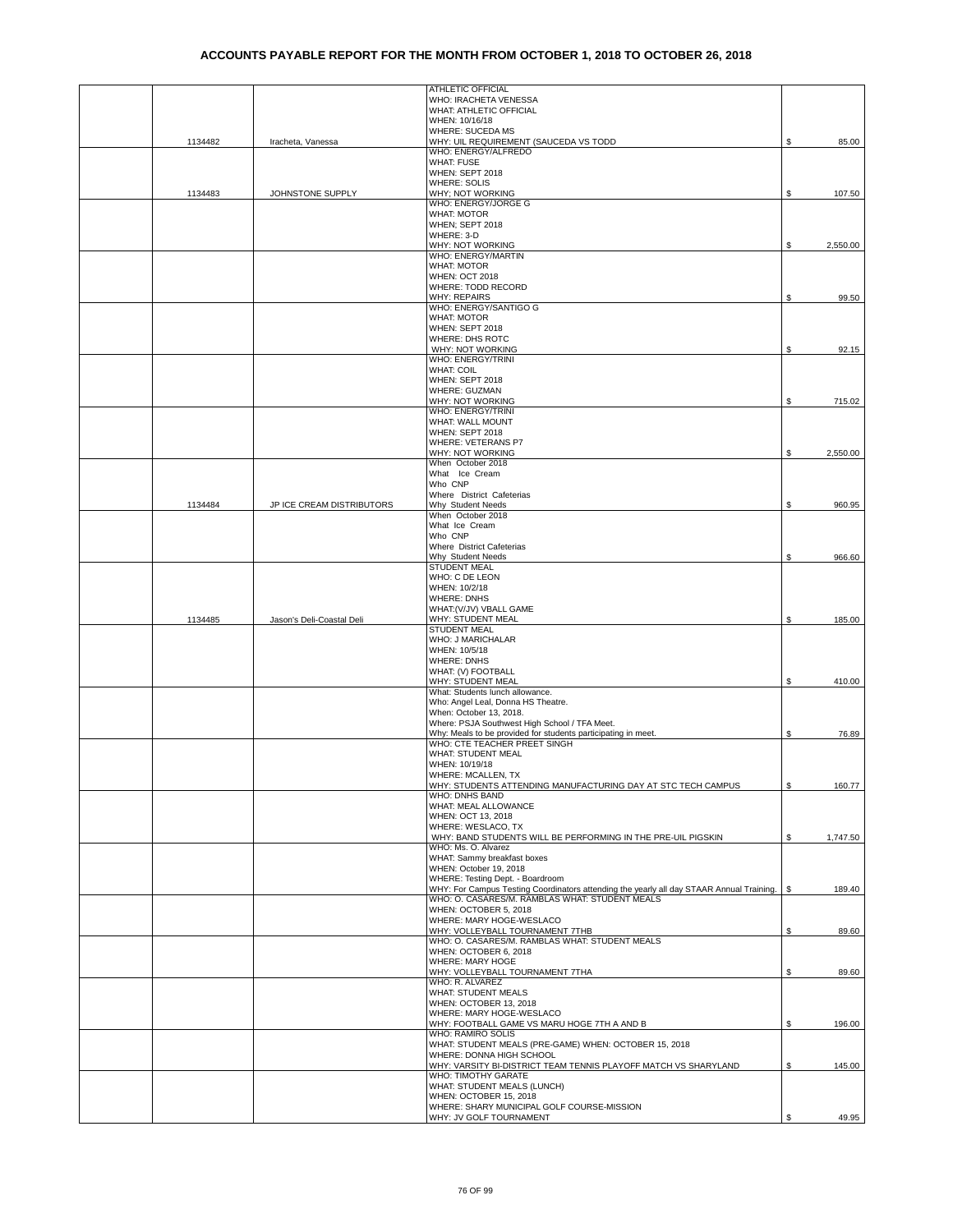|         |                           | ATHLETIC OFFICIAL                                                                                              |     |          |
|---------|---------------------------|----------------------------------------------------------------------------------------------------------------|-----|----------|
|         |                           | WHO: IRACHETA VENESSA                                                                                          |     |          |
|         |                           | WHAT: ATHLETIC OFFICIAL<br>WHEN: 10/16/18                                                                      |     |          |
|         |                           | WHERE: SUCEDA MS                                                                                               |     |          |
| 1134482 | Iracheta, Vanessa         | WHY: UIL REQUIREMENT (SAUCEDA VS TODD                                                                          | \$  | 85.00    |
|         |                           | WHO: ENERGY/ALFREDO                                                                                            |     |          |
|         |                           | <b>WHAT: FUSE</b><br>WHEN: SEPT 2018                                                                           |     |          |
|         |                           | <b>WHERE: SOLIS</b>                                                                                            |     |          |
| 1134483 | JOHNSTONE SUPPLY          | WHY; NOT WORKING                                                                                               | \$. | 107.50   |
|         |                           | WHO: ENERGY/JORGE G                                                                                            |     |          |
|         |                           | <b>WHAT: MOTOR</b>                                                                                             |     |          |
|         |                           | WHEN; SEPT 2018                                                                                                |     |          |
|         |                           | WHERE: 3-D<br>WHY: NOT WORKING                                                                                 | S   | 2,550.00 |
|         |                           | WHO: ENERGY/MARTIN                                                                                             |     |          |
|         |                           | <b>WHAT: MOTOR</b>                                                                                             |     |          |
|         |                           | <b>WHEN: OCT 2018</b>                                                                                          |     |          |
|         |                           | WHERE: TODD RECORD                                                                                             |     |          |
|         |                           | <b>WHY: REPAIRS</b>                                                                                            | S.  | 99.50    |
|         |                           | WHO: ENERGY/SANTIGO G<br><b>WHAT: MOTOR</b>                                                                    |     |          |
|         |                           | WHEN: SEPT 2018                                                                                                |     |          |
|         |                           | WHERE: DHS ROTC                                                                                                |     |          |
|         |                           | WHY: NOT WORKING                                                                                               | \$  | 92.15    |
|         |                           | WHO: ENERGY/TRINI                                                                                              |     |          |
|         |                           | <b>WHAT: COIL</b>                                                                                              |     |          |
|         |                           | WHEN: SEPT 2018<br>WHERE: GUZMAN                                                                               |     |          |
|         |                           | WHY: NOT WORKING                                                                                               | \$  | 715.02   |
|         |                           | WHO: ENERGY/TRINI                                                                                              |     |          |
|         |                           | WHAT: WALL MOUNT                                                                                               |     |          |
|         |                           | WHEN: SEPT 2018                                                                                                |     |          |
|         |                           | <b>WHERE: VETERANS P7</b>                                                                                      |     |          |
|         |                           | WHY: NOT WORKING<br>When October 2018                                                                          | \$  | 2,550.00 |
|         |                           | What Ice Cream                                                                                                 |     |          |
|         |                           | Who CNP                                                                                                        |     |          |
|         |                           | Where District Cafeterias                                                                                      |     |          |
| 1134484 | JP ICE CREAM DISTRIBUTORS | Why Student Needs                                                                                              | \$  | 960.95   |
|         |                           | When October 2018<br>What Ice Cream                                                                            |     |          |
|         |                           | Who CNP                                                                                                        |     |          |
|         |                           | Where District Cafeterias                                                                                      |     |          |
|         |                           | Why Student Needs                                                                                              | \$  | 966.60   |
|         |                           | <b>STUDENT MEAL</b>                                                                                            |     |          |
|         |                           | WHO: C DE LEON                                                                                                 |     |          |
|         |                           | WHEN: 10/2/18<br><b>WHERE: DNHS</b>                                                                            |     |          |
|         |                           | WHAT: (V/JV) VBALL GAME                                                                                        |     |          |
| 1134485 | Jason's Deli-Coastal Deli | WHY: STUDENT MEAL                                                                                              | \$  | 185.00   |
|         |                           | <b>STUDENT MEAL</b>                                                                                            |     |          |
|         |                           | WHO: J MARICHALAR                                                                                              |     |          |
|         |                           | WHEN: 10/5/18                                                                                                  |     |          |
|         |                           | <b>WHERE: DNHS</b><br>WHAT: (V) FOOTBALL                                                                       |     |          |
|         |                           | WHY: STUDENT MEAL                                                                                              | \$  | 410.00   |
|         |                           | What: Students lunch allowance.                                                                                |     |          |
|         |                           | Who: Angel Leal, Donna HS Theatre.                                                                             |     |          |
|         |                           | When: October 13, 2018.                                                                                        |     |          |
|         |                           | Where: PSJA Southwest High School / TFA Meet.<br>Why: Meals to be provided for students participating in meet. | \$  | 76.89    |
|         |                           | WHO: CTE TEACHER PREET SINGH                                                                                   |     |          |
|         |                           | WHAT: STUDENT MEAL                                                                                             |     |          |
|         |                           | WHEN: 10/19/18                                                                                                 |     |          |
|         |                           | WHERE: MCALLEN, TX                                                                                             |     |          |
|         |                           | WHY: STUDENTS ATTENDING MANUFACTURING DAY AT STC TECH CAMPUS<br>WHO: DNHS BAND                                 | \$  | 160.77   |
|         |                           | WHAT: MEAL ALLOWANCE                                                                                           |     |          |
|         |                           | WHEN: OCT 13, 2018                                                                                             |     |          |
|         |                           | WHERE: WESLACO, TX                                                                                             |     |          |
|         |                           | WHY: BAND STUDENTS WILL BE PERFORMING IN THE PRE-UIL PIGSKIN                                                   | \$  | 1,747.50 |
|         |                           | WHO: Ms. O. Alvarez                                                                                            |     |          |
|         |                           | WHAT: Sammy breakfast boxes<br>WHEN: October 19, 2018                                                          |     |          |
|         |                           | WHERE: Testing Dept. - Boardroom                                                                               |     |          |
|         |                           | WHY: For Campus Testing Coordinators attending the yearly all day STAAR Annual Training.                       | \$  | 189.40   |
|         |                           | WHO: O. CASARES/M. RAMBLAS WHAT: STUDENT MEALS                                                                 |     |          |
|         |                           | WHEN: OCTOBER 5, 2018                                                                                          |     |          |
|         |                           | WHERE: MARY HOGE-WESLACO                                                                                       |     |          |
|         |                           | WHY: VOLLEYBALL TOURNAMENT 7THB<br>WHO: O. CASARES/M. RAMBLAS WHAT: STUDENT MEALS                              | \$  | 89.60    |
|         |                           | WHEN: OCTOBER 6, 2018                                                                                          |     |          |
|         |                           | WHERE: MARY HOGE                                                                                               |     |          |
|         |                           | WHY: VOLLEYBALL TOURNAMENT 7THA                                                                                | \$  | 89.60    |
|         |                           | WHO: R. ALVAREZ                                                                                                |     |          |
|         |                           | <b>WHAT: STUDENT MEALS</b>                                                                                     |     |          |
|         |                           | WHEN: OCTOBER 13, 2018<br>WHERE: MARY HOGE-WESLACO                                                             |     |          |
|         |                           | WHY: FOOTBALL GAME VS MARU HOGE 7TH A AND B                                                                    | \$  | 196.00   |
|         |                           | WHO: RAMIRO SOLIS                                                                                              |     |          |
|         |                           | WHAT: STUDENT MEALS (PRE-GAME) WHEN: OCTOBER 15, 2018                                                          |     |          |
|         |                           | WHERE: DONNA HIGH SCHOOL                                                                                       |     |          |
|         |                           | WHY: VARSITY BI-DISTRICT TEAM TENNIS PLAYOFF MATCH VS SHARYLAND<br>WHO: TIMOTHY GARATE                         | \$  | 145.00   |
|         |                           | WHAT: STUDENT MEALS (LUNCH)                                                                                    |     |          |
|         |                           | WHEN: OCTOBER 15, 2018                                                                                         |     |          |
|         |                           | WHERE: SHARY MUNICIPAL GOLF COURSE-MISSION                                                                     |     |          |
|         |                           | WHY: JV GOLF TOURNAMENT                                                                                        | \$  | 49.95    |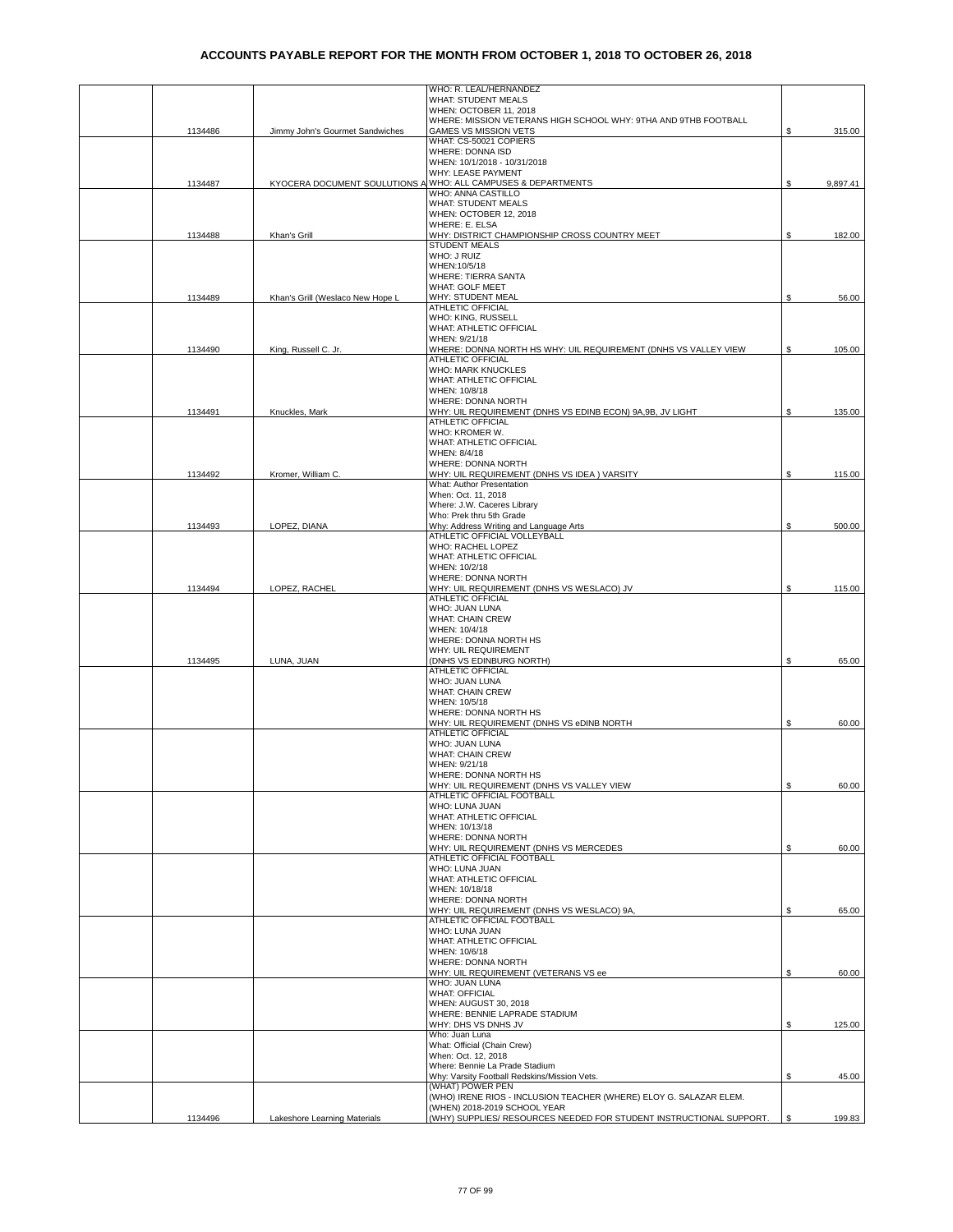|         |                                  | WHO: R. LEAL/HERNANDEZ                                                                    |    |          |
|---------|----------------------------------|-------------------------------------------------------------------------------------------|----|----------|
|         |                                  | WHAT: STUDENT MEALS                                                                       |    |          |
|         |                                  | WHEN: OCTOBER 11, 2018<br>WHERE: MISSION VETERANS HIGH SCHOOL WHY: 9THA AND 9THB FOOTBALL |    |          |
| 1134486 | Jimmy John's Gourmet Sandwiches  | <b>GAMES VS MISSION VETS</b>                                                              | \$ | 315.00   |
|         |                                  | WHAT: CS-50021 COPIERS                                                                    |    |          |
|         |                                  | WHERE: DONNA ISD                                                                          |    |          |
|         |                                  | WHEN: 10/1/2018 - 10/31/2018<br>WHY: LEASE PAYMENT                                        |    |          |
| 1134487 |                                  | KYOCERA DOCUMENT SOULUTIONS A WHO: ALL CAMPUSES & DEPARTMENTS                             | \$ | 9,897.41 |
|         |                                  | WHO: ANNA CASTILLO                                                                        |    |          |
|         |                                  | <b>WHAT: STUDENT MEALS</b>                                                                |    |          |
|         |                                  | WHEN: OCTOBER 12, 2018                                                                    |    |          |
|         |                                  | WHERE: E. ELSA                                                                            |    |          |
| 1134488 | Khan's Grill                     | WHY: DISTRICT CHAMPIONSHIP CROSS COUNTRY MEET<br><b>STUDENT MEALS</b>                     | \$ | 182.00   |
|         |                                  | WHO: J RUIZ                                                                               |    |          |
|         |                                  | WHEN: 10/5/18                                                                             |    |          |
|         |                                  | <b>WHERE: TIERRA SANTA</b>                                                                |    |          |
|         | Khan's Grill (Weslaco New Hope L | WHAT: GOLF MEET<br>WHY: STUDENT MEAL                                                      | S  |          |
| 1134489 |                                  | ATHLETIC OFFICIAL                                                                         |    | 56.00    |
|         |                                  | WHO: KING, RUSSELL                                                                        |    |          |
|         |                                  | WHAT: ATHLETIC OFFICIAL                                                                   |    |          |
|         |                                  | WHEN: 9/21/18                                                                             |    |          |
| 1134490 | King, Russell C. Jr.             | WHERE: DONNA NORTH HS WHY: UIL REQUIREMENT (DNHS VS VALLEY VIEW<br>ATHLETIC OFFICIAL      | \$ | 105.00   |
|         |                                  | <b>WHO: MARK KNUCKLES</b>                                                                 |    |          |
|         |                                  | WHAT: ATHLETIC OFFICIAL                                                                   |    |          |
|         |                                  | WHEN: 10/8/18                                                                             |    |          |
|         |                                  | WHERE: DONNA NORTH                                                                        |    |          |
| 1134491 | Knuckles, Mark                   | WHY: UIL REQUIREMENT (DNHS VS EDINB ECON) 9A,9B, JV LIGHT<br>ATHLETIC OFFICIAL            | \$ | 135.00   |
|         |                                  | WHO: KROMER W.                                                                            |    |          |
|         |                                  | WHAT: ATHLETIC OFFICIAL                                                                   |    |          |
|         |                                  | WHEN: 8/4/18                                                                              |    |          |
|         |                                  | WHERE: DONNA NORTH                                                                        |    |          |
| 1134492 | Kromer, William C.               | WHY: UIL REQUIREMENT (DNHS VS IDEA) VARSITY<br>What: Author Presentation                  | \$ | 115.00   |
|         |                                  | When: Oct. 11, 2018                                                                       |    |          |
|         |                                  | Where: J.W. Caceres Library                                                               |    |          |
|         |                                  | Who: Prek thru 5th Grade                                                                  |    |          |
| 1134493 | LOPEZ, DIANA                     | Why: Address Writing and Language Arts                                                    | \$ | 500.00   |
|         |                                  | ATHLETIC OFFICIAL VOLLEYBALL<br>WHO: RACHEL LOPEZ                                         |    |          |
|         |                                  | WHAT: ATHLETIC OFFICIAL                                                                   |    |          |
|         |                                  | WHEN: 10/2/18                                                                             |    |          |
|         |                                  | WHERE: DONNA NORTH                                                                        |    |          |
| 1134494 | LOPEZ, RACHEL                    | WHY: UIL REQUIREMENT (DNHS VS WESLACO) JV                                                 | \$ | 115.00   |
|         |                                  | ATHLETIC OFFICIAL<br>WHO: JUAN LUNA                                                       |    |          |
|         |                                  | <b>WHAT: CHAIN CREW</b>                                                                   |    |          |
|         |                                  | WHEN: 10/4/18                                                                             |    |          |
|         |                                  | WHERE: DONNA NORTH HS                                                                     |    |          |
|         |                                  | WHY: UIL REQUIREMENT                                                                      |    |          |
| 1134495 | LUNA, JUAN                       | (DNHS VS EDINBURG NORTH)<br>ATHLETIC OFFICIAL                                             | S  | 65.00    |
|         |                                  | WHO: JUAN LUNA                                                                            |    |          |
|         |                                  | WHAT: CHAIN CREW                                                                          |    |          |
|         |                                  | WHEN: 10/5/18                                                                             |    |          |
|         |                                  | WHERE: DONNA NORTH HS<br>WHY: UIL REQUIREMENT (DNHS VS eDINB NORTH                        |    |          |
|         |                                  | ATHLETIC OFFICIAL                                                                         | \$ | 60.00    |
|         |                                  | WHO: JUAN LUNA                                                                            |    |          |
|         |                                  | <b>WHAT: CHAIN CREW</b>                                                                   |    |          |
|         |                                  | WHEN: 9/21/18                                                                             |    |          |
|         |                                  | WHERE: DONNA NORTH HS<br>WHY: UIL REQUIREMENT (DNHS VS VALLEY VIEW                        |    |          |
|         |                                  | ATHLETIC OFFICIAL FOOTBALL                                                                | \$ | 60.00    |
|         |                                  | WHO: LUNA JUAN                                                                            |    |          |
|         |                                  | WHAT: ATHLETIC OFFICIAL                                                                   |    |          |
|         |                                  | WHEN: 10/13/18                                                                            |    |          |
|         |                                  | WHERE: DONNA NORTH<br>WHY: UIL REQUIREMENT (DNHS VS MERCEDES                              | \$ | 60.00    |
|         |                                  | ATHLETIC OFFICIAL FOOTBALL                                                                |    |          |
|         |                                  | WHO: LUNA JUAN                                                                            |    |          |
|         |                                  | <b>WHAT: ATHLETIC OFFICIAL</b>                                                            |    |          |
|         |                                  | WHEN: 10/18/18                                                                            |    |          |
|         |                                  | WHERE: DONNA NORTH<br>WHY: UIL REQUIREMENT (DNHS VS WESLACO) 9A,                          | \$ | 65.00    |
|         |                                  | ATHLETIC OFFICIAL FOOTBALL                                                                |    |          |
|         |                                  | WHO: LUNA JUAN                                                                            |    |          |
|         |                                  | WHAT: ATHLETIC OFFICIAL                                                                   |    |          |
|         |                                  | WHEN: 10/6/18                                                                             |    |          |
|         |                                  | WHERE: DONNA NORTH<br>WHY: UIL REQUIREMENT (VETERANS VS ee                                | S  | 60.00    |
|         |                                  | WHO: JUAN LUNA                                                                            |    |          |
|         |                                  | <b>WHAT: OFFICIAL</b>                                                                     |    |          |
|         |                                  | WHEN: AUGUST 30, 2018                                                                     |    |          |
|         |                                  | WHERE: BENNIE LAPRADE STADIUM                                                             |    |          |
|         |                                  | WHY: DHS VS DNHS JV<br>Who: Juan Luna                                                     | \$ | 125.00   |
|         |                                  | What: Official (Chain Crew)                                                               |    |          |
|         |                                  | When: Oct. 12, 2018                                                                       |    |          |
|         |                                  | Where: Bennie La Prade Stadium                                                            |    |          |
|         |                                  | Why: Varsity Football Redskins/Mission Vets.                                              | \$ | 45.00    |
|         |                                  | (WHAT) POWER PEN<br>(WHO) IRENE RIOS - INCLUSION TEACHER (WHERE) ELOY G. SALAZAR ELEM.    |    |          |
|         |                                  | (WHEN) 2018-2019 SCHOOL YEAR                                                              |    |          |
| 1134496 | Lakeshore Learning Materials     | (WHY) SUPPLIES/ RESOURCES NEEDED FOR STUDENT INSTRUCTIONAL SUPPORT.                       | S  | 199.83   |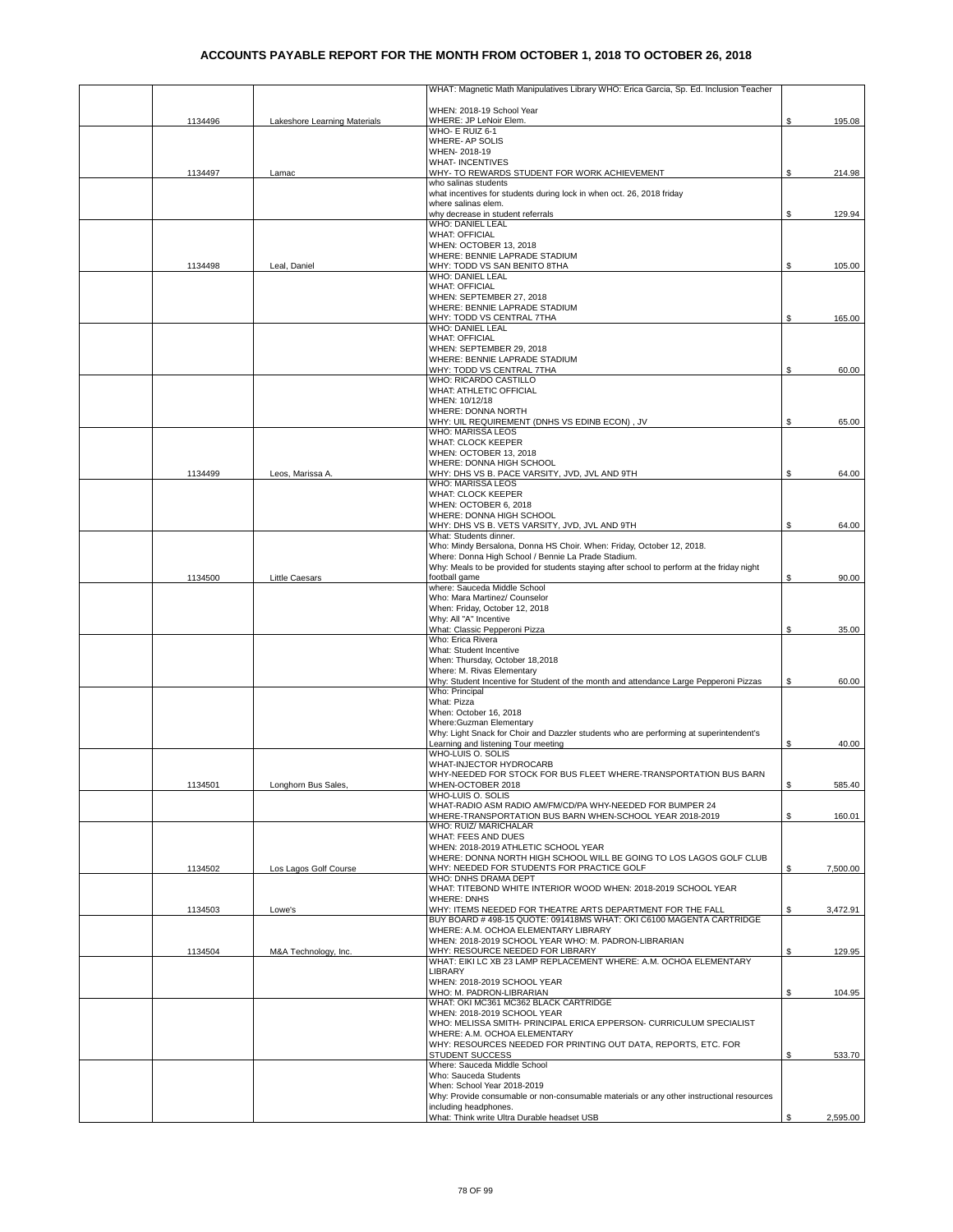|         |                              | WHAT: Magnetic Math Manipulatives Library WHO: Erica Garcia, Sp. Ed. Inclusion Teacher                                                            |     |          |
|---------|------------------------------|---------------------------------------------------------------------------------------------------------------------------------------------------|-----|----------|
|         |                              | WHEN: 2018-19 School Year                                                                                                                         |     |          |
| 1134496 | Lakeshore Learning Materials | WHERE: JP LeNoir Elem.<br>WHO- E RUIZ 6-1                                                                                                         | \$  | 195.08   |
|         |                              | WHERE- AP SOLIS                                                                                                                                   |     |          |
|         |                              | WHEN-2018-19<br><b>WHAT- INCENTIVES</b>                                                                                                           |     |          |
| 1134497 | Lamac                        | WHY- TO REWARDS STUDENT FOR WORK ACHIEVEMENT                                                                                                      | \$  | 214.98   |
|         |                              | who salinas students<br>what incentives for students during lock in when oct. 26, 2018 friday                                                     |     |          |
|         |                              | where salinas elem.                                                                                                                               |     |          |
|         |                              | why decrease in student referrals<br>WHO: DANIEL LEAL                                                                                             | \$  | 129.94   |
|         |                              | <b>WHAT: OFFICIAL</b>                                                                                                                             |     |          |
|         |                              | WHEN: OCTOBER 13, 2018<br>WHERE: BENNIE LAPRADE STADIUM                                                                                           |     |          |
| 1134498 | Leal, Daniel                 | WHY: TODD VS SAN BENITO 8THA                                                                                                                      | \$  | 105.00   |
|         |                              | WHO: DANIEL LEAL<br><b>WHAT: OFFICIAL</b>                                                                                                         |     |          |
|         |                              | WHEN: SEPTEMBER 27, 2018                                                                                                                          |     |          |
|         |                              | WHERE: BENNIE LAPRADE STADIUM<br>WHY: TODD VS CENTRAL 7THA                                                                                        | \$. | 165.00   |
|         |                              | WHO: DANIEL LEAL                                                                                                                                  |     |          |
|         |                              | <b>WHAT: OFFICIAL</b><br>WHEN: SEPTEMBER 29, 2018                                                                                                 |     |          |
|         |                              | WHERE: BENNIE LAPRADE STADIUM                                                                                                                     |     |          |
|         |                              | WHY: TODD VS CENTRAL 7THA<br>WHO: RICARDO CASTILLO                                                                                                | \$  | 60.00    |
|         |                              | WHAT: ATHLETIC OFFICIAL                                                                                                                           |     |          |
|         |                              | WHEN: 10/12/18<br>WHERE: DONNA NORTH                                                                                                              |     |          |
|         |                              | WHY: UIL REQUIREMENT (DNHS VS EDINB ECON), JV                                                                                                     | S.  | 65.00    |
|         |                              | WHO: MARISSA LEOS<br><b>WHAT: CLOCK KEEPER</b>                                                                                                    |     |          |
|         |                              | WHEN: OCTOBER 13, 2018                                                                                                                            |     |          |
| 1134499 | Leos, Marissa A.             | WHERE: DONNA HIGH SCHOOL<br>WHY: DHS VS B. PACE VARSITY, JVD, JVL AND 9TH                                                                         | \$  | 64.00    |
|         |                              | WHO: MARISSA LEOS                                                                                                                                 |     |          |
|         |                              | WHAT: CLOCK KEEPER<br>WHEN: OCTOBER 6, 2018                                                                                                       |     |          |
|         |                              | WHERE: DONNA HIGH SCHOOL                                                                                                                          |     |          |
|         |                              | WHY: DHS VS B. VETS VARSITY, JVD, JVL AND 9TH<br>What: Students dinner.                                                                           | S   | 64.00    |
|         |                              | Who: Mindy Bersalona, Donna HS Choir. When: Friday, October 12, 2018.                                                                             |     |          |
|         |                              | Where: Donna High School / Bennie La Prade Stadium.<br>Why: Meals to be provided for students staying after school to perform at the friday night |     |          |
| 1134500 | Little Caesars               | football game                                                                                                                                     | S   | 90.00    |
|         |                              | where: Sauceda Middle School<br>Who: Mara Martinez/ Counselor                                                                                     |     |          |
|         |                              | When: Friday, October 12, 2018                                                                                                                    |     |          |
|         |                              | Why: All "A" Incentive<br>What: Classic Pepperoni Pizza                                                                                           | S   | 35.00    |
|         |                              | Who: Erica Rivera                                                                                                                                 |     |          |
|         |                              | What: Student Incentive<br>When: Thursday, October 18,2018                                                                                        |     |          |
|         |                              | Where: M. Rivas Elementary                                                                                                                        |     |          |
|         |                              | Why: Student Incentive for Student of the month and attendance Large Pepperoni Pizzas<br>Who: Principal                                           | \$  | 60.00    |
|         |                              | What: Pizza                                                                                                                                       |     |          |
|         |                              | When: October 16, 2018<br>Where:Guzman Elementary                                                                                                 |     |          |
|         |                              | Why: Light Snack for Choir and Dazzler students who are performing at superintendent's                                                            |     |          |
|         |                              | Learning and listening Tour meeting<br>WHO-LUIS O. SOLIS                                                                                          | \$  | 40.00    |
|         |                              | WHAT-INJECTOR HYDROCARB                                                                                                                           |     |          |
| 1134501 | Longhorn Bus Sales,          | WHY-NEEDED FOR STOCK FOR BUS FLEET WHERE-TRANSPORTATION BUS BARN<br>WHEN-OCTOBER 2018                                                             | \$  | 585.40   |
|         |                              | WHO-LUIS O. SOLIS                                                                                                                                 |     |          |
|         |                              | WHAT-RADIO ASM RADIO AM/FM/CD/PA WHY-NEEDED FOR BUMPER 24<br>WHERE-TRANSPORTATION BUS BARN WHEN-SCHOOL YEAR 2018-2019                             | \$  | 160.01   |
|         |                              | WHO: RUIZ/ MARICHALAR                                                                                                                             |     |          |
|         |                              | WHAT: FEES AND DUES<br>WHEN: 2018-2019 ATHLETIC SCHOOL YEAR                                                                                       |     |          |
|         |                              | WHERE: DONNA NORTH HIGH SCHOOL WILL BE GOING TO LOS LAGOS GOLF CLUB                                                                               |     |          |
| 1134502 | Los Lagos Golf Course        | WHY: NEEDED FOR STUDENTS FOR PRACTICE GOLF<br>WHO: DNHS DRAMA DEPT                                                                                | \$  | 7,500.00 |
|         |                              | WHAT: TITEBOND WHITE INTERIOR WOOD WHEN: 2018-2019 SCHOOL YEAR                                                                                    |     |          |
| 1134503 | Lowe's                       | <b>WHERE: DNHS</b><br>WHY: ITEMS NEEDED FOR THEATRE ARTS DEPARTMENT FOR THE FALL                                                                  | \$  | 3,472.91 |
|         |                              | BUY BOARD #498-15 QUOTE: 091418MS WHAT: OKI C6100 MAGENTA CARTRIDGE                                                                               |     |          |
|         |                              | WHERE: A.M. OCHOA ELEMENTARY LIBRARY<br>WHEN: 2018-2019 SCHOOL YEAR WHO: M. PADRON-LIBRARIAN                                                      |     |          |
| 1134504 | M&A Technology, Inc.         | WHY: RESOURCE NEEDED FOR LIBRARY                                                                                                                  | \$  | 129.95   |
|         |                              | WHAT: EIKI LC XB 23 LAMP REPLACEMENT WHERE: A.M. OCHOA ELEMENTARY<br>LIBRARY                                                                      |     |          |
|         |                              | WHEN: 2018-2019 SCHOOL YEAR                                                                                                                       |     |          |
|         |                              | WHO: M. PADRON-LIBRARIAN<br>WHAT: OKI MC361 MC362 BLACK CARTRIDGE                                                                                 | \$  | 104.95   |
|         |                              | WHEN: 2018-2019 SCHOOL YEAR                                                                                                                       |     |          |
|         |                              | WHO: MELISSA SMITH- PRINCIPAL ERICA EPPERSON- CURRICULUM SPECIALIST<br>WHERE: A.M. OCHOA ELEMENTARY                                               |     |          |
|         |                              | WHY: RESOURCES NEEDED FOR PRINTING OUT DATA, REPORTS, ETC. FOR                                                                                    |     |          |
|         |                              | <b>STUDENT SUCCESS</b><br>Where: Sauceda Middle School                                                                                            | \$  | 533.70   |
|         |                              | Who: Sauceda Students                                                                                                                             |     |          |
|         |                              | When: School Year 2018-2019<br>Why: Provide consumable or non-consumable materials or any other instructional resources                           |     |          |
|         |                              | including headphones.                                                                                                                             |     |          |
|         |                              | What: Think write Ultra Durable headset USB                                                                                                       |     | 2,595.00 |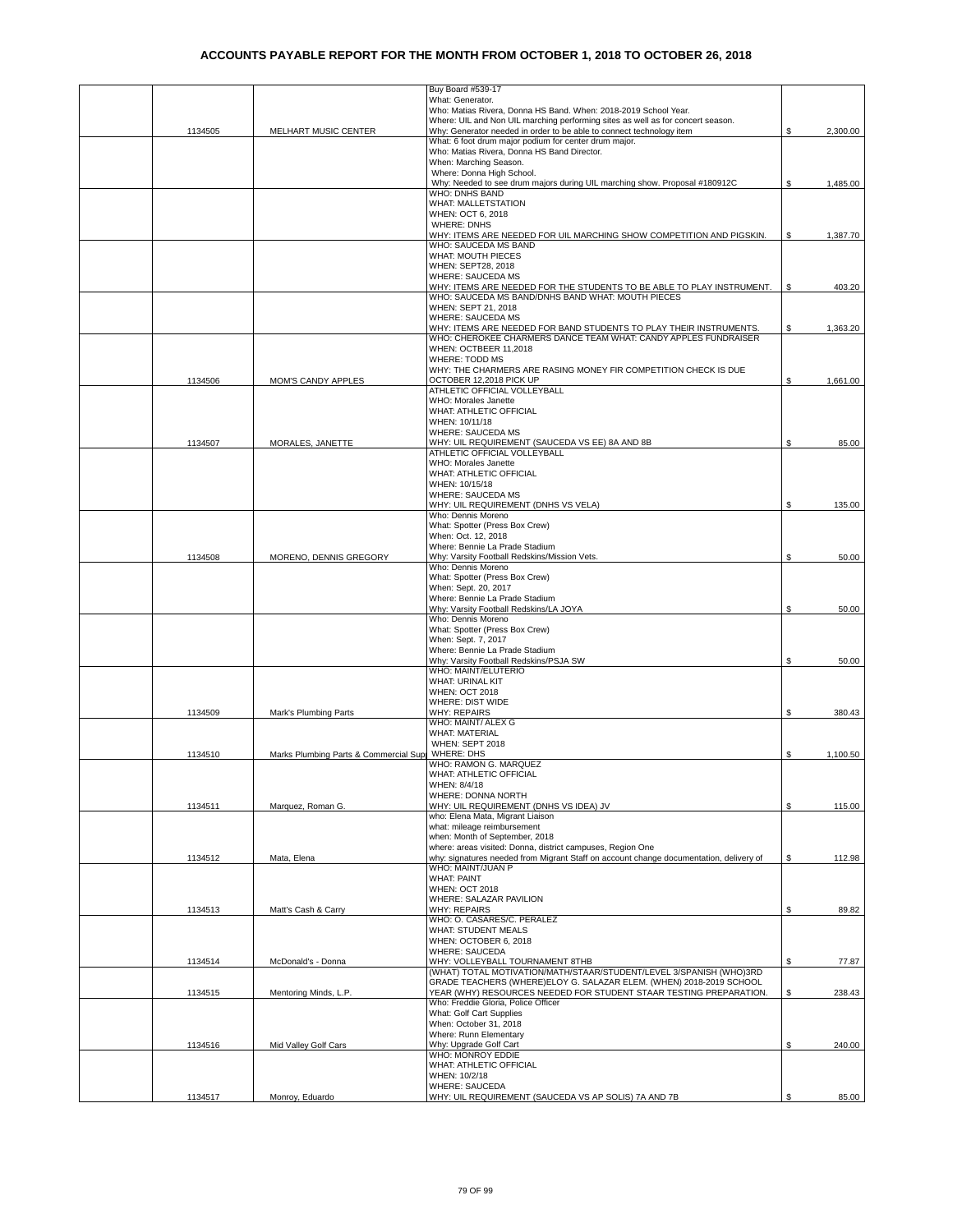|         |                                        | Buy Board #539-17                                                                                                                                       |    |          |
|---------|----------------------------------------|---------------------------------------------------------------------------------------------------------------------------------------------------------|----|----------|
|         |                                        | What: Generator.                                                                                                                                        |    |          |
|         |                                        | Who: Matias Rivera, Donna HS Band. When: 2018-2019 School Year.                                                                                         |    |          |
|         |                                        | Where: UIL and Non UIL marching performing sites as well as for concert season.<br>Why: Generator needed in order to be able to connect technology item |    |          |
| 1134505 | MELHART MUSIC CENTER                   | What: 6 foot drum major podium for center drum major.                                                                                                   | S  | 2,300.00 |
|         |                                        | Who: Matias Rivera, Donna HS Band Director.                                                                                                             |    |          |
|         |                                        | When: Marching Season.                                                                                                                                  |    |          |
|         |                                        | Where: Donna High School.                                                                                                                               |    |          |
|         |                                        | Why: Needed to see drum majors during UIL marching show. Proposal #180912C                                                                              | \$ | 1,485.00 |
|         |                                        | <b>WHO: DNHS BAND</b>                                                                                                                                   |    |          |
|         |                                        | <b>WHAT: MALLETSTATION</b>                                                                                                                              |    |          |
|         |                                        | WHEN: OCT 6, 2018                                                                                                                                       |    |          |
|         |                                        | <b>WHERE: DNHS</b>                                                                                                                                      |    |          |
|         |                                        | WHY: ITEMS ARE NEEDED FOR UIL MARCHING SHOW COMPETITION AND PIGSKIN.                                                                                    | \$ | 1,387.70 |
|         |                                        | WHO: SAUCEDA MS BAND                                                                                                                                    |    |          |
|         |                                        | WHAT: MOUTH PIECES<br>WHEN: SEPT28, 2018                                                                                                                |    |          |
|         |                                        | <b>WHERE: SAUCEDA MS</b>                                                                                                                                |    |          |
|         |                                        | WHY: ITEMS ARE NEEDED FOR THE STUDENTS TO BE ABLE TO PLAY INSTRUMENT.                                                                                   | \$ | 403.20   |
|         |                                        | WHO: SAUCEDA MS BAND/DNHS BAND WHAT: MOUTH PIECES                                                                                                       |    |          |
|         |                                        | WHEN: SEPT 21, 2018                                                                                                                                     |    |          |
|         |                                        | <b>WHERE: SAUCEDA MS</b>                                                                                                                                |    |          |
|         |                                        | WHY: ITEMS ARE NEEDED FOR BAND STUDENTS TO PLAY THEIR INSTRUMENTS.                                                                                      | \$ | 1,363.20 |
|         |                                        | WHO: CHEROKEE CHARMERS DANCE TEAM WHAT: CANDY APPLES FUNDRAISER                                                                                         |    |          |
|         |                                        | WHEN: OCTBEER 11,2018                                                                                                                                   |    |          |
|         |                                        | WHERE: TODD MS                                                                                                                                          |    |          |
|         |                                        | WHY: THE CHARMERS ARE RASING MONEY FIR COMPETITION CHECK IS DUE                                                                                         |    |          |
| 1134506 | MOM'S CANDY APPLES                     | OCTOBER 12,2018 PICK UP                                                                                                                                 | \$ | 1,661.00 |
|         |                                        | ATHLETIC OFFICIAL VOLLEYBALL                                                                                                                            |    |          |
|         |                                        | WHO: Morales Janette                                                                                                                                    |    |          |
|         |                                        | WHAT: ATHLETIC OFFICIAL<br>WHEN: 10/11/18                                                                                                               |    |          |
|         |                                        | <b>WHERE: SAUCEDA MS</b>                                                                                                                                |    |          |
| 1134507 | MORALES, JANETTE                       | WHY: UIL REQUIREMENT (SAUCEDA VS EE) 8A AND 8B                                                                                                          | S. | 85.00    |
|         |                                        | ATHLETIC OFFICIAL VOLLEYBALL                                                                                                                            |    |          |
|         |                                        | WHO: Morales Janette                                                                                                                                    |    |          |
|         |                                        | WHAT: ATHLETIC OFFICIAL                                                                                                                                 |    |          |
|         |                                        | WHEN: 10/15/18                                                                                                                                          |    |          |
|         |                                        | WHERE: SAUCEDA MS                                                                                                                                       |    |          |
|         |                                        | WHY: UIL REQUIREMENT (DNHS VS VELA)                                                                                                                     | \$ | 135.00   |
|         |                                        | Who: Dennis Moreno                                                                                                                                      |    |          |
|         |                                        | What: Spotter (Press Box Crew)                                                                                                                          |    |          |
|         |                                        | When: Oct. 12, 2018                                                                                                                                     |    |          |
|         |                                        | Where: Bennie La Prade Stadium                                                                                                                          |    |          |
| 1134508 | MORENO, DENNIS GREGORY                 | Why: Varsity Football Redskins/Mission Vets.<br>Who: Dennis Moreno                                                                                      | \$ | 50.00    |
|         |                                        | What: Spotter (Press Box Crew)                                                                                                                          |    |          |
|         |                                        | When: Sept. 20, 2017                                                                                                                                    |    |          |
|         |                                        | Where: Bennie La Prade Stadium                                                                                                                          |    |          |
|         |                                        | Why: Varsity Football Redskins/LA JOYA                                                                                                                  | \$ | 50.00    |
|         |                                        | Who: Dennis Moreno                                                                                                                                      |    |          |
|         |                                        | What: Spotter (Press Box Crew)                                                                                                                          |    |          |
|         |                                        | When: Sept. 7, 2017                                                                                                                                     |    |          |
|         |                                        | Where: Bennie La Prade Stadium                                                                                                                          |    |          |
|         |                                        | Why: Varsity Football Redskins/PSJA SW                                                                                                                  | \$ | 50.00    |
|         |                                        | WHO: MAINT/ELUTERIO                                                                                                                                     |    |          |
|         |                                        | WHAT: URINAL KIT                                                                                                                                        |    |          |
|         |                                        | <b>WHEN: OCT 2018</b>                                                                                                                                   |    |          |
| 1134509 |                                        | WHERE: DIST WIDE                                                                                                                                        |    | 380.43   |
|         | Mark's Plumbing Parts                  | <b>WHY: REPAIRS</b><br>WHO: MAINT/ ALEX G                                                                                                               | \$ |          |
|         |                                        | <b>WHAT: MATERIAL</b>                                                                                                                                   |    |          |
|         |                                        | WHEN: SEPT 2018                                                                                                                                         |    |          |
| 1134510 | Marks Plumbing Parts & Commercial Supp | <b>WHERE: DHS</b>                                                                                                                                       | \$ | 1.100.50 |
|         |                                        | WHO: RAMON G. MARQUEZ                                                                                                                                   |    |          |
|         |                                        | <b><i>NHAT: ATHLETIC OFFICIAL</i></b>                                                                                                                   |    |          |
|         |                                        | WHEN: 8/4/18                                                                                                                                            |    |          |
|         |                                        | WHERE: DONNA NORTH                                                                                                                                      |    |          |
| 1134511 | Marquez, Roman G.                      | WHY: UIL REQUIREMENT (DNHS VS IDEA) JV                                                                                                                  | \$ | 115.00   |
|         |                                        | who: Elena Mata, Migrant Liaison                                                                                                                        |    |          |
|         |                                        | what: mileage reimbursement                                                                                                                             |    |          |
|         |                                        | when: Month of September, 2018                                                                                                                          |    |          |
| 1134512 | Mata, Elena                            | where: areas visited: Donna, district campuses, Region One<br>why: signatures needed from Migrant Staff on account change documentation, delivery of    | \$ | 112.98   |
|         |                                        | WHO: MAINT/JUAN P                                                                                                                                       |    |          |
|         |                                        | <b>WHAT: PAINT</b>                                                                                                                                      |    |          |
|         |                                        | <b>WHEN: OCT 2018</b>                                                                                                                                   |    |          |
|         |                                        | WHERE: SALAZAR PAVILION                                                                                                                                 |    |          |
| 1134513 | Matt's Cash & Carry                    | <b>WHY: REPAIRS</b>                                                                                                                                     | \$ | 89.82    |
|         |                                        | WHO: O. CASARES/C. PERALEZ                                                                                                                              |    |          |
|         |                                        | <b>WHAT: STUDENT MEALS</b>                                                                                                                              |    |          |
|         |                                        | WHEN: OCTOBER 6, 2018                                                                                                                                   |    |          |
|         |                                        | WHERE: SAUCEDA                                                                                                                                          |    |          |
| 1134514 | McDonald's - Donna                     | WHY: VOLLEYBALL TOURNAMENT 8THB                                                                                                                         | \$ | 77.87    |
|         |                                        | (WHAT) TOTAL MOTIVATION/MATH/STAAR/STUDENT/LEVEL 3/SPANISH (WHO)3RD                                                                                     |    |          |
|         |                                        | GRADE TEACHERS (WHERE)ELOY G. SALAZAR ELEM. (WHEN) 2018-2019 SCHOOL                                                                                     |    |          |
| 1134515 | Mentoring Minds, L.P.                  | YEAR (WHY) RESOURCES NEEDED FOR STUDENT STAAR TESTING PREPARATION.                                                                                      | S. | 238.43   |
|         |                                        | Who: Freddie Gloria, Police Officer                                                                                                                     |    |          |
|         |                                        | What: Golf Cart Supplies<br>When: October 31, 2018                                                                                                      |    |          |
|         |                                        | Where: Runn Elementary                                                                                                                                  |    |          |
| 1134516 | Mid Valley Golf Cars                   | Why: Upgrade Golf Cart                                                                                                                                  | \$ | 240.00   |
|         |                                        | WHO: MONROY EDDIE                                                                                                                                       |    |          |
|         |                                        | WHAT: ATHLETIC OFFICIAL                                                                                                                                 |    |          |
|         |                                        | WHEN: 10/2/18                                                                                                                                           |    |          |
|         |                                        | WHERE: SAUCEDA                                                                                                                                          |    |          |
| 1134517 | Monroy, Eduardo                        | WHY: UIL REQUIREMENT (SAUCEDA VS AP SOLIS) 7A AND 7B                                                                                                    |    | 85.00    |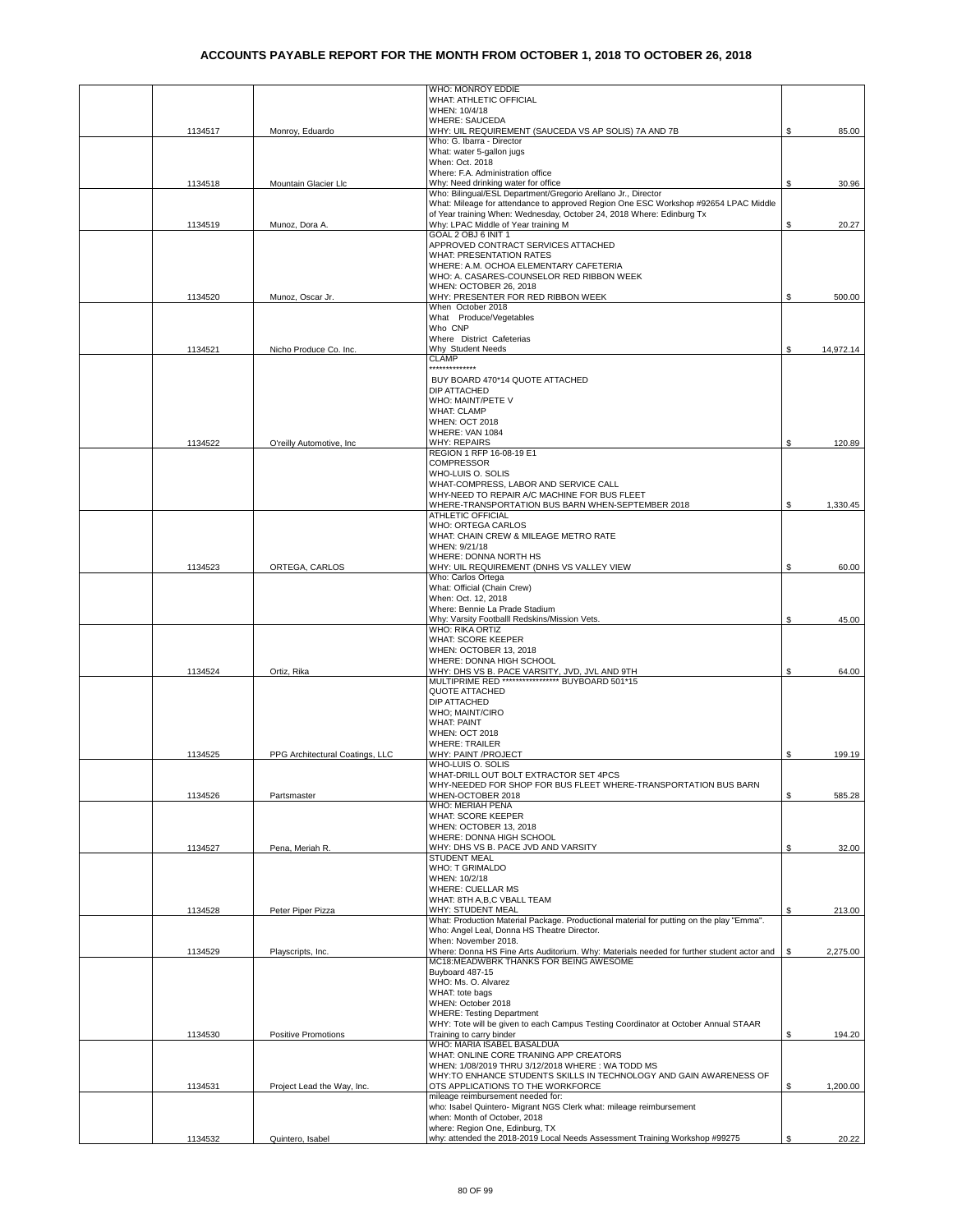|         |                                 | WHO: MONROY EDDIE                                                                                              |    |           |
|---------|---------------------------------|----------------------------------------------------------------------------------------------------------------|----|-----------|
|         |                                 | WHAT: ATHLETIC OFFICIAL<br>WHEN: 10/4/18                                                                       |    |           |
|         |                                 | WHERE: SAUCEDA                                                                                                 |    |           |
| 1134517 | Monroy, Eduardo                 | WHY: UIL REQUIREMENT (SAUCEDA VS AP SOLIS) 7A AND 7B                                                           | \$ | 85.00     |
|         |                                 | Who: G. Ibarra - Director                                                                                      |    |           |
|         |                                 | What: water 5-gallon jugs<br>When: Oct. 2018                                                                   |    |           |
|         |                                 | Where: F.A. Administration office                                                                              |    |           |
| 1134518 | Mountain Glacier Llc            | Why: Need drinking water for office                                                                            | S. | 30.96     |
|         |                                 | Who: Bilingual/ESL Department/Gregorio Arellano Jr., Director                                                  |    |           |
|         |                                 | What: Mileage for attendance to approved Region One ESC Workshop #92654 LPAC Middle                            |    |           |
|         |                                 | of Year training When: Wednesday, October 24, 2018 Where: Edinburg Tx                                          |    |           |
| 1134519 | Munoz, Dora A.                  | Why: LPAC Middle of Year training M<br>GOAL 2 OBJ 6 INIT 1                                                     | S  | 20.27     |
|         |                                 | APPROVED CONTRACT SERVICES ATTACHED                                                                            |    |           |
|         |                                 | WHAT: PRESENTATION RATES                                                                                       |    |           |
|         |                                 | WHERE: A.M. OCHOA ELEMENTARY CAFETERIA                                                                         |    |           |
|         |                                 | WHO: A. CASARES-COUNSELOR RED RIBBON WEEK                                                                      |    |           |
| 1134520 | Munoz, Oscar Jr.                | WHEN: OCTOBER 26, 2018<br>WHY: PRESENTER FOR RED RIBBON WEEK                                                   | \$ | 500.00    |
|         |                                 | When October 2018                                                                                              |    |           |
|         |                                 | What Produce/Vegetables                                                                                        |    |           |
|         |                                 | Who CNP                                                                                                        |    |           |
|         |                                 | Where District Cafeterias                                                                                      |    |           |
| 1134521 | Nicho Produce Co. Inc.          | Why Student Needs<br><b>CLAMP</b>                                                                              | \$ | 14,972.14 |
|         |                                 | *************                                                                                                  |    |           |
|         |                                 | BUY BOARD 470*14 QUOTE ATTACHED                                                                                |    |           |
|         |                                 | DIP ATTACHED                                                                                                   |    |           |
|         |                                 | WHO: MAINT/PETE V                                                                                              |    |           |
|         |                                 | <b>WHAT: CLAMP</b><br><b>WHEN: OCT 2018</b>                                                                    |    |           |
|         |                                 | WHERE: VAN 1084                                                                                                |    |           |
| 1134522 | O'reilly Automotive, Inc        | <b>WHY: REPAIRS</b>                                                                                            | \$ | 120.89    |
|         |                                 | REGION 1 RFP 16-08-19 E1                                                                                       |    |           |
|         |                                 | <b>COMPRESSOR</b>                                                                                              |    |           |
|         |                                 | WHO-LUIS O. SOLIS                                                                                              |    |           |
|         |                                 | WHAT-COMPRESS, LABOR AND SERVICE CALL<br>WHY-NEED TO REPAIR A/C MACHINE FOR BUS FLEET                          |    |           |
|         |                                 | WHERE-TRANSPORTATION BUS BARN WHEN-SEPTEMBER 2018                                                              | \$ | 1,330.45  |
|         |                                 | <b>ATHLETIC OFFICIAL</b>                                                                                       |    |           |
|         |                                 | WHO: ORTEGA CARLOS                                                                                             |    |           |
|         |                                 | WHAT: CHAIN CREW & MILEAGE METRO RATE                                                                          |    |           |
|         |                                 | WHEN: 9/21/18<br>WHERE: DONNA NORTH HS                                                                         |    |           |
| 1134523 | ORTEGA, CARLOS                  | WHY: UIL REQUIREMENT (DNHS VS VALLEY VIEW                                                                      | \$ | 60.00     |
|         |                                 | Who: Carlos Ortega                                                                                             |    |           |
|         |                                 | What: Official (Chain Crew)                                                                                    |    |           |
|         |                                 | When: Oct. 12, 2018                                                                                            |    |           |
|         |                                 | Where: Bennie La Prade Stadium<br>Why: Varsity Footballl Redskins/Mission Vets.                                | \$ | 45.00     |
|         |                                 | <b>WHO: RIKA ORTIZ</b>                                                                                         |    |           |
|         |                                 | WHAT: SCORE KEEPER                                                                                             |    |           |
|         |                                 | WHEN: OCTOBER 13, 2018                                                                                         |    |           |
| 1134524 | Ortiz, Rika                     | WHERE: DONNA HIGH SCHOOL                                                                                       | \$ | 64.00     |
|         |                                 | WHY: DHS VS B. PACE VARSITY, JVD, JVL AND 9TH<br>MULTIPRIME RED ***************** BUYBOARD 501*15              |    |           |
|         |                                 | QUOTE ATTACHED                                                                                                 |    |           |
|         |                                 | DIP ATTACHED                                                                                                   |    |           |
|         |                                 | WHO: MAINT/CIRO<br><b>WHAT: PAINT</b>                                                                          |    |           |
|         |                                 | <b>WHEN: OCT 2018</b>                                                                                          |    |           |
|         |                                 | <b>WHERE: TRAILER</b>                                                                                          |    |           |
| 1134525 | PPG Architectural Coatings, LLC | WHY: PAINT /PROJECT                                                                                            | \$ | 199.19    |
|         |                                 | WHO-LUIS O. SOLIS                                                                                              |    |           |
|         |                                 | WHAT-DRILL OUT BOLT EXTRACTOR SET 4PCS<br>WHY-NEEDED FOR SHOP FOR BUS FLEET WHERE-TRANSPORTATION BUS BARN      |    |           |
| 1134526 | Partsmaster                     | WHEN-OCTOBER 2018                                                                                              | \$ | 585.28    |
|         |                                 | WHO: MERIAH PENA                                                                                               |    |           |
|         |                                 | WHAT: SCORE KEEPER                                                                                             |    |           |
|         |                                 | WHEN: OCTOBER 13, 2018                                                                                         |    |           |
|         |                                 | WHERE: DONNA HIGH SCHOOL                                                                                       |    |           |
| 1134527 | Pena, Meriah R.                 | WHY: DHS VS B. PACE JVD AND VARSITY<br><b>STUDENT MEAL</b>                                                     | \$ | 32.00     |
|         |                                 | WHO: T GRIMALDO                                                                                                |    |           |
|         |                                 | WHEN: 10/2/18                                                                                                  |    |           |
|         |                                 | WHERE: CUELLAR MS                                                                                              |    |           |
|         |                                 | WHAT: 8TH A,B,C VBALL TEAM                                                                                     |    |           |
| 1134528 | Peter Piper Pizza               | WHY: STUDENT MEAL<br>What: Production Material Package. Productional material for putting on the play "Emma".  | \$ | 213.00    |
|         |                                 | Who: Angel Leal, Donna HS Theatre Director.                                                                    |    |           |
|         |                                 | When: November 2018.                                                                                           |    |           |
| 1134529 | Playscripts, Inc.               | Where: Donna HS Fine Arts Auditorium. Why: Materials needed for further student actor and                      | \$ | 2,275.00  |
|         |                                 | MC18:MEADWBRK THANKS FOR BEING AWESOME<br>Buyboard 487-15                                                      |    |           |
|         |                                 | WHO: Ms. O. Alvarez                                                                                            |    |           |
|         |                                 | WHAT: tote bags                                                                                                |    |           |
|         |                                 | WHEN: October 2018                                                                                             |    |           |
|         |                                 | <b>WHERE: Testing Department</b>                                                                               |    |           |
| 1134530 | <b>Positive Promotions</b>      | WHY: Tote will be given to each Campus Testing Coordinator at October Annual STAAR<br>Training to carry binder | \$ | 194.20    |
|         |                                 | WHO: MARIA ISABEL BASALDUA                                                                                     |    |           |
|         |                                 | WHAT: ONLINE CORE TRANING APP CREATORS                                                                         |    |           |
|         |                                 | WHEN: 1/08/2019 THRU 3/12/2018 WHERE: WA TODD MS                                                               |    |           |
|         |                                 | WHY:TO ENHANCE STUDENTS SKILLS IN TECHNOLOGY AND GAIN AWARENESS OF                                             |    |           |
| 1134531 | Project Lead the Way, Inc.      | OTS APPLICATIONS TO THE WORKFORCE<br>mileage reimbursement needed for:                                         | \$ | 1,200.00  |
|         |                                 | who: Isabel Quintero- Migrant NGS Clerk what: mileage reimbursement                                            |    |           |
|         |                                 | when: Month of October, 2018                                                                                   |    |           |
|         |                                 | where: Region One, Edinburg, TX                                                                                |    |           |
| 1134532 | Quintero, Isabel                | why: attended the 2018-2019 Local Needs Assessment Training Workshop #99275                                    | \$ | 20.22     |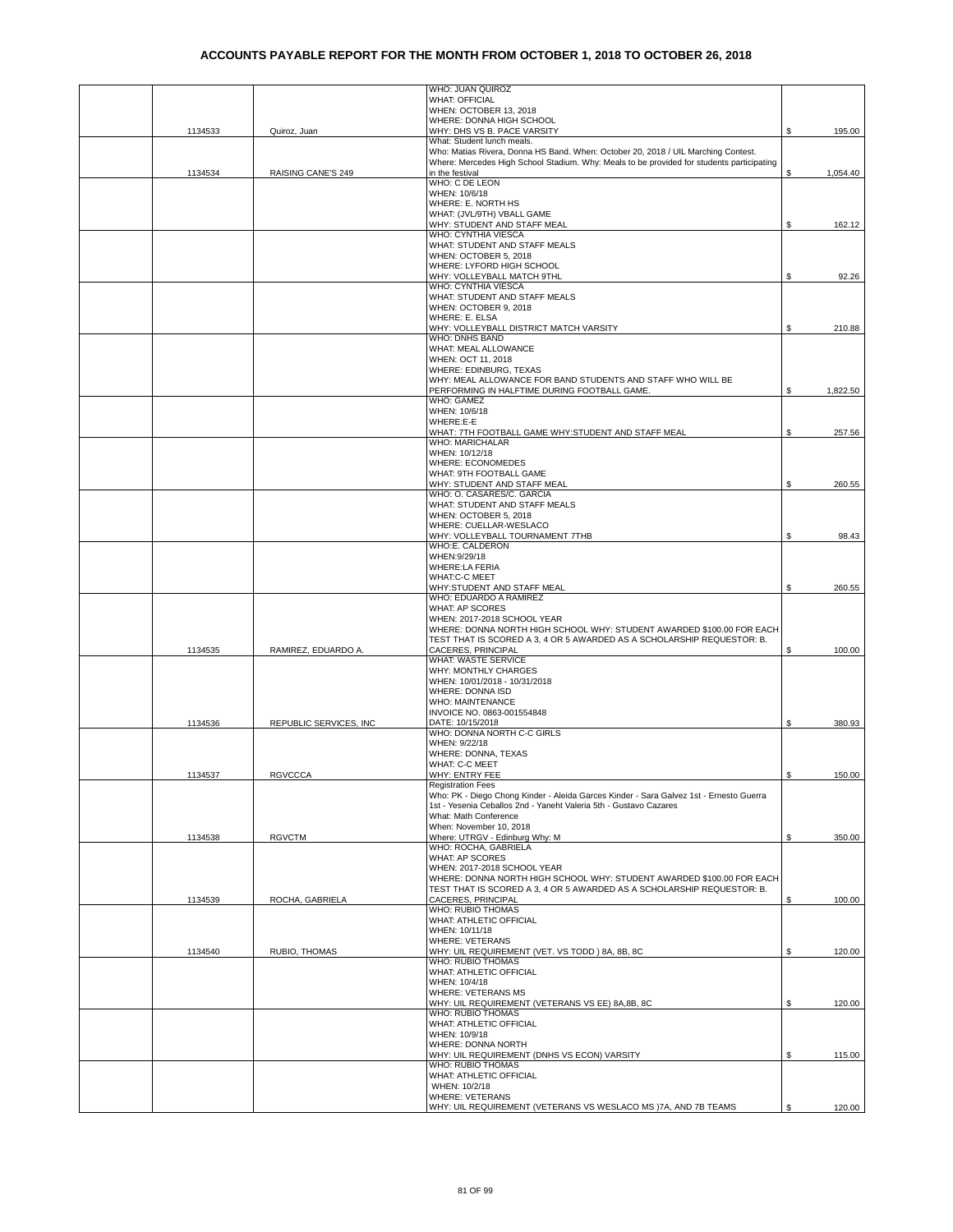|         |                        | WHO: JUAN QUIROZ                                                                                                |    |          |
|---------|------------------------|-----------------------------------------------------------------------------------------------------------------|----|----------|
|         |                        | <b>WHAT: OFFICIAL</b>                                                                                           |    |          |
|         |                        | WHEN: OCTOBER 13, 2018                                                                                          |    |          |
|         |                        | WHERE: DONNA HIGH SCHOOL                                                                                        |    |          |
| 1134533 | Quiroz, Juan           | WHY: DHS VS B. PACE VARSITY                                                                                     | \$ | 195.00   |
|         |                        | What: Student lunch meals.<br>Who: Matias Rivera, Donna HS Band. When: October 20, 2018 / UIL Marching Contest. |    |          |
|         |                        | Where: Mercedes High School Stadium. Why: Meals to be provided for students participating                       |    |          |
| 1134534 | RAISING CANE'S 249     | in the festival                                                                                                 | \$ | 1,054.40 |
|         |                        | WHO: C DE LEON                                                                                                  |    |          |
|         |                        | WHEN: 10/6/18                                                                                                   |    |          |
|         |                        | WHERE: E. NORTH HS                                                                                              |    |          |
|         |                        | WHAT: (JVL/9TH) VBALL GAME<br>WHY: STUDENT AND STAFF MEAL                                                       | \$ |          |
|         |                        | WHO: CYNTHIA VIESCA                                                                                             |    | 162.12   |
|         |                        | WHAT: STUDENT AND STAFF MEALS                                                                                   |    |          |
|         |                        | WHEN: OCTOBER 5, 2018                                                                                           |    |          |
|         |                        | WHERE: LYFORD HIGH SCHOOL                                                                                       |    |          |
|         |                        | WHY: VOLLEYBALL MATCH 9THL                                                                                      | \$ | 92.26    |
|         |                        | WHO: CYNTHIA VIESCA                                                                                             |    |          |
|         |                        | WHAT: STUDENT AND STAFF MEALS                                                                                   |    |          |
|         |                        | WHEN: OCTOBER 9, 2018<br>WHERE: E. ELSA                                                                         |    |          |
|         |                        | WHY: VOLLEYBALL DISTRICT MATCH VARSITY                                                                          | S  | 210.88   |
|         |                        | WHO: DNHS BAND                                                                                                  |    |          |
|         |                        | WHAT: MEAL ALLOWANCE                                                                                            |    |          |
|         |                        | WHEN: OCT 11, 2018                                                                                              |    |          |
|         |                        | WHERE: EDINBURG, TEXAS                                                                                          |    |          |
|         |                        | WHY: MEAL ALLOWANCE FOR BAND STUDENTS AND STAFF WHO WILL BE                                                     |    |          |
|         |                        | PERFORMING IN HALFTIME DURING FOOTBALL GAME.                                                                    | \$ | 1,822.50 |
|         |                        | WHO: GAMEZ<br>WHEN: 10/6/18                                                                                     |    |          |
|         |                        | WHERE:E-E                                                                                                       |    |          |
|         |                        | WHAT: 7TH FOOTBALL GAME WHY: STUDENT AND STAFF MEAL                                                             | S  | 257.56   |
|         |                        | WHO: MARICHALAR                                                                                                 |    |          |
|         |                        | WHEN: 10/12/18                                                                                                  |    |          |
|         |                        | WHERE: ECONOMEDES                                                                                               |    |          |
|         |                        | WHAT: 9TH FOOTBALL GAME                                                                                         |    |          |
|         |                        | WHY: STUDENT AND STAFF MEAL                                                                                     | \$ | 260.55   |
|         |                        | WHO: O. CASARES/C. GARCIA<br>WHAT: STUDENT AND STAFF MEALS                                                      |    |          |
|         |                        | WHEN: OCTOBER 5, 2018                                                                                           |    |          |
|         |                        | WHERE: CUELLAR-WESLACO                                                                                          |    |          |
|         |                        | WHY: VOLLEYBALL TOURNAMENT 7THB                                                                                 | \$ | 98.43    |
|         |                        | WHO:E. CALDERON                                                                                                 |    |          |
|         |                        | WHEN:9/29/18                                                                                                    |    |          |
|         |                        | <b>WHERE:LA FERIA</b>                                                                                           |    |          |
|         |                        | WHAT:C-C MEET                                                                                                   |    |          |
|         |                        | WHY:STUDENT AND STAFF MEAL<br>WHO: EDUARDO A RAMIREZ                                                            | \$ | 260.55   |
|         |                        | <b>WHAT: AP SCORES</b>                                                                                          |    |          |
|         |                        | WHEN: 2017-2018 SCHOOL YEAR                                                                                     |    |          |
|         |                        | WHERE: DONNA NORTH HIGH SCHOOL WHY: STUDENT AWARDED \$100.00 FOR EACH                                           |    |          |
|         |                        | TEST THAT IS SCORED A 3, 4 OR 5 AWARDED AS A SCHOLARSHIP REQUESTOR: B.                                          |    |          |
| 1134535 | RAMIREZ, EDUARDO A     | CACERES, PRINCIPAL                                                                                              | \$ | 100.00   |
|         |                        | WHAT: WASTE SERVICE                                                                                             |    |          |
|         |                        | WHY: MONTHLY CHARGES<br>WHEN: 10/01/2018 - 10/31/2018                                                           |    |          |
|         |                        | WHERE: DONNA ISD                                                                                                |    |          |
|         |                        | <b>WHO: MAINTENANCE</b>                                                                                         |    |          |
|         |                        | INVOICE NO. 0863-001554848                                                                                      |    |          |
| 1134536 | REPUBLIC SERVICES, INC | DATE: 10/15/2018                                                                                                | \$ | 380.93   |
|         |                        | WHO: DONNA NORTH C-C GIRLS                                                                                      |    |          |
|         |                        | WHEN: 9/22/18                                                                                                   |    |          |
|         |                        | WHERE: DONNA, TEXAS                                                                                             |    |          |
| 1134537 | <b>RGVCCCA</b>         | <b>WHAT: C-C MEET</b><br>WHY: ENTRY FEE                                                                         | \$ | 150.00   |
|         |                        | <b>Registration Fees</b>                                                                                        |    |          |
|         |                        | Who: PK - Diego Chong Kinder - Aleida Garces Kinder - Sara Galvez 1st - Ernesto Guerra                          |    |          |
|         |                        | 1st - Yesenia Ceballos 2nd - Yaneht Valeria 5th - Gustavo Cazares                                               |    |          |
|         |                        | What: Math Conference                                                                                           |    |          |
|         |                        | When: November 10, 2018                                                                                         |    |          |
| 1134538 | <b>RGVCTM</b>          | Where: UTRGV - Edinburg Why: M                                                                                  | \$ | 350.00   |
|         |                        | WHO: ROCHA, GABRIELA<br><b>WHAT: AP SCORES</b>                                                                  |    |          |
|         |                        | WHEN: 2017-2018 SCHOOL YEAR                                                                                     |    |          |
|         |                        | WHERE: DONNA NORTH HIGH SCHOOL WHY: STUDENT AWARDED \$100.00 FOR EACH                                           |    |          |
|         |                        | TEST THAT IS SCORED A 3, 4 OR 5 AWARDED AS A SCHOLARSHIP REQUESTOR: B.                                          |    |          |
| 1134539 | ROCHA, GABRIELA        | CACERES, PRINCIPAL                                                                                              | S  | 100.00   |
|         |                        | WHO: RUBIO THOMAS                                                                                               |    |          |
|         |                        | WHAT: ATHLETIC OFFICIAL<br>WHEN: 10/11/18                                                                       |    |          |
|         |                        | <b>WHERE: VETERANS</b>                                                                                          |    |          |
| 1134540 | RUBIO, THOMAS          | WHY: UIL REQUIREMENT (VET. VS TODD) 8A, 8B, 8C                                                                  | S. | 120.00   |
|         |                        | WHO: RUBIO THOMAS                                                                                               |    |          |
|         |                        | <b>WHAT: ATHLETIC OFFICIAL</b>                                                                                  |    |          |
|         |                        | WHEN: 10/4/18                                                                                                   |    |          |
|         |                        | WHERE: VETERANS MS                                                                                              |    |          |
|         |                        | WHY: UIL REQUIREMENT (VETERANS VS EE) 8A,8B, 8C                                                                 | \$ | 120.00   |
|         |                        | WHO: RUBIO THOMAS<br>WHAT: ATHLETIC OFFICIAL                                                                    |    |          |
|         |                        | WHEN: 10/9/18                                                                                                   |    |          |
|         |                        | WHERE: DONNA NORTH                                                                                              |    |          |
|         |                        | WHY: UIL REQUIREMENT (DNHS VS ECON) VARSITY                                                                     | \$ | 115.00   |
|         |                        | <b>WHO: RUBIO THOMAS</b>                                                                                        |    |          |
|         |                        | WHAT: ATHLETIC OFFICIAL                                                                                         |    |          |
|         |                        | WHEN: 10/2/18                                                                                                   |    |          |
|         |                        | <b>WHERE: VETERANS</b><br>WHY: UIL REQUIREMENT (VETERANS VS WESLACO MS )7A, AND 7B TEAMS                        | S  | 120.00   |
|         |                        |                                                                                                                 |    |          |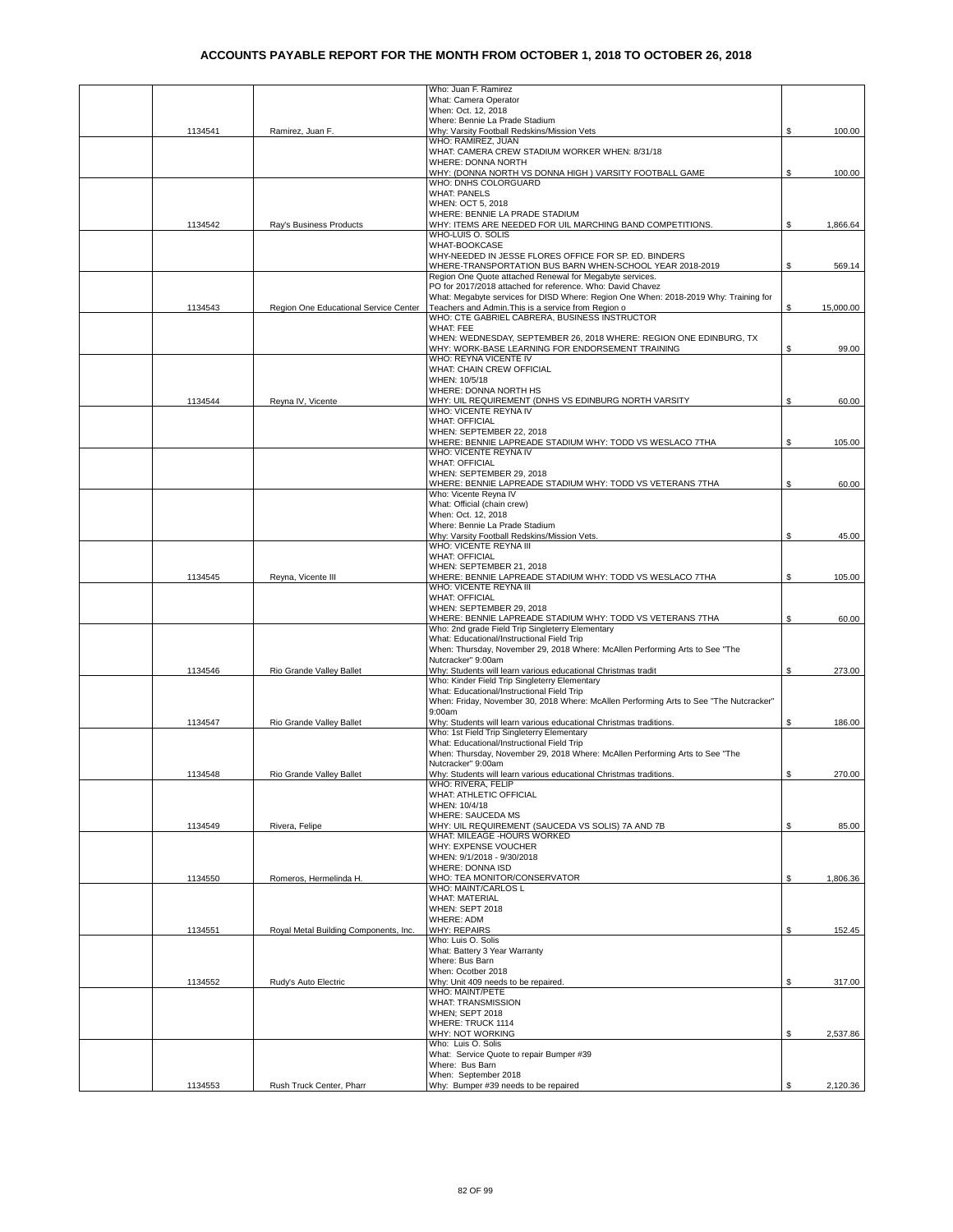|         |                                       | Who: Juan F. Ramirez                                                                                                 |     |           |
|---------|---------------------------------------|----------------------------------------------------------------------------------------------------------------------|-----|-----------|
|         |                                       | What: Camera Operator<br>When: Oct. 12, 2018                                                                         |     |           |
|         |                                       | Where: Bennie La Prade Stadium                                                                                       |     |           |
| 1134541 | Ramirez, Juan F.                      | Why: Varsity Football Redskins/Mission Vets                                                                          | S   | 100.00    |
|         |                                       | WHO: RAMIREZ, JUAN<br>WHAT: CAMERA CREW STADIUM WORKER WHEN: 8/31/18                                                 |     |           |
|         |                                       | WHERE: DONNA NORTH                                                                                                   |     |           |
|         |                                       | WHY: (DONNA NORTH VS DONNA HIGH) VARSITY FOOTBALL GAME<br>WHO: DNHS COLORGUARD                                       | S   | 100.00    |
|         |                                       | <b>WHAT: PANELS</b>                                                                                                  |     |           |
|         |                                       | WHEN: OCT 5, 2018                                                                                                    |     |           |
|         |                                       | WHERE: BENNIE LA PRADE STADIUM                                                                                       |     |           |
| 1134542 | Ray's Business Products               | WHY: ITEMS ARE NEEDED FOR UIL MARCHING BAND COMPETITIONS.<br>WHO-LUIS O. SOLIS                                       |     | 1,866.64  |
|         |                                       | WHAT-BOOKCASE                                                                                                        |     |           |
|         |                                       | WHY-NEEDED IN JESSE FLORES OFFICE FOR SP. ED. BINDERS                                                                |     |           |
|         |                                       | WHERE-TRANSPORTATION BUS BARN WHEN-SCHOOL YEAR 2018-2019<br>Region One Quote attached Renewal for Megabyte services. | S   | 569.14    |
|         |                                       | PO for 2017/2018 attached for reference. Who: David Chavez                                                           |     |           |
|         |                                       | What: Megabyte services for DISD Where: Region One When: 2018-2019 Why: Training for                                 |     |           |
| 1134543 | Region One Educational Service Center | Teachers and Admin. This is a service from Region o<br>WHO: CTE GABRIEL CABRERA, BUSINESS INSTRUCTOR                 | S   | 15,000.00 |
|         |                                       | <b>WHAT: FEE</b>                                                                                                     |     |           |
|         |                                       | WHEN: WEDNESDAY, SEPTEMBER 26, 2018 WHERE: REGION ONE EDINBURG, TX                                                   |     |           |
|         |                                       | WHY: WORK-BASE LEARNING FOR ENDORSEMENT TRAINING                                                                     | \$  | 99.00     |
|         |                                       | WHO: REYNA VICENTE IV<br>WHAT: CHAIN CREW OFFICIAL                                                                   |     |           |
|         |                                       | WHEN: 10/5/18                                                                                                        |     |           |
|         |                                       | WHERE: DONNA NORTH HS                                                                                                |     |           |
| 1134544 | Revna IV. Vicente                     | WHY: UIL REQUIREMENT (DNHS VS EDINBURG NORTH VARSITY<br>WHO: VICENTE REYNA IV                                        | \$  | 60.00     |
|         |                                       | <b>WHAT: OFFICIAL</b>                                                                                                |     |           |
|         |                                       | WHEN: SEPTEMBER 22, 2018                                                                                             |     |           |
|         |                                       | WHERE: BENNIE LAPREADE STADIUM WHY: TODD VS WESLACO 7THA                                                             | \$  | 105.00    |
|         |                                       | WHO: VICENTE REYNA IV<br><b>WHAT: OFFICIAL</b>                                                                       |     |           |
|         |                                       | WHEN: SEPTEMBER 29, 2018                                                                                             |     |           |
|         |                                       | WHERE: BENNIE LAPREADE STADIUM WHY: TODD VS VETERANS 7THA                                                            | \$  | 60.00     |
|         |                                       | Who: Vicente Reyna IV<br>What: Official (chain crew)                                                                 |     |           |
|         |                                       | When: Oct. 12, 2018                                                                                                  |     |           |
|         |                                       | Where: Bennie La Prade Stadium                                                                                       |     |           |
|         |                                       | Why: Varsity Football Redskins/Mission Vets.<br>WHO: VICENTE REYNA III                                               | \$  | 45.00     |
|         |                                       | <b>WHAT: OFFICIAL</b>                                                                                                |     |           |
|         |                                       | WHEN: SEPTEMBER 21, 2018                                                                                             |     |           |
| 1134545 | Reyna, Vicente III                    | WHERE: BENNIE LAPREADE STADIUM WHY: TODD VS WESLACO 7THA                                                             | \$  | 105.00    |
|         |                                       | WHO: VICENTE REYNA III<br><b>WHAT: OFFICIAL</b>                                                                      |     |           |
|         |                                       | WHEN: SEPTEMBER 29, 2018                                                                                             |     |           |
|         |                                       | WHERE: BENNIE LAPREADE STADIUM WHY: TODD VS VETERANS 7THA                                                            | \$  | 60.00     |
|         |                                       | Who: 2nd grade Field Trip Singleterry Elementary<br>What: Educational/Instructional Field Trip                       |     |           |
|         |                                       | When: Thursday, November 29, 2018 Where: McAllen Performing Arts to See "The                                         |     |           |
|         |                                       | Nutcracker" 9:00am                                                                                                   |     |           |
| 1134546 | Rio Grande Valley Ballet              | Why: Students will learn various educational Christmas tradit<br>Who: Kinder Field Trip Singleterry Elementary       | \$  | 273.00    |
|         |                                       | What: Educational/Instructional Field Trip                                                                           |     |           |
|         |                                       | When: Friday, November 30, 2018 Where: McAllen Performing Arts to See "The Nutcracker"                               |     |           |
|         |                                       | 9:00am                                                                                                               |     |           |
| 1134547 | Rio Grande Valley Ballet              | Why: Students will learn various educational Christmas traditions.<br>Who: 1st Field Trip Singleterry Elementary     | \$  | 186.00    |
|         |                                       | What: Educational/Instructional Field Trip                                                                           |     |           |
|         |                                       | When: Thursday, November 29, 2018 Where: McAllen Performing Arts to See "The                                         |     |           |
| 1134548 | Rio Grande Valley Ballet              | Nutcracker" 9:00am<br>Why: Students will learn various educational Christmas traditions.                             | \$. | 270.00    |
|         |                                       | WHO: RIVERA, FELIP                                                                                                   |     |           |
|         |                                       | WHAT: ATHLETIC OFFICIAL                                                                                              |     |           |
|         |                                       | WHEN: 10/4/18<br><b>WHERE: SAUCEDA MS</b>                                                                            |     |           |
| 1134549 | Rivera, Felipe                        | WHY: UIL REQUIREMENT (SAUCEDA VS SOLIS) 7A AND 7B                                                                    | \$  | 85.00     |
|         |                                       | WHAT: MILEAGE -HOURS WORKED                                                                                          |     |           |
|         |                                       | WHY: EXPENSE VOUCHER                                                                                                 |     |           |
|         |                                       | WHEN: 9/1/2018 - 9/30/2018<br>WHERE: DONNA ISD                                                                       |     |           |
| 1134550 | Romeros, Hermelinda H.                | WHO: TEA MONITOR/CONSERVATOR                                                                                         | \$  | 1,806.36  |
|         |                                       | WHO: MAINT/CARLOS L                                                                                                  |     |           |
|         |                                       | <b>WHAT: MATERIAL</b><br>WHEN: SEPT 2018                                                                             |     |           |
|         |                                       | <b>WHERE: ADM</b>                                                                                                    |     |           |
| 1134551 | Royal Metal Building Components, Inc. | <b>WHY: REPAIRS</b>                                                                                                  | S.  | 152.45    |
|         |                                       | Who: Luis O. Solis<br>What: Battery 3 Year Warranty                                                                  |     |           |
|         |                                       | Where: Bus Barn                                                                                                      |     |           |
|         |                                       | When: Ocotber 2018                                                                                                   |     |           |
| 1134552 | Rudy's Auto Electric                  | Why: Unit 409 needs to be repaired.                                                                                  | \$  | 317.00    |
|         |                                       | WHO: MAINT/PETE<br><b>WHAT: TRANSMISSION</b>                                                                         |     |           |
|         |                                       | <b>WHEN; SEPT 2018</b>                                                                                               |     |           |
|         |                                       | WHERE: TRUCK 1114                                                                                                    |     |           |
|         |                                       | WHY: NOT WORKING<br>Who: Luis O. Solis                                                                               | \$  | 2,537.86  |
|         |                                       | What: Service Quote to repair Bumper #39                                                                             |     |           |
|         |                                       | Where: Bus Barn                                                                                                      |     |           |
| 1134553 | Rush Truck Center, Pharr              | When: September 2018<br>Why: Bumper #39 needs to be repaired                                                         | S.  | 2,120.36  |
|         |                                       |                                                                                                                      |     |           |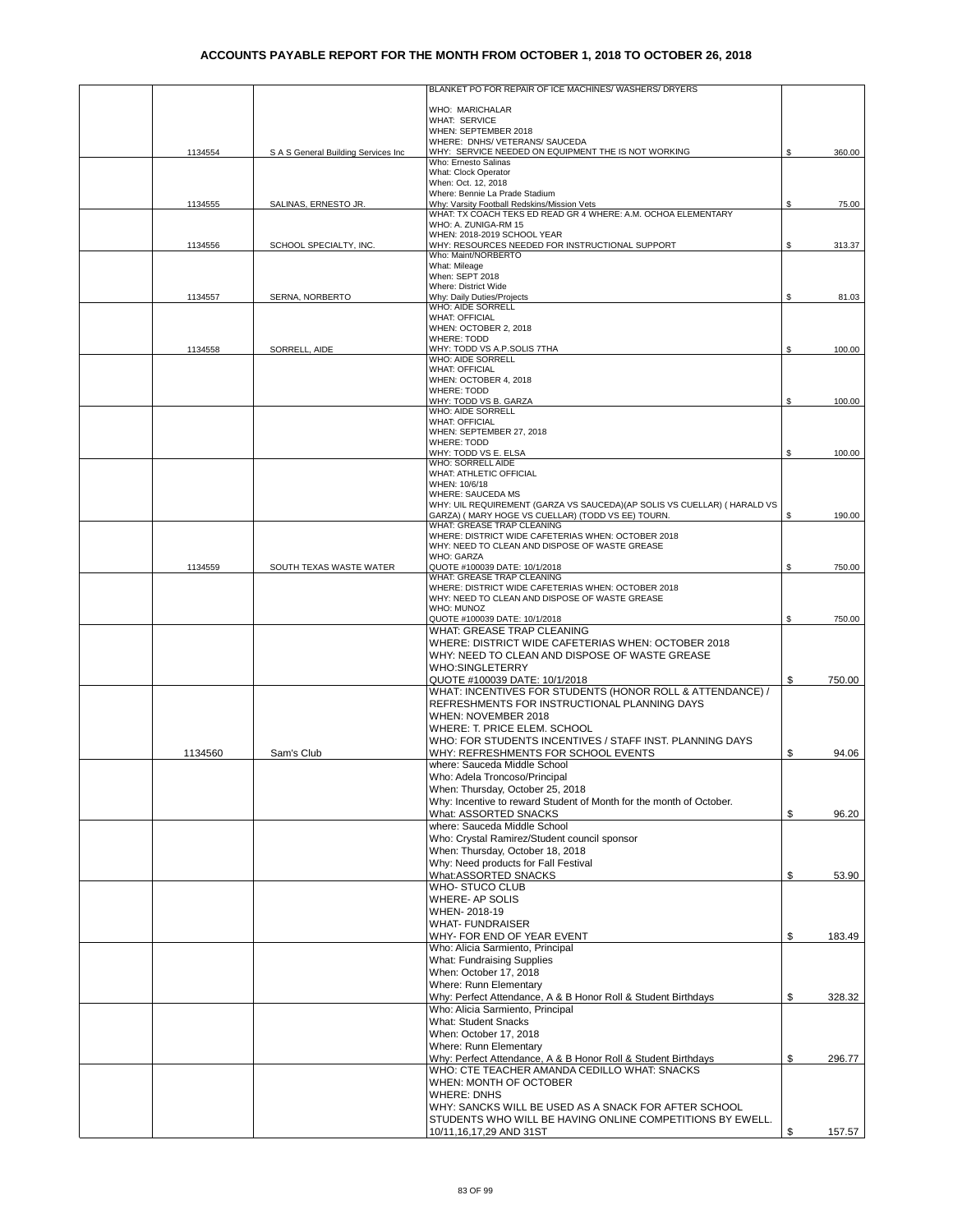|         |                                     | BLANKET PO FOR REPAIR OF ICE MACHINES/ WASHERS/ DRYERS                                                       |    |        |
|---------|-------------------------------------|--------------------------------------------------------------------------------------------------------------|----|--------|
|         |                                     | WHO: MARICHALAR                                                                                              |    |        |
|         |                                     | <b>WHAT: SERVICE</b>                                                                                         |    |        |
|         |                                     | WHEN: SEPTEMBER 2018                                                                                         |    |        |
| 1134554 | S A S General Building Services Inc | WHERE: DNHS/ VETERANS/ SAUCEDA<br>WHY: SERVICE NEEDED ON EQUIPMENT THE IS NOT WORKING                        | \$ | 360.00 |
|         |                                     | Who: Ernesto Salinas                                                                                         |    |        |
|         |                                     | What: Clock Operator<br>When: Oct. 12, 2018                                                                  |    |        |
|         |                                     | Where: Bennie La Prade Stadium                                                                               |    |        |
| 1134555 | SALINAS, ERNESTO JR.                | Why: Varsity Football Redskins/Mission Vets<br>WHAT: TX COACH TEKS ED READ GR 4 WHERE: A.M. OCHOA ELEMENTARY | \$ | 75.00  |
|         |                                     | WHO: A. ZUNIGA-RM 15                                                                                         |    |        |
|         |                                     | WHEN: 2018-2019 SCHOOL YEAR                                                                                  |    |        |
| 1134556 | SCHOOL SPECIALTY, INC.              | WHY: RESOURCES NEEDED FOR INSTRUCTIONAL SUPPORT<br>Who: Maint/NORBERTO                                       | \$ | 313.37 |
|         |                                     | What: Mileage                                                                                                |    |        |
|         |                                     | When: SEPT 2018<br>Where: District Wide                                                                      |    |        |
| 1134557 | SERNA, NORBERTO                     | Why: Daily Duties/Projects                                                                                   | \$ | 81.03  |
|         |                                     | <b>WHO: AIDE SORRELL</b><br><b>WHAT: OFFICIAL</b>                                                            |    |        |
|         |                                     | WHEN: OCTOBER 2, 2018                                                                                        |    |        |
|         |                                     | <b>WHERE: TODD</b>                                                                                           |    |        |
| 1134558 | SORRELL, AIDE                       | WHY: TODD VS A.P.SOLIS 7THA<br>WHO: AIDE SORRELL                                                             | \$ | 100.00 |
|         |                                     | <b>WHAT: OFFICIAL</b>                                                                                        |    |        |
|         |                                     | WHEN: OCTOBER 4, 2018<br><b>WHERE: TODD</b>                                                                  |    |        |
|         |                                     | WHY: TODD VS B. GARZA                                                                                        | \$ | 100.00 |
|         |                                     | <b>WHO: AIDE SORRELL</b><br><b>WHAT: OFFICIAL</b>                                                            |    |        |
|         |                                     | WHEN: SEPTEMBER 27, 2018                                                                                     |    |        |
|         |                                     | <b>WHERE: TODD</b>                                                                                           |    |        |
|         |                                     | WHY: TODD VS E. ELSA<br>WHO: SORRELL AIDE                                                                    | \$ | 100.00 |
|         |                                     | WHAT: ATHLETIC OFFICIAL                                                                                      |    |        |
|         |                                     | WHEN: 10/6/18<br><b>WHERE: SAUCEDA MS</b>                                                                    |    |        |
|         |                                     | WHY: UIL REQUIREMENT (GARZA VS SAUCEDA)(AP SOLIS VS CUELLAR) ( HARALD VS                                     |    |        |
|         |                                     | GARZA) ( MARY HOGE VS CUELLAR) (TODD VS EE) TOURN.                                                           | \$ | 190.00 |
|         |                                     | WHAT: GREASE TRAP CLEANING<br>WHERE: DISTRICT WIDE CAFETERIAS WHEN: OCTOBER 2018                             |    |        |
|         |                                     | WHY: NEED TO CLEAN AND DISPOSE OF WASTE GREASE                                                               |    |        |
| 1134559 | SOUTH TEXAS WASTE WATER             | WHO: GARZA<br>QUOTE #100039 DATE: 10/1/2018                                                                  | \$ | 750.00 |
|         |                                     | WHAT: GREASE TRAP CLEANING                                                                                   |    |        |
|         |                                     | WHERE: DISTRICT WIDE CAFETERIAS WHEN: OCTOBER 2018                                                           |    |        |
|         |                                     | WHY: NEED TO CLEAN AND DISPOSE OF WASTE GREASE<br>WHO: MUNOZ                                                 |    |        |
|         |                                     | QUOTE #100039 DATE: 10/1/2018                                                                                | \$ | 750.00 |
|         |                                     | WHAT: GREASE TRAP CLEANING                                                                                   |    |        |
|         |                                     | WHERE: DISTRICT WIDE CAFETERIAS WHEN: OCTOBER 2018<br>WHY: NEED TO CLEAN AND DISPOSE OF WASTE GREASE         |    |        |
|         |                                     | <b>WHO:SINGLETERRY</b>                                                                                       |    |        |
|         |                                     | QUOTE #100039 DATE: 10/1/2018                                                                                | \$ | 750.00 |
|         |                                     | WHAT: INCENTIVES FOR STUDENTS (HONOR ROLL & ATTENDANCE) /                                                    |    |        |
|         |                                     | REFRESHMENTS FOR INSTRUCTIONAL PLANNING DAYS                                                                 |    |        |
|         |                                     | WHEN: NOVEMBER 2018<br>WHERE: T. PRICE ELEM. SCHOOL                                                          |    |        |
|         |                                     | WHO: FOR STUDENTS INCENTIVES / STAFF INST. PLANNING DAYS                                                     |    |        |
| 1134560 | Sam's Club                          | WHY: REFRESHMENTS FOR SCHOOL EVENTS                                                                          | \$ | 94.06  |
|         |                                     | where: Sauceda Middle School                                                                                 |    |        |
|         |                                     | Who: Adela Troncoso/Principal                                                                                |    |        |
|         |                                     | When: Thursday, October 25, 2018<br>Why: Incentive to reward Student of Month for the month of October.      |    |        |
|         |                                     | What: ASSORTED SNACKS                                                                                        | \$ | 96.20  |
|         |                                     | where: Sauceda Middle School                                                                                 |    |        |
|         |                                     | Who: Crystal Ramirez/Student council sponsor                                                                 |    |        |
|         |                                     | When: Thursday, October 18, 2018                                                                             |    |        |
|         |                                     | Why: Need products for Fall Festival<br>What:ASSORTED SNACKS                                                 | \$ | 53.90  |
|         |                                     | WHO-STUCO CLUB                                                                                               |    |        |
|         |                                     | WHERE- AP SOLIS                                                                                              |    |        |
|         |                                     | WHEN-2018-19                                                                                                 |    |        |
|         |                                     | <b>WHAT- FUNDRAISER</b>                                                                                      |    |        |
|         |                                     | WHY- FOR END OF YEAR EVENT<br>Who: Alicia Sarmiento, Principal                                               | \$ | 183.49 |
|         |                                     | <b>What: Fundraising Supplies</b>                                                                            |    |        |
|         |                                     | When: October 17, 2018                                                                                       |    |        |
|         |                                     | Where: Runn Elementary                                                                                       |    |        |
|         |                                     | Why: Perfect Attendance, A & B Honor Roll & Student Birthdays                                                | \$ | 328.32 |
|         |                                     | Who: Alicia Sarmiento, Principal<br><b>What: Student Snacks</b>                                              |    |        |
|         |                                     | When: October 17, 2018                                                                                       |    |        |
|         |                                     | Where: Runn Elementary                                                                                       |    |        |
|         |                                     | Why: Perfect Attendance, A & B Honor Roll & Student Birthdays                                                | \$ | 296.77 |
|         |                                     | WHO: CTE TEACHER AMANDA CEDILLO WHAT: SNACKS                                                                 |    |        |
|         |                                     | WHEN: MONTH OF OCTOBER<br><b>WHERE: DNHS</b>                                                                 |    |        |
|         |                                     | WHY: SANCKS WILL BE USED AS A SNACK FOR AFTER SCHOOL                                                         |    |        |
|         |                                     | STUDENTS WHO WILL BE HAVING ONLINE COMPETITIONS BY EWELL.                                                    |    |        |
|         |                                     | 10/11,16,17,29 AND 31ST                                                                                      | S  | 157.57 |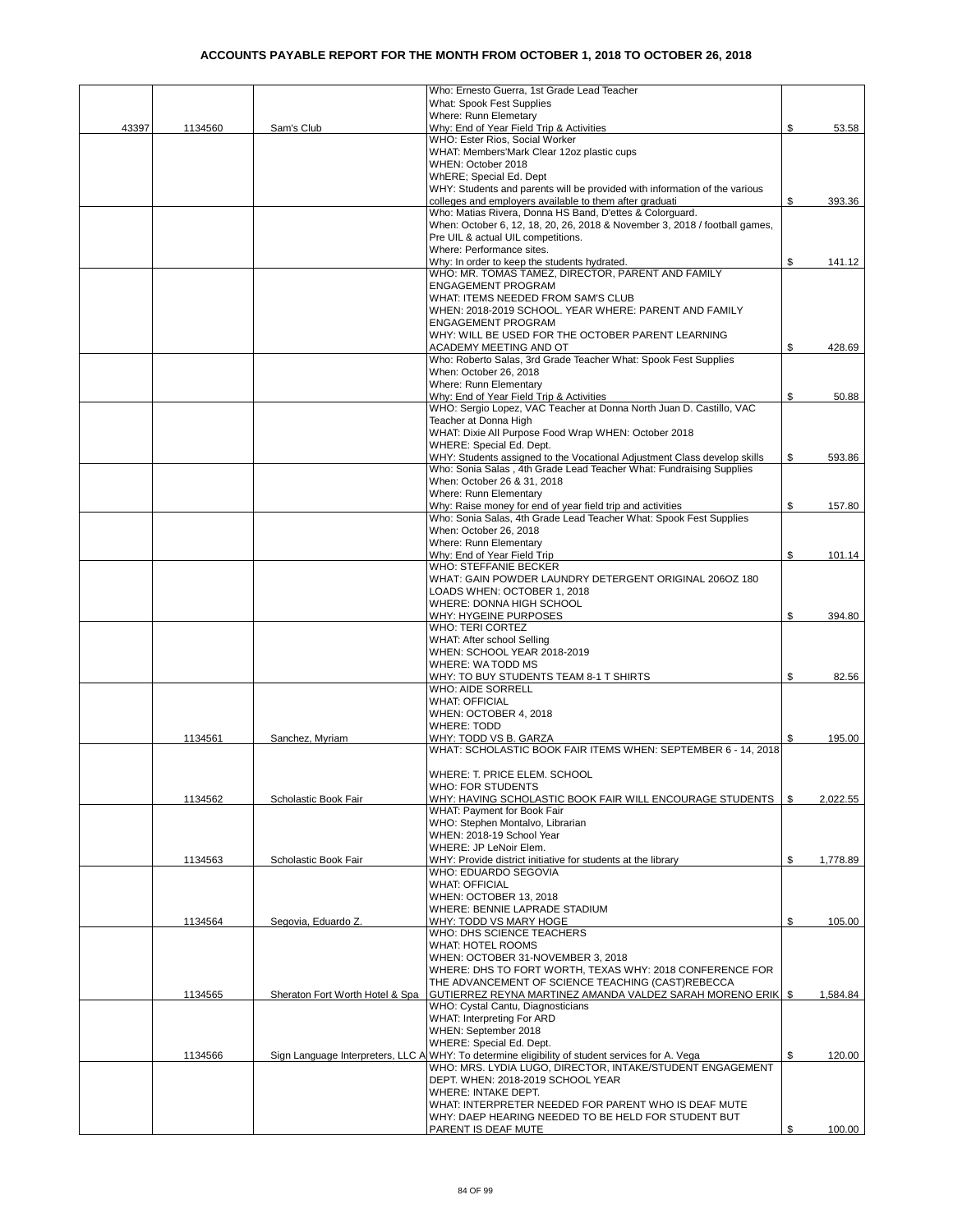|       |         |                                 | Who: Ernesto Guerra, 1st Grade Lead Teacher                                                                                                     |      |          |
|-------|---------|---------------------------------|-------------------------------------------------------------------------------------------------------------------------------------------------|------|----------|
|       |         |                                 | What: Spook Fest Supplies                                                                                                                       |      |          |
| 43397 | 1134560 | Sam's Club                      | Where: Runn Elemetary<br>Why: End of Year Field Trip & Activities                                                                               | \$   | 53.58    |
|       |         |                                 | WHO: Ester Rios, Social Worker                                                                                                                  |      |          |
|       |         |                                 | WHAT: Members'Mark Clear 12oz plastic cups                                                                                                      |      |          |
|       |         |                                 | WHEN: October 2018                                                                                                                              |      |          |
|       |         |                                 | WhERE; Special Ed. Dept                                                                                                                         |      |          |
|       |         |                                 | WHY: Students and parents will be provided with information of the various                                                                      |      |          |
|       |         |                                 | colleges and employers available to them after graduati<br>Who: Matias Rivera, Donna HS Band, D'ettes & Colorguard.                             | \$   | 393.36   |
|       |         |                                 | When: October 6, 12, 18, 20, 26, 2018 & November 3, 2018 / football games,                                                                      |      |          |
|       |         |                                 | Pre UIL & actual UIL competitions.                                                                                                              |      |          |
|       |         |                                 | Where: Performance sites.                                                                                                                       |      |          |
|       |         |                                 | Why: In order to keep the students hydrated.                                                                                                    | \$   | 141.12   |
|       |         |                                 | WHO: MR. TOMAS TAMEZ, DIRECTOR, PARENT AND FAMILY                                                                                               |      |          |
|       |         |                                 | <b>ENGAGEMENT PROGRAM</b>                                                                                                                       |      |          |
|       |         |                                 | WHAT: ITEMS NEEDED FROM SAM'S CLUB                                                                                                              |      |          |
|       |         |                                 | WHEN: 2018-2019 SCHOOL. YEAR WHERE: PARENT AND FAMILY                                                                                           |      |          |
|       |         |                                 | <b>ENGAGEMENT PROGRAM</b><br>WHY: WILL BE USED FOR THE OCTOBER PARENT LEARNING                                                                  |      |          |
|       |         |                                 | ACADEMY MEETING AND OT                                                                                                                          | \$   | 428.69   |
|       |         |                                 | Who: Roberto Salas, 3rd Grade Teacher What: Spook Fest Supplies                                                                                 |      |          |
|       |         |                                 | When: October 26, 2018                                                                                                                          |      |          |
|       |         |                                 | Where: Runn Elementary                                                                                                                          |      |          |
|       |         |                                 | Why: End of Year Field Trip & Activities                                                                                                        | \$   | 50.88    |
|       |         |                                 | WHO: Sergio Lopez, VAC Teacher at Donna North Juan D. Castillo, VAC                                                                             |      |          |
|       |         |                                 | Teacher at Donna High                                                                                                                           |      |          |
|       |         |                                 | WHAT: Dixie All Purpose Food Wrap WHEN: October 2018                                                                                            |      |          |
|       |         |                                 | WHERE: Special Ed. Dept.                                                                                                                        |      |          |
|       |         |                                 | WHY: Students assigned to the Vocational Adjustment Class develop skills<br>Who: Sonia Salas, 4th Grade Lead Teacher What: Fundraising Supplies | \$   | 593.86   |
|       |         |                                 | When: October 26 & 31, 2018                                                                                                                     |      |          |
|       |         |                                 | Where: Runn Elementary                                                                                                                          |      |          |
|       |         |                                 | Why: Raise money for end of year field trip and activities                                                                                      | \$   | 157.80   |
|       |         |                                 | Who: Sonia Salas, 4th Grade Lead Teacher What: Spook Fest Supplies                                                                              |      |          |
|       |         |                                 | When: October 26, 2018                                                                                                                          |      |          |
|       |         |                                 | Where: Runn Elementary                                                                                                                          |      |          |
|       |         |                                 | Why: End of Year Field Trip                                                                                                                     | \$   | 101.14   |
|       |         |                                 | WHO: STEFFANIE BECKER                                                                                                                           |      |          |
|       |         |                                 | WHAT: GAIN POWDER LAUNDRY DETERGENT ORIGINAL 206OZ 180                                                                                          |      |          |
|       |         |                                 | LOADS WHEN: OCTOBER 1, 2018<br>WHERE: DONNA HIGH SCHOOL                                                                                         |      |          |
|       |         |                                 | WHY: HYGEINE PURPOSES                                                                                                                           | \$   | 394.80   |
|       |         |                                 | WHO: TERI CORTEZ                                                                                                                                |      |          |
|       |         |                                 | WHAT: After school Selling                                                                                                                      |      |          |
|       |         |                                 | WHEN: SCHOOL YEAR 2018-2019                                                                                                                     |      |          |
|       |         |                                 | WHERE: WA TODD MS                                                                                                                               |      |          |
|       |         |                                 | WHY: TO BUY STUDENTS TEAM 8-1 T SHIRTS                                                                                                          | \$   | 82.56    |
|       |         |                                 | <b>WHO: AIDE SORRELL</b>                                                                                                                        |      |          |
|       |         |                                 | <b>WHAT: OFFICIAL</b>                                                                                                                           |      |          |
|       |         |                                 | WHEN: OCTOBER 4, 2018                                                                                                                           |      |          |
|       | 1134561 | Sanchez, Myriam                 | <b>WHERE: TODD</b><br>WHY: TODD VS B. GARZA                                                                                                     | \$   | 195.00   |
|       |         |                                 | WHAT: SCHOLASTIC BOOK FAIR ITEMS WHEN: SEPTEMBER 6 - 14, 2018                                                                                   |      |          |
|       |         |                                 |                                                                                                                                                 |      |          |
|       |         |                                 | WHERE: T. PRICE ELEM. SCHOOL                                                                                                                    |      |          |
|       |         |                                 | WHO: FOR STUDENTS                                                                                                                               |      |          |
|       | 1134562 | Scholastic Book Fair            | WHY: HAVING SCHOLASTIC BOOK FAIR WILL ENCOURAGE STUDENTS                                                                                        | - \$ | 2,022.55 |
|       |         |                                 | WHAT: Payment for Book Fair                                                                                                                     |      |          |
|       |         |                                 | WHO: Stephen Montalvo, Librarian                                                                                                                |      |          |
|       |         |                                 | WHEN: 2018-19 School Year                                                                                                                       |      |          |
|       |         |                                 | WHERE: JP LeNoir Elem.                                                                                                                          |      |          |
|       | 1134563 | Scholastic Book Fair            | WHY: Provide district initiative for students at the library                                                                                    | \$   | 1,778.89 |
|       |         |                                 | WHO: EDUARDO SEGOVIA<br><b>WHAT: OFFICIAL</b>                                                                                                   |      |          |
|       |         |                                 | WHEN: OCTOBER 13, 2018                                                                                                                          |      |          |
|       |         |                                 | WHERE: BENNIE LAPRADE STADIUM                                                                                                                   |      |          |
|       | 1134564 | Segovia, Eduardo Z.             | WHY: TODD VS MARY HOGE                                                                                                                          | \$   | 105.00   |
|       |         |                                 | WHO: DHS SCIENCE TEACHERS                                                                                                                       |      |          |
|       |         |                                 | WHAT: HOTEL ROOMS                                                                                                                               |      |          |
|       |         |                                 | WHEN: OCTOBER 31-NOVEMBER 3, 2018                                                                                                               |      |          |
|       |         |                                 | WHERE: DHS TO FORT WORTH, TEXAS WHY: 2018 CONFERENCE FOR                                                                                        |      |          |
|       |         |                                 | THE ADVANCEMENT OF SCIENCE TEACHING (CAST)REBECCA                                                                                               |      |          |
|       | 1134565 | Sheraton Fort Worth Hotel & Spa | GUTIERREZ REYNA MARTINEZ AMANDA VALDEZ SARAH MORENO ERIK   \$<br>WHO: Cystal Cantu, Diagnosticians                                              |      | 1,584.84 |
|       |         |                                 | WHAT: Interpreting For ARD                                                                                                                      |      |          |
|       |         |                                 | WHEN: September 2018                                                                                                                            |      |          |
|       |         |                                 | WHERE: Special Ed. Dept.                                                                                                                        |      |          |
|       | 1134566 |                                 | Sign Language Interpreters, LLC A WHY: To determine eligibility of student services for A. Vega                                                 | \$   | 120.00   |
|       |         |                                 | WHO: MRS. LYDIA LUGO, DIRECTOR, INTAKE/STUDENT ENGAGEMENT                                                                                       |      |          |
|       |         |                                 | DEPT. WHEN: 2018-2019 SCHOOL YEAR                                                                                                               |      |          |
|       |         |                                 | WHERE: INTAKE DEPT.                                                                                                                             |      |          |
|       |         |                                 | WHAT: INTERPRETER NEEDED FOR PARENT WHO IS DEAF MUTE                                                                                            |      |          |
|       |         |                                 | WHY: DAEP HEARING NEEDED TO BE HELD FOR STUDENT BUT                                                                                             |      |          |
|       |         |                                 | PARENT IS DEAF MUTE                                                                                                                             | \$   | 100.00   |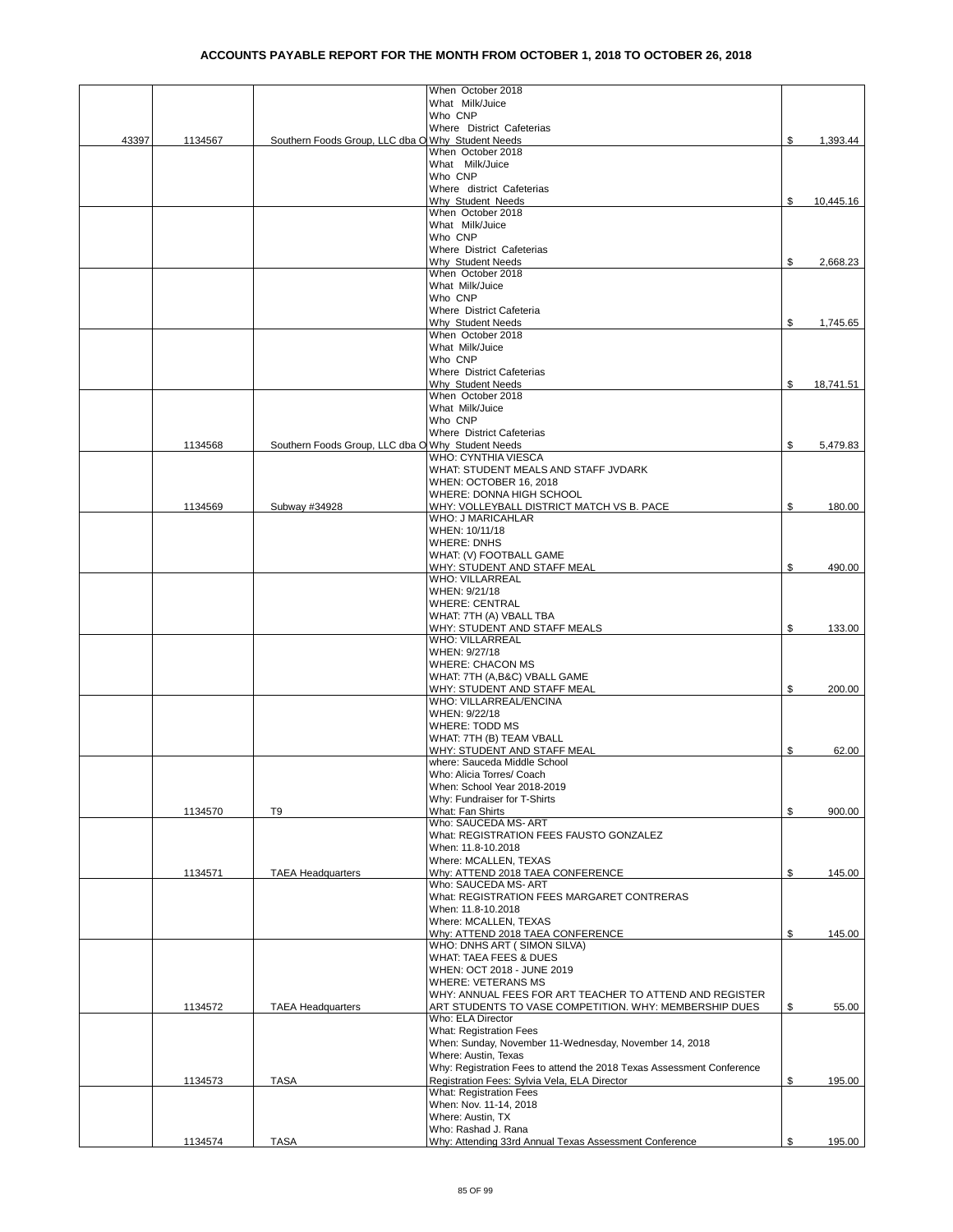|       |         |                                                   | When October 2018                                                                                                 |    |           |
|-------|---------|---------------------------------------------------|-------------------------------------------------------------------------------------------------------------------|----|-----------|
|       |         |                                                   | What Milk/Juice                                                                                                   |    |           |
|       |         |                                                   | Who CNP                                                                                                           |    |           |
|       |         |                                                   | Where District Cafeterias                                                                                         |    |           |
| 43397 | 1134567 | Southern Foods Group, LLC dba O Why Student Needs |                                                                                                                   | \$ | 1,393.44  |
|       |         |                                                   | When October 2018                                                                                                 |    |           |
|       |         |                                                   | What Milk/Juice<br>Who CNP                                                                                        |    |           |
|       |         |                                                   | Where district Cafeterias                                                                                         |    |           |
|       |         |                                                   | Why Student Needs                                                                                                 | \$ | 10,445.16 |
|       |         |                                                   | When October 2018                                                                                                 |    |           |
|       |         |                                                   | What Milk/Juice                                                                                                   |    |           |
|       |         |                                                   | Who CNP                                                                                                           |    |           |
|       |         |                                                   | Where District Cafeterias                                                                                         |    |           |
|       |         |                                                   | <b>Why Student Needs</b>                                                                                          | ፍ  | 2,668.23  |
|       |         |                                                   | When October 2018                                                                                                 |    |           |
|       |         |                                                   | What Milk/Juice                                                                                                   |    |           |
|       |         |                                                   | Who CNP                                                                                                           |    |           |
|       |         |                                                   | Where District Cafeteria                                                                                          |    |           |
|       |         |                                                   | Why Student Needs                                                                                                 | \$ | 1,745.65  |
|       |         |                                                   | When October 2018                                                                                                 |    |           |
|       |         |                                                   | What Milk/Juice                                                                                                   |    |           |
|       |         |                                                   | Who CNP                                                                                                           |    |           |
|       |         |                                                   | Where District Cafeterias<br>Why Student Needs                                                                    | \$ |           |
|       |         |                                                   | When October 2018                                                                                                 |    | 18,741.51 |
|       |         |                                                   | What Milk/Juice                                                                                                   |    |           |
|       |         |                                                   | Who CNP                                                                                                           |    |           |
|       |         |                                                   | Where District Cafeterias                                                                                         |    |           |
|       | 1134568 | Southern Foods Group, LLC dba O Why Student Needs |                                                                                                                   | \$ | 5,479.83  |
|       |         |                                                   | WHO: CYNTHIA VIESCA                                                                                               |    |           |
|       |         |                                                   | WHAT: STUDENT MEALS AND STAFF JVDARK                                                                              |    |           |
|       |         |                                                   | WHEN: OCTOBER 16, 2018                                                                                            |    |           |
|       |         |                                                   | WHERE: DONNA HIGH SCHOOL                                                                                          |    |           |
|       | 1134569 | Subway #34928                                     | WHY: VOLLEYBALL DISTRICT MATCH VS B. PACE                                                                         | \$ | 180.00    |
|       |         |                                                   | <b>WHO: J MARICAHLAR</b>                                                                                          |    |           |
|       |         |                                                   | WHEN: 10/11/18                                                                                                    |    |           |
|       |         |                                                   | <b>WHERE: DNHS</b>                                                                                                |    |           |
|       |         |                                                   | WHAT: (V) FOOTBALL GAME                                                                                           |    |           |
|       |         |                                                   | WHY: STUDENT AND STAFF MEAL                                                                                       | \$ | 490.00    |
|       |         |                                                   | <b>WHO: VILLARREAL</b><br>WHEN: 9/21/18                                                                           |    |           |
|       |         |                                                   | <b>WHERE: CENTRAL</b>                                                                                             |    |           |
|       |         |                                                   | WHAT: 7TH (A) VBALL TBA                                                                                           |    |           |
|       |         |                                                   | WHY: STUDENT AND STAFF MEALS                                                                                      | \$ | 133.00    |
|       |         |                                                   | <b>WHO: VILLARREAL</b>                                                                                            |    |           |
|       |         |                                                   | WHEN: 9/27/18                                                                                                     |    |           |
|       |         |                                                   | <b>WHERE: CHACON MS</b>                                                                                           |    |           |
|       |         |                                                   | WHAT: 7TH (A,B&C) VBALL GAME                                                                                      |    |           |
|       |         |                                                   | WHY: STUDENT AND STAFF MEAL                                                                                       | \$ | 200.00    |
|       |         |                                                   | WHO: VILLARREAL/ENCINA                                                                                            |    |           |
|       |         |                                                   | WHEN: 9/22/18                                                                                                     |    |           |
|       |         |                                                   | <b>WHERE: TODD MS</b>                                                                                             |    |           |
|       |         |                                                   | WHAT: 7TH (B) TEAM VBALL                                                                                          |    |           |
|       |         |                                                   | WHY: STUDENT AND STAFF MEAL                                                                                       | \$ | 62.00     |
|       |         |                                                   | where: Sauceda Middle School                                                                                      |    |           |
|       |         |                                                   | Who: Alicia Torres/ Coach                                                                                         |    |           |
|       |         |                                                   | When: School Year 2018-2019<br>Why: Fundraiser for T-Shirts                                                       |    |           |
|       |         |                                                   | What: Fan Shirts                                                                                                  | \$ | 900.00    |
|       | 1134570 | T9                                                | Who: SAUCEDA MS-ART                                                                                               |    |           |
|       |         |                                                   | What: REGISTRATION FEES FAUSTO GONZALEZ                                                                           |    |           |
|       |         |                                                   | When: 11.8-10.2018                                                                                                |    |           |
|       |         |                                                   | Where: MCALLEN, TEXAS                                                                                             |    |           |
|       | 1134571 | <b>TAEA Headquarters</b>                          | Why: ATTEND 2018 TAEA CONFERENCE                                                                                  | \$ | 145.00    |
|       |         |                                                   | Who: SAUCEDA MS- ART                                                                                              |    |           |
|       |         |                                                   | What: REGISTRATION FEES MARGARET CONTRERAS                                                                        |    |           |
|       |         |                                                   | When: 11.8-10.2018                                                                                                |    |           |
|       |         |                                                   | Where: MCALLEN, TEXAS                                                                                             |    |           |
|       |         |                                                   | Why: ATTEND 2018 TAEA CONFERENCE                                                                                  | \$ | 145.00    |
|       |         |                                                   | WHO: DNHS ART (SIMON SILVA)                                                                                       |    |           |
|       |         |                                                   | WHAT: TAEA FEES & DUES                                                                                            |    |           |
|       |         |                                                   | WHEN: OCT 2018 - JUNE 2019                                                                                        |    |           |
|       |         |                                                   | <b>WHERE: VETERANS MS</b>                                                                                         |    |           |
|       | 1134572 | <b>TAEA Headquarters</b>                          | WHY: ANNUAL FEES FOR ART TEACHER TO ATTEND AND REGISTER<br>ART STUDENTS TO VASE COMPETITION. WHY: MEMBERSHIP DUES | \$ | 55.00     |
|       |         |                                                   | Who: ELA Director                                                                                                 |    |           |
|       |         |                                                   | <b>What: Registration Fees</b>                                                                                    |    |           |
|       |         |                                                   | When: Sunday, November 11-Wednesday, November 14, 2018                                                            |    |           |
|       |         |                                                   | Where: Austin, Texas                                                                                              |    |           |
|       |         |                                                   | Why: Registration Fees to attend the 2018 Texas Assessment Conference                                             |    |           |
|       | 1134573 | <b>TASA</b>                                       | Registration Fees: Sylvia Vela, ELA Director                                                                      | \$ | 195.00    |
|       |         |                                                   | <b>What: Registration Fees</b>                                                                                    |    |           |
|       |         |                                                   | When: Nov. 11-14, 2018                                                                                            |    |           |
|       |         |                                                   | Where: Austin, TX                                                                                                 |    |           |
|       |         |                                                   | Who: Rashad J. Rana                                                                                               |    |           |
|       | 1134574 | <b>TASA</b>                                       | Why: Attending 33rd Annual Texas Assessment Conference                                                            | \$ | 195.00    |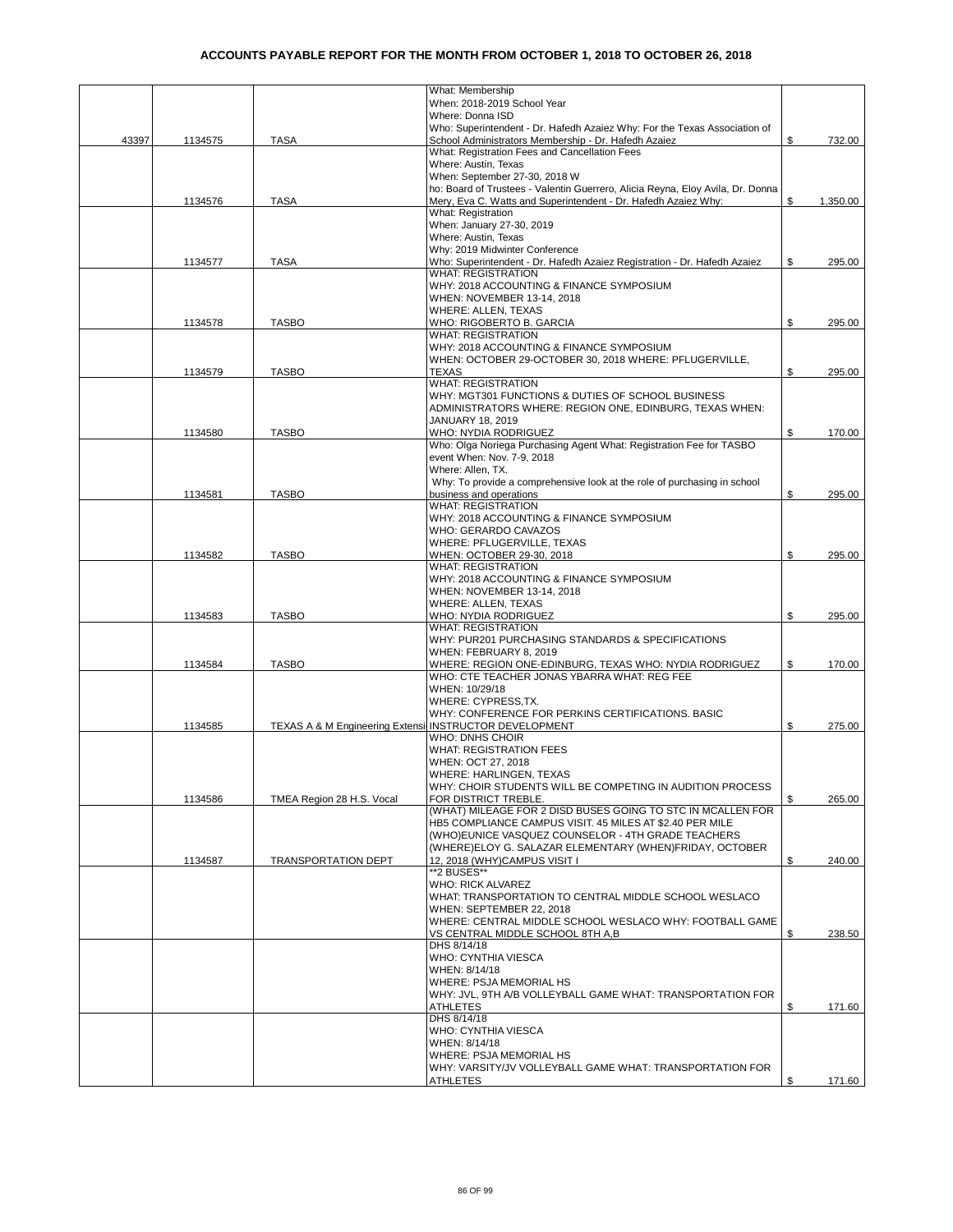|       |         |                                                        | What: Membership                                                                                               |                |
|-------|---------|--------------------------------------------------------|----------------------------------------------------------------------------------------------------------------|----------------|
|       |         |                                                        | When: 2018-2019 School Year                                                                                    |                |
|       |         |                                                        | Where: Donna ISD                                                                                               |                |
|       |         |                                                        | Who: Superintendent - Dr. Hafedh Azaiez Why: For the Texas Association of                                      |                |
| 43397 | 1134575 | <b>TASA</b>                                            | School Administrators Membership - Dr. Hafedh Azaiez                                                           | \$<br>732.00   |
|       |         |                                                        | What: Registration Fees and Cancellation Fees<br>Where: Austin, Texas                                          |                |
|       |         |                                                        | When: September 27-30, 2018 W                                                                                  |                |
|       |         |                                                        | ho: Board of Trustees - Valentin Guerrero, Alicia Reyna, Eloy Avila, Dr. Donna                                 |                |
|       | 1134576 | <b>TASA</b>                                            | Mery, Eva C. Watts and Superintendent - Dr. Hafedh Azaiez Why:                                                 | \$<br>1,350.00 |
|       |         |                                                        | What: Registration                                                                                             |                |
|       |         |                                                        | When: January 27-30, 2019                                                                                      |                |
|       |         |                                                        | Where: Austin, Texas                                                                                           |                |
|       |         |                                                        | Why: 2019 Midwinter Conference                                                                                 |                |
|       | 1134577 | <b>TASA</b>                                            | Who: Superintendent - Dr. Hafedh Azaiez Registration - Dr. Hafedh Azaiez                                       | \$<br>295.00   |
|       |         |                                                        | <b>WHAT: REGISTRATION</b>                                                                                      |                |
|       |         |                                                        | WHY: 2018 ACCOUNTING & FINANCE SYMPOSIUM                                                                       |                |
|       |         |                                                        | WHEN: NOVEMBER 13-14, 2018                                                                                     |                |
|       |         |                                                        | WHERE: ALLEN, TEXAS                                                                                            |                |
|       | 1134578 | <b>TASBO</b>                                           | WHO: RIGOBERTO B. GARCIA                                                                                       | \$<br>295.00   |
|       |         |                                                        | <b>WHAT: REGISTRATION</b>                                                                                      |                |
|       |         |                                                        | WHY: 2018 ACCOUNTING & FINANCE SYMPOSIUM                                                                       |                |
|       |         |                                                        | WHEN: OCTOBER 29-OCTOBER 30, 2018 WHERE: PFLUGERVILLE,                                                         |                |
|       | 1134579 | <b>TASBO</b>                                           | <b>TEXAS</b>                                                                                                   | \$<br>295.00   |
|       |         |                                                        | <b>WHAT: REGISTRATION</b>                                                                                      |                |
|       |         |                                                        | WHY: MGT301 FUNCTIONS & DUTIES OF SCHOOL BUSINESS                                                              |                |
|       |         |                                                        | ADMINISTRATORS WHERE: REGION ONE, EDINBURG, TEXAS WHEN:                                                        |                |
|       |         |                                                        | JANUARY 18, 2019                                                                                               |                |
|       | 1134580 | <b>TASBO</b>                                           | WHO: NYDIA RODRIGUEZ                                                                                           | \$<br>170.00   |
|       |         |                                                        | Who: Olga Noriega Purchasing Agent What: Registration Fee for TASBO                                            |                |
|       |         |                                                        | event When: Nov. 7-9, 2018                                                                                     |                |
|       |         |                                                        | Where: Allen. TX.                                                                                              |                |
|       |         |                                                        | Why: To provide a comprehensive look at the role of purchasing in school                                       |                |
|       | 1134581 | <b>TASBO</b>                                           | business and operations                                                                                        | \$<br>295.00   |
|       |         |                                                        | <b>WHAT: REGISTRATION</b>                                                                                      |                |
|       |         |                                                        | WHY: 2018 ACCOUNTING & FINANCE SYMPOSIUM                                                                       |                |
|       |         |                                                        | WHO: GERARDO CAVAZOS                                                                                           |                |
|       |         |                                                        | WHERE: PFLUGERVILLE, TEXAS                                                                                     | \$<br>295.00   |
|       | 1134582 | <b>TASBO</b>                                           | WHEN: OCTOBER 29-30, 2018<br><b>WHAT: REGISTRATION</b>                                                         |                |
|       |         |                                                        | WHY: 2018 ACCOUNTING & FINANCE SYMPOSIUM                                                                       |                |
|       |         |                                                        | WHEN: NOVEMBER 13-14, 2018                                                                                     |                |
|       |         |                                                        | WHERE: ALLEN, TEXAS                                                                                            |                |
|       | 1134583 | <b>TASBO</b>                                           | WHO: NYDIA RODRIGUEZ                                                                                           | \$<br>295.00   |
|       |         |                                                        | <b>WHAT: REGISTRATION</b>                                                                                      |                |
|       |         |                                                        | WHY: PUR201 PURCHASING STANDARDS & SPECIFICATIONS                                                              |                |
|       |         |                                                        | WHEN: FEBRUARY 8, 2019                                                                                         |                |
|       | 1134584 | <b>TASBO</b>                                           | WHERE: REGION ONE-EDINBURG, TEXAS WHO: NYDIA RODRIGUEZ                                                         | \$<br>170.00   |
|       |         |                                                        | WHO: CTE TEACHER JONAS YBARRA WHAT: REG FEE                                                                    |                |
|       |         |                                                        | WHEN: 10/29/18                                                                                                 |                |
|       |         |                                                        | WHERE: CYPRESS, TX.                                                                                            |                |
|       |         |                                                        | WHY: CONFERENCE FOR PERKINS CERTIFICATIONS. BASIC                                                              |                |
|       | 1134585 | TEXAS A & M Engineering Extensi INSTRUCTOR DEVELOPMENT |                                                                                                                | \$<br>275.00   |
|       |         |                                                        | WHO: DNHS CHOIR                                                                                                |                |
|       |         |                                                        | <b>WHAT: REGISTRATION FEES</b>                                                                                 |                |
|       |         |                                                        | WHEN: OCT 27, 2018                                                                                             |                |
|       |         |                                                        | WHERE: HARLINGEN, TEXAS                                                                                        |                |
|       |         |                                                        | WHY: CHOIR STUDENTS WILL BE COMPETING IN AUDITION PROCESS                                                      |                |
|       | 1134586 | TMEA Region 28 H.S. Vocal                              | FOR DISTRICT TREBLE.                                                                                           | \$<br>265.00   |
|       |         |                                                        | (WHAT) MILEAGE FOR 2 DISD BUSES GOING TO STC IN MCALLEN FOR                                                    |                |
|       |         |                                                        | HB5 COMPLIANCE CAMPUS VISIT. 45 MILES AT \$2.40 PER MILE<br>(WHO)EUNICE VASQUEZ COUNSELOR - 4TH GRADE TEACHERS |                |
|       |         |                                                        |                                                                                                                |                |
|       | 1134587 | <b>TRANSPORTATION DEPT</b>                             | (WHERE)ELOY G. SALAZAR ELEMENTARY (WHEN)FRIDAY, OCTOBER<br>12, 2018 (WHY)CAMPUS VISIT I                        | \$<br>240.00   |
|       |         |                                                        | **2 BUSES**                                                                                                    |                |
|       |         |                                                        | <b>WHO: RICK ALVAREZ</b>                                                                                       |                |
|       |         |                                                        | WHAT: TRANSPORTATION TO CENTRAL MIDDLE SCHOOL WESLACO                                                          |                |
|       |         |                                                        | WHEN: SEPTEMBER 22, 2018                                                                                       |                |
|       |         |                                                        | WHERE: CENTRAL MIDDLE SCHOOL WESLACO WHY: FOOTBALL GAME                                                        |                |
|       |         |                                                        | VS CENTRAL MIDDLE SCHOOL 8TH A,B                                                                               | \$<br>238.50   |
|       |         |                                                        | DHS 8/14/18                                                                                                    |                |
|       |         |                                                        | WHO: CYNTHIA VIESCA                                                                                            |                |
|       |         |                                                        | WHEN: 8/14/18                                                                                                  |                |
|       |         |                                                        | WHERE: PSJA MEMORIAL HS                                                                                        |                |
|       |         |                                                        | WHY: JVL, 9TH A/B VOLLEYBALL GAME WHAT: TRANSPORTATION FOR                                                     |                |
|       |         |                                                        | ATHLETES                                                                                                       | \$<br>171.60   |
|       |         |                                                        | DHS 8/14/18                                                                                                    |                |
|       |         |                                                        | WHO: CYNTHIA VIESCA                                                                                            |                |
|       |         |                                                        | WHEN: 8/14/18                                                                                                  |                |
|       |         |                                                        | WHERE: PSJA MEMORIAL HS                                                                                        |                |
|       |         |                                                        | WHY: VARSITY/JV VOLLEYBALL GAME WHAT: TRANSPORTATION FOR                                                       |                |
|       |         |                                                        | ATHLETES                                                                                                       | \$<br>171.60   |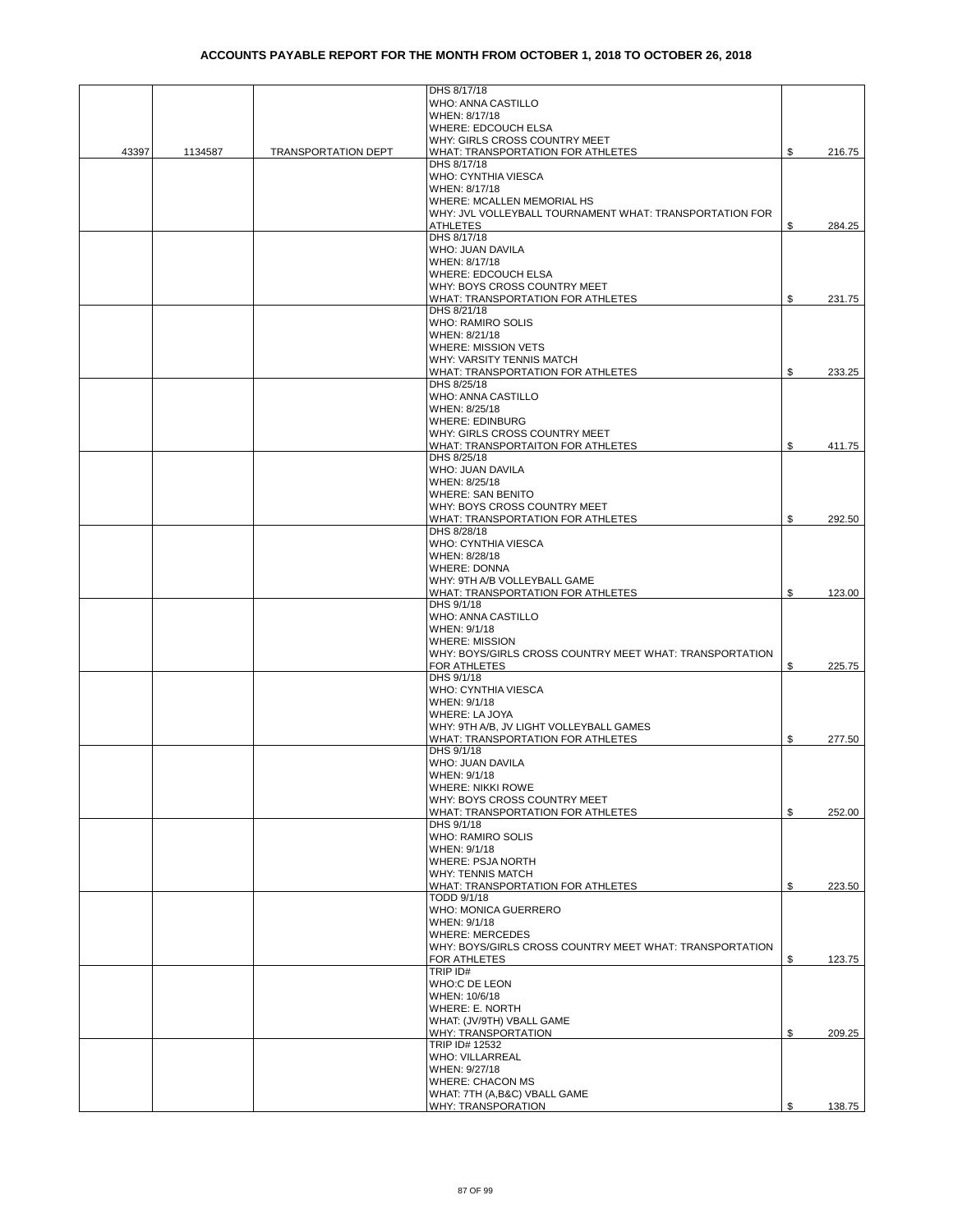|       |         |                            | DHS 8/17/18                                                             |    |        |
|-------|---------|----------------------------|-------------------------------------------------------------------------|----|--------|
|       |         |                            | WHO: ANNA CASTILLO<br>WHEN: 8/17/18                                     |    |        |
|       |         |                            | WHERE: EDCOUCH ELSA                                                     |    |        |
|       |         |                            | WHY: GIRLS CROSS COUNTRY MEET                                           |    |        |
| 43397 | 1134587 | <b>TRANSPORTATION DEPT</b> | WHAT: TRANSPORTATION FOR ATHLETES                                       | \$ | 216.75 |
|       |         |                            | DHS 8/17/18                                                             |    |        |
|       |         |                            | WHO: CYNTHIA VIESCA                                                     |    |        |
|       |         |                            | WHEN: 8/17/18                                                           |    |        |
|       |         |                            | WHERE: MCALLEN MEMORIAL HS                                              |    |        |
|       |         |                            | WHY: JVL VOLLEYBALL TOURNAMENT WHAT: TRANSPORTATION FOR                 |    |        |
|       |         |                            | ATHLETES<br>DHS 8/17/18                                                 | \$ | 284.25 |
|       |         |                            | WHO: JUAN DAVILA                                                        |    |        |
|       |         |                            | WHEN: 8/17/18                                                           |    |        |
|       |         |                            | WHERE: EDCOUCH ELSA                                                     |    |        |
|       |         |                            | WHY: BOYS CROSS COUNTRY MEET                                            |    |        |
|       |         |                            | WHAT: TRANSPORTATION FOR ATHLETES                                       | \$ | 231.75 |
|       |         |                            | DHS 8/21/18                                                             |    |        |
|       |         |                            | WHO: RAMIRO SOLIS                                                       |    |        |
|       |         |                            | WHEN: 8/21/18                                                           |    |        |
|       |         |                            | <b>WHERE: MISSION VETS</b>                                              |    |        |
|       |         |                            | WHY: VARSITY TENNIS MATCH                                               | \$ |        |
|       |         |                            | WHAT: TRANSPORTATION FOR ATHLETES<br>DHS 8/25/18                        |    | 233.25 |
|       |         |                            | WHO: ANNA CASTILLO                                                      |    |        |
|       |         |                            | WHEN: 8/25/18                                                           |    |        |
|       |         |                            | <b>WHERE: EDINBURG</b>                                                  |    |        |
|       |         |                            | WHY: GIRLS CROSS COUNTRY MEET                                           |    |        |
|       |         |                            | WHAT: TRANSPORTAITON FOR ATHLETES                                       | \$ | 411.75 |
|       |         |                            | DHS 8/25/18                                                             |    |        |
|       |         |                            | WHO: JUAN DAVILA                                                        |    |        |
|       |         |                            | WHEN: 8/25/18                                                           |    |        |
|       |         |                            | <b>WHERE: SAN BENITO</b>                                                |    |        |
|       |         |                            | WHY: BOYS CROSS COUNTRY MEET<br>WHAT: TRANSPORTATION FOR ATHLETES       | \$ | 292.50 |
|       |         |                            | DHS 8/28/18                                                             |    |        |
|       |         |                            | WHO: CYNTHIA VIESCA                                                     |    |        |
|       |         |                            | WHEN: 8/28/18                                                           |    |        |
|       |         |                            | <b>WHERE: DONNA</b>                                                     |    |        |
|       |         |                            | WHY: 9TH A/B VOLLEYBALL GAME                                            |    |        |
|       |         |                            | WHAT: TRANSPORTATION FOR ATHLETES                                       | \$ | 123.00 |
|       |         |                            | DHS 9/1/18                                                              |    |        |
|       |         |                            | WHO: ANNA CASTILLO                                                      |    |        |
|       |         |                            | WHEN: 9/1/18                                                            |    |        |
|       |         |                            | <b>WHERE: MISSION</b>                                                   |    |        |
|       |         |                            | WHY: BOYS/GIRLS CROSS COUNTRY MEET WHAT: TRANSPORTATION<br>FOR ATHLETES | \$ | 225.75 |
|       |         |                            | DHS 9/1/18                                                              |    |        |
|       |         |                            | WHO: CYNTHIA VIESCA                                                     |    |        |
|       |         |                            | WHEN: 9/1/18                                                            |    |        |
|       |         |                            | WHERE: LA JOYA                                                          |    |        |
|       |         |                            | WHY: 9TH A/B, JV LIGHT VOLLEYBALL GAMES                                 |    |        |
|       |         |                            | WHAT: TRANSPORTATION FOR ATHLETES                                       | S  | 277.50 |
|       |         |                            | DHS 9/1/18                                                              |    |        |
|       |         |                            | WHO: JUAN DAVILA                                                        |    |        |
|       |         |                            | WHEN: 9/1/18                                                            |    |        |
|       |         |                            | WHERE: NIKKI ROWE<br>WHY: BOYS CROSS COUNTRY MEET                       |    |        |
|       |         |                            | WHAT: TRANSPORTATION FOR ATHLETES                                       | \$ | 252.00 |
|       |         |                            | DHS 9/1/18                                                              |    |        |
|       |         |                            | WHO: RAMIRO SOLIS                                                       |    |        |
|       |         |                            | WHEN: 9/1/18                                                            |    |        |
|       |         |                            | WHERE: PSJA NORTH                                                       |    |        |
|       |         |                            | <b>WHY: TENNIS MATCH</b>                                                |    |        |
|       |         |                            | WHAT: TRANSPORTATION FOR ATHLETES                                       | \$ | 223.50 |
|       |         |                            | TODD 9/1/18                                                             |    |        |
|       |         |                            | WHO: MONICA GUERRERO<br>WHEN: 9/1/18                                    |    |        |
|       |         |                            | <b>WHERE: MERCEDES</b>                                                  |    |        |
|       |         |                            | WHY: BOYS/GIRLS CROSS COUNTRY MEET WHAT: TRANSPORTATION                 |    |        |
|       |         |                            | <b>FOR ATHLETES</b>                                                     | \$ | 123.75 |
|       |         |                            | TRIP ID#                                                                |    |        |
|       |         |                            | WHO:C DE LEON                                                           |    |        |
|       |         |                            | WHEN: 10/6/18                                                           |    |        |
|       |         |                            | WHERE: E. NORTH                                                         |    |        |
|       |         |                            | WHAT: (JV/9TH) VBALL GAME                                               |    |        |
|       |         |                            | WHY: TRANSPORTATION<br>TRIP ID# 12532                                   | \$ | 209.25 |
|       |         |                            | WHO: VILLARREAL                                                         |    |        |
|       |         |                            | WHEN: 9/27/18                                                           |    |        |
|       |         |                            | <b>WHERE: CHACON MS</b>                                                 |    |        |
|       |         |                            | WHAT: 7TH (A,B&C) VBALL GAME                                            |    |        |
|       |         |                            | WHY: TRANSPORATION                                                      |    | 138.75 |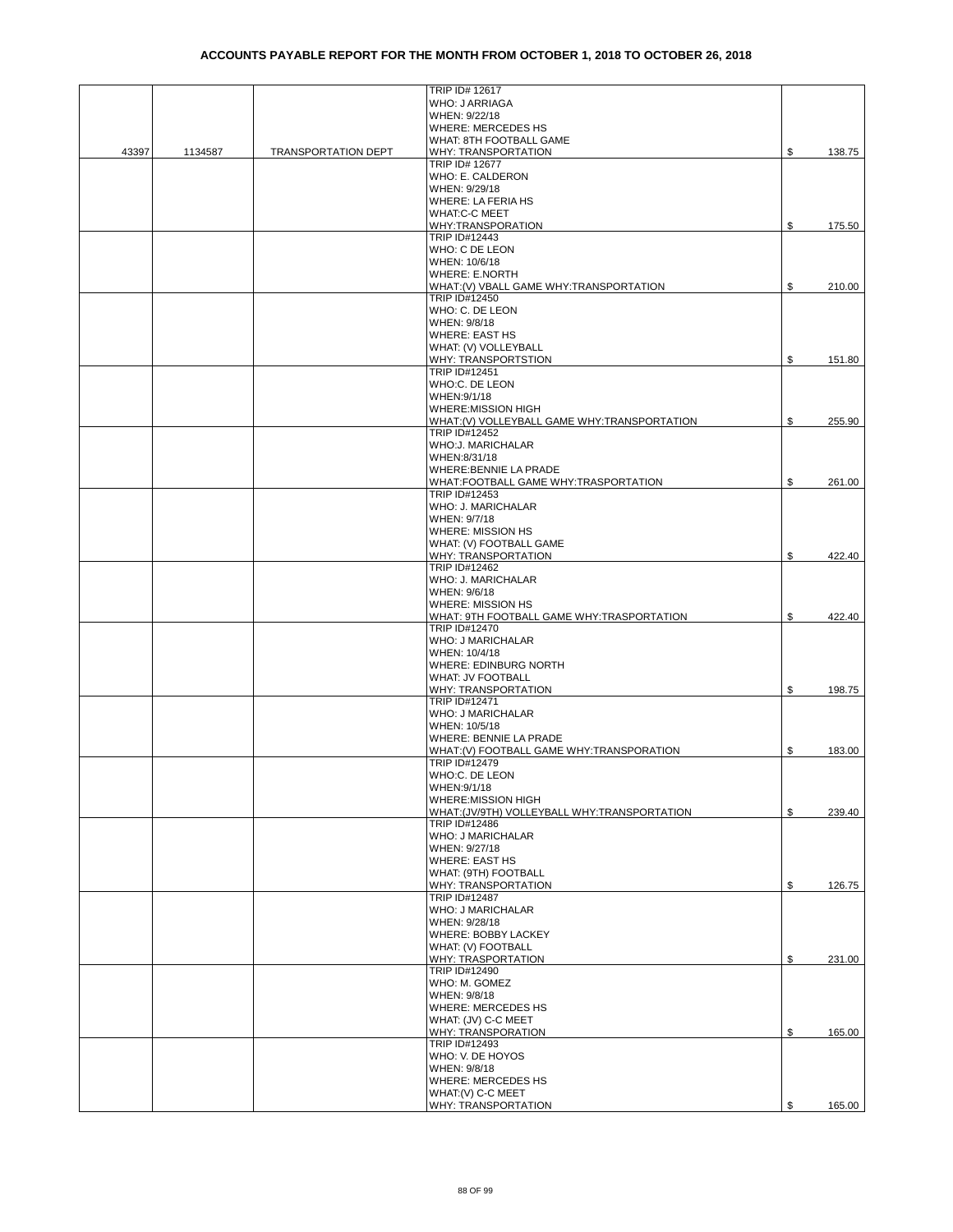|       |         |                            | TRIP ID# 12617                                |              |
|-------|---------|----------------------------|-----------------------------------------------|--------------|
|       |         |                            | <b>WHO: J ARRIAGA</b>                         |              |
|       |         |                            | WHEN: 9/22/18                                 |              |
|       |         |                            | <b>WHERE: MERCEDES HS</b>                     |              |
|       |         |                            | WHAT: 8TH FOOTBALL GAME                       |              |
| 43397 | 1134587 | <b>TRANSPORTATION DEPT</b> | WHY: TRANSPORTATION                           | \$<br>138.75 |
|       |         |                            | TRIP ID# 12677                                |              |
|       |         |                            | WHO: E. CALDERON                              |              |
|       |         |                            | WHEN: 9/29/18                                 |              |
|       |         |                            | WHERE: LA FERIA HS                            |              |
|       |         |                            | <b>WHAT:C-C MEET</b>                          |              |
|       |         |                            | WHY:TRANSPORATION                             | \$<br>175.50 |
|       |         |                            | TRIP ID#12443                                 |              |
|       |         |                            | WHO: C DE LEON                                |              |
|       |         |                            | WHEN: 10/6/18                                 |              |
|       |         |                            | WHERE: E.NORTH                                |              |
|       |         |                            | WHAT: (V) VBALL GAME WHY: TRANSPORTATION      | \$<br>210.00 |
|       |         |                            | TRIP ID#12450                                 |              |
|       |         |                            | WHO: C. DE LEON                               |              |
|       |         |                            | WHEN: 9/8/18                                  |              |
|       |         |                            | <b>WHERE: EAST HS</b><br>WHAT: (V) VOLLEYBALL |              |
|       |         |                            | WHY: TRANSPORTSTION                           | \$<br>151.80 |
|       |         |                            | TRIP ID#12451                                 |              |
|       |         |                            | WHO:C. DE LEON                                |              |
|       |         |                            | WHEN: 9/1/18                                  |              |
|       |         |                            | <b>WHERE:MISSION HIGH</b>                     |              |
|       |         |                            | WHAT:(V) VOLLEYBALL GAME WHY:TRANSPORTATION   | \$<br>255.90 |
|       |         |                            | <b>TRIP ID#12452</b>                          |              |
|       |         |                            | WHO:J. MARICHALAR                             |              |
|       |         |                            | WHEN:8/31/18                                  |              |
|       |         |                            | WHERE: BENNIE LA PRADE                        |              |
|       |         |                            | WHAT:FOOTBALL GAME WHY:TRASPORTATION          | \$<br>261.00 |
|       |         |                            | <b>TRIP ID#12453</b>                          |              |
|       |         |                            | WHO: J. MARICHALAR                            |              |
|       |         |                            | WHEN: 9/7/18                                  |              |
|       |         |                            | WHERE: MISSION HS                             |              |
|       |         |                            | WHAT: (V) FOOTBALL GAME                       |              |
|       |         |                            | WHY: TRANSPORTATION                           | \$<br>422.40 |
|       |         |                            | TRIP ID#12462                                 |              |
|       |         |                            | WHO: J. MARICHALAR                            |              |
|       |         |                            | WHEN: 9/6/18                                  |              |
|       |         |                            | <b>WHERE: MISSION HS</b>                      |              |
|       |         |                            | WHAT: 9TH FOOTBALL GAME WHY:TRASPORTATION     | \$<br>422.40 |
|       |         |                            | TRIP ID#12470                                 |              |
|       |         |                            | <b>WHO: J MARICHALAR</b>                      |              |
|       |         |                            | WHEN: 10/4/18<br>WHERE: EDINBURG NORTH        |              |
|       |         |                            | <b>WHAT: JV FOOTBALL</b>                      |              |
|       |         |                            | WHY: TRANSPORTATION                           | \$<br>198.75 |
|       |         |                            | TRIP ID#12471                                 |              |
|       |         |                            | WHO: J MARICHALAR                             |              |
|       |         |                            | WHEN: 10/5/18                                 |              |
|       |         |                            | WHERE: BENNIE LA PRADE                        |              |
|       |         |                            | WHAT:(V) FOOTBALL GAME WHY:TRANSPORATION      | \$<br>183.00 |
|       |         |                            | TRIP ID#12479                                 |              |
|       |         |                            | WHO:C. DE LEON                                |              |
|       |         |                            | WHEN: 9/1/18                                  |              |
|       |         |                            | WHERE:MISSION HIGH                            |              |
|       |         |                            | WHAT: (JV/9TH) VOLLEYBALL WHY: TRANSPORTATION | \$<br>239.40 |
|       |         |                            | TRIP ID#12486                                 |              |
|       |         |                            | <b>WHO: J MARICHALAR</b>                      |              |
|       |         |                            | WHEN: 9/27/18                                 |              |
|       |         |                            | <b>WHERE: EAST HS</b>                         |              |
|       |         |                            | WHAT: (9TH) FOOTBALL                          |              |
|       |         |                            | WHY: TRANSPORTATION<br>TRIP ID#12487          | \$<br>126.75 |
|       |         |                            | WHO: J MARICHALAR                             |              |
|       |         |                            | WHEN: 9/28/18                                 |              |
|       |         |                            | WHERE: BOBBY LACKEY                           |              |
|       |         |                            | WHAT: (V) FOOTBALL                            |              |
|       |         |                            | WHY: TRASPORTATION                            | \$<br>231.00 |
|       |         |                            | TRIP ID#12490                                 |              |
|       |         |                            | WHO: M. GOMEZ                                 |              |
|       |         |                            | WHEN: 9/8/18                                  |              |
|       |         |                            | WHERE: MERCEDES HS                            |              |
|       |         |                            | WHAT: (JV) C-C MEET                           |              |
|       |         |                            | WHY: TRANSPORATION                            | \$<br>165.00 |
|       |         |                            | TRIP ID#12493                                 |              |
|       |         |                            | WHO: V. DE HOYOS                              |              |
|       |         |                            | WHEN: 9/8/18                                  |              |
|       |         |                            | <b>WHERE: MERCEDES HS</b>                     |              |
|       |         |                            | WHAT: (V) C-C MEET                            |              |
|       |         |                            | WHY: TRANSPORTATION                           | \$<br>165.00 |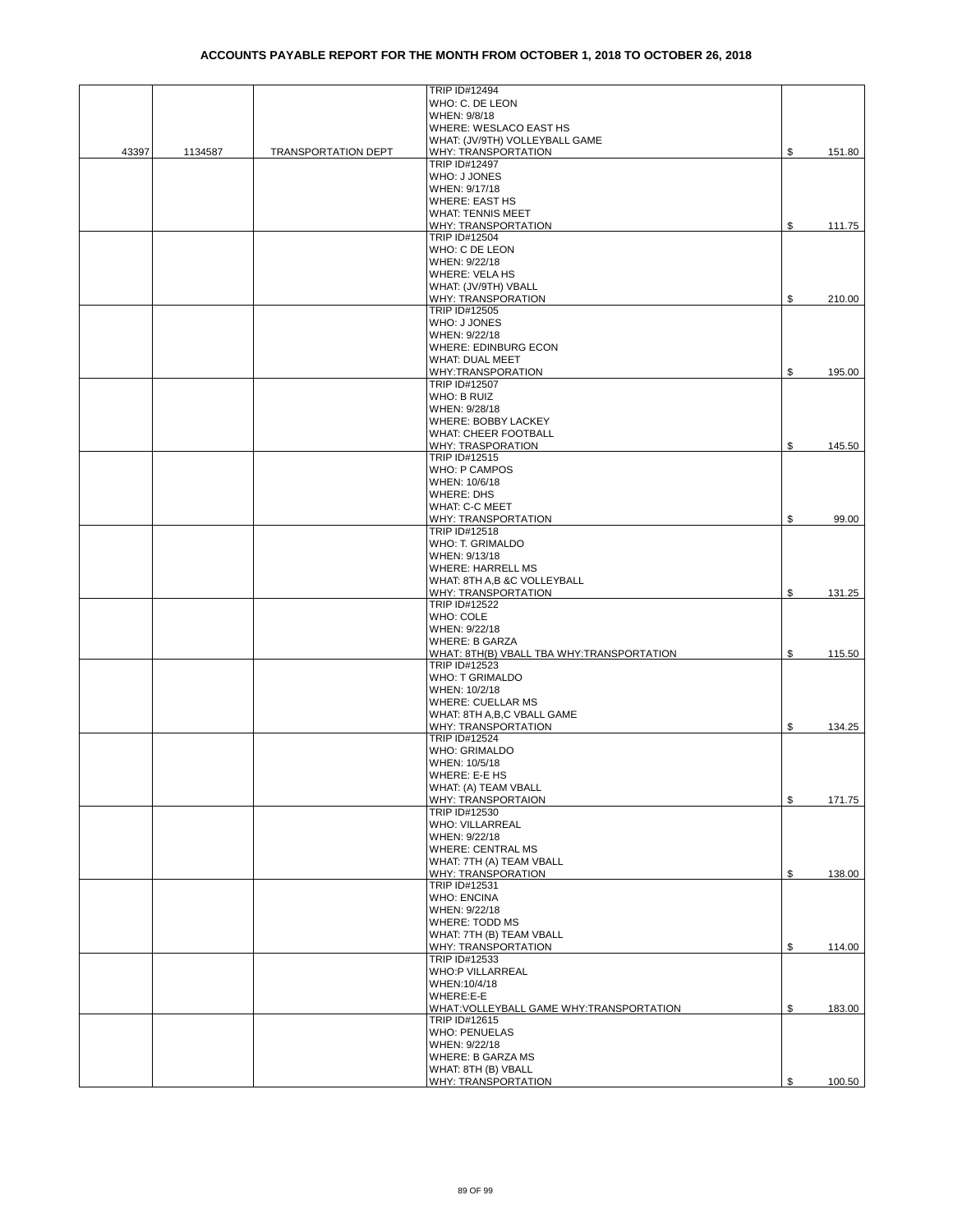|       |         |                            | TRIP ID#12494                                              |              |
|-------|---------|----------------------------|------------------------------------------------------------|--------------|
|       |         |                            | WHO: C. DE LEON                                            |              |
|       |         |                            | WHEN: 9/8/18                                               |              |
|       |         |                            | WHERE: WESLACO EAST HS                                     |              |
|       |         |                            | WHAT: (JV/9TH) VOLLEYBALL GAME                             |              |
| 43397 | 1134587 | <b>TRANSPORTATION DEPT</b> | WHY: TRANSPORTATION                                        | \$<br>151.80 |
|       |         |                            | TRIP ID#12497                                              |              |
|       |         |                            | WHO: J JONES                                               |              |
|       |         |                            | WHEN: 9/17/18                                              |              |
|       |         |                            | <b>WHERE: EAST HS</b>                                      |              |
|       |         |                            | WHAT: TENNIS MEET                                          |              |
|       |         |                            | WHY: TRANSPORTATION                                        | \$<br>111.75 |
|       |         |                            | <b>TRIP ID#12504</b>                                       |              |
|       |         |                            | WHO: C DE LEON                                             |              |
|       |         |                            | WHEN: 9/22/18                                              |              |
|       |         |                            | WHERE: VELA HS                                             |              |
|       |         |                            | WHAT: (JV/9TH) VBALL                                       |              |
|       |         |                            | WHY: TRANSPORATION                                         | \$<br>210.00 |
|       |         |                            | TRIP ID#12505                                              |              |
|       |         |                            | WHO: J JONES                                               |              |
|       |         |                            | WHEN: 9/22/18                                              |              |
|       |         |                            | WHERE: EDINBURG ECON                                       |              |
|       |         |                            | WHAT: DUAL MEET                                            |              |
|       |         |                            | WHY:TRANSPORATION                                          | \$<br>195.00 |
|       |         |                            | TRIP ID#12507                                              |              |
|       |         |                            | WHO: B RUIZ                                                |              |
|       |         |                            | WHEN: 9/28/18                                              |              |
|       |         |                            | WHERE: BOBBY LACKEY                                        |              |
|       |         |                            | <b>WHAT: CHEER FOOTBALL</b>                                |              |
|       |         |                            | <b>WHY: TRASPORATION</b>                                   | \$<br>145.50 |
|       |         |                            | TRIP ID#12515                                              |              |
|       |         |                            | <b>WHO: P CAMPOS</b>                                       |              |
|       |         |                            | WHEN: 10/6/18                                              |              |
|       |         |                            | <b>WHERE: DHS</b>                                          |              |
|       |         |                            | WHAT: C-C MEET                                             |              |
|       |         |                            |                                                            | \$           |
|       |         |                            | WHY: TRANSPORTATION<br>TRIP ID#12518                       | 99.00        |
|       |         |                            |                                                            |              |
|       |         |                            | WHO: T. GRIMALDO                                           |              |
|       |         |                            | WHEN: 9/13/18                                              |              |
|       |         |                            | WHERE: HARRELL MS                                          |              |
|       |         |                            | WHAT: 8TH A,B &C VOLLEYBALL                                |              |
|       |         |                            | WHY: TRANSPORTATION                                        | \$<br>131.25 |
|       |         |                            | TRIP ID#12522                                              |              |
|       |         |                            | <b>WHO: COLE</b>                                           |              |
|       |         |                            | WHEN: 9/22/18                                              |              |
|       |         |                            | <b>WHERE: B GARZA</b>                                      |              |
|       |         |                            | WHAT: 8TH(B) VBALL TBA WHY:TRANSPORTATION                  | \$<br>115.50 |
|       |         |                            | TRIP ID#12523                                              |              |
|       |         |                            | WHO: T GRIMALDO                                            |              |
|       |         |                            | WHEN: 10/2/18                                              |              |
|       |         |                            | <b>WHERE: CUELLAR MS</b>                                   |              |
|       |         |                            | WHAT: 8TH A, B, C VBALL GAME                               |              |
|       |         |                            | WHY: TRANSPORTATION                                        | \$<br>134.25 |
|       |         |                            | TRIP ID#12524                                              |              |
|       |         |                            | <b>WHO: GRIMALDO</b>                                       |              |
|       |         |                            | WHEN: 10/5/18                                              |              |
|       |         |                            | WHERE: E-E HS                                              |              |
|       |         |                            | WHAT: (A) TEAM VBALL                                       |              |
|       |         |                            | WHY: TRANSPORTAION<br><b>TRIP ID#12530</b>                 | \$<br>171.75 |
|       |         |                            |                                                            |              |
|       |         |                            | WHO: VILLARREAL                                            |              |
|       |         |                            | WHEN: 9/22/18                                              |              |
|       |         |                            | <b>WHERE: CENTRAL MS</b>                                   |              |
|       |         |                            | WHAT: 7TH (A) TEAM VBALL                                   |              |
|       |         |                            | WHY: TRANSPORATION                                         | \$<br>138.00 |
|       |         |                            | TRIP ID#12531<br><b>WHO: ENCINA</b>                        |              |
|       |         |                            |                                                            |              |
|       |         |                            | WHEN: 9/22/18<br>WHERE: TODD MS                            |              |
|       |         |                            | WHAT: 7TH (B) TEAM VBALL                                   |              |
|       |         |                            | WHY: TRANSPORTATION                                        |              |
|       |         |                            | TRIP ID#12533                                              | \$<br>114.00 |
|       |         |                            | <b>WHO:P VILLARREAL</b>                                    |              |
|       |         |                            | WHEN:10/4/18                                               |              |
|       |         |                            | WHERE:E-E                                                  |              |
|       |         |                            |                                                            | \$           |
|       |         |                            | WHAT: VOLLEYBALL GAME WHY: TRANSPORTATION<br>TRIP ID#12615 | 183.00       |
|       |         |                            | WHO: PENUELAS                                              |              |
|       |         |                            |                                                            |              |
|       |         |                            | WHEN: 9/22/18                                              |              |
|       |         |                            | WHERE: B GARZA MS                                          |              |
|       |         |                            | WHAT: 8TH (B) VBALL                                        |              |
|       |         |                            | WHY: TRANSPORTATION                                        | \$<br>100.50 |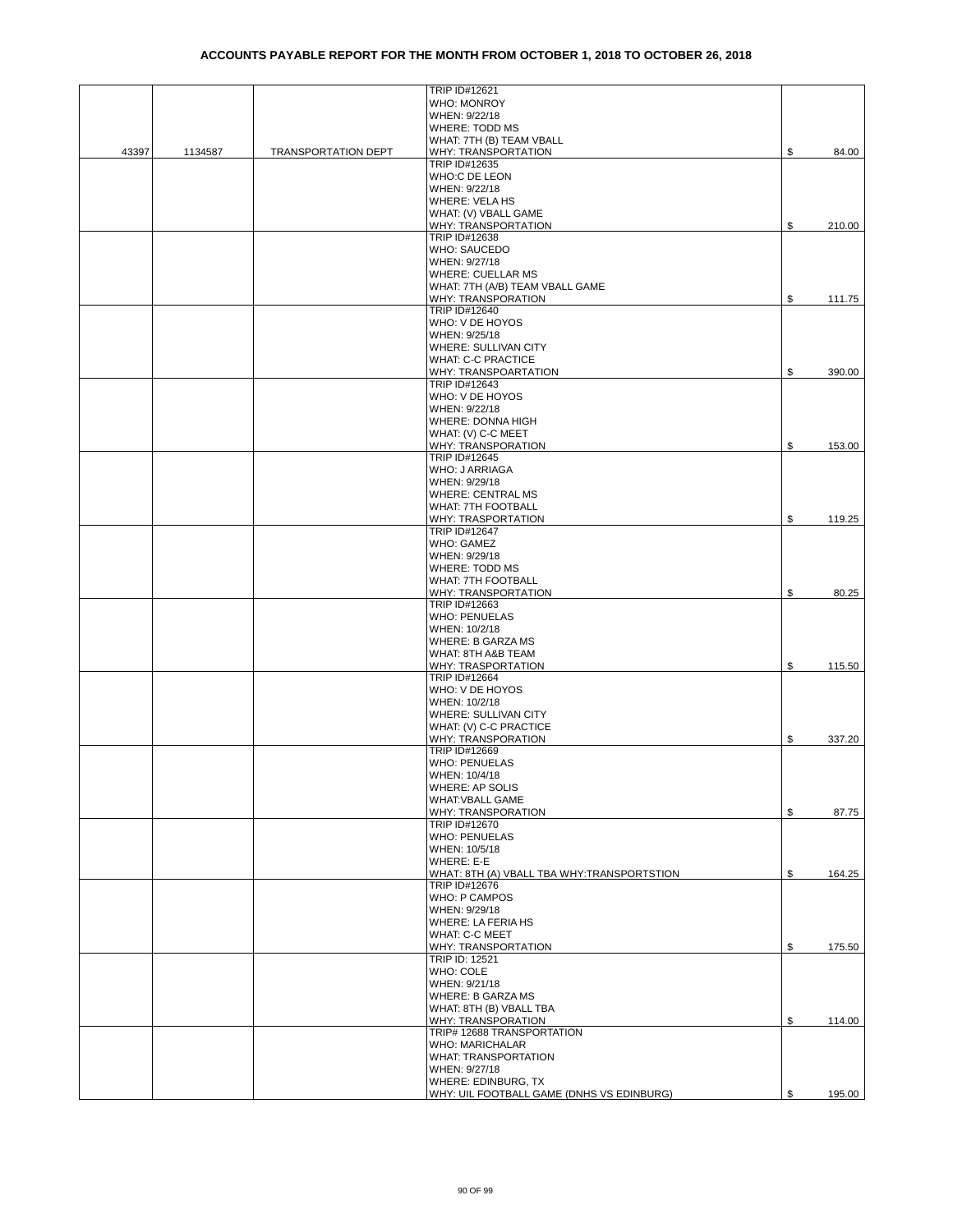|       |         |                            | TRIP ID#12621                              |              |
|-------|---------|----------------------------|--------------------------------------------|--------------|
|       |         |                            | <b>WHO: MONROY</b>                         |              |
|       |         |                            | WHEN: 9/22/18                              |              |
|       |         |                            | <b>WHERE: TODD MS</b>                      |              |
|       |         |                            | WHAT: 7TH (B) TEAM VBALL                   |              |
| 43397 | 1134587 | <b>TRANSPORTATION DEPT</b> | WHY: TRANSPORTATION                        | \$<br>84.00  |
|       |         |                            | TRIP ID#12635                              |              |
|       |         |                            | WHO:C DE LEON                              |              |
|       |         |                            | WHEN: 9/22/18                              |              |
|       |         |                            | WHERE: VELA HS                             |              |
|       |         |                            | WHAT: (V) VBALL GAME                       |              |
|       |         |                            | WHY: TRANSPORTATION                        | \$<br>210.00 |
|       |         |                            | TRIP ID#12638                              |              |
|       |         |                            | WHO: SAUCEDO                               |              |
|       |         |                            | WHEN: 9/27/18                              |              |
|       |         |                            | <b>WHERE: CUELLAR MS</b>                   |              |
|       |         |                            |                                            |              |
|       |         |                            | WHAT: 7TH (A/B) TEAM VBALL GAME            |              |
|       |         |                            | WHY: TRANSPORATION                         | \$<br>111.75 |
|       |         |                            | TRIP ID#12640                              |              |
|       |         |                            | WHO: V DE HOYOS                            |              |
|       |         |                            | WHEN: 9/25/18                              |              |
|       |         |                            | WHERE: SULLIVAN CITY                       |              |
|       |         |                            | <b>WHAT: C-C PRACTICE</b>                  |              |
|       |         |                            | WHY: TRANSPOARTATION                       | \$<br>390.00 |
|       |         |                            | TRIP ID#12643                              |              |
|       |         |                            | WHO: V DE HOYOS                            |              |
|       |         |                            | WHEN: 9/22/18                              |              |
|       |         |                            |                                            |              |
|       |         |                            | WHERE: DONNA HIGH                          |              |
|       |         |                            | WHAT: (V) C-C MEET                         |              |
|       |         |                            | WHY: TRANSPORATION                         | \$<br>153.00 |
|       |         |                            | TRIP ID#12645                              |              |
|       |         |                            | WHO: J ARRIAGA                             |              |
|       |         |                            | WHEN: 9/29/18                              |              |
|       |         |                            | <b>WHERE: CENTRAL MS</b>                   |              |
|       |         |                            | WHAT: 7TH FOOTBALL                         |              |
|       |         |                            | WHY: TRASPORTATION                         | \$<br>119.25 |
|       |         |                            | TRIP ID#12647                              |              |
|       |         |                            | <b>WHO: GAMEZ</b>                          |              |
|       |         |                            | WHEN: 9/29/18                              |              |
|       |         |                            |                                            |              |
|       |         |                            | <b>WHERE: TODD MS</b>                      |              |
|       |         |                            | WHAT: 7TH FOOTBALL                         |              |
|       |         |                            | WHY: TRANSPORTATION                        | \$<br>80.25  |
|       |         |                            | TRIP ID#12663                              |              |
|       |         |                            | <b>WHO: PENUELAS</b>                       |              |
|       |         |                            | WHEN: 10/2/18                              |              |
|       |         |                            | <b>WHERE: B GARZA MS</b>                   |              |
|       |         |                            | WHAT: 8TH A&B TEAM                         |              |
|       |         |                            | WHY: TRASPORTATION                         | \$<br>115.50 |
|       |         |                            | TRIP ID#12664                              |              |
|       |         |                            | WHO: V DE HOYOS                            |              |
|       |         |                            | WHEN: 10/2/18                              |              |
|       |         |                            | WHERE: SULLIVAN CITY                       |              |
|       |         |                            |                                            |              |
|       |         |                            | WHAT: (V) C-C PRACTICE                     |              |
|       |         |                            | WHY: TRANSPORATION                         | \$<br>337.20 |
|       |         |                            | TRIP ID#12669                              |              |
|       |         |                            | <b>WHO: PENUELAS</b>                       |              |
|       |         |                            | WHEN: 10/4/18                              |              |
|       |         |                            | WHERE: AP SOLIS                            |              |
|       |         |                            | <b>WHAT: VBALL GAME</b>                    |              |
|       |         |                            | WHY: TRANSPORATION                         | \$<br>87.75  |
|       |         |                            | TRIP ID#12670                              |              |
|       |         |                            | <b>WHO: PENUELAS</b>                       |              |
|       |         |                            | WHEN: 10/5/18                              |              |
|       |         |                            | WHERE: E-E                                 |              |
|       |         |                            | WHAT: 8TH (A) VBALL TBA WHY:TRANSPORTSTION | \$<br>164.25 |
|       |         |                            | TRIP ID#12676                              |              |
|       |         |                            | <b>WHO: P CAMPOS</b>                       |              |
|       |         |                            |                                            |              |
|       |         |                            | WHEN: 9/29/18                              |              |
|       |         |                            | WHERE: LA FERIA HS                         |              |
|       |         |                            | WHAT: C-C MEET                             |              |
|       |         |                            | WHY: TRANSPORTATION                        | \$<br>175.50 |
|       |         |                            | TRIP ID: 12521                             |              |
|       |         |                            | WHO: COLE                                  |              |
|       |         |                            | WHEN: 9/21/18                              |              |
|       |         |                            | <b>WHERE: B GARZA MS</b>                   |              |
|       |         |                            | WHAT: 8TH (B) VBALL TBA                    |              |
|       |         |                            | WHY: TRANSPORATION                         | \$<br>114.00 |
|       |         |                            | TRIP# 12688 TRANSPORTATION                 |              |
|       |         |                            | <b>WHO: MARICHALAR</b>                     |              |
|       |         |                            | <b>WHAT: TRANSPORTATION</b>                |              |
|       |         |                            |                                            |              |
|       |         |                            | WHEN: 9/27/18                              |              |
|       |         |                            | WHERE: EDINBURG, TX                        |              |
|       |         |                            | WHY: UIL FOOTBALL GAME (DNHS VS EDINBURG)  | \$<br>195.00 |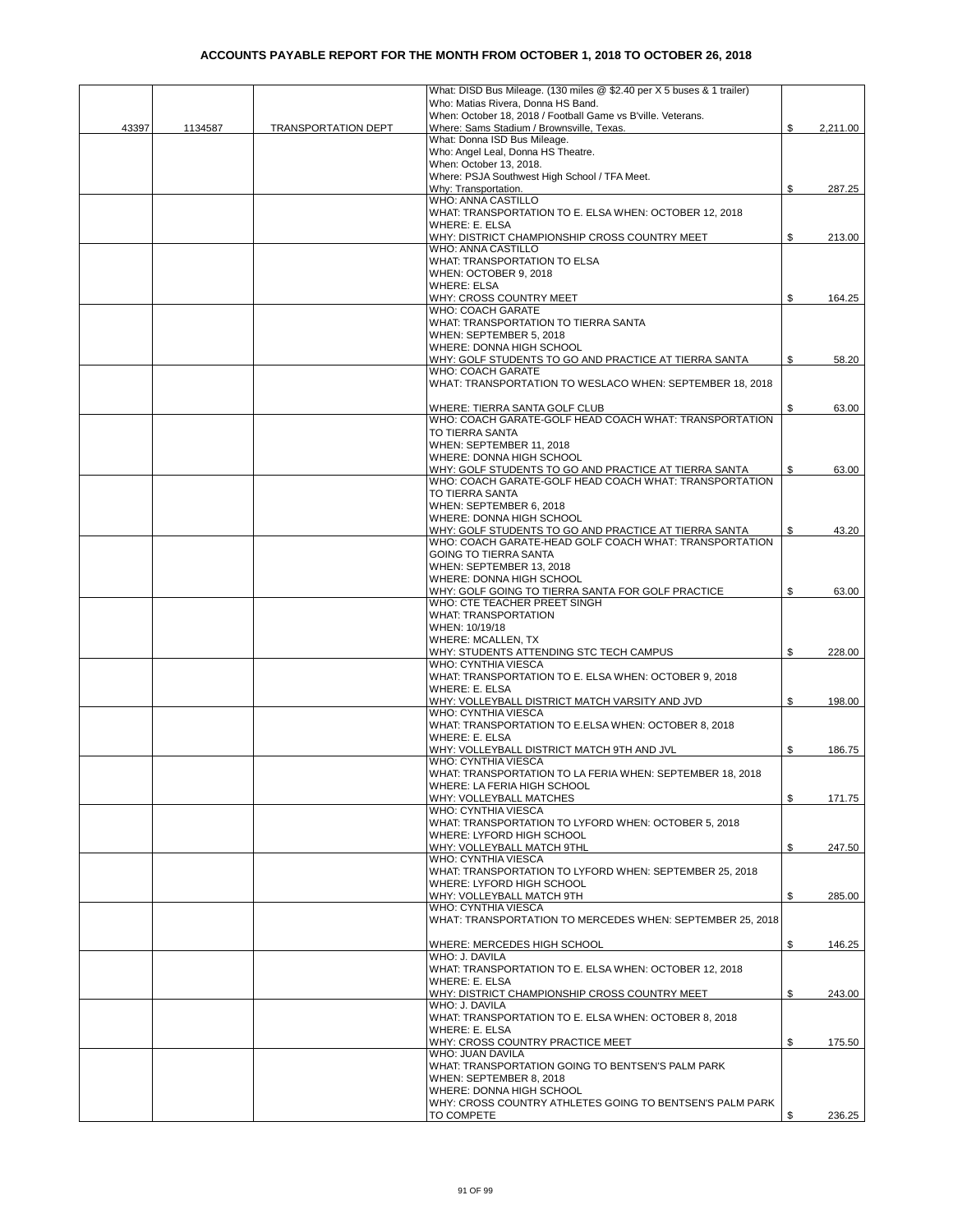|       |         |                            | What: DISD Bus Mileage. (130 miles @ \$2.40 per X 5 buses & 1 trailer)            |    |          |
|-------|---------|----------------------------|-----------------------------------------------------------------------------------|----|----------|
|       |         |                            | Who: Matias Rivera, Donna HS Band.                                                |    |          |
|       |         |                            | When: October 18, 2018 / Football Game vs B'ville. Veterans.                      |    |          |
| 43397 | 1134587 | <b>TRANSPORTATION DEPT</b> | Where: Sams Stadium / Brownsville, Texas.<br>What: Donna ISD Bus Mileage.         | \$ | 2,211.00 |
|       |         |                            | Who: Angel Leal, Donna HS Theatre.                                                |    |          |
|       |         |                            | When: October 13, 2018.                                                           |    |          |
|       |         |                            | Where: PSJA Southwest High School / TFA Meet.                                     |    |          |
|       |         |                            | Why: Transportation.                                                              | \$ | 287.25   |
|       |         |                            | WHO: ANNA CASTILLO                                                                |    |          |
|       |         |                            | WHAT: TRANSPORTATION TO E. ELSA WHEN: OCTOBER 12, 2018                            |    |          |
|       |         |                            | <b>WHERE: E. ELSA</b>                                                             |    |          |
|       |         |                            | WHY: DISTRICT CHAMPIONSHIP CROSS COUNTRY MEET                                     | \$ | 213.00   |
|       |         |                            | WHO: ANNA CASTILLO                                                                |    |          |
|       |         |                            | WHAT: TRANSPORTATION TO ELSA                                                      |    |          |
|       |         |                            | WHEN: OCTOBER 9, 2018                                                             |    |          |
|       |         |                            | <b>WHERE: ELSA</b>                                                                |    |          |
|       |         |                            | WHY: CROSS COUNTRY MEET                                                           | \$ | 164.25   |
|       |         |                            | WHO: COACH GARATE                                                                 |    |          |
|       |         |                            | WHAT: TRANSPORTATION TO TIERRA SANTA                                              |    |          |
|       |         |                            | WHEN: SEPTEMBER 5, 2018                                                           |    |          |
|       |         |                            | WHERE: DONNA HIGH SCHOOL                                                          |    |          |
|       |         |                            | WHY: GOLF STUDENTS TO GO AND PRACTICE AT TIERRA SANTA                             | \$ | 58.20    |
|       |         |                            | WHO: COACH GARATE                                                                 |    |          |
|       |         |                            | WHAT: TRANSPORTATION TO WESLACO WHEN: SEPTEMBER 18, 2018                          |    |          |
|       |         |                            |                                                                                   |    |          |
|       |         |                            | WHERE: TIERRA SANTA GOLF CLUB                                                     | S  | 63.00    |
|       |         |                            | WHO: COACH GARATE-GOLF HEAD COACH WHAT: TRANSPORTATION                            |    |          |
|       |         |                            | TO TIERRA SANTA                                                                   |    |          |
|       |         |                            | WHEN: SEPTEMBER 11, 2018                                                          |    |          |
|       |         |                            | WHERE: DONNA HIGH SCHOOL<br>WHY: GOLF STUDENTS TO GO AND PRACTICE AT TIERRA SANTA | S  | 63.00    |
|       |         |                            | WHO: COACH GARATE-GOLF HEAD COACH WHAT: TRANSPORTATION                            |    |          |
|       |         |                            | TO TIERRA SANTA                                                                   |    |          |
|       |         |                            | WHEN: SEPTEMBER 6, 2018                                                           |    |          |
|       |         |                            | WHERE: DONNA HIGH SCHOOL                                                          |    |          |
|       |         |                            | WHY: GOLF STUDENTS TO GO AND PRACTICE AT TIERRA SANTA                             | \$ | 43.20    |
|       |         |                            | WHO: COACH GARATE-HEAD GOLF COACH WHAT: TRANSPORTATION                            |    |          |
|       |         |                            | <b>GOING TO TIERRA SANTA</b>                                                      |    |          |
|       |         |                            | WHEN: SEPTEMBER 13, 2018                                                          |    |          |
|       |         |                            | WHERE: DONNA HIGH SCHOOL                                                          |    |          |
|       |         |                            | WHY: GOLF GOING TO TIERRA SANTA FOR GOLF PRACTICE                                 | \$ | 63.00    |
|       |         |                            | WHO: CTE TEACHER PREET SINGH                                                      |    |          |
|       |         |                            | <b>WHAT: TRANSPORTATION</b>                                                       |    |          |
|       |         |                            | WHEN: 10/19/18                                                                    |    |          |
|       |         |                            | WHERE: MCALLEN, TX                                                                |    |          |
|       |         |                            | WHY: STUDENTS ATTENDING STC TECH CAMPUS                                           | \$ | 228.00   |
|       |         |                            | WHO: CYNTHIA VIESCA                                                               |    |          |
|       |         |                            | WHAT: TRANSPORTATION TO E. ELSA WHEN: OCTOBER 9, 2018                             |    |          |
|       |         |                            | <b>WHERE: E. ELSA</b>                                                             |    |          |
|       |         |                            | WHY: VOLLEYBALL DISTRICT MATCH VARSITY AND JVD<br>WHO: CYNTHIA VIESCA             | \$ | 198.00   |
|       |         |                            | WHAT: TRANSPORTATION TO E.ELSA WHEN: OCTOBER 8, 2018                              |    |          |
|       |         |                            | WHERE: E. ELSA                                                                    |    |          |
|       |         |                            | WHY: VOLLEYBALL DISTRICT MATCH 9TH AND JVL                                        | \$ | 186.75   |
|       |         |                            | WHO: CYNTHIA VIESCA                                                               |    |          |
|       |         |                            | WHAT: TRANSPORTATION TO LA FERIA WHEN: SEPTEMBER 18, 2018                         |    |          |
|       |         |                            | WHERE: LA FERIA HIGH SCHOOL                                                       |    |          |
|       |         |                            | WHY: VOLLEYBALL MATCHES                                                           | \$ | 171.75   |
|       |         |                            | WHO: CYNTHIA VIESCA                                                               |    |          |
|       |         |                            | WHAT: TRANSPORTATION TO LYFORD WHEN: OCTOBER 5, 2018                              |    |          |
|       |         |                            | WHERE: LYFORD HIGH SCHOOL                                                         |    |          |
|       |         |                            | WHY: VOLLEYBALL MATCH 9THL                                                        | \$ | 247.50   |
|       |         |                            | WHO: CYNTHIA VIESCA                                                               |    |          |
|       |         |                            | WHAT: TRANSPORTATION TO LYFORD WHEN: SEPTEMBER 25, 2018                           |    |          |
|       |         |                            | WHERE: LYFORD HIGH SCHOOL                                                         |    |          |
|       |         |                            | WHY: VOLLEYBALL MATCH 9TH                                                         | \$ | 285.00   |
|       |         |                            | WHO: CYNTHIA VIESCA                                                               |    |          |
|       |         |                            | WHAT: TRANSPORTATION TO MERCEDES WHEN: SEPTEMBER 25, 2018                         |    |          |
|       |         |                            |                                                                                   |    |          |
|       |         |                            | WHERE: MERCEDES HIGH SCHOOL<br>WHO: J. DAVILA                                     | \$ | 146.25   |
|       |         |                            | WHAT: TRANSPORTATION TO E. ELSA WHEN: OCTOBER 12, 2018                            |    |          |
|       |         |                            | WHERE: E. ELSA                                                                    |    |          |
|       |         |                            | WHY: DISTRICT CHAMPIONSHIP CROSS COUNTRY MEET                                     | \$ | 243.00   |
|       |         |                            | WHO: J. DAVILA                                                                    |    |          |
|       |         |                            | WHAT: TRANSPORTATION TO E. ELSA WHEN: OCTOBER 8, 2018                             |    |          |
|       |         |                            | WHERE: E. ELSA                                                                    |    |          |
|       |         |                            | WHY: CROSS COUNTRY PRACTICE MEET                                                  | \$ | 175.50   |
|       |         |                            | WHO: JUAN DAVILA                                                                  |    |          |
|       |         |                            | WHAT: TRANSPORTATION GOING TO BENTSEN'S PALM PARK                                 |    |          |
|       |         |                            | WHEN: SEPTEMBER 8, 2018                                                           |    |          |
|       |         |                            | WHERE: DONNA HIGH SCHOOL                                                          |    |          |
|       |         |                            | WHY: CROSS COUNTRY ATHLETES GOING TO BENTSEN'S PALM PARK                          |    |          |
|       |         |                            | TO COMPETE                                                                        | \$ | 236.25   |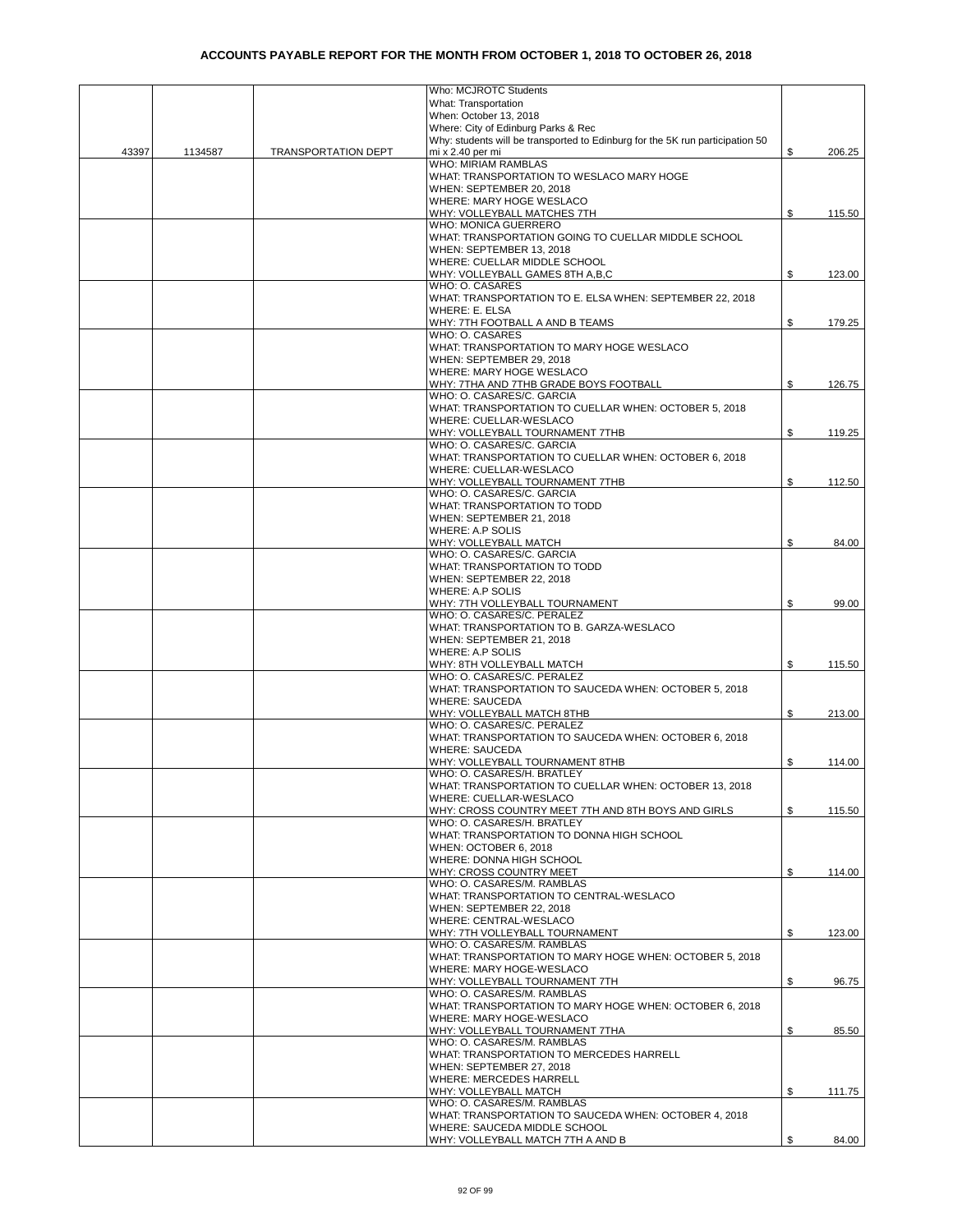|       |         |                            | Who: MCJROTC Students                                                                             |              |
|-------|---------|----------------------------|---------------------------------------------------------------------------------------------------|--------------|
|       |         |                            | What: Transportation                                                                              |              |
|       |         |                            | When: October 13, 2018                                                                            |              |
|       |         |                            | Where: City of Edinburg Parks & Rec                                                               |              |
| 43397 |         |                            | Why: students will be transported to Edinburg for the 5K run participation 50<br>mi x 2.40 per mi | \$           |
|       | 1134587 | <b>TRANSPORTATION DEPT</b> | WHO: MIRIAM RAMBLAS                                                                               | 206.25       |
|       |         |                            | WHAT: TRANSPORTATION TO WESLACO MARY HOGE                                                         |              |
|       |         |                            | WHEN: SEPTEMBER 20, 2018                                                                          |              |
|       |         |                            | WHERE: MARY HOGE WESLACO                                                                          |              |
|       |         |                            | WHY: VOLLEYBALL MATCHES 7TH                                                                       | \$<br>115.50 |
|       |         |                            | WHO: MONICA GUERRERO                                                                              |              |
|       |         |                            | WHAT: TRANSPORTATION GOING TO CUELLAR MIDDLE SCHOOL                                               |              |
|       |         |                            | WHEN: SEPTEMBER 13, 2018                                                                          |              |
|       |         |                            | WHERE: CUELLAR MIDDLE SCHOOL                                                                      |              |
|       |         |                            | WHY: VOLLEYBALL GAMES 8TH A,B,C                                                                   | \$<br>123.00 |
|       |         |                            | WHO: O. CASARES                                                                                   |              |
|       |         |                            | WHAT: TRANSPORTATION TO E. ELSA WHEN: SEPTEMBER 22, 2018                                          |              |
|       |         |                            | <b>WHERE: E. ELSA</b>                                                                             |              |
|       |         |                            | WHY: 7TH FOOTBALL A AND B TEAMS<br>WHO: O. CASARES                                                | \$<br>179.25 |
|       |         |                            | WHAT: TRANSPORTATION TO MARY HOGE WESLACO                                                         |              |
|       |         |                            | WHEN: SEPTEMBER 29, 2018                                                                          |              |
|       |         |                            | WHERE: MARY HOGE WESLACO                                                                          |              |
|       |         |                            | WHY: 7THA AND 7THB GRADE BOYS FOOTBALL                                                            | \$<br>126.75 |
|       |         |                            | WHO: O. CASARES/C. GARCIA                                                                         |              |
|       |         |                            | WHAT: TRANSPORTATION TO CUELLAR WHEN: OCTOBER 5, 2018                                             |              |
|       |         |                            | WHERE: CUELLAR-WESLACO                                                                            |              |
|       |         |                            | WHY: VOLLEYBALL TOURNAMENT 7THB                                                                   | \$<br>119.25 |
|       |         |                            | WHO: O. CASARES/C. GARCIA                                                                         |              |
|       |         |                            | WHAT: TRANSPORTATION TO CUELLAR WHEN: OCTOBER 6, 2018                                             |              |
|       |         |                            | WHERE: CUELLAR-WESLACO                                                                            |              |
|       |         |                            | WHY: VOLLEYBALL TOURNAMENT 7THB                                                                   | \$<br>112.50 |
|       |         |                            | WHO: O. CASARES/C. GARCIA                                                                         |              |
|       |         |                            | WHAT: TRANSPORTATION TO TODD                                                                      |              |
|       |         |                            | WHEN: SEPTEMBER 21, 2018<br>WHERE: A.P SOLIS                                                      |              |
|       |         |                            | WHY: VOLLEYBALL MATCH                                                                             | \$<br>84.00  |
|       |         |                            | WHO: O. CASARES/C. GARCIA                                                                         |              |
|       |         |                            | WHAT: TRANSPORTATION TO TODD                                                                      |              |
|       |         |                            | WHEN: SEPTEMBER 22, 2018                                                                          |              |
|       |         |                            | WHERE: A.P SOLIS                                                                                  |              |
|       |         |                            | WHY: 7TH VOLLEYBALL TOURNAMENT                                                                    | \$<br>99.00  |
|       |         |                            | WHO: O. CASARES/C. PERALEZ                                                                        |              |
|       |         |                            | WHAT: TRANSPORTATION TO B. GARZA-WESLACO                                                          |              |
|       |         |                            | WHEN: SEPTEMBER 21, 2018                                                                          |              |
|       |         |                            | WHERE: A.P SOLIS                                                                                  |              |
|       |         |                            | WHY: 8TH VOLLEYBALL MATCH                                                                         | \$<br>115.50 |
|       |         |                            | WHO: O. CASARES/C. PERALEZ<br>WHAT: TRANSPORTATION TO SAUCEDA WHEN: OCTOBER 5, 2018               |              |
|       |         |                            | <b>WHERE: SAUCEDA</b>                                                                             |              |
|       |         |                            | WHY: VOLLEYBALL MATCH 8THB                                                                        | \$<br>213.00 |
|       |         |                            | WHO: O. CASARES/C. PERALEZ                                                                        |              |
|       |         |                            | WHAT: TRANSPORTATION TO SAUCEDA WHEN: OCTOBER 6, 2018                                             |              |
|       |         |                            | <b>WHERE: SAUCEDA</b>                                                                             |              |
|       |         |                            | WHY: VOLLEYBALL TOURNAMENT 8THB                                                                   | \$<br>114.00 |
|       |         |                            | WHO: O. CASARES/H. BRATLEY                                                                        |              |
|       |         |                            | WHAT: TRANSPORTATION TO CUELLAR WHEN: OCTOBER 13, 2018                                            |              |
|       |         |                            | WHERE: CUELLAR-WESLACO                                                                            |              |
|       |         |                            | WHY: CROSS COUNTRY MEET 7TH AND 8TH BOYS AND GIRLS                                                | \$<br>115.50 |
|       |         |                            | WHO: O. CASARES/H. BRATLEY                                                                        |              |
|       |         |                            | WHAT: TRANSPORTATION TO DONNA HIGH SCHOOL<br>WHEN: OCTOBER 6, 2018                                |              |
|       |         |                            | WHERE: DONNA HIGH SCHOOL                                                                          |              |
|       |         |                            | WHY: CROSS COUNTRY MEET                                                                           | \$<br>114.00 |
|       |         |                            | WHO: O. CASARES/M. RAMBLAS                                                                        |              |
|       |         |                            | WHAT: TRANSPORTATION TO CENTRAL-WESLACO                                                           |              |
|       |         |                            | WHEN: SEPTEMBER 22, 2018                                                                          |              |
|       |         |                            | WHERE: CENTRAL-WESLACO                                                                            |              |
|       |         |                            | WHY: 7TH VOLLEYBALL TOURNAMENT                                                                    | \$<br>123.00 |
|       |         |                            | WHO: O. CASARES/M. RAMBLAS                                                                        |              |
|       |         |                            | WHAT: TRANSPORTATION TO MARY HOGE WHEN: OCTOBER 5, 2018                                           |              |
|       |         |                            | WHERE: MARY HOGE-WESLACO                                                                          |              |
|       |         |                            | WHY: VOLLEYBALL TOURNAMENT 7TH                                                                    | \$<br>96.75  |
|       |         |                            | WHO: O. CASARES/M. RAMBLAS                                                                        |              |
|       |         |                            | WHAT: TRANSPORTATION TO MARY HOGE WHEN: OCTOBER 6, 2018                                           |              |
|       |         |                            | WHERE: MARY HOGE-WESLACO<br>WHY: VOLLEYBALL TOURNAMENT 7THA                                       | \$<br>85.50  |
|       |         |                            | WHO: O. CASARES/M. RAMBLAS                                                                        |              |
|       |         |                            | WHAT: TRANSPORTATION TO MERCEDES HARRELL                                                          |              |
|       |         |                            | WHEN: SEPTEMBER 27, 2018                                                                          |              |
|       |         |                            | WHERE: MERCEDES HARRELL                                                                           |              |
|       |         |                            | WHY: VOLLEYBALL MATCH                                                                             | \$<br>111.75 |
|       |         |                            | WHO: O. CASARES/M. RAMBLAS                                                                        |              |
|       |         |                            | WHAT: TRANSPORTATION TO SAUCEDA WHEN: OCTOBER 4, 2018                                             |              |
|       |         |                            | WHERE: SAUCEDA MIDDLE SCHOOL                                                                      |              |
|       |         |                            | WHY: VOLLEYBALL MATCH 7TH A AND B                                                                 | \$<br>84.00  |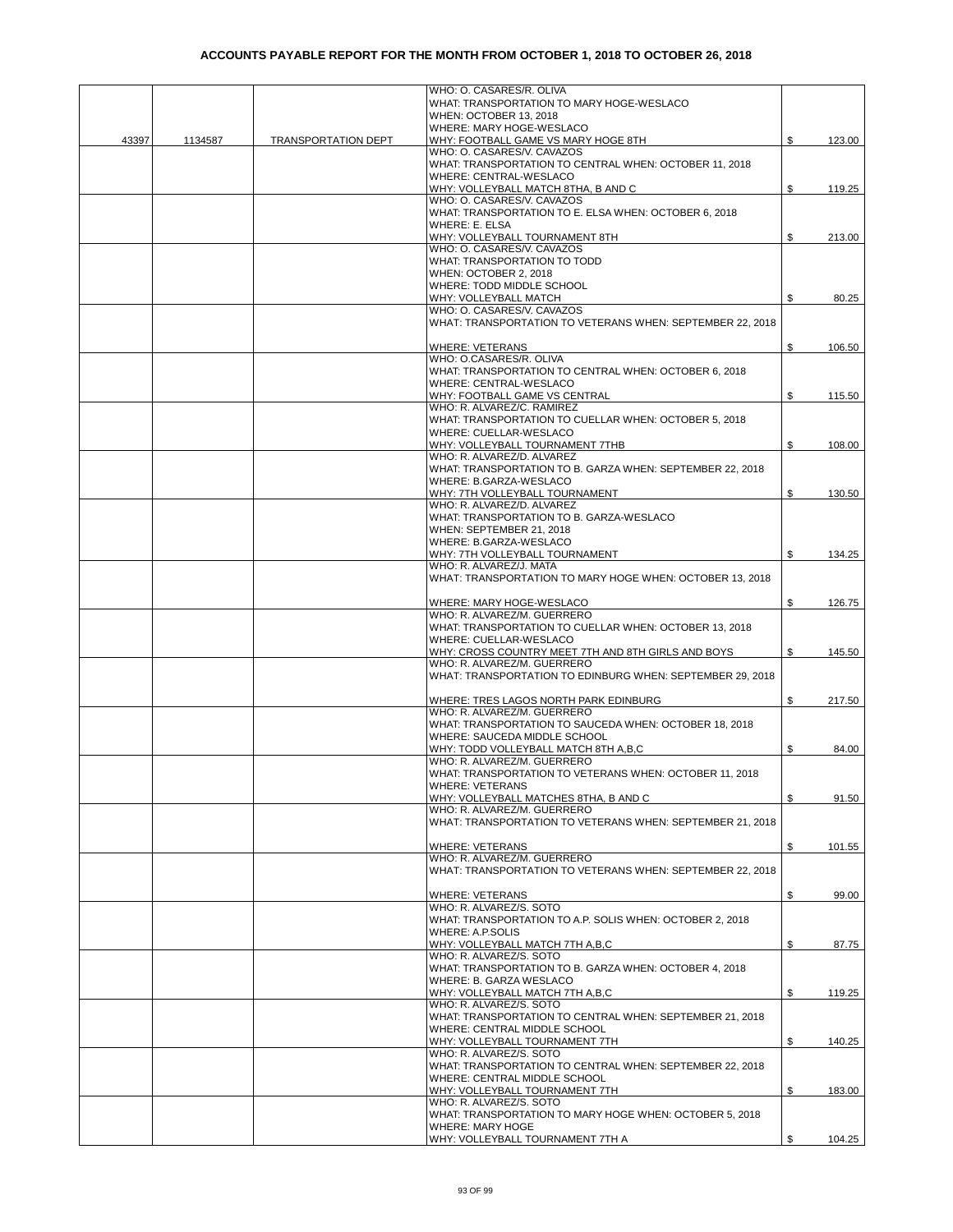|       |         |                            | WHO: O. CASARES/R. OLIVA                                                                 |              |
|-------|---------|----------------------------|------------------------------------------------------------------------------------------|--------------|
|       |         |                            | WHAT: TRANSPORTATION TO MARY HOGE-WESLACO                                                |              |
|       |         |                            | WHEN: OCTOBER 13, 2018                                                                   |              |
|       |         |                            | WHERE: MARY HOGE-WESLACO                                                                 |              |
| 43397 | 1134587 | <b>TRANSPORTATION DEPT</b> | WHY: FOOTBALL GAME VS MARY HOGE 8TH                                                      | \$<br>123.00 |
|       |         |                            | WHO: O. CASARES/V. CAVAZOS                                                               |              |
|       |         |                            | WHAT: TRANSPORTATION TO CENTRAL WHEN: OCTOBER 11, 2018<br>WHERE: CENTRAL-WESLACO         |              |
|       |         |                            | WHY: VOLLEYBALL MATCH 8THA, B AND C                                                      | \$<br>119.25 |
|       |         |                            | WHO: O. CASARES/V. CAVAZOS                                                               |              |
|       |         |                            | WHAT: TRANSPORTATION TO E. ELSA WHEN: OCTOBER 6, 2018                                    |              |
|       |         |                            | WHERE: E. ELSA                                                                           |              |
|       |         |                            | WHY: VOLLEYBALL TOURNAMENT 8TH                                                           | \$<br>213.00 |
|       |         |                            | WHO: O. CASARES/V. CAVAZOS                                                               |              |
|       |         |                            | WHAT: TRANSPORTATION TO TODD<br>WHEN: OCTOBER 2, 2018                                    |              |
|       |         |                            | WHERE: TODD MIDDLE SCHOOL                                                                |              |
|       |         |                            | WHY: VOLLEYBALL MATCH                                                                    | \$<br>80.25  |
|       |         |                            | WHO: O. CASARES/V. CAVAZOS                                                               |              |
|       |         |                            | WHAT: TRANSPORTATION TO VETERANS WHEN: SEPTEMBER 22, 2018                                |              |
|       |         |                            |                                                                                          |              |
|       |         |                            | <b>WHERE: VETERANS</b>                                                                   | \$<br>106.50 |
|       |         |                            | WHO: O.CASARES/R. OLIVA<br>WHAT: TRANSPORTATION TO CENTRAL WHEN: OCTOBER 6, 2018         |              |
|       |         |                            | WHERE: CENTRAL-WESLACO                                                                   |              |
|       |         |                            | WHY: FOOTBALL GAME VS CENTRAL                                                            | \$<br>115.50 |
|       |         |                            | WHO: R. ALVAREZ/C. RAMIREZ                                                               |              |
|       |         |                            | WHAT: TRANSPORTATION TO CUELLAR WHEN: OCTOBER 5, 2018                                    |              |
|       |         |                            | WHERE: CUELLAR-WESLACO                                                                   |              |
|       |         |                            | WHY: VOLLEYBALL TOURNAMENT 7THB                                                          | \$<br>108.00 |
|       |         |                            | WHO: R. ALVAREZ/D. ALVAREZ                                                               |              |
|       |         |                            | WHAT: TRANSPORTATION TO B. GARZA WHEN: SEPTEMBER 22, 2018<br>WHERE: B.GARZA-WESLACO      |              |
|       |         |                            | WHY: 7TH VOLLEYBALL TOURNAMENT                                                           | \$<br>130.50 |
|       |         |                            | WHO: R. ALVAREZ/D. ALVAREZ                                                               |              |
|       |         |                            | WHAT: TRANSPORTATION TO B. GARZA-WESLACO                                                 |              |
|       |         |                            | WHEN: SEPTEMBER 21, 2018                                                                 |              |
|       |         |                            | WHERE: B.GARZA-WESLACO                                                                   |              |
|       |         |                            | WHY: 7TH VOLLEYBALL TOURNAMENT                                                           | \$<br>134.25 |
|       |         |                            | WHO: R. ALVAREZ/J. MATA<br>WHAT: TRANSPORTATION TO MARY HOGE WHEN: OCTOBER 13, 2018      |              |
|       |         |                            |                                                                                          |              |
|       |         |                            | WHERE: MARY HOGE-WESLACO                                                                 | \$<br>126.75 |
|       |         |                            | WHO: R. ALVAREZ/M. GUERRERO                                                              |              |
|       |         |                            | WHAT: TRANSPORTATION TO CUELLAR WHEN: OCTOBER 13, 2018                                   |              |
|       |         |                            | WHERE: CUELLAR-WESLACO                                                                   |              |
|       |         |                            | WHY: CROSS COUNTRY MEET 7TH AND 8TH GIRLS AND BOYS                                       | \$<br>145.50 |
|       |         |                            | WHO: R. ALVAREZ/M. GUERRERO<br>WHAT: TRANSPORTATION TO EDINBURG WHEN: SEPTEMBER 29, 2018 |              |
|       |         |                            |                                                                                          |              |
|       |         |                            | WHERE: TRES LAGOS NORTH PARK EDINBURG                                                    | \$<br>217.50 |
|       |         |                            | WHO: R. ALVAREZ/M. GUERRERO                                                              |              |
|       |         |                            | WHAT: TRANSPORTATION TO SAUCEDA WHEN: OCTOBER 18, 2018                                   |              |
|       |         |                            | WHERE: SAUCEDA MIDDLE SCHOOL                                                             |              |
|       |         |                            | WHY: TODD VOLLEYBALL MATCH 8TH A,B,C<br>WHO: R. ALVAREZ/M. GUERRERO                      | \$<br>84.00  |
|       |         |                            | WHAT: TRANSPORTATION TO VETERANS WHEN: OCTOBER 11, 2018                                  |              |
|       |         |                            | <b>WHERE: VETERANS</b>                                                                   |              |
|       |         |                            | WHY: VOLLEYBALL MATCHES 8THA, B AND C                                                    | \$<br>91.50  |
|       |         |                            | WHO: R. ALVAREZ/M. GUERRERO                                                              |              |
|       |         |                            | WHAT: TRANSPORTATION TO VETERANS WHEN: SEPTEMBER 21, 2018                                |              |
|       |         |                            |                                                                                          | \$           |
|       |         |                            | <b>WHERE: VETERANS</b><br>WHO: R. ALVAREZ/M. GUERRERO                                    | 101.55       |
|       |         |                            | WHAT: TRANSPORTATION TO VETERANS WHEN: SEPTEMBER 22, 2018                                |              |
|       |         |                            |                                                                                          |              |
|       |         |                            | <b>WHERE: VETERANS</b>                                                                   | \$<br>99.00  |
|       |         |                            | WHO: R. ALVAREZ/S. SOTO                                                                  |              |
|       |         |                            | WHAT: TRANSPORTATION TO A.P. SOLIS WHEN: OCTOBER 2, 2018                                 |              |
|       |         |                            | WHERE: A.P.SOLIS<br>WHY: VOLLEYBALL MATCH 7TH A,B,C                                      | \$<br>87.75  |
|       |         |                            | WHO: R. ALVAREZ/S. SOTO                                                                  |              |
|       |         |                            | WHAT: TRANSPORTATION TO B. GARZA WHEN: OCTOBER 4, 2018                                   |              |
|       |         |                            | WHERE: B. GARZA WESLACO                                                                  |              |
|       |         |                            | WHY: VOLLEYBALL MATCH 7TH A,B,C                                                          | \$<br>119.25 |
|       |         |                            | WHO: R. ALVAREZ/S. SOTO                                                                  |              |
|       |         |                            | WHAT: TRANSPORTATION TO CENTRAL WHEN: SEPTEMBER 21, 2018                                 |              |
|       |         |                            | WHERE: CENTRAL MIDDLE SCHOOL<br>WHY: VOLLEYBALL TOURNAMENT 7TH                           | \$<br>140.25 |
|       |         |                            | WHO: R. ALVAREZ/S. SOTO                                                                  |              |
|       |         |                            | WHAT: TRANSPORTATION TO CENTRAL WHEN: SEPTEMBER 22, 2018                                 |              |
|       |         |                            | WHERE: CENTRAL MIDDLE SCHOOL                                                             |              |
|       |         |                            | WHY: VOLLEYBALL TOURNAMENT 7TH                                                           | \$<br>183.00 |
|       |         |                            | WHO: R. ALVAREZ/S. SOTO                                                                  |              |
|       |         |                            | WHAT: TRANSPORTATION TO MARY HOGE WHEN: OCTOBER 5, 2018<br><b>WHERE: MARY HOGE</b>       |              |
|       |         |                            | WHY: VOLLEYBALL TOURNAMENT 7TH A                                                         | \$<br>104.25 |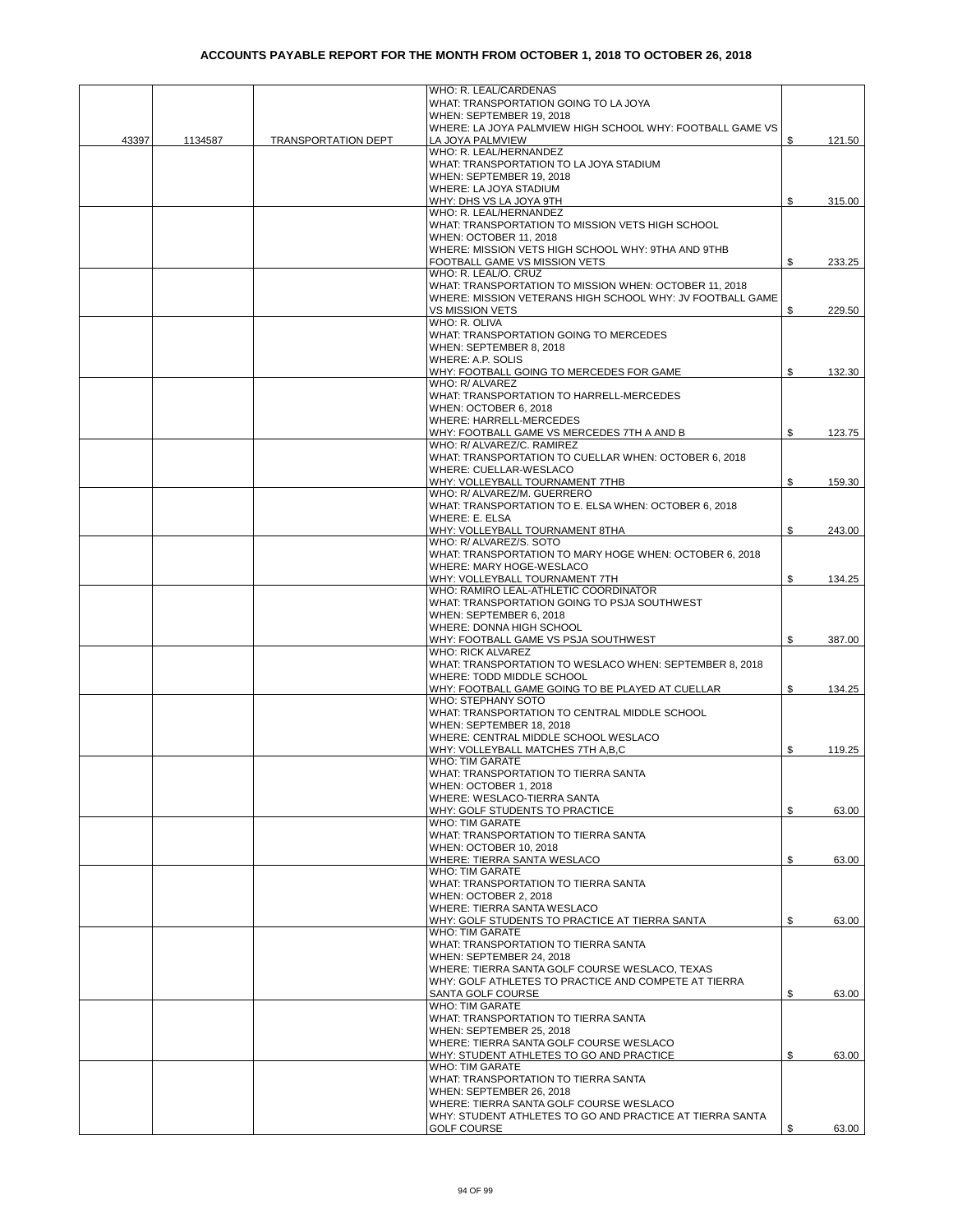|       |         |                            | WHO: R. LEAL/CARDENAS                                                                 |    |        |
|-------|---------|----------------------------|---------------------------------------------------------------------------------------|----|--------|
|       |         |                            | WHAT: TRANSPORTATION GOING TO LA JOYA                                                 |    |        |
|       |         |                            | WHEN: SEPTEMBER 19, 2018<br>WHERE: LA JOYA PALMVIEW HIGH SCHOOL WHY: FOOTBALL GAME VS |    |        |
| 43397 | 1134587 | <b>TRANSPORTATION DEPT</b> | LA JOYA PALMVIEW                                                                      | \$ | 121.50 |
|       |         |                            | WHO: R. LEAL/HERNANDEZ                                                                |    |        |
|       |         |                            | WHAT: TRANSPORTATION TO LA JOYA STADIUM                                               |    |        |
|       |         |                            | WHEN: SEPTEMBER 19, 2018                                                              |    |        |
|       |         |                            | WHERE: LA JOYA STADIUM                                                                |    |        |
|       |         |                            | WHY: DHS VS LA JOYA 9TH                                                               | \$ | 315.00 |
|       |         |                            | WHO: R. LEAL/HERNANDEZ<br>WHAT: TRANSPORTATION TO MISSION VETS HIGH SCHOOL            |    |        |
|       |         |                            | WHEN: OCTOBER 11, 2018                                                                |    |        |
|       |         |                            | WHERE: MISSION VETS HIGH SCHOOL WHY: 9THA AND 9THB                                    |    |        |
|       |         |                            | FOOTBALL GAME VS MISSION VETS                                                         | \$ | 233.25 |
|       |         |                            | WHO: R. LEAL/O. CRUZ                                                                  |    |        |
|       |         |                            | WHAT: TRANSPORTATION TO MISSION WHEN: OCTOBER 11, 2018                                |    |        |
|       |         |                            | WHERE: MISSION VETERANS HIGH SCHOOL WHY: JV FOOTBALL GAME                             |    |        |
|       |         |                            | <b>VS MISSION VETS</b><br>WHO: R. OLIVA                                               | \$ | 229.50 |
|       |         |                            | WHAT: TRANSPORTATION GOING TO MERCEDES                                                |    |        |
|       |         |                            | WHEN: SEPTEMBER 8, 2018                                                               |    |        |
|       |         |                            | WHERE: A.P. SOLIS                                                                     |    |        |
|       |         |                            | WHY: FOOTBALL GOING TO MERCEDES FOR GAME                                              | \$ | 132.30 |
|       |         |                            | WHO: R/ ALVAREZ                                                                       |    |        |
|       |         |                            | WHAT: TRANSPORTATION TO HARRELL-MERCEDES                                              |    |        |
|       |         |                            | WHEN: OCTOBER 6, 2018                                                                 |    |        |
|       |         |                            | WHERE: HARRELL-MERCEDES                                                               |    |        |
|       |         |                            | WHY: FOOTBALL GAME VS MERCEDES 7TH A AND B<br>WHO: R/ ALVAREZ/C. RAMIREZ              | \$ | 123.75 |
|       |         |                            | WHAT: TRANSPORTATION TO CUELLAR WHEN: OCTOBER 6, 2018                                 |    |        |
|       |         |                            | WHERE: CUELLAR-WESLACO                                                                |    |        |
|       |         |                            | WHY: VOLLEYBALL TOURNAMENT 7THB                                                       | \$ | 159.30 |
|       |         |                            | WHO: R/ ALVAREZ/M. GUERRERO                                                           |    |        |
|       |         |                            | WHAT: TRANSPORTATION TO E. ELSA WHEN: OCTOBER 6, 2018                                 |    |        |
|       |         |                            | WHERE: E. ELSA                                                                        |    |        |
|       |         |                            | WHY: VOLLEYBALL TOURNAMENT 8THA<br>WHO: R/ ALVAREZ/S. SOTO                            | \$ | 243.00 |
|       |         |                            | WHAT: TRANSPORTATION TO MARY HOGE WHEN: OCTOBER 6, 2018                               |    |        |
|       |         |                            | WHERE: MARY HOGE-WESLACO                                                              |    |        |
|       |         |                            | WHY: VOLLEYBALL TOURNAMENT 7TH                                                        | \$ | 134.25 |
|       |         |                            | WHO: RAMIRO LEAL-ATHLETIC COORDINATOR                                                 |    |        |
|       |         |                            | WHAT: TRANSPORTATION GOING TO PSJA SOUTHWEST                                          |    |        |
|       |         |                            | WHEN: SEPTEMBER 6, 2018                                                               |    |        |
|       |         |                            | WHERE: DONNA HIGH SCHOOL                                                              |    |        |
|       |         |                            | WHY: FOOTBALL GAME VS PSJA SOUTHWEST<br><b>WHO: RICK ALVAREZ</b>                      | \$ | 387.00 |
|       |         |                            | WHAT: TRANSPORTATION TO WESLACO WHEN: SEPTEMBER 8, 2018                               |    |        |
|       |         |                            | WHERE: TODD MIDDLE SCHOOL                                                             |    |        |
|       |         |                            | WHY: FOOTBALL GAME GOING TO BE PLAYED AT CUELLAR                                      | \$ | 134.25 |
|       |         |                            | WHO: STEPHANY SOTO                                                                    |    |        |
|       |         |                            | WHAT: TRANSPORTATION TO CENTRAL MIDDLE SCHOOL                                         |    |        |
|       |         |                            | WHEN: SEPTEMBER 18, 2018                                                              |    |        |
|       |         |                            | WHERE: CENTRAL MIDDLE SCHOOL WESLACO<br>WHY: VOLLEYBALL MATCHES 7TH A,B,C             | \$ | 119.25 |
|       |         |                            | WHO: TIM GARATE                                                                       |    |        |
|       |         |                            | WHAT: TRANSPORTATION TO TIERRA SANTA                                                  |    |        |
|       |         |                            | WHEN: OCTOBER 1, 2018                                                                 |    |        |
|       |         |                            | WHERE: WESLACO-TIERRA SANTA                                                           |    |        |
|       |         |                            | WHY: GOLF STUDENTS TO PRACTICE                                                        | S  | 63.00  |
|       |         |                            | <b>WHO: TIM GARATE</b>                                                                |    |        |
|       |         |                            | WHAT: TRANSPORTATION TO TIERRA SANTA<br>WHEN: OCTOBER 10, 2018                        |    |        |
|       |         |                            | WHERE: TIERRA SANTA WESLACO                                                           | \$ | 63.00  |
|       |         |                            | WHO: TIM GARATE                                                                       |    |        |
|       |         |                            | WHAT: TRANSPORTATION TO TIERRA SANTA                                                  |    |        |
|       |         |                            | WHEN: OCTOBER 2, 2018                                                                 |    |        |
|       |         |                            | WHERE: TIERRA SANTA WESLACO                                                           |    |        |
|       |         |                            | WHY: GOLF STUDENTS TO PRACTICE AT TIERRA SANTA                                        | \$ | 63.00  |
|       |         |                            | <b>WHO: TIM GARATE</b><br>WHAT: TRANSPORTATION TO TIERRA SANTA                        |    |        |
|       |         |                            | WHEN: SEPTEMBER 24, 2018                                                              |    |        |
|       |         |                            | WHERE: TIERRA SANTA GOLF COURSE WESLACO, TEXAS                                        |    |        |
|       |         |                            | WHY: GOLF ATHLETES TO PRACTICE AND COMPETE AT TIERRA                                  |    |        |
|       |         |                            | SANTA GOLF COURSE                                                                     | \$ | 63.00  |
|       |         |                            | <b>WHO: TIM GARATE</b>                                                                |    |        |
|       |         |                            | WHAT: TRANSPORTATION TO TIERRA SANTA                                                  |    |        |
|       |         |                            | WHEN: SEPTEMBER 25, 2018                                                              |    |        |
|       |         |                            | WHERE: TIERRA SANTA GOLF COURSE WESLACO<br>WHY: STUDENT ATHLETES TO GO AND PRACTICE   | \$ | 63.00  |
|       |         |                            | WHO: TIM GARATE                                                                       |    |        |
|       |         |                            | WHAT: TRANSPORTATION TO TIERRA SANTA                                                  |    |        |
|       |         |                            | WHEN: SEPTEMBER 26, 2018                                                              |    |        |
|       |         |                            | WHERE: TIERRA SANTA GOLF COURSE WESLACO                                               |    |        |
|       |         |                            | WHY: STUDENT ATHLETES TO GO AND PRACTICE AT TIERRA SANTA                              |    |        |
|       |         |                            | <b>GOLF COURSE</b>                                                                    | \$ | 63.00  |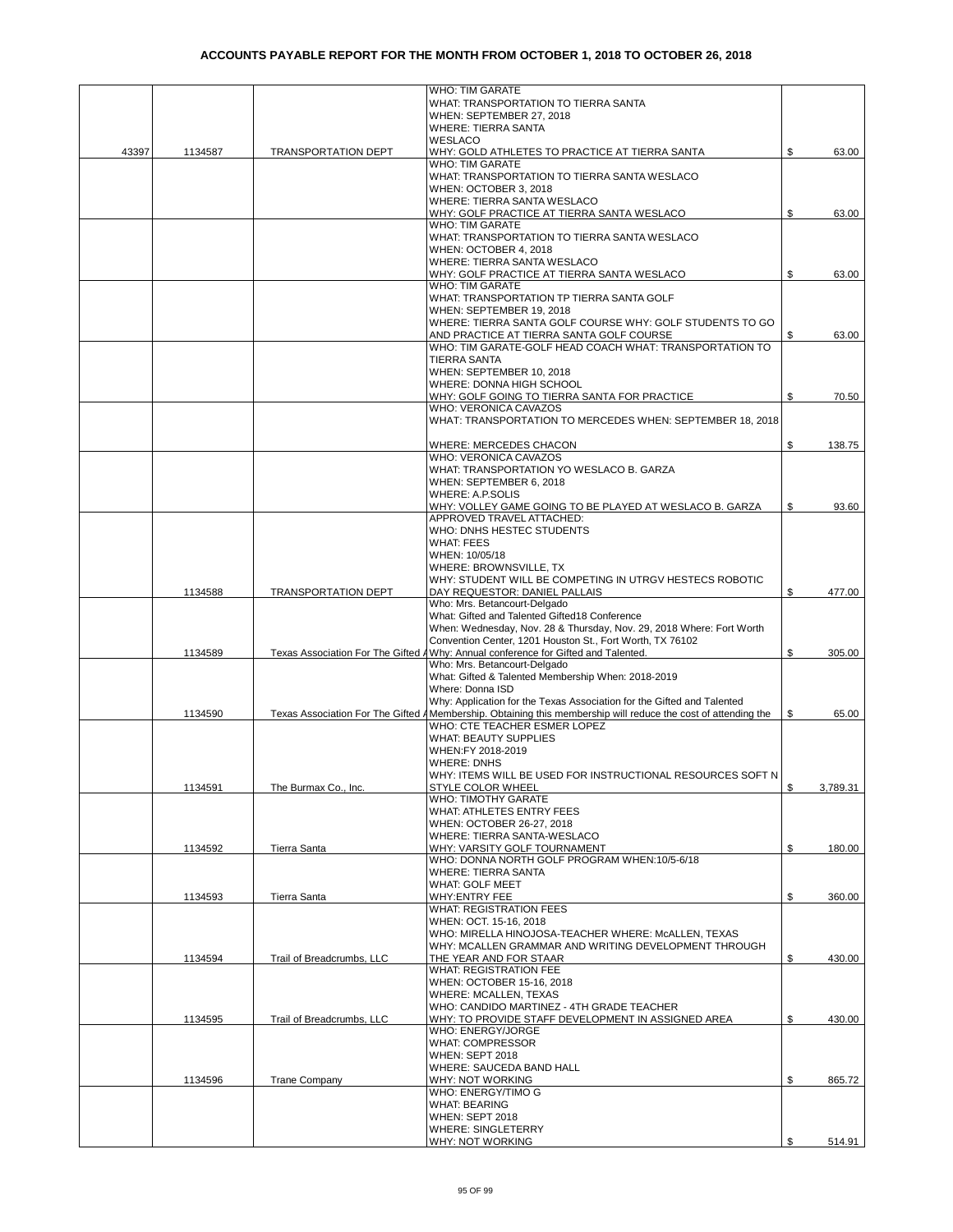|       |         |                            | <b>WHO: TIM GARATE</b>                                                                                            |     |          |
|-------|---------|----------------------------|-------------------------------------------------------------------------------------------------------------------|-----|----------|
|       |         |                            | WHAT: TRANSPORTATION TO TIERRA SANTA<br>WHEN: SEPTEMBER 27, 2018                                                  |     |          |
|       |         |                            | <b>WHERE: TIERRA SANTA</b>                                                                                        |     |          |
|       |         |                            | <b>WESLACO</b>                                                                                                    |     |          |
| 43397 | 1134587 | <b>TRANSPORTATION DEPT</b> | WHY: GOLD ATHLETES TO PRACTICE AT TIERRA SANTA                                                                    | \$  | 63.00    |
|       |         |                            | <b>WHO: TIM GARATE</b>                                                                                            |     |          |
|       |         |                            | WHAT: TRANSPORTATION TO TIERRA SANTA WESLACO<br>WHEN: OCTOBER 3, 2018                                             |     |          |
|       |         |                            | WHERE: TIERRA SANTA WESLACO                                                                                       |     |          |
|       |         |                            | WHY: GOLF PRACTICE AT TIERRA SANTA WESLACO                                                                        | \$  | 63.00    |
|       |         |                            | <b>WHO: TIM GARATE</b>                                                                                            |     |          |
|       |         |                            | WHAT: TRANSPORTATION TO TIERRA SANTA WESLACO                                                                      |     |          |
|       |         |                            | WHEN: OCTOBER 4, 2018                                                                                             |     |          |
|       |         |                            | WHERE: TIERRA SANTA WESLACO                                                                                       |     |          |
|       |         |                            | WHY: GOLF PRACTICE AT TIERRA SANTA WESLACO<br><b>WHO: TIM GARATE</b>                                              | \$  | 63.00    |
|       |         |                            | WHAT: TRANSPORTATION TP TIERRA SANTA GOLF                                                                         |     |          |
|       |         |                            | WHEN: SEPTEMBER 19, 2018                                                                                          |     |          |
|       |         |                            | WHERE: TIERRA SANTA GOLF COURSE WHY: GOLF STUDENTS TO GO                                                          |     |          |
|       |         |                            | AND PRACTICE AT TIERRA SANTA GOLF COURSE                                                                          |     | 63.00    |
|       |         |                            | WHO: TIM GARATE-GOLF HEAD COACH WHAT: TRANSPORTATION TO                                                           |     |          |
|       |         |                            | <b>TIERRA SANTA</b>                                                                                               |     |          |
|       |         |                            | WHEN: SEPTEMBER 10, 2018<br>WHERE: DONNA HIGH SCHOOL                                                              |     |          |
|       |         |                            | WHY: GOLF GOING TO TIERRA SANTA FOR PRACTICE                                                                      | \$  | 70.50    |
|       |         |                            | WHO: VERONICA CAVAZOS                                                                                             |     |          |
|       |         |                            | WHAT: TRANSPORTATION TO MERCEDES WHEN: SEPTEMBER 18, 2018                                                         |     |          |
|       |         |                            |                                                                                                                   |     |          |
|       |         |                            | WHERE: MERCEDES CHACON                                                                                            | \$  | 138.75   |
|       |         |                            | WHO: VERONICA CAVAZOS                                                                                             |     |          |
|       |         |                            | WHAT: TRANSPORTATION YO WESLACO B. GARZA<br>WHEN: SEPTEMBER 6, 2018                                               |     |          |
|       |         |                            | WHERE: A.P.SOLIS                                                                                                  |     |          |
|       |         |                            | WHY: VOLLEY GAME GOING TO BE PLAYED AT WESLACO B. GARZA                                                           | \$  | 93.60    |
|       |         |                            | APPROVED TRAVEL ATTACHED:                                                                                         |     |          |
|       |         |                            | WHO: DNHS HESTEC STUDENTS                                                                                         |     |          |
|       |         |                            | <b>WHAT: FEES</b>                                                                                                 |     |          |
|       |         |                            | WHEN: 10/05/18                                                                                                    |     |          |
|       |         |                            | WHERE: BROWNSVILLE, TX<br>WHY: STUDENT WILL BE COMPETING IN UTRGV HESTECS ROBOTIC                                 |     |          |
|       | 1134588 | <b>TRANSPORTATION DEPT</b> | DAY REQUESTOR: DANIEL PALLAIS                                                                                     | \$  | 477.00   |
|       |         |                            | Who: Mrs. Betancourt-Delgado                                                                                      |     |          |
|       |         |                            | What: Gifted and Talented Gifted18 Conference                                                                     |     |          |
|       |         |                            | When: Wednesday, Nov. 28 & Thursday, Nov. 29, 2018 Where: Fort Worth                                              |     |          |
|       |         |                            | Convention Center, 1201 Houston St., Fort Worth, TX 76102                                                         |     |          |
|       | 1134589 |                            | Texas Association For The Gifted AWhy: Annual conference for Gifted and Talented.<br>Who: Mrs. Betancourt-Delgado | \$  | 305.00   |
|       |         |                            | What: Gifted & Talented Membership When: 2018-2019                                                                |     |          |
|       |         |                            | Where: Donna ISD                                                                                                  |     |          |
|       |         |                            | Why: Application for the Texas Association for the Gifted and Talented                                            |     |          |
|       | 1134590 |                            | Texas Association For The Gifted AMembership. Obtaining this membership will reduce the cost of attending the     | \$  | 65.00    |
|       |         |                            | WHO: CTE TEACHER ESMER LOPEZ                                                                                      |     |          |
|       |         |                            | <b>WHAT: BEAUTY SUPPLIES</b>                                                                                      |     |          |
|       |         |                            | WHEN:FY 2018-2019<br><b>WHERE: DNHS</b>                                                                           |     |          |
|       |         |                            | WHY: ITEMS WILL BE USED FOR INSTRUCTIONAL RESOURCES SOFT N                                                        |     |          |
|       | 1134591 | The Burmax Co., Inc.       | STYLE COLOR WHEEL                                                                                                 | \$  | 3,789.31 |
|       |         |                            | WHO: TIMOTHY GARATE                                                                                               |     |          |
|       |         |                            | WHAT: ATHLETES ENTRY FEES                                                                                         |     |          |
|       |         |                            | WHEN: OCTOBER 26-27, 2018                                                                                         |     |          |
|       |         |                            | WHERE: TIERRA SANTA-WESLACO                                                                                       |     |          |
|       | 1134592 | Tierra Santa               | WHY: VARSITY GOLF TOURNAMENT<br>WHO: DONNA NORTH GOLF PROGRAM WHEN:10/5-6/18                                      | \$  | 180.00   |
|       |         |                            | <b>WHERE: TIERRA SANTA</b>                                                                                        |     |          |
|       |         |                            | <b>WHAT: GOLF MEET</b>                                                                                            |     |          |
|       | 1134593 | Tierra Santa               | WHY:ENTRY FEE                                                                                                     | \$  | 360.00   |
|       |         |                            | <b>WHAT: REGISTRATION FEES</b>                                                                                    |     |          |
|       |         |                            | WHEN: OCT. 15-16, 2018                                                                                            |     |          |
|       |         |                            | WHO: MIRELLA HINOJOSA-TEACHER WHERE: McALLEN, TEXAS<br>WHY: MCALLEN GRAMMAR AND WRITING DEVELOPMENT THROUGH       |     |          |
|       | 1134594 | Trail of Breadcrumbs, LLC  | THE YEAR AND FOR STAAR                                                                                            | \$  | 430.00   |
|       |         |                            | WHAT: REGISTRATION FEE                                                                                            |     |          |
|       |         |                            | WHEN: OCTOBER 15-16, 2018                                                                                         |     |          |
|       |         |                            | WHERE: MCALLEN, TEXAS                                                                                             |     |          |
|       |         |                            | WHO: CANDIDO MARTINEZ - 4TH GRADE TEACHER                                                                         |     |          |
|       | 1134595 | Trail of Breadcrumbs, LLC  | WHY: TO PROVIDE STAFF DEVELOPMENT IN ASSIGNED AREA                                                                | \$  | 430.00   |
|       |         |                            | WHO: ENERGY/JORGE<br><b>WHAT: COMPRESSOR</b>                                                                      |     |          |
|       |         |                            | WHEN: SEPT 2018                                                                                                   |     |          |
|       |         |                            | WHERE: SAUCEDA BAND HALL                                                                                          |     |          |
|       | 1134596 | <b>Trane Company</b>       | WHY: NOT WORKING                                                                                                  | \$  | 865.72   |
|       |         |                            | WHO: ENERGY/TIMO G                                                                                                |     |          |
|       |         |                            | <b>WHAT: BEARING</b>                                                                                              |     |          |
|       |         |                            | WHEN: SEPT 2018<br>WHERE: SINGLETERRY                                                                             |     |          |
|       |         |                            | WHY: NOT WORKING                                                                                                  | \$. | 514.91   |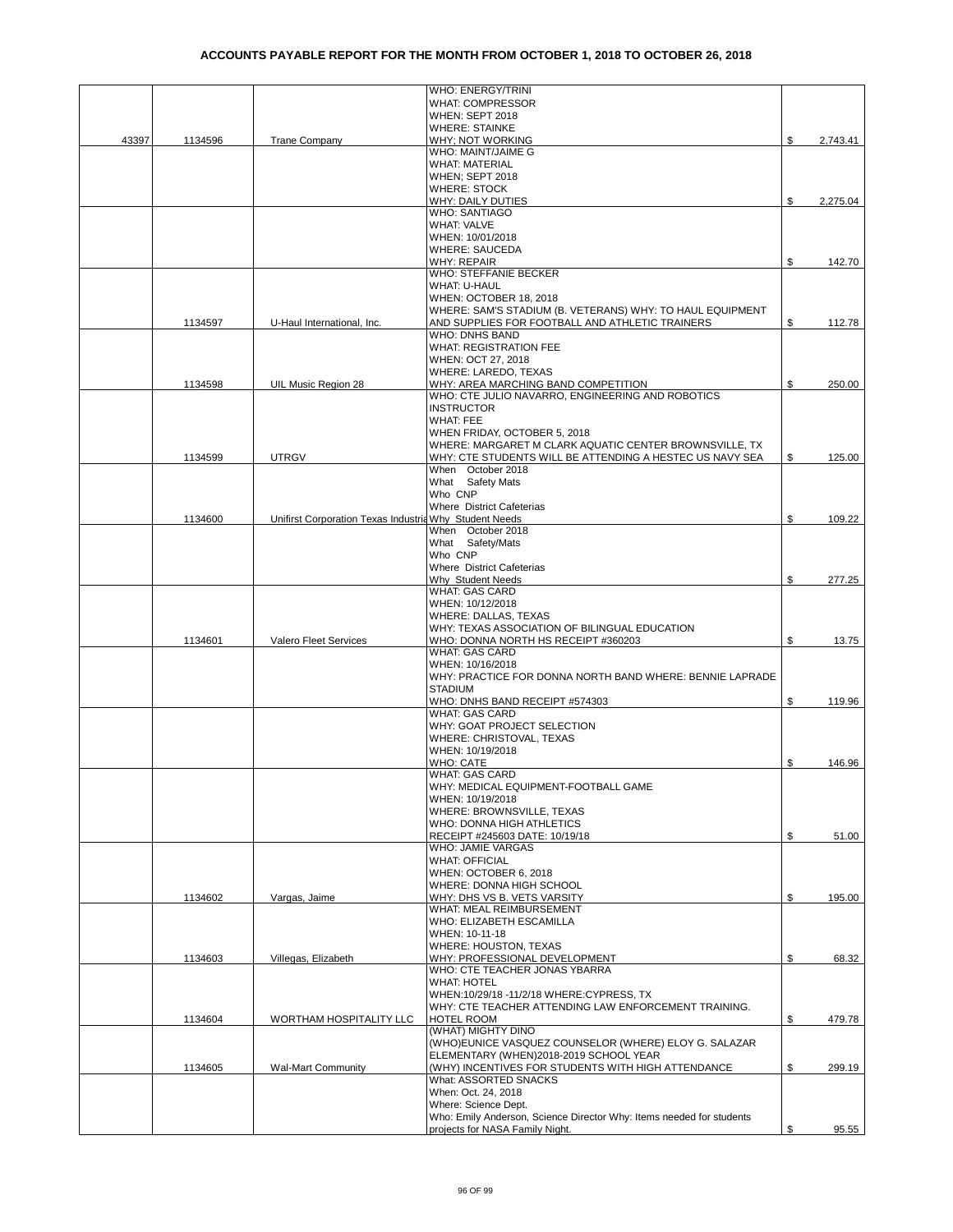|       |         |                                                        | <b>WHO: ENERGY/TRINI</b>                                                    |    |          |
|-------|---------|--------------------------------------------------------|-----------------------------------------------------------------------------|----|----------|
|       |         |                                                        | <b>WHAT: COMPRESSOR</b>                                                     |    |          |
|       |         |                                                        | WHEN: SEPT 2018                                                             |    |          |
|       |         |                                                        | <b>WHERE: STAINKE</b>                                                       |    |          |
| 43397 | 1134596 | <b>Trane Company</b>                                   | WHY; NOT WORKING<br>WHO: MAINT/JAIME G                                      | S  | 2,743.41 |
|       |         |                                                        | WHAT: MATERIAL                                                              |    |          |
|       |         |                                                        | WHEN; SEPT 2018                                                             |    |          |
|       |         |                                                        | <b>WHERE: STOCK</b>                                                         |    |          |
|       |         |                                                        | WHY: DAILY DUTIES                                                           | \$ | 2,275.04 |
|       |         |                                                        | <b>WHO: SANTIAGO</b>                                                        |    |          |
|       |         |                                                        | <b>WHAT: VALVE</b>                                                          |    |          |
|       |         |                                                        | WHEN: 10/01/2018                                                            |    |          |
|       |         |                                                        | <b>WHERE: SAUCEDA</b>                                                       | \$ |          |
|       |         |                                                        | <b>WHY: REPAIR</b><br>WHO: STEFFANIE BECKER                                 |    | 142.70   |
|       |         |                                                        | WHAT: U-HAUL                                                                |    |          |
|       |         |                                                        | WHEN: OCTOBER 18, 2018                                                      |    |          |
|       |         |                                                        | WHERE: SAM'S STADIUM (B. VETERANS) WHY: TO HAUL EQUIPMENT                   |    |          |
|       | 1134597 | U-Haul International, Inc.                             | AND SUPPLIES FOR FOOTBALL AND ATHLETIC TRAINERS                             | \$ | 112.78   |
|       |         |                                                        | WHO: DNHS BAND                                                              |    |          |
|       |         |                                                        | <b>WHAT: REGISTRATION FEE</b>                                               |    |          |
|       |         |                                                        | WHEN: OCT 27, 2018                                                          |    |          |
|       | 1134598 |                                                        | WHERE: LAREDO, TEXAS<br>WHY: AREA MARCHING BAND COMPETITION                 | \$ | 250.00   |
|       |         | UIL Music Region 28                                    | WHO: CTE JULIO NAVARRO, ENGINEERING AND ROBOTICS                            |    |          |
|       |         |                                                        | <b>INSTRUCTOR</b>                                                           |    |          |
|       |         |                                                        | <b>WHAT: FEE</b>                                                            |    |          |
|       |         |                                                        | WHEN FRIDAY, OCTOBER 5, 2018                                                |    |          |
|       |         |                                                        | WHERE: MARGARET M CLARK AQUATIC CENTER BROWNSVILLE. TX                      |    |          |
|       | 1134599 | <b>UTRGV</b>                                           | WHY: CTE STUDENTS WILL BE ATTENDING A HESTEC US NAVY SEA                    | \$ | 125.00   |
|       |         |                                                        | When October 2018                                                           |    |          |
|       |         |                                                        | What Safety Mats                                                            |    |          |
|       |         |                                                        | Who CNP<br><b>Where District Cafeterias</b>                                 |    |          |
|       | 1134600 | Unifirst Corporation Texas Industria Why Student Needs |                                                                             | \$ | 109.22   |
|       |         |                                                        | When October 2018                                                           |    |          |
|       |         |                                                        | What Safety/Mats                                                            |    |          |
|       |         |                                                        | Who CNP                                                                     |    |          |
|       |         |                                                        | <b>Where District Cafeterias</b>                                            |    |          |
|       |         |                                                        | Why Student Needs                                                           | \$ | 277.25   |
|       |         |                                                        | <b>WHAT: GAS CARD</b>                                                       |    |          |
|       |         |                                                        | WHEN: 10/12/2018                                                            |    |          |
|       |         |                                                        | WHERE: DALLAS, TEXAS                                                        |    |          |
|       |         |                                                        | WHY: TEXAS ASSOCIATION OF BILINGUAL EDUCATION                               |    |          |
|       | 1134601 | Valero Fleet Services                                  | WHO: DONNA NORTH HS RECEIPT #360203<br><b>WHAT: GAS CARD</b>                | \$ | 13.75    |
|       |         |                                                        | WHEN: 10/16/2018                                                            |    |          |
|       |         |                                                        | WHY: PRACTICE FOR DONNA NORTH BAND WHERE: BENNIE LAPRADE                    |    |          |
|       |         |                                                        | <b>STADIUM</b>                                                              |    |          |
|       |         |                                                        | WHO: DNHS BAND RECEIPT #574303                                              | \$ | 119.96   |
|       |         |                                                        | <b>WHAT: GAS CARD</b>                                                       |    |          |
|       |         |                                                        | WHY: GOAT PROJECT SELECTION                                                 |    |          |
|       |         |                                                        | WHERE: CHRISTOVAL, TEXAS                                                    |    |          |
|       |         |                                                        | WHEN: 10/19/2018                                                            |    |          |
|       |         |                                                        | <b>WHO: CATE</b>                                                            | \$ | 146.96   |
|       |         |                                                        | <b>WHAT: GAS CARD</b><br>WHY: MEDICAL EQUIPMENT-FOOTBALL GAME               |    |          |
|       |         |                                                        | WHEN: 10/19/2018                                                            |    |          |
|       |         |                                                        | WHERE: BROWNSVILLE, TEXAS                                                   |    |          |
|       |         |                                                        | WHO: DONNA HIGH ATHLETICS                                                   |    |          |
|       |         |                                                        | RECEIPT #245603 DATE: 10/19/18                                              | \$ | 51.00    |
|       |         |                                                        | WHO: JAMIE VARGAS                                                           |    |          |
|       |         |                                                        | <b>WHAT: OFFICIAL</b>                                                       |    |          |
|       |         |                                                        | WHEN: OCTOBER 6, 2018                                                       |    |          |
|       |         |                                                        | WHERE: DONNA HIGH SCHOOL                                                    |    |          |
|       | 1134602 | Vargas, Jaime                                          | WHY: DHS VS B. VETS VARSITY<br>WHAT: MEAL REIMBURSEMENT                     | \$ | 195.00   |
|       |         |                                                        | WHO: ELIZABETH ESCAMILLA                                                    |    |          |
|       |         |                                                        | WHEN: 10-11-18                                                              |    |          |
|       |         |                                                        | WHERE: HOUSTON, TEXAS                                                       |    |          |
|       | 1134603 | Villegas, Elizabeth                                    | WHY: PROFESSIONAL DEVELOPMENT                                               | \$ | 68.32    |
|       |         |                                                        | WHO: CTE TEACHER JONAS YBARRA                                               |    |          |
|       |         |                                                        | WHAT: HOTEL                                                                 |    |          |
|       |         |                                                        | WHEN:10/29/18 -11/2/18 WHERE:CYPRESS, TX                                    |    |          |
|       |         |                                                        | WHY: CTE TEACHER ATTENDING LAW ENFORCEMENT TRAINING.                        |    |          |
|       | 1134604 | WORTHAM HOSPITALITY LLC                                | HOTEL ROOM                                                                  | \$ | 479.78   |
|       |         |                                                        | (WHAT) MIGHTY DINO<br>(WHO)EUNICE VASQUEZ COUNSELOR (WHERE) ELOY G. SALAZAR |    |          |
|       |         |                                                        | ELEMENTARY (WHEN)2018-2019 SCHOOL YEAR                                      |    |          |
|       | 1134605 | <b>Wal-Mart Community</b>                              | (WHY) INCENTIVES FOR STUDENTS WITH HIGH ATTENDANCE                          | \$ | 299.19   |
|       |         |                                                        | What: ASSORTED SNACKS                                                       |    |          |
|       |         |                                                        | When: Oct. 24, 2018                                                         |    |          |
|       |         |                                                        | Where: Science Dept.                                                        |    |          |
|       |         |                                                        | Who: Emily Anderson, Science Director Why: Items needed for students        |    |          |
|       |         |                                                        | projects for NASA Family Night.                                             | \$ | 95.55    |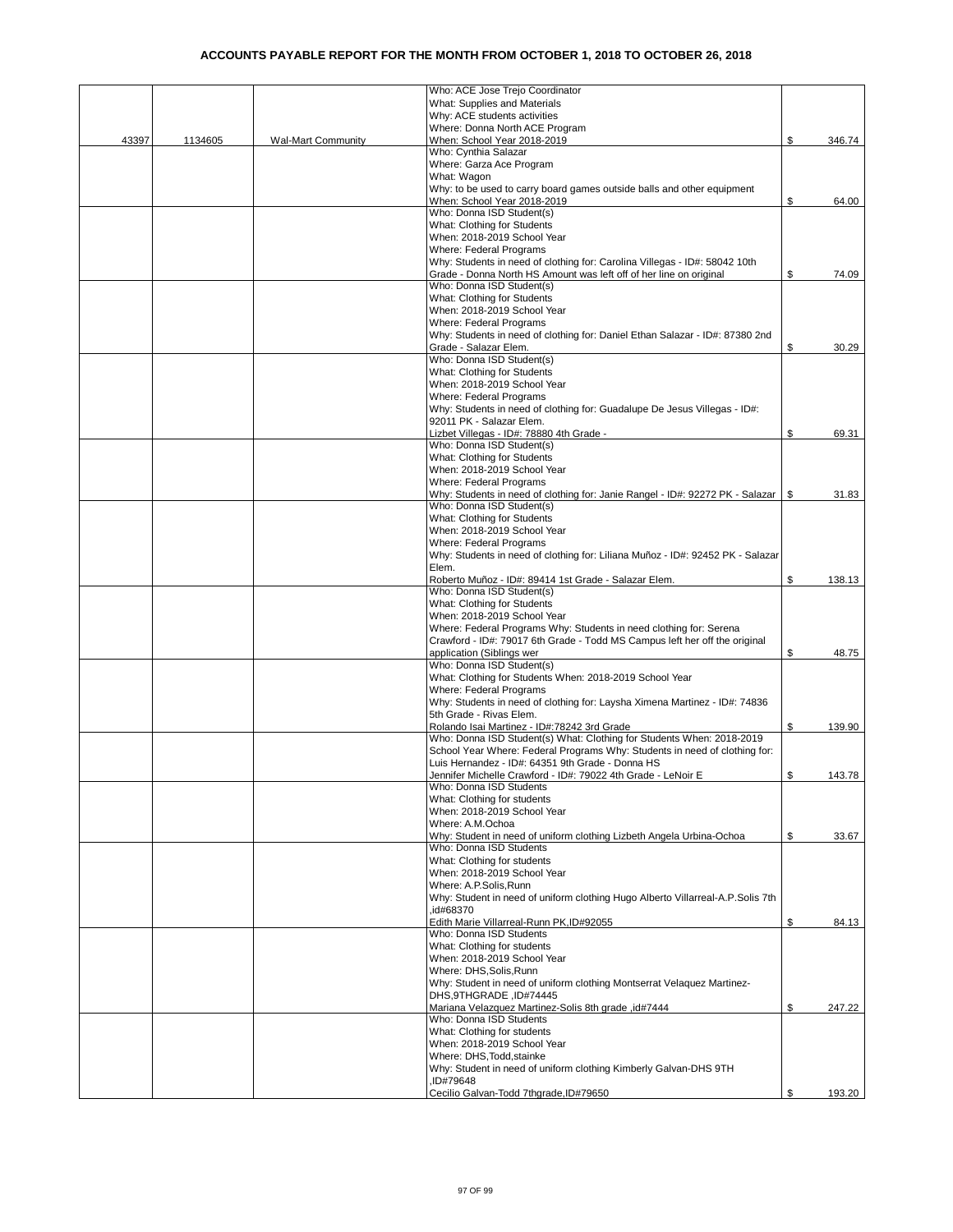|       |         |                           | Who: ACE Jose Trejo Coordinator                                                    |          |        |
|-------|---------|---------------------------|------------------------------------------------------------------------------------|----------|--------|
|       |         |                           | What: Supplies and Materials                                                       |          |        |
|       |         |                           | Why: ACE students activities                                                       |          |        |
|       |         |                           | Where: Donna North ACE Program                                                     |          |        |
| 43397 | 1134605 | <b>Wal-Mart Community</b> | When: School Year 2018-2019                                                        | \$       | 346.74 |
|       |         |                           | Who: Cynthia Salazar                                                               |          |        |
|       |         |                           | Where: Garza Ace Program                                                           |          |        |
|       |         |                           | What: Wagon                                                                        |          |        |
|       |         |                           | Why: to be used to carry board games outside balls and other equipment             |          |        |
|       |         |                           | When: School Year 2018-2019                                                        | \$       |        |
|       |         |                           |                                                                                    |          | 64.00  |
|       |         |                           | Who: Donna ISD Student(s)                                                          |          |        |
|       |         |                           | What: Clothing for Students                                                        |          |        |
|       |         |                           | When: 2018-2019 School Year                                                        |          |        |
|       |         |                           | <b>Where: Federal Programs</b>                                                     |          |        |
|       |         |                           | Why: Students in need of clothing for: Carolina Villegas - ID#: 58042 10th         |          |        |
|       |         |                           | Grade - Donna North HS Amount was left off of her line on original                 | \$       | 74.09  |
|       |         |                           | Who: Donna ISD Student(s)                                                          |          |        |
|       |         |                           | What: Clothing for Students                                                        |          |        |
|       |         |                           | When: 2018-2019 School Year                                                        |          |        |
|       |         |                           | Where: Federal Programs                                                            |          |        |
|       |         |                           | Why: Students in need of clothing for: Daniel Ethan Salazar - ID#: 87380 2nd       |          |        |
|       |         |                           | Grade - Salazar Elem.                                                              | \$       | 30.29  |
|       |         |                           | Who: Donna ISD Student(s)                                                          |          |        |
|       |         |                           | What: Clothing for Students                                                        |          |        |
|       |         |                           |                                                                                    |          |        |
|       |         |                           | When: 2018-2019 School Year                                                        |          |        |
|       |         |                           | <b>Where: Federal Programs</b>                                                     |          |        |
|       |         |                           | Why: Students in need of clothing for: Guadalupe De Jesus Villegas - ID#:          |          |        |
|       |         |                           | 92011 PK - Salazar Elem.                                                           |          |        |
|       |         |                           | Lizbet Villegas - ID#: 78880 4th Grade -                                           | \$       | 69.31  |
|       |         |                           | Who: Donna ISD Student(s)                                                          |          |        |
|       |         |                           | What: Clothing for Students                                                        |          |        |
|       |         |                           | When: 2018-2019 School Year                                                        |          |        |
|       |         |                           | <b>Where: Federal Programs</b>                                                     |          |        |
|       |         |                           | Why: Students in need of clothing for: Janie Rangel - ID#: 92272 PK - Salazar   \$ |          | 31.83  |
|       |         |                           | Who: Donna ISD Student(s)                                                          |          |        |
|       |         |                           | What: Clothing for Students                                                        |          |        |
|       |         |                           | When: 2018-2019 School Year                                                        |          |        |
|       |         |                           | Where: Federal Programs                                                            |          |        |
|       |         |                           |                                                                                    |          |        |
|       |         |                           | Why: Students in need of clothing for: Liliana Muñoz - ID#: 92452 PK - Salazar     |          |        |
|       |         |                           | Elem.                                                                              |          |        |
|       |         |                           | Roberto Muñoz - ID#: 89414 1st Grade - Salazar Elem.                               | \$       | 138.13 |
|       |         |                           | Who: Donna ISD Student(s)                                                          |          |        |
|       |         |                           | What: Clothing for Students                                                        |          |        |
|       |         |                           | When: 2018-2019 School Year                                                        |          |        |
|       |         |                           | Where: Federal Programs Why: Students in need clothing for: Serena                 |          |        |
|       |         |                           | Crawford - ID#: 79017 6th Grade - Todd MS Campus left her off the original         |          |        |
|       |         |                           | application (Siblings wer                                                          | \$       | 48.75  |
|       |         |                           | Who: Donna ISD Student(s)                                                          |          |        |
|       |         |                           | What: Clothing for Students When: 2018-2019 School Year                            |          |        |
|       |         |                           | Where: Federal Programs                                                            |          |        |
|       |         |                           | Why: Students in need of clothing for: Laysha Ximena Martinez - ID#: 74836         |          |        |
|       |         |                           | 5th Grade - Rivas Elem.                                                            |          |        |
|       |         |                           | Rolando Isai Martinez - ID#:78242 3rd Grade                                        | \$       | 139.90 |
|       |         |                           | Who: Donna ISD Student(s) What: Clothing for Students When: 2018-2019              |          |        |
|       |         |                           | School Year Where: Federal Programs Why: Students in need of clothing for:         |          |        |
|       |         |                           | Luis Hernandez - ID#: 64351 9th Grade - Donna HS                                   |          |        |
|       |         |                           |                                                                                    | <b>C</b> |        |
|       |         |                           | Jennifer Michelle Crawford - ID#: 79022 4th Grade - LeNoir E                       |          | 143.78 |
|       |         |                           | Who: Donna ISD Students                                                            |          |        |
|       |         |                           | What: Clothing for students                                                        |          |        |
|       |         |                           | When: 2018-2019 School Year                                                        |          |        |
|       |         |                           | Where: A.M.Ochoa                                                                   |          |        |
|       |         |                           | Why: Student in need of uniform clothing Lizbeth Angela Urbina-Ochoa               | \$       | 33.67  |
|       |         |                           | Who: Donna ISD Students                                                            |          |        |
|       |         |                           | What: Clothing for students                                                        |          |        |
|       |         |                           | When: 2018-2019 School Year                                                        |          |        |
|       |         |                           | Where: A.P.Solis, Runn                                                             |          |        |
|       |         |                           | Why: Student in need of uniform clothing Hugo Alberto Villarreal-A.P.Solis 7th     |          |        |
|       |         |                           | .id#68370                                                                          |          |        |
|       |         |                           | Edith Marie Villarreal-Runn PK, ID#92055                                           | \$       | 84.13  |
|       |         |                           | Who: Donna ISD Students                                                            |          |        |
|       |         |                           | What: Clothing for students                                                        |          |        |
|       |         |                           | When: 2018-2019 School Year                                                        |          |        |
|       |         |                           | Where: DHS.Solis.Runn                                                              |          |        |
|       |         |                           | Why: Student in need of uniform clothing Montserrat Velaquez Martinez-             |          |        |
|       |         |                           | DHS, 9THGRADE, ID#74445                                                            |          |        |
|       |         |                           | Mariana Velazquez Martinez-Solis 8th grade, id#7444                                | \$       | 247.22 |
|       |         |                           | Who: Donna ISD Students                                                            |          |        |
|       |         |                           | What: Clothing for students                                                        |          |        |
|       |         |                           |                                                                                    |          |        |
|       |         |                           | When: 2018-2019 School Year                                                        |          |        |
|       |         |                           | Where: DHS, Todd, stainke                                                          |          |        |
|       |         |                           | Why: Student in need of uniform clothing Kimberly Galvan-DHS 9TH                   |          |        |
|       |         |                           | ID#79648                                                                           |          |        |
|       |         |                           | Cecilio Galvan-Todd 7thgrade, ID#79650                                             | \$       | 193.20 |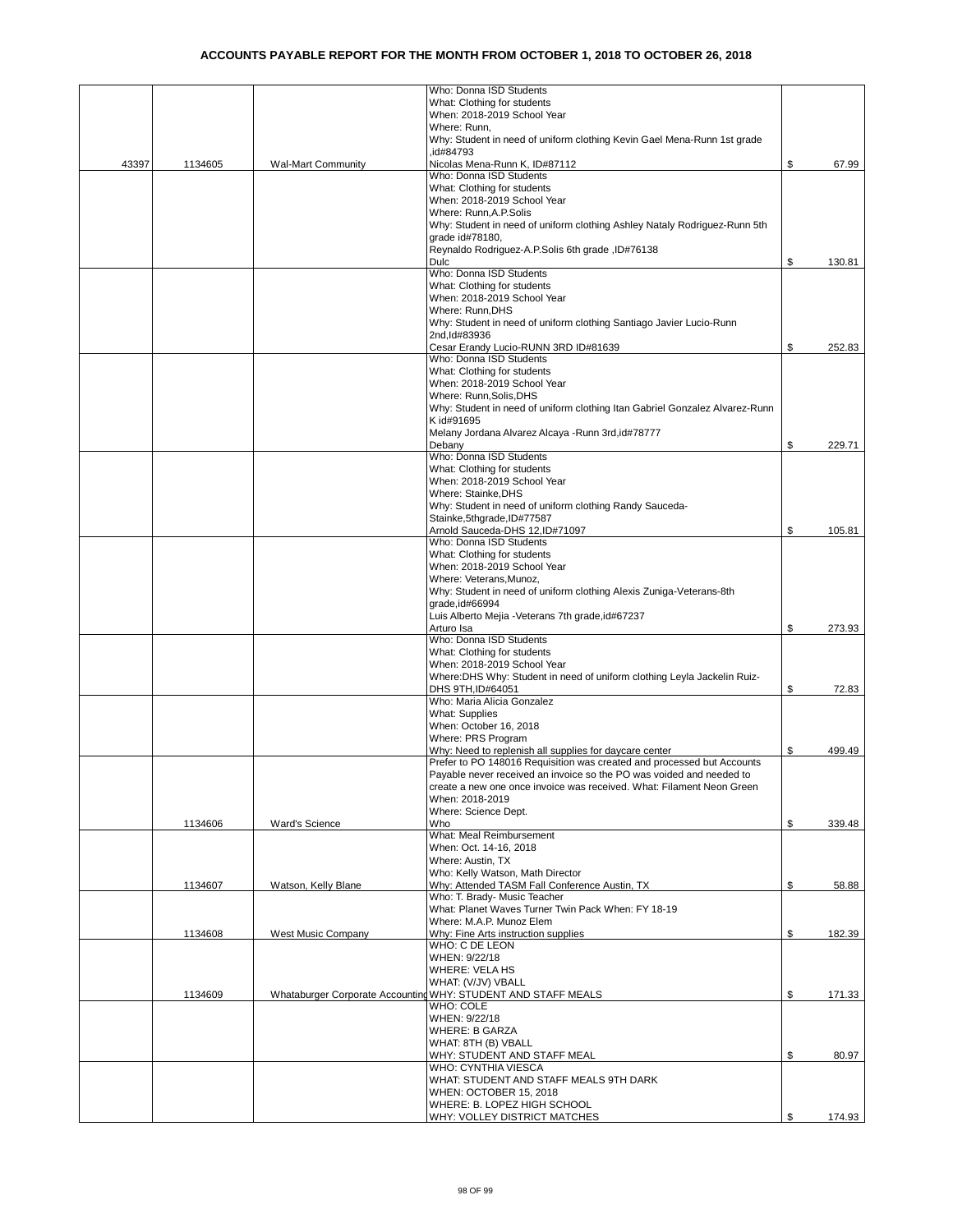|       |         |                           | Who: Donna ISD Students                                                              |              |
|-------|---------|---------------------------|--------------------------------------------------------------------------------------|--------------|
|       |         |                           | What: Clothing for students                                                          |              |
|       |         |                           | When: 2018-2019 School Year                                                          |              |
|       |         |                           | Where: Runn,                                                                         |              |
|       |         |                           | Why: Student in need of uniform clothing Kevin Gael Mena-Runn 1st grade<br>.id#84793 |              |
| 43397 | 1134605 | <b>Wal-Mart Community</b> | Nicolas Mena-Runn K, ID#87112                                                        | \$<br>67.99  |
|       |         |                           | Who: Donna ISD Students                                                              |              |
|       |         |                           | What: Clothing for students                                                          |              |
|       |         |                           | When: 2018-2019 School Year                                                          |              |
|       |         |                           | Where: Runn, A.P. Solis                                                              |              |
|       |         |                           | Why: Student in need of uniform clothing Ashley Nataly Rodriguez-Runn 5th            |              |
|       |         |                           | grade id#78180,                                                                      |              |
|       |         |                           | Reynaldo Rodriguez-A.P.Solis 6th grade, ID#76138                                     |              |
|       |         |                           | Dulc                                                                                 | \$<br>130.81 |
|       |         |                           | Who: Donna ISD Students                                                              |              |
|       |         |                           | What: Clothing for students                                                          |              |
|       |         |                           | When: 2018-2019 School Year                                                          |              |
|       |         |                           | Where: Runn, DHS                                                                     |              |
|       |         |                           | Why: Student in need of uniform clothing Santiago Javier Lucio-Runn<br>2nd, Id#83936 |              |
|       |         |                           | Cesar Erandy Lucio-RUNN 3RD ID#81639                                                 | \$<br>252.83 |
|       |         |                           | Who: Donna ISD Students                                                              |              |
|       |         |                           | What: Clothing for students                                                          |              |
|       |         |                           | When: 2018-2019 School Year                                                          |              |
|       |         |                           | Where: Runn, Solis, DHS                                                              |              |
|       |         |                           | Why: Student in need of uniform clothing Itan Gabriel Gonzalez Alvarez-Runn          |              |
|       |         |                           | K id#91695                                                                           |              |
|       |         |                           | Melany Jordana Alvarez Alcaya - Runn 3rd, id#78777                                   |              |
|       |         |                           | Debany                                                                               | \$<br>229.71 |
|       |         |                           | Who: Donna ISD Students                                                              |              |
|       |         |                           | What: Clothing for students                                                          |              |
|       |         |                           | When: 2018-2019 School Year                                                          |              |
|       |         |                           | Where: Stainke, DHS<br>Why: Student in need of uniform clothing Randy Sauceda-       |              |
|       |         |                           | Stainke, 5thgrade, ID#77587                                                          |              |
|       |         |                           | Arnold Sauceda-DHS 12, ID#71097                                                      | \$<br>105.81 |
|       |         |                           | Who: Donna ISD Students                                                              |              |
|       |         |                           | What: Clothing for students                                                          |              |
|       |         |                           | When: 2018-2019 School Year                                                          |              |
|       |         |                           | Where: Veterans, Munoz,                                                              |              |
|       |         |                           | Why: Student in need of uniform clothing Alexis Zuniga-Veterans-8th                  |              |
|       |         |                           | grade, id#66994                                                                      |              |
|       |         |                           | Luis Alberto Mejia - Veterans 7th grade, id#67237                                    |              |
|       |         |                           | Arturo Isa                                                                           | \$<br>273.93 |
|       |         |                           | Who: Donna ISD Students                                                              |              |
|       |         |                           | What: Clothing for students<br>When: 2018-2019 School Year                           |              |
|       |         |                           | Where: DHS Why: Student in need of uniform clothing Leyla Jackelin Ruiz-             |              |
|       |         |                           | DHS 9TH, ID#64051                                                                    | \$<br>72.83  |
|       |         |                           | Who: Maria Alicia Gonzalez                                                           |              |
|       |         |                           | <b>What: Supplies</b>                                                                |              |
|       |         |                           | When: October 16, 2018                                                               |              |
|       |         |                           | Where: PRS Program                                                                   |              |
|       |         |                           | Why: Need to replenish all supplies for daycare center                               | \$<br>499.49 |
|       |         |                           | Prefer to PO 148016 Requisition was created and processed but Accounts               |              |
|       |         |                           | Payable never received an invoice so the PO was voided and needed to                 |              |
|       |         |                           | create a new one once invoice was received. What: Filament Neon Green                |              |
|       |         |                           | When: 2018-2019                                                                      |              |
|       | 1134606 | <b>Ward's Science</b>     | Where: Science Dept.<br>Who                                                          | \$<br>339.48 |
|       |         |                           | What: Meal Reimbursement                                                             |              |
|       |         |                           | When: Oct. 14-16, 2018                                                               |              |
|       |         |                           | Where: Austin, TX                                                                    |              |
|       |         |                           | Who: Kelly Watson, Math Director                                                     |              |
|       | 1134607 | Watson, Kelly Blane       | Why: Attended TASM Fall Conference Austin, TX                                        | \$<br>58.88  |
|       |         |                           | Who: T. Brady- Music Teacher                                                         |              |
|       |         |                           | What: Planet Waves Turner Twin Pack When: FY 18-19                                   |              |
|       |         |                           | Where: M.A.P. Munoz Elem                                                             |              |
|       | 1134608 | West Music Company        | Why: Fine Arts instruction supplies                                                  | \$<br>182.39 |
|       |         |                           | WHO: C DE LEON                                                                       |              |
|       |         |                           | WHEN: 9/22/18<br><b>WHERE: VELA HS</b>                                               |              |
|       |         |                           | WHAT: (V/JV) VBALL                                                                   |              |
|       | 1134609 |                           | Whataburger Corporate Accounting WHY: STUDENT AND STAFF MEALS                        | \$<br>171.33 |
|       |         |                           | WHO: COLE                                                                            |              |
|       |         |                           | WHEN: 9/22/18                                                                        |              |
|       |         |                           | <b>WHERE: B GARZA</b>                                                                |              |
|       |         |                           | WHAT: 8TH (B) VBALL                                                                  |              |
|       |         |                           | WHY: STUDENT AND STAFF MEAL                                                          | \$<br>80.97  |
|       |         |                           | WHO: CYNTHIA VIESCA                                                                  |              |
|       |         |                           | WHAT: STUDENT AND STAFF MEALS 9TH DARK                                               |              |
|       |         |                           | WHEN: OCTOBER 15, 2018                                                               |              |
|       |         |                           | WHERE: B. LOPEZ HIGH SCHOOL                                                          | \$           |
|       |         |                           | WHY: VOLLEY DISTRICT MATCHES                                                         | 174.93       |